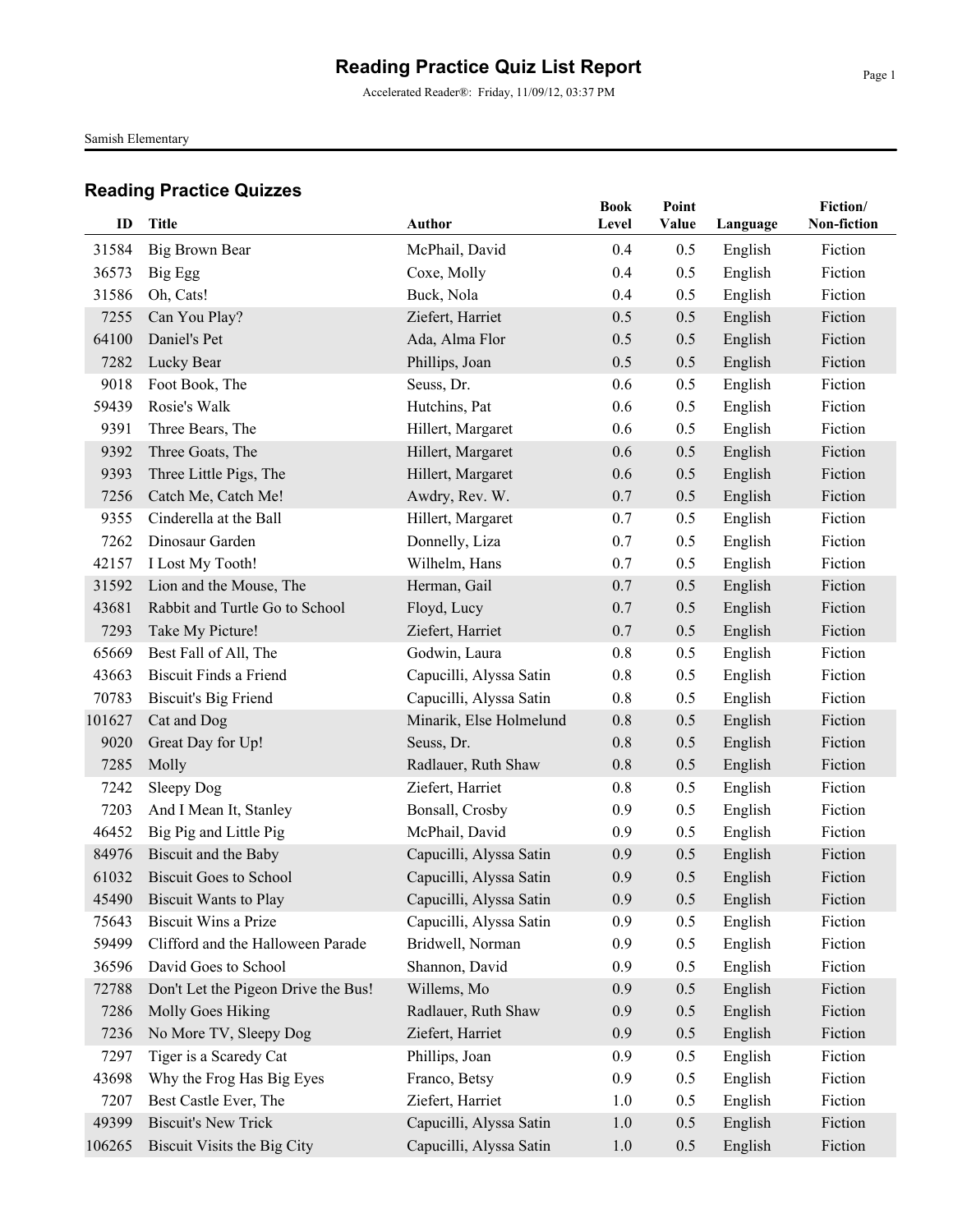Accelerated Reader®: Friday, 11/09/12, 03:37 PM

Samish Elementary

| ID     | <b>Title</b>                        |                         | <b>Book</b> | Point |          | Fiction/    |
|--------|-------------------------------------|-------------------------|-------------|-------|----------|-------------|
|        |                                     | <b>Author</b>           | Level       | Value | Language | Non-fiction |
| 31584  | Big Brown Bear                      | McPhail, David          | 0.4         | 0.5   | English  | Fiction     |
| 36573  | Big Egg                             | Coxe, Molly             | 0.4         | 0.5   | English  | Fiction     |
| 31586  | Oh, Cats!                           | Buck, Nola              | 0.4         | 0.5   | English  | Fiction     |
| 7255   | Can You Play?                       | Ziefert, Harriet        | 0.5         | 0.5   | English  | Fiction     |
| 64100  | Daniel's Pet                        | Ada, Alma Flor          | 0.5         | 0.5   | English  | Fiction     |
| 7282   | Lucky Bear                          | Phillips, Joan          | 0.5         | 0.5   | English  | Fiction     |
| 9018   | Foot Book, The                      | Seuss, Dr.              | 0.6         | 0.5   | English  | Fiction     |
| 59439  | Rosie's Walk                        | Hutchins, Pat           | 0.6         | 0.5   | English  | Fiction     |
| 9391   | Three Bears, The                    | Hillert, Margaret       | 0.6         | 0.5   | English  | Fiction     |
| 9392   | Three Goats, The                    | Hillert, Margaret       | 0.6         | 0.5   | English  | Fiction     |
| 9393   | Three Little Pigs, The              | Hillert, Margaret       | 0.6         | 0.5   | English  | Fiction     |
| 7256   | Catch Me, Catch Me!                 | Awdry, Rev. W.          | 0.7         | 0.5   | English  | Fiction     |
| 9355   | Cinderella at the Ball              | Hillert, Margaret       | 0.7         | 0.5   | English  | Fiction     |
| 7262   | Dinosaur Garden                     | Donnelly, Liza          | 0.7         | 0.5   | English  | Fiction     |
| 42157  | I Lost My Tooth!                    | Wilhelm, Hans           | 0.7         | 0.5   | English  | Fiction     |
| 31592  | Lion and the Mouse, The             | Herman, Gail            | 0.7         | 0.5   | English  | Fiction     |
| 43681  | Rabbit and Turtle Go to School      | Floyd, Lucy             | 0.7         | 0.5   | English  | Fiction     |
| 7293   | Take My Picture!                    | Ziefert, Harriet        | 0.7         | 0.5   | English  | Fiction     |
| 65669  | Best Fall of All, The               | Godwin, Laura           | $0.8\,$     | 0.5   | English  | Fiction     |
| 43663  | <b>Biscuit Finds a Friend</b>       | Capucilli, Alyssa Satin | 0.8         | 0.5   | English  | Fiction     |
| 70783  | <b>Biscuit's Big Friend</b>         | Capucilli, Alyssa Satin | 0.8         | 0.5   | English  | Fiction     |
| 101627 | Cat and Dog                         | Minarik, Else Holmelund | 0.8         | 0.5   | English  | Fiction     |
| 9020   | Great Day for Up!                   | Seuss, Dr.              | 0.8         | 0.5   | English  | Fiction     |
| 7285   | Molly                               | Radlauer, Ruth Shaw     | 0.8         | 0.5   | English  | Fiction     |
| 7242   | Sleepy Dog                          | Ziefert, Harriet        | $0.8\,$     | 0.5   | English  | Fiction     |
| 7203   | And I Mean It, Stanley              | Bonsall, Crosby         | 0.9         | 0.5   | English  | Fiction     |
| 46452  | Big Pig and Little Pig              | McPhail, David          | 0.9         | 0.5   | English  | Fiction     |
| 84976  | Biscuit and the Baby                | Capucilli, Alyssa Satin | 0.9         | 0.5   | English  | Fiction     |
| 61032  | <b>Biscuit Goes to School</b>       | Capucilli, Alyssa Satin | 0.9         | 0.5   | English  | Fiction     |
|        | 45490 Biscuit Wants to Play         | Capucilli, Alyssa Satin | 0.9         | 0.5   | English  | Fiction     |
| 75643  | Biscuit Wins a Prize                | Capucilli, Alyssa Satin | 0.9         | 0.5   | English  | Fiction     |
| 59499  | Clifford and the Halloween Parade   | Bridwell, Norman        | 0.9         | 0.5   | English  | Fiction     |
| 36596  | David Goes to School                | Shannon, David          | 0.9         | 0.5   | English  | Fiction     |
| 72788  | Don't Let the Pigeon Drive the Bus! | Willems, Mo             | 0.9         | 0.5   | English  | Fiction     |
| 7286   | Molly Goes Hiking                   | Radlauer, Ruth Shaw     | 0.9         | 0.5   | English  | Fiction     |
| 7236   | No More TV, Sleepy Dog              | Ziefert, Harriet        | 0.9         | 0.5   | English  | Fiction     |
| 7297   | Tiger is a Scaredy Cat              | Phillips, Joan          | 0.9         | 0.5   | English  | Fiction     |
| 43698  | Why the Frog Has Big Eyes           | Franco, Betsy           | 0.9         | 0.5   | English  | Fiction     |
| 7207   | Best Castle Ever, The               | Ziefert, Harriet        | 1.0         | 0.5   | English  | Fiction     |
| 49399  | <b>Biscuit's New Trick</b>          | Capucilli, Alyssa Satin | 1.0         | 0.5   | English  | Fiction     |
| 106265 | Biscuit Visits the Big City         | Capucilli, Alyssa Satin | 1.0         | 0.5   | English  | Fiction     |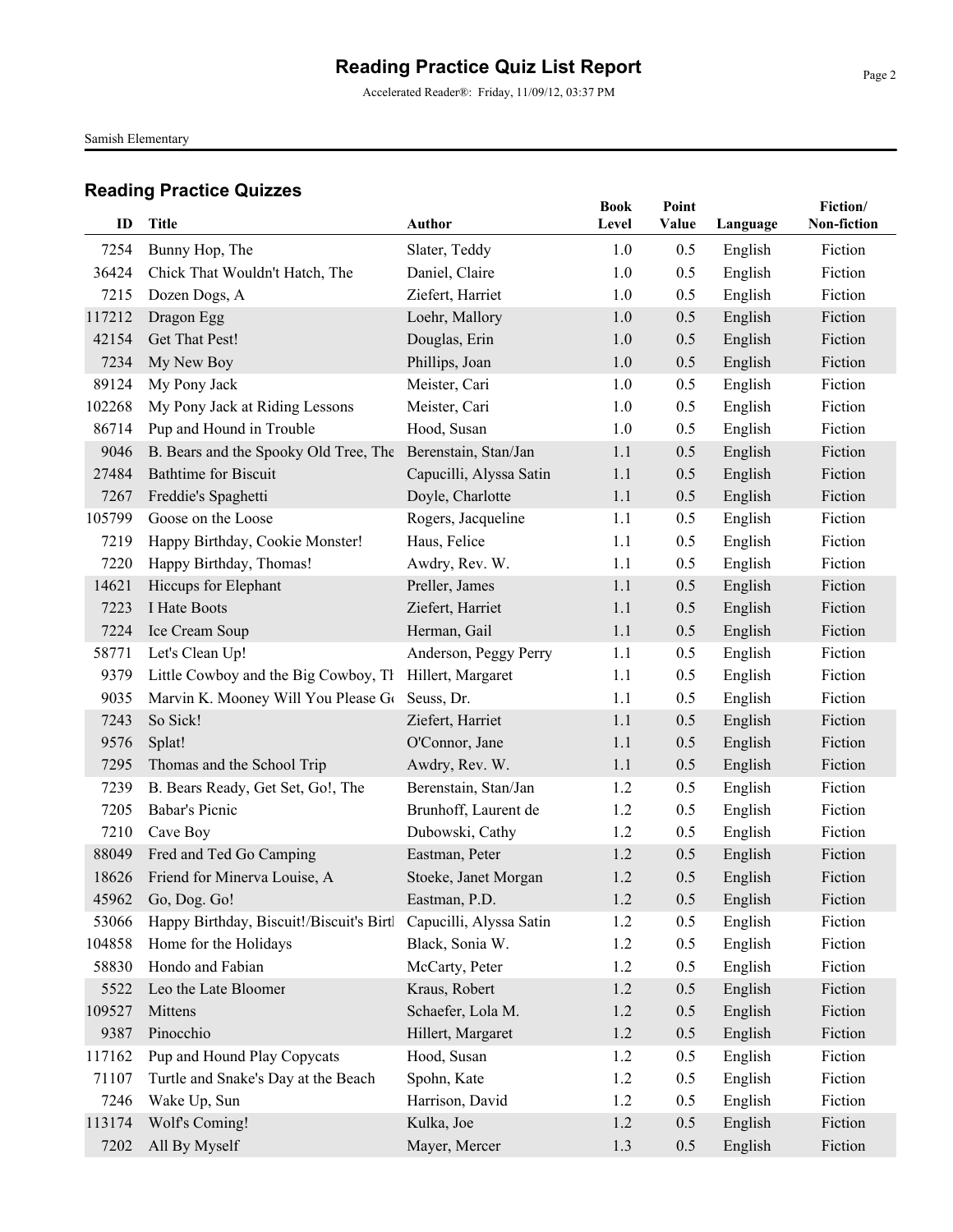Accelerated Reader®: Friday, 11/09/12, 03:37 PM

Samish Elementary

| ID     | <b>Title</b>                             | <b>Author</b>           | <b>Book</b><br>Level | Point<br>Value |          | Fiction/<br>Non-fiction |
|--------|------------------------------------------|-------------------------|----------------------|----------------|----------|-------------------------|
|        |                                          |                         |                      |                | Language |                         |
| 7254   | Bunny Hop, The                           | Slater, Teddy           | 1.0                  | 0.5            | English  | Fiction                 |
| 36424  | Chick That Wouldn't Hatch, The           | Daniel, Claire          | 1.0                  | 0.5            | English  | Fiction                 |
| 7215   | Dozen Dogs, A                            | Ziefert, Harriet        | 1.0                  | 0.5            | English  | Fiction                 |
| 117212 | Dragon Egg                               | Loehr, Mallory          | 1.0                  | 0.5            | English  | Fiction                 |
| 42154  | Get That Pest!                           | Douglas, Erin           | 1.0                  | 0.5            | English  | Fiction                 |
| 7234   | My New Boy                               | Phillips, Joan          | 1.0                  | 0.5            | English  | Fiction                 |
| 89124  | My Pony Jack                             | Meister, Cari           | 1.0                  | 0.5            | English  | Fiction                 |
| 102268 | My Pony Jack at Riding Lessons           | Meister, Cari           | 1.0                  | 0.5            | English  | Fiction                 |
| 86714  | Pup and Hound in Trouble                 | Hood, Susan             | 1.0                  | 0.5            | English  | Fiction                 |
| 9046   | B. Bears and the Spooky Old Tree, The    | Berenstain, Stan/Jan    | 1.1                  | 0.5            | English  | Fiction                 |
| 27484  | <b>Bathtime for Biscuit</b>              | Capucilli, Alyssa Satin | 1.1                  | 0.5            | English  | Fiction                 |
| 7267   | Freddie's Spaghetti                      | Doyle, Charlotte        | 1.1                  | 0.5            | English  | Fiction                 |
| 105799 | Goose on the Loose                       | Rogers, Jacqueline      | 1.1                  | 0.5            | English  | Fiction                 |
| 7219   | Happy Birthday, Cookie Monster!          | Haus, Felice            | 1.1                  | 0.5            | English  | Fiction                 |
| 7220   | Happy Birthday, Thomas!                  | Awdry, Rev. W.          | 1.1                  | 0.5            | English  | Fiction                 |
| 14621  | Hiccups for Elephant                     | Preller, James          | 1.1                  | 0.5            | English  | Fiction                 |
| 7223   | I Hate Boots                             | Ziefert, Harriet        | 1.1                  | 0.5            | English  | Fiction                 |
| 7224   | Ice Cream Soup                           | Herman, Gail            | 1.1                  | 0.5            | English  | Fiction                 |
| 58771  | Let's Clean Up!                          | Anderson, Peggy Perry   | 1.1                  | 0.5            | English  | Fiction                 |
| 9379   | Little Cowboy and the Big Cowboy, Th     | Hillert, Margaret       | 1.1                  | 0.5            | English  | Fiction                 |
| 9035   | Marvin K. Mooney Will You Please Go      | Seuss, Dr.              | 1.1                  | 0.5            | English  | Fiction                 |
| 7243   | So Sick!                                 | Ziefert, Harriet        | 1.1                  | 0.5            | English  | Fiction                 |
| 9576   | Splat!                                   | O'Connor, Jane          | 1.1                  | 0.5            | English  | Fiction                 |
| 7295   | Thomas and the School Trip               | Awdry, Rev. W.          | 1.1                  | 0.5            | English  | Fiction                 |
| 7239   | B. Bears Ready, Get Set, Go!, The        | Berenstain, Stan/Jan    | 1.2                  | 0.5            | English  | Fiction                 |
| 7205   | Babar's Picnic                           | Brunhoff, Laurent de    | 1.2                  | 0.5            | English  | Fiction                 |
| 7210   | Cave Boy                                 | Dubowski, Cathy         | 1.2                  | 0.5            | English  | Fiction                 |
| 88049  | Fred and Ted Go Camping                  | Eastman, Peter          | 1.2                  | 0.5            | English  | Fiction                 |
| 18626  | Friend for Minerva Louise, A             | Stoeke, Janet Morgan    | 1.2                  | 0.5            | English  | Fiction                 |
|        | 45962 Go, Dog. Go!                       | Eastman, P.D.           | $1.2$                | 0.5            | English  | Fiction                 |
| 53066  | Happy Birthday, Biscuit!/Biscuit's Birtl | Capucilli, Alyssa Satin | 1.2                  | 0.5            | English  | Fiction                 |
| 104858 | Home for the Holidays                    | Black, Sonia W.         | 1.2                  | 0.5            | English  | Fiction                 |
| 58830  | Hondo and Fabian                         | McCarty, Peter          | 1.2                  | 0.5            | English  | Fiction                 |
| 5522   | Leo the Late Bloomer                     | Kraus, Robert           | 1.2                  | 0.5            | English  | Fiction                 |
| 109527 | Mittens                                  | Schaefer, Lola M.       | 1.2                  | 0.5            | English  | Fiction                 |
| 9387   | Pinocchio                                | Hillert, Margaret       | 1.2                  | 0.5            | English  | Fiction                 |
| 117162 | Pup and Hound Play Copycats              | Hood, Susan             | 1.2                  | 0.5            | English  | Fiction                 |
| 71107  | Turtle and Snake's Day at the Beach      | Spohn, Kate             | 1.2                  | 0.5            | English  | Fiction                 |
| 7246   | Wake Up, Sun                             | Harrison, David         | 1.2                  | 0.5            | English  | Fiction                 |
| 113174 | Wolf's Coming!                           | Kulka, Joe              | 1.2                  | 0.5            | English  | Fiction                 |
| 7202   | All By Myself                            | Mayer, Mercer           | 1.3                  | 0.5            | English  | Fiction                 |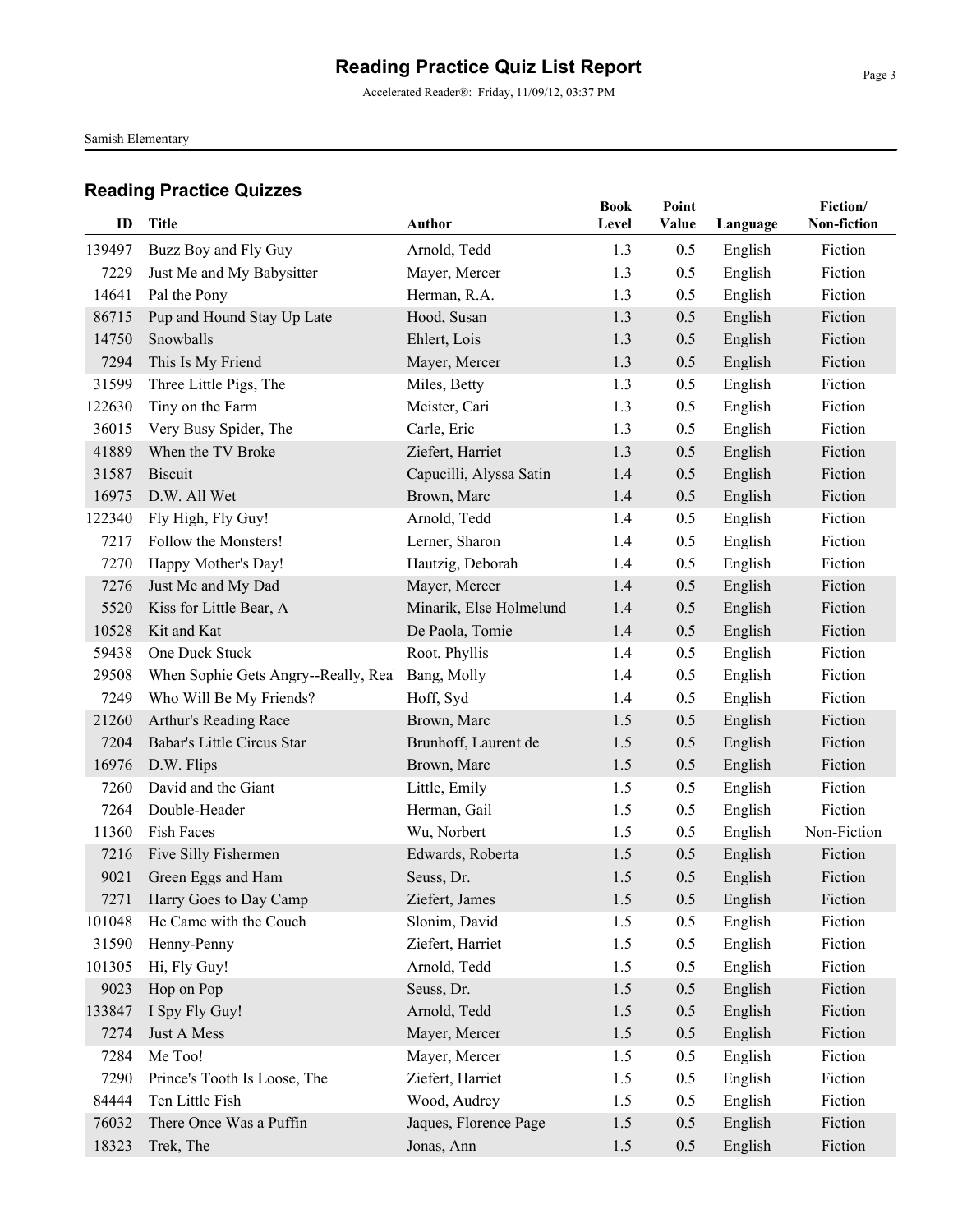Accelerated Reader®: Friday, 11/09/12, 03:37 PM

Samish Elementary

| ID     | <b>Title</b>                        | Author                  | <b>Book</b><br>Level | Point<br>Value |          | Fiction/<br>Non-fiction |
|--------|-------------------------------------|-------------------------|----------------------|----------------|----------|-------------------------|
|        |                                     |                         |                      |                | Language |                         |
| 139497 | Buzz Boy and Fly Guy                | Arnold, Tedd            | 1.3                  | 0.5            | English  | Fiction                 |
| 7229   | Just Me and My Babysitter           | Mayer, Mercer           | 1.3                  | 0.5            | English  | Fiction                 |
| 14641  | Pal the Pony                        | Herman, R.A.            | 1.3                  | 0.5            | English  | Fiction                 |
| 86715  | Pup and Hound Stay Up Late          | Hood, Susan             | 1.3                  | 0.5            | English  | Fiction                 |
| 14750  | Snowballs                           | Ehlert, Lois            | 1.3                  | 0.5            | English  | Fiction                 |
| 7294   | This Is My Friend                   | Mayer, Mercer           | 1.3                  | 0.5            | English  | Fiction                 |
| 31599  | Three Little Pigs, The              | Miles, Betty            | 1.3                  | 0.5            | English  | Fiction                 |
| 122630 | Tiny on the Farm                    | Meister, Cari           | 1.3                  | 0.5            | English  | Fiction                 |
| 36015  | Very Busy Spider, The               | Carle, Eric             | 1.3                  | 0.5            | English  | Fiction                 |
| 41889  | When the TV Broke                   | Ziefert, Harriet        | 1.3                  | 0.5            | English  | Fiction                 |
| 31587  | <b>Biscuit</b>                      | Capucilli, Alyssa Satin | 1.4                  | 0.5            | English  | Fiction                 |
| 16975  | D.W. All Wet                        | Brown, Marc             | 1.4                  | 0.5            | English  | Fiction                 |
| 122340 | Fly High, Fly Guy!                  | Arnold, Tedd            | 1.4                  | 0.5            | English  | Fiction                 |
| 7217   | Follow the Monsters!                | Lerner, Sharon          | 1.4                  | 0.5            | English  | Fiction                 |
| 7270   | Happy Mother's Day!                 | Hautzig, Deborah        | 1.4                  | 0.5            | English  | Fiction                 |
| 7276   | Just Me and My Dad                  | Mayer, Mercer           | 1.4                  | 0.5            | English  | Fiction                 |
| 5520   | Kiss for Little Bear, A             | Minarik, Else Holmelund | 1.4                  | 0.5            | English  | Fiction                 |
| 10528  | Kit and Kat                         | De Paola, Tomie         | 1.4                  | 0.5            | English  | Fiction                 |
| 59438  | One Duck Stuck                      | Root, Phyllis           | 1.4                  | 0.5            | English  | Fiction                 |
| 29508  | When Sophie Gets Angry--Really, Rea | Bang, Molly             | 1.4                  | 0.5            | English  | Fiction                 |
| 7249   | Who Will Be My Friends?             | Hoff, Syd               | 1.4                  | 0.5            | English  | Fiction                 |
| 21260  | Arthur's Reading Race               | Brown, Marc             | 1.5                  | 0.5            | English  | Fiction                 |
| 7204   | Babar's Little Circus Star          | Brunhoff, Laurent de    | 1.5                  | 0.5            | English  | Fiction                 |
| 16976  | D.W. Flips                          | Brown, Marc             | 1.5                  | 0.5            | English  | Fiction                 |
| 7260   | David and the Giant                 | Little, Emily           | 1.5                  | 0.5            | English  | Fiction                 |
| 7264   | Double-Header                       | Herman, Gail            | 1.5                  | 0.5            | English  | Fiction                 |
| 11360  | Fish Faces                          | Wu, Norbert             | 1.5                  | 0.5            | English  | Non-Fiction             |
| 7216   | Five Silly Fishermen                | Edwards, Roberta        | 1.5                  | 0.5            | English  | Fiction                 |
| 9021   | Green Eggs and Ham                  | Seuss, Dr.              | 1.5                  | 0.5            | English  | Fiction                 |
|        | 7271 Harry Goes to Day Camp         | Ziefert, James          | $1.5\,$              | 0.5            | English  | Fiction                 |
| 101048 | He Came with the Couch              | Slonim, David           | 1.5                  | 0.5            | English  | Fiction                 |
| 31590  | Henny-Penny                         | Ziefert, Harriet        | 1.5                  | 0.5            | English  | Fiction                 |
| 101305 | Hi, Fly Guy!                        | Arnold, Tedd            | 1.5                  | 0.5            | English  | Fiction                 |
| 9023   | Hop on Pop                          | Seuss, Dr.              | 1.5                  | 0.5            | English  | Fiction                 |
| 133847 | I Spy Fly Guy!                      | Arnold, Tedd            | 1.5                  | 0.5            | English  | Fiction                 |
| 7274   | Just A Mess                         | Mayer, Mercer           | 1.5                  | 0.5            | English  | Fiction                 |
| 7284   | Me Too!                             | Mayer, Mercer           | 1.5                  | 0.5            | English  | Fiction                 |
| 7290   | Prince's Tooth Is Loose, The        | Ziefert, Harriet        | 1.5                  | 0.5            | English  | Fiction                 |
| 84444  | Ten Little Fish                     | Wood, Audrey            | 1.5                  | 0.5            | English  | Fiction                 |
| 76032  | There Once Was a Puffin             | Jaques, Florence Page   | 1.5                  | 0.5            | English  | Fiction                 |
| 18323  | Trek, The                           | Jonas, Ann              | 1.5                  | 0.5            | English  | Fiction                 |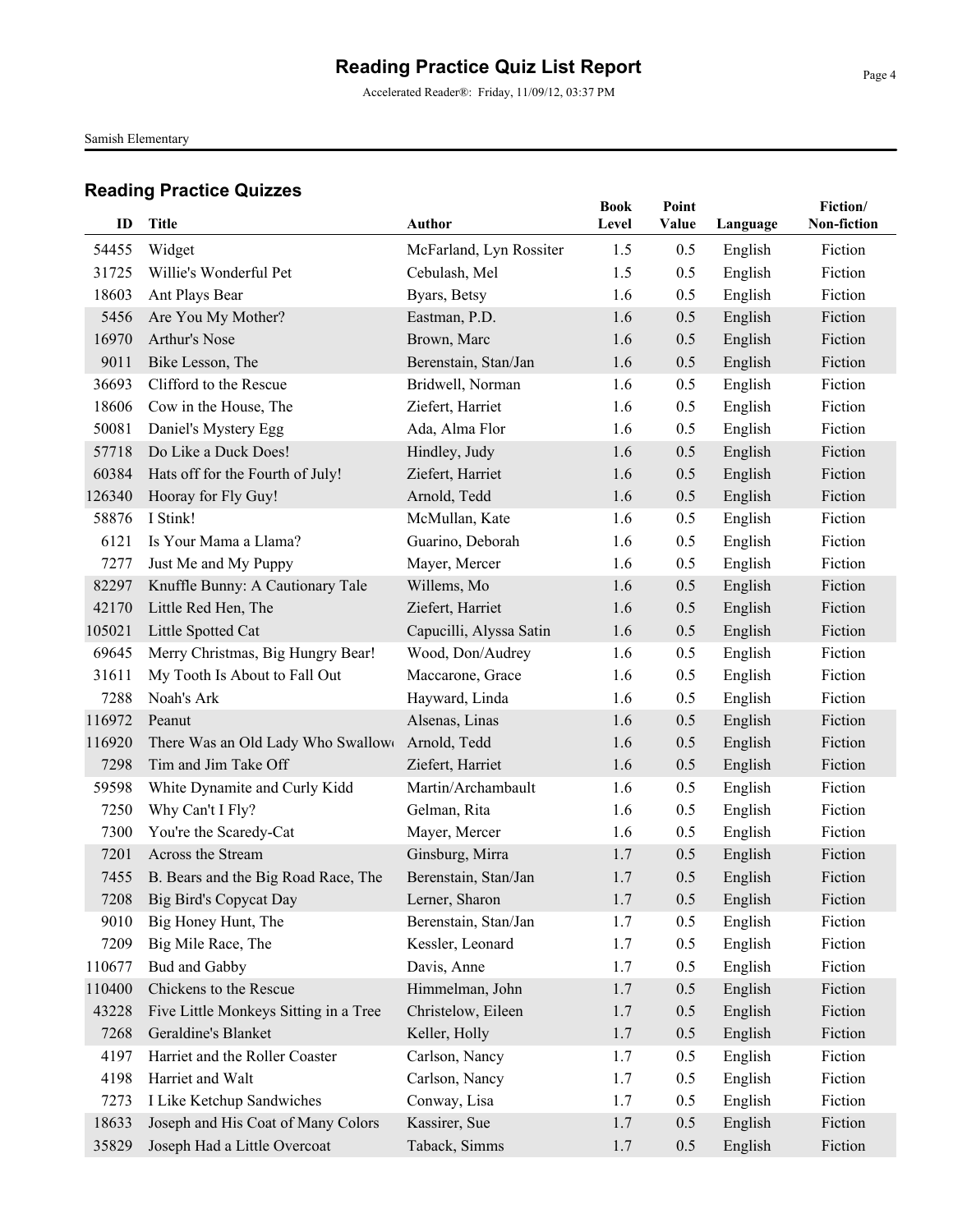Accelerated Reader®: Friday, 11/09/12, 03:37 PM

Samish Elementary

| ID     | Title                                 | Author                  | <b>Book</b><br>Level | Point<br>Value |          | Fiction/<br>Non-fiction |
|--------|---------------------------------------|-------------------------|----------------------|----------------|----------|-------------------------|
|        |                                       |                         |                      |                | Language |                         |
| 54455  | Widget                                | McFarland, Lyn Rossiter | 1.5                  | 0.5            | English  | Fiction                 |
| 31725  | Willie's Wonderful Pet                | Cebulash, Mel           | 1.5                  | 0.5            | English  | Fiction                 |
| 18603  | Ant Plays Bear                        | Byars, Betsy            | 1.6                  | 0.5            | English  | Fiction                 |
| 5456   | Are You My Mother?                    | Eastman, P.D.           | 1.6                  | 0.5            | English  | Fiction                 |
| 16970  | Arthur's Nose                         | Brown, Marc             | 1.6                  | 0.5            | English  | Fiction                 |
| 9011   | Bike Lesson, The                      | Berenstain, Stan/Jan    | 1.6                  | 0.5            | English  | Fiction                 |
| 36693  | Clifford to the Rescue                | Bridwell, Norman        | 1.6                  | 0.5            | English  | Fiction                 |
| 18606  | Cow in the House, The                 | Ziefert, Harriet        | 1.6                  | 0.5            | English  | Fiction                 |
| 50081  | Daniel's Mystery Egg                  | Ada, Alma Flor          | 1.6                  | 0.5            | English  | Fiction                 |
| 57718  | Do Like a Duck Does!                  | Hindley, Judy           | 1.6                  | 0.5            | English  | Fiction                 |
| 60384  | Hats off for the Fourth of July!      | Ziefert, Harriet        | 1.6                  | 0.5            | English  | Fiction                 |
| 126340 | Hooray for Fly Guy!                   | Arnold, Tedd            | 1.6                  | 0.5            | English  | Fiction                 |
| 58876  | I Stink!                              | McMullan, Kate          | 1.6                  | 0.5            | English  | Fiction                 |
| 6121   | Is Your Mama a Llama?                 | Guarino, Deborah        | 1.6                  | 0.5            | English  | Fiction                 |
| 7277   | Just Me and My Puppy                  | Mayer, Mercer           | 1.6                  | 0.5            | English  | Fiction                 |
| 82297  | Knuffle Bunny: A Cautionary Tale      | Willems, Mo             | 1.6                  | 0.5            | English  | Fiction                 |
| 42170  | Little Red Hen, The                   | Ziefert, Harriet        | 1.6                  | 0.5            | English  | Fiction                 |
| 105021 | Little Spotted Cat                    | Capucilli, Alyssa Satin | 1.6                  | 0.5            | English  | Fiction                 |
| 69645  | Merry Christmas, Big Hungry Bear!     | Wood, Don/Audrey        | 1.6                  | 0.5            | English  | Fiction                 |
| 31611  | My Tooth Is About to Fall Out         | Maccarone, Grace        | 1.6                  | 0.5            | English  | Fiction                 |
| 7288   | Noah's Ark                            | Hayward, Linda          | 1.6                  | 0.5            | English  | Fiction                 |
| 116972 | Peanut                                | Alsenas, Linas          | 1.6                  | 0.5            | English  | Fiction                 |
| 116920 | There Was an Old Lady Who Swallow     | Arnold, Tedd            | 1.6                  | 0.5            | English  | Fiction                 |
| 7298   | Tim and Jim Take Off                  | Ziefert, Harriet        | 1.6                  | 0.5            | English  | Fiction                 |
| 59598  | White Dynamite and Curly Kidd         | Martin/Archambault      | 1.6                  | 0.5            | English  | Fiction                 |
| 7250   | Why Can't I Fly?                      | Gelman, Rita            | 1.6                  | 0.5            | English  | Fiction                 |
| 7300   | You're the Scaredy-Cat                | Mayer, Mercer           | 1.6                  | 0.5            | English  | Fiction                 |
| 7201   | Across the Stream                     | Ginsburg, Mirra         | 1.7                  | 0.5            | English  | Fiction                 |
| 7455   | B. Bears and the Big Road Race, The   | Berenstain, Stan/Jan    | 1.7                  | 0.5            | English  | Fiction                 |
|        | 7208 Big Bird's Copycat Day           | Lerner, Sharon          | 1.7                  | 0.5            | English  | Fiction                 |
| 9010   | Big Honey Hunt, The                   | Berenstain, Stan/Jan    | 1.7                  | 0.5            | English  | Fiction                 |
| 7209   | Big Mile Race, The                    | Kessler, Leonard        | 1.7                  | 0.5            | English  | Fiction                 |
| 110677 | <b>Bud and Gabby</b>                  | Davis, Anne             | 1.7                  | 0.5            | English  | Fiction                 |
| 110400 | Chickens to the Rescue                | Himmelman, John         | 1.7                  | 0.5            | English  | Fiction                 |
| 43228  | Five Little Monkeys Sitting in a Tree | Christelow, Eileen      | 1.7                  | 0.5            | English  | Fiction                 |
| 7268   | Geraldine's Blanket                   | Keller, Holly           | 1.7                  | 0.5            | English  | Fiction                 |
| 4197   | Harriet and the Roller Coaster        | Carlson, Nancy          | 1.7                  | 0.5            | English  | Fiction                 |
| 4198   | Harriet and Walt                      | Carlson, Nancy          | 1.7                  | 0.5            | English  | Fiction                 |
| 7273   | I Like Ketchup Sandwiches             | Conway, Lisa            | 1.7                  | 0.5            | English  | Fiction                 |
| 18633  | Joseph and His Coat of Many Colors    | Kassirer, Sue           | 1.7                  | 0.5            | English  | Fiction                 |
| 35829  | Joseph Had a Little Overcoat          | Taback, Simms           | 1.7                  | 0.5            | English  | Fiction                 |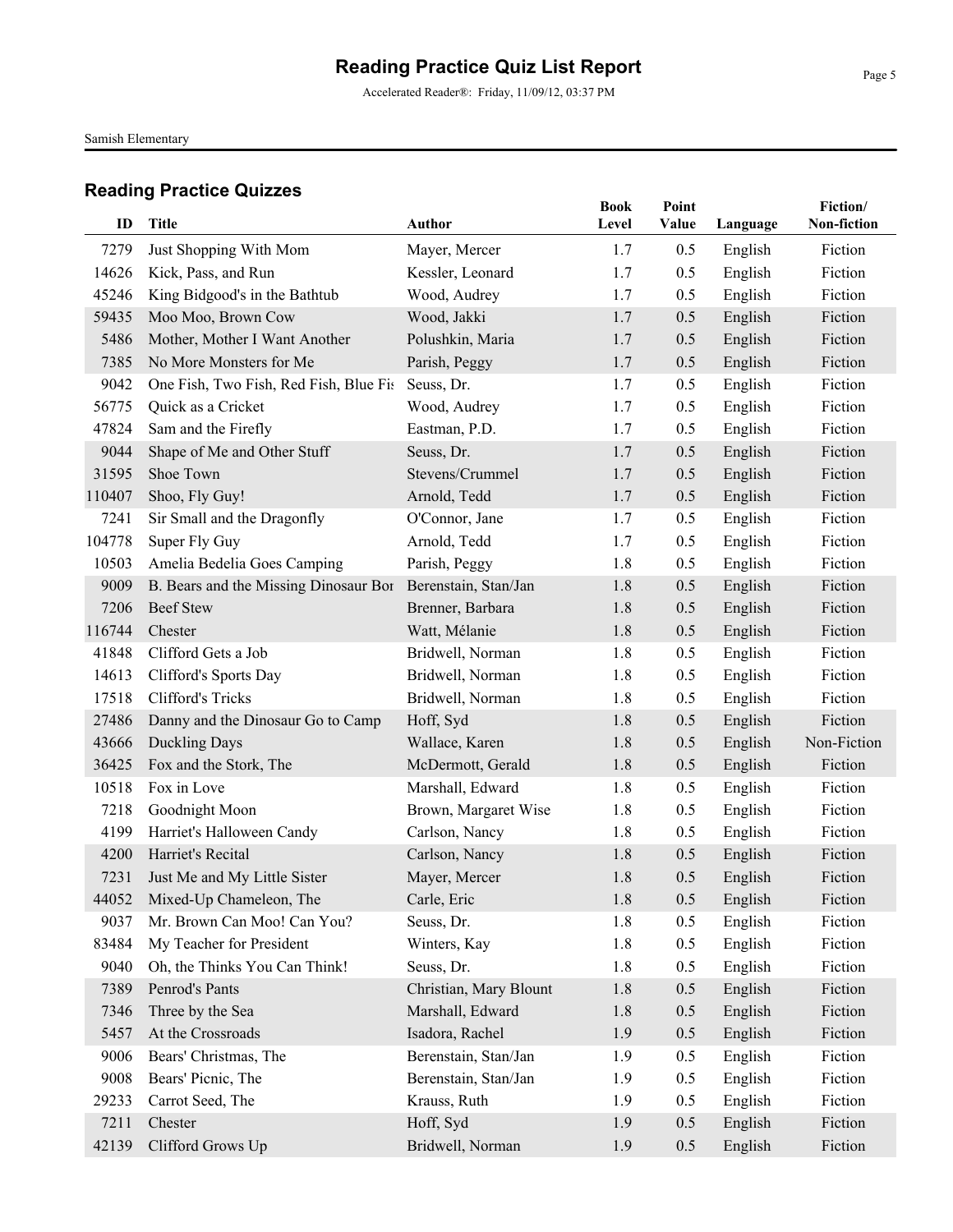Accelerated Reader®: Friday, 11/09/12, 03:37 PM

Samish Elementary

| ID     | <b>Title</b>                           | <b>Author</b>          | <b>Book</b> | Point |          | Fiction/<br>Non-fiction |
|--------|----------------------------------------|------------------------|-------------|-------|----------|-------------------------|
|        |                                        |                        | Level       | Value | Language |                         |
| 7279   | Just Shopping With Mom                 | Mayer, Mercer          | 1.7         | 0.5   | English  | Fiction                 |
| 14626  | Kick, Pass, and Run                    | Kessler, Leonard       | 1.7         | 0.5   | English  | Fiction                 |
| 45246  | King Bidgood's in the Bathtub          | Wood, Audrey           | 1.7         | 0.5   | English  | Fiction                 |
| 59435  | Moo Moo, Brown Cow                     | Wood, Jakki            | 1.7         | 0.5   | English  | Fiction                 |
| 5486   | Mother, Mother I Want Another          | Polushkin, Maria       | 1.7         | 0.5   | English  | Fiction                 |
| 7385   | No More Monsters for Me                | Parish, Peggy          | 1.7         | 0.5   | English  | Fiction                 |
| 9042   | One Fish, Two Fish, Red Fish, Blue Fis | Seuss, Dr.             | 1.7         | 0.5   | English  | Fiction                 |
| 56775  | Quick as a Cricket                     | Wood, Audrey           | 1.7         | 0.5   | English  | Fiction                 |
| 47824  | Sam and the Firefly                    | Eastman, P.D.          | 1.7         | 0.5   | English  | Fiction                 |
| 9044   | Shape of Me and Other Stuff            | Seuss, Dr.             | 1.7         | 0.5   | English  | Fiction                 |
| 31595  | Shoe Town                              | Stevens/Crummel        | 1.7         | 0.5   | English  | Fiction                 |
| 110407 | Shoo, Fly Guy!                         | Arnold, Tedd           | 1.7         | 0.5   | English  | Fiction                 |
| 7241   | Sir Small and the Dragonfly            | O'Connor, Jane         | 1.7         | 0.5   | English  | Fiction                 |
| 104778 | Super Fly Guy                          | Arnold, Tedd           | 1.7         | 0.5   | English  | Fiction                 |
| 10503  | Amelia Bedelia Goes Camping            | Parish, Peggy          | 1.8         | 0.5   | English  | Fiction                 |
| 9009   | B. Bears and the Missing Dinosaur Bor  | Berenstain, Stan/Jan   | 1.8         | 0.5   | English  | Fiction                 |
| 7206   | <b>Beef Stew</b>                       | Brenner, Barbara       | 1.8         | 0.5   | English  | Fiction                 |
| 116744 | Chester                                | Watt, Mélanie          | 1.8         | 0.5   | English  | Fiction                 |
| 41848  | Clifford Gets a Job                    | Bridwell, Norman       | 1.8         | 0.5   | English  | Fiction                 |
| 14613  | Clifford's Sports Day                  | Bridwell, Norman       | 1.8         | 0.5   | English  | Fiction                 |
| 17518  | Clifford's Tricks                      | Bridwell, Norman       | 1.8         | 0.5   | English  | Fiction                 |
| 27486  | Danny and the Dinosaur Go to Camp      | Hoff, Syd              | 1.8         | 0.5   | English  | Fiction                 |
| 43666  | Duckling Days                          | Wallace, Karen         | 1.8         | 0.5   | English  | Non-Fiction             |
| 36425  | Fox and the Stork, The                 | McDermott, Gerald      | 1.8         | 0.5   | English  | Fiction                 |
| 10518  | Fox in Love                            | Marshall, Edward       | 1.8         | 0.5   | English  | Fiction                 |
| 7218   | Goodnight Moon                         | Brown, Margaret Wise   | 1.8         | 0.5   | English  | Fiction                 |
| 4199   | Harriet's Halloween Candy              | Carlson, Nancy         | 1.8         | 0.5   | English  | Fiction                 |
| 4200   | Harriet's Recital                      | Carlson, Nancy         | 1.8         | 0.5   | English  | Fiction                 |
| 7231   | Just Me and My Little Sister           | Mayer, Mercer          | 1.8         | 0.5   | English  | Fiction                 |
|        | 44052 Mixed-Up Chameleon, The          | Carle, Eric            | 1.8         | 0.5   | English  | Fiction                 |
| 9037   | Mr. Brown Can Moo! Can You?            | Seuss, Dr.             | 1.8         | 0.5   | English  | Fiction                 |
| 83484  | My Teacher for President               | Winters, Kay           | 1.8         | 0.5   | English  | Fiction                 |
| 9040   | Oh, the Thinks You Can Think!          | Seuss, Dr.             | 1.8         | 0.5   | English  | Fiction                 |
| 7389   | Penrod's Pants                         | Christian, Mary Blount | 1.8         | 0.5   | English  | Fiction                 |
| 7346   | Three by the Sea                       | Marshall, Edward       | 1.8         | 0.5   | English  | Fiction                 |
| 5457   | At the Crossroads                      | Isadora, Rachel        | 1.9         | 0.5   | English  | Fiction                 |
| 9006   | Bears' Christmas, The                  | Berenstain, Stan/Jan   | 1.9         | 0.5   | English  | Fiction                 |
| 9008   | Bears' Picnic, The                     | Berenstain, Stan/Jan   | 1.9         | 0.5   | English  | Fiction                 |
| 29233  | Carrot Seed, The                       | Krauss, Ruth           | 1.9         | 0.5   | English  | Fiction                 |
| 7211   | Chester                                | Hoff, Syd              | 1.9         | 0.5   | English  | Fiction                 |
| 42139  | Clifford Grows Up                      | Bridwell, Norman       | 1.9         | 0.5   | English  | Fiction                 |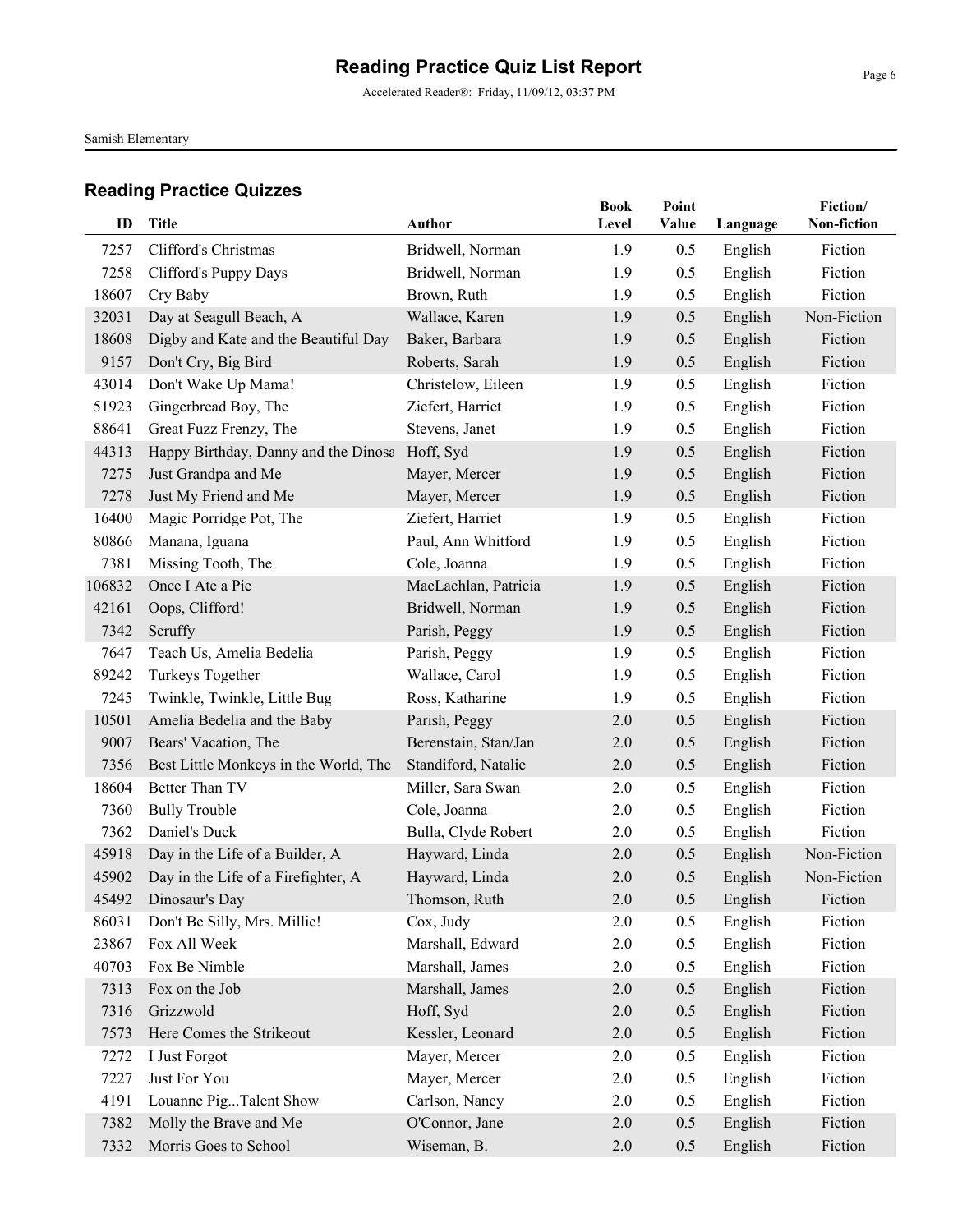Accelerated Reader®: Friday, 11/09/12, 03:37 PM

Samish Elementary

| ID             | <b>Title</b>                          | <b>Author</b>                    | <b>Book</b><br>Level | Point<br>Value | Language           | Fiction/<br>Non-fiction |
|----------------|---------------------------------------|----------------------------------|----------------------|----------------|--------------------|-------------------------|
|                |                                       |                                  |                      |                |                    |                         |
| 7257           | Clifford's Christmas                  | Bridwell, Norman                 | 1.9                  | 0.5            | English            | Fiction<br>Fiction      |
| 7258           | Clifford's Puppy Days                 | Bridwell, Norman                 | 1.9                  | 0.5            | English            |                         |
| 18607          | Cry Baby<br>Day at Seagull Beach, A   | Brown, Ruth                      | 1.9                  | 0.5            | English            | Fiction<br>Non-Fiction  |
| 32031<br>18608 | Digby and Kate and the Beautiful Day  | Wallace, Karen<br>Baker, Barbara | 1.9<br>1.9           | 0.5<br>0.5     | English            | Fiction                 |
| 9157           | Don't Cry, Big Bird                   | Roberts, Sarah                   | 1.9                  | 0.5            | English<br>English | Fiction                 |
| 43014          | Don't Wake Up Mama!                   | Christelow, Eileen               | 1.9                  | 0.5            | English            | Fiction                 |
| 51923          | Gingerbread Boy, The                  | Ziefert, Harriet                 | 1.9                  | 0.5            | English            | Fiction                 |
| 88641          | Great Fuzz Frenzy, The                | Stevens, Janet                   | 1.9                  | 0.5            | English            | Fiction                 |
| 44313          | Happy Birthday, Danny and the Dinosa  | Hoff, Syd                        | 1.9                  | 0.5            | English            | Fiction                 |
| 7275           | Just Grandpa and Me                   | Mayer, Mercer                    | 1.9                  | 0.5            | English            | Fiction                 |
| 7278           | Just My Friend and Me                 | Mayer, Mercer                    | 1.9                  | 0.5            | English            | Fiction                 |
| 16400          | Magic Porridge Pot, The               | Ziefert, Harriet                 | 1.9                  | 0.5            | English            | Fiction                 |
| 80866          | Manana, Iguana                        | Paul, Ann Whitford               | 1.9                  | 0.5            | English            | Fiction                 |
| 7381           | Missing Tooth, The                    | Cole, Joanna                     | 1.9                  | 0.5            | English            | Fiction                 |
| 106832         | Once I Ate a Pie                      | MacLachlan, Patricia             | 1.9                  | 0.5            | English            | Fiction                 |
| 42161          | Oops, Clifford!                       | Bridwell, Norman                 | 1.9                  | 0.5            | English            | Fiction                 |
| 7342           | Scruffy                               | Parish, Peggy                    | 1.9                  | 0.5            | English            | Fiction                 |
| 7647           | Teach Us, Amelia Bedelia              | Parish, Peggy                    | 1.9                  | 0.5            | English            | Fiction                 |
| 89242          | Turkeys Together                      | Wallace, Carol                   | 1.9                  | 0.5            | English            | Fiction                 |
| 7245           | Twinkle, Twinkle, Little Bug          | Ross, Katharine                  | 1.9                  | 0.5            | English            | Fiction                 |
| 10501          | Amelia Bedelia and the Baby           | Parish, Peggy                    | 2.0                  | 0.5            | English            | Fiction                 |
| 9007           | Bears' Vacation, The                  | Berenstain, Stan/Jan             | 2.0                  | 0.5            | English            | Fiction                 |
| 7356           | Best Little Monkeys in the World, The | Standiford, Natalie              | 2.0                  | 0.5            | English            | Fiction                 |
| 18604          | Better Than TV                        | Miller, Sara Swan                | 2.0                  | 0.5            | English            | Fiction                 |
| 7360           | <b>Bully Trouble</b>                  | Cole, Joanna                     | 2.0                  | 0.5            | English            | Fiction                 |
| 7362           | Daniel's Duck                         | Bulla, Clyde Robert              | 2.0                  | 0.5            | English            | Fiction                 |
| 45918          | Day in the Life of a Builder, A       | Hayward, Linda                   | 2.0                  | 0.5            | English            | Non-Fiction             |
| 45902          | Day in the Life of a Firefighter, A   | Hayward, Linda                   | 2.0                  | 0.5            | English            | Non-Fiction             |
| 45492          | Dinosaur's Day                        | Thomson, Ruth                    | $2.0\,$              | 0.5            | English            | Fiction                 |
| 86031          | Don't Be Silly, Mrs. Millie!          | Cox, Judy                        | 2.0                  | 0.5            | English            | Fiction                 |
| 23867          | Fox All Week                          | Marshall, Edward                 | 2.0                  | 0.5            | English            | Fiction                 |
| 40703          | Fox Be Nimble                         | Marshall, James                  | 2.0                  | 0.5            | English            | Fiction                 |
| 7313           | Fox on the Job                        | Marshall, James                  | 2.0                  | 0.5            | English            | Fiction                 |
| 7316           | Grizzwold                             | Hoff, Syd                        | 2.0                  | 0.5            | English            | Fiction                 |
| 7573           | Here Comes the Strikeout              | Kessler, Leonard                 | 2.0                  | 0.5            | English            | Fiction                 |
| 7272           | I Just Forgot                         | Mayer, Mercer                    | 2.0                  | 0.5            | English            | Fiction                 |
| 7227           | Just For You                          | Mayer, Mercer                    | 2.0                  | 0.5            | English            | Fiction                 |
| 4191           | Louanne PigTalent Show                | Carlson, Nancy                   | 2.0                  | 0.5            | English            | Fiction                 |
| 7382           | Molly the Brave and Me                | O'Connor, Jane                   | 2.0                  | 0.5            | English            | Fiction                 |
| 7332           | Morris Goes to School                 | Wiseman, B.                      | $2.0$                | 0.5            | English            | Fiction                 |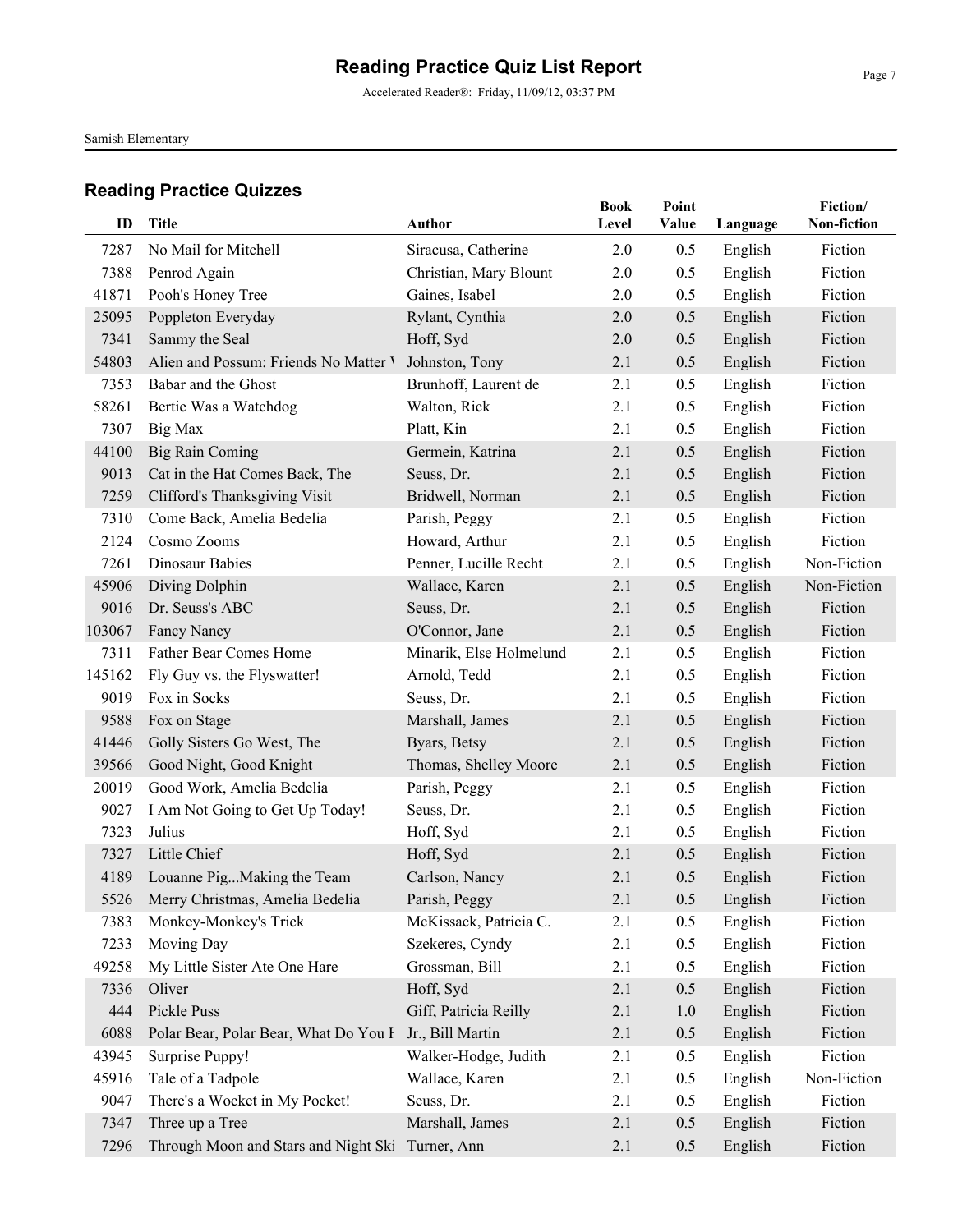Accelerated Reader®: Friday, 11/09/12, 03:37 PM

Samish Elementary

| ID     | <b>Title</b>                          | <b>Author</b>           | <b>Book</b> | Point |          | Fiction/<br>Non-fiction |
|--------|---------------------------------------|-------------------------|-------------|-------|----------|-------------------------|
|        |                                       |                         | Level       | Value | Language |                         |
| 7287   | No Mail for Mitchell                  | Siracusa, Catherine     | 2.0         | 0.5   | English  | Fiction                 |
| 7388   | Penrod Again                          | Christian, Mary Blount  | 2.0         | 0.5   | English  | Fiction                 |
| 41871  | Pooh's Honey Tree                     | Gaines, Isabel          | 2.0         | 0.5   | English  | Fiction                 |
| 25095  | Poppleton Everyday                    | Rylant, Cynthia         | 2.0         | 0.5   | English  | Fiction                 |
| 7341   | Sammy the Seal                        | Hoff, Syd               | 2.0         | 0.5   | English  | Fiction                 |
| 54803  | Alien and Possum: Friends No Matter V | Johnston, Tony          | 2.1         | 0.5   | English  | Fiction                 |
| 7353   | Babar and the Ghost                   | Brunhoff, Laurent de    | 2.1         | 0.5   | English  | Fiction                 |
| 58261  | Bertie Was a Watchdog                 | Walton, Rick            | 2.1         | 0.5   | English  | Fiction                 |
| 7307   | Big Max                               | Platt, Kin              | 2.1         | 0.5   | English  | Fiction                 |
| 44100  | <b>Big Rain Coming</b>                | Germein, Katrina        | 2.1         | 0.5   | English  | Fiction                 |
| 9013   | Cat in the Hat Comes Back, The        | Seuss, Dr.              | 2.1         | 0.5   | English  | Fiction                 |
| 7259   | Clifford's Thanksgiving Visit         | Bridwell, Norman        | 2.1         | 0.5   | English  | Fiction                 |
| 7310   | Come Back, Amelia Bedelia             | Parish, Peggy           | 2.1         | 0.5   | English  | Fiction                 |
| 2124   | Cosmo Zooms                           | Howard, Arthur          | 2.1         | 0.5   | English  | Fiction                 |
| 7261   | Dinosaur Babies                       | Penner, Lucille Recht   | 2.1         | 0.5   | English  | Non-Fiction             |
| 45906  | Diving Dolphin                        | Wallace, Karen          | 2.1         | 0.5   | English  | Non-Fiction             |
| 9016   | Dr. Seuss's ABC                       | Seuss, Dr.              | 2.1         | 0.5   | English  | Fiction                 |
| 103067 | Fancy Nancy                           | O'Connor, Jane          | 2.1         | 0.5   | English  | Fiction                 |
| 7311   | Father Bear Comes Home                | Minarik, Else Holmelund | 2.1         | 0.5   | English  | Fiction                 |
| 145162 | Fly Guy vs. the Flyswatter!           | Arnold, Tedd            | 2.1         | 0.5   | English  | Fiction                 |
| 9019   | Fox in Socks                          | Seuss, Dr.              | 2.1         | 0.5   | English  | Fiction                 |
| 9588   | Fox on Stage                          | Marshall, James         | 2.1         | 0.5   | English  | Fiction                 |
| 41446  | Golly Sisters Go West, The            | Byars, Betsy            | 2.1         | 0.5   | English  | Fiction                 |
| 39566  | Good Night, Good Knight               | Thomas, Shelley Moore   | 2.1         | 0.5   | English  | Fiction                 |
| 20019  | Good Work, Amelia Bedelia             | Parish, Peggy           | 2.1         | 0.5   | English  | Fiction                 |
| 9027   | I Am Not Going to Get Up Today!       | Seuss, Dr.              | 2.1         | 0.5   | English  | Fiction                 |
| 7323   | Julius                                | Hoff, Syd               | 2.1         | 0.5   | English  | Fiction                 |
| 7327   | Little Chief                          | Hoff, Syd               | 2.1         | 0.5   | English  | Fiction                 |
| 4189   | Louanne PigMaking the Team            | Carlson, Nancy          | 2.1         | 0.5   | English  | Fiction                 |
|        | 5526 Merry Christmas, Amelia Bedelia  | Parish, Peggy           | 2.1         | 0.5   | English  | Fiction                 |
| 7383   | Monkey-Monkey's Trick                 | McKissack, Patricia C.  | 2.1         | 0.5   | English  | Fiction                 |
| 7233   | Moving Day                            | Szekeres, Cyndy         | 2.1         | 0.5   | English  | Fiction                 |
| 49258  | My Little Sister Ate One Hare         | Grossman, Bill          | 2.1         | 0.5   | English  | Fiction                 |
| 7336   | Oliver                                | Hoff, Syd               | 2.1         | 0.5   | English  | Fiction                 |
| 444    | Pickle Puss                           | Giff, Patricia Reilly   | 2.1         | 1.0   | English  | Fiction                 |
| 6088   | Polar Bear, Polar Bear, What Do You I | Jr., Bill Martin        | 2.1         | 0.5   | English  | Fiction                 |
| 43945  | Surprise Puppy!                       | Walker-Hodge, Judith    | 2.1         | 0.5   | English  | Fiction                 |
| 45916  | Tale of a Tadpole                     | Wallace, Karen          | 2.1         | 0.5   | English  | Non-Fiction             |
| 9047   | There's a Wocket in My Pocket!        | Seuss, Dr.              | 2.1         | 0.5   | English  | Fiction                 |
| 7347   | Three up a Tree                       | Marshall, James         | 2.1         | 0.5   | English  | Fiction                 |
| 7296   | Through Moon and Stars and Night Ski  | Turner, Ann             | 2.1         | 0.5   | English  | Fiction                 |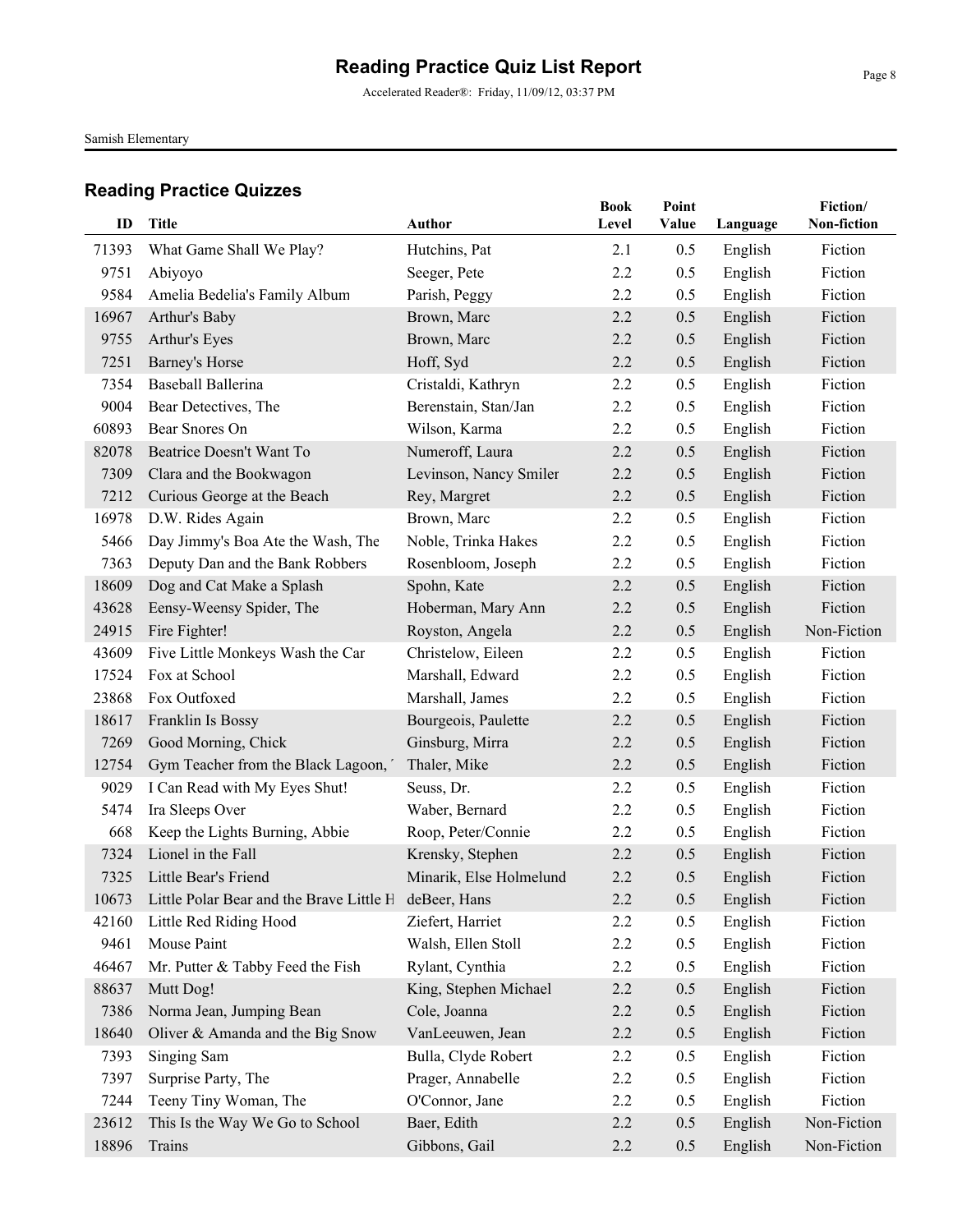Accelerated Reader®: Friday, 11/09/12, 03:37 PM

Samish Elementary

| ID    | <b>Title</b>                                                | Author                  | <b>Book</b><br>Level | Point<br>Value | Language | Fiction/<br>Non-fiction |
|-------|-------------------------------------------------------------|-------------------------|----------------------|----------------|----------|-------------------------|
|       |                                                             |                         |                      |                |          |                         |
| 71393 | What Game Shall We Play?                                    | Hutchins, Pat           | 2.1                  | 0.5            | English  | Fiction                 |
| 9751  | Abiyoyo                                                     | Seeger, Pete            | 2.2                  | 0.5            | English  | Fiction                 |
| 9584  | Amelia Bedelia's Family Album                               | Parish, Peggy           | 2.2                  | 0.5            | English  | Fiction                 |
| 16967 | Arthur's Baby                                               | Brown, Marc             | 2.2                  | 0.5            | English  | Fiction                 |
| 9755  | Arthur's Eyes                                               | Brown, Marc             | 2.2                  | 0.5            | English  | Fiction                 |
| 7251  | Barney's Horse                                              | Hoff, Syd               | 2.2                  | 0.5            | English  | Fiction                 |
| 7354  | Baseball Ballerina                                          | Cristaldi, Kathryn      | 2.2                  | 0.5            | English  | Fiction                 |
| 9004  | Bear Detectives, The                                        | Berenstain, Stan/Jan    | 2.2                  | 0.5            | English  | Fiction                 |
| 60893 | Bear Snores On                                              | Wilson, Karma           | 2.2                  | 0.5            | English  | Fiction                 |
| 82078 | Beatrice Doesn't Want To                                    | Numeroff, Laura         | 2.2                  | 0.5            | English  | Fiction                 |
| 7309  | Clara and the Bookwagon                                     | Levinson, Nancy Smiler  | 2.2                  | 0.5            | English  | Fiction                 |
| 7212  | Curious George at the Beach                                 | Rey, Margret            | 2.2                  | 0.5            | English  | Fiction                 |
| 16978 | D.W. Rides Again                                            | Brown, Marc             | 2.2                  | 0.5            | English  | Fiction                 |
| 5466  | Day Jimmy's Boa Ate the Wash, The                           | Noble, Trinka Hakes     | 2.2                  | 0.5            | English  | Fiction                 |
| 7363  | Deputy Dan and the Bank Robbers                             | Rosenbloom, Joseph      | 2.2                  | 0.5            | English  | Fiction                 |
| 18609 | Dog and Cat Make a Splash                                   | Spohn, Kate             | 2.2                  | 0.5            | English  | Fiction                 |
| 43628 | Eensy-Weensy Spider, The                                    | Hoberman, Mary Ann      | 2.2                  | 0.5            | English  | Fiction                 |
| 24915 | Fire Fighter!                                               | Royston, Angela         | 2.2                  | 0.5            | English  | Non-Fiction             |
| 43609 | Five Little Monkeys Wash the Car                            | Christelow, Eileen      | 2.2                  | 0.5            | English  | Fiction                 |
| 17524 | Fox at School                                               | Marshall, Edward        | 2.2                  | 0.5            | English  | Fiction                 |
| 23868 | Fox Outfoxed                                                | Marshall, James         | 2.2                  | 0.5            | English  | Fiction                 |
| 18617 | Franklin Is Bossy                                           | Bourgeois, Paulette     | 2.2                  | 0.5            | English  | Fiction                 |
| 7269  | Good Morning, Chick                                         | Ginsburg, Mirra         | 2.2                  | 0.5            | English  | Fiction                 |
| 12754 | Gym Teacher from the Black Lagoon,                          | Thaler, Mike            | 2.2                  | 0.5            | English  | Fiction                 |
| 9029  | I Can Read with My Eyes Shut!                               | Seuss, Dr.              | 2.2                  | 0.5            | English  | Fiction                 |
| 5474  | Ira Sleeps Over                                             | Waber, Bernard          | 2.2                  | 0.5            | English  | Fiction                 |
| 668   | Keep the Lights Burning, Abbie                              | Roop, Peter/Connie      | 2.2                  | 0.5            | English  | Fiction                 |
| 7324  | Lionel in the Fall                                          | Krensky, Stephen        | 2.2                  | 0.5            | English  | Fiction                 |
| 7325  | Little Bear's Friend                                        | Minarik, Else Holmelund | 2.2                  | 0.5            | English  | Fiction                 |
|       | 10673 Little Polar Bear and the Brave Little H deBeer, Hans |                         | 2.2                  | 0.5            | English  | Fiction                 |
| 42160 | Little Red Riding Hood                                      | Ziefert, Harriet        | 2.2                  | 0.5            | English  | Fiction                 |
| 9461  | Mouse Paint                                                 | Walsh, Ellen Stoll      | 2.2                  | 0.5            | English  | Fiction                 |
| 46467 | Mr. Putter & Tabby Feed the Fish                            | Rylant, Cynthia         | 2.2                  | 0.5            | English  | Fiction                 |
| 88637 | Mutt Dog!                                                   | King, Stephen Michael   | 2.2                  | 0.5            | English  | Fiction                 |
| 7386  | Norma Jean, Jumping Bean                                    | Cole, Joanna            | 2.2                  | 0.5            | English  | Fiction                 |
| 18640 | Oliver & Amanda and the Big Snow                            | VanLeeuwen, Jean        | 2.2                  | 0.5            | English  | Fiction                 |
| 7393  | Singing Sam                                                 | Bulla, Clyde Robert     | 2.2                  | 0.5            | English  | Fiction                 |
| 7397  | Surprise Party, The                                         | Prager, Annabelle       | 2.2                  | 0.5            | English  | Fiction                 |
| 7244  | Teeny Tiny Woman, The                                       | O'Connor, Jane          | 2.2                  | 0.5            | English  | Fiction                 |
| 23612 | This Is the Way We Go to School                             | Baer, Edith             | 2.2                  | 0.5            | English  | Non-Fiction             |
| 18896 | Trains                                                      | Gibbons, Gail           | 2.2                  | 0.5            | English  | Non-Fiction             |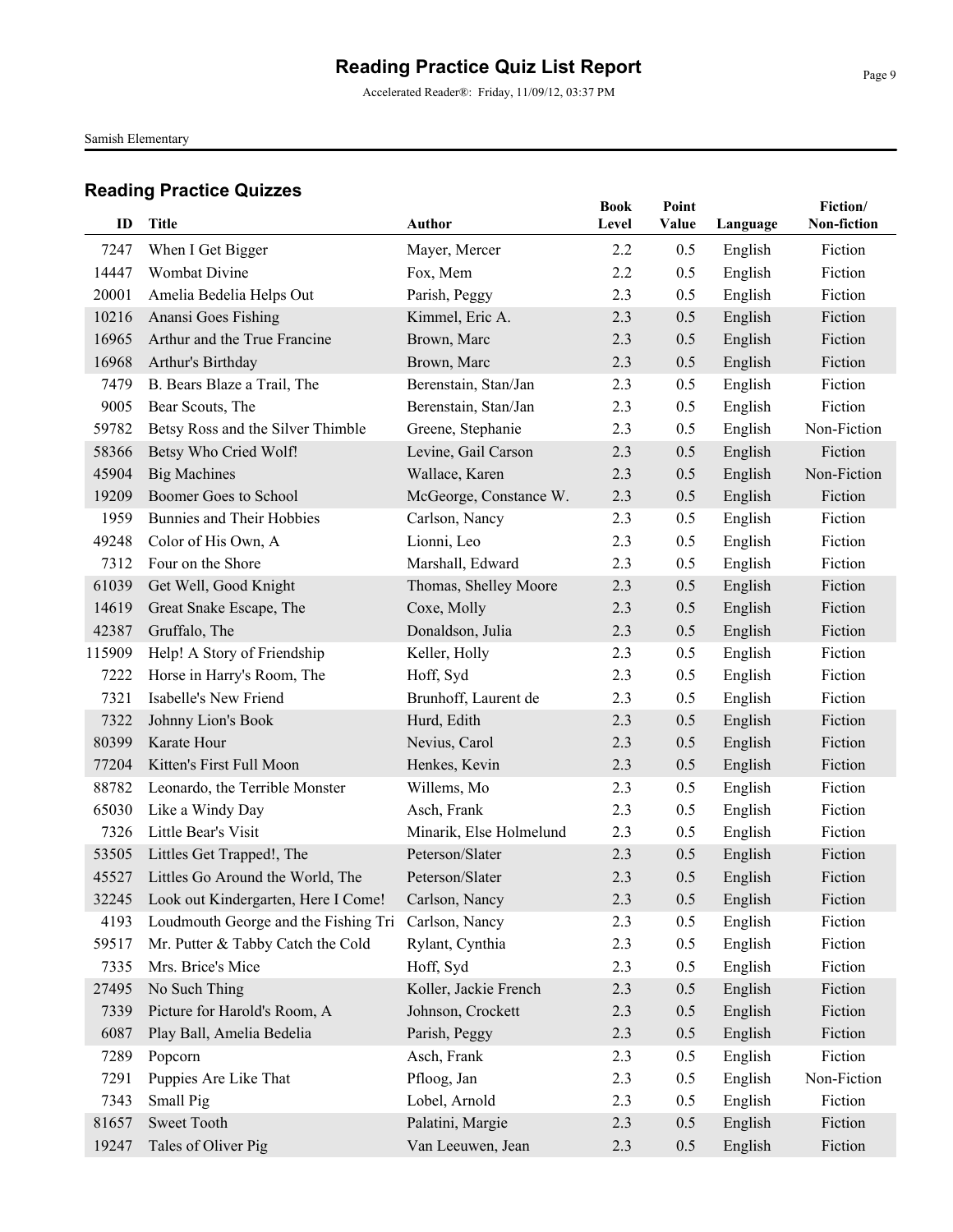Accelerated Reader®: Friday, 11/09/12, 03:37 PM

Samish Elementary

| ID     | <b>Title</b>                                             | <b>Author</b>           | <b>Book</b><br>Level | Point<br>Value | Language | Fiction/<br>Non-fiction |
|--------|----------------------------------------------------------|-------------------------|----------------------|----------------|----------|-------------------------|
|        |                                                          |                         |                      |                |          |                         |
| 7247   | When I Get Bigger                                        | Mayer, Mercer           | 2.2                  | 0.5            | English  | Fiction                 |
| 14447  | Wombat Divine                                            | Fox, Mem                | 2.2                  | 0.5            | English  | Fiction                 |
| 20001  | Amelia Bedelia Helps Out                                 | Parish, Peggy           | 2.3                  | 0.5            | English  | Fiction                 |
| 10216  | Anansi Goes Fishing                                      | Kimmel, Eric A.         | 2.3                  | 0.5            | English  | Fiction                 |
| 16965  | Arthur and the True Francine                             | Brown, Marc             | 2.3                  | 0.5            | English  | Fiction                 |
| 16968  | Arthur's Birthday                                        | Brown, Marc             | 2.3                  | 0.5            | English  | Fiction                 |
| 7479   | B. Bears Blaze a Trail, The                              | Berenstain, Stan/Jan    | 2.3                  | 0.5            | English  | Fiction                 |
| 9005   | Bear Scouts, The                                         | Berenstain, Stan/Jan    | 2.3                  | 0.5            | English  | Fiction                 |
| 59782  | Betsy Ross and the Silver Thimble                        | Greene, Stephanie       | 2.3                  | 0.5            | English  | Non-Fiction             |
| 58366  | Betsy Who Cried Wolf!                                    | Levine, Gail Carson     | 2.3                  | 0.5            | English  | Fiction                 |
| 45904  | <b>Big Machines</b>                                      | Wallace, Karen          | 2.3                  | 0.5            | English  | Non-Fiction             |
| 19209  | Boomer Goes to School                                    | McGeorge, Constance W.  | 2.3                  | 0.5            | English  | Fiction                 |
| 1959   | Bunnies and Their Hobbies                                | Carlson, Nancy          | 2.3                  | 0.5            | English  | Fiction                 |
| 49248  | Color of His Own, A                                      | Lionni, Leo             | 2.3                  | 0.5            | English  | Fiction                 |
| 7312   | Four on the Shore                                        | Marshall, Edward        | 2.3                  | 0.5            | English  | Fiction                 |
| 61039  | Get Well, Good Knight                                    | Thomas, Shelley Moore   | 2.3                  | 0.5            | English  | Fiction                 |
| 14619  | Great Snake Escape, The                                  | Coxe, Molly             | 2.3                  | 0.5            | English  | Fiction                 |
| 42387  | Gruffalo, The                                            | Donaldson, Julia        | 2.3                  | 0.5            | English  | Fiction                 |
| 115909 | Help! A Story of Friendship                              | Keller, Holly           | 2.3                  | 0.5            | English  | Fiction                 |
| 7222   | Horse in Harry's Room, The                               | Hoff, Syd               | 2.3                  | 0.5            | English  | Fiction                 |
| 7321   | Isabelle's New Friend                                    | Brunhoff, Laurent de    | 2.3                  | 0.5            | English  | Fiction                 |
| 7322   | Johnny Lion's Book                                       | Hurd, Edith             | 2.3                  | 0.5            | English  | Fiction                 |
| 80399  | Karate Hour                                              | Nevius, Carol           | 2.3                  | 0.5            | English  | Fiction                 |
| 77204  | Kitten's First Full Moon                                 | Henkes, Kevin           | 2.3                  | 0.5            | English  | Fiction                 |
| 88782  | Leonardo, the Terrible Monster                           | Willems, Mo             | 2.3                  | 0.5            | English  | Fiction                 |
| 65030  | Like a Windy Day                                         | Asch, Frank             | 2.3                  | 0.5            | English  | Fiction                 |
| 7326   | Little Bear's Visit                                      | Minarik, Else Holmelund | 2.3                  | 0.5            | English  | Fiction                 |
| 53505  | Littles Get Trapped!, The                                | Peterson/Slater         | 2.3                  | 0.5            | English  | Fiction                 |
| 45527  | Littles Go Around the World, The                         | Peterson/Slater         | 2.3                  | 0.5            | English  | Fiction                 |
|        | 32245 Look out Kindergarten, Here I Come! Carlson, Nancy |                         | 2.3                  | 0.5            | English  | Fiction                 |
| 4193   | Loudmouth George and the Fishing Tri                     | Carlson, Nancy          | 2.3                  | 0.5            | English  | Fiction                 |
| 59517  | Mr. Putter & Tabby Catch the Cold                        | Rylant, Cynthia         | 2.3                  | 0.5            | English  | Fiction                 |
| 7335   | Mrs. Brice's Mice                                        | Hoff, Syd               | 2.3                  | 0.5            | English  | Fiction                 |
| 27495  | No Such Thing                                            | Koller, Jackie French   | 2.3                  | 0.5            | English  | Fiction                 |
| 7339   | Picture for Harold's Room, A                             | Johnson, Crockett       | 2.3                  | 0.5            | English  | Fiction                 |
| 6087   | Play Ball, Amelia Bedelia                                | Parish, Peggy           | 2.3                  | 0.5            | English  | Fiction                 |
| 7289   | Popcorn                                                  | Asch, Frank             | 2.3                  | 0.5            | English  | Fiction                 |
| 7291   | Puppies Are Like That                                    | Pfloog, Jan             | 2.3                  | 0.5            | English  | Non-Fiction             |
| 7343   | Small Pig                                                | Lobel, Arnold           | 2.3                  | 0.5            | English  | Fiction                 |
| 81657  | <b>Sweet Tooth</b>                                       | Palatini, Margie        | 2.3                  | 0.5            | English  | Fiction                 |
| 19247  | Tales of Oliver Pig                                      | Van Leeuwen, Jean       | 2.3                  | 0.5            | English  | Fiction                 |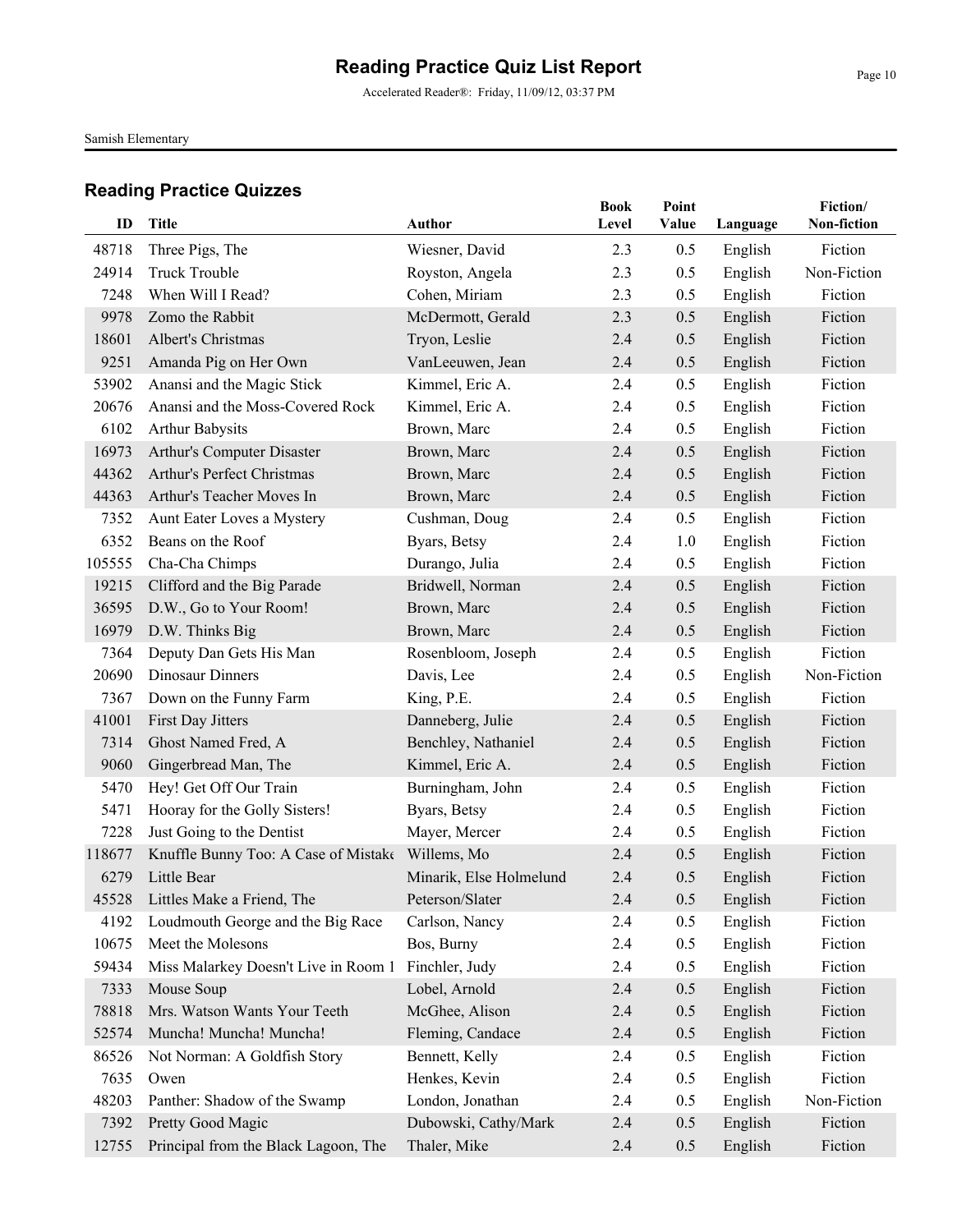Accelerated Reader®: Friday, 11/09/12, 03:37 PM

Samish Elementary

| ID     | <b>Title</b>                         | <b>Author</b>           | <b>Book</b><br>Level | Point<br>Value | Language           | Fiction/<br>Non-fiction |
|--------|--------------------------------------|-------------------------|----------------------|----------------|--------------------|-------------------------|
| 48718  | Three Pigs, The                      | Wiesner, David          | 2.3                  | 0.5            |                    | Fiction                 |
| 24914  | <b>Truck Trouble</b>                 | Royston, Angela         | 2.3                  | 0.5            | English<br>English | Non-Fiction             |
| 7248   | When Will I Read?                    | Cohen, Miriam           | 2.3                  | 0.5            | English            | Fiction                 |
| 9978   | Zomo the Rabbit                      | McDermott, Gerald       | 2.3                  | 0.5            | English            | Fiction                 |
| 18601  | Albert's Christmas                   | Tryon, Leslie           | 2.4                  | 0.5            | English            | Fiction                 |
| 9251   | Amanda Pig on Her Own                | VanLeeuwen, Jean        | 2.4                  | 0.5            | English            | Fiction                 |
| 53902  | Anansi and the Magic Stick           | Kimmel, Eric A.         | 2.4                  | 0.5            | English            | Fiction                 |
| 20676  | Anansi and the Moss-Covered Rock     | Kimmel, Eric A.         | 2.4                  | 0.5            | English            | Fiction                 |
| 6102   | <b>Arthur Babysits</b>               | Brown, Marc             | 2.4                  | 0.5            | English            | Fiction                 |
| 16973  | Arthur's Computer Disaster           | Brown, Marc             | 2.4                  | 0.5            | English            | Fiction                 |
| 44362  | Arthur's Perfect Christmas           | Brown, Marc             | 2.4                  | 0.5            | English            | Fiction                 |
| 44363  | Arthur's Teacher Moves In            | Brown, Marc             | 2.4                  | 0.5            | English            | Fiction                 |
| 7352   | Aunt Eater Loves a Mystery           | Cushman, Doug           | 2.4                  | 0.5            | English            | Fiction                 |
| 6352   | Beans on the Roof                    | Byars, Betsy            | 2.4                  | 1.0            | English            | Fiction                 |
| 105555 | Cha-Cha Chimps                       | Durango, Julia          | 2.4                  | 0.5            | English            | Fiction                 |
| 19215  | Clifford and the Big Parade          | Bridwell, Norman        | 2.4                  | 0.5            | English            | Fiction                 |
| 36595  | D.W., Go to Your Room!               | Brown, Marc             | 2.4                  | 0.5            | English            | Fiction                 |
| 16979  | D.W. Thinks Big                      | Brown, Marc             | 2.4                  | 0.5            | English            | Fiction                 |
| 7364   | Deputy Dan Gets His Man              | Rosenbloom, Joseph      | 2.4                  | 0.5            | English            | Fiction                 |
| 20690  | Dinosaur Dinners                     | Davis, Lee              | 2.4                  | 0.5            | English            | Non-Fiction             |
| 7367   | Down on the Funny Farm               | King, P.E.              | 2.4                  | 0.5            | English            | Fiction                 |
| 41001  | First Day Jitters                    | Danneberg, Julie        | 2.4                  | 0.5            | English            | Fiction                 |
| 7314   | Ghost Named Fred, A                  | Benchley, Nathaniel     | 2.4                  | 0.5            | English            | Fiction                 |
| 9060   | Gingerbread Man, The                 | Kimmel, Eric A.         | 2.4                  | 0.5            | English            | Fiction                 |
| 5470   | Hey! Get Off Our Train               | Burningham, John        | 2.4                  | 0.5            | English            | Fiction                 |
| 5471   | Hooray for the Golly Sisters!        | Byars, Betsy            | 2.4                  | 0.5            | English            | Fiction                 |
| 7228   | Just Going to the Dentist            | Mayer, Mercer           | 2.4                  | 0.5            | English            | Fiction                 |
| 118677 | Knuffle Bunny Too: A Case of Mistake | Willems, Mo             | 2.4                  | 0.5            | English            | Fiction                 |
| 6279   | Little Bear                          | Minarik, Else Holmelund | 2.4                  | 0.5            | English            | Fiction                 |
|        | 45528 Littles Make a Friend, The     | Peterson/Slater         | 2.4                  | 0.5            | English            | Fiction                 |
| 4192   | Loudmouth George and the Big Race    | Carlson, Nancy          | 2.4                  | 0.5            | English            | Fiction                 |
| 10675  | Meet the Molesons                    | Bos, Burny              | 2.4                  | 0.5            | English            | Fiction                 |
| 59434  | Miss Malarkey Doesn't Live in Room 1 | Finchler, Judy          | 2.4                  | 0.5            | English            | Fiction                 |
| 7333   | Mouse Soup                           | Lobel, Arnold           | 2.4                  | 0.5            | English            | Fiction                 |
| 78818  | Mrs. Watson Wants Your Teeth         | McGhee, Alison          | 2.4                  | 0.5            | English            | Fiction                 |
| 52574  | Muncha! Muncha! Muncha!              | Fleming, Candace        | 2.4                  | 0.5            | English            | Fiction                 |
| 86526  | Not Norman: A Goldfish Story         | Bennett, Kelly          | 2.4                  | 0.5            | English            | Fiction                 |
| 7635   | Owen                                 | Henkes, Kevin           | 2.4                  | 0.5            | English            | Fiction                 |
| 48203  | Panther: Shadow of the Swamp         | London, Jonathan        | 2.4                  | 0.5            | English            | Non-Fiction             |
| 7392   | Pretty Good Magic                    | Dubowski, Cathy/Mark    | 2.4                  | 0.5            | English            | Fiction                 |
| 12755  | Principal from the Black Lagoon, The | Thaler, Mike            | 2.4                  | 0.5            | English            | Fiction                 |
|        |                                      |                         |                      |                |                    |                         |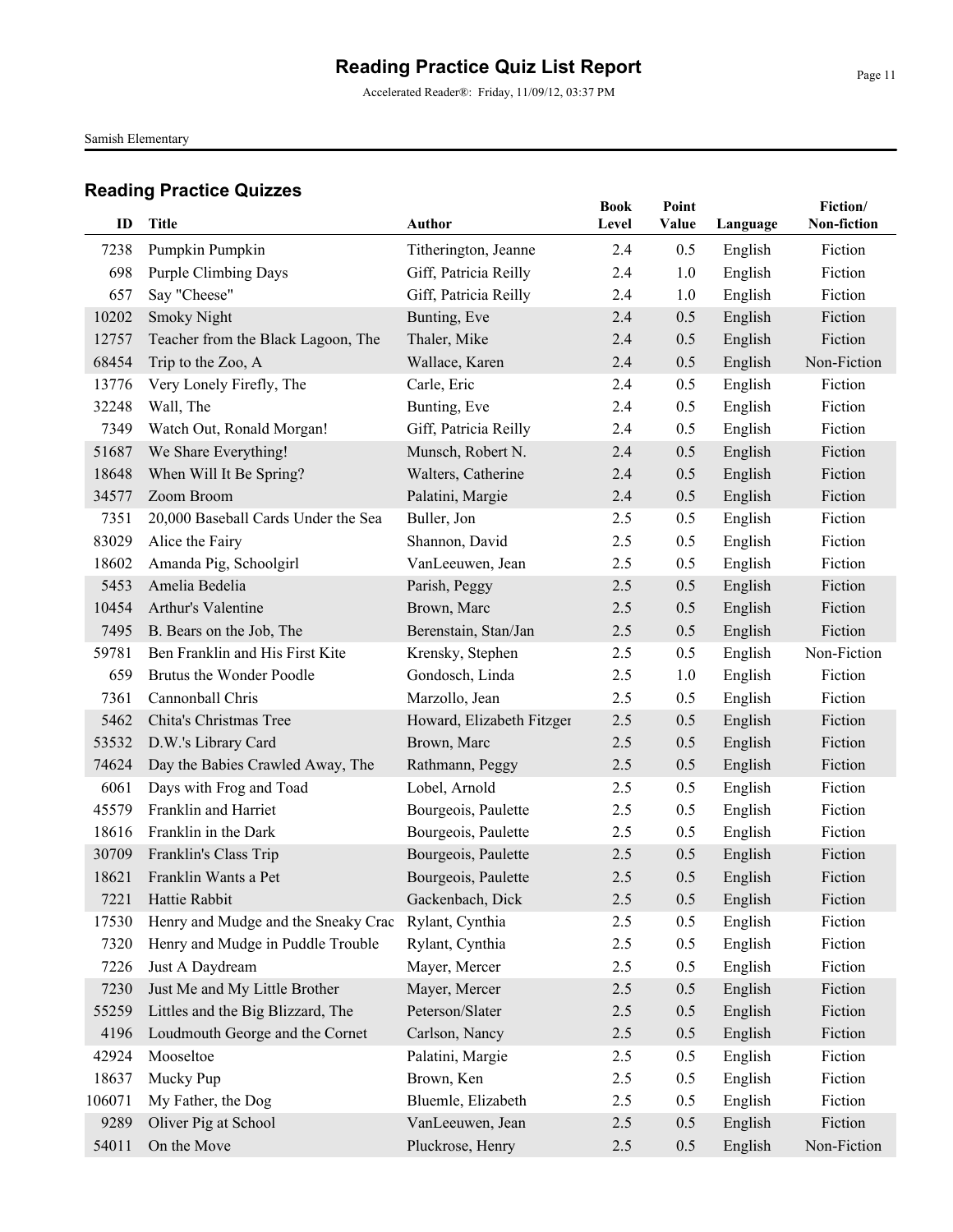Accelerated Reader®: Friday, 11/09/12, 03:37 PM

Samish Elementary

| ID     | <b>Title</b>                        | Author                    | <b>Book</b><br>Level | Point<br>Value | Language | Fiction/<br>Non-fiction |
|--------|-------------------------------------|---------------------------|----------------------|----------------|----------|-------------------------|
| 7238   | Pumpkin Pumpkin                     | Titherington, Jeanne      | 2.4                  | 0.5            | English  | Fiction                 |
| 698    | <b>Purple Climbing Days</b>         | Giff, Patricia Reilly     | 2.4                  | 1.0            | English  | Fiction                 |
| 657    | Say "Cheese"                        | Giff, Patricia Reilly     | 2.4                  | 1.0            | English  | Fiction                 |
| 10202  | <b>Smoky Night</b>                  | Bunting, Eve              | 2.4                  | 0.5            | English  | Fiction                 |
| 12757  | Teacher from the Black Lagoon, The  | Thaler, Mike              | 2.4                  | 0.5            | English  | Fiction                 |
| 68454  | Trip to the Zoo, A                  | Wallace, Karen            | 2.4                  | 0.5            | English  | Non-Fiction             |
| 13776  | Very Lonely Firefly, The            | Carle, Eric               | 2.4                  | 0.5            | English  | Fiction                 |
| 32248  | Wall, The                           | Bunting, Eve              | 2.4                  | 0.5            | English  | Fiction                 |
| 7349   | Watch Out, Ronald Morgan!           | Giff, Patricia Reilly     | 2.4                  | 0.5            | English  | Fiction                 |
| 51687  | We Share Everything!                | Munsch, Robert N.         | 2.4                  | 0.5            | English  | Fiction                 |
| 18648  | When Will It Be Spring?             | Walters, Catherine        | 2.4                  | 0.5            | English  | Fiction                 |
| 34577  | Zoom Broom                          | Palatini, Margie          | 2.4                  | 0.5            | English  | Fiction                 |
| 7351   | 20,000 Baseball Cards Under the Sea | Buller, Jon               | 2.5                  | 0.5            | English  | Fiction                 |
| 83029  | Alice the Fairy                     | Shannon, David            | 2.5                  | 0.5            | English  | Fiction                 |
| 18602  | Amanda Pig, Schoolgirl              | VanLeeuwen, Jean          | 2.5                  | 0.5            | English  | Fiction                 |
| 5453   | Amelia Bedelia                      | Parish, Peggy             | 2.5                  | 0.5            | English  | Fiction                 |
| 10454  | Arthur's Valentine                  | Brown, Marc               | 2.5                  | 0.5            | English  | Fiction                 |
| 7495   | B. Bears on the Job, The            | Berenstain, Stan/Jan      | 2.5                  | 0.5            | English  | Fiction                 |
| 59781  | Ben Franklin and His First Kite     | Krensky, Stephen          | 2.5                  | 0.5            | English  | Non-Fiction             |
| 659    | Brutus the Wonder Poodle            | Gondosch, Linda           | 2.5                  | 1.0            | English  | Fiction                 |
| 7361   | Cannonball Chris                    | Marzollo, Jean            | 2.5                  | 0.5            | English  | Fiction                 |
| 5462   | Chita's Christmas Tree              | Howard, Elizabeth Fitzger | 2.5                  | 0.5            | English  | Fiction                 |
| 53532  | D.W.'s Library Card                 | Brown, Marc               | 2.5                  | 0.5            | English  | Fiction                 |
| 74624  | Day the Babies Crawled Away, The    | Rathmann, Peggy           | 2.5                  | 0.5            | English  | Fiction                 |
| 6061   | Days with Frog and Toad             | Lobel, Arnold             | 2.5                  | 0.5            | English  | Fiction                 |
| 45579  | Franklin and Harriet                | Bourgeois, Paulette       | 2.5                  | 0.5            | English  | Fiction                 |
| 18616  | Franklin in the Dark                | Bourgeois, Paulette       | 2.5                  | 0.5            | English  | Fiction                 |
| 30709  | Franklin's Class Trip               | Bourgeois, Paulette       | 2.5                  | 0.5            | English  | Fiction                 |
| 18621  | Franklin Wants a Pet                | Bourgeois, Paulette       | 2.5                  | 0.5            | English  | Fiction                 |
| 7221   | Hattie Rabbit                       | Gackenbach, Dick          | $2.5\,$              | 0.5            | English  | Fiction                 |
| 17530  | Henry and Mudge and the Sneaky Crac | Rylant, Cynthia           | 2.5                  | 0.5            | English  | Fiction                 |
| 7320   | Henry and Mudge in Puddle Trouble   | Rylant, Cynthia           | 2.5                  | 0.5            | English  | Fiction                 |
| 7226   | Just A Daydream                     | Mayer, Mercer             | 2.5                  | 0.5            | English  | Fiction                 |
| 7230   | Just Me and My Little Brother       | Mayer, Mercer             | 2.5                  | 0.5            | English  | Fiction                 |
| 55259  | Littles and the Big Blizzard, The   | Peterson/Slater           | 2.5                  | 0.5            | English  | Fiction                 |
| 4196   | Loudmouth George and the Cornet     | Carlson, Nancy            | 2.5                  | 0.5            | English  | Fiction                 |
| 42924  | Mooseltoe                           | Palatini, Margie          | 2.5                  | 0.5            | English  | Fiction                 |
| 18637  | Mucky Pup                           | Brown, Ken                | 2.5                  | 0.5            | English  | Fiction                 |
| 106071 | My Father, the Dog                  | Bluemle, Elizabeth        | 2.5                  | 0.5            | English  | Fiction                 |
| 9289   | Oliver Pig at School                | VanLeeuwen, Jean          | 2.5                  | 0.5            | English  | Fiction                 |
| 54011  | On the Move                         | Pluckrose, Henry          | 2.5                  | 0.5            | English  | Non-Fiction             |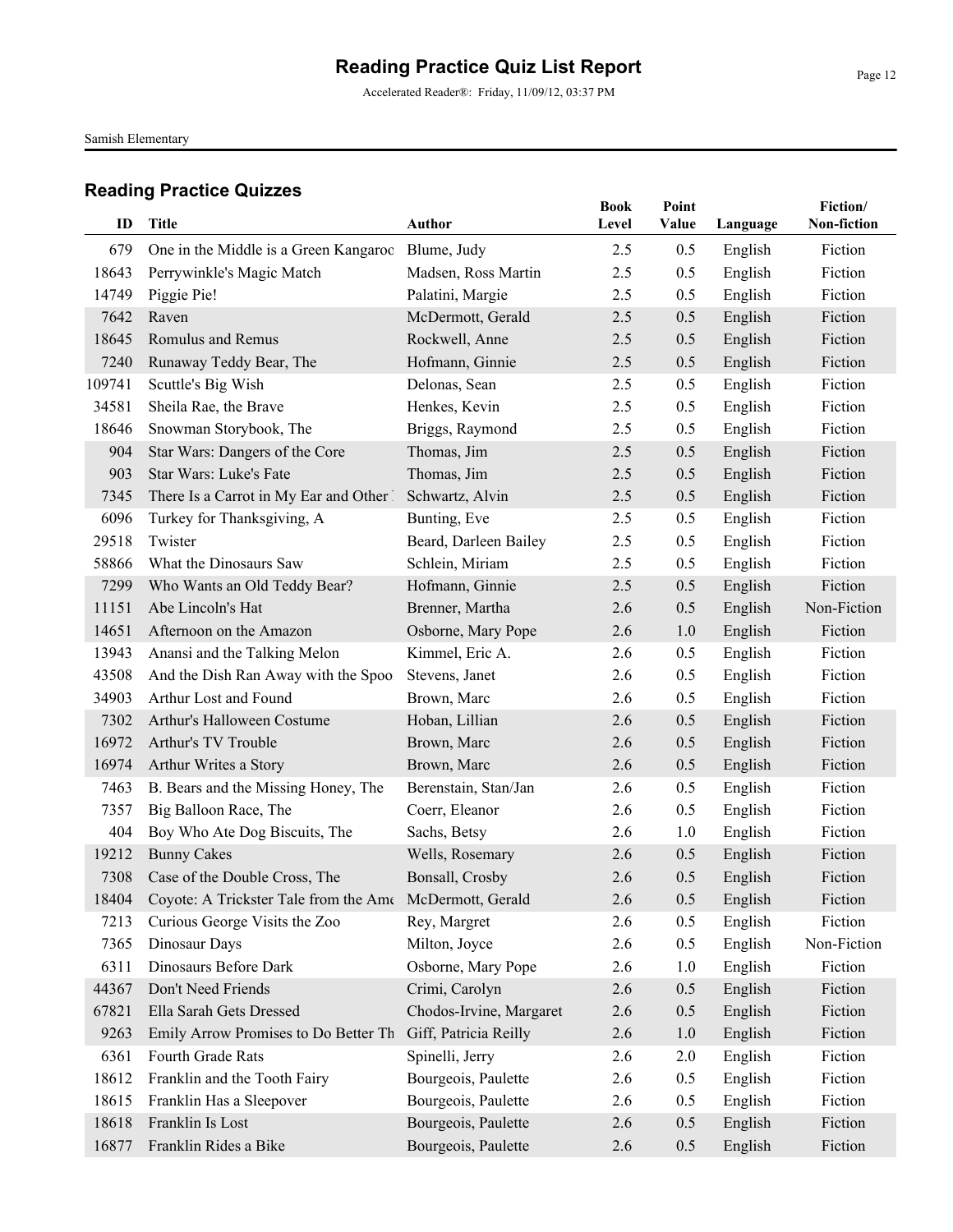Accelerated Reader®: Friday, 11/09/12, 03:37 PM

Samish Elementary

|        |                                                               |                         | <b>Book</b> | Point |          | Fiction/    |
|--------|---------------------------------------------------------------|-------------------------|-------------|-------|----------|-------------|
| ID     | Title                                                         | <b>Author</b>           | Level       | Value | Language | Non-fiction |
| 679    | One in the Middle is a Green Kangaroo                         | Blume, Judy             | 2.5         | 0.5   | English  | Fiction     |
| 18643  | Perrywinkle's Magic Match                                     | Madsen, Ross Martin     | 2.5         | 0.5   | English  | Fiction     |
| 14749  | Piggie Pie!                                                   | Palatini, Margie        | 2.5         | 0.5   | English  | Fiction     |
| 7642   | Raven                                                         | McDermott, Gerald       | 2.5         | 0.5   | English  | Fiction     |
| 18645  | Romulus and Remus                                             | Rockwell, Anne          | 2.5         | 0.5   | English  | Fiction     |
| 7240   | Runaway Teddy Bear, The                                       | Hofmann, Ginnie         | 2.5         | 0.5   | English  | Fiction     |
| 109741 | Scuttle's Big Wish                                            | Delonas, Sean           | 2.5         | 0.5   | English  | Fiction     |
| 34581  | Sheila Rae, the Brave                                         | Henkes, Kevin           | 2.5         | 0.5   | English  | Fiction     |
| 18646  | Snowman Storybook, The                                        | Briggs, Raymond         | 2.5         | 0.5   | English  | Fiction     |
| 904    | Star Wars: Dangers of the Core                                | Thomas, Jim             | 2.5         | 0.5   | English  | Fiction     |
| 903    | Star Wars: Luke's Fate                                        | Thomas, Jim             | 2.5         | 0.5   | English  | Fiction     |
| 7345   | There Is a Carrot in My Ear and Other 1                       | Schwartz, Alvin         | 2.5         | 0.5   | English  | Fiction     |
| 6096   | Turkey for Thanksgiving, A                                    | Bunting, Eve            | 2.5         | 0.5   | English  | Fiction     |
| 29518  | Twister                                                       | Beard, Darleen Bailey   | 2.5         | 0.5   | English  | Fiction     |
| 58866  | What the Dinosaurs Saw                                        | Schlein, Miriam         | 2.5         | 0.5   | English  | Fiction     |
| 7299   | Who Wants an Old Teddy Bear?                                  | Hofmann, Ginnie         | 2.5         | 0.5   | English  | Fiction     |
| 11151  | Abe Lincoln's Hat                                             | Brenner, Martha         | 2.6         | 0.5   | English  | Non-Fiction |
| 14651  | Afternoon on the Amazon                                       | Osborne, Mary Pope      | 2.6         | 1.0   | English  | Fiction     |
| 13943  | Anansi and the Talking Melon                                  | Kimmel, Eric A.         | 2.6         | 0.5   | English  | Fiction     |
| 43508  | And the Dish Ran Away with the Spoo.                          | Stevens, Janet          | 2.6         | 0.5   | English  | Fiction     |
| 34903  | Arthur Lost and Found                                         | Brown, Marc             | 2.6         | 0.5   | English  | Fiction     |
| 7302   | Arthur's Halloween Costume                                    | Hoban, Lillian          | 2.6         | 0.5   | English  | Fiction     |
| 16972  | Arthur's TV Trouble                                           | Brown, Marc             | 2.6         | 0.5   | English  | Fiction     |
| 16974  | Arthur Writes a Story                                         | Brown, Marc             | 2.6         | 0.5   | English  | Fiction     |
| 7463   | B. Bears and the Missing Honey, The                           | Berenstain, Stan/Jan    | 2.6         | 0.5   | English  | Fiction     |
| 7357   | Big Balloon Race, The                                         | Coerr, Eleanor          | 2.6         | 0.5   | English  | Fiction     |
| 404    | Boy Who Ate Dog Biscuits, The                                 | Sachs, Betsy            | 2.6         | 1.0   | English  | Fiction     |
| 19212  | <b>Bunny Cakes</b>                                            | Wells, Rosemary         | 2.6         | 0.5   | English  | Fiction     |
| 7308   | Case of the Double Cross, The                                 | Bonsall, Crosby         | 2.6         | 0.5   | English  | Fiction     |
|        | 18404 Coyote: A Trickster Tale from the Ame McDermott, Gerald |                         | 2.6         | 0.5   | English  | Fiction     |
| 7213   | Curious George Visits the Zoo                                 | Rey, Margret            | 2.6         | 0.5   | English  | Fiction     |
| 7365   | Dinosaur Days                                                 | Milton, Joyce           | 2.6         | 0.5   | English  | Non-Fiction |
| 6311   | Dinosaurs Before Dark                                         | Osborne, Mary Pope      | 2.6         | 1.0   | English  | Fiction     |
| 44367  | Don't Need Friends                                            | Crimi, Carolyn          | 2.6         | 0.5   | English  | Fiction     |
| 67821  | Ella Sarah Gets Dressed                                       | Chodos-Irvine, Margaret | 2.6         | 0.5   | English  | Fiction     |
| 9263   | Emily Arrow Promises to Do Better Th                          | Giff, Patricia Reilly   | 2.6         | 1.0   | English  | Fiction     |
| 6361   | Fourth Grade Rats                                             | Spinelli, Jerry         | 2.6         | 2.0   | English  | Fiction     |
| 18612  | Franklin and the Tooth Fairy                                  | Bourgeois, Paulette     | 2.6         | 0.5   | English  | Fiction     |
| 18615  | Franklin Has a Sleepover                                      | Bourgeois, Paulette     | 2.6         | 0.5   | English  | Fiction     |
| 18618  | Franklin Is Lost                                              | Bourgeois, Paulette     | 2.6         | 0.5   | English  | Fiction     |
| 16877  | Franklin Rides a Bike                                         | Bourgeois, Paulette     | 2.6         | 0.5   | English  | Fiction     |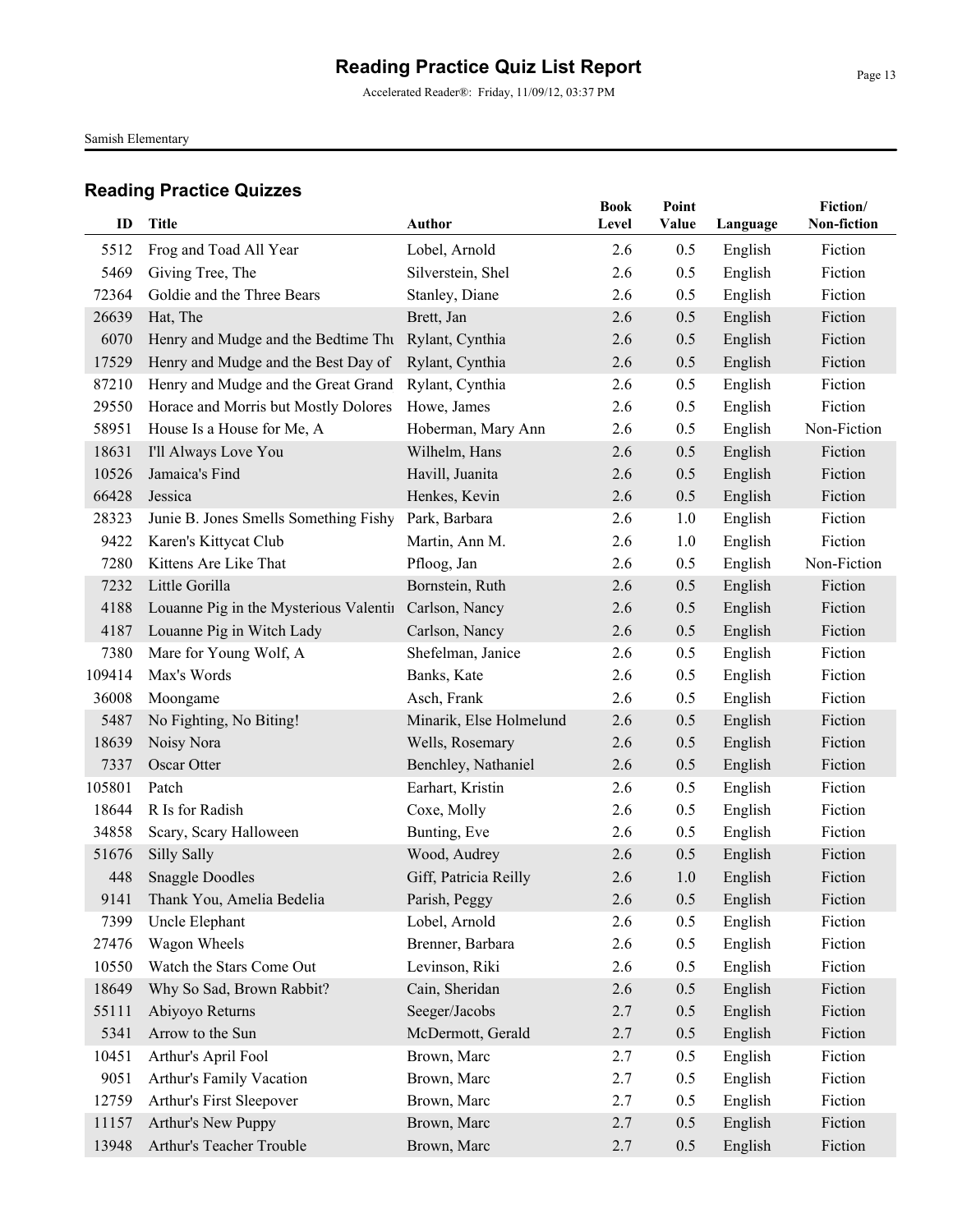Accelerated Reader®: Friday, 11/09/12, 03:37 PM

Samish Elementary

| ID     | <b>Title</b>                                        | Author                  | <b>Book</b><br>Level | Point<br>Value | Language | Fiction/<br>Non-fiction |
|--------|-----------------------------------------------------|-------------------------|----------------------|----------------|----------|-------------------------|
| 5512   | Frog and Toad All Year                              | Lobel, Arnold           | 2.6                  | 0.5            | English  | Fiction                 |
| 5469   | Giving Tree, The                                    | Silverstein, Shel       | 2.6                  | 0.5            | English  | Fiction                 |
| 72364  | Goldie and the Three Bears                          | Stanley, Diane          | 2.6                  | 0.5            | English  | Fiction                 |
| 26639  | Hat, The                                            | Brett, Jan              | 2.6                  | 0.5            | English  | Fiction                 |
| 6070   | Henry and Mudge and the Bedtime Thu Rylant, Cynthia |                         | 2.6                  | 0.5            | English  | Fiction                 |
| 17529  | Henry and Mudge and the Best Day of                 | Rylant, Cynthia         | 2.6                  | 0.5            | English  | Fiction                 |
| 87210  | Henry and Mudge and the Great Grand                 | Rylant, Cynthia         | 2.6                  | 0.5            | English  | Fiction                 |
| 29550  | Horace and Morris but Mostly Dolores                | Howe, James             | 2.6                  | 0.5            | English  | Fiction                 |
| 58951  | House Is a House for Me, A                          | Hoberman, Mary Ann      | 2.6                  | 0.5            | English  | Non-Fiction             |
| 18631  | I'll Always Love You                                | Wilhelm, Hans           | 2.6                  | 0.5            | English  | Fiction                 |
| 10526  | Jamaica's Find                                      | Havill, Juanita         | 2.6                  | 0.5            | English  | Fiction                 |
| 66428  | Jessica                                             | Henkes, Kevin           | 2.6                  | 0.5            | English  | Fiction                 |
| 28323  | Junie B. Jones Smells Something Fishy               | Park, Barbara           | 2.6                  | 1.0            | English  | Fiction                 |
| 9422   | Karen's Kittycat Club                               | Martin, Ann M.          | 2.6                  | 1.0            | English  | Fiction                 |
| 7280   | Kittens Are Like That                               | Pfloog, Jan             | 2.6                  | 0.5            | English  | Non-Fiction             |
| 7232   | Little Gorilla                                      | Bornstein, Ruth         | 2.6                  | 0.5            | English  | Fiction                 |
| 4188   | Louanne Pig in the Mysterious Valentin              | Carlson, Nancy          | 2.6                  | 0.5            | English  | Fiction                 |
| 4187   | Louanne Pig in Witch Lady                           | Carlson, Nancy          | 2.6                  | 0.5            | English  | Fiction                 |
| 7380   | Mare for Young Wolf, A                              | Shefelman, Janice       | 2.6                  | 0.5            | English  | Fiction                 |
| 109414 | Max's Words                                         | Banks, Kate             | 2.6                  | 0.5            | English  | Fiction                 |
| 36008  | Moongame                                            | Asch, Frank             | 2.6                  | 0.5            | English  | Fiction                 |
| 5487   | No Fighting, No Biting!                             | Minarik, Else Holmelund | 2.6                  | 0.5            | English  | Fiction                 |
| 18639  | Noisy Nora                                          | Wells, Rosemary         | 2.6                  | 0.5            | English  | Fiction                 |
| 7337   | Oscar Otter                                         | Benchley, Nathaniel     | 2.6                  | 0.5            | English  | Fiction                 |
| 105801 | Patch                                               | Earhart, Kristin        | 2.6                  | 0.5            | English  | Fiction                 |
| 18644  | R Is for Radish                                     | Coxe, Molly             | 2.6                  | 0.5            | English  | Fiction                 |
| 34858  | Scary, Scary Halloween                              | Bunting, Eve            | 2.6                  | 0.5            | English  | Fiction                 |
| 51676  | Silly Sally                                         | Wood, Audrey            | 2.6                  | 0.5            | English  | Fiction                 |
| 448    | <b>Snaggle Doodles</b>                              | Giff, Patricia Reilly   | 2.6                  | 1.0            | English  | Fiction                 |
| 9141   | Thank You, Amelia Bedelia                           | Parish, Peggy           | 2.6                  | 0.5            | English  | Fiction                 |
| 7399   | Uncle Elephant                                      | Lobel, Arnold           | 2.6                  | 0.5            | English  | Fiction                 |
| 27476  | Wagon Wheels                                        | Brenner, Barbara        | 2.6                  | 0.5            | English  | Fiction                 |
| 10550  | Watch the Stars Come Out                            | Levinson, Riki          | 2.6                  | 0.5            | English  | Fiction                 |
| 18649  | Why So Sad, Brown Rabbit?                           | Cain, Sheridan          | 2.6                  | 0.5            | English  | Fiction                 |
| 55111  | Abiyoyo Returns                                     | Seeger/Jacobs           | 2.7                  | 0.5            | English  | Fiction                 |
| 5341   | Arrow to the Sun                                    | McDermott, Gerald       | 2.7                  | 0.5            | English  | Fiction                 |
| 10451  | Arthur's April Fool                                 | Brown, Marc             | 2.7                  | 0.5            | English  | Fiction                 |
| 9051   | Arthur's Family Vacation                            | Brown, Marc             | 2.7                  | 0.5            | English  | Fiction                 |
| 12759  | Arthur's First Sleepover                            | Brown, Marc             | 2.7                  | 0.5            | English  | Fiction                 |
| 11157  | Arthur's New Puppy                                  | Brown, Marc             | 2.7                  | 0.5            | English  | Fiction                 |
| 13948  | Arthur's Teacher Trouble                            | Brown, Marc             | 2.7                  | 0.5            | English  | Fiction                 |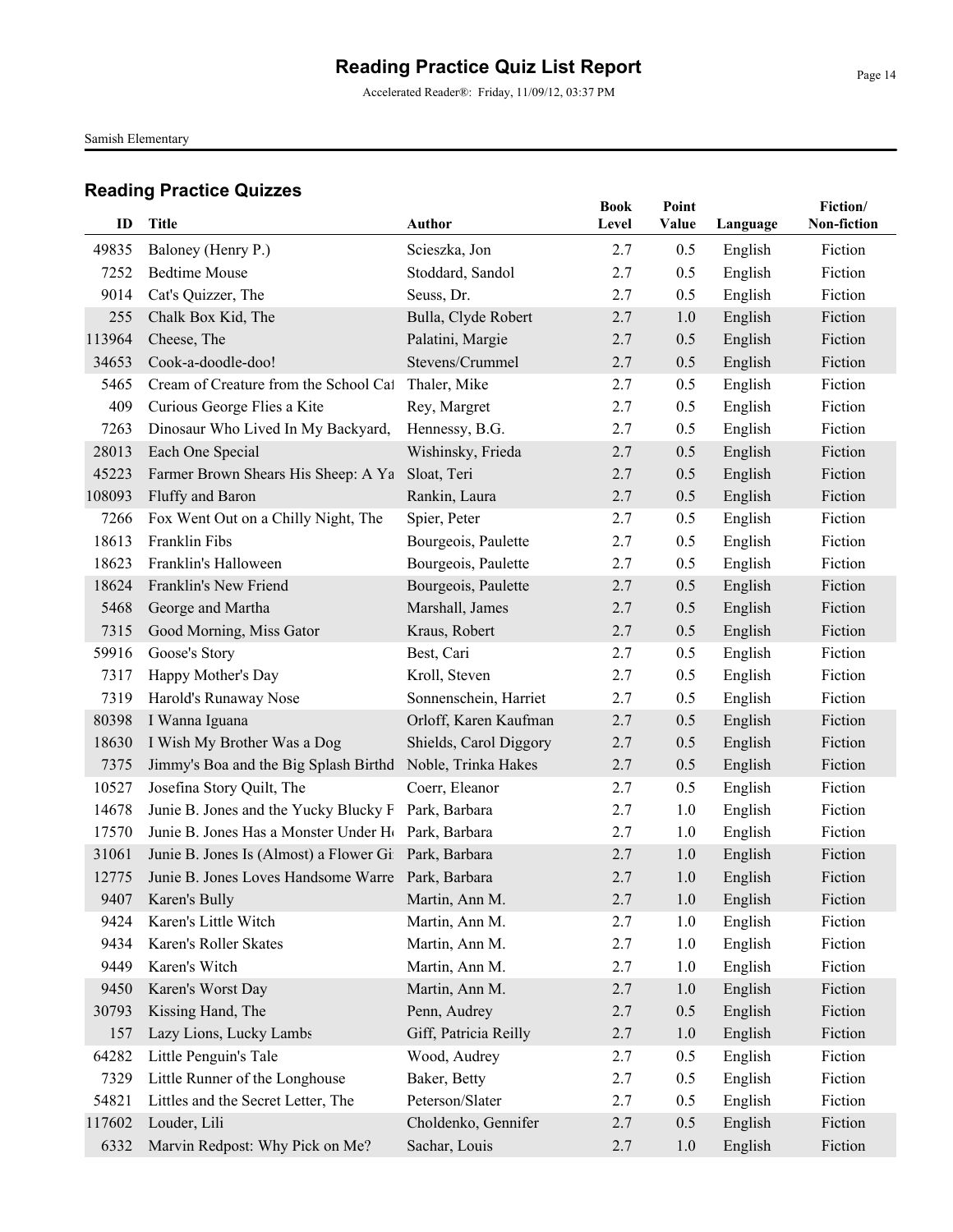Accelerated Reader®: Friday, 11/09/12, 03:37 PM

Samish Elementary

|        |                                                                |                        | <b>Book</b> | Point |          | Fiction/    |
|--------|----------------------------------------------------------------|------------------------|-------------|-------|----------|-------------|
| ID     | <b>Title</b>                                                   | <b>Author</b>          | Level       | Value | Language | Non-fiction |
| 49835  | Baloney (Henry P.)                                             | Scieszka, Jon          | 2.7         | 0.5   | English  | Fiction     |
| 7252   | <b>Bedtime Mouse</b>                                           | Stoddard, Sandol       | 2.7         | 0.5   | English  | Fiction     |
| 9014   | Cat's Quizzer, The                                             | Seuss, Dr.             | 2.7         | 0.5   | English  | Fiction     |
| 255    | Chalk Box Kid, The                                             | Bulla, Clyde Robert    | 2.7         | 1.0   | English  | Fiction     |
| 113964 | Cheese, The                                                    | Palatini, Margie       | 2.7         | 0.5   | English  | Fiction     |
| 34653  | Cook-a-doodle-doo!                                             | Stevens/Crummel        | 2.7         | 0.5   | English  | Fiction     |
| 5465   | Cream of Creature from the School Cat                          | Thaler, Mike           | 2.7         | 0.5   | English  | Fiction     |
| 409    | Curious George Flies a Kite                                    | Rey, Margret           | 2.7         | 0.5   | English  | Fiction     |
| 7263   | Dinosaur Who Lived In My Backyard,                             | Hennessy, B.G.         | 2.7         | 0.5   | English  | Fiction     |
| 28013  | Each One Special                                               | Wishinsky, Frieda      | 2.7         | 0.5   | English  | Fiction     |
| 45223  | Farmer Brown Shears His Sheep: A Ya                            | Sloat, Teri            | 2.7         | 0.5   | English  | Fiction     |
| 108093 | Fluffy and Baron                                               | Rankin, Laura          | 2.7         | 0.5   | English  | Fiction     |
| 7266   | Fox Went Out on a Chilly Night, The                            | Spier, Peter           | 2.7         | 0.5   | English  | Fiction     |
| 18613  | Franklin Fibs                                                  | Bourgeois, Paulette    | 2.7         | 0.5   | English  | Fiction     |
| 18623  | Franklin's Halloween                                           | Bourgeois, Paulette    | 2.7         | 0.5   | English  | Fiction     |
| 18624  | Franklin's New Friend                                          | Bourgeois, Paulette    | 2.7         | 0.5   | English  | Fiction     |
| 5468   | George and Martha                                              | Marshall, James        | 2.7         | 0.5   | English  | Fiction     |
| 7315   | Good Morning, Miss Gator                                       | Kraus, Robert          | 2.7         | 0.5   | English  | Fiction     |
| 59916  | Goose's Story                                                  | Best, Cari             | 2.7         | 0.5   | English  | Fiction     |
| 7317   | Happy Mother's Day                                             | Kroll, Steven          | 2.7         | 0.5   | English  | Fiction     |
| 7319   | Harold's Runaway Nose                                          | Sonnenschein, Harriet  | 2.7         | 0.5   | English  | Fiction     |
| 80398  | I Wanna Iguana                                                 | Orloff, Karen Kaufman  | 2.7         | 0.5   | English  | Fiction     |
| 18630  | I Wish My Brother Was a Dog                                    | Shields, Carol Diggory | 2.7         | 0.5   | English  | Fiction     |
| 7375   | Jimmy's Boa and the Big Splash Birthd                          | Noble, Trinka Hakes    | 2.7         | 0.5   | English  | Fiction     |
| 10527  | Josefina Story Quilt, The                                      | Coerr, Eleanor         | 2.7         | 0.5   | English  | Fiction     |
| 14678  | Junie B. Jones and the Yucky Blucky F Park, Barbara            |                        | 2.7         | 1.0   | English  | Fiction     |
| 17570  | Junie B. Jones Has a Monster Under H <sub>(Park, Barbara</sub> |                        | 2.7         | 1.0   | English  | Fiction     |
| 31061  | Junie B. Jones Is (Almost) a Flower Gil Park, Barbara          |                        | 2.7         | 1.0   | English  | Fiction     |
| 12775  | Junie B. Jones Loves Handsome Warre Park, Barbara              |                        | 2.7         | 1.0   | English  | Fiction     |
|        | 9407 Karen's Bully                                             | Martin, Ann M.         | 2.7         | 1.0   | English  | Fiction     |
| 9424   | Karen's Little Witch                                           | Martin, Ann M.         | 2.7         | 1.0   | English  | Fiction     |
| 9434   | Karen's Roller Skates                                          | Martin, Ann M.         | 2.7         | 1.0   | English  | Fiction     |
| 9449   | Karen's Witch                                                  | Martin, Ann M.         | 2.7         | 1.0   | English  | Fiction     |
| 9450   | Karen's Worst Day                                              | Martin, Ann M.         | 2.7         | 1.0   | English  | Fiction     |
| 30793  | Kissing Hand, The                                              | Penn, Audrey           | 2.7         | 0.5   | English  | Fiction     |
| 157    | Lazy Lions, Lucky Lambs                                        | Giff, Patricia Reilly  | 2.7         | 1.0   | English  | Fiction     |
| 64282  | Little Penguin's Tale                                          | Wood, Audrey           | 2.7         | 0.5   | English  | Fiction     |
| 7329   | Little Runner of the Longhouse                                 | Baker, Betty           | 2.7         | 0.5   | English  | Fiction     |
| 54821  | Littles and the Secret Letter, The                             | Peterson/Slater        | 2.7         | 0.5   | English  | Fiction     |
| 117602 | Louder, Lili                                                   | Choldenko, Gennifer    | 2.7         | 0.5   | English  | Fiction     |
| 6332   | Marvin Redpost: Why Pick on Me?                                | Sachar, Louis          | 2.7         | 1.0   | English  | Fiction     |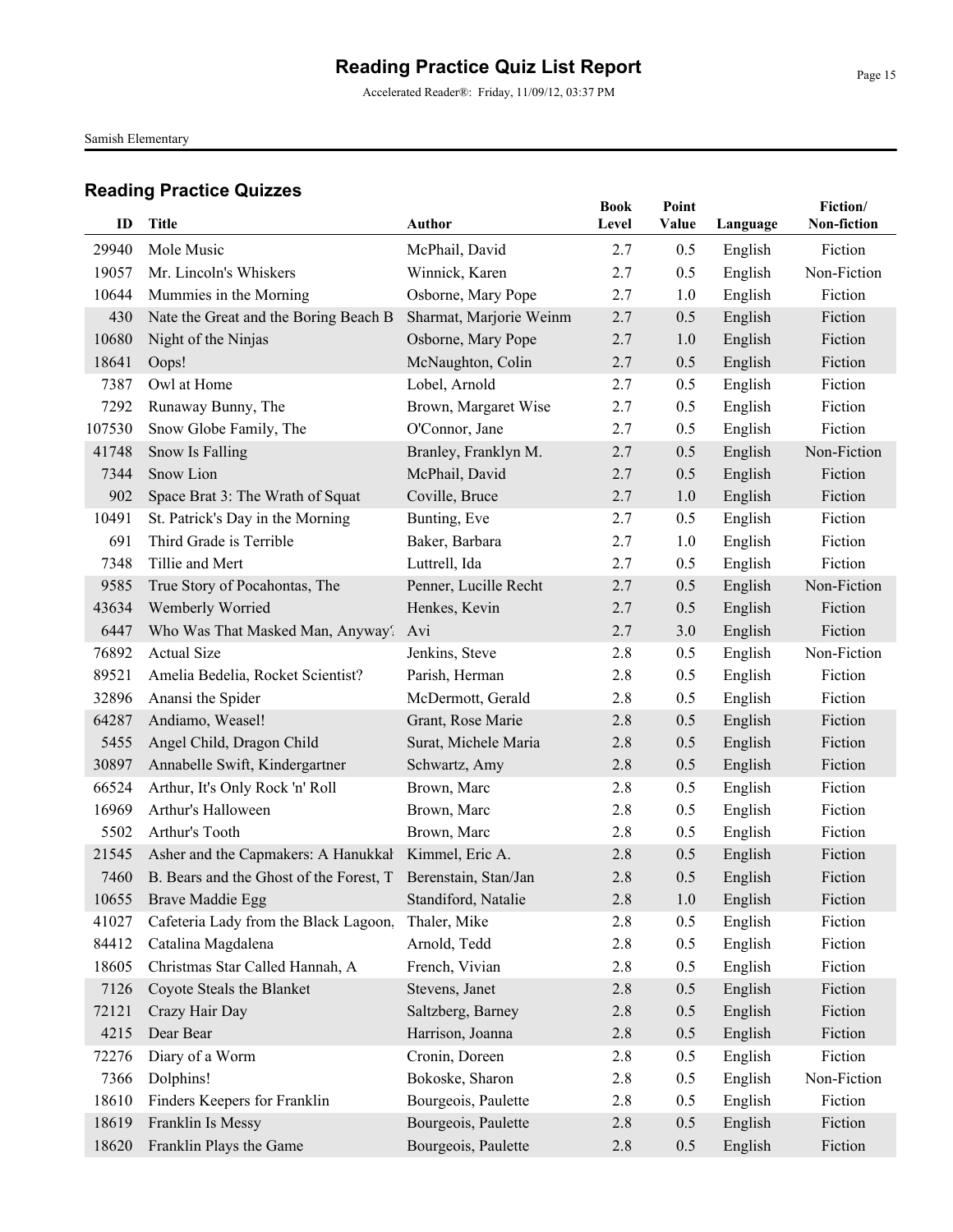Accelerated Reader®: Friday, 11/09/12, 03:37 PM

Samish Elementary

| ID     | <b>Title</b>                                                  | Author                                        | <b>Book</b><br>Level | Point<br>Value | Language           | Fiction/<br>Non-fiction |
|--------|---------------------------------------------------------------|-----------------------------------------------|----------------------|----------------|--------------------|-------------------------|
| 29940  | Mole Music                                                    | McPhail, David                                |                      |                |                    | Fiction                 |
| 19057  | Mr. Lincoln's Whiskers                                        | Winnick, Karen                                | 2.7<br>2.7           | 0.5<br>0.5     | English<br>English | Non-Fiction             |
| 10644  | Mummies in the Morning                                        | Osborne, Mary Pope                            |                      |                |                    | Fiction                 |
| 430    |                                                               |                                               | 2.7<br>2.7           | 1.0            | English            | Fiction                 |
| 10680  | Nate the Great and the Boring Beach B                         | Sharmat, Marjorie Weinm<br>Osborne, Mary Pope | 2.7                  | 0.5<br>1.0     | English            | Fiction                 |
| 18641  | Night of the Ninjas<br>Oops!                                  | McNaughton, Colin                             | 2.7                  | 0.5            | English            | Fiction                 |
| 7387   | Owl at Home                                                   | Lobel, Arnold                                 | 2.7                  | 0.5            | English            | Fiction                 |
| 7292   | Runaway Bunny, The                                            | Brown, Margaret Wise                          | 2.7                  | 0.5            | English<br>English | Fiction                 |
|        |                                                               | O'Connor, Jane                                |                      |                |                    | Fiction                 |
| 107530 | Snow Globe Family, The                                        |                                               | 2.7                  | 0.5            | English            | Non-Fiction             |
| 41748  | Snow Is Falling<br>Snow Lion                                  | Branley, Franklyn M.                          | 2.7                  | 0.5            | English            |                         |
| 7344   |                                                               | McPhail, David                                | 2.7                  | 0.5            | English            | Fiction                 |
| 902    | Space Brat 3: The Wrath of Squat                              | Coville, Bruce                                | 2.7                  | 1.0            | English            | Fiction                 |
| 10491  | St. Patrick's Day in the Morning<br>Third Grade is Terrible   | Bunting, Eve                                  | 2.7                  | 0.5            | English            | Fiction                 |
| 691    |                                                               | Baker, Barbara                                | 2.7                  | 1.0            | English            | Fiction                 |
| 7348   | Tillie and Mert                                               | Luttrell, Ida                                 | 2.7                  | 0.5            | English            | Fiction<br>Non-Fiction  |
| 9585   | True Story of Pocahontas, The                                 | Penner, Lucille Recht                         | 2.7                  | 0.5            | English            |                         |
| 43634  | Wemberly Worried                                              | Henkes, Kevin                                 | 2.7                  | 0.5            | English            | Fiction                 |
| 6447   | Who Was That Masked Man, Anyway?                              | Avi                                           | 2.7                  | 3.0            | English            | Fiction                 |
| 76892  | <b>Actual Size</b>                                            | Jenkins, Steve                                | 2.8                  | 0.5            | English            | Non-Fiction             |
| 89521  | Amelia Bedelia, Rocket Scientist?                             | Parish, Herman                                | 2.8                  | 0.5            | English            | Fiction                 |
| 32896  | Anansi the Spider                                             | McDermott, Gerald                             | 2.8                  | 0.5            | English            | Fiction                 |
| 64287  | Andiamo, Weasel!                                              | Grant, Rose Marie                             | 2.8                  | 0.5            | English            | Fiction                 |
| 5455   | Angel Child, Dragon Child                                     | Surat, Michele Maria                          | 2.8                  | 0.5            | English            | Fiction                 |
| 30897  | Annabelle Swift, Kindergartner                                | Schwartz, Amy                                 | 2.8                  | 0.5            | English            | Fiction                 |
| 66524  | Arthur, It's Only Rock 'n' Roll                               | Brown, Marc                                   | 2.8                  | 0.5            | English            | Fiction                 |
| 16969  | Arthur's Halloween                                            | Brown, Marc                                   | 2.8                  | 0.5            | English            | Fiction                 |
| 5502   | Arthur's Tooth                                                | Brown, Marc                                   | 2.8                  | 0.5            | English            | Fiction                 |
| 21545  | Asher and the Capmakers: A Hanukkal                           | Kimmel, Eric A.                               | 2.8                  | 0.5            | English            | Fiction                 |
| 7460   | B. Bears and the Ghost of the Forest, T. Berenstain, Stan/Jan |                                               | 2.8                  | 0.5            | English            | Fiction                 |
|        | 10655 Brave Maddie Egg                                        | Standiford, Natalie                           | $2.8\,$              | $1.0\,$        | English            | Fiction                 |
| 41027  | Cafeteria Lady from the Black Lagoon,                         | Thaler, Mike                                  | 2.8                  | 0.5            | English            | Fiction                 |
| 84412  | Catalina Magdalena                                            | Arnold, Tedd                                  | 2.8                  | 0.5            | English            | Fiction                 |
| 18605  | Christmas Star Called Hannah, A                               | French, Vivian                                | 2.8                  | 0.5            | English            | Fiction                 |
| 7126   | Coyote Steals the Blanket                                     | Stevens, Janet                                | 2.8                  | 0.5            | English            | Fiction                 |
| 72121  | Crazy Hair Day                                                | Saltzberg, Barney                             | 2.8                  | 0.5            | English            | Fiction                 |
| 4215   | Dear Bear                                                     | Harrison, Joanna                              | 2.8                  | 0.5            | English            | Fiction                 |
| 72276  | Diary of a Worm                                               | Cronin, Doreen                                | 2.8                  | 0.5            | English            | Fiction                 |
| 7366   | Dolphins!                                                     | Bokoske, Sharon                               | 2.8                  | 0.5            | English            | Non-Fiction             |
| 18610  | Finders Keepers for Franklin                                  | Bourgeois, Paulette                           | 2.8                  | 0.5            | English            | Fiction                 |
| 18619  | Franklin Is Messy                                             | Bourgeois, Paulette                           | 2.8                  | 0.5            | English            | Fiction                 |
| 18620  | Franklin Plays the Game                                       | Bourgeois, Paulette                           | 2.8                  | 0.5            | English            | Fiction                 |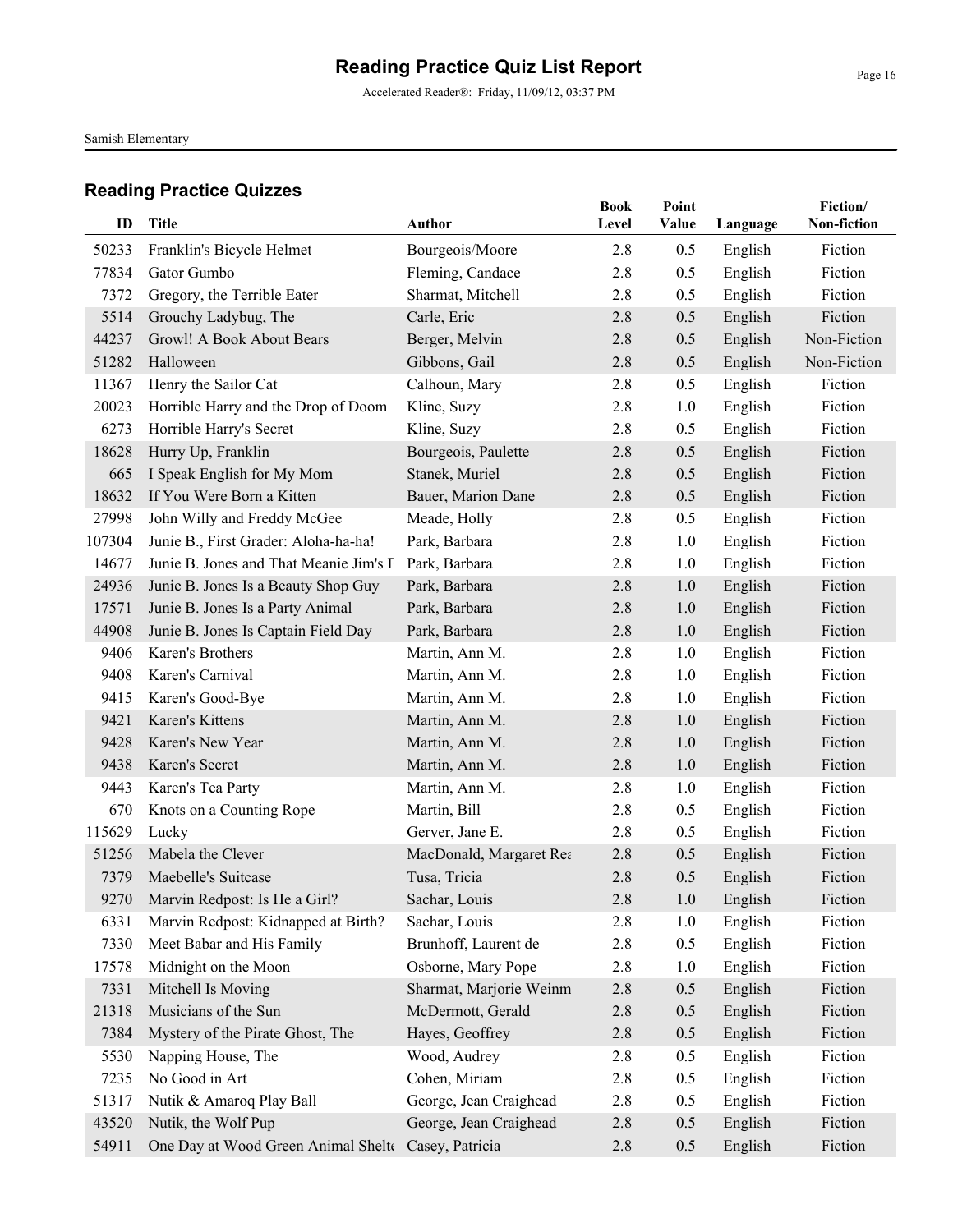Accelerated Reader®: Friday, 11/09/12, 03:37 PM

Samish Elementary

| ID     | Title                                  | <b>Author</b>           | <b>Book</b><br>Level | Point<br>Value | Language | Fiction/<br>Non-fiction |
|--------|----------------------------------------|-------------------------|----------------------|----------------|----------|-------------------------|
| 50233  | Franklin's Bicycle Helmet              | Bourgeois/Moore         | 2.8                  | 0.5            | English  | Fiction                 |
| 77834  | Gator Gumbo                            | Fleming, Candace        | 2.8                  | 0.5            | English  | Fiction                 |
| 7372   | Gregory, the Terrible Eater            | Sharmat, Mitchell       | 2.8                  | 0.5            | English  | Fiction                 |
| 5514   | Grouchy Ladybug, The                   | Carle, Eric             | 2.8                  | 0.5            | English  | Fiction                 |
| 44237  | Growl! A Book About Bears              | Berger, Melvin          | 2.8                  | 0.5            | English  | Non-Fiction             |
| 51282  | Halloween                              | Gibbons, Gail           | 2.8                  | 0.5            | English  | Non-Fiction             |
| 11367  | Henry the Sailor Cat                   | Calhoun, Mary           | 2.8                  | 0.5            | English  | Fiction                 |
| 20023  | Horrible Harry and the Drop of Doom    | Kline, Suzy             | 2.8                  | 1.0            | English  | Fiction                 |
| 6273   | Horrible Harry's Secret                | Kline, Suzy             | 2.8                  | 0.5            | English  | Fiction                 |
| 18628  | Hurry Up, Franklin                     | Bourgeois, Paulette     | 2.8                  | 0.5            | English  | Fiction                 |
| 665    | I Speak English for My Mom             | Stanek, Muriel          | 2.8                  | 0.5            | English  | Fiction                 |
| 18632  | If You Were Born a Kitten              | Bauer, Marion Dane      | 2.8                  | 0.5            | English  | Fiction                 |
| 27998  | John Willy and Freddy McGee            | Meade, Holly            | 2.8                  | 0.5            | English  | Fiction                 |
| 107304 | Junie B., First Grader: Aloha-ha-ha!   | Park, Barbara           | 2.8                  | 1.0            | English  | Fiction                 |
| 14677  | Junie B. Jones and That Meanie Jim's E | Park, Barbara           | 2.8                  | 1.0            | English  | Fiction                 |
| 24936  | Junie B. Jones Is a Beauty Shop Guy    | Park, Barbara           | 2.8                  | 1.0            | English  | Fiction                 |
| 17571  | Junie B. Jones Is a Party Animal       | Park, Barbara           | 2.8                  | 1.0            | English  | Fiction                 |
| 44908  | Junie B. Jones Is Captain Field Day    | Park, Barbara           | 2.8                  | 1.0            | English  | Fiction                 |
| 9406   | Karen's Brothers                       | Martin, Ann M.          | 2.8                  | 1.0            | English  | Fiction                 |
| 9408   | Karen's Carnival                       | Martin, Ann M.          | 2.8                  | 1.0            | English  | Fiction                 |
| 9415   | Karen's Good-Bye                       | Martin, Ann M.          | 2.8                  | 1.0            | English  | Fiction                 |
| 9421   | Karen's Kittens                        | Martin, Ann M.          | 2.8                  | 1.0            | English  | Fiction                 |
| 9428   | Karen's New Year                       | Martin, Ann M.          | 2.8                  | 1.0            | English  | Fiction                 |
| 9438   | Karen's Secret                         | Martin, Ann M.          | 2.8                  | 1.0            | English  | Fiction                 |
| 9443   | Karen's Tea Party                      | Martin, Ann M.          | 2.8                  | 1.0            | English  | Fiction                 |
| 670    | Knots on a Counting Rope               | Martin, Bill            | 2.8                  | 0.5            | English  | Fiction                 |
| 115629 | Lucky                                  | Gerver, Jane E.         | 2.8                  | 0.5            | English  | Fiction                 |
| 51256  | Mabela the Clever                      | MacDonald, Margaret Rea | 2.8                  | 0.5            | English  | Fiction                 |
| 7379   | Maebelle's Suitcase                    | Tusa, Tricia            | 2.8                  | 0.5            | English  | Fiction                 |
|        | 9270 Marvin Redpost: Is He a Girl?     | Sachar, Louis           | $2.8\,$              | 1.0            | English  | Fiction                 |
| 6331   | Marvin Redpost: Kidnapped at Birth?    | Sachar, Louis           | 2.8                  | 1.0            | English  | Fiction                 |
| 7330   | Meet Babar and His Family              | Brunhoff, Laurent de    | 2.8                  | 0.5            | English  | Fiction                 |
| 17578  | Midnight on the Moon                   | Osborne, Mary Pope      | 2.8                  | 1.0            | English  | Fiction                 |
| 7331   | Mitchell Is Moving                     | Sharmat, Marjorie Weinm | 2.8                  | 0.5            | English  | Fiction                 |
| 21318  | Musicians of the Sun                   | McDermott, Gerald       | 2.8                  | 0.5            | English  | Fiction                 |
| 7384   | Mystery of the Pirate Ghost, The       | Hayes, Geoffrey         | 2.8                  | 0.5            | English  | Fiction                 |
| 5530   | Napping House, The                     | Wood, Audrey            | 2.8                  | 0.5            | English  | Fiction                 |
| 7235   | No Good in Art                         | Cohen, Miriam           | 2.8                  | 0.5            | English  | Fiction                 |
| 51317  | Nutik & Amaroq Play Ball               | George, Jean Craighead  | 2.8                  | 0.5            | English  | Fiction                 |
| 43520  | Nutik, the Wolf Pup                    | George, Jean Craighead  | 2.8                  | 0.5            | English  | Fiction                 |
| 54911  | One Day at Wood Green Animal Shelte    | Casey, Patricia         | 2.8                  | 0.5            | English  | Fiction                 |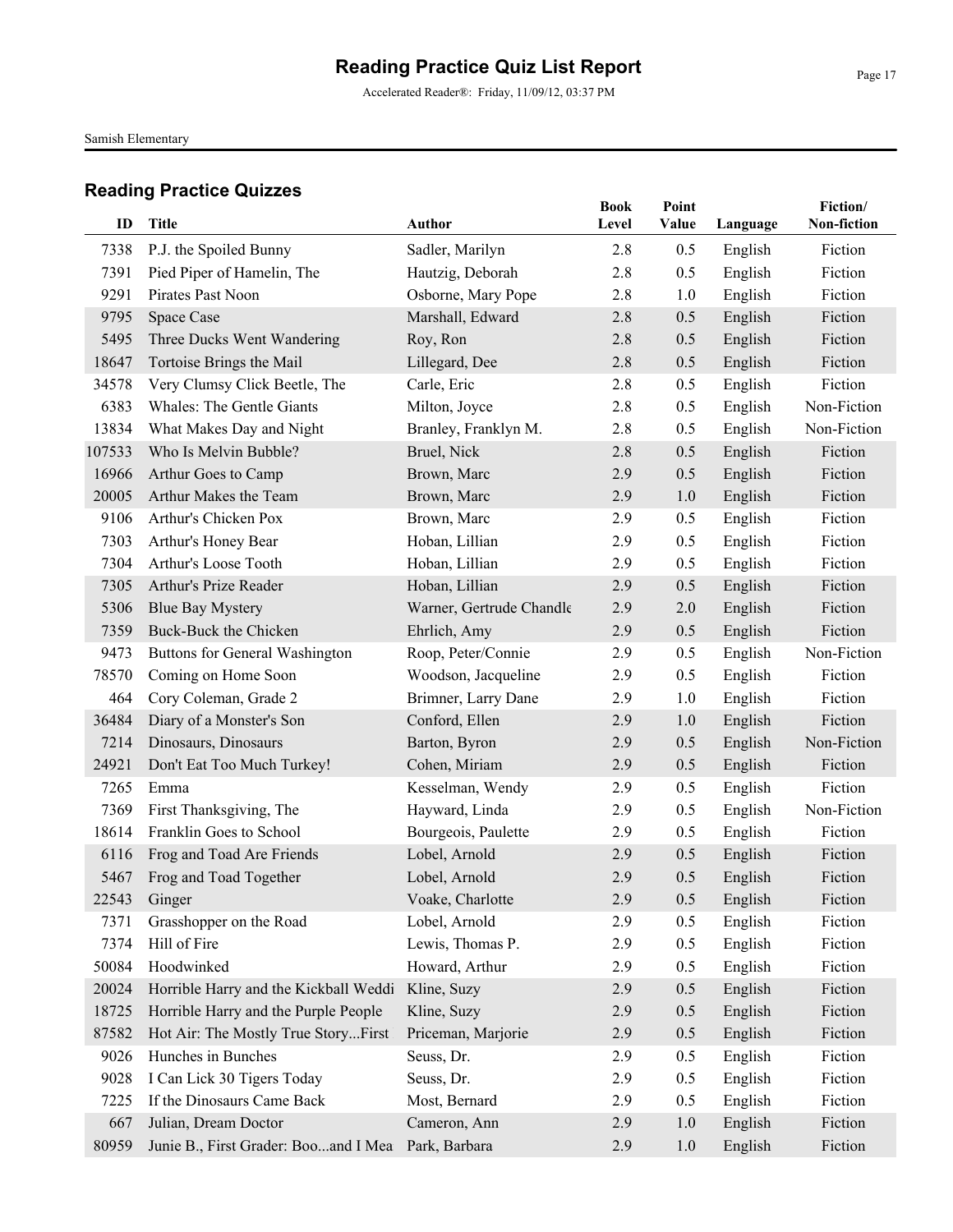Accelerated Reader®: Friday, 11/09/12, 03:37 PM

Samish Elementary

| ID     | <b>Title</b>                          | Author                   | <b>Book</b><br>Level | Point<br>Value | Language | Fiction/<br>Non-fiction |
|--------|---------------------------------------|--------------------------|----------------------|----------------|----------|-------------------------|
| 7338   | P.J. the Spoiled Bunny                | Sadler, Marilyn          | 2.8                  | 0.5            | English  | Fiction                 |
| 7391   | Pied Piper of Hamelin, The            | Hautzig, Deborah         | 2.8                  | 0.5            | English  | Fiction                 |
| 9291   | Pirates Past Noon                     | Osborne, Mary Pope       | 2.8                  | 1.0            | English  | Fiction                 |
| 9795   | Space Case                            | Marshall, Edward         | 2.8                  | 0.5            | English  | Fiction                 |
| 5495   | Three Ducks Went Wandering            | Roy, Ron                 | 2.8                  | 0.5            | English  | Fiction                 |
| 18647  | Tortoise Brings the Mail              | Lillegard, Dee           | 2.8                  | 0.5            | English  | Fiction                 |
| 34578  | Very Clumsy Click Beetle, The         | Carle, Eric              | 2.8                  | 0.5            | English  | Fiction                 |
| 6383   | <b>Whales: The Gentle Giants</b>      | Milton, Joyce            | 2.8                  | 0.5            | English  | Non-Fiction             |
| 13834  | What Makes Day and Night              | Branley, Franklyn M.     | 2.8                  | 0.5            | English  | Non-Fiction             |
| 107533 | Who Is Melvin Bubble?                 | Bruel, Nick              | 2.8                  | 0.5            | English  | Fiction                 |
| 16966  | Arthur Goes to Camp                   | Brown, Marc              | 2.9                  | 0.5            | English  | Fiction                 |
| 20005  | Arthur Makes the Team                 | Brown, Marc              | 2.9                  | 1.0            | English  | Fiction                 |
| 9106   | Arthur's Chicken Pox                  | Brown, Marc              | 2.9                  | 0.5            | English  | Fiction                 |
| 7303   | Arthur's Honey Bear                   | Hoban, Lillian           | 2.9                  | 0.5            | English  | Fiction                 |
| 7304   | Arthur's Loose Tooth                  | Hoban, Lillian           | 2.9                  | 0.5            | English  | Fiction                 |
| 7305   | Arthur's Prize Reader                 | Hoban, Lillian           | 2.9                  | 0.5            | English  | Fiction                 |
| 5306   | <b>Blue Bay Mystery</b>               | Warner, Gertrude Chandle | 2.9                  | 2.0            | English  | Fiction                 |
| 7359   | Buck-Buck the Chicken                 | Ehrlich, Amy             | 2.9                  | 0.5            | English  | Fiction                 |
| 9473   | Buttons for General Washington        | Roop, Peter/Connie       | 2.9                  | 0.5            | English  | Non-Fiction             |
| 78570  | Coming on Home Soon                   | Woodson, Jacqueline      | 2.9                  | 0.5            | English  | Fiction                 |
| 464    | Cory Coleman, Grade 2                 | Brimner, Larry Dane      | 2.9                  | 1.0            | English  | Fiction                 |
| 36484  | Diary of a Monster's Son              | Conford, Ellen           | 2.9                  | 1.0            | English  | Fiction                 |
| 7214   | Dinosaurs, Dinosaurs                  | Barton, Byron            | 2.9                  | 0.5            | English  | Non-Fiction             |
| 24921  | Don't Eat Too Much Turkey!            | Cohen, Miriam            | 2.9                  | 0.5            | English  | Fiction                 |
| 7265   | Emma                                  | Kesselman, Wendy         | 2.9                  | 0.5            | English  | Fiction                 |
| 7369   | First Thanksgiving, The               | Hayward, Linda           | 2.9                  | 0.5            | English  | Non-Fiction             |
| 18614  | Franklin Goes to School               | Bourgeois, Paulette      | 2.9                  | 0.5            | English  | Fiction                 |
| 6116   | Frog and Toad Are Friends             | Lobel, Arnold            | 2.9                  | 0.5            | English  | Fiction                 |
| 5467   | Frog and Toad Together                | Lobel, Arnold            | 2.9                  | 0.5            | English  | Fiction                 |
|        | 22543 Ginger                          | Voake, Charlotte         | 2.9                  | 0.5            | English  | Fiction                 |
| 7371   | Grasshopper on the Road               | Lobel, Arnold            | 2.9                  | 0.5            | English  | Fiction                 |
| 7374   | Hill of Fire                          | Lewis, Thomas P.         | 2.9                  | 0.5            | English  | Fiction                 |
| 50084  | Hoodwinked                            | Howard, Arthur           | 2.9                  | 0.5            | English  | Fiction                 |
| 20024  | Horrible Harry and the Kickball Weddi | Kline, Suzy              | 2.9                  | 0.5            | English  | Fiction                 |
| 18725  | Horrible Harry and the Purple People  | Kline, Suzy              | 2.9                  | 0.5            | English  | Fiction                 |
| 87582  | Hot Air: The Mostly True StoryFirst   | Priceman, Marjorie       | 2.9                  | 0.5            | English  | Fiction                 |
| 9026   | Hunches in Bunches                    | Seuss, Dr.               | 2.9                  | 0.5            | English  | Fiction                 |
| 9028   | I Can Lick 30 Tigers Today            | Seuss, Dr.               | 2.9                  | 0.5            | English  | Fiction                 |
| 7225   | If the Dinosaurs Came Back            | Most, Bernard            | 2.9                  | 0.5            | English  | Fiction                 |
| 667    | Julian, Dream Doctor                  | Cameron, Ann             | 2.9                  | 1.0            | English  | Fiction                 |
| 80959  | Junie B., First Grader: Booand I Mea  | Park, Barbara            | 2.9                  | 1.0            | English  | Fiction                 |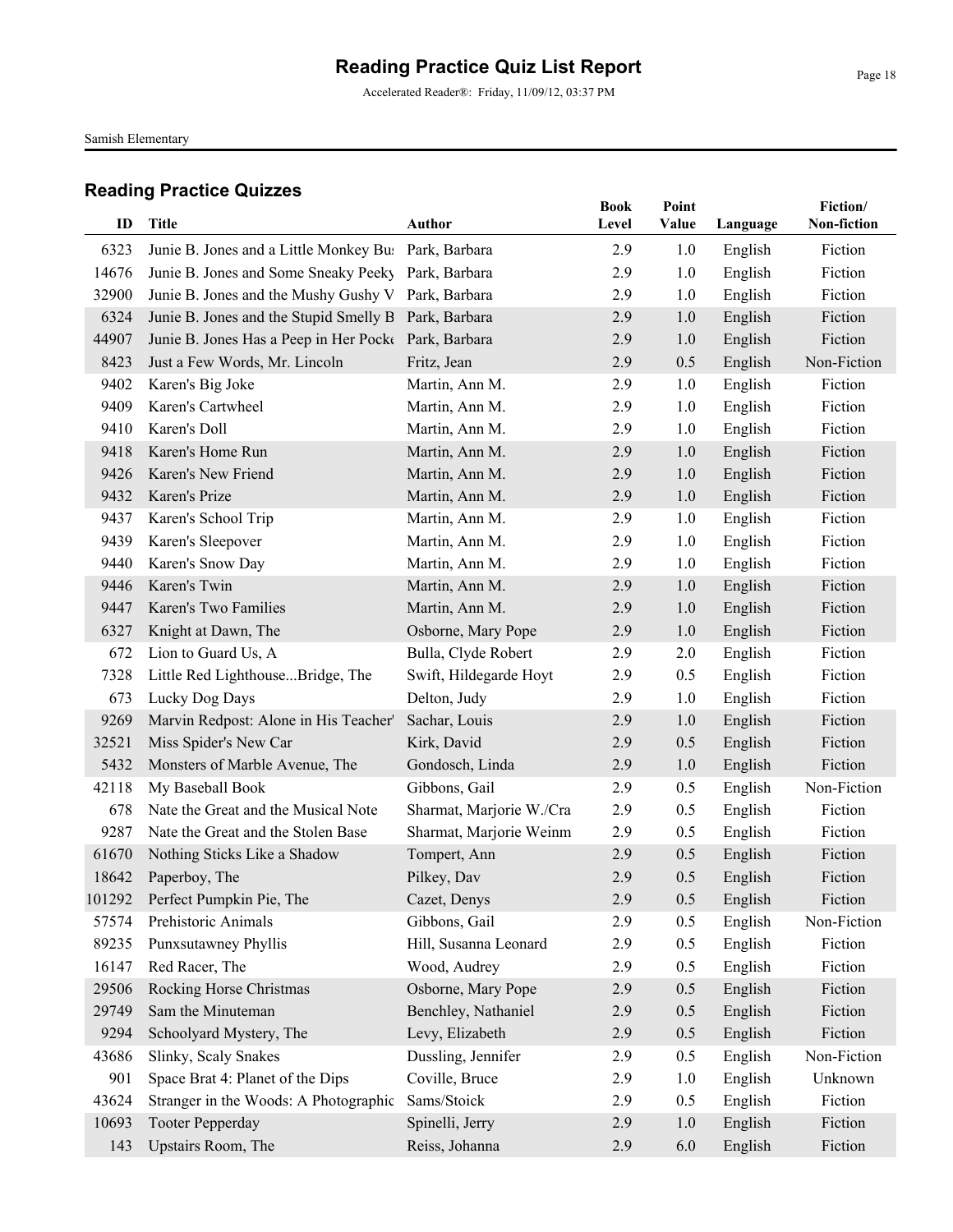Accelerated Reader®: Friday, 11/09/12, 03:37 PM

Samish Elementary

| ID    | <b>Title</b>                                         | Author                   | <b>Book</b><br>Level | Point<br>Value | Language | Fiction/<br>Non-fiction |
|-------|------------------------------------------------------|--------------------------|----------------------|----------------|----------|-------------------------|
|       |                                                      |                          |                      |                |          |                         |
| 6323  | Junie B. Jones and a Little Monkey Bu: Park, Barbara |                          | 2.9                  | 1.0            | English  | Fiction                 |
| 14676 | Junie B. Jones and Some Sneaky Peeky Park, Barbara   |                          | 2.9                  | 1.0            | English  | Fiction                 |
| 32900 | Junie B. Jones and the Mushy Gushy V Park, Barbara   |                          | 2.9                  | 1.0            | English  | Fiction                 |
| 6324  | Junie B. Jones and the Stupid Smelly B Park, Barbara |                          | 2.9                  | 1.0            | English  | Fiction                 |
| 44907 | Junie B. Jones Has a Peep in Her Pocke Park, Barbara |                          | 2.9                  | 1.0            | English  | Fiction                 |
| 8423  | Just a Few Words, Mr. Lincoln                        | Fritz, Jean              | 2.9                  | 0.5            | English  | Non-Fiction             |
| 9402  | Karen's Big Joke                                     | Martin, Ann M.           | 2.9                  | 1.0            | English  | Fiction                 |
| 9409  | Karen's Cartwheel                                    | Martin, Ann M.           | 2.9                  | 1.0            | English  | Fiction                 |
| 9410  | Karen's Doll                                         | Martin, Ann M.           | 2.9                  | 1.0            | English  | Fiction                 |
| 9418  | Karen's Home Run                                     | Martin, Ann M.           | 2.9                  | 1.0            | English  | Fiction                 |
| 9426  | Karen's New Friend                                   | Martin, Ann M.           | 2.9                  | 1.0            | English  | Fiction                 |
| 9432  | Karen's Prize                                        | Martin, Ann M.           | 2.9                  | 1.0            | English  | Fiction                 |
| 9437  | Karen's School Trip                                  | Martin, Ann M.           | 2.9                  | 1.0            | English  | Fiction                 |
| 9439  | Karen's Sleepover                                    | Martin, Ann M.           | 2.9                  | 1.0            | English  | Fiction                 |
| 9440  | Karen's Snow Day                                     | Martin, Ann M.           | 2.9                  | 1.0            | English  | Fiction                 |
| 9446  | Karen's Twin                                         | Martin, Ann M.           | 2.9                  | 1.0            | English  | Fiction                 |
| 9447  | Karen's Two Families                                 | Martin, Ann M.           | 2.9                  | 1.0            | English  | Fiction                 |
| 6327  | Knight at Dawn, The                                  | Osborne, Mary Pope       | 2.9                  | 1.0            | English  | Fiction                 |
| 672   | Lion to Guard Us, A                                  | Bulla, Clyde Robert      | 2.9                  | 2.0            | English  | Fiction                 |
| 7328  | Little Red LighthouseBridge, The                     | Swift, Hildegarde Hoyt   | 2.9                  | 0.5            | English  | Fiction                 |
| 673   | Lucky Dog Days                                       | Delton, Judy             | 2.9                  | 1.0            | English  | Fiction                 |
| 9269  | Marvin Redpost: Alone in His Teacher'                | Sachar, Louis            | 2.9                  | 1.0            | English  | Fiction                 |
| 32521 | Miss Spider's New Car                                | Kirk, David              | 2.9                  | 0.5            | English  | Fiction                 |
| 5432  | Monsters of Marble Avenue, The                       | Gondosch, Linda          | 2.9                  | 1.0            | English  | Fiction                 |
| 42118 | My Baseball Book                                     | Gibbons, Gail            | 2.9                  | 0.5            | English  | Non-Fiction             |
| 678   | Nate the Great and the Musical Note                  | Sharmat, Marjorie W./Cra | 2.9                  | 0.5            | English  | Fiction                 |
| 9287  | Nate the Great and the Stolen Base                   | Sharmat, Marjorie Weinm  | 2.9                  | 0.5            | English  | Fiction                 |
| 61670 | Nothing Sticks Like a Shadow                         | Tompert, Ann             | 2.9                  | 0.5            | English  | Fiction                 |
| 18642 | Paperboy, The                                        | Pilkey, Dav              | 2.9                  | 0.5            | English  | Fiction                 |
|       | 101292 Perfect Pumpkin Pie, The                      | Cazet, Denys             | 2.9                  | 0.5            | English  | Fiction                 |
| 57574 | Prehistoric Animals                                  | Gibbons, Gail            | 2.9                  | 0.5            | English  | Non-Fiction             |
| 89235 | Punxsutawney Phyllis                                 | Hill, Susanna Leonard    | 2.9                  | 0.5            | English  | Fiction                 |
| 16147 | Red Racer, The                                       | Wood, Audrey             | 2.9                  | 0.5            | English  | Fiction                 |
| 29506 | Rocking Horse Christmas                              | Osborne, Mary Pope       | 2.9                  | 0.5            | English  | Fiction                 |
| 29749 | Sam the Minuteman                                    | Benchley, Nathaniel      | 2.9                  | 0.5            | English  | Fiction                 |
| 9294  | Schoolyard Mystery, The                              | Levy, Elizabeth          | 2.9                  | 0.5            | English  | Fiction                 |
| 43686 | Slinky, Scaly Snakes                                 | Dussling, Jennifer       | 2.9                  | 0.5            | English  | Non-Fiction             |
| 901   | Space Brat 4: Planet of the Dips                     | Coville, Bruce           | 2.9                  | 1.0            | English  | Unknown                 |
| 43624 | Stranger in the Woods: A Photographic                | Sams/Stoick              | 2.9                  | 0.5            | English  | Fiction                 |
| 10693 | <b>Tooter Pepperday</b>                              | Spinelli, Jerry          | 2.9                  | 1.0            | English  | Fiction                 |
| 143   | Upstairs Room, The                                   | Reiss, Johanna           | 2.9                  | 6.0            | English  | Fiction                 |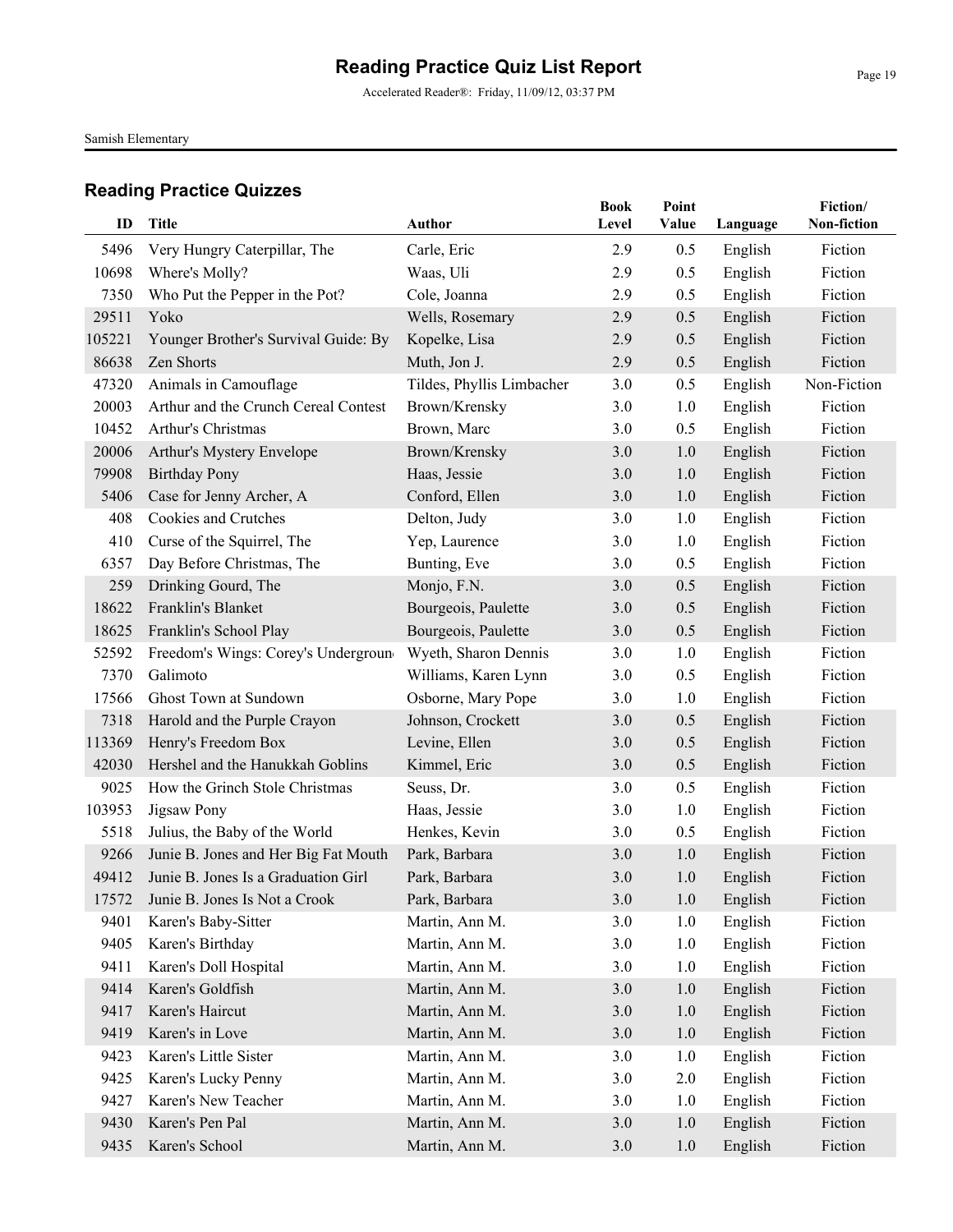Accelerated Reader®: Friday, 11/09/12, 03:37 PM

Samish Elementary

| ID            | <b>Title</b>                                   | <b>Author</b>             | <b>Book</b><br>Level | Point<br>Value | Language           | Fiction/<br>Non-fiction |
|---------------|------------------------------------------------|---------------------------|----------------------|----------------|--------------------|-------------------------|
|               |                                                |                           |                      |                |                    |                         |
| 5496<br>10698 | Very Hungry Caterpillar, The<br>Where's Molly? | Carle, Eric<br>Waas, Uli  | 2.9<br>2.9           | 0.5<br>0.5     | English<br>English | Fiction<br>Fiction      |
| 7350          | Who Put the Pepper in the Pot?                 | Cole, Joanna              | 2.9                  | 0.5            | English            | Fiction                 |
| 29511         | Yoko                                           | Wells, Rosemary           | 2.9                  | 0.5            | English            | Fiction                 |
| 105221        | Younger Brother's Survival Guide: By           | Kopelke, Lisa             | 2.9                  | 0.5            | English            | Fiction                 |
| 86638         | Zen Shorts                                     | Muth, Jon J.              | 2.9                  | 0.5            | English            | Fiction                 |
| 47320         | Animals in Camouflage                          | Tildes, Phyllis Limbacher | 3.0                  | 0.5            | English            | Non-Fiction             |
| 20003         | Arthur and the Crunch Cereal Contest           | Brown/Krensky             | 3.0                  | 1.0            | English            | Fiction                 |
| 10452         | Arthur's Christmas                             | Brown, Marc               | 3.0                  | 0.5            | English            | Fiction                 |
| 20006         | Arthur's Mystery Envelope                      | Brown/Krensky             | 3.0                  | 1.0            | English            | Fiction                 |
| 79908         | <b>Birthday Pony</b>                           | Haas, Jessie              | 3.0                  | 1.0            | English            | Fiction                 |
| 5406          | Case for Jenny Archer, A                       | Conford, Ellen            | 3.0                  | 1.0            | English            | Fiction                 |
| 408           | Cookies and Crutches                           | Delton, Judy              | 3.0                  | 1.0            | English            | Fiction                 |
| 410           | Curse of the Squirrel, The                     | Yep, Laurence             | 3.0                  | 1.0            | English            | Fiction                 |
| 6357          | Day Before Christmas, The                      | Bunting, Eve              | 3.0                  | 0.5            | English            | Fiction                 |
| 259           | Drinking Gourd, The                            | Monjo, F.N.               | 3.0                  | 0.5            | English            | Fiction                 |
| 18622         | Franklin's Blanket                             | Bourgeois, Paulette       | 3.0                  | 0.5            | English            | Fiction                 |
| 18625         | Franklin's School Play                         | Bourgeois, Paulette       | 3.0                  | 0.5            | English            | Fiction                 |
| 52592         | Freedom's Wings: Corey's Undergroun            | Wyeth, Sharon Dennis      | 3.0                  | 1.0            | English            | Fiction                 |
| 7370          | Galimoto                                       | Williams, Karen Lynn      | 3.0                  | 0.5            | English            | Fiction                 |
| 17566         | Ghost Town at Sundown                          | Osborne, Mary Pope        | 3.0                  | 1.0            | English            | Fiction                 |
| 7318          | Harold and the Purple Crayon                   | Johnson, Crockett         | 3.0                  | 0.5            | English            | Fiction                 |
| 113369        | Henry's Freedom Box                            | Levine, Ellen             | 3.0                  | 0.5            | English            | Fiction                 |
| 42030         | Hershel and the Hanukkah Goblins               | Kimmel, Eric              | 3.0                  | 0.5            | English            | Fiction                 |
| 9025          | How the Grinch Stole Christmas                 | Seuss, Dr.                | 3.0                  | 0.5            | English            | Fiction                 |
| 103953        | Jigsaw Pony                                    | Haas, Jessie              | 3.0                  | 1.0            | English            | Fiction                 |
| 5518          | Julius, the Baby of the World                  | Henkes, Kevin             | 3.0                  | 0.5            | English            | Fiction                 |
| 9266          | Junie B. Jones and Her Big Fat Mouth           | Park, Barbara             | 3.0                  | 1.0            | English            | Fiction                 |
| 49412         | Junie B. Jones Is a Graduation Girl            | Park, Barbara             | 3.0                  | 1.0            | English            | Fiction                 |
| 17572         | Junie B. Jones Is Not a Crook                  | Park, Barbara             | $3.0\,$              | 1.0            | English            | Fiction                 |
| 9401          | Karen's Baby-Sitter                            | Martin, Ann M.            | 3.0                  | 1.0            | English            | Fiction                 |
| 9405          | Karen's Birthday                               | Martin, Ann M.            | 3.0                  | 1.0            | English            | Fiction                 |
| 9411          | Karen's Doll Hospital                          | Martin, Ann M.            | 3.0                  | 1.0            | English            | Fiction                 |
| 9414          | Karen's Goldfish                               | Martin, Ann M.            | 3.0                  | 1.0            | English            | Fiction                 |
| 9417          | Karen's Haircut                                | Martin, Ann M.            | 3.0                  | 1.0            | English            | Fiction                 |
| 9419          | Karen's in Love                                | Martin, Ann M.            | 3.0                  | 1.0            | English            | Fiction                 |
| 9423          | Karen's Little Sister                          | Martin, Ann M.            | 3.0                  | 1.0            | English            | Fiction                 |
| 9425          | Karen's Lucky Penny                            | Martin, Ann M.            | 3.0                  | 2.0            | English            | Fiction                 |
| 9427          | Karen's New Teacher                            | Martin, Ann M.            | 3.0                  | 1.0            | English            | Fiction                 |
| 9430          | Karen's Pen Pal                                | Martin, Ann M.            | 3.0                  | 1.0            | English            | Fiction                 |
| 9435          | Karen's School                                 | Martin, Ann M.            | 3.0                  | 1.0            | English            | Fiction                 |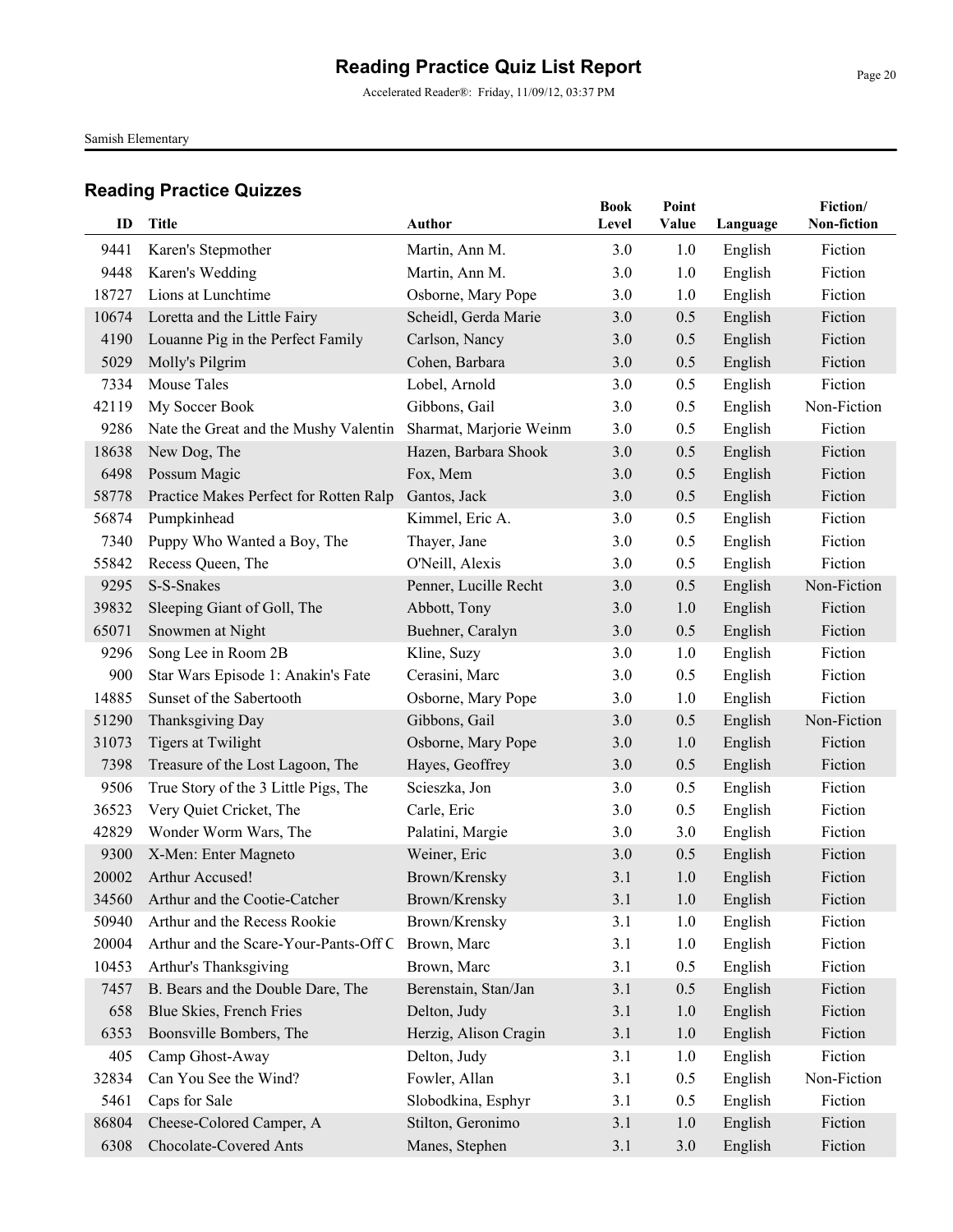Accelerated Reader®: Friday, 11/09/12, 03:37 PM

Samish Elementary

| ID    | Title                                  | Author                  | <b>Book</b><br>Level | Point<br>Value | Language | Fiction/<br>Non-fiction |
|-------|----------------------------------------|-------------------------|----------------------|----------------|----------|-------------------------|
| 9441  | Karen's Stepmother                     | Martin, Ann M.          | 3.0                  | 1.0            | English  | Fiction                 |
| 9448  | Karen's Wedding                        | Martin, Ann M.          | 3.0                  | 1.0            | English  | Fiction                 |
| 18727 | Lions at Lunchtime                     | Osborne, Mary Pope      | 3.0                  | 1.0            | English  | Fiction                 |
| 10674 | Loretta and the Little Fairy           | Scheidl, Gerda Marie    | 3.0                  | 0.5            | English  | Fiction                 |
| 4190  | Louanne Pig in the Perfect Family      | Carlson, Nancy          | 3.0                  | 0.5            | English  | Fiction                 |
| 5029  | Molly's Pilgrim                        | Cohen, Barbara          | 3.0                  | 0.5            | English  | Fiction                 |
| 7334  | Mouse Tales                            | Lobel, Arnold           | 3.0                  | 0.5            | English  | Fiction                 |
| 42119 | My Soccer Book                         | Gibbons, Gail           | 3.0                  | 0.5            | English  | Non-Fiction             |
| 9286  | Nate the Great and the Mushy Valentin  | Sharmat, Marjorie Weinm | 3.0                  | 0.5            | English  | Fiction                 |
| 18638 | New Dog, The                           | Hazen, Barbara Shook    | 3.0                  | 0.5            | English  | Fiction                 |
| 6498  | Possum Magic                           | Fox, Mem                | 3.0                  | 0.5            | English  | Fiction                 |
| 58778 | Practice Makes Perfect for Rotten Ralp | Gantos, Jack            | 3.0                  | 0.5            | English  | Fiction                 |
| 56874 | Pumpkinhead                            | Kimmel, Eric A.         | 3.0                  | 0.5            | English  | Fiction                 |
| 7340  | Puppy Who Wanted a Boy, The            | Thayer, Jane            | 3.0                  | 0.5            | English  | Fiction                 |
| 55842 | Recess Queen, The                      | O'Neill, Alexis         | 3.0                  | 0.5            | English  | Fiction                 |
| 9295  | S-S-Snakes                             | Penner, Lucille Recht   | 3.0                  | 0.5            | English  | Non-Fiction             |
| 39832 | Sleeping Giant of Goll, The            | Abbott, Tony            | 3.0                  | 1.0            | English  | Fiction                 |
| 65071 | Snowmen at Night                       | Buehner, Caralyn        | 3.0                  | 0.5            | English  | Fiction                 |
| 9296  | Song Lee in Room 2B                    | Kline, Suzy             | 3.0                  | 1.0            | English  | Fiction                 |
| 900   | Star Wars Episode 1: Anakin's Fate     | Cerasini, Marc          | 3.0                  | 0.5            | English  | Fiction                 |
| 14885 | Sunset of the Sabertooth               | Osborne, Mary Pope      | 3.0                  | 1.0            | English  | Fiction                 |
| 51290 | Thanksgiving Day                       | Gibbons, Gail           | 3.0                  | 0.5            | English  | Non-Fiction             |
| 31073 | Tigers at Twilight                     | Osborne, Mary Pope      | 3.0                  | 1.0            | English  | Fiction                 |
| 7398  | Treasure of the Lost Lagoon, The       | Hayes, Geoffrey         | 3.0                  | 0.5            | English  | Fiction                 |
| 9506  | True Story of the 3 Little Pigs, The   | Scieszka, Jon           | 3.0                  | 0.5            | English  | Fiction                 |
| 36523 | Very Quiet Cricket, The                | Carle, Eric             | 3.0                  | 0.5            | English  | Fiction                 |
| 42829 | Wonder Worm Wars, The                  | Palatini, Margie        | 3.0                  | 3.0            | English  | Fiction                 |
| 9300  | X-Men: Enter Magneto                   | Weiner, Eric            | 3.0                  | 0.5            | English  | Fiction                 |
| 20002 | Arthur Accused!                        | Brown/Krensky           | 3.1                  | 1.0            | English  | Fiction                 |
|       | 34560 Arthur and the Cootie-Catcher    | Brown/Krensky           | 3.1                  | 1.0            | English  | Fiction                 |
| 50940 | Arthur and the Recess Rookie           | Brown/Krensky           | 3.1                  | 1.0            | English  | Fiction                 |
| 20004 | Arthur and the Scare-Your-Pants-Off C  | Brown, Marc             | 3.1                  | 1.0            | English  | Fiction                 |
| 10453 | Arthur's Thanksgiving                  | Brown, Marc             | 3.1                  | 0.5            | English  | Fiction                 |
| 7457  | B. Bears and the Double Dare, The      | Berenstain, Stan/Jan    | 3.1                  | 0.5            | English  | Fiction                 |
| 658   | Blue Skies, French Fries               | Delton, Judy            | 3.1                  | 1.0            | English  | Fiction                 |
| 6353  | Boonsville Bombers, The                | Herzig, Alison Cragin   | 3.1                  | 1.0            | English  | Fiction                 |
| 405   | Camp Ghost-Away                        | Delton, Judy            | 3.1                  | 1.0            | English  | Fiction                 |
| 32834 | Can You See the Wind?                  | Fowler, Allan           | 3.1                  | 0.5            | English  | Non-Fiction             |
| 5461  | Caps for Sale                          | Slobodkina, Esphyr      | 3.1                  | 0.5            | English  | Fiction                 |
| 86804 | Cheese-Colored Camper, A               | Stilton, Geronimo       | 3.1                  | 1.0            | English  | Fiction                 |
| 6308  | Chocolate-Covered Ants                 | Manes, Stephen          | 3.1                  | 3.0            | English  | Fiction                 |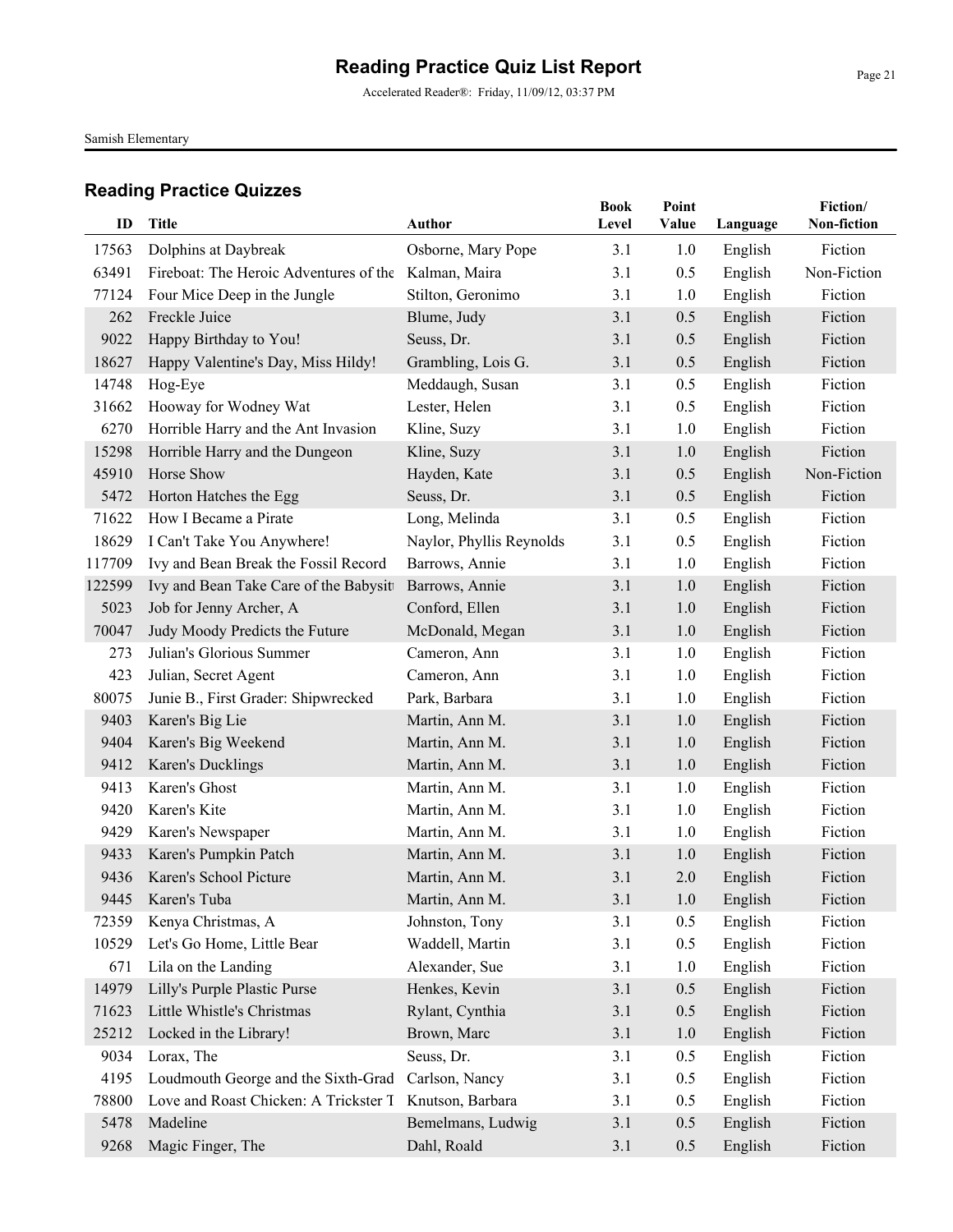Accelerated Reader®: Friday, 11/09/12, 03:37 PM

Samish Elementary

| ID             | Title                                                                        | <b>Author</b>                    | <b>Book</b><br>Level | Point<br>Value | Language           | Fiction/<br>Non-fiction |
|----------------|------------------------------------------------------------------------------|----------------------------------|----------------------|----------------|--------------------|-------------------------|
|                |                                                                              |                                  |                      |                |                    |                         |
| 17563<br>63491 | Dolphins at Daybreak<br>Fireboat: The Heroic Adventures of the Kalman, Maira | Osborne, Mary Pope               | 3.1<br>3.1           | 1.0<br>0.5     | English            | Fiction<br>Non-Fiction  |
|                | Four Mice Deep in the Jungle                                                 |                                  | 3.1                  |                | English            | Fiction                 |
| 77124<br>262   | Freckle Juice                                                                | Stilton, Geronimo<br>Blume, Judy | 3.1                  | 1.0<br>0.5     | English            | Fiction                 |
| 9022           | Happy Birthday to You!                                                       | Seuss, Dr.                       | 3.1                  | 0.5            | English<br>English | Fiction                 |
| 18627          | Happy Valentine's Day, Miss Hildy!                                           | Grambling, Lois G.               | 3.1                  | 0.5            | English            | Fiction                 |
| 14748          | Hog-Eye                                                                      | Meddaugh, Susan                  | 3.1                  | 0.5            | English            | Fiction                 |
| 31662          | Hooway for Wodney Wat                                                        | Lester, Helen                    | 3.1                  | 0.5            | English            | Fiction                 |
| 6270           | Horrible Harry and the Ant Invasion                                          | Kline, Suzy                      | 3.1                  | 1.0            | English            | Fiction                 |
| 15298          | Horrible Harry and the Dungeon                                               | Kline, Suzy                      | 3.1                  | 1.0            | English            | Fiction                 |
| 45910          | Horse Show                                                                   | Hayden, Kate                     | 3.1                  | 0.5            | English            | Non-Fiction             |
| 5472           | Horton Hatches the Egg                                                       | Seuss, Dr.                       | 3.1                  | 0.5            | English            | Fiction                 |
| 71622          | How I Became a Pirate                                                        | Long, Melinda                    | 3.1                  | 0.5            | English            | Fiction                 |
| 18629          | I Can't Take You Anywhere!                                                   | Naylor, Phyllis Reynolds         | 3.1                  | 0.5            | English            | Fiction                 |
| 117709         | Ivy and Bean Break the Fossil Record                                         | Barrows, Annie                   | 3.1                  | 1.0            | English            | Fiction                 |
| 122599         | Ivy and Bean Take Care of the Babysitt                                       | Barrows, Annie                   | 3.1                  | 1.0            | English            | Fiction                 |
| 5023           | Job for Jenny Archer, A                                                      | Conford, Ellen                   | 3.1                  | 1.0            | English            | Fiction                 |
| 70047          | Judy Moody Predicts the Future                                               | McDonald, Megan                  | 3.1                  | 1.0            | English            | Fiction                 |
| 273            | Julian's Glorious Summer                                                     | Cameron, Ann                     | 3.1                  | 1.0            | English            | Fiction                 |
| 423            | Julian, Secret Agent                                                         | Cameron, Ann                     | 3.1                  | 1.0            | English            | Fiction                 |
| 80075          | Junie B., First Grader: Shipwrecked                                          | Park, Barbara                    | 3.1                  | 1.0            | English            | Fiction                 |
| 9403           | Karen's Big Lie                                                              | Martin, Ann M.                   | 3.1                  | 1.0            | English            | Fiction                 |
| 9404           | Karen's Big Weekend                                                          | Martin, Ann M.                   | 3.1                  | 1.0            | English            | Fiction                 |
| 9412           | Karen's Ducklings                                                            | Martin, Ann M.                   | 3.1                  | 1.0            | English            | Fiction                 |
| 9413           | Karen's Ghost                                                                | Martin, Ann M.                   | 3.1                  | 1.0            | English            | Fiction                 |
| 9420           | Karen's Kite                                                                 | Martin, Ann M.                   | 3.1                  | 1.0            | English            | Fiction                 |
| 9429           | Karen's Newspaper                                                            | Martin, Ann M.                   | 3.1                  | 1.0            | English            | Fiction                 |
| 9433           | Karen's Pumpkin Patch                                                        | Martin, Ann M.                   | 3.1                  | 1.0            | English            | Fiction                 |
| 9436           | Karen's School Picture                                                       | Martin, Ann M.                   | 3.1                  | 2.0            | English            | Fiction                 |
|                | 9445 Karen's Tuba                                                            | Martin, Ann M.                   | 3.1                  | $1.0\,$        | English            | Fiction                 |
| 72359          | Kenya Christmas, A                                                           | Johnston, Tony                   | 3.1                  | 0.5            | English            | Fiction                 |
| 10529          | Let's Go Home, Little Bear                                                   | Waddell, Martin                  | 3.1                  | 0.5            | English            | Fiction                 |
| 671            | Lila on the Landing                                                          | Alexander, Sue                   | 3.1                  | 1.0            | English            | Fiction                 |
| 14979          | Lilly's Purple Plastic Purse                                                 | Henkes, Kevin                    | 3.1                  | 0.5            | English            | Fiction                 |
| 71623          | Little Whistle's Christmas                                                   | Rylant, Cynthia                  | 3.1                  | 0.5            | English            | Fiction                 |
| 25212          | Locked in the Library!                                                       | Brown, Marc                      | 3.1                  | 1.0            | English            | Fiction                 |
| 9034           | Lorax, The                                                                   | Seuss, Dr.                       | 3.1                  | 0.5            | English            | Fiction                 |
| 4195           | Loudmouth George and the Sixth-Grad                                          | Carlson, Nancy                   | 3.1                  | 0.5            | English            | Fiction                 |
| 78800          | Love and Roast Chicken: A Trickster T                                        | Knutson, Barbara                 | 3.1                  | 0.5            | English            | Fiction                 |
| 5478           | Madeline                                                                     | Bemelmans, Ludwig                | 3.1                  | 0.5            | English            | Fiction                 |
| 9268           | Magic Finger, The                                                            | Dahl, Roald                      | 3.1                  | 0.5            | English            | Fiction                 |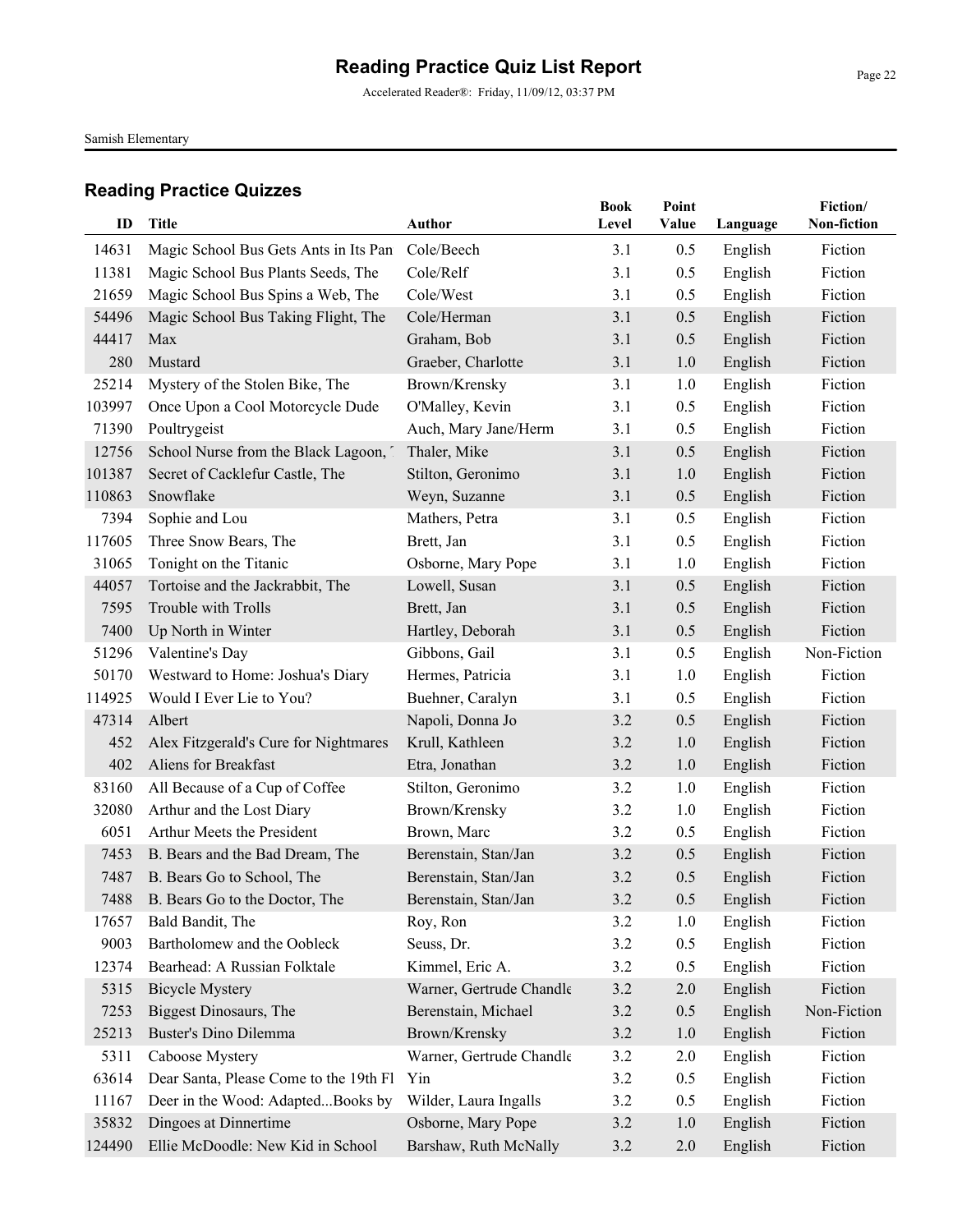Accelerated Reader®: Friday, 11/09/12, 03:37 PM

Samish Elementary

|        |                                        |                          | <b>Book</b> | Point |          | Fiction/    |
|--------|----------------------------------------|--------------------------|-------------|-------|----------|-------------|
| ID     | <b>Title</b>                           | <b>Author</b>            | Level       | Value | Language | Non-fiction |
| 14631  | Magic School Bus Gets Ants in Its Pan  | Cole/Beech               | 3.1         | 0.5   | English  | Fiction     |
| 11381  | Magic School Bus Plants Seeds, The     | Cole/Relf                | 3.1         | 0.5   | English  | Fiction     |
| 21659  | Magic School Bus Spins a Web, The      | Cole/West                | 3.1         | 0.5   | English  | Fiction     |
| 54496  | Magic School Bus Taking Flight, The    | Cole/Herman              | 3.1         | 0.5   | English  | Fiction     |
| 44417  | Max                                    | Graham, Bob              | 3.1         | 0.5   | English  | Fiction     |
| 280    | Mustard                                | Graeber, Charlotte       | 3.1         | 1.0   | English  | Fiction     |
| 25214  | Mystery of the Stolen Bike, The        | Brown/Krensky            | 3.1         | 1.0   | English  | Fiction     |
| 103997 | Once Upon a Cool Motorcycle Dude       | O'Malley, Kevin          | 3.1         | 0.5   | English  | Fiction     |
| 71390  | Poultrygeist                           | Auch, Mary Jane/Herm     | 3.1         | 0.5   | English  | Fiction     |
| 12756  | School Nurse from the Black Lagoon, 7  | Thaler, Mike             | 3.1         | 0.5   | English  | Fiction     |
| 101387 | Secret of Cacklefur Castle, The        | Stilton, Geronimo        | 3.1         | 1.0   | English  | Fiction     |
| 110863 | Snowflake                              | Weyn, Suzanne            | 3.1         | 0.5   | English  | Fiction     |
| 7394   | Sophie and Lou                         | Mathers, Petra           | 3.1         | 0.5   | English  | Fiction     |
| 117605 | Three Snow Bears, The                  | Brett, Jan               | 3.1         | 0.5   | English  | Fiction     |
| 31065  | Tonight on the Titanic                 | Osborne, Mary Pope       | 3.1         | 1.0   | English  | Fiction     |
| 44057  | Tortoise and the Jackrabbit, The       | Lowell, Susan            | 3.1         | 0.5   | English  | Fiction     |
| 7595   | Trouble with Trolls                    | Brett, Jan               | 3.1         | 0.5   | English  | Fiction     |
| 7400   | Up North in Winter                     | Hartley, Deborah         | 3.1         | 0.5   | English  | Fiction     |
| 51296  | Valentine's Day                        | Gibbons, Gail            | 3.1         | 0.5   | English  | Non-Fiction |
| 50170  | Westward to Home: Joshua's Diary       | Hermes, Patricia         | 3.1         | 1.0   | English  | Fiction     |
| 114925 | Would I Ever Lie to You?               | Buehner, Caralyn         | 3.1         | 0.5   | English  | Fiction     |
| 47314  | Albert                                 | Napoli, Donna Jo         | 3.2         | 0.5   | English  | Fiction     |
| 452    | Alex Fitzgerald's Cure for Nightmares  | Krull, Kathleen          | 3.2         | 1.0   | English  | Fiction     |
| 402    | Aliens for Breakfast                   | Etra, Jonathan           | 3.2         | 1.0   | English  | Fiction     |
| 83160  | All Because of a Cup of Coffee         | Stilton, Geronimo        | 3.2         | 1.0   | English  | Fiction     |
| 32080  | Arthur and the Lost Diary              | Brown/Krensky            | 3.2         | 1.0   | English  | Fiction     |
| 6051   | Arthur Meets the President             | Brown, Marc              | 3.2         | 0.5   | English  | Fiction     |
| 7453   | B. Bears and the Bad Dream, The        | Berenstain, Stan/Jan     | 3.2         | 0.5   | English  | Fiction     |
| 7487   | B. Bears Go to School, The             | Berenstain, Stan/Jan     | 3.2         | 0.5   | English  | Fiction     |
|        | 7488 B. Bears Go to the Doctor, The    | Berenstain, Stan/Jan     | 3.2         | 0.5   | English  | Fiction     |
| 17657  | Bald Bandit, The                       | Roy, Ron                 | 3.2         | 1.0   | English  | Fiction     |
| 9003   | Bartholomew and the Oobleck            | Seuss, Dr.               | 3.2         | 0.5   | English  | Fiction     |
| 12374  | Bearhead: A Russian Folktale           | Kimmel, Eric A.          | 3.2         | 0.5   | English  | Fiction     |
| 5315   | <b>Bicycle Mystery</b>                 | Warner, Gertrude Chandle | 3.2         | 2.0   | English  | Fiction     |
| 7253   | <b>Biggest Dinosaurs</b> , The         | Berenstain, Michael      | 3.2         | 0.5   | English  | Non-Fiction |
| 25213  | <b>Buster's Dino Dilemma</b>           | Brown/Krensky            | 3.2         | 1.0   | English  | Fiction     |
| 5311   | Caboose Mystery                        | Warner, Gertrude Chandle | 3.2         | 2.0   | English  | Fiction     |
| 63614  | Dear Santa, Please Come to the 19th Fl | Yin                      | 3.2         | 0.5   | English  | Fiction     |
| 11167  | Deer in the Wood: AdaptedBooks by      | Wilder, Laura Ingalls    | 3.2         | 0.5   | English  | Fiction     |
| 35832  | Dingoes at Dinnertime                  | Osborne, Mary Pope       | 3.2         | 1.0   | English  | Fiction     |
| 124490 | Ellie McDoodle: New Kid in School      | Barshaw, Ruth McNally    | 3.2         | 2.0   | English  | Fiction     |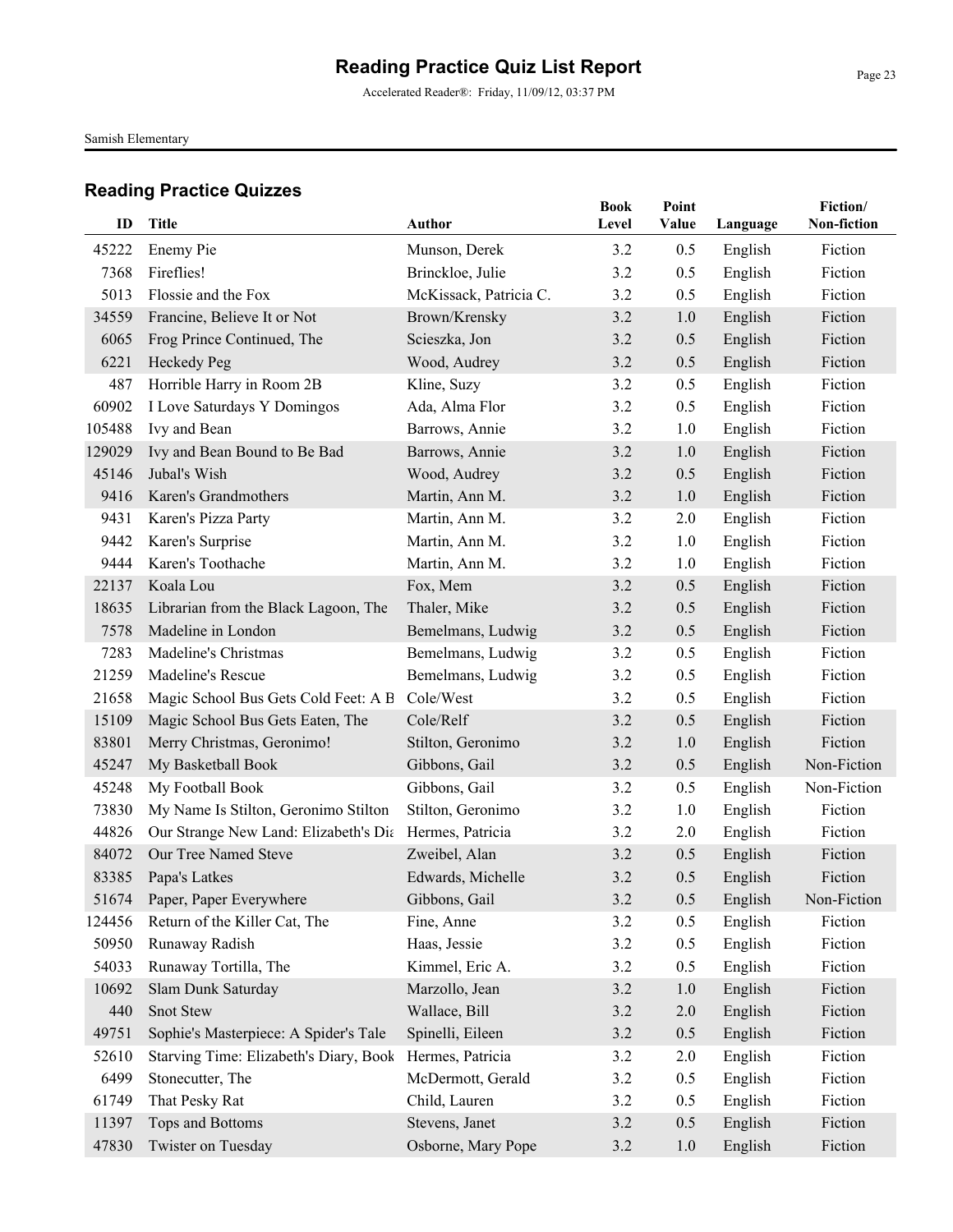Accelerated Reader®: Friday, 11/09/12, 03:37 PM

Samish Elementary

| ID     | <b>Title</b>                                           | Author                 | <b>Book</b><br>Level | Point<br>Value | Language | Fiction/<br>Non-fiction |
|--------|--------------------------------------------------------|------------------------|----------------------|----------------|----------|-------------------------|
| 45222  | Enemy Pie                                              | Munson, Derek          | 3.2                  | 0.5            | English  | Fiction                 |
| 7368   | Fireflies!                                             | Brinckloe, Julie       | 3.2                  | 0.5            | English  | Fiction                 |
| 5013   | Flossie and the Fox                                    | McKissack, Patricia C. | 3.2                  | 0.5            | English  | Fiction                 |
| 34559  | Francine, Believe It or Not                            | Brown/Krensky          | 3.2                  | 1.0            | English  | Fiction                 |
| 6065   | Frog Prince Continued, The                             | Scieszka, Jon          | 3.2                  | 0.5            | English  | Fiction                 |
| 6221   | Heckedy Peg                                            | Wood, Audrey           | 3.2                  | 0.5            | English  | Fiction                 |
| 487    | Horrible Harry in Room 2B                              | Kline, Suzy            | 3.2                  | 0.5            | English  | Fiction                 |
| 60902  | I Love Saturdays Y Domingos                            | Ada, Alma Flor         | 3.2                  | 0.5            | English  | Fiction                 |
| 105488 | Ivy and Bean                                           | Barrows, Annie         | 3.2                  | 1.0            | English  | Fiction                 |
| 129029 | Ivy and Bean Bound to Be Bad                           | Barrows, Annie         | 3.2                  | 1.0            | English  | Fiction                 |
| 45146  | Jubal's Wish                                           | Wood, Audrey           | 3.2                  | 0.5            | English  | Fiction                 |
| 9416   | Karen's Grandmothers                                   | Martin, Ann M.         | 3.2                  | 1.0            | English  | Fiction                 |
| 9431   | Karen's Pizza Party                                    | Martin, Ann M.         | 3.2                  | 2.0            | English  | Fiction                 |
| 9442   | Karen's Surprise                                       | Martin, Ann M.         | 3.2                  | 1.0            | English  | Fiction                 |
| 9444   | Karen's Toothache                                      | Martin, Ann M.         | 3.2                  | 1.0            | English  | Fiction                 |
| 22137  | Koala Lou                                              | Fox, Mem               | 3.2                  | 0.5            | English  | Fiction                 |
| 18635  | Librarian from the Black Lagoon, The                   | Thaler, Mike           | 3.2                  | 0.5            | English  | Fiction                 |
| 7578   | Madeline in London                                     | Bemelmans, Ludwig      | 3.2                  | 0.5            | English  | Fiction                 |
| 7283   | Madeline's Christmas                                   | Bemelmans, Ludwig      | 3.2                  | 0.5            | English  | Fiction                 |
| 21259  | Madeline's Rescue                                      | Bemelmans, Ludwig      | 3.2                  | 0.5            | English  | Fiction                 |
| 21658  | Magic School Bus Gets Cold Feet: A B                   | Cole/West              | 3.2                  | 0.5            | English  | Fiction                 |
| 15109  | Magic School Bus Gets Eaten, The                       | Cole/Relf              | 3.2                  | 0.5            | English  | Fiction                 |
| 83801  | Merry Christmas, Geronimo!                             | Stilton, Geronimo      | 3.2                  | 1.0            | English  | Fiction                 |
| 45247  | My Basketball Book                                     | Gibbons, Gail          | 3.2                  | 0.5            | English  | Non-Fiction             |
| 45248  | My Football Book                                       | Gibbons, Gail          | 3.2                  | 0.5            | English  | Non-Fiction             |
| 73830  | My Name Is Stilton, Geronimo Stilton                   | Stilton, Geronimo      | 3.2                  | 1.0            | English  | Fiction                 |
| 44826  | Our Strange New Land: Elizabeth's Die Hermes, Patricia |                        | 3.2                  | 2.0            | English  | Fiction                 |
| 84072  | Our Tree Named Steve                                   | Zweibel, Alan          | 3.2                  | 0.5            | English  | Fiction                 |
| 83385  | Papa's Latkes                                          | Edwards, Michelle      | 3.2                  | 0.5            | English  | Fiction                 |
|        | 51674 Paper, Paper Everywhere                          | Gibbons, Gail          | 3.2                  | 0.5            | English  | Non-Fiction             |
| 124456 | Return of the Killer Cat, The                          | Fine, Anne             | 3.2                  | 0.5            | English  | Fiction                 |
| 50950  | Runaway Radish                                         | Haas, Jessie           | 3.2                  | 0.5            | English  | Fiction                 |
| 54033  | Runaway Tortilla, The                                  | Kimmel, Eric A.        | 3.2                  | 0.5            | English  | Fiction                 |
| 10692  | Slam Dunk Saturday                                     | Marzollo, Jean         | 3.2                  | 1.0            | English  | Fiction                 |
| 440    | Snot Stew                                              | Wallace, Bill          | 3.2                  | 2.0            | English  | Fiction                 |
| 49751  | Sophie's Masterpiece: A Spider's Tale                  | Spinelli, Eileen       | 3.2                  | 0.5            | English  | Fiction                 |
| 52610  | Starving Time: Elizabeth's Diary, Book                 | Hermes, Patricia       | 3.2                  | 2.0            | English  | Fiction                 |
| 6499   | Stonecutter, The                                       | McDermott, Gerald      | 3.2                  | 0.5            | English  | Fiction                 |
| 61749  | That Pesky Rat                                         | Child, Lauren          | 3.2                  | 0.5            | English  | Fiction                 |
| 11397  | Tops and Bottoms                                       | Stevens, Janet         | 3.2                  | 0.5            | English  | Fiction                 |
| 47830  | Twister on Tuesday                                     | Osborne, Mary Pope     | 3.2                  | 1.0            | English  | Fiction                 |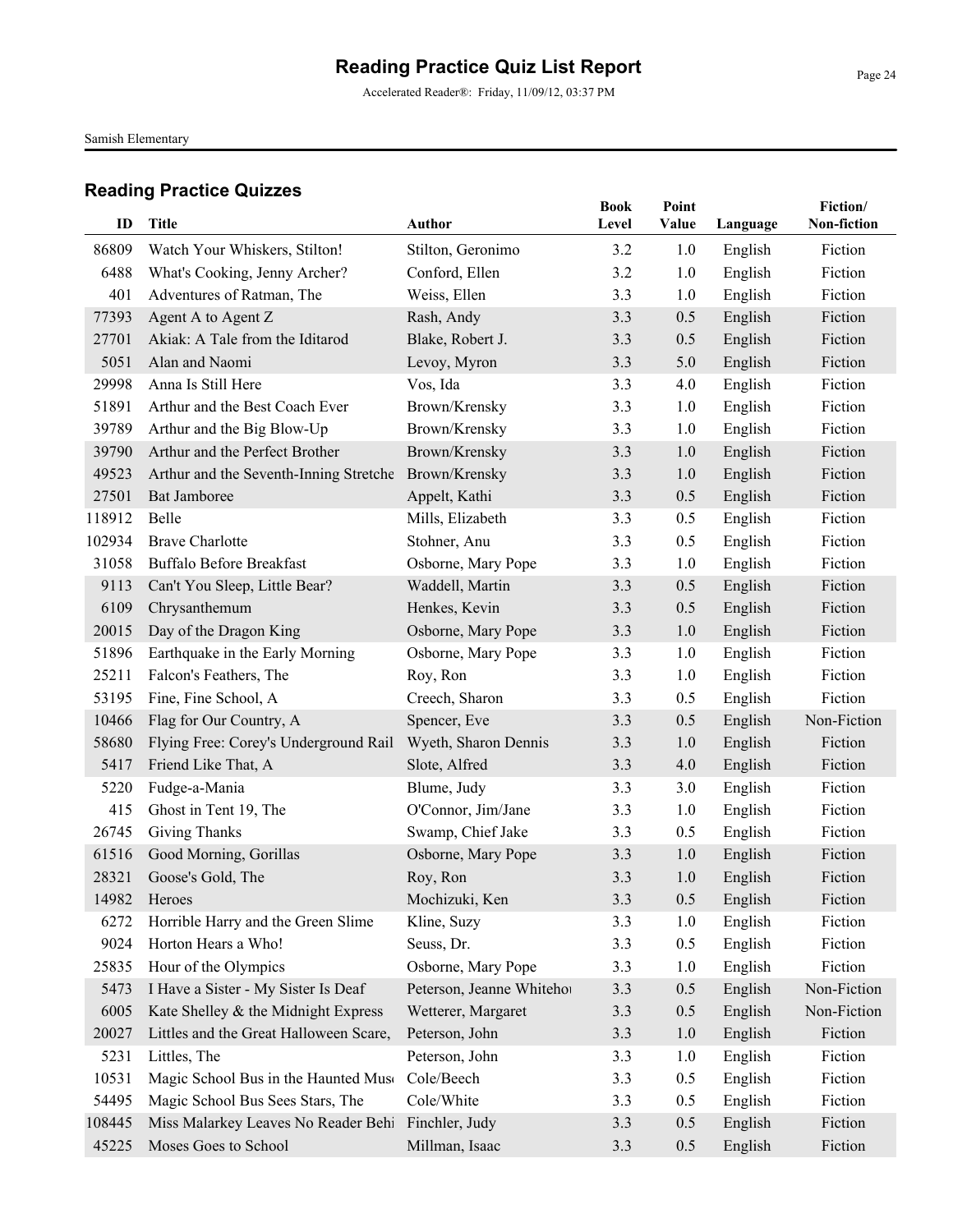Accelerated Reader®: Friday, 11/09/12, 03:37 PM

Samish Elementary

| ID     | <b>Title</b>                           | Author                    | <b>Book</b><br>Level | Point<br>Value |          | Fiction/<br>Non-fiction |
|--------|----------------------------------------|---------------------------|----------------------|----------------|----------|-------------------------|
|        |                                        |                           |                      |                | Language |                         |
| 86809  | Watch Your Whiskers, Stilton!          | Stilton, Geronimo         | 3.2                  | 1.0            | English  | Fiction                 |
| 6488   | What's Cooking, Jenny Archer?          | Conford, Ellen            | 3.2                  | 1.0            | English  | Fiction                 |
| 401    | Adventures of Ratman, The              | Weiss, Ellen              | 3.3                  | 1.0            | English  | Fiction                 |
| 77393  | Agent A to Agent Z                     | Rash, Andy                | 3.3                  | 0.5            | English  | Fiction                 |
| 27701  | Akiak: A Tale from the Iditarod        | Blake, Robert J.          | 3.3                  | 0.5            | English  | Fiction                 |
| 5051   | Alan and Naomi                         | Levoy, Myron              | 3.3                  | 5.0            | English  | Fiction                 |
| 29998  | Anna Is Still Here                     | Vos, Ida                  | 3.3                  | 4.0            | English  | Fiction                 |
| 51891  | Arthur and the Best Coach Ever         | Brown/Krensky             | 3.3                  | 1.0            | English  | Fiction                 |
| 39789  | Arthur and the Big Blow-Up             | Brown/Krensky             | 3.3                  | 1.0            | English  | Fiction                 |
| 39790  | Arthur and the Perfect Brother         | Brown/Krensky             | 3.3                  | 1.0            | English  | Fiction                 |
| 49523  | Arthur and the Seventh-Inning Stretche | Brown/Krensky             | 3.3                  | 1.0            | English  | Fiction                 |
| 27501  | Bat Jamboree                           | Appelt, Kathi             | 3.3                  | 0.5            | English  | Fiction                 |
| 118912 | Belle                                  | Mills, Elizabeth          | 3.3                  | 0.5            | English  | Fiction                 |
| 102934 | <b>Brave Charlotte</b>                 | Stohner, Anu              | 3.3                  | 0.5            | English  | Fiction                 |
| 31058  | <b>Buffalo Before Breakfast</b>        | Osborne, Mary Pope        | 3.3                  | 1.0            | English  | Fiction                 |
| 9113   | Can't You Sleep, Little Bear?          | Waddell, Martin           | 3.3                  | 0.5            | English  | Fiction                 |
| 6109   | Chrysanthemum                          | Henkes, Kevin             | 3.3                  | 0.5            | English  | Fiction                 |
| 20015  | Day of the Dragon King                 | Osborne, Mary Pope        | 3.3                  | 1.0            | English  | Fiction                 |
| 51896  | Earthquake in the Early Morning        | Osborne, Mary Pope        | 3.3                  | 1.0            | English  | Fiction                 |
| 25211  | Falcon's Feathers, The                 | Roy, Ron                  | 3.3                  | 1.0            | English  | Fiction                 |
| 53195  | Fine, Fine School, A                   | Creech, Sharon            | 3.3                  | 0.5            | English  | Fiction                 |
| 10466  | Flag for Our Country, A                | Spencer, Eve              | 3.3                  | 0.5            | English  | Non-Fiction             |
| 58680  | Flying Free: Corey's Underground Rail  | Wyeth, Sharon Dennis      | 3.3                  | 1.0            | English  | Fiction                 |
| 5417   | Friend Like That, A                    | Slote, Alfred             | 3.3                  | 4.0            | English  | Fiction                 |
| 5220   | Fudge-a-Mania                          | Blume, Judy               | 3.3                  | 3.0            | English  | Fiction                 |
| 415    | Ghost in Tent 19, The                  | O'Connor, Jim/Jane        | 3.3                  | 1.0            | English  | Fiction                 |
| 26745  | Giving Thanks                          | Swamp, Chief Jake         | 3.3                  | 0.5            | English  | Fiction                 |
| 61516  | Good Morning, Gorillas                 | Osborne, Mary Pope        | 3.3                  | 1.0            | English  | Fiction                 |
| 28321  | Goose's Gold, The                      | Roy, Ron                  | 3.3                  | 1.0            | English  | Fiction                 |
| 14982  | Heroes                                 | Mochizuki, Ken            | 3.3                  | 0.5            | English  | Fiction                 |
| 6272   | Horrible Harry and the Green Slime     | Kline, Suzy               | 3.3                  | 1.0            | English  | Fiction                 |
| 9024   | Horton Hears a Who!                    | Seuss, Dr.                | 3.3                  | 0.5            | English  | Fiction                 |
| 25835  | Hour of the Olympics                   | Osborne, Mary Pope        | 3.3                  | 1.0            | English  | Fiction                 |
| 5473   | I Have a Sister - My Sister Is Deaf    | Peterson, Jeanne Whitehor | 3.3                  | 0.5            | English  | Non-Fiction             |
| 6005   | Kate Shelley & the Midnight Express    | Wetterer, Margaret        | 3.3                  | 0.5            | English  | Non-Fiction             |
| 20027  | Littles and the Great Halloween Scare, | Peterson, John            | 3.3                  | 1.0            | English  | Fiction                 |
| 5231   | Littles, The                           | Peterson, John            | 3.3                  | 1.0            | English  | Fiction                 |
| 10531  | Magic School Bus in the Haunted Muse   | Cole/Beech                | 3.3                  | 0.5            | English  | Fiction                 |
| 54495  | Magic School Bus Sees Stars, The       | Cole/White                | 3.3                  | 0.5            | English  | Fiction                 |
| 108445 | Miss Malarkey Leaves No Reader Behi    | Finchler, Judy            | 3.3                  | 0.5            | English  | Fiction                 |
| 45225  | Moses Goes to School                   | Millman, Isaac            | 3.3                  | 0.5            | English  | Fiction                 |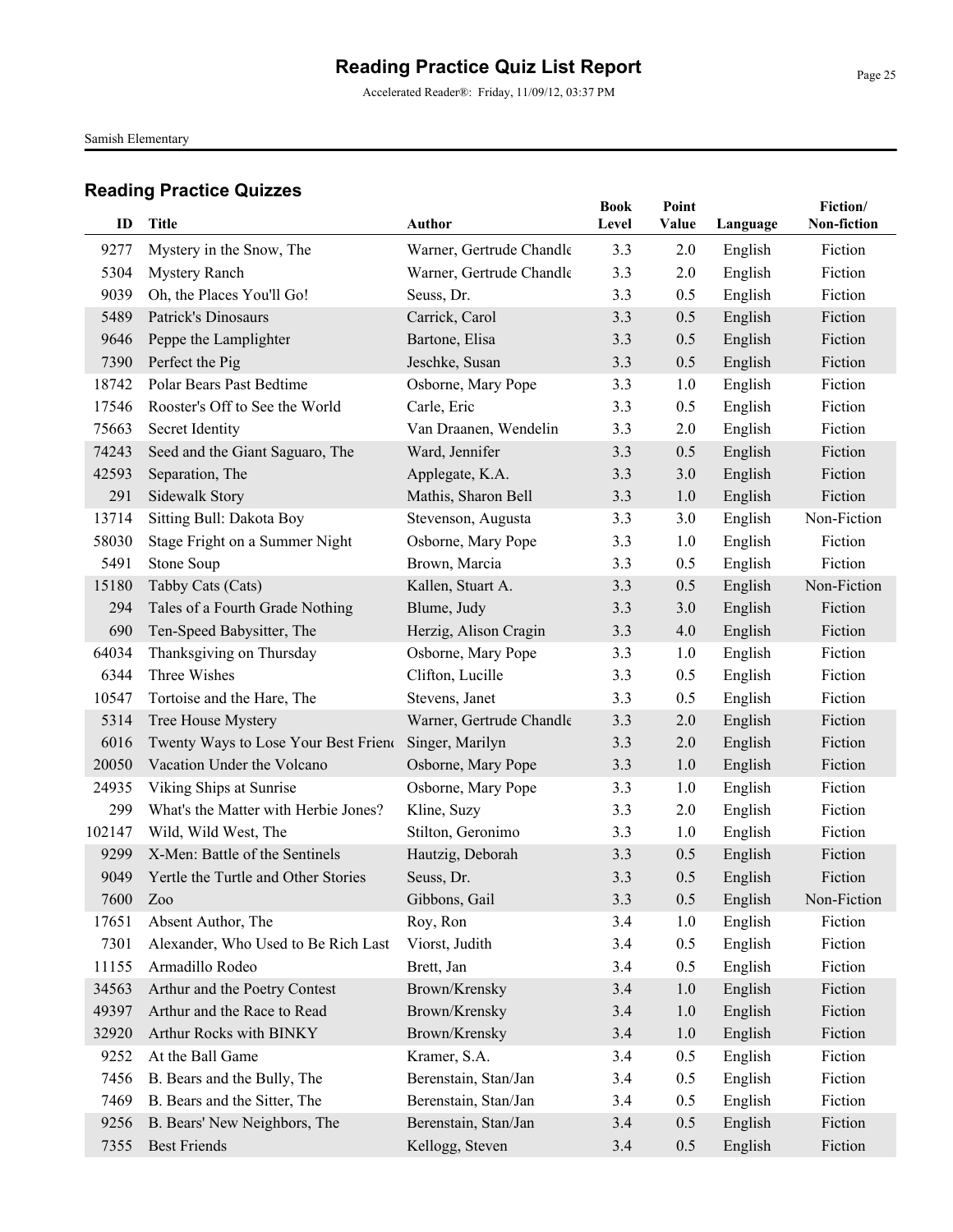Samish Elementary

| ID     | <b>Title</b>                         | <b>Author</b>            | <b>Book</b><br>Level | Point<br>Value | Language | Fiction/<br>Non-fiction |
|--------|--------------------------------------|--------------------------|----------------------|----------------|----------|-------------------------|
| 9277   | Mystery in the Snow, The             | Warner, Gertrude Chandle | 3.3                  | 2.0            | English  | Fiction                 |
| 5304   | <b>Mystery Ranch</b>                 | Warner, Gertrude Chandle | 3.3                  | 2.0            | English  | Fiction                 |
| 9039   | Oh, the Places You'll Go!            | Seuss, Dr.               | 3.3                  | 0.5            | English  | Fiction                 |
| 5489   | Patrick's Dinosaurs                  | Carrick, Carol           | 3.3                  | 0.5            | English  | Fiction                 |
| 9646   | Peppe the Lamplighter                | Bartone, Elisa           | 3.3                  | 0.5            | English  | Fiction                 |
| 7390   | Perfect the Pig                      | Jeschke, Susan           | 3.3                  | 0.5            | English  | Fiction                 |
| 18742  | Polar Bears Past Bedtime             | Osborne, Mary Pope       | 3.3                  | 1.0            | English  | Fiction                 |
| 17546  | Rooster's Off to See the World       | Carle, Eric              | 3.3                  | 0.5            | English  | Fiction                 |
| 75663  | Secret Identity                      | Van Draanen, Wendelin    | 3.3                  | 2.0            | English  | Fiction                 |
| 74243  | Seed and the Giant Saguaro, The      | Ward, Jennifer           | 3.3                  | 0.5            | English  | Fiction                 |
| 42593  | Separation, The                      | Applegate, K.A.          | 3.3                  | 3.0            | English  | Fiction                 |
| 291    | <b>Sidewalk Story</b>                | Mathis, Sharon Bell      | 3.3                  | 1.0            | English  | Fiction                 |
| 13714  | Sitting Bull: Dakota Boy             | Stevenson, Augusta       | 3.3                  | 3.0            | English  | Non-Fiction             |
| 58030  | Stage Fright on a Summer Night       | Osborne, Mary Pope       | 3.3                  | 1.0            | English  | Fiction                 |
| 5491   | Stone Soup                           | Brown, Marcia            | 3.3                  | 0.5            | English  | Fiction                 |
| 15180  | Tabby Cats (Cats)                    | Kallen, Stuart A.        | 3.3                  | 0.5            | English  | Non-Fiction             |
| 294    | Tales of a Fourth Grade Nothing      | Blume, Judy              | 3.3                  | 3.0            | English  | Fiction                 |
| 690    | Ten-Speed Babysitter, The            | Herzig, Alison Cragin    | 3.3                  | 4.0            | English  | Fiction                 |
| 64034  | Thanksgiving on Thursday             | Osborne, Mary Pope       | 3.3                  | 1.0            | English  | Fiction                 |
| 6344   | Three Wishes                         | Clifton, Lucille         | 3.3                  | 0.5            | English  | Fiction                 |
| 10547  | Tortoise and the Hare, The           | Stevens, Janet           | 3.3                  | 0.5            | English  | Fiction                 |
| 5314   | Tree House Mystery                   | Warner, Gertrude Chandle | 3.3                  | 2.0            | English  | Fiction                 |
| 6016   | Twenty Ways to Lose Your Best Friend | Singer, Marilyn          | 3.3                  | 2.0            | English  | Fiction                 |
| 20050  | Vacation Under the Volcano           | Osborne, Mary Pope       | 3.3                  | 1.0            | English  | Fiction                 |
| 24935  | Viking Ships at Sunrise              | Osborne, Mary Pope       | 3.3                  | 1.0            | English  | Fiction                 |
| 299    | What's the Matter with Herbie Jones? | Kline, Suzy              | 3.3                  | 2.0            | English  | Fiction                 |
| 102147 | Wild, Wild West, The                 | Stilton, Geronimo        | 3.3                  | 1.0            | English  | Fiction                 |
| 9299   | X-Men: Battle of the Sentinels       | Hautzig, Deborah         | 3.3                  | 0.5            | English  | Fiction                 |
| 9049   | Yertle the Turtle and Other Stories  | Seuss, Dr.               | 3.3                  | 0.5            | English  | Fiction                 |
| 7600   | Zoo                                  | Gibbons, Gail            | 3.3                  | 0.5            | English  | Non-Fiction             |
| 17651  | Absent Author, The                   | Roy, Ron                 | 3.4                  | 1.0            | English  | Fiction                 |
| 7301   | Alexander, Who Used to Be Rich Last  | Viorst, Judith           | 3.4                  | 0.5            | English  | Fiction                 |
| 11155  | Armadillo Rodeo                      | Brett, Jan               | 3.4                  | 0.5            | English  | Fiction                 |
| 34563  | Arthur and the Poetry Contest        | Brown/Krensky            | 3.4                  | 1.0            | English  | Fiction                 |
| 49397  | Arthur and the Race to Read          | Brown/Krensky            | 3.4                  | 1.0            | English  | Fiction                 |
| 32920  | Arthur Rocks with BINKY              | Brown/Krensky            | 3.4                  | 1.0            | English  | Fiction                 |
| 9252   | At the Ball Game                     | Kramer, S.A.             | 3.4                  | 0.5            | English  | Fiction                 |
| 7456   | B. Bears and the Bully, The          | Berenstain, Stan/Jan     | 3.4                  | 0.5            | English  | Fiction                 |
| 7469   | B. Bears and the Sitter, The         | Berenstain, Stan/Jan     | 3.4                  | 0.5            | English  | Fiction                 |
| 9256   | B. Bears' New Neighbors, The         | Berenstain, Stan/Jan     | 3.4                  | 0.5            | English  | Fiction                 |
| 7355   | <b>Best Friends</b>                  | Kellogg, Steven          | 3.4                  | 0.5            | English  | Fiction                 |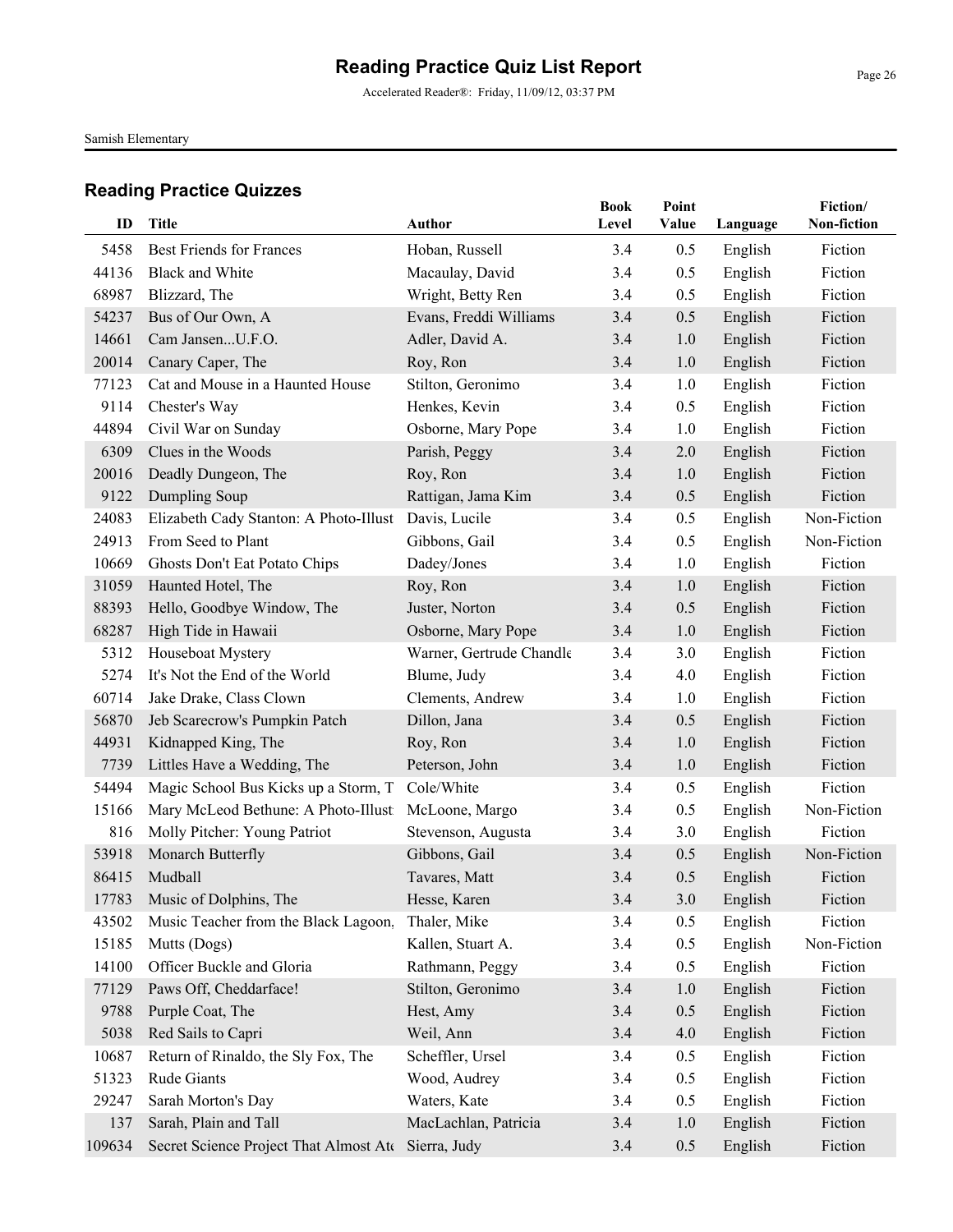Accelerated Reader®: Friday, 11/09/12, 03:37 PM

Samish Elementary

| ID     | <b>Title</b>                                         | Author                   | <b>Book</b><br>Level | Point<br>Value | Language | Fiction/<br>Non-fiction |
|--------|------------------------------------------------------|--------------------------|----------------------|----------------|----------|-------------------------|
| 5458   | <b>Best Friends for Frances</b>                      | Hoban, Russell           | 3.4                  | 0.5            | English  | Fiction                 |
| 44136  | <b>Black and White</b>                               | Macaulay, David          | 3.4                  | 0.5            | English  | Fiction                 |
| 68987  | Blizzard, The                                        | Wright, Betty Ren        | 3.4                  | 0.5            | English  | Fiction                 |
| 54237  | Bus of Our Own, A                                    | Evans, Freddi Williams   | 3.4                  | 0.5            | English  | Fiction                 |
| 14661  | Cam JansenU.F.O.                                     | Adler, David A.          | 3.4                  | 1.0            | English  | Fiction                 |
| 20014  | Canary Caper, The                                    | Roy, Ron                 | 3.4                  | 1.0            | English  | Fiction                 |
| 77123  | Cat and Mouse in a Haunted House                     | Stilton, Geronimo        | 3.4                  | 1.0            | English  | Fiction                 |
| 9114   | Chester's Way                                        | Henkes, Kevin            | 3.4                  | 0.5            | English  | Fiction                 |
| 44894  | Civil War on Sunday                                  | Osborne, Mary Pope       | 3.4                  | 1.0            | English  | Fiction                 |
| 6309   | Clues in the Woods                                   | Parish, Peggy            | 3.4                  | 2.0            | English  | Fiction                 |
| 20016  | Deadly Dungeon, The                                  | Roy, Ron                 | 3.4                  | 1.0            | English  | Fiction                 |
| 9122   | Dumpling Soup                                        | Rattigan, Jama Kim       | 3.4                  | 0.5            | English  | Fiction                 |
| 24083  | Elizabeth Cady Stanton: A Photo-Illust Davis, Lucile |                          | 3.4                  | 0.5            | English  | Non-Fiction             |
| 24913  | From Seed to Plant                                   | Gibbons, Gail            | 3.4                  | 0.5            | English  | Non-Fiction             |
| 10669  | Ghosts Don't Eat Potato Chips                        | Dadey/Jones              | 3.4                  | 1.0            | English  | Fiction                 |
| 31059  | Haunted Hotel, The                                   | Roy, Ron                 | 3.4                  | 1.0            | English  | Fiction                 |
| 88393  | Hello, Goodbye Window, The                           | Juster, Norton           | 3.4                  | 0.5            | English  | Fiction                 |
| 68287  | High Tide in Hawaii                                  | Osborne, Mary Pope       | 3.4                  | 1.0            | English  | Fiction                 |
| 5312   | Houseboat Mystery                                    | Warner, Gertrude Chandle | 3.4                  | 3.0            | English  | Fiction                 |
| 5274   | It's Not the End of the World                        | Blume, Judy              | 3.4                  | 4.0            | English  | Fiction                 |
| 60714  | Jake Drake, Class Clown                              | Clements, Andrew         | 3.4                  | 1.0            | English  | Fiction                 |
| 56870  | Jeb Scarecrow's Pumpkin Patch                        | Dillon, Jana             | 3.4                  | 0.5            | English  | Fiction                 |
| 44931  | Kidnapped King, The                                  | Roy, Ron                 | 3.4                  | 1.0            | English  | Fiction                 |
| 7739   | Littles Have a Wedding, The                          | Peterson, John           | 3.4                  | 1.0            | English  | Fiction                 |
| 54494  | Magic School Bus Kicks up a Storm, T                 | Cole/White               | 3.4                  | 0.5            | English  | Fiction                 |
| 15166  | Mary McLeod Bethune: A Photo-Illust                  | McLoone, Margo           | 3.4                  | 0.5            | English  | Non-Fiction             |
| 816    | Molly Pitcher: Young Patriot                         | Stevenson, Augusta       | 3.4                  | 3.0            | English  | Fiction                 |
| 53918  | Monarch Butterfly                                    | Gibbons, Gail            | 3.4                  | 0.5            | English  | Non-Fiction             |
| 86415  | Mudball                                              | Tavares, Matt            | 3.4                  | 0.5            | English  | Fiction                 |
|        | 17783 Music of Dolphins, The                         | Hesse, Karen             | 3.4                  | 3.0            | English  | Fiction                 |
| 43502  | Music Teacher from the Black Lagoon,                 | Thaler, Mike             | 3.4                  | 0.5            | English  | Fiction                 |
| 15185  | Mutts (Dogs)                                         | Kallen, Stuart A.        | 3.4                  | 0.5            | English  | Non-Fiction             |
| 14100  | Officer Buckle and Gloria                            | Rathmann, Peggy          | 3.4                  | 0.5            | English  | Fiction                 |
| 77129  | Paws Off, Cheddarface!                               | Stilton, Geronimo        | 3.4                  | 1.0            | English  | Fiction                 |
| 9788   | Purple Coat, The                                     | Hest, Amy                | 3.4                  | 0.5            | English  | Fiction                 |
| 5038   | Red Sails to Capri                                   | Weil, Ann                | 3.4                  | 4.0            | English  | Fiction                 |
| 10687  | Return of Rinaldo, the Sly Fox, The                  | Scheffler, Ursel         | 3.4                  | 0.5            | English  | Fiction                 |
| 51323  | Rude Giants                                          | Wood, Audrey             | 3.4                  | 0.5            | English  | Fiction                 |
| 29247  | Sarah Morton's Day                                   | Waters, Kate             | 3.4                  | 0.5            | English  | Fiction                 |
| 137    | Sarah, Plain and Tall                                | MacLachlan, Patricia     | 3.4                  | 1.0            | English  | Fiction                 |
| 109634 | Secret Science Project That Almost Ate               | Sierra, Judy             | 3.4                  | 0.5            | English  | Fiction                 |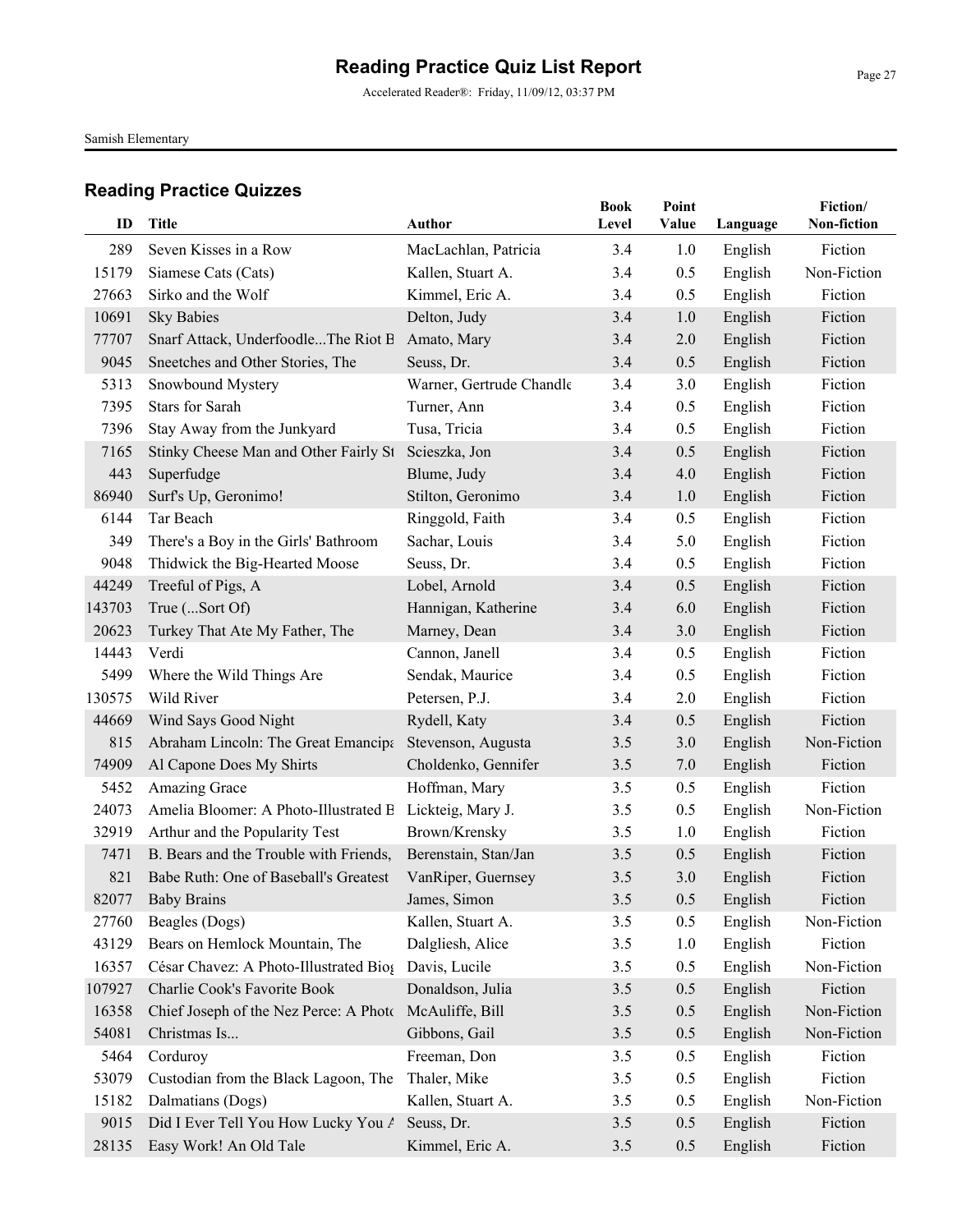Accelerated Reader®: Friday, 11/09/12, 03:37 PM

Samish Elementary

| ID     | <b>Title</b>                                 | <b>Author</b>                             | <b>Book</b><br>Level | Point<br>Value | Language           | Fiction/<br>Non-fiction |
|--------|----------------------------------------------|-------------------------------------------|----------------------|----------------|--------------------|-------------------------|
| 289    |                                              |                                           |                      |                |                    | Fiction                 |
| 15179  | Seven Kisses in a Row<br>Siamese Cats (Cats) | MacLachlan, Patricia<br>Kallen, Stuart A. | 3.4<br>3.4           | 1.0<br>0.5     | English<br>English | Non-Fiction             |
| 27663  | Sirko and the Wolf                           | Kimmel, Eric A.                           | 3.4                  | 0.5            |                    | Fiction                 |
| 10691  | <b>Sky Babies</b>                            | Delton, Judy                              | 3.4                  | 1.0            | English            | Fiction                 |
| 77707  | Snarf Attack, UnderfoodleThe Riot B          | Amato, Mary                               | 3.4                  | 2.0            | English<br>English | Fiction                 |
| 9045   | Sneetches and Other Stories, The             | Seuss, Dr.                                | 3.4                  | 0.5            | English            | Fiction                 |
| 5313   | Snowbound Mystery                            | Warner, Gertrude Chandle                  | 3.4                  | 3.0            | English            | Fiction                 |
| 7395   | <b>Stars for Sarah</b>                       | Turner, Ann                               | 3.4                  | 0.5            | English            | Fiction                 |
| 7396   | Stay Away from the Junkyard                  | Tusa, Tricia                              | 3.4                  | 0.5            | English            | Fiction                 |
| 7165   | Stinky Cheese Man and Other Fairly St        | Scieszka, Jon                             | 3.4                  | 0.5            | English            | Fiction                 |
| 443    | Superfudge                                   | Blume, Judy                               | 3.4                  | 4.0            | English            | Fiction                 |
| 86940  | Surf's Up, Geronimo!                         | Stilton, Geronimo                         | 3.4                  | 1.0            | English            | Fiction                 |
| 6144   | Tar Beach                                    | Ringgold, Faith                           | 3.4                  | 0.5            | English            | Fiction                 |
| 349    | There's a Boy in the Girls' Bathroom         | Sachar, Louis                             | 3.4                  | 5.0            | English            | Fiction                 |
| 9048   | Thidwick the Big-Hearted Moose               | Seuss, Dr.                                | 3.4                  | 0.5            | English            | Fiction                 |
| 44249  | Treeful of Pigs, A                           | Lobel, Arnold                             | 3.4                  | 0.5            | English            | Fiction                 |
| 143703 | True (Sort Of)                               | Hannigan, Katherine                       | 3.4                  | 6.0            | English            | Fiction                 |
| 20623  | Turkey That Ate My Father, The               | Marney, Dean                              | 3.4                  | 3.0            | English            | Fiction                 |
| 14443  | Verdi                                        | Cannon, Janell                            | 3.4                  | 0.5            | English            | Fiction                 |
| 5499   | Where the Wild Things Are                    | Sendak, Maurice                           | 3.4                  | 0.5            | English            | Fiction                 |
| 130575 | Wild River                                   | Petersen, P.J.                            | 3.4                  | 2.0            | English            | Fiction                 |
| 44669  | Wind Says Good Night                         | Rydell, Katy                              | 3.4                  | 0.5            | English            | Fiction                 |
| 815    | Abraham Lincoln: The Great Emancipa          | Stevenson, Augusta                        | 3.5                  | 3.0            | English            | Non-Fiction             |
| 74909  | Al Capone Does My Shirts                     | Choldenko, Gennifer                       | 3.5                  | 7.0            | English            | Fiction                 |
| 5452   | Amazing Grace                                | Hoffman, Mary                             | 3.5                  | 0.5            | English            | Fiction                 |
| 24073  | Amelia Bloomer: A Photo-Illustrated B        | Lickteig, Mary J.                         | 3.5                  | 0.5            | English            | Non-Fiction             |
| 32919  | Arthur and the Popularity Test               | Brown/Krensky                             | 3.5                  | 1.0            | English            | Fiction                 |
| 7471   | B. Bears and the Trouble with Friends,       | Berenstain, Stan/Jan                      | 3.5                  | 0.5            | English            | Fiction                 |
| 821    | Babe Ruth: One of Baseball's Greatest        | VanRiper, Guernsey                        | 3.5                  | 3.0            | English            | Fiction                 |
|        | 82077 Baby Brains                            | James, Simon                              | 3.5                  | 0.5            | English            | Fiction                 |
| 27760  | Beagles (Dogs)                               | Kallen, Stuart A.                         | 3.5                  | 0.5            | English            | Non-Fiction             |
| 43129  | Bears on Hemlock Mountain, The               | Dalgliesh, Alice                          | 3.5                  | 1.0            | English            | Fiction                 |
| 16357  | César Chavez: A Photo-Illustrated Bios       | Davis, Lucile                             | 3.5                  | 0.5            | English            | Non-Fiction             |
| 107927 | Charlie Cook's Favorite Book                 | Donaldson, Julia                          | 3.5                  | 0.5            | English            | Fiction                 |
| 16358  | Chief Joseph of the Nez Perce: A Photo       | McAuliffe, Bill                           | 3.5                  | 0.5            | English            | Non-Fiction             |
| 54081  | Christmas Is                                 | Gibbons, Gail                             | 3.5                  | 0.5            | English            | Non-Fiction             |
| 5464   | Corduroy                                     | Freeman, Don                              | 3.5                  | 0.5            | English            | Fiction                 |
| 53079  | Custodian from the Black Lagoon, The         | Thaler, Mike                              | 3.5                  | 0.5            | English            | Fiction                 |
| 15182  | Dalmatians (Dogs)                            | Kallen, Stuart A.                         | 3.5                  | 0.5            | English            | Non-Fiction             |
| 9015   | Did I Ever Tell You How Lucky You A          | Seuss, Dr.                                | 3.5                  | 0.5            | English            | Fiction                 |
| 28135  | Easy Work! An Old Tale                       | Kimmel, Eric A.                           | 3.5                  | 0.5            | English            | Fiction                 |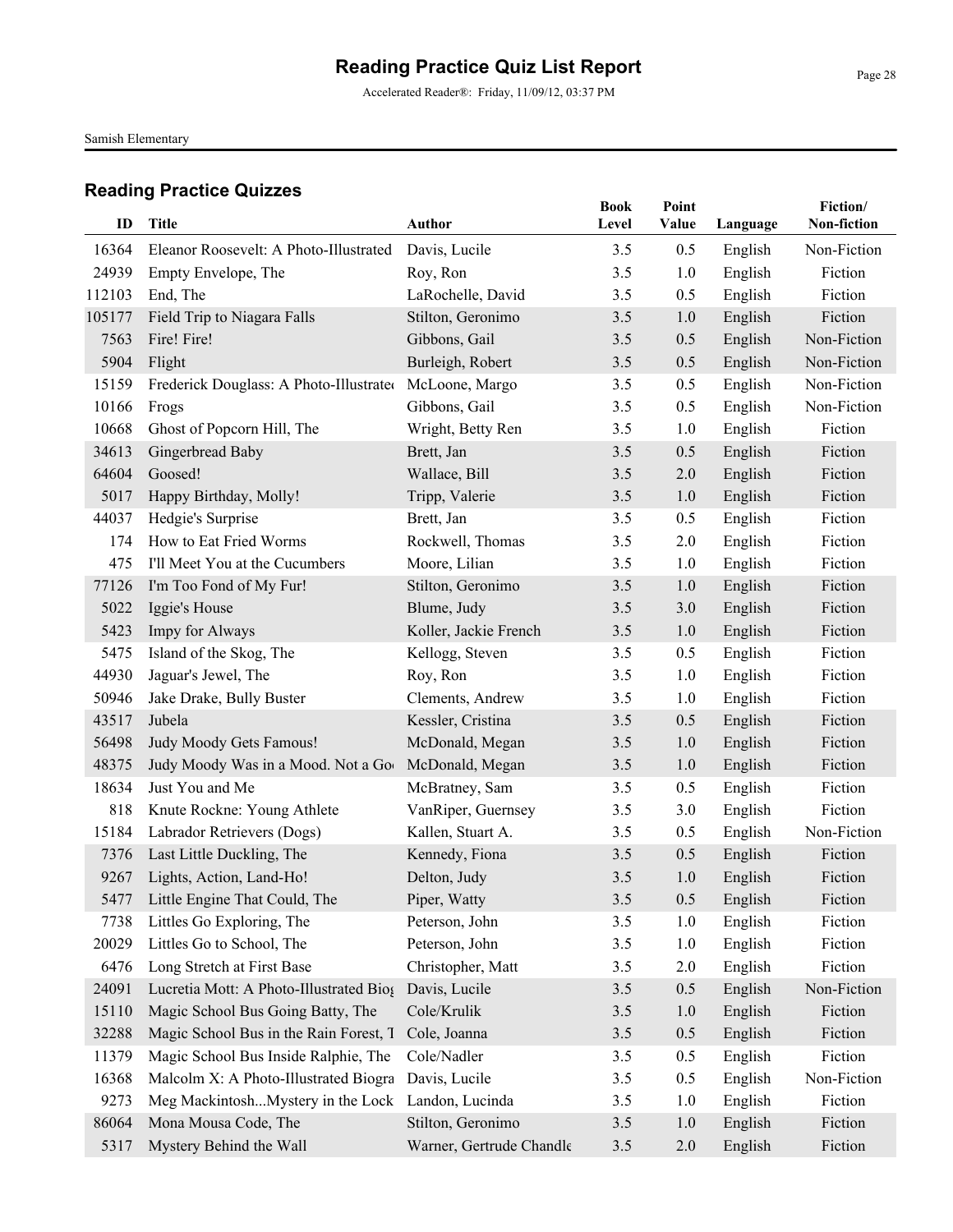Accelerated Reader®: Friday, 11/09/12, 03:37 PM

Samish Elementary

| ID     | <b>Title</b>                            | <b>Author</b>            | <b>Book</b><br>Level | Point<br>Value | Language | Fiction/<br>Non-fiction |
|--------|-----------------------------------------|--------------------------|----------------------|----------------|----------|-------------------------|
| 16364  | Eleanor Roosevelt: A Photo-Illustrated  | Davis, Lucile            | 3.5                  | 0.5            | English  | Non-Fiction             |
| 24939  | Empty Envelope, The                     | Roy, Ron                 | 3.5                  | 1.0            | English  | Fiction                 |
| 112103 | End, The                                | LaRochelle, David        | 3.5                  | 0.5            | English  | Fiction                 |
| 105177 | Field Trip to Niagara Falls             | Stilton, Geronimo        | 3.5                  | 1.0            | English  | Fiction                 |
| 7563   | Fire! Fire!                             | Gibbons, Gail            | 3.5                  | 0.5            | English  | Non-Fiction             |
| 5904   | Flight                                  | Burleigh, Robert         | 3.5                  | 0.5            | English  | Non-Fiction             |
| 15159  | Frederick Douglass: A Photo-Illustrated | McLoone, Margo           | 3.5                  | 0.5            | English  | Non-Fiction             |
| 10166  | Frogs                                   | Gibbons, Gail            | 3.5                  | 0.5            | English  | Non-Fiction             |
| 10668  | Ghost of Popcorn Hill, The              | Wright, Betty Ren        | 3.5                  | 1.0            | English  | Fiction                 |
| 34613  | Gingerbread Baby                        | Brett, Jan               | 3.5                  | 0.5            | English  | Fiction                 |
| 64604  | Goosed!                                 | Wallace, Bill            | 3.5                  | 2.0            | English  | Fiction                 |
| 5017   | Happy Birthday, Molly!                  | Tripp, Valerie           | 3.5                  | 1.0            | English  | Fiction                 |
| 44037  | Hedgie's Surprise                       | Brett, Jan               | 3.5                  | 0.5            | English  | Fiction                 |
| 174    | How to Eat Fried Worms                  | Rockwell, Thomas         | 3.5                  | 2.0            | English  | Fiction                 |
| 475    | I'll Meet You at the Cucumbers          | Moore, Lilian            | 3.5                  | 1.0            | English  | Fiction                 |
| 77126  | I'm Too Fond of My Fur!                 | Stilton, Geronimo        | 3.5                  | 1.0            | English  | Fiction                 |
| 5022   | Iggie's House                           | Blume, Judy              | 3.5                  | 3.0            | English  | Fiction                 |
| 5423   | Impy for Always                         | Koller, Jackie French    | 3.5                  | 1.0            | English  | Fiction                 |
| 5475   | Island of the Skog, The                 | Kellogg, Steven          | 3.5                  | 0.5            | English  | Fiction                 |
| 44930  | Jaguar's Jewel, The                     | Roy, Ron                 | 3.5                  | 1.0            | English  | Fiction                 |
| 50946  | Jake Drake, Bully Buster                | Clements, Andrew         | 3.5                  | 1.0            | English  | Fiction                 |
| 43517  | Jubela                                  | Kessler, Cristina        | 3.5                  | 0.5            | English  | Fiction                 |
| 56498  | Judy Moody Gets Famous!                 | McDonald, Megan          | 3.5                  | 1.0            | English  | Fiction                 |
| 48375  | Judy Moody Was in a Mood. Not a Goo     | McDonald, Megan          | 3.5                  | 1.0            | English  | Fiction                 |
| 18634  | Just You and Me                         | McBratney, Sam           | 3.5                  | 0.5            | English  | Fiction                 |
| 818    | Knute Rockne: Young Athlete             | VanRiper, Guernsey       | 3.5                  | 3.0            | English  | Fiction                 |
| 15184  | Labrador Retrievers (Dogs)              | Kallen, Stuart A.        | 3.5                  | 0.5            | English  | Non-Fiction             |
| 7376   | Last Little Duckling, The               | Kennedy, Fiona           | 3.5                  | 0.5            | English  | Fiction                 |
| 9267   | Lights, Action, Land-Ho!                | Delton, Judy             | 3.5                  | 1.0            | English  | Fiction                 |
|        | 5477 Little Engine That Could, The      | Piper, Watty             | $3.5$                | 0.5            | English  | Fiction                 |
| 7738   | Littles Go Exploring, The               | Peterson, John           | 3.5                  | 1.0            | English  | Fiction                 |
| 20029  | Littles Go to School, The               | Peterson, John           | 3.5                  | 1.0            | English  | Fiction                 |
| 6476   | Long Stretch at First Base              | Christopher, Matt        | 3.5                  | 2.0            | English  | Fiction                 |
| 24091  | Lucretia Mott: A Photo-Illustrated Biog | Davis, Lucile            | 3.5                  | 0.5            | English  | Non-Fiction             |
| 15110  | Magic School Bus Going Batty, The       | Cole/Krulik              | 3.5                  | 1.0            | English  | Fiction                 |
| 32288  | Magic School Bus in the Rain Forest, T  | Cole, Joanna             | 3.5                  | 0.5            | English  | Fiction                 |
| 11379  | Magic School Bus Inside Ralphie, The    | Cole/Nadler              | 3.5                  | 0.5            | English  | Fiction                 |
| 16368  | Malcolm X: A Photo-Illustrated Biogra   | Davis, Lucile            | 3.5                  | 0.5            | English  | Non-Fiction             |
| 9273   | Meg MackintoshMystery in the Lock       | Landon, Lucinda          | 3.5                  | 1.0            | English  | Fiction                 |
| 86064  | Mona Mousa Code, The                    | Stilton, Geronimo        | 3.5                  | 1.0            | English  | Fiction                 |
| 5317   | Mystery Behind the Wall                 | Warner, Gertrude Chandle | 3.5                  | 2.0            | English  | Fiction                 |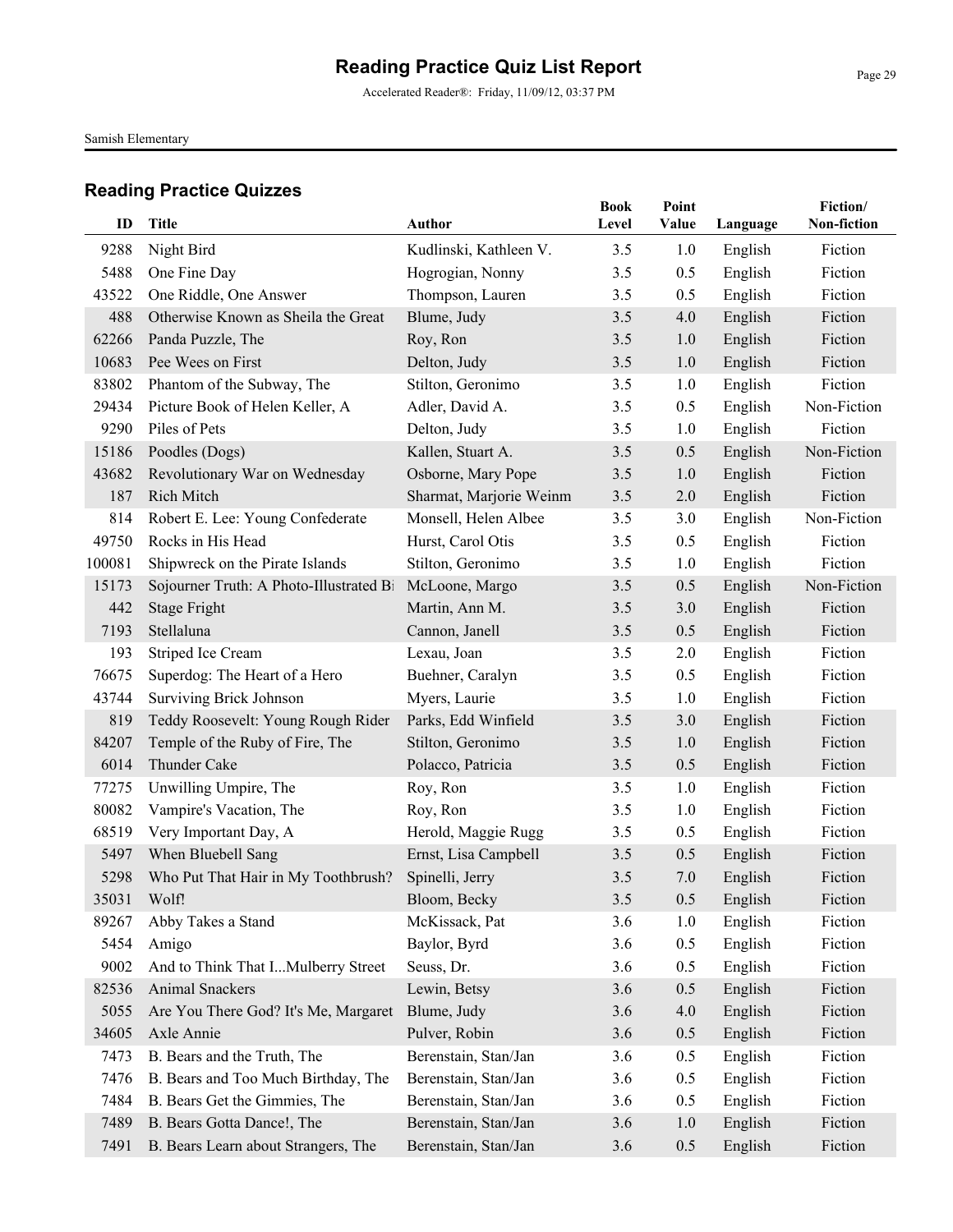Samish Elementary

| ID     | <b>Title</b>                            | Author                  | <b>Book</b><br>Level | Point<br>Value | Language | Fiction/<br>Non-fiction |
|--------|-----------------------------------------|-------------------------|----------------------|----------------|----------|-------------------------|
| 9288   | Night Bird                              | Kudlinski, Kathleen V.  | 3.5                  | 1.0            | English  | Fiction                 |
| 5488   | One Fine Day                            | Hogrogian, Nonny        | 3.5                  | 0.5            | English  | Fiction                 |
| 43522  | One Riddle, One Answer                  | Thompson, Lauren        | 3.5                  | 0.5            | English  | Fiction                 |
| 488    | Otherwise Known as Sheila the Great     | Blume, Judy             | 3.5                  | 4.0            | English  | Fiction                 |
| 62266  | Panda Puzzle, The                       | Roy, Ron                | 3.5                  | 1.0            | English  | Fiction                 |
| 10683  | Pee Wees on First                       | Delton, Judy            | 3.5                  | 1.0            | English  | Fiction                 |
| 83802  | Phantom of the Subway, The              | Stilton, Geronimo       | 3.5                  | 1.0            | English  | Fiction                 |
| 29434  | Picture Book of Helen Keller, A         | Adler, David A.         | 3.5                  | 0.5            | English  | Non-Fiction             |
| 9290   | Piles of Pets                           | Delton, Judy            | 3.5                  | 1.0            | English  | Fiction                 |
| 15186  | Poodles (Dogs)                          | Kallen, Stuart A.       | 3.5                  | 0.5            | English  | Non-Fiction             |
| 43682  | Revolutionary War on Wednesday          | Osborne, Mary Pope      | 3.5                  | 1.0            | English  | Fiction                 |
| 187    | Rich Mitch                              | Sharmat, Marjorie Weinm | 3.5                  | 2.0            | English  | Fiction                 |
| 814    | Robert E. Lee: Young Confederate        | Monsell, Helen Albee    | 3.5                  | 3.0            | English  | Non-Fiction             |
| 49750  | Rocks in His Head                       | Hurst, Carol Otis       | 3.5                  | 0.5            | English  | Fiction                 |
| 100081 | Shipwreck on the Pirate Islands         | Stilton, Geronimo       | 3.5                  | 1.0            | English  | Fiction                 |
| 15173  | Sojourner Truth: A Photo-Illustrated Bi | McLoone, Margo          | 3.5                  | 0.5            | English  | Non-Fiction             |
| 442    | <b>Stage Fright</b>                     | Martin, Ann M.          | 3.5                  | 3.0            | English  | Fiction                 |
| 7193   | Stellaluna                              | Cannon, Janell          | 3.5                  | 0.5            | English  | Fiction                 |
| 193    | Striped Ice Cream                       | Lexau, Joan             | 3.5                  | 2.0            | English  | Fiction                 |
| 76675  | Superdog: The Heart of a Hero           | Buehner, Caralyn        | 3.5                  | 0.5            | English  | Fiction                 |
| 43744  | <b>Surviving Brick Johnson</b>          | Myers, Laurie           | 3.5                  | 1.0            | English  | Fiction                 |
| 819    | Teddy Roosevelt: Young Rough Rider      | Parks, Edd Winfield     | 3.5                  | 3.0            | English  | Fiction                 |
| 84207  | Temple of the Ruby of Fire, The         | Stilton, Geronimo       | 3.5                  | 1.0            | English  | Fiction                 |
| 6014   | Thunder Cake                            | Polacco, Patricia       | 3.5                  | 0.5            | English  | Fiction                 |
| 77275  | Unwilling Umpire, The                   | Roy, Ron                | 3.5                  | 1.0            | English  | Fiction                 |
| 80082  | Vampire's Vacation, The                 | Roy, Ron                | 3.5                  | 1.0            | English  | Fiction                 |
| 68519  | Very Important Day, A                   | Herold, Maggie Rugg     | 3.5                  | 0.5            | English  | Fiction                 |
| 5497   | When Bluebell Sang                      | Ernst, Lisa Campbell    | 3.5                  | 0.5            | English  | Fiction                 |
| 5298   | Who Put That Hair in My Toothbrush?     | Spinelli, Jerry         | 3.5                  | 7.0            | English  | Fiction                 |
| 35031  | Wolf!                                   | Bloom, Becky            | $3.5$                | 0.5            | English  | Fiction                 |
| 89267  | Abby Takes a Stand                      | McKissack, Pat          | 3.6                  | 1.0            | English  | Fiction                 |
| 5454   | Amigo                                   | Baylor, Byrd            | 3.6                  | 0.5            | English  | Fiction                 |
| 9002   | And to Think That IMulberry Street      | Seuss, Dr.              | 3.6                  | 0.5            | English  | Fiction                 |
| 82536  | Animal Snackers                         | Lewin, Betsy            | 3.6                  | 0.5            | English  | Fiction                 |
| 5055   | Are You There God? It's Me, Margaret    | Blume, Judy             | 3.6                  | 4.0            | English  | Fiction                 |
| 34605  | Axle Annie                              | Pulver, Robin           | 3.6                  | 0.5            | English  | Fiction                 |
| 7473   | B. Bears and the Truth, The             | Berenstain, Stan/Jan    | 3.6                  | 0.5            | English  | Fiction                 |
| 7476   | B. Bears and Too Much Birthday, The     | Berenstain, Stan/Jan    | 3.6                  | 0.5            | English  | Fiction                 |
| 7484   | B. Bears Get the Gimmies, The           | Berenstain, Stan/Jan    | 3.6                  | 0.5            | English  | Fiction                 |
| 7489   | B. Bears Gotta Dance!, The              | Berenstain, Stan/Jan    | 3.6                  | 1.0            | English  | Fiction                 |
| 7491   | B. Bears Learn about Strangers, The     | Berenstain, Stan/Jan    | 3.6                  | 0.5            | English  | Fiction                 |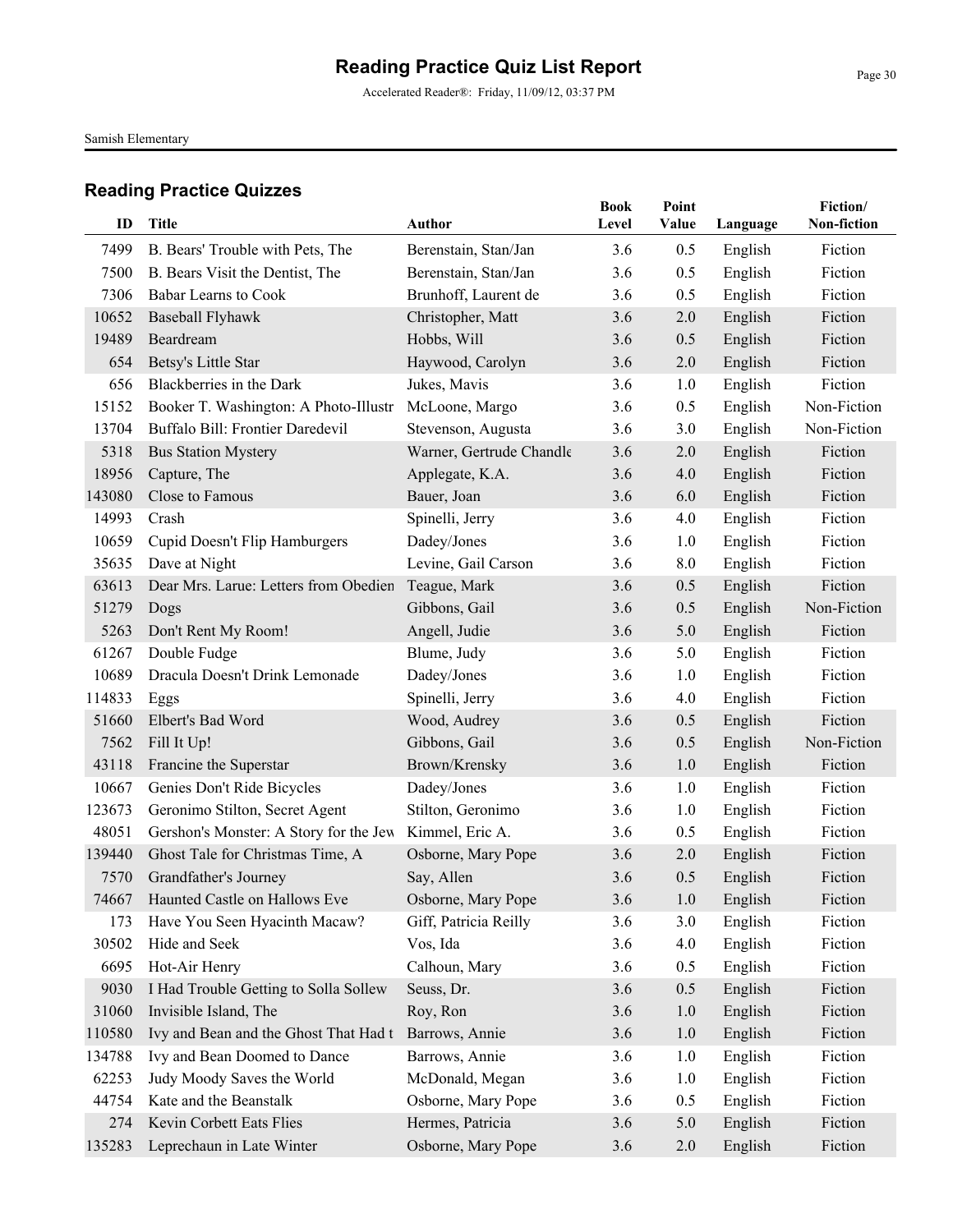Accelerated Reader®: Friday, 11/09/12, 03:37 PM

Samish Elementary

| ID     | Title                                  | Author                   | <b>Book</b><br>Level | Point<br>Value | Language | Fiction/<br>Non-fiction |
|--------|----------------------------------------|--------------------------|----------------------|----------------|----------|-------------------------|
| 7499   | B. Bears' Trouble with Pets, The       | Berenstain, Stan/Jan     | 3.6                  | 0.5            | English  | Fiction                 |
| 7500   | B. Bears Visit the Dentist, The        | Berenstain, Stan/Jan     | 3.6                  | 0.5            | English  | Fiction                 |
| 7306   | <b>Babar Learns to Cook</b>            | Brunhoff, Laurent de     | 3.6                  | 0.5            | English  | Fiction                 |
| 10652  | Baseball Flyhawk                       | Christopher, Matt        | 3.6                  | 2.0            | English  | Fiction                 |
| 19489  | Beardream                              | Hobbs, Will              | 3.6                  | 0.5            | English  | Fiction                 |
| 654    | Betsy's Little Star                    | Haywood, Carolyn         | 3.6                  | 2.0            | English  | Fiction                 |
| 656    | Blackberries in the Dark               | Jukes, Mavis             | 3.6                  | 1.0            | English  | Fiction                 |
| 15152  | Booker T. Washington: A Photo-Illustr  | McLoone, Margo           | 3.6                  | 0.5            | English  | Non-Fiction             |
| 13704  | Buffalo Bill: Frontier Daredevil       | Stevenson, Augusta       | 3.6                  | 3.0            | English  | Non-Fiction             |
| 5318   | <b>Bus Station Mystery</b>             | Warner, Gertrude Chandle | 3.6                  | 2.0            | English  | Fiction                 |
| 18956  | Capture, The                           | Applegate, K.A.          | 3.6                  | 4.0            | English  | Fiction                 |
| 143080 | Close to Famous                        | Bauer, Joan              | 3.6                  | 6.0            | English  | Fiction                 |
| 14993  | Crash                                  | Spinelli, Jerry          | 3.6                  | 4.0            | English  | Fiction                 |
| 10659  | Cupid Doesn't Flip Hamburgers          | Dadey/Jones              | 3.6                  | 1.0            | English  | Fiction                 |
| 35635  | Dave at Night                          | Levine, Gail Carson      | 3.6                  | 8.0            | English  | Fiction                 |
| 63613  | Dear Mrs. Larue: Letters from Obedien  | Teague, Mark             | 3.6                  | 0.5            | English  | Fiction                 |
| 51279  | Dogs                                   | Gibbons, Gail            | 3.6                  | 0.5            | English  | Non-Fiction             |
| 5263   | Don't Rent My Room!                    | Angell, Judie            | 3.6                  | 5.0            | English  | Fiction                 |
| 61267  | Double Fudge                           | Blume, Judy              | 3.6                  | 5.0            | English  | Fiction                 |
| 10689  | Dracula Doesn't Drink Lemonade         | Dadey/Jones              | 3.6                  | 1.0            | English  | Fiction                 |
| 114833 | Eggs                                   | Spinelli, Jerry          | 3.6                  | 4.0            | English  | Fiction                 |
| 51660  | Elbert's Bad Word                      | Wood, Audrey             | 3.6                  | 0.5            | English  | Fiction                 |
| 7562   | Fill It Up!                            | Gibbons, Gail            | 3.6                  | 0.5            | English  | Non-Fiction             |
| 43118  | Francine the Superstar                 | Brown/Krensky            | 3.6                  | 1.0            | English  | Fiction                 |
| 10667  | Genies Don't Ride Bicycles             | Dadey/Jones              | 3.6                  | 1.0            | English  | Fiction                 |
| 123673 | Geronimo Stilton, Secret Agent         | Stilton, Geronimo        | 3.6                  | 1.0            | English  | Fiction                 |
| 48051  | Gershon's Monster: A Story for the Jew | Kimmel, Eric A.          | 3.6                  | 0.5            | English  | Fiction                 |
| 139440 | Ghost Tale for Christmas Time, A       | Osborne, Mary Pope       | 3.6                  | 2.0            | English  | Fiction                 |
| 7570   | Grandfather's Journey                  | Say, Allen               | 3.6                  | 0.5            | English  | Fiction                 |
|        | 74667 Haunted Castle on Hallows Eve    | Osborne, Mary Pope       | 3.6                  | 1.0            | English  | Fiction                 |
| 173    | Have You Seen Hyacinth Macaw?          | Giff, Patricia Reilly    | 3.6                  | 3.0            | English  | Fiction                 |
| 30502  | Hide and Seek                          | Vos, Ida                 | 3.6                  | 4.0            | English  | Fiction                 |
| 6695   | Hot-Air Henry                          | Calhoun, Mary            | 3.6                  | 0.5            | English  | Fiction                 |
| 9030   | I Had Trouble Getting to Solla Sollew  | Seuss, Dr.               | 3.6                  | 0.5            | English  | Fiction                 |
| 31060  | Invisible Island, The                  | Roy, Ron                 | 3.6                  | 1.0            | English  | Fiction                 |
| 110580 | Ivy and Bean and the Ghost That Had t  | Barrows, Annie           | 3.6                  | 1.0            | English  | Fiction                 |
| 134788 | Ivy and Bean Doomed to Dance           | Barrows, Annie           | 3.6                  | 1.0            | English  | Fiction                 |
| 62253  | Judy Moody Saves the World             | McDonald, Megan          | 3.6                  | 1.0            | English  | Fiction                 |
| 44754  | Kate and the Beanstalk                 | Osborne, Mary Pope       | 3.6                  | 0.5            | English  | Fiction                 |
| 274    | Kevin Corbett Eats Flies               | Hermes, Patricia         | 3.6                  | 5.0            | English  | Fiction                 |
| 135283 | Leprechaun in Late Winter              | Osborne, Mary Pope       | 3.6                  | 2.0            | English  | Fiction                 |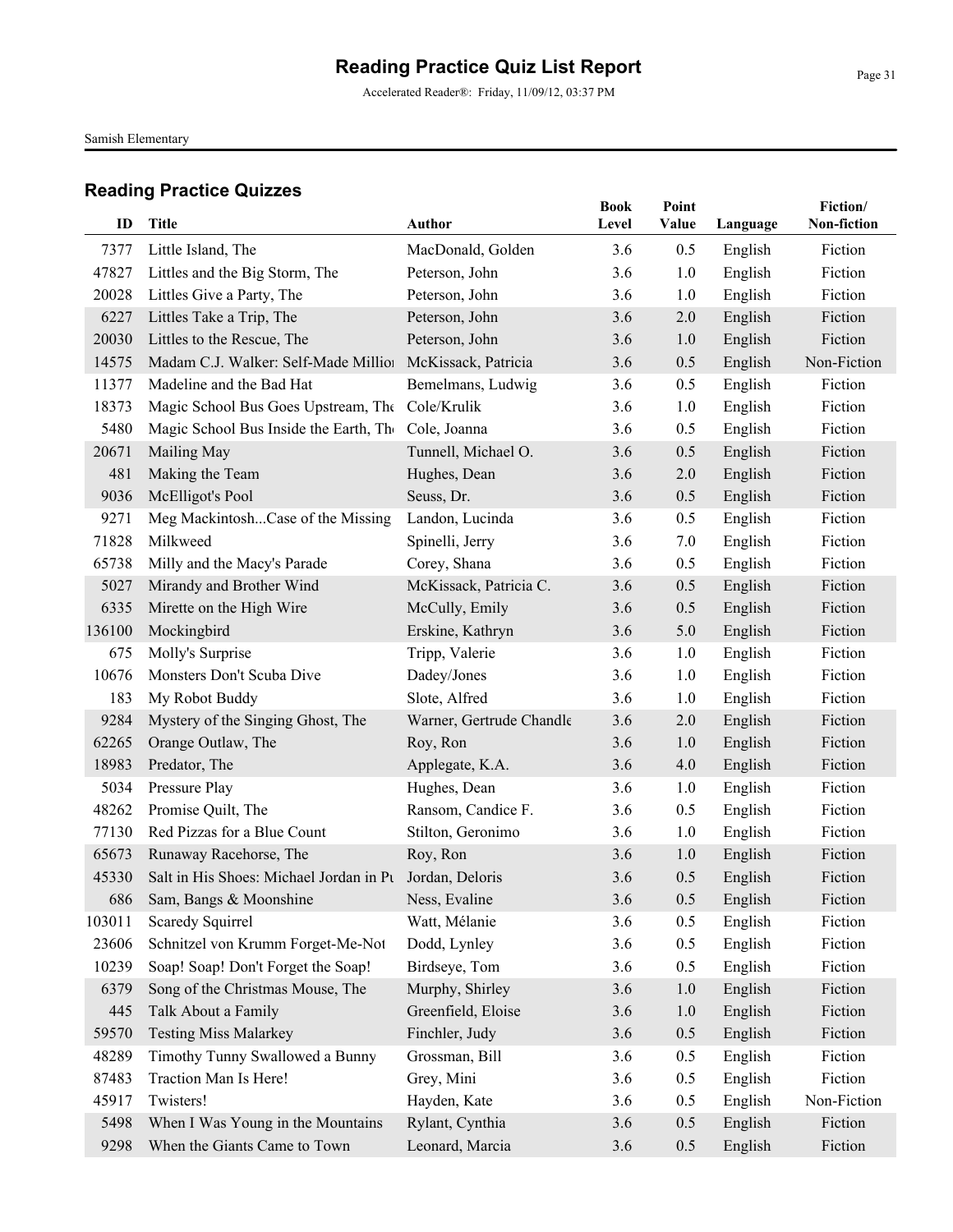Accelerated Reader®: Friday, 11/09/12, 03:37 PM

Samish Elementary

| ID            | Title                                                    | Author                                 | <b>Book</b><br>Level | Point<br>Value | Language           | Fiction/<br>Non-fiction |
|---------------|----------------------------------------------------------|----------------------------------------|----------------------|----------------|--------------------|-------------------------|
|               | Little Island, The                                       |                                        | 3.6                  |                |                    |                         |
| 7377<br>47827 | Littles and the Big Storm, The                           | MacDonald, Golden<br>Peterson, John    | 3.6                  | 0.5<br>1.0     | English            | Fiction<br>Fiction      |
| 20028         | Littles Give a Party, The                                |                                        | 3.6                  |                | English            | Fiction                 |
| 6227          | Littles Take a Trip, The                                 | Peterson, John<br>Peterson, John       | 3.6                  | 1.0<br>2.0     | English<br>English | Fiction                 |
| 20030         | Littles to the Rescue, The                               | Peterson, John                         | 3.6                  | 1.0            | English            | Fiction                 |
| 14575         | Madam C.J. Walker: Self-Made Millior McKissack, Patricia |                                        | 3.6                  | 0.5            | English            | Non-Fiction             |
| 11377         | Madeline and the Bad Hat                                 | Bemelmans, Ludwig                      | 3.6                  | 0.5            | English            | Fiction                 |
| 18373         | Magic School Bus Goes Upstream, The Cole/Krulik          |                                        | 3.6                  | 1.0            | English            | Fiction                 |
| 5480          | Magic School Bus Inside the Earth, The                   | Cole, Joanna                           | 3.6                  | 0.5            | English            | Fiction                 |
| 20671         | Mailing May                                              | Tunnell, Michael O.                    | 3.6                  | 0.5            | English            | Fiction                 |
| 481           | Making the Team                                          | Hughes, Dean                           | 3.6                  | 2.0            |                    | Fiction                 |
|               |                                                          |                                        |                      |                | English            |                         |
| 9036<br>9271  | McElligot's Pool<br>Meg MackintoshCase of the Missing    | Seuss, Dr.                             | 3.6<br>3.6           | 0.5<br>0.5     | English            | Fiction<br>Fiction      |
| 71828         | Milkweed                                                 | Landon, Lucinda                        |                      |                | English            | Fiction                 |
|               |                                                          | Spinelli, Jerry                        | 3.6                  | 7.0            | English            |                         |
| 65738<br>5027 | Milly and the Macy's Parade<br>Mirandy and Brother Wind  | Corey, Shana<br>McKissack, Patricia C. | 3.6<br>3.6           | 0.5<br>0.5     | English            | Fiction<br>Fiction      |
|               |                                                          |                                        |                      |                | English            |                         |
| 6335          | Mirette on the High Wire                                 | McCully, Emily                         | 3.6                  | 0.5            | English            | Fiction                 |
| 136100        | Mockingbird                                              | Erskine, Kathryn                       | 3.6                  | 5.0            | English            | Fiction                 |
| 675           | Molly's Surprise                                         | Tripp, Valerie                         | 3.6                  | 1.0            | English            | Fiction                 |
| 10676         | Monsters Don't Scuba Dive                                | Dadey/Jones                            | 3.6                  | 1.0            | English            | Fiction                 |
| 183           | My Robot Buddy                                           | Slote, Alfred                          | 3.6                  | 1.0            | English            | Fiction                 |
| 9284          | Mystery of the Singing Ghost, The                        | Warner, Gertrude Chandle               | 3.6                  | 2.0            | English            | Fiction                 |
| 62265         | Orange Outlaw, The                                       | Roy, Ron                               | 3.6                  | 1.0            | English            | Fiction                 |
| 18983         | Predator, The                                            | Applegate, K.A.                        | 3.6                  | 4.0            | English            | Fiction                 |
| 5034          | Pressure Play                                            | Hughes, Dean                           | 3.6                  | 1.0            | English            | Fiction                 |
| 48262         | Promise Quilt, The                                       | Ransom, Candice F.                     | 3.6                  | 0.5            | English            | Fiction                 |
| 77130         | Red Pizzas for a Blue Count                              | Stilton, Geronimo                      | 3.6                  | 1.0            | English            | Fiction                 |
| 65673         | Runaway Racehorse, The                                   | Roy, Ron                               | 3.6                  | 1.0            | English            | Fiction                 |
| 45330         | Salt in His Shoes: Michael Jordan in Pt Jordan, Deloris  |                                        | 3.6                  | 0.5            | English            | Fiction                 |
|               | 686 Sam, Bangs & Moonshine                               | Ness, Evaline                          | 3.6                  | 0.5            | English            | Fiction                 |
| 103011        | Scaredy Squirrel                                         | Watt, Mélanie                          | 3.6                  | 0.5            | English            | Fiction                 |
| 23606         | Schnitzel von Krumm Forget-Me-Not                        | Dodd, Lynley                           | 3.6                  | 0.5            | English            | Fiction                 |
| 10239         | Soap! Soap! Don't Forget the Soap!                       | Birdseye, Tom                          | 3.6                  | 0.5            | English            | Fiction                 |
| 6379          | Song of the Christmas Mouse, The                         | Murphy, Shirley                        | 3.6                  | 1.0            | English            | Fiction                 |
| 445           | Talk About a Family                                      | Greenfield, Eloise                     | 3.6                  | 1.0            | English            | Fiction                 |
| 59570         | <b>Testing Miss Malarkey</b>                             | Finchler, Judy                         | 3.6                  | 0.5            | English            | Fiction                 |
| 48289         | Timothy Tunny Swallowed a Bunny                          | Grossman, Bill                         | 3.6                  | 0.5            | English            | Fiction                 |
| 87483         | Traction Man Is Here!                                    | Grey, Mini                             | 3.6                  | 0.5            | English            | Fiction                 |
| 45917         | Twisters!                                                | Hayden, Kate                           | 3.6                  | 0.5            | English            | Non-Fiction             |
| 5498          | When I Was Young in the Mountains                        | Rylant, Cynthia                        | 3.6                  | 0.5            | English            | Fiction                 |
| 9298          | When the Giants Came to Town                             | Leonard, Marcia                        | 3.6                  | 0.5            | English            | Fiction                 |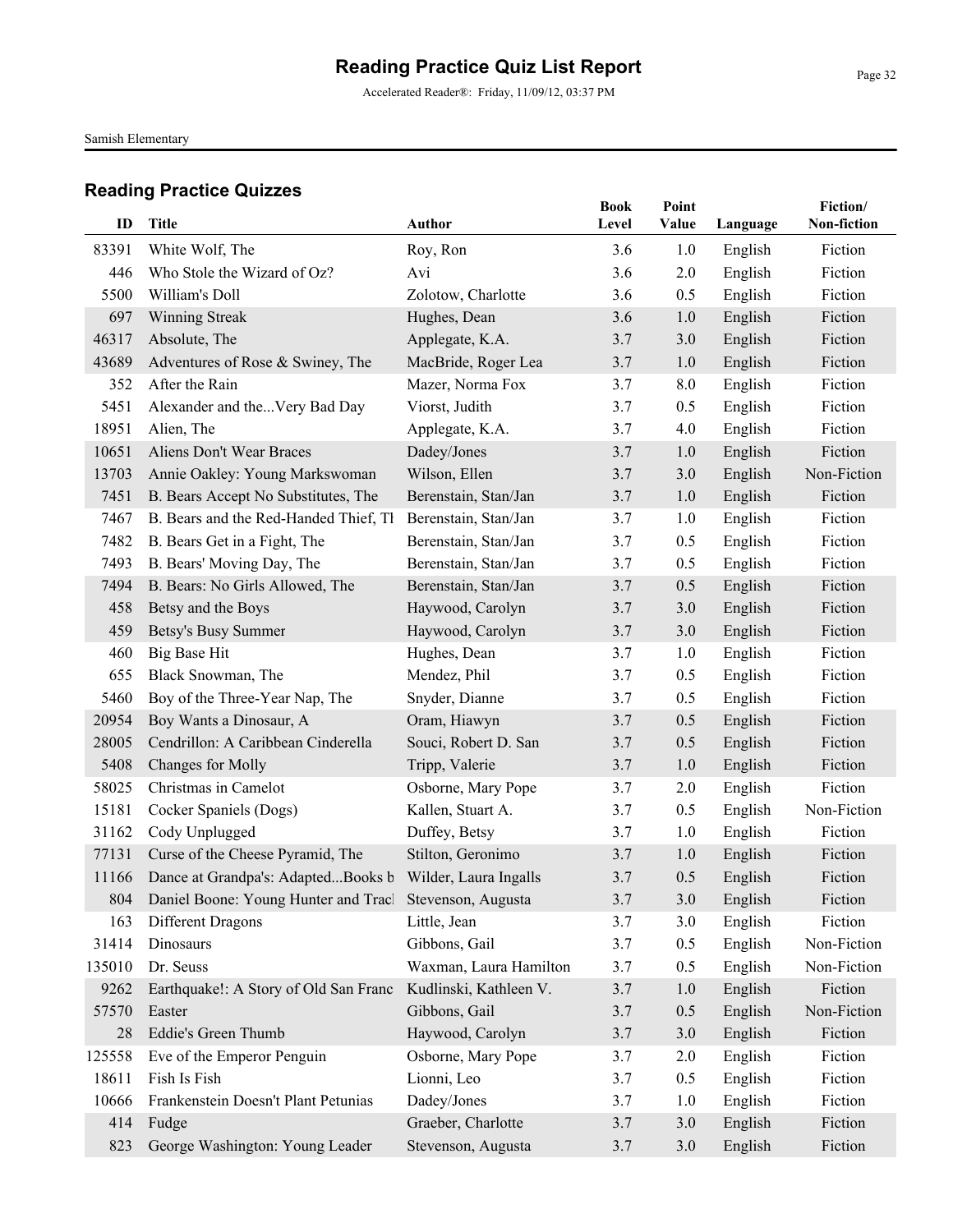Accelerated Reader®: Friday, 11/09/12, 03:37 PM

Samish Elementary

| ID     | Title                                                       | Author                 | <b>Book</b><br>Level | Point<br>Value | Language | Fiction/<br>Non-fiction |
|--------|-------------------------------------------------------------|------------------------|----------------------|----------------|----------|-------------------------|
| 83391  | White Wolf, The                                             | Roy, Ron               | 3.6                  | 1.0            | English  | Fiction                 |
| 446    | Who Stole the Wizard of Oz?                                 | Avi                    | 3.6                  | 2.0            | English  | Fiction                 |
| 5500   | William's Doll                                              | Zolotow, Charlotte     | 3.6                  | 0.5            | English  | Fiction                 |
| 697    | <b>Winning Streak</b>                                       | Hughes, Dean           | 3.6                  | 1.0            | English  | Fiction                 |
| 46317  | Absolute, The                                               | Applegate, K.A.        | 3.7                  | 3.0            | English  | Fiction                 |
| 43689  | Adventures of Rose & Swiney, The                            | MacBride, Roger Lea    | 3.7                  | 1.0            | English  | Fiction                 |
| 352    | After the Rain                                              | Mazer, Norma Fox       | 3.7                  | 8.0            | English  | Fiction                 |
| 5451   | Alexander and theVery Bad Day                               | Viorst, Judith         | 3.7                  | 0.5            | English  | Fiction                 |
| 18951  | Alien, The                                                  | Applegate, K.A.        | 3.7                  | 4.0            | English  | Fiction                 |
| 10651  | Aliens Don't Wear Braces                                    | Dadey/Jones            | 3.7                  | 1.0            | English  | Fiction                 |
| 13703  | Annie Oakley: Young Markswoman                              | Wilson, Ellen          | 3.7                  | 3.0            | English  | Non-Fiction             |
| 7451   | B. Bears Accept No Substitutes, The                         | Berenstain, Stan/Jan   | 3.7                  | 1.0            | English  | Fiction                 |
| 7467   | B. Bears and the Red-Handed Thief, Th                       | Berenstain, Stan/Jan   | 3.7                  | 1.0            | English  | Fiction                 |
| 7482   | B. Bears Get in a Fight, The                                | Berenstain, Stan/Jan   | 3.7                  | 0.5            | English  | Fiction                 |
| 7493   | B. Bears' Moving Day, The                                   | Berenstain, Stan/Jan   | 3.7                  | 0.5            | English  | Fiction                 |
| 7494   | B. Bears: No Girls Allowed, The                             | Berenstain, Stan/Jan   | 3.7                  | 0.5            | English  | Fiction                 |
| 458    | Betsy and the Boys                                          | Haywood, Carolyn       | 3.7                  | 3.0            | English  | Fiction                 |
| 459    | Betsy's Busy Summer                                         | Haywood, Carolyn       | 3.7                  | 3.0            | English  | Fiction                 |
| 460    | <b>Big Base Hit</b>                                         | Hughes, Dean           | 3.7                  | 1.0            | English  | Fiction                 |
| 655    | Black Snowman, The                                          | Mendez, Phil           | 3.7                  | 0.5            | English  | Fiction                 |
| 5460   | Boy of the Three-Year Nap, The                              | Snyder, Dianne         | 3.7                  | 0.5            | English  | Fiction                 |
| 20954  | Boy Wants a Dinosaur, A                                     | Oram, Hiawyn           | 3.7                  | 0.5            | English  | Fiction                 |
| 28005  | Cendrillon: A Caribbean Cinderella                          | Souci, Robert D. San   | 3.7                  | 0.5            | English  | Fiction                 |
| 5408   | Changes for Molly                                           | Tripp, Valerie         | 3.7                  | 1.0            | English  | Fiction                 |
| 58025  | Christmas in Camelot                                        | Osborne, Mary Pope     | 3.7                  | 2.0            | English  | Fiction                 |
| 15181  | Cocker Spaniels (Dogs)                                      | Kallen, Stuart A.      | 3.7                  | 0.5            | English  | Non-Fiction             |
| 31162  | Cody Unplugged                                              | Duffey, Betsy          | 3.7                  | 1.0            | English  | Fiction                 |
| 77131  | Curse of the Cheese Pyramid, The                            | Stilton, Geronimo      | 3.7                  | 1.0            | English  | Fiction                 |
| 11166  | Dance at Grandpa's: AdaptedBooks b Wilder, Laura Ingalls    |                        | 3.7                  | 0.5            | English  | Fiction                 |
|        | 804 Daniel Boone: Young Hunter and Tracl Stevenson, Augusta |                        | 3.7                  | 3.0            | English  | Fiction                 |
| 163    | Different Dragons                                           | Little, Jean           | 3.7                  | 3.0            | English  | Fiction                 |
| 31414  | Dinosaurs                                                   | Gibbons, Gail          | 3.7                  | 0.5            | English  | Non-Fiction             |
| 135010 | Dr. Seuss                                                   | Waxman, Laura Hamilton | 3.7                  | 0.5            | English  | Non-Fiction             |
| 9262   | Earthquake!: A Story of Old San Franc                       | Kudlinski, Kathleen V. | 3.7                  | 1.0            | English  | Fiction                 |
| 57570  | Easter                                                      | Gibbons, Gail          | 3.7                  | 0.5            | English  | Non-Fiction             |
| 28     | Eddie's Green Thumb                                         | Haywood, Carolyn       | 3.7                  | 3.0            | English  | Fiction                 |
| 125558 | Eve of the Emperor Penguin                                  | Osborne, Mary Pope     | 3.7                  | 2.0            | English  | Fiction                 |
| 18611  | Fish Is Fish                                                | Lionni, Leo            | 3.7                  | 0.5            | English  | Fiction                 |
| 10666  | Frankenstein Doesn't Plant Petunias                         | Dadey/Jones            | 3.7                  | 1.0            | English  | Fiction                 |
| 414    | Fudge                                                       | Graeber, Charlotte     | 3.7                  | 3.0            | English  | Fiction                 |
| 823    | George Washington: Young Leader                             | Stevenson, Augusta     | 3.7                  | 3.0            | English  | Fiction                 |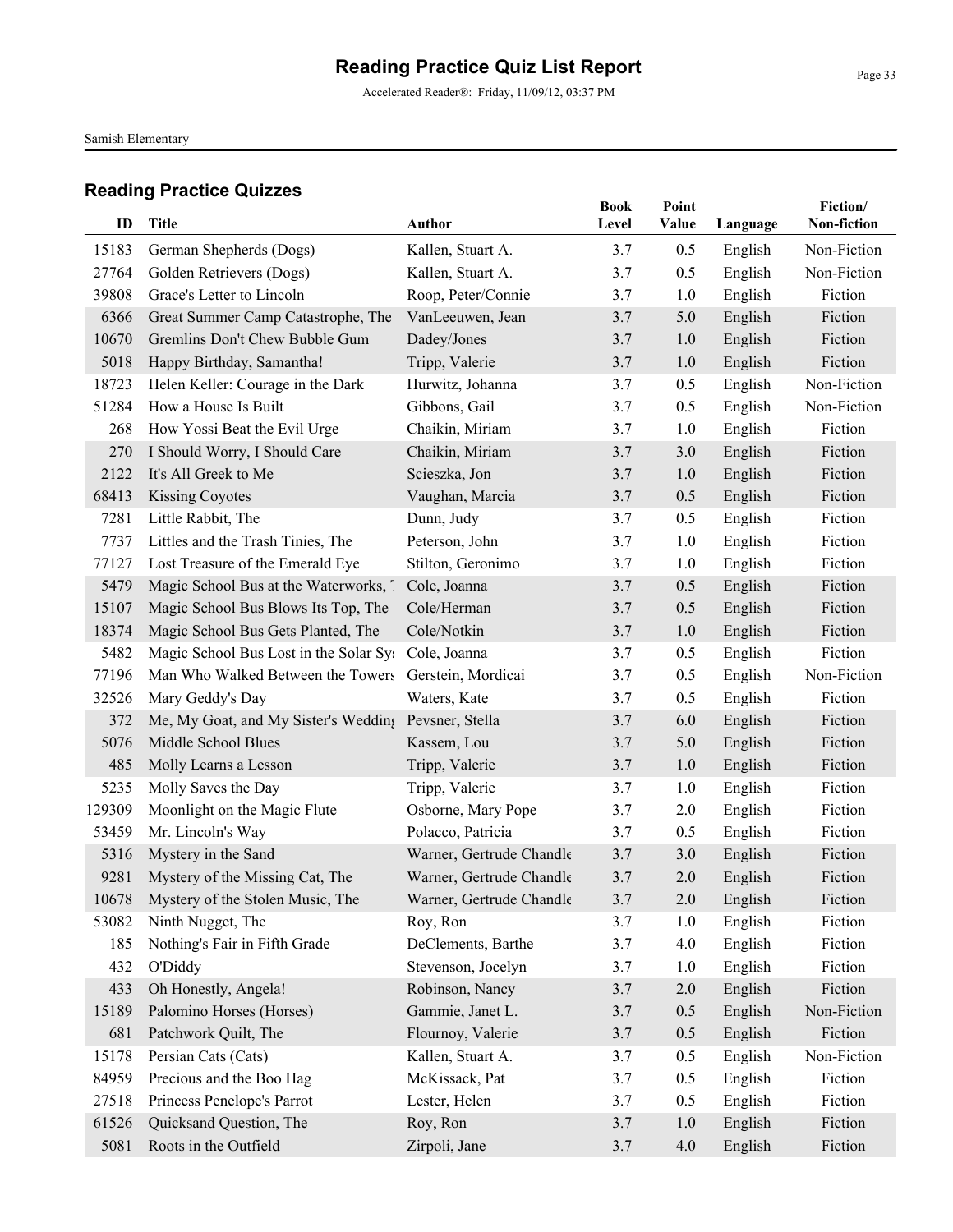Accelerated Reader®: Friday, 11/09/12, 03:37 PM

Samish Elementary

| ID     | <b>Title</b>                                         | Author                   | <b>Book</b><br>Level | Point<br>Value | Language | Fiction/<br>Non-fiction |
|--------|------------------------------------------------------|--------------------------|----------------------|----------------|----------|-------------------------|
| 15183  | German Shepherds (Dogs)                              | Kallen, Stuart A.        | 3.7                  | 0.5            | English  | Non-Fiction             |
| 27764  | Golden Retrievers (Dogs)                             | Kallen, Stuart A.        | 3.7                  | 0.5            | English  | Non-Fiction             |
| 39808  | Grace's Letter to Lincoln                            | Roop, Peter/Connie       | 3.7                  | 1.0            | English  | Fiction                 |
| 6366   | Great Summer Camp Catastrophe, The                   | VanLeeuwen, Jean         | 3.7                  | 5.0            | English  | Fiction                 |
| 10670  | Gremlins Don't Chew Bubble Gum                       | Dadey/Jones              | 3.7                  | 1.0            | English  | Fiction                 |
| 5018   | Happy Birthday, Samantha!                            | Tripp, Valerie           | 3.7                  | 1.0            | English  | Fiction                 |
| 18723  | Helen Keller: Courage in the Dark                    | Hurwitz, Johanna         | 3.7                  | 0.5            | English  | Non-Fiction             |
| 51284  | How a House Is Built                                 | Gibbons, Gail            | 3.7                  | 0.5            | English  | Non-Fiction             |
| 268    | How Yossi Beat the Evil Urge                         | Chaikin, Miriam          | 3.7                  | 1.0            | English  | Fiction                 |
| 270    | I Should Worry, I Should Care                        | Chaikin, Miriam          | 3.7                  | 3.0            | English  | Fiction                 |
| 2122   | It's All Greek to Me                                 | Scieszka, Jon            | 3.7                  | 1.0            | English  | Fiction                 |
| 68413  | <b>Kissing Coyotes</b>                               | Vaughan, Marcia          | 3.7                  | 0.5            | English  | Fiction                 |
| 7281   | Little Rabbit, The                                   | Dunn, Judy               | 3.7                  | 0.5            | English  | Fiction                 |
| 7737   | Littles and the Trash Tinies, The                    | Peterson, John           | 3.7                  | 1.0            | English  | Fiction                 |
| 77127  | Lost Treasure of the Emerald Eye                     | Stilton, Geronimo        | 3.7                  | 1.0            | English  | Fiction                 |
| 5479   | Magic School Bus at the Waterworks,                  | Cole, Joanna             | 3.7                  | 0.5            | English  | Fiction                 |
| 15107  | Magic School Bus Blows Its Top, The                  | Cole/Herman              | 3.7                  | 0.5            | English  | Fiction                 |
| 18374  | Magic School Bus Gets Planted, The                   | Cole/Notkin              | 3.7                  | 1.0            | English  | Fiction                 |
| 5482   | Magic School Bus Lost in the Solar Sy                | Cole, Joanna             | 3.7                  | 0.5            | English  | Fiction                 |
| 77196  | Man Who Walked Between the Towers                    | Gerstein, Mordicai       | 3.7                  | 0.5            | English  | Non-Fiction             |
| 32526  | Mary Geddy's Day                                     | Waters, Kate             | 3.7                  | 0.5            | English  | Fiction                 |
| 372    | Me, My Goat, and My Sister's Wedding Pevsner, Stella |                          | 3.7                  | 6.0            | English  | Fiction                 |
| 5076   | Middle School Blues                                  | Kassem, Lou              | 3.7                  | 5.0            | English  | Fiction                 |
| 485    | Molly Learns a Lesson                                | Tripp, Valerie           | 3.7                  | 1.0            | English  | Fiction                 |
| 5235   | Molly Saves the Day                                  | Tripp, Valerie           | 3.7                  | 1.0            | English  | Fiction                 |
| 129309 | Moonlight on the Magic Flute                         | Osborne, Mary Pope       | 3.7                  | 2.0            | English  | Fiction                 |
| 53459  | Mr. Lincoln's Way                                    | Polacco, Patricia        | 3.7                  | 0.5            | English  | Fiction                 |
| 5316   | Mystery in the Sand                                  | Warner, Gertrude Chandle | 3.7                  | 3.0            | English  | Fiction                 |
| 9281   | Mystery of the Missing Cat, The                      | Warner, Gertrude Chandle | 3.7                  | 2.0            | English  | Fiction                 |
| 10678  | Mystery of the Stolen Music, The                     | Warner, Gertrude Chandle | 3.7                  | $2.0\,$        | English  | Fiction                 |
| 53082  | Ninth Nugget, The                                    | Roy, Ron                 | 3.7                  | 1.0            | English  | Fiction                 |
| 185    | Nothing's Fair in Fifth Grade                        | DeClements, Barthe       | 3.7                  | 4.0            | English  | Fiction                 |
| 432    | O'Diddy                                              | Stevenson, Jocelyn       | 3.7                  | 1.0            | English  | Fiction                 |
| 433    | Oh Honestly, Angela!                                 | Robinson, Nancy          | 3.7                  | 2.0            | English  | Fiction                 |
| 15189  | Palomino Horses (Horses)                             | Gammie, Janet L.         | 3.7                  | 0.5            | English  | Non-Fiction             |
| 681    | Patchwork Quilt, The                                 | Flournoy, Valerie        | 3.7                  | 0.5            | English  | Fiction                 |
| 15178  | Persian Cats (Cats)                                  | Kallen, Stuart A.        | 3.7                  | 0.5            | English  | Non-Fiction             |
| 84959  | Precious and the Boo Hag                             | McKissack, Pat           | 3.7                  | 0.5            | English  | Fiction                 |
| 27518  | Princess Penelope's Parrot                           | Lester, Helen            | 3.7                  | 0.5            | English  | Fiction                 |
| 61526  | Quicksand Question, The                              | Roy, Ron                 | 3.7                  | 1.0            | English  | Fiction                 |
| 5081   | Roots in the Outfield                                | Zirpoli, Jane            | 3.7                  | 4.0            | English  | Fiction                 |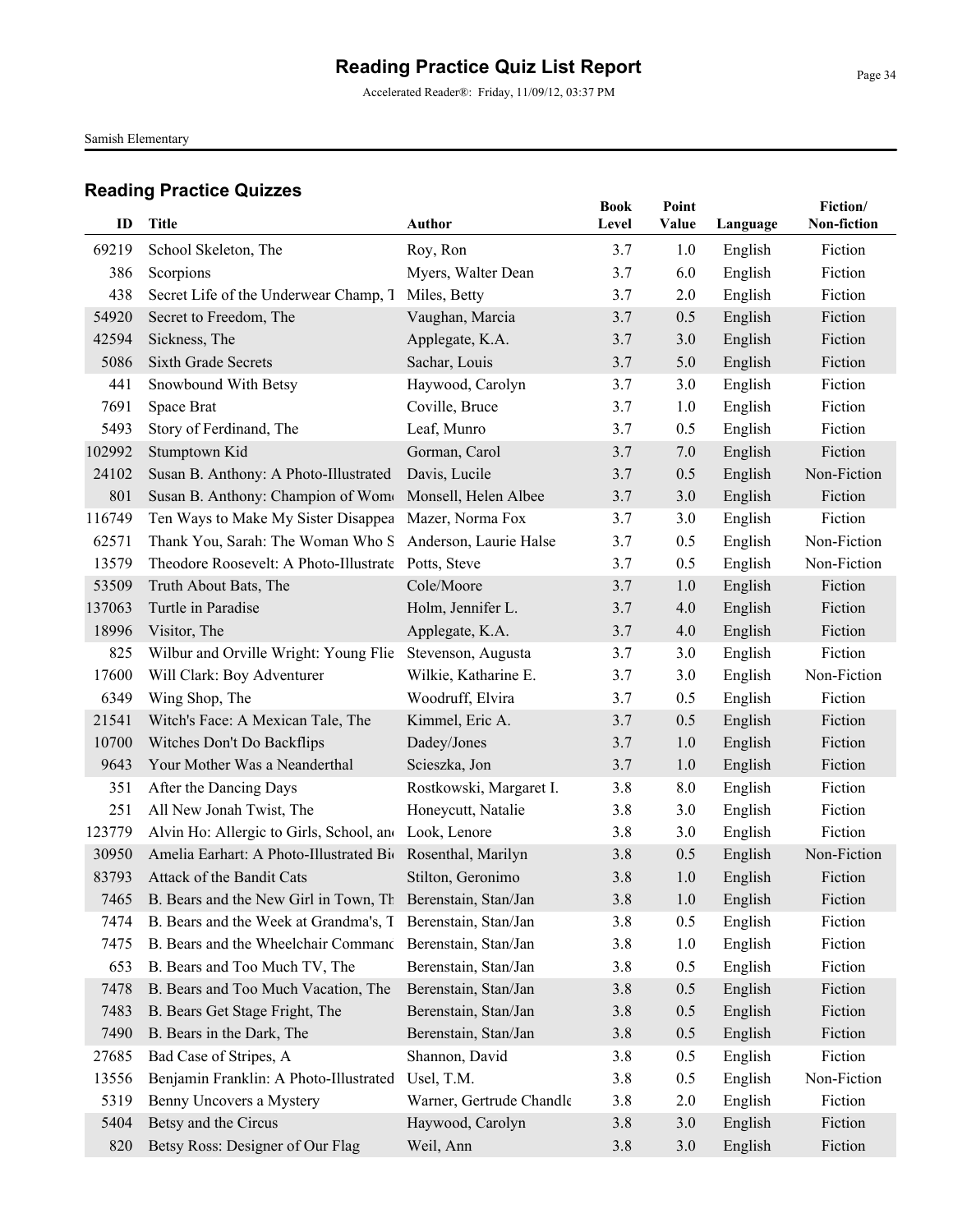Accelerated Reader®: Friday, 11/09/12, 03:37 PM

Samish Elementary

| ID     | <b>Title</b>                                                    | <b>Author</b>            | <b>Book</b><br>Level | Point<br>Value | Language | Fiction/<br>Non-fiction |
|--------|-----------------------------------------------------------------|--------------------------|----------------------|----------------|----------|-------------------------|
| 69219  | School Skeleton, The                                            | Roy, Ron                 | 3.7                  | 1.0            | English  | Fiction                 |
| 386    | Scorpions                                                       | Myers, Walter Dean       | 3.7                  | 6.0            | English  | Fiction                 |
| 438    | Secret Life of the Underwear Champ, T                           | Miles, Betty             | 3.7                  | 2.0            | English  | Fiction                 |
| 54920  | Secret to Freedom, The                                          | Vaughan, Marcia          | 3.7                  | 0.5            | English  | Fiction                 |
| 42594  | Sickness, The                                                   | Applegate, K.A.          | 3.7                  | 3.0            | English  | Fiction                 |
| 5086   | <b>Sixth Grade Secrets</b>                                      | Sachar, Louis            | 3.7                  | 5.0            | English  | Fiction                 |
| 441    | Snowbound With Betsy                                            | Haywood, Carolyn         | 3.7                  | 3.0            | English  | Fiction                 |
| 7691   | Space Brat                                                      | Coville, Bruce           | 3.7                  | 1.0            | English  | Fiction                 |
| 5493   | Story of Ferdinand, The                                         | Leaf, Munro              | 3.7                  | 0.5            | English  | Fiction                 |
| 102992 | Stumptown Kid                                                   | Gorman, Carol            | 3.7                  | 7.0            | English  | Fiction                 |
| 24102  | Susan B. Anthony: A Photo-Illustrated                           | Davis, Lucile            | 3.7                  | 0.5            | English  | Non-Fiction             |
| 801    | Susan B. Anthony: Champion of Wome Monsell, Helen Albee         |                          | 3.7                  | 3.0            | English  | Fiction                 |
| 116749 | Ten Ways to Make My Sister Disappea                             | Mazer, Norma Fox         | 3.7                  | 3.0            | English  | Fiction                 |
| 62571  | Thank You, Sarah: The Woman Who S Anderson, Laurie Halse        |                          | 3.7                  | 0.5            | English  | Non-Fiction             |
| 13579  | Theodore Roosevelt: A Photo-Illustrate Potts, Steve             |                          | 3.7                  | 0.5            | English  | Non-Fiction             |
| 53509  | Truth About Bats, The                                           | Cole/Moore               | 3.7                  | 1.0            | English  | Fiction                 |
| 137063 | Turtle in Paradise                                              | Holm, Jennifer L.        | 3.7                  | 4.0            | English  | Fiction                 |
| 18996  | Visitor, The                                                    | Applegate, K.A.          | 3.7                  | 4.0            | English  | Fiction                 |
| 825    | Wilbur and Orville Wright: Young Flie                           | Stevenson, Augusta       | 3.7                  | 3.0            | English  | Fiction                 |
| 17600  | Will Clark: Boy Adventurer                                      | Wilkie, Katharine E.     | 3.7                  | 3.0            | English  | Non-Fiction             |
| 6349   | Wing Shop, The                                                  | Woodruff, Elvira         | 3.7                  | 0.5            | English  | Fiction                 |
| 21541  | Witch's Face: A Mexican Tale, The                               | Kimmel, Eric A.          | 3.7                  | 0.5            | English  | Fiction                 |
| 10700  | Witches Don't Do Backflips                                      | Dadey/Jones              | 3.7                  | 1.0            | English  | Fiction                 |
| 9643   | Your Mother Was a Neanderthal                                   | Scieszka, Jon            | 3.7                  | 1.0            | English  | Fiction                 |
| 351    | After the Dancing Days                                          | Rostkowski, Margaret I.  | 3.8                  | 8.0            | English  | Fiction                 |
| 251    | All New Jonah Twist, The                                        | Honeycutt, Natalie       | 3.8                  | 3.0            | English  | Fiction                 |
| 123779 | Alvin Ho: Allergic to Girls, School, and Look, Lenore           |                          | 3.8                  | 3.0            | English  | Fiction                 |
| 30950  | Amelia Earhart: A Photo-Illustrated Bio Rosenthal, Marilyn      |                          | 3.8                  | 0.5            | English  | Non-Fiction             |
| 83793  | Attack of the Bandit Cats                                       | Stilton, Geronimo        | 3.8                  | 1.0            | English  | Fiction                 |
|        | 7465 B. Bears and the New Girl in Town, Th Berenstain, Stan/Jan |                          | $3.8$                | 1.0            | English  | Fiction                 |
| 7474   | B. Bears and the Week at Grandma's, T                           | Berenstain, Stan/Jan     | 3.8                  | 0.5            | English  | Fiction                 |
| 7475   | B. Bears and the Wheelchair Commanc Berenstain, Stan/Jan        |                          | 3.8                  | 1.0            | English  | Fiction                 |
| 653    | B. Bears and Too Much TV, The                                   | Berenstain, Stan/Jan     | 3.8                  | 0.5            | English  | Fiction                 |
| 7478   | B. Bears and Too Much Vacation, The                             | Berenstain, Stan/Jan     | 3.8                  | 0.5            | English  | Fiction                 |
| 7483   | B. Bears Get Stage Fright, The                                  | Berenstain, Stan/Jan     | 3.8                  | 0.5            | English  | Fiction                 |
| 7490   | B. Bears in the Dark, The                                       | Berenstain, Stan/Jan     | 3.8                  | 0.5            | English  | Fiction                 |
| 27685  | Bad Case of Stripes, A                                          | Shannon, David           | 3.8                  | 0.5            | English  | Fiction                 |
| 13556  | Benjamin Franklin: A Photo-Illustrated                          | Usel, T.M.               | 3.8                  | 0.5            | English  | Non-Fiction             |
| 5319   | Benny Uncovers a Mystery                                        | Warner, Gertrude Chandle | 3.8                  | 2.0            | English  | Fiction                 |
| 5404   | Betsy and the Circus                                            | Haywood, Carolyn         | 3.8                  | 3.0            | English  | Fiction                 |
| 820    | Betsy Ross: Designer of Our Flag                                | Weil, Ann                | 3.8                  | 3.0            | English  | Fiction                 |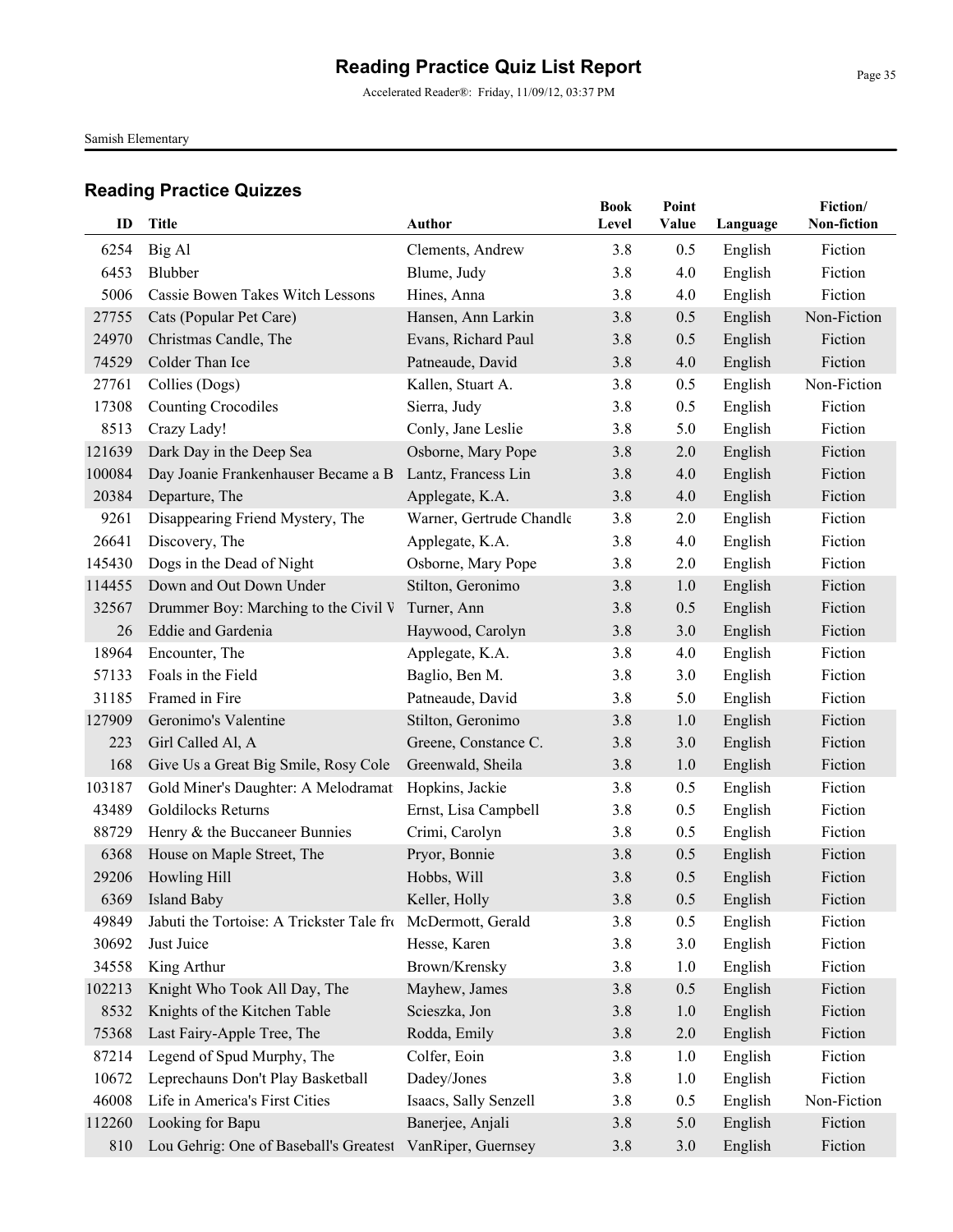Accelerated Reader®: Friday, 11/09/12, 03:37 PM

Samish Elementary

| ID     | <b>Title</b>                              | <b>Author</b>            | <b>Book</b><br>Level | Point<br>Value | Language | Fiction/<br>Non-fiction |
|--------|-------------------------------------------|--------------------------|----------------------|----------------|----------|-------------------------|
| 6254   | Big Al                                    | Clements, Andrew         | 3.8                  | 0.5            | English  | Fiction                 |
| 6453   | Blubber                                   | Blume, Judy              | 3.8                  | 4.0            | English  | Fiction                 |
| 5006   | <b>Cassie Bowen Takes Witch Lessons</b>   | Hines, Anna              | 3.8                  | 4.0            | English  | Fiction                 |
| 27755  | Cats (Popular Pet Care)                   | Hansen, Ann Larkin       | 3.8                  | 0.5            | English  | Non-Fiction             |
| 24970  | Christmas Candle, The                     | Evans, Richard Paul      | 3.8                  | 0.5            | English  | Fiction                 |
| 74529  | Colder Than Ice                           | Patneaude, David         | 3.8                  | 4.0            | English  | Fiction                 |
| 27761  | Collies (Dogs)                            | Kallen, Stuart A.        | 3.8                  | 0.5            | English  | Non-Fiction             |
| 17308  | <b>Counting Crocodiles</b>                | Sierra, Judy             | 3.8                  | 0.5            | English  | Fiction                 |
| 8513   | Crazy Lady!                               | Conly, Jane Leslie       | 3.8                  | 5.0            | English  | Fiction                 |
| 121639 | Dark Day in the Deep Sea                  | Osborne, Mary Pope       | 3.8                  | 2.0            | English  | Fiction                 |
| 100084 | Day Joanie Frankenhauser Became a B       | Lantz, Francess Lin      | 3.8                  | 4.0            | English  | Fiction                 |
| 20384  | Departure, The                            | Applegate, K.A.          | 3.8                  | 4.0            | English  | Fiction                 |
| 9261   | Disappearing Friend Mystery, The          | Warner, Gertrude Chandle | 3.8                  | 2.0            | English  | Fiction                 |
| 26641  | Discovery, The                            | Applegate, K.A.          | 3.8                  | 4.0            | English  | Fiction                 |
| 145430 | Dogs in the Dead of Night                 | Osborne, Mary Pope       | 3.8                  | 2.0            | English  | Fiction                 |
| 114455 | Down and Out Down Under                   | Stilton, Geronimo        | 3.8                  | 1.0            | English  | Fiction                 |
| 32567  | Drummer Boy: Marching to the Civil V      | Turner, Ann              | 3.8                  | 0.5            | English  | Fiction                 |
| 26     | Eddie and Gardenia                        | Haywood, Carolyn         | 3.8                  | 3.0            | English  | Fiction                 |
| 18964  | Encounter, The                            | Applegate, K.A.          | 3.8                  | 4.0            | English  | Fiction                 |
| 57133  | Foals in the Field                        | Baglio, Ben M.           | 3.8                  | 3.0            | English  | Fiction                 |
| 31185  | Framed in Fire                            | Patneaude, David         | 3.8                  | 5.0            | English  | Fiction                 |
| 127909 | Geronimo's Valentine                      | Stilton, Geronimo        | 3.8                  | 1.0            | English  | Fiction                 |
| 223    | Girl Called Al, A                         | Greene, Constance C.     | 3.8                  | 3.0            | English  | Fiction                 |
| 168    | Give Us a Great Big Smile, Rosy Cole      | Greenwald, Sheila        | 3.8                  | 1.0            | English  | Fiction                 |
| 103187 | Gold Miner's Daughter: A Melodramat       | Hopkins, Jackie          | 3.8                  | 0.5            | English  | Fiction                 |
| 43489  | Goldilocks Returns                        | Ernst, Lisa Campbell     | 3.8                  | 0.5            | English  | Fiction                 |
| 88729  | Henry & the Buccaneer Bunnies             | Crimi, Carolyn           | 3.8                  | 0.5            | English  | Fiction                 |
| 6368   | House on Maple Street, The                | Pryor, Bonnie            | 3.8                  | 0.5            | English  | Fiction                 |
| 29206  | Howling Hill                              | Hobbs, Will              | 3.8                  | 0.5            | English  | Fiction                 |
| 6369   | Island Baby                               | Keller, Holly            | $3.8$                | 0.5            | English  | Fiction                 |
| 49849  | Jabuti the Tortoise: A Trickster Tale fro | McDermott, Gerald        | 3.8                  | 0.5            | English  | Fiction                 |
| 30692  | Just Juice                                | Hesse, Karen             | 3.8                  | 3.0            | English  | Fiction                 |
| 34558  | King Arthur                               | Brown/Krensky            | 3.8                  | 1.0            | English  | Fiction                 |
| 102213 | Knight Who Took All Day, The              | Mayhew, James            | 3.8                  | 0.5            | English  | Fiction                 |
| 8532   | Knights of the Kitchen Table              | Scieszka, Jon            | 3.8                  | 1.0            | English  | Fiction                 |
| 75368  | Last Fairy-Apple Tree, The                | Rodda, Emily             | 3.8                  | 2.0            | English  | Fiction                 |
| 87214  | Legend of Spud Murphy, The                | Colfer, Eoin             | 3.8                  | 1.0            | English  | Fiction                 |
| 10672  | Leprechauns Don't Play Basketball         | Dadey/Jones              | 3.8                  | 1.0            | English  | Fiction                 |
| 46008  | Life in America's First Cities            | Isaacs, Sally Senzell    | 3.8                  | 0.5            | English  | Non-Fiction             |
| 112260 | Looking for Bapu                          | Banerjee, Anjali         | 3.8                  | 5.0            | English  | Fiction                 |
| 810    | Lou Gehrig: One of Baseball's Greatest    | VanRiper, Guernsey       | 3.8                  | 3.0            | English  | Fiction                 |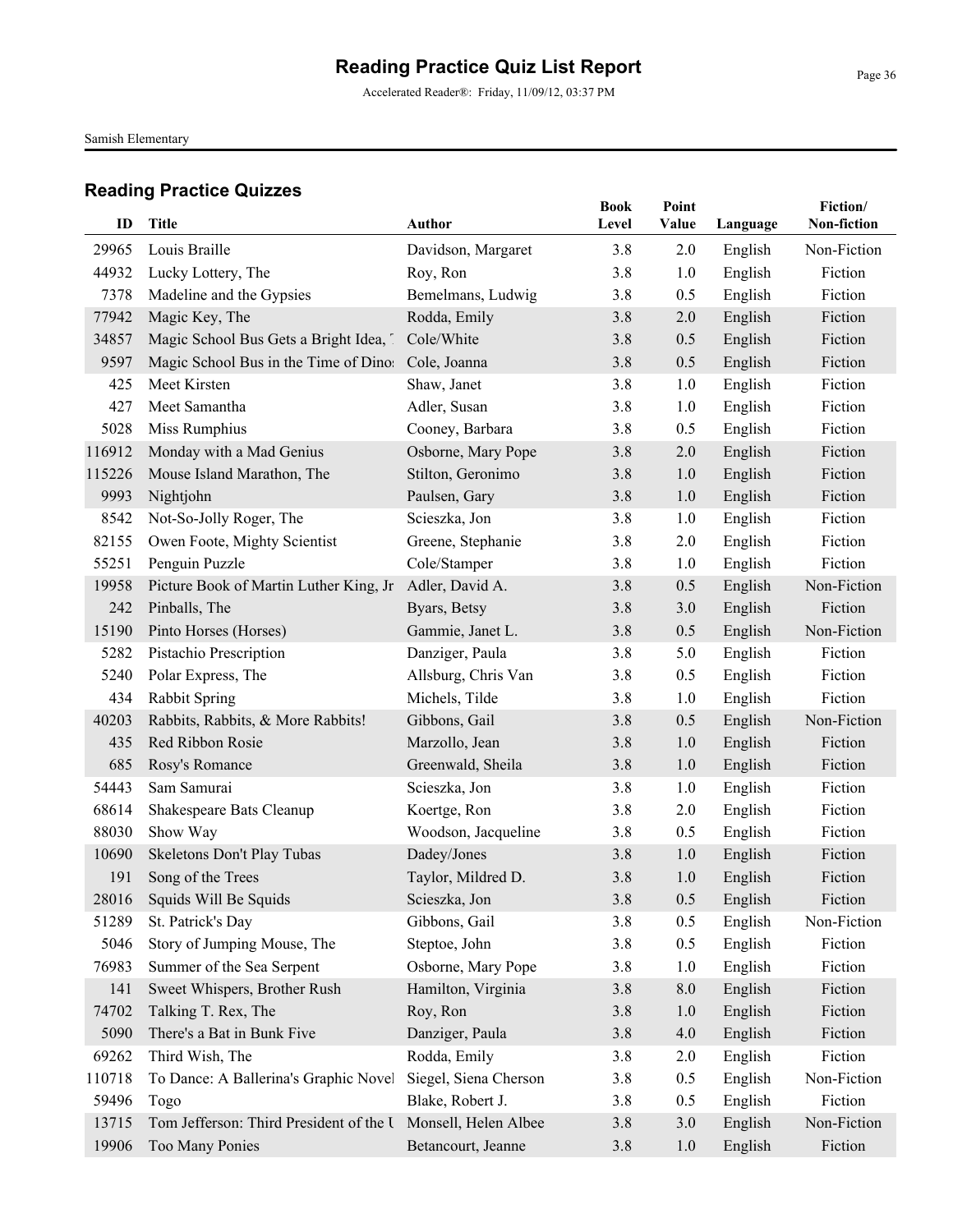Accelerated Reader®: Friday, 11/09/12, 03:37 PM

Samish Elementary

| ID     | <b>Title</b>                            | Author                | <b>Book</b><br>Level | Point<br>Value | Language | Fiction/<br>Non-fiction |
|--------|-----------------------------------------|-----------------------|----------------------|----------------|----------|-------------------------|
| 29965  | Louis Braille                           | Davidson, Margaret    | 3.8                  | 2.0            | English  | Non-Fiction             |
| 44932  | Lucky Lottery, The                      | Roy, Ron              | 3.8                  | 1.0            | English  | Fiction                 |
| 7378   | Madeline and the Gypsies                | Bemelmans, Ludwig     | 3.8                  | 0.5            | English  | Fiction                 |
| 77942  | Magic Key, The                          | Rodda, Emily          | 3.8                  | 2.0            | English  | Fiction                 |
| 34857  | Magic School Bus Gets a Bright Idea, 1  | Cole/White            | 3.8                  | 0.5            | English  | Fiction                 |
| 9597   | Magic School Bus in the Time of Dino:   | Cole, Joanna          | 3.8                  | 0.5            | English  | Fiction                 |
| 425    | Meet Kirsten                            | Shaw, Janet           | 3.8                  | 1.0            | English  | Fiction                 |
| 427    | Meet Samantha                           | Adler, Susan          | 3.8                  | 1.0            | English  | Fiction                 |
| 5028   | Miss Rumphius                           | Cooney, Barbara       | 3.8                  | 0.5            | English  | Fiction                 |
| 116912 | Monday with a Mad Genius                | Osborne, Mary Pope    | 3.8                  | 2.0            | English  | Fiction                 |
| 115226 | Mouse Island Marathon, The              | Stilton, Geronimo     | 3.8                  | 1.0            | English  | Fiction                 |
| 9993   | Nightjohn                               | Paulsen, Gary         | 3.8                  | 1.0            | English  | Fiction                 |
| 8542   | Not-So-Jolly Roger, The                 | Scieszka, Jon         | 3.8                  | 1.0            | English  | Fiction                 |
| 82155  | Owen Foote, Mighty Scientist            | Greene, Stephanie     | 3.8                  | 2.0            | English  | Fiction                 |
| 55251  | Penguin Puzzle                          | Cole/Stamper          | 3.8                  | 1.0            | English  | Fiction                 |
| 19958  | Picture Book of Martin Luther King, Jr  | Adler, David A.       | 3.8                  | 0.5            | English  | Non-Fiction             |
| 242    | Pinballs, The                           | Byars, Betsy          | 3.8                  | 3.0            | English  | Fiction                 |
| 15190  | Pinto Horses (Horses)                   | Gammie, Janet L.      | 3.8                  | 0.5            | English  | Non-Fiction             |
| 5282   | Pistachio Prescription                  | Danziger, Paula       | 3.8                  | 5.0            | English  | Fiction                 |
| 5240   | Polar Express, The                      | Allsburg, Chris Van   | 3.8                  | 0.5            | English  | Fiction                 |
| 434    | Rabbit Spring                           | Michels, Tilde        | 3.8                  | 1.0            | English  | Fiction                 |
| 40203  | Rabbits, Rabbits, & More Rabbits!       | Gibbons, Gail         | 3.8                  | 0.5            | English  | Non-Fiction             |
| 435    | Red Ribbon Rosie                        | Marzollo, Jean        | 3.8                  | 1.0            | English  | Fiction                 |
| 685    | Rosy's Romance                          | Greenwald, Sheila     | 3.8                  | 1.0            | English  | Fiction                 |
| 54443  | Sam Samurai                             | Scieszka, Jon         | 3.8                  | 1.0            | English  | Fiction                 |
| 68614  | Shakespeare Bats Cleanup                | Koertge, Ron          | 3.8                  | 2.0            | English  | Fiction                 |
| 88030  | Show Way                                | Woodson, Jacqueline   | 3.8                  | 0.5            | English  | Fiction                 |
| 10690  | Skeletons Don't Play Tubas              | Dadey/Jones           | 3.8                  | 1.0            | English  | Fiction                 |
| 191    | Song of the Trees                       | Taylor, Mildred D.    | 3.8                  | 1.0            | English  | Fiction                 |
|        | 28016 Squids Will Be Squids             | Scieszka, Jon         | 3.8                  | 0.5            | English  | Fiction                 |
| 51289  | St. Patrick's Day                       | Gibbons, Gail         | 3.8                  | 0.5            | English  | Non-Fiction             |
| 5046   | Story of Jumping Mouse, The             | Steptoe, John         | 3.8                  | 0.5            | English  | Fiction                 |
| 76983  | Summer of the Sea Serpent               | Osborne, Mary Pope    | 3.8                  | 1.0            | English  | Fiction                 |
| 141    | Sweet Whispers, Brother Rush            | Hamilton, Virginia    | 3.8                  | 8.0            | English  | Fiction                 |
| 74702  | Talking T. Rex, The                     | Roy, Ron              | 3.8                  | 1.0            | English  | Fiction                 |
| 5090   | There's a Bat in Bunk Five              | Danziger, Paula       | 3.8                  | 4.0            | English  | Fiction                 |
| 69262  | Third Wish, The                         | Rodda, Emily          | 3.8                  | 2.0            | English  | Fiction                 |
| 110718 | To Dance: A Ballerina's Graphic Novel   | Siegel, Siena Cherson | 3.8                  | 0.5            | English  | Non-Fiction             |
| 59496  | Togo                                    | Blake, Robert J.      | 3.8                  | 0.5            | English  | Fiction                 |
| 13715  | Tom Jefferson: Third President of the U | Monsell, Helen Albee  | 3.8                  | 3.0            | English  | Non-Fiction             |
| 19906  | Too Many Ponies                         | Betancourt, Jeanne    | $3.8$                | 1.0            | English  | Fiction                 |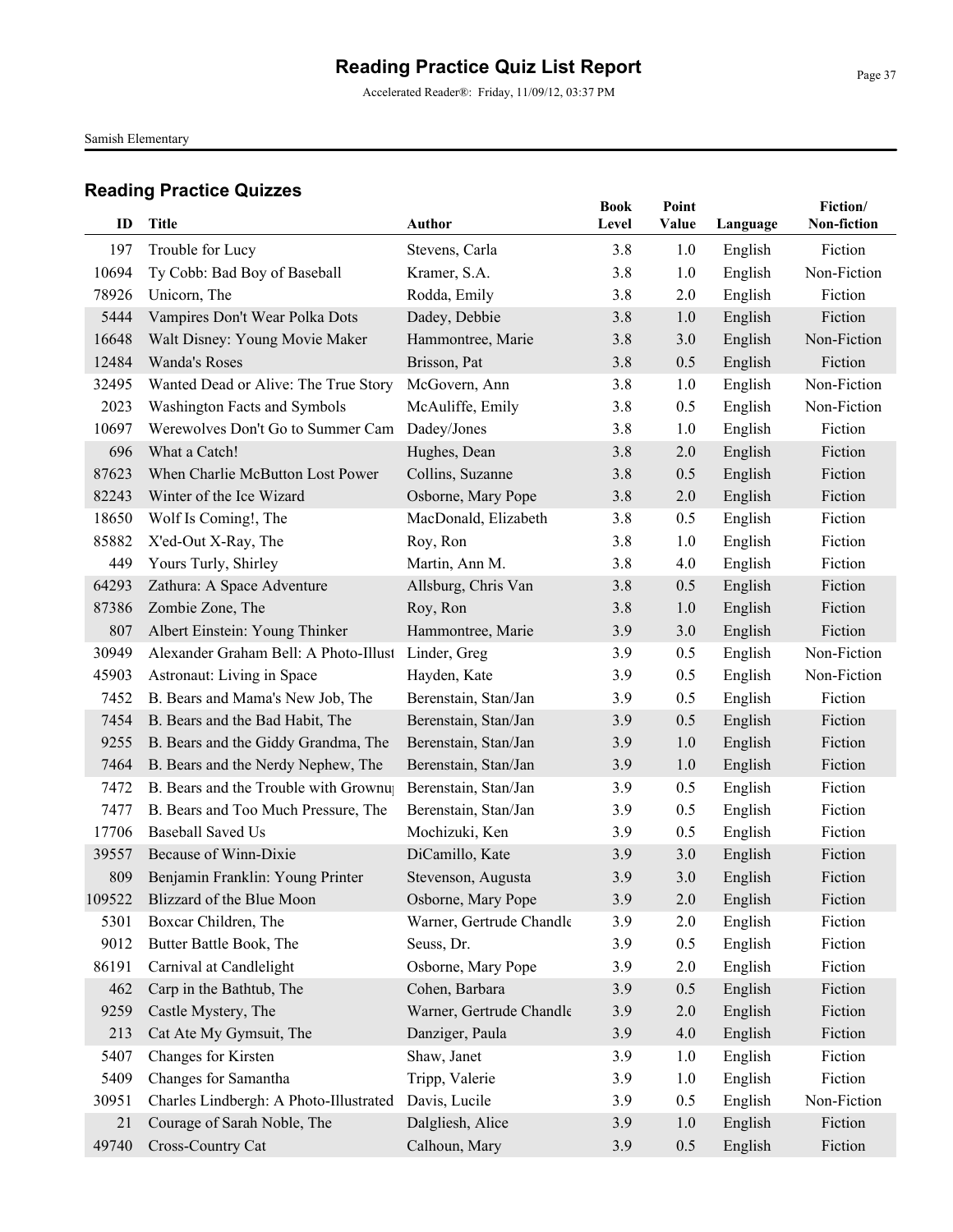Accelerated Reader®: Friday, 11/09/12, 03:37 PM

Samish Elementary

|       |                                        |                          | <b>Book</b> | Point   |          | Fiction/    |
|-------|----------------------------------------|--------------------------|-------------|---------|----------|-------------|
| ID    | <b>Title</b>                           | Author                   | Level       | Value   | Language | Non-fiction |
| 197   | Trouble for Lucy                       | Stevens, Carla           | 3.8         | 1.0     | English  | Fiction     |
| 10694 | Ty Cobb: Bad Boy of Baseball           | Kramer, S.A.             | 3.8         | 1.0     | English  | Non-Fiction |
| 78926 | Unicorn, The                           | Rodda, Emily             | 3.8         | 2.0     | English  | Fiction     |
| 5444  | Vampires Don't Wear Polka Dots         | Dadey, Debbie            | 3.8         | 1.0     | English  | Fiction     |
| 16648 | Walt Disney: Young Movie Maker         | Hammontree, Marie        | 3.8         | 3.0     | English  | Non-Fiction |
| 12484 | Wanda's Roses                          | Brisson, Pat             | 3.8         | 0.5     | English  | Fiction     |
| 32495 | Wanted Dead or Alive: The True Story   | McGovern, Ann            | 3.8         | 1.0     | English  | Non-Fiction |
| 2023  | Washington Facts and Symbols           | McAuliffe, Emily         | 3.8         | 0.5     | English  | Non-Fiction |
| 10697 | Werewolves Don't Go to Summer Cam      | Dadey/Jones              | 3.8         | 1.0     | English  | Fiction     |
| 696   | What a Catch!                          | Hughes, Dean             | 3.8         | 2.0     | English  | Fiction     |
| 87623 | When Charlie McButton Lost Power       | Collins, Suzanne         | 3.8         | 0.5     | English  | Fiction     |
| 82243 | Winter of the Ice Wizard               | Osborne, Mary Pope       | 3.8         | 2.0     | English  | Fiction     |
| 18650 | Wolf Is Coming!, The                   | MacDonald, Elizabeth     | 3.8         | 0.5     | English  | Fiction     |
| 85882 | X'ed-Out X-Ray, The                    | Roy, Ron                 | 3.8         | 1.0     | English  | Fiction     |
| 449   | Yours Turly, Shirley                   | Martin, Ann M.           | 3.8         | 4.0     | English  | Fiction     |
| 64293 | Zathura: A Space Adventure             | Allsburg, Chris Van      | 3.8         | 0.5     | English  | Fiction     |
| 87386 | Zombie Zone, The                       | Roy, Ron                 | 3.8         | 1.0     | English  | Fiction     |
| 807   | Albert Einstein: Young Thinker         | Hammontree, Marie        | 3.9         | 3.0     | English  | Fiction     |
| 30949 | Alexander Graham Bell: A Photo-Illust  | Linder, Greg             | 3.9         | 0.5     | English  | Non-Fiction |
| 45903 | Astronaut: Living in Space             | Hayden, Kate             | 3.9         | 0.5     | English  | Non-Fiction |
| 7452  | B. Bears and Mama's New Job, The       | Berenstain, Stan/Jan     | 3.9         | 0.5     | English  | Fiction     |
| 7454  | B. Bears and the Bad Habit, The        | Berenstain, Stan/Jan     | 3.9         | 0.5     | English  | Fiction     |
| 9255  | B. Bears and the Giddy Grandma, The    | Berenstain, Stan/Jan     | 3.9         | 1.0     | English  | Fiction     |
| 7464  | B. Bears and the Nerdy Nephew, The     | Berenstain, Stan/Jan     | 3.9         | 1.0     | English  | Fiction     |
| 7472  | B. Bears and the Trouble with Grownu   | Berenstain, Stan/Jan     | 3.9         | 0.5     | English  | Fiction     |
| 7477  | B. Bears and Too Much Pressure, The    | Berenstain, Stan/Jan     | 3.9         | 0.5     | English  | Fiction     |
| 17706 | <b>Baseball Saved Us</b>               | Mochizuki, Ken           | 3.9         | 0.5     | English  | Fiction     |
| 39557 | Because of Winn-Dixie                  | DiCamillo, Kate          | 3.9         | 3.0     | English  | Fiction     |
| 809   | Benjamin Franklin: Young Printer       | Stevenson, Augusta       | 3.9         | 3.0     | English  | Fiction     |
|       | 109522 Blizzard of the Blue Moon       | Osborne, Mary Pope       | 3.9         | $2.0\,$ | English  | Fiction     |
| 5301  | Boxcar Children, The                   | Warner, Gertrude Chandle | 3.9         | 2.0     | English  | Fiction     |
| 9012  | Butter Battle Book, The                | Seuss, Dr.               | 3.9         | 0.5     | English  | Fiction     |
| 86191 | Carnival at Candlelight                | Osborne, Mary Pope       | 3.9         | 2.0     | English  | Fiction     |
| 462   | Carp in the Bathtub, The               | Cohen, Barbara           | 3.9         | 0.5     | English  | Fiction     |
| 9259  | Castle Mystery, The                    | Warner, Gertrude Chandle | 3.9         | $2.0$   | English  | Fiction     |
| 213   | Cat Ate My Gymsuit, The                | Danziger, Paula          | 3.9         | 4.0     | English  | Fiction     |
| 5407  | Changes for Kirsten                    | Shaw, Janet              | 3.9         | 1.0     | English  | Fiction     |
| 5409  | Changes for Samantha                   | Tripp, Valerie           | 3.9         | 1.0     | English  | Fiction     |
| 30951 | Charles Lindbergh: A Photo-Illustrated | Davis, Lucile            | 3.9         | 0.5     | English  | Non-Fiction |
| 21    | Courage of Sarah Noble, The            | Dalgliesh, Alice         | 3.9         | 1.0     | English  | Fiction     |
| 49740 | Cross-Country Cat                      | Calhoun, Mary            | 3.9         | 0.5     | English  | Fiction     |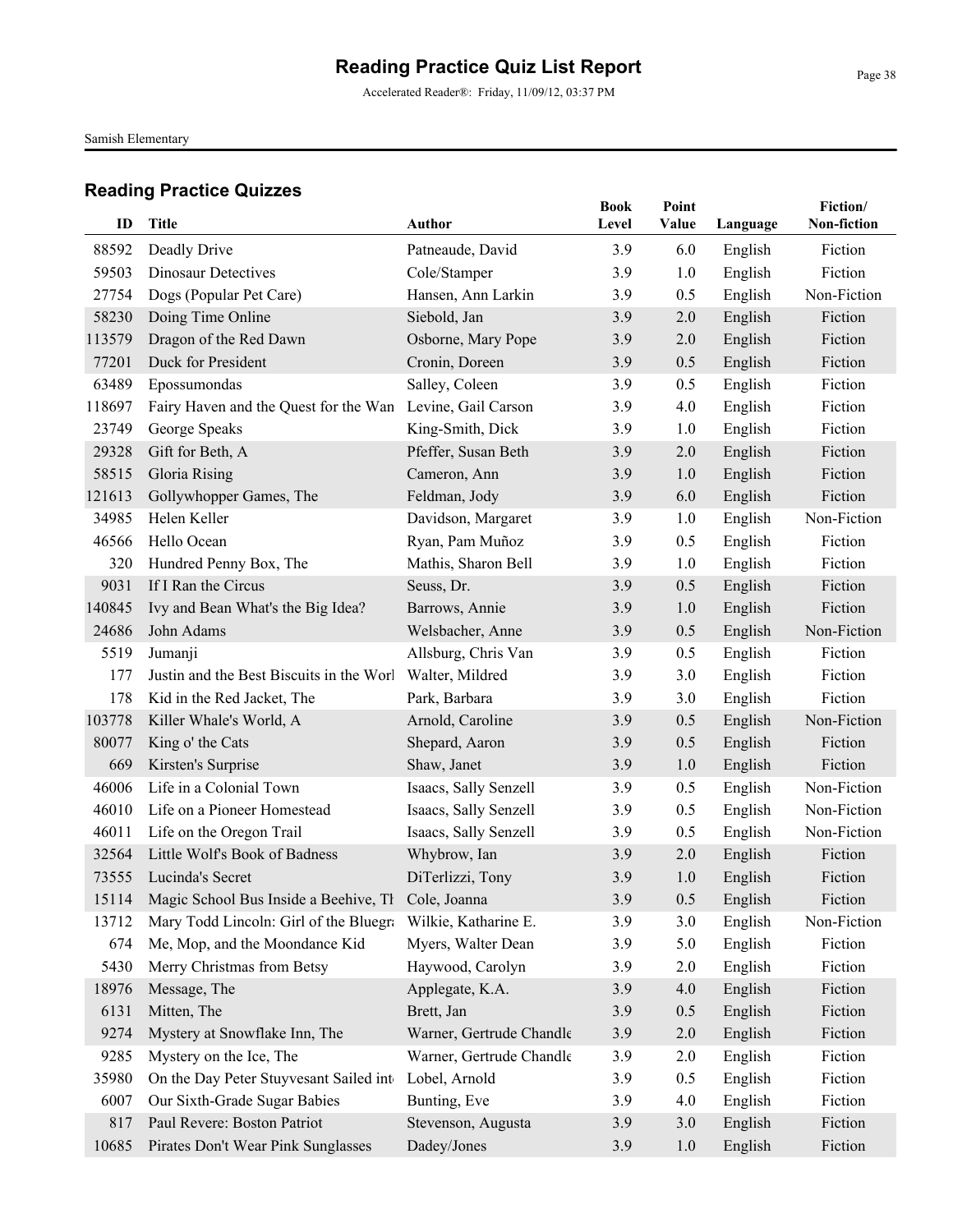Accelerated Reader®: Friday, 11/09/12, 03:37 PM

Samish Elementary

| ID     | Title                                                    | Author                   | <b>Book</b><br>Level | Point<br>Value | Language | Fiction/<br>Non-fiction |
|--------|----------------------------------------------------------|--------------------------|----------------------|----------------|----------|-------------------------|
| 88592  | Deadly Drive                                             | Patneaude, David         | 3.9                  | 6.0            | English  | Fiction                 |
| 59503  | <b>Dinosaur Detectives</b>                               | Cole/Stamper             | 3.9                  | 1.0            | English  | Fiction                 |
| 27754  | Dogs (Popular Pet Care)                                  | Hansen, Ann Larkin       | 3.9                  | 0.5            | English  | Non-Fiction             |
| 58230  | Doing Time Online                                        | Siebold, Jan             | 3.9                  | 2.0            | English  | Fiction                 |
| 113579 | Dragon of the Red Dawn                                   | Osborne, Mary Pope       | 3.9                  | 2.0            | English  | Fiction                 |
| 77201  | Duck for President                                       | Cronin, Doreen           | 3.9                  | 0.5            | English  | Fiction                 |
| 63489  | Epossumondas                                             | Salley, Coleen           | 3.9                  | 0.5            | English  | Fiction                 |
| 118697 | Fairy Haven and the Quest for the Wan                    | Levine, Gail Carson      | 3.9                  | 4.0            | English  | Fiction                 |
| 23749  | George Speaks                                            | King-Smith, Dick         | 3.9                  | 1.0            | English  | Fiction                 |
| 29328  | Gift for Beth, A                                         | Pfeffer, Susan Beth      | 3.9                  | 2.0            | English  | Fiction                 |
| 58515  | Gloria Rising                                            | Cameron, Ann             | 3.9                  | 1.0            | English  | Fiction                 |
| 121613 | Gollywhopper Games, The                                  | Feldman, Jody            | 3.9                  | 6.0            | English  | Fiction                 |
| 34985  | Helen Keller                                             | Davidson, Margaret       | 3.9                  | 1.0            | English  | Non-Fiction             |
| 46566  | Hello Ocean                                              | Ryan, Pam Muñoz          | 3.9                  | 0.5            | English  | Fiction                 |
| 320    | Hundred Penny Box, The                                   | Mathis, Sharon Bell      | 3.9                  | 1.0            | English  | Fiction                 |
| 9031   | If I Ran the Circus                                      | Seuss, Dr.               | 3.9                  | 0.5            | English  | Fiction                 |
| 140845 | Ivy and Bean What's the Big Idea?                        | Barrows, Annie           | 3.9                  | 1.0            | English  | Fiction                 |
| 24686  | John Adams                                               | Welsbacher, Anne         | 3.9                  | 0.5            | English  | Non-Fiction             |
| 5519   | Jumanji                                                  | Allsburg, Chris Van      | 3.9                  | 0.5            | English  | Fiction                 |
| 177    | Justin and the Best Biscuits in the Worl                 | Walter, Mildred          | 3.9                  | $3.0$          | English  | Fiction                 |
| 178    | Kid in the Red Jacket, The                               | Park, Barbara            | 3.9                  | 3.0            | English  | Fiction                 |
| 103778 | Killer Whale's World, A                                  | Arnold, Caroline         | 3.9                  | 0.5            | English  | Non-Fiction             |
| 80077  | King o' the Cats                                         | Shepard, Aaron           | 3.9                  | 0.5            | English  | Fiction                 |
| 669    | Kirsten's Surprise                                       | Shaw, Janet              | 3.9                  | 1.0            | English  | Fiction                 |
| 46006  | Life in a Colonial Town                                  | Isaacs, Sally Senzell    | 3.9                  | 0.5            | English  | Non-Fiction             |
| 46010  | Life on a Pioneer Homestead                              | Isaacs, Sally Senzell    | 3.9                  | 0.5            | English  | Non-Fiction             |
| 46011  | Life on the Oregon Trail                                 | Isaacs, Sally Senzell    | 3.9                  | 0.5            | English  | Non-Fiction             |
| 32564  | Little Wolf's Book of Badness                            | Whybrow, Ian             | 3.9                  | 2.0            | English  | Fiction                 |
| 73555  | Lucinda's Secret                                         | DiTerlizzi, Tony         | 3.9                  | 1.0            | English  | Fiction                 |
|        | 15114 Magic School Bus Inside a Beehive, Th Cole, Joanna |                          | 3.9                  | 0.5            | English  | Fiction                 |
| 13712  | Mary Todd Lincoln: Girl of the Bluegra                   | Wilkie, Katharine E.     | 3.9                  | 3.0            | English  | Non-Fiction             |
| 674    | Me, Mop, and the Moondance Kid                           | Myers, Walter Dean       | 3.9                  | 5.0            | English  | Fiction                 |
| 5430   | Merry Christmas from Betsy                               | Haywood, Carolyn         | 3.9                  | 2.0            | English  | Fiction                 |
| 18976  | Message, The                                             | Applegate, K.A.          | 3.9                  | 4.0            | English  | Fiction                 |
| 6131   | Mitten, The                                              | Brett, Jan               | 3.9                  | 0.5            | English  | Fiction                 |
| 9274   | Mystery at Snowflake Inn, The                            | Warner, Gertrude Chandle | 3.9                  | $2.0\,$        | English  | Fiction                 |
| 9285   | Mystery on the Ice, The                                  | Warner, Gertrude Chandle | 3.9                  | 2.0            | English  | Fiction                 |
| 35980  | On the Day Peter Stuyvesant Sailed into                  | Lobel, Arnold            | 3.9                  | 0.5            | English  | Fiction                 |
| 6007   | Our Sixth-Grade Sugar Babies                             | Bunting, Eve             | 3.9                  | 4.0            | English  | Fiction                 |
| 817    | Paul Revere: Boston Patriot                              | Stevenson, Augusta       | 3.9                  | 3.0            | English  | Fiction                 |
| 10685  | Pirates Don't Wear Pink Sunglasses                       | Dadey/Jones              | 3.9                  | 1.0            | English  | Fiction                 |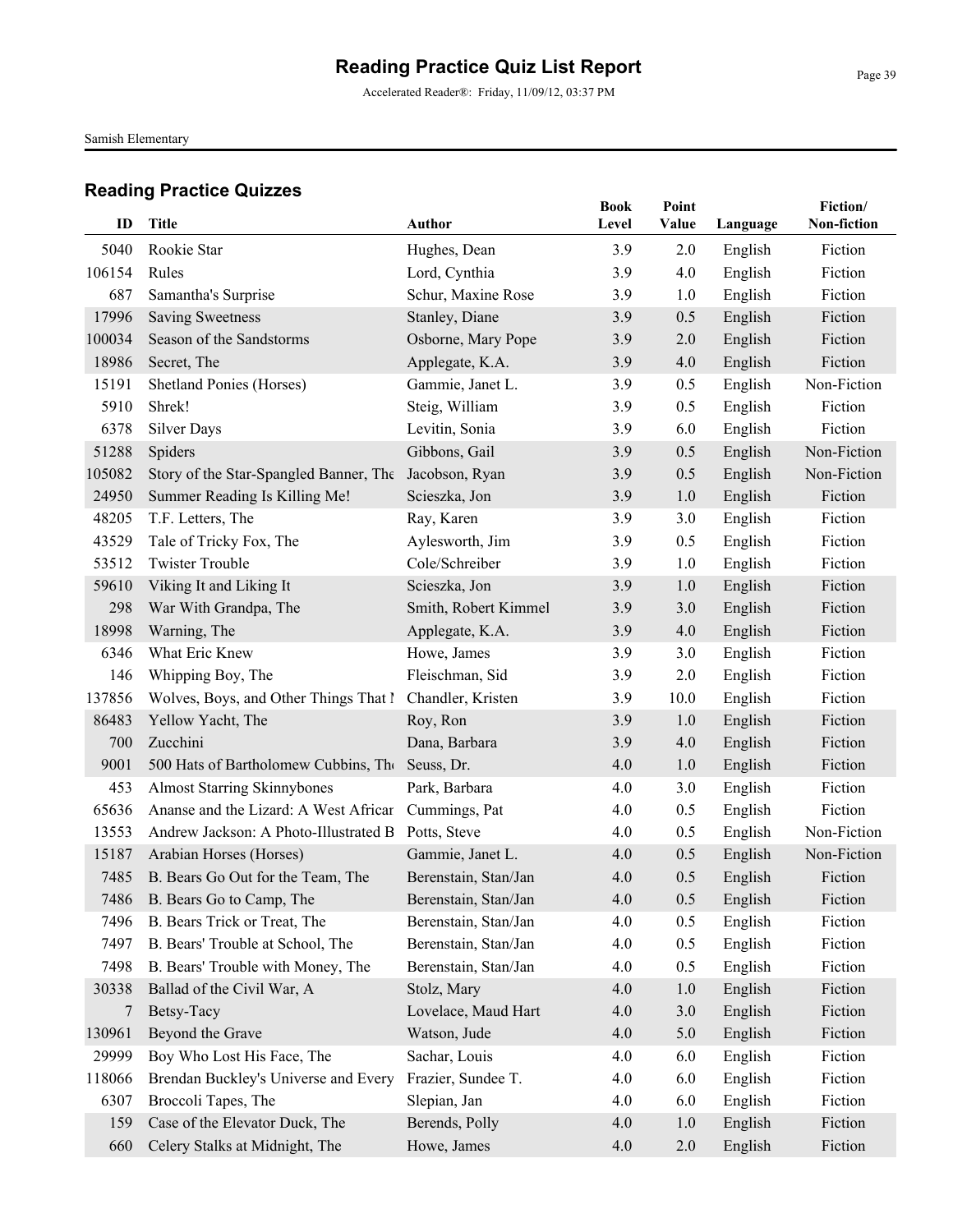Accelerated Reader®: Friday, 11/09/12, 03:37 PM

Samish Elementary

| ID     | Title                                  | <b>Author</b>        | <b>Book</b><br>Level | Point<br>Value | Language | Fiction/<br>Non-fiction |
|--------|----------------------------------------|----------------------|----------------------|----------------|----------|-------------------------|
| 5040   | Rookie Star                            | Hughes, Dean         | 3.9                  | 2.0            | English  | Fiction                 |
| 106154 | Rules                                  | Lord, Cynthia        | 3.9                  | 4.0            | English  | Fiction                 |
| 687    | Samantha's Surprise                    | Schur, Maxine Rose   | 3.9                  | 1.0            | English  | Fiction                 |
| 17996  | <b>Saving Sweetness</b>                | Stanley, Diane       | 3.9                  | 0.5            | English  | Fiction                 |
| 100034 | Season of the Sandstorms               | Osborne, Mary Pope   | 3.9                  | 2.0            | English  | Fiction                 |
| 18986  | Secret, The                            | Applegate, K.A.      | 3.9                  | 4.0            | English  | Fiction                 |
| 15191  | Shetland Ponies (Horses)               | Gammie, Janet L.     | 3.9                  | 0.5            | English  | Non-Fiction             |
| 5910   | Shrek!                                 | Steig, William       | 3.9                  | 0.5            | English  | Fiction                 |
| 6378   | <b>Silver Days</b>                     | Levitin, Sonia       | 3.9                  | 6.0            | English  | Fiction                 |
| 51288  | Spiders                                | Gibbons, Gail        | 3.9                  | 0.5            | English  | Non-Fiction             |
| 105082 | Story of the Star-Spangled Banner, The | Jacobson, Ryan       | 3.9                  | 0.5            | English  | Non-Fiction             |
| 24950  | Summer Reading Is Killing Me!          | Scieszka, Jon        | 3.9                  | 1.0            | English  | Fiction                 |
| 48205  | T.F. Letters, The                      | Ray, Karen           | 3.9                  | 3.0            | English  | Fiction                 |
| 43529  | Tale of Tricky Fox, The                | Aylesworth, Jim      | 3.9                  | 0.5            | English  | Fiction                 |
| 53512  | <b>Twister Trouble</b>                 | Cole/Schreiber       | 3.9                  | 1.0            | English  | Fiction                 |
| 59610  | Viking It and Liking It                | Scieszka, Jon        | 3.9                  | 1.0            | English  | Fiction                 |
| 298    | War With Grandpa, The                  | Smith, Robert Kimmel | 3.9                  | 3.0            | English  | Fiction                 |
| 18998  | Warning, The                           | Applegate, K.A.      | 3.9                  | 4.0            | English  | Fiction                 |
| 6346   | What Eric Knew                         | Howe, James          | 3.9                  | 3.0            | English  | Fiction                 |
| 146    | Whipping Boy, The                      | Fleischman, Sid      | 3.9                  | 2.0            | English  | Fiction                 |
| 137856 | Wolves, Boys, and Other Things That I  | Chandler, Kristen    | 3.9                  | 10.0           | English  | Fiction                 |
| 86483  | Yellow Yacht, The                      | Roy, Ron             | 3.9                  | 1.0            | English  | Fiction                 |
| 700    | Zucchini                               | Dana, Barbara        | 3.9                  | 4.0            | English  | Fiction                 |
| 9001   | 500 Hats of Bartholomew Cubbins, The   | Seuss, Dr.           | 4.0                  | 1.0            | English  | Fiction                 |
| 453    | <b>Almost Starring Skinnybones</b>     | Park, Barbara        | 4.0                  | 3.0            | English  | Fiction                 |
| 65636  | Ananse and the Lizard: A West African  | Cummings, Pat        | 4.0                  | 0.5            | English  | Fiction                 |
| 13553  | Andrew Jackson: A Photo-Illustrated B  | Potts, Steve         | 4.0                  | 0.5            | English  | Non-Fiction             |
| 15187  | Arabian Horses (Horses)                | Gammie, Janet L.     | 4.0                  | 0.5            | English  | Non-Fiction             |
| 7485   | B. Bears Go Out for the Team, The      | Berenstain, Stan/Jan | 4.0                  | 0.5            | English  | Fiction                 |
|        | 7486 B. Bears Go to Camp, The          | Berenstain, Stan/Jan | 4.0                  | 0.5            | English  | Fiction                 |
| 7496   | B. Bears Trick or Treat, The           | Berenstain, Stan/Jan | 4.0                  | 0.5            | English  | Fiction                 |
| 7497   | B. Bears' Trouble at School, The       | Berenstain, Stan/Jan | 4.0                  | 0.5            | English  | Fiction                 |
| 7498   | B. Bears' Trouble with Money, The      | Berenstain, Stan/Jan | 4.0                  | 0.5            | English  | Fiction                 |
| 30338  | Ballad of the Civil War, A             | Stolz, Mary          | 4.0                  | 1.0            | English  | Fiction                 |
| 7      | Betsy-Tacy                             | Lovelace, Maud Hart  | 4.0                  | 3.0            | English  | Fiction                 |
| 130961 | Beyond the Grave                       | Watson, Jude         | 4.0                  | 5.0            | English  | Fiction                 |
| 29999  | Boy Who Lost His Face, The             | Sachar, Louis        | 4.0                  | 6.0            | English  | Fiction                 |
| 118066 | Brendan Buckley's Universe and Every   | Frazier, Sundee T.   | 4.0                  | 6.0            | English  | Fiction                 |
| 6307   | Broccoli Tapes, The                    | Slepian, Jan         | 4.0                  | 6.0            | English  | Fiction                 |
| 159    | Case of the Elevator Duck, The         | Berends, Polly       | 4.0                  | 1.0            | English  | Fiction                 |
| 660    | Celery Stalks at Midnight, The         | Howe, James          | 4.0                  | $2.0\,$        | English  | Fiction                 |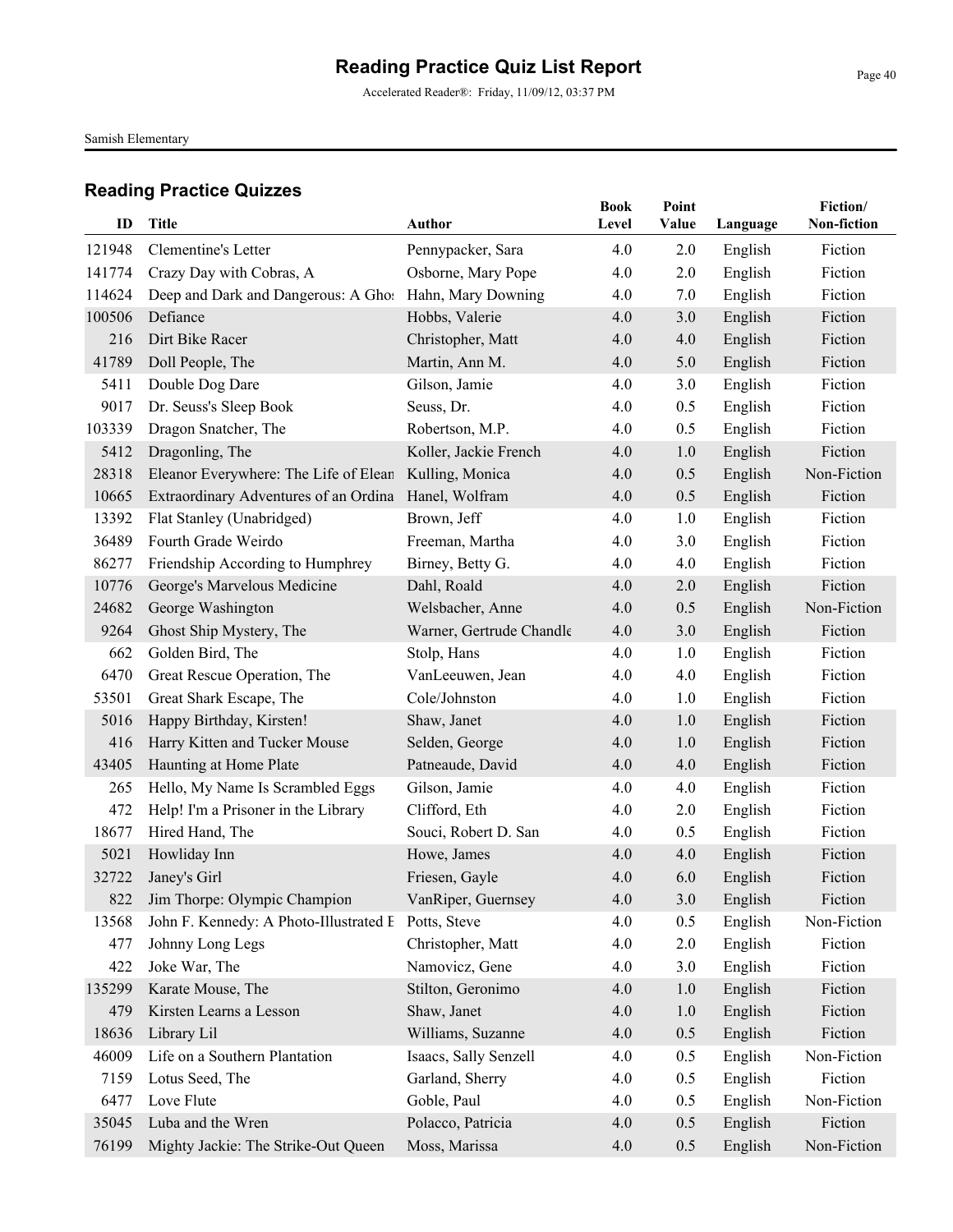Accelerated Reader®: Friday, 11/09/12, 03:37 PM

Samish Elementary

| ID     | Title                                               | <b>Author</b>            | <b>Book</b><br>Level | Point<br>Value | Language | Fiction/<br>Non-fiction |
|--------|-----------------------------------------------------|--------------------------|----------------------|----------------|----------|-------------------------|
| 121948 | Clementine's Letter                                 | Pennypacker, Sara        | 4.0                  | 2.0            | English  | Fiction                 |
| 141774 | Crazy Day with Cobras, A                            | Osborne, Mary Pope       | 4.0                  | 2.0            | English  | Fiction                 |
| 114624 | Deep and Dark and Dangerous: A Ghos                 | Hahn, Mary Downing       | 4.0                  | 7.0            | English  | Fiction                 |
| 100506 | Defiance                                            | Hobbs, Valerie           | 4.0                  | 3.0            | English  | Fiction                 |
| 216    | Dirt Bike Racer                                     | Christopher, Matt        | 4.0                  | 4.0            | English  | Fiction                 |
| 41789  | Doll People, The                                    | Martin, Ann M.           | 4.0                  | 5.0            | English  | Fiction                 |
| 5411   | Double Dog Dare                                     | Gilson, Jamie            | 4.0                  | 3.0            | English  | Fiction                 |
| 9017   | Dr. Seuss's Sleep Book                              | Seuss, Dr.               | 4.0                  | 0.5            | English  | Fiction                 |
| 103339 | Dragon Snatcher, The                                | Robertson, M.P.          | 4.0                  | 0.5            | English  | Fiction                 |
| 5412   | Dragonling, The                                     | Koller, Jackie French    | 4.0                  | 1.0            | English  | Fiction                 |
| 28318  | Eleanor Everywhere: The Life of Elean               | Kulling, Monica          | 4.0                  | 0.5            | English  | Non-Fiction             |
| 10665  | Extraordinary Adventures of an Ordina               | Hanel, Wolfram           | 4.0                  | 0.5            | English  | Fiction                 |
| 13392  | Flat Stanley (Unabridged)                           | Brown, Jeff              | 4.0                  | 1.0            | English  | Fiction                 |
| 36489  | Fourth Grade Weirdo                                 | Freeman, Martha          | 4.0                  | 3.0            | English  | Fiction                 |
| 86277  | Friendship According to Humphrey                    | Birney, Betty G.         | 4.0                  | 4.0            | English  | Fiction                 |
| 10776  | George's Marvelous Medicine                         | Dahl, Roald              | 4.0                  | 2.0            | English  | Fiction                 |
| 24682  | George Washington                                   | Welsbacher, Anne         | 4.0                  | 0.5            | English  | Non-Fiction             |
| 9264   | Ghost Ship Mystery, The                             | Warner, Gertrude Chandle | 4.0                  | 3.0            | English  | Fiction                 |
| 662    | Golden Bird, The                                    | Stolp, Hans              | 4.0                  | 1.0            | English  | Fiction                 |
| 6470   | Great Rescue Operation, The                         | VanLeeuwen, Jean         | 4.0                  | 4.0            | English  | Fiction                 |
| 53501  | Great Shark Escape, The                             | Cole/Johnston            | 4.0                  | 1.0            | English  | Fiction                 |
| 5016   | Happy Birthday, Kirsten!                            | Shaw, Janet              | 4.0                  | 1.0            | English  | Fiction                 |
| 416    | Harry Kitten and Tucker Mouse                       | Selden, George           | 4.0                  | 1.0            | English  | Fiction                 |
| 43405  | Haunting at Home Plate                              | Patneaude, David         | 4.0                  | 4.0            | English  | Fiction                 |
| 265    | Hello, My Name Is Scrambled Eggs                    | Gilson, Jamie            | 4.0                  | 4.0            | English  | Fiction                 |
| 472    | Help! I'm a Prisoner in the Library                 | Clifford, Eth            | 4.0                  | 2.0            | English  | Fiction                 |
| 18677  | Hired Hand, The                                     | Souci, Robert D. San     | 4.0                  | 0.5            | English  | Fiction                 |
| 5021   | Howliday Inn                                        | Howe, James              | 4.0                  | 4.0            | English  | Fiction                 |
| 32722  | Janey's Girl                                        | Friesen, Gayle           | 4.0                  | 6.0            | English  | Fiction                 |
| 822    | Jim Thorpe: Olympic Champion                        | VanRiper, Guernsey       | 4.0                  | 3.0            | English  | Fiction                 |
| 13568  | John F. Kennedy: A Photo-Illustrated E Potts, Steve |                          | 4.0                  | 0.5            | English  | Non-Fiction             |
| 477    | Johnny Long Legs                                    | Christopher, Matt        | 4.0                  | 2.0            | English  | Fiction                 |
| 422    | Joke War, The                                       | Namovicz, Gene           | 4.0                  | 3.0            | English  | Fiction                 |
| 135299 | Karate Mouse, The                                   | Stilton, Geronimo        | 4.0                  | 1.0            | English  | Fiction                 |
| 479    | Kirsten Learns a Lesson                             | Shaw, Janet              | 4.0                  | 1.0            | English  | Fiction                 |
| 18636  | Library Lil                                         | Williams, Suzanne        | 4.0                  | 0.5            | English  | Fiction                 |
| 46009  | Life on a Southern Plantation                       | Isaacs, Sally Senzell    | 4.0                  | 0.5            | English  | Non-Fiction             |
| 7159   | Lotus Seed, The                                     | Garland, Sherry          | 4.0                  | 0.5            | English  | Fiction                 |
| 6477   | Love Flute                                          | Goble, Paul              | 4.0                  | 0.5            | English  | Non-Fiction             |
| 35045  | Luba and the Wren                                   | Polacco, Patricia        | 4.0                  | 0.5            | English  | Fiction                 |
| 76199  | Mighty Jackie: The Strike-Out Queen                 | Moss, Marissa            | 4.0                  | 0.5            | English  | Non-Fiction             |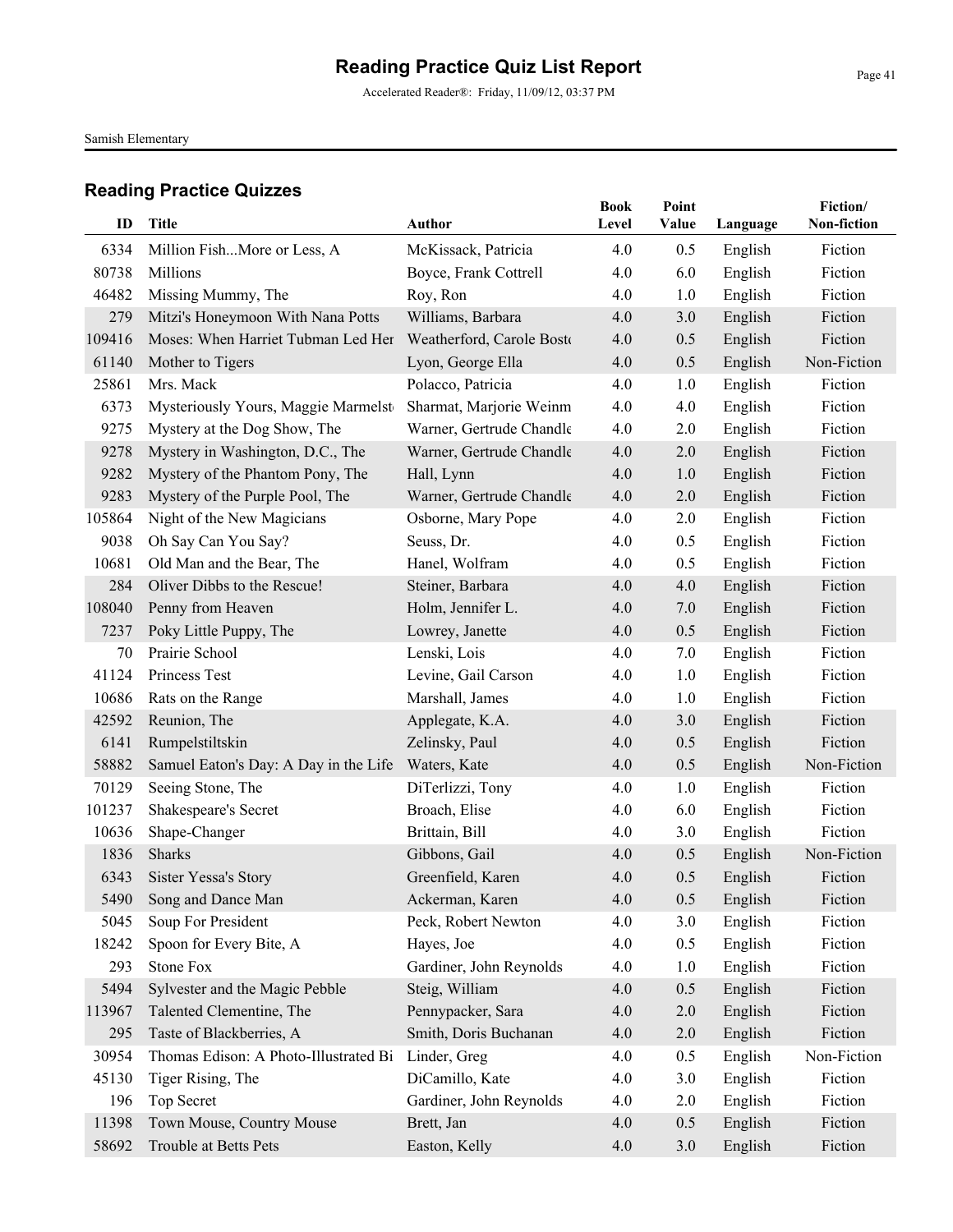Accelerated Reader®: Friday, 11/09/12, 03:37 PM

Samish Elementary

| ID     | <b>Title</b>                          | Author                    | <b>Book</b><br>Level | Point<br>Value | Language | Fiction/<br>Non-fiction |
|--------|---------------------------------------|---------------------------|----------------------|----------------|----------|-------------------------|
| 6334   | Million FishMore or Less, A           | McKissack, Patricia       | 4.0                  | 0.5            | English  | Fiction                 |
| 80738  | Millions                              | Boyce, Frank Cottrell     | 4.0                  | 6.0            | English  | Fiction                 |
| 46482  | Missing Mummy, The                    | Roy, Ron                  | 4.0                  | 1.0            | English  | Fiction                 |
| 279    | Mitzi's Honeymoon With Nana Potts     | Williams, Barbara         | 4.0                  | 3.0            | English  | Fiction                 |
| 109416 | Moses: When Harriet Tubman Led Her    | Weatherford, Carole Bosto | 4.0                  | 0.5            | English  | Fiction                 |
| 61140  | Mother to Tigers                      | Lyon, George Ella         | 4.0                  | 0.5            | English  | Non-Fiction             |
| 25861  | Mrs. Mack                             | Polacco, Patricia         | 4.0                  | 1.0            | English  | Fiction                 |
| 6373   | Mysteriously Yours, Maggie Marmelst   | Sharmat, Marjorie Weinm   | 4.0                  | 4.0            | English  | Fiction                 |
| 9275   | Mystery at the Dog Show, The          | Warner, Gertrude Chandle  | 4.0                  | 2.0            | English  | Fiction                 |
| 9278   | Mystery in Washington, D.C., The      | Warner, Gertrude Chandle  | 4.0                  | 2.0            | English  | Fiction                 |
| 9282   | Mystery of the Phantom Pony, The      | Hall, Lynn                | 4.0                  | 1.0            | English  | Fiction                 |
| 9283   | Mystery of the Purple Pool, The       | Warner, Gertrude Chandle  | 4.0                  | 2.0            | English  | Fiction                 |
| 105864 | Night of the New Magicians            | Osborne, Mary Pope        | 4.0                  | 2.0            | English  | Fiction                 |
| 9038   | Oh Say Can You Say?                   | Seuss, Dr.                | 4.0                  | 0.5            | English  | Fiction                 |
| 10681  | Old Man and the Bear, The             | Hanel, Wolfram            | 4.0                  | 0.5            | English  | Fiction                 |
| 284    | Oliver Dibbs to the Rescue!           | Steiner, Barbara          | 4.0                  | 4.0            | English  | Fiction                 |
| 108040 | Penny from Heaven                     | Holm, Jennifer L.         | 4.0                  | 7.0            | English  | Fiction                 |
| 7237   | Poky Little Puppy, The                | Lowrey, Janette           | 4.0                  | 0.5            | English  | Fiction                 |
| 70     | Prairie School                        | Lenski, Lois              | 4.0                  | 7.0            | English  | Fiction                 |
| 41124  | Princess Test                         | Levine, Gail Carson       | 4.0                  | 1.0            | English  | Fiction                 |
| 10686  | Rats on the Range                     | Marshall, James           | 4.0                  | 1.0            | English  | Fiction                 |
| 42592  | Reunion, The                          | Applegate, K.A.           | 4.0                  | 3.0            | English  | Fiction                 |
| 6141   | Rumpelstiltskin                       | Zelinsky, Paul            | 4.0                  | 0.5            | English  | Fiction                 |
| 58882  | Samuel Eaton's Day: A Day in the Life | Waters, Kate              | 4.0                  | 0.5            | English  | Non-Fiction             |
| 70129  | Seeing Stone, The                     | DiTerlizzi, Tony          | 4.0                  | 1.0            | English  | Fiction                 |
| 101237 | Shakespeare's Secret                  | Broach, Elise             | 4.0                  | 6.0            | English  | Fiction                 |
| 10636  | Shape-Changer                         | Brittain, Bill            | 4.0                  | 3.0            | English  | Fiction                 |
| 1836   | <b>Sharks</b>                         | Gibbons, Gail             | 4.0                  | 0.5            | English  | Non-Fiction             |
| 6343   | <b>Sister Yessa's Story</b>           | Greenfield, Karen         | 4.0                  | 0.5            | English  | Fiction                 |
|        | 5490 Song and Dance Man               | Ackerman, Karen           | 4.0                  | 0.5            | English  | Fiction                 |
| 5045   | Soup For President                    | Peck, Robert Newton       | 4.0                  | 3.0            | English  | Fiction                 |
| 18242  | Spoon for Every Bite, A               | Hayes, Joe                | 4.0                  | 0.5            | English  | Fiction                 |
| 293    | <b>Stone Fox</b>                      | Gardiner, John Reynolds   | 4.0                  | 1.0            | English  | Fiction                 |
| 5494   | Sylvester and the Magic Pebble        | Steig, William            | 4.0                  | 0.5            | English  | Fiction                 |
| 113967 | Talented Clementine, The              | Pennypacker, Sara         | 4.0                  | $2.0\,$        | English  | Fiction                 |
| 295    | Taste of Blackberries, A              | Smith, Doris Buchanan     | 4.0                  | 2.0            | English  | Fiction                 |
| 30954  | Thomas Edison: A Photo-Illustrated Bi | Linder, Greg              | 4.0                  | 0.5            | English  | Non-Fiction             |
| 45130  | Tiger Rising, The                     | DiCamillo, Kate           | 4.0                  | 3.0            | English  | Fiction                 |
| 196    | Top Secret                            | Gardiner, John Reynolds   | 4.0                  | 2.0            | English  | Fiction                 |
| 11398  | Town Mouse, Country Mouse             | Brett, Jan                | 4.0                  | 0.5            | English  | Fiction                 |
| 58692  | Trouble at Betts Pets                 | Easton, Kelly             | 4.0                  | 3.0            | English  | Fiction                 |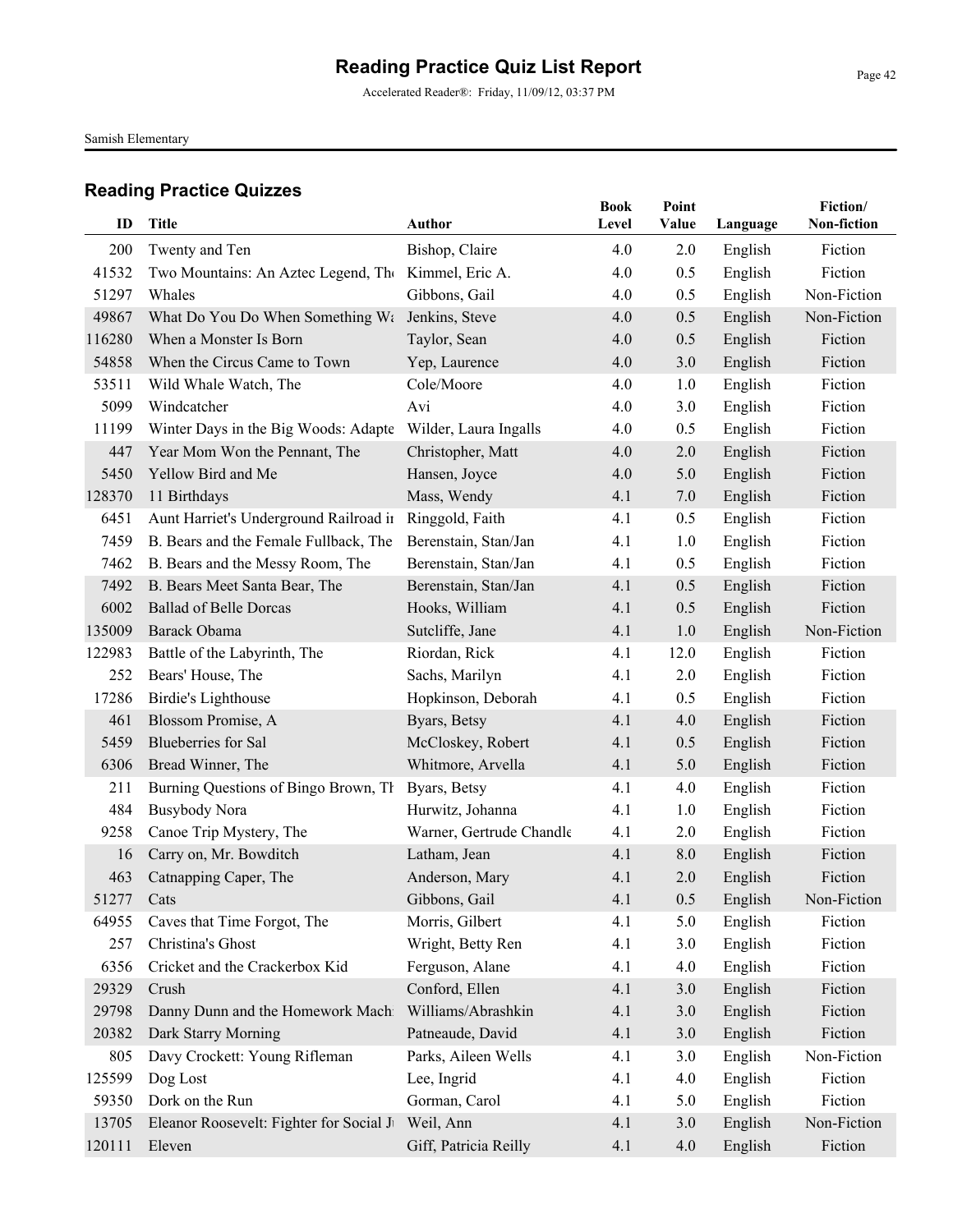Accelerated Reader®: Friday, 11/09/12, 03:37 PM

Samish Elementary

| ID         | Title                                   | Author                   | <b>Book</b><br>Level | Point<br>Value | Language | Fiction/<br>Non-fiction |
|------------|-----------------------------------------|--------------------------|----------------------|----------------|----------|-------------------------|
| 200        | Twenty and Ten                          | Bishop, Claire           | 4.0                  | 2.0            | English  | Fiction                 |
| 41532      | Two Mountains: An Aztec Legend, The     | Kimmel, Eric A.          | 4.0                  | 0.5            | English  | Fiction                 |
| 51297      | Whales                                  | Gibbons, Gail            | 4.0                  | 0.5            | English  | Non-Fiction             |
| 49867      | What Do You Do When Something Wa        | Jenkins, Steve           | 4.0                  | 0.5            | English  | Non-Fiction             |
| 116280     | When a Monster Is Born                  | Taylor, Sean             | 4.0                  | 0.5            | English  | Fiction                 |
| 54858      | When the Circus Came to Town            | Yep, Laurence            | 4.0                  | 3.0            | English  | Fiction                 |
| 53511      | Wild Whale Watch, The                   | Cole/Moore               | 4.0                  | 1.0            | English  | Fiction                 |
| 5099       | Windcatcher                             | Avi                      | 4.0                  | 3.0            | English  | Fiction                 |
| 11199      | Winter Days in the Big Woods: Adapte    | Wilder, Laura Ingalls    | 4.0                  | 0.5            | English  | Fiction                 |
| 447        | Year Mom Won the Pennant, The           | Christopher, Matt        | 4.0                  | 2.0            | English  | Fiction                 |
| 5450       | Yellow Bird and Me                      | Hansen, Joyce            | 4.0                  | 5.0            | English  | Fiction                 |
| 128370     | 11 Birthdays                            | Mass, Wendy              | 4.1                  | 7.0            | English  | Fiction                 |
| 6451       | Aunt Harriet's Underground Railroad ir  | Ringgold, Faith          | 4.1                  | 0.5            | English  | Fiction                 |
| 7459       | B. Bears and the Female Fullback, The   | Berenstain, Stan/Jan     | 4.1                  | 1.0            | English  | Fiction                 |
| 7462       | B. Bears and the Messy Room, The        | Berenstain, Stan/Jan     | 4.1                  | 0.5            | English  | Fiction                 |
| 7492       | B. Bears Meet Santa Bear, The           | Berenstain, Stan/Jan     | 4.1                  | 0.5            | English  | Fiction                 |
| 6002       | <b>Ballad of Belle Dorcas</b>           | Hooks, William           | 4.1                  | 0.5            | English  | Fiction                 |
| 135009     | Barack Obama                            | Sutcliffe, Jane          | 4.1                  | 1.0            | English  | Non-Fiction             |
| 122983     | Battle of the Labyrinth, The            | Riordan, Rick            | 4.1                  | 12.0           | English  | Fiction                 |
| 252        | Bears' House, The                       | Sachs, Marilyn           | 4.1                  | 2.0            | English  | Fiction                 |
| 17286      | Birdie's Lighthouse                     | Hopkinson, Deborah       | 4.1                  | 0.5            | English  | Fiction                 |
| 461        | Blossom Promise, A                      | Byars, Betsy             | 4.1                  | 4.0            | English  | Fiction                 |
| 5459       | <b>Blueberries</b> for Sal              | McCloskey, Robert        | 4.1                  | 0.5            | English  | Fiction                 |
| 6306       | Bread Winner, The                       | Whitmore, Arvella        | 4.1                  | 5.0            | English  | Fiction                 |
| 211        | Burning Questions of Bingo Brown, Th    | Byars, Betsy             | 4.1                  | 4.0            | English  | Fiction                 |
| 484        | <b>Busybody Nora</b>                    | Hurwitz, Johanna         | 4.1                  | 1.0            | English  | Fiction                 |
| 9258       | Canoe Trip Mystery, The                 | Warner, Gertrude Chandle | 4.1                  | 2.0            | English  | Fiction                 |
| 16         | Carry on, Mr. Bowditch                  | Latham, Jean             | 4.1                  | 8.0            | English  | Fiction                 |
| 463        | Catnapping Caper, The                   | Anderson, Mary           | 4.1                  | 2.0            | English  | Fiction                 |
| 51277 Cats |                                         | Gibbons, Gail            | 4.1                  | 0.5            | English  | Non-Fiction             |
| 64955      | Caves that Time Forgot, The             | Morris, Gilbert          | 4.1                  | 5.0            | English  | Fiction                 |
| 257        | Christina's Ghost                       | Wright, Betty Ren        | 4.1                  | 3.0            | English  | Fiction                 |
| 6356       | Cricket and the Crackerbox Kid          | Ferguson, Alane          | 4.1                  | 4.0            | English  | Fiction                 |
| 29329      | Crush                                   | Conford, Ellen           | 4.1                  | 3.0            | English  | Fiction                 |
| 29798      | Danny Dunn and the Homework Machi       | Williams/Abrashkin       | 4.1                  | 3.0            | English  | Fiction                 |
| 20382      | Dark Starry Morning                     | Patneaude, David         | 4.1                  | 3.0            | English  | Fiction                 |
| 805        | Davy Crockett: Young Rifleman           | Parks, Aileen Wells      | 4.1                  | 3.0            | English  | Non-Fiction             |
| 125599     | Dog Lost                                | Lee, Ingrid              | 4.1                  | 4.0            | English  | Fiction                 |
| 59350      | Dork on the Run                         | Gorman, Carol            | 4.1                  | 5.0            | English  | Fiction                 |
| 13705      | Eleanor Roosevelt: Fighter for Social J | Weil, Ann                | 4.1                  | 3.0            | English  | Non-Fiction             |
| 120111     | Eleven                                  | Giff, Patricia Reilly    | 4.1                  | 4.0            | English  | Fiction                 |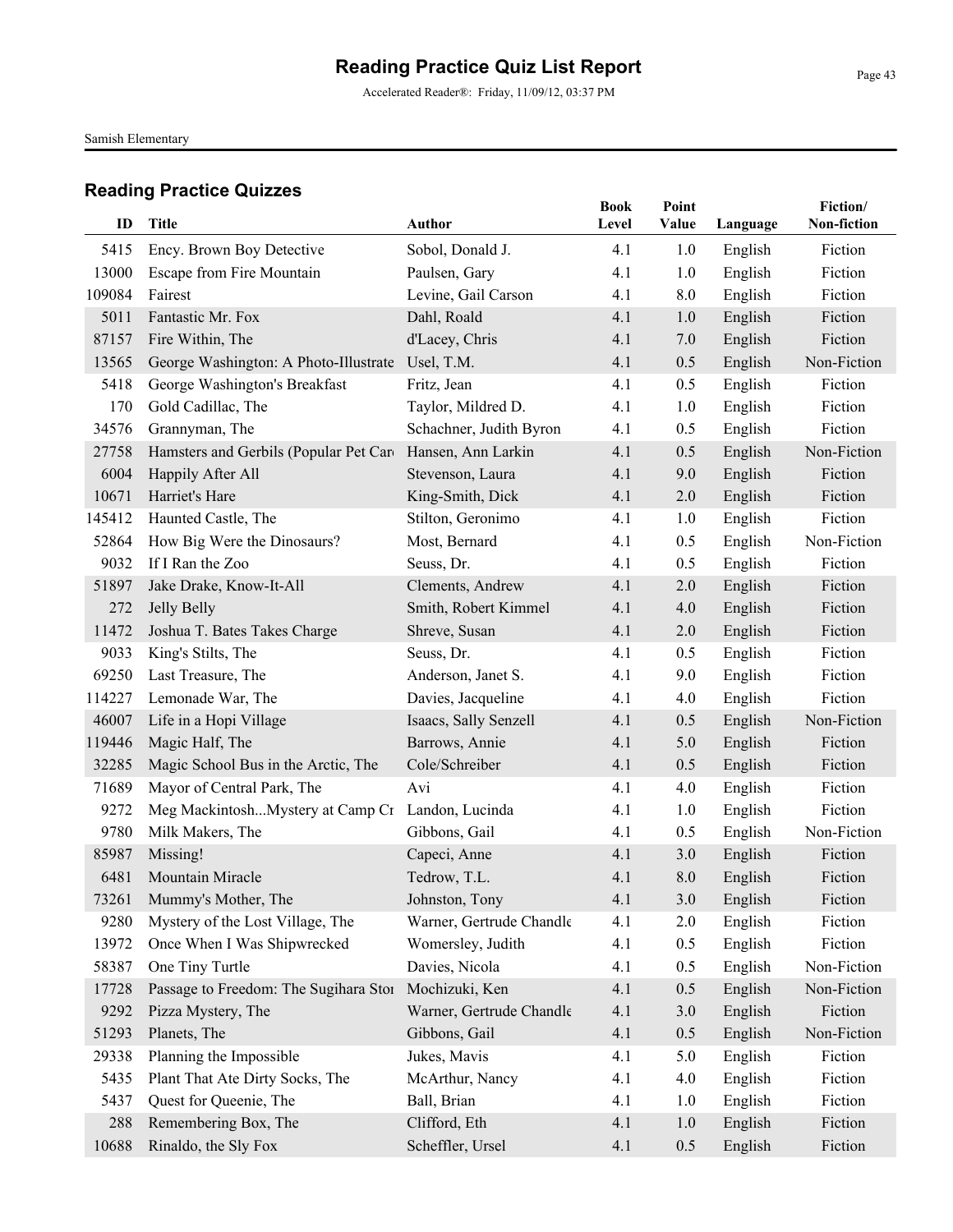Accelerated Reader®: Friday, 11/09/12, 03:37 PM

Samish Elementary

| ID     | Title                                  | Author                   | <b>Book</b><br>Level | Point<br>Value | Language | Fiction/<br>Non-fiction |
|--------|----------------------------------------|--------------------------|----------------------|----------------|----------|-------------------------|
| 5415   | Ency. Brown Boy Detective              | Sobol, Donald J.         | 4.1                  | 1.0            | English  | Fiction                 |
| 13000  | Escape from Fire Mountain              | Paulsen, Gary            | 4.1                  | 1.0            | English  | Fiction                 |
| 109084 | Fairest                                | Levine, Gail Carson      | 4.1                  | 8.0            | English  | Fiction                 |
| 5011   | Fantastic Mr. Fox                      | Dahl, Roald              | 4.1                  | 1.0            | English  | Fiction                 |
| 87157  | Fire Within, The                       | d'Lacey, Chris           | 4.1                  | 7.0            | English  | Fiction                 |
| 13565  | George Washington: A Photo-Illustrate  | Usel, T.M.               | 4.1                  | 0.5            | English  | Non-Fiction             |
| 5418   | George Washington's Breakfast          | Fritz, Jean              | 4.1                  | 0.5            | English  | Fiction                 |
| 170    | Gold Cadillac, The                     | Taylor, Mildred D.       | 4.1                  | 1.0            | English  | Fiction                 |
| 34576  | Grannyman, The                         | Schachner, Judith Byron  | 4.1                  | 0.5            | English  | Fiction                 |
| 27758  | Hamsters and Gerbils (Popular Pet Card | Hansen, Ann Larkin       | 4.1                  | 0.5            | English  | Non-Fiction             |
| 6004   | Happily After All                      | Stevenson, Laura         | 4.1                  | 9.0            | English  | Fiction                 |
| 10671  | Harriet's Hare                         | King-Smith, Dick         | 4.1                  | 2.0            | English  | Fiction                 |
| 145412 | Haunted Castle, The                    | Stilton, Geronimo        | 4.1                  | 1.0            | English  | Fiction                 |
| 52864  | How Big Were the Dinosaurs?            | Most, Bernard            | 4.1                  | 0.5            | English  | Non-Fiction             |
| 9032   | If I Ran the Zoo                       | Seuss, Dr.               | 4.1                  | 0.5            | English  | Fiction                 |
| 51897  | Jake Drake, Know-It-All                | Clements, Andrew         | 4.1                  | 2.0            | English  | Fiction                 |
| 272    | <b>Jelly Belly</b>                     | Smith, Robert Kimmel     | 4.1                  | 4.0            | English  | Fiction                 |
| 11472  | Joshua T. Bates Takes Charge           | Shreve, Susan            | 4.1                  | 2.0            | English  | Fiction                 |
| 9033   | King's Stilts, The                     | Seuss, Dr.               | 4.1                  | 0.5            | English  | Fiction                 |
| 69250  | Last Treasure, The                     | Anderson, Janet S.       | 4.1                  | 9.0            | English  | Fiction                 |
| 114227 | Lemonade War, The                      | Davies, Jacqueline       | 4.1                  | 4.0            | English  | Fiction                 |
| 46007  | Life in a Hopi Village                 | Isaacs, Sally Senzell    | 4.1                  | 0.5            | English  | Non-Fiction             |
| 119446 | Magic Half, The                        | Barrows, Annie           | 4.1                  | 5.0            | English  | Fiction                 |
| 32285  | Magic School Bus in the Arctic, The    | Cole/Schreiber           | 4.1                  | 0.5            | English  | Fiction                 |
| 71689  | Mayor of Central Park, The             | Avi                      | 4.1                  | 4.0            | English  | Fiction                 |
| 9272   | Meg MackintoshMystery at Camp Cr       | Landon, Lucinda          | 4.1                  | 1.0            | English  | Fiction                 |
| 9780   | Milk Makers, The                       | Gibbons, Gail            | 4.1                  | 0.5            | English  | Non-Fiction             |
| 85987  | Missing!                               | Capeci, Anne             | 4.1                  | 3.0            | English  | Fiction                 |
| 6481   | Mountain Miracle                       | Tedrow, T.L.             | 4.1                  | 8.0            | English  | Fiction                 |
| 73261  | Mummy's Mother, The                    | Johnston, Tony           | 4.1                  | 3.0            | English  | Fiction                 |
| 9280   | Mystery of the Lost Village, The       | Warner, Gertrude Chandle | 4.1                  | 2.0            | English  | Fiction                 |
| 13972  | Once When I Was Shipwrecked            | Womersley, Judith        | 4.1                  | 0.5            | English  | Fiction                 |
| 58387  | One Tiny Turtle                        | Davies, Nicola           | 4.1                  | 0.5            | English  | Non-Fiction             |
| 17728  | Passage to Freedom: The Sugihara Stor  | Mochizuki, Ken           | 4.1                  | 0.5            | English  | Non-Fiction             |
| 9292   | Pizza Mystery, The                     | Warner, Gertrude Chandle | 4.1                  | 3.0            | English  | Fiction                 |
| 51293  | Planets, The                           | Gibbons, Gail            | 4.1                  | 0.5            | English  | Non-Fiction             |
| 29338  | Planning the Impossible                | Jukes, Mavis             | 4.1                  | 5.0            | English  | Fiction                 |
| 5435   | Plant That Ate Dirty Socks, The        | McArthur, Nancy          | 4.1                  | 4.0            | English  | Fiction                 |
| 5437   | Quest for Queenie, The                 | Ball, Brian              | 4.1                  | 1.0            | English  | Fiction                 |
| 288    | Remembering Box, The                   | Clifford, Eth            | 4.1                  | 1.0            | English  | Fiction                 |
| 10688  | Rinaldo, the Sly Fox                   | Scheffler, Ursel         | 4.1                  | 0.5            | English  | Fiction                 |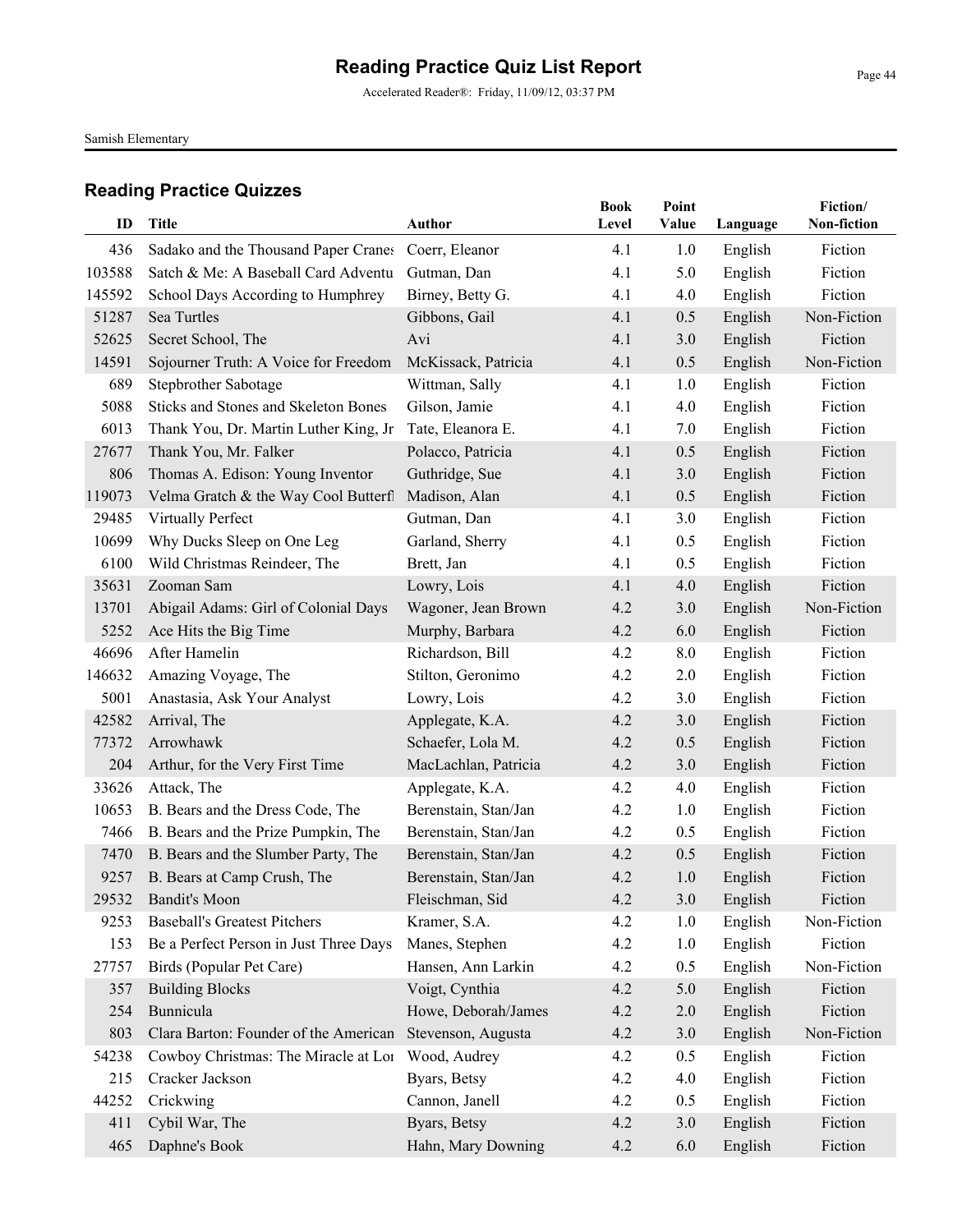Accelerated Reader®: Friday, 11/09/12, 03:37 PM

Samish Elementary

| ID     | <b>Title</b>                                | Author               | <b>Book</b><br>Level | Point<br>Value | Language | Fiction/<br>Non-fiction |
|--------|---------------------------------------------|----------------------|----------------------|----------------|----------|-------------------------|
|        |                                             |                      |                      |                |          |                         |
| 436    | Sadako and the Thousand Paper Cranes        | Coerr, Eleanor       | 4.1                  | 1.0            | English  | Fiction                 |
| 103588 | Satch & Me: A Baseball Card Adventu         | Gutman, Dan          | 4.1                  | 5.0            | English  | Fiction                 |
| 145592 | School Days According to Humphrey           | Birney, Betty G.     | 4.1                  | 4.0            | English  | Fiction                 |
| 51287  | Sea Turtles                                 | Gibbons, Gail        | 4.1                  | 0.5            | English  | Non-Fiction             |
| 52625  | Secret School, The                          | Avi                  | 4.1                  | 3.0            | English  | Fiction                 |
| 14591  | Sojourner Truth: A Voice for Freedom        | McKissack, Patricia  | 4.1                  | 0.5            | English  | Non-Fiction             |
| 689    | Stepbrother Sabotage                        | Wittman, Sally       | 4.1                  | 1.0            | English  | Fiction                 |
| 5088   | <b>Sticks and Stones and Skeleton Bones</b> | Gilson, Jamie        | 4.1                  | 4.0            | English  | Fiction                 |
| 6013   | Thank You, Dr. Martin Luther King, Jr       | Tate, Eleanora E.    | 4.1                  | 7.0            | English  | Fiction                 |
| 27677  | Thank You, Mr. Falker                       | Polacco, Patricia    | 4.1                  | 0.5            | English  | Fiction                 |
| 806    | Thomas A. Edison: Young Inventor            | Guthridge, Sue       | 4.1                  | 3.0            | English  | Fiction                 |
| 119073 | Velma Gratch & the Way Cool Butterfl        | Madison, Alan        | 4.1                  | 0.5            | English  | Fiction                 |
| 29485  | Virtually Perfect                           | Gutman, Dan          | 4.1                  | 3.0            | English  | Fiction                 |
| 10699  | Why Ducks Sleep on One Leg                  | Garland, Sherry      | 4.1                  | 0.5            | English  | Fiction                 |
| 6100   | Wild Christmas Reindeer, The                | Brett, Jan           | 4.1                  | 0.5            | English  | Fiction                 |
| 35631  | Zooman Sam                                  | Lowry, Lois          | 4.1                  | 4.0            | English  | Fiction                 |
| 13701  | Abigail Adams: Girl of Colonial Days        | Wagoner, Jean Brown  | 4.2                  | 3.0            | English  | Non-Fiction             |
| 5252   | Ace Hits the Big Time                       | Murphy, Barbara      | 4.2                  | 6.0            | English  | Fiction                 |
| 46696  | After Hamelin                               | Richardson, Bill     | 4.2                  | 8.0            | English  | Fiction                 |
| 146632 | Amazing Voyage, The                         | Stilton, Geronimo    | 4.2                  | 2.0            | English  | Fiction                 |
| 5001   | Anastasia, Ask Your Analyst                 | Lowry, Lois          | 4.2                  | 3.0            | English  | Fiction                 |
| 42582  | Arrival, The                                | Applegate, K.A.      | 4.2                  | 3.0            | English  | Fiction                 |
| 77372  | Arrowhawk                                   | Schaefer, Lola M.    | 4.2                  | 0.5            | English  | Fiction                 |
| 204    | Arthur, for the Very First Time             | MacLachlan, Patricia | 4.2                  | 3.0            | English  | Fiction                 |
| 33626  | Attack, The                                 | Applegate, K.A.      | 4.2                  | 4.0            | English  | Fiction                 |
| 10653  | B. Bears and the Dress Code, The            | Berenstain, Stan/Jan | 4.2                  | 1.0            | English  | Fiction                 |
| 7466   | B. Bears and the Prize Pumpkin, The         | Berenstain, Stan/Jan | 4.2                  | 0.5            | English  | Fiction                 |
| 7470   | B. Bears and the Slumber Party, The         | Berenstain, Stan/Jan | 4.2                  | 0.5            | English  | Fiction                 |
| 9257   | B. Bears at Camp Crush, The                 | Berenstain, Stan/Jan | 4.2                  | 1.0            | English  | Fiction                 |
|        | 29532 Bandit's Moon                         | Fleischman, Sid      | 4.2                  | 3.0            | English  | Fiction                 |
| 9253   | <b>Baseball's Greatest Pitchers</b>         | Kramer, S.A.         | 4.2                  | 1.0            | English  | Non-Fiction             |
| 153    | Be a Perfect Person in Just Three Days!     | Manes, Stephen       | 4.2                  | 1.0            | English  | Fiction                 |
| 27757  | Birds (Popular Pet Care)                    | Hansen, Ann Larkin   | 4.2                  | 0.5            | English  | Non-Fiction             |
| 357    | <b>Building Blocks</b>                      | Voigt, Cynthia       | 4.2                  | 5.0            | English  | Fiction                 |
| 254    | Bunnicula                                   | Howe, Deborah/James  | 4.2                  | 2.0            | English  | Fiction                 |
| 803    | Clara Barton: Founder of the American       | Stevenson, Augusta   | 4.2                  | 3.0            | English  | Non-Fiction             |
| 54238  | Cowboy Christmas: The Miracle at Lor        | Wood, Audrey         | 4.2                  | 0.5            | English  | Fiction                 |
| 215    | Cracker Jackson                             | Byars, Betsy         | 4.2                  | 4.0            | English  | Fiction                 |
| 44252  | Crickwing                                   | Cannon, Janell       | 4.2                  | 0.5            | English  | Fiction                 |
| 411    | Cybil War, The                              | Byars, Betsy         | 4.2                  | 3.0            | English  | Fiction                 |
| 465    | Daphne's Book                               | Hahn, Mary Downing   | 4.2                  | 6.0            | English  | Fiction                 |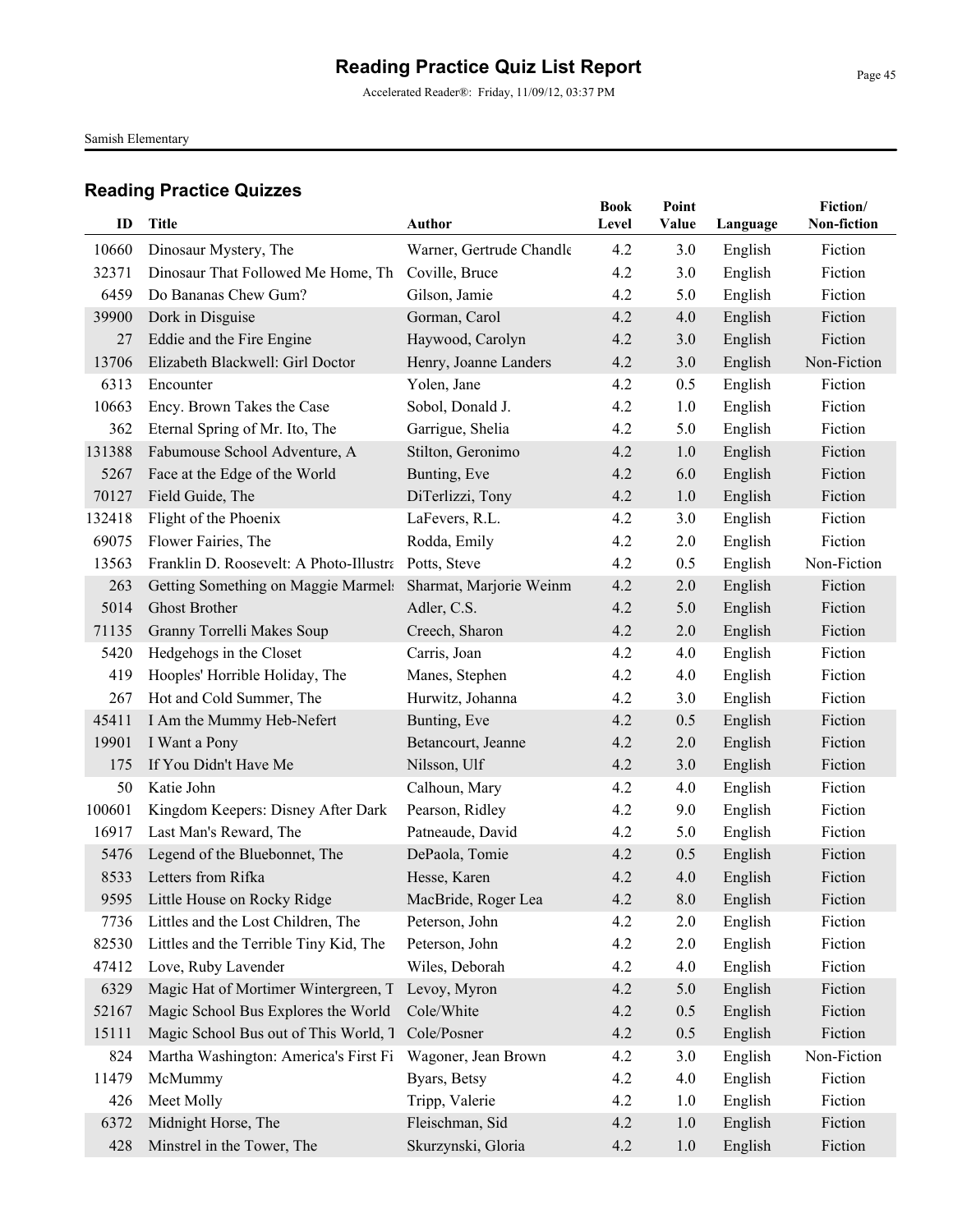Accelerated Reader®: Friday, 11/09/12, 03:37 PM

Samish Elementary

| ID            | <b>Title</b>                                                              | Author                   | <b>Book</b><br>Level | Point<br>Value | Language | Fiction/<br>Non-fiction |
|---------------|---------------------------------------------------------------------------|--------------------------|----------------------|----------------|----------|-------------------------|
|               |                                                                           |                          |                      |                |          |                         |
| 10660         | Dinosaur Mystery, The                                                     | Warner, Gertrude Chandle | 4.2                  | 3.0            | English  | Fiction                 |
| 32371         | Dinosaur That Followed Me Home, Th Coville, Bruce<br>Do Bananas Chew Gum? |                          | 4.2                  | 3.0            | English  | Fiction                 |
| 6459          |                                                                           | Gilson, Jamie            | 4.2                  | 5.0            | English  | Fiction                 |
| 39900         | Dork in Disguise                                                          | Gorman, Carol            | 4.2                  | 4.0            | English  | Fiction<br>Fiction      |
| 27            | Eddie and the Fire Engine                                                 | Haywood, Carolyn         | 4.2                  | 3.0            | English  |                         |
| 13706<br>6313 | Elizabeth Blackwell: Girl Doctor                                          | Henry, Joanne Landers    | 4.2<br>4.2           | 3.0            | English  | Non-Fiction             |
| 10663         | Encounter                                                                 | Yolen, Jane              |                      | 0.5            | English  | Fiction                 |
|               | Ency. Brown Takes the Case                                                | Sobol, Donald J.         | 4.2                  | 1.0            | English  | Fiction                 |
| 362           | Eternal Spring of Mr. Ito, The                                            | Garrigue, Shelia         | 4.2                  | 5.0            | English  | Fiction                 |
| 131388        | Fabumouse School Adventure, A                                             | Stilton, Geronimo        | 4.2                  | 1.0            | English  | Fiction                 |
| 5267          | Face at the Edge of the World                                             | Bunting, Eve             | 4.2                  | 6.0            | English  | Fiction                 |
| 70127         | Field Guide, The                                                          | DiTerlizzi, Tony         | 4.2                  | 1.0            | English  | Fiction                 |
| 132418        | Flight of the Phoenix                                                     | LaFevers, R.L.           | 4.2                  | 3.0            | English  | Fiction                 |
| 69075         | Flower Fairies, The                                                       | Rodda, Emily             | 4.2                  | 2.0            | English  | Fiction                 |
| 13563         | Franklin D. Roosevelt: A Photo-Illustra                                   | Potts, Steve             | 4.2                  | 0.5            | English  | Non-Fiction             |
| 263           | Getting Something on Maggie Marmels                                       | Sharmat, Marjorie Weinm  | 4.2                  | 2.0            | English  | Fiction                 |
| 5014          | <b>Ghost Brother</b>                                                      | Adler, C.S.              | 4.2                  | 5.0            | English  | Fiction                 |
| 71135         | Granny Torrelli Makes Soup                                                | Creech, Sharon           | 4.2                  | 2.0            | English  | Fiction                 |
| 5420          | Hedgehogs in the Closet                                                   | Carris, Joan             | 4.2                  | 4.0            | English  | Fiction                 |
| 419           | Hooples' Horrible Holiday, The                                            | Manes, Stephen           | 4.2                  | 4.0            | English  | Fiction                 |
| 267           | Hot and Cold Summer, The                                                  | Hurwitz, Johanna         | 4.2                  | 3.0            | English  | Fiction                 |
| 45411         | I Am the Mummy Heb-Nefert                                                 | Bunting, Eve             | 4.2                  | 0.5            | English  | Fiction                 |
| 19901         | I Want a Pony                                                             | Betancourt, Jeanne       | 4.2                  | 2.0            | English  | Fiction                 |
| 175           | If You Didn't Have Me                                                     | Nilsson, Ulf             | 4.2                  | 3.0            | English  | Fiction                 |
| 50            | Katie John                                                                | Calhoun, Mary            | 4.2                  | 4.0            | English  | Fiction                 |
| 100601        | Kingdom Keepers: Disney After Dark                                        | Pearson, Ridley          | 4.2                  | 9.0            | English  | Fiction                 |
| 16917         | Last Man's Reward, The                                                    | Patneaude, David         | 4.2                  | 5.0            | English  | Fiction                 |
| 5476          | Legend of the Bluebonnet, The                                             | DePaola, Tomie           | 4.2                  | 0.5            | English  | Fiction                 |
| 8533          | Letters from Rifka                                                        | Hesse, Karen             | 4.2                  | 4.0            | English  | Fiction                 |
|               | 9595 Little House on Rocky Ridge                                          | MacBride, Roger Lea      | 4.2                  | 0.8            | English  | Fiction                 |
| 7736          | Littles and the Lost Children, The                                        | Peterson, John           | 4.2                  | 2.0            | English  | Fiction                 |
| 82530         | Littles and the Terrible Tiny Kid, The                                    | Peterson, John           | 4.2                  | 2.0            | English  | Fiction                 |
| 47412         | Love, Ruby Lavender                                                       | Wiles, Deborah           | 4.2                  | 4.0            | English  | Fiction                 |
| 6329          | Magic Hat of Mortimer Wintergreen, T                                      | Levoy, Myron             | 4.2                  | 5.0            | English  | Fiction                 |
| 52167         | Magic School Bus Explores the World                                       | Cole/White               | 4.2                  | 0.5            | English  | Fiction                 |
| 15111         | Magic School Bus out of This World, T                                     | Cole/Posner              | 4.2                  | 0.5            | English  | Fiction                 |
| 824           | Martha Washington: America's First Fi                                     | Wagoner, Jean Brown      | 4.2                  | 3.0            | English  | Non-Fiction             |
| 11479         | McMummy                                                                   | Byars, Betsy             | 4.2                  | 4.0            | English  | Fiction                 |
| 426           | Meet Molly                                                                | Tripp, Valerie           | 4.2                  | 1.0            | English  | Fiction                 |
| 6372          | Midnight Horse, The                                                       | Fleischman, Sid          | 4.2                  | 1.0            | English  | Fiction                 |
| 428           | Minstrel in the Tower, The                                                | Skurzynski, Gloria       | 4.2                  | 1.0            | English  | Fiction                 |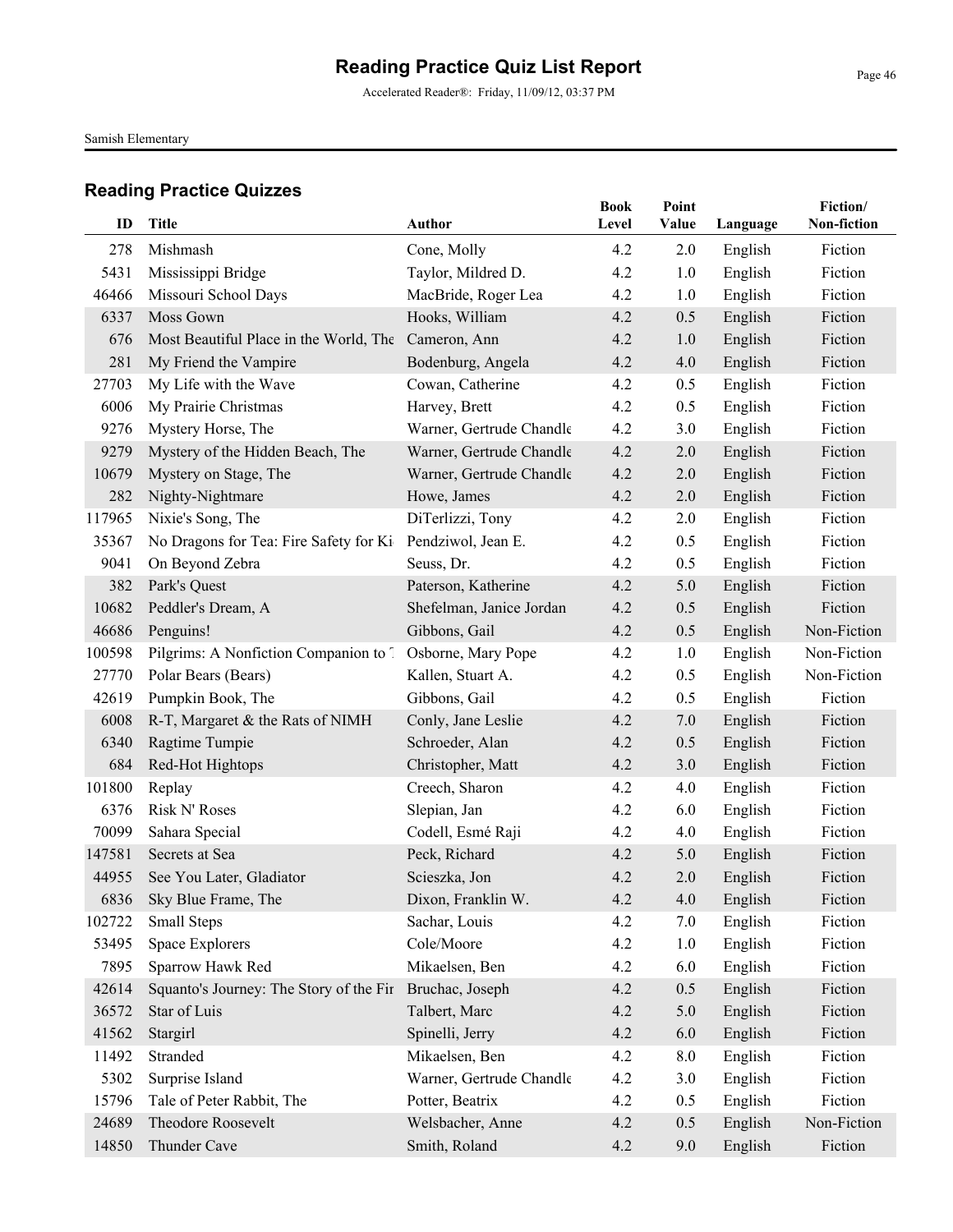Accelerated Reader®: Friday, 11/09/12, 03:37 PM

Samish Elementary

| ID     | <b>Title</b>                            | Author                   | <b>Book</b><br>Level | Point<br>Value | Language | Fiction/<br>Non-fiction |
|--------|-----------------------------------------|--------------------------|----------------------|----------------|----------|-------------------------|
| 278    | Mishmash                                | Cone, Molly              | 4.2                  | 2.0            | English  | Fiction                 |
| 5431   | Mississippi Bridge                      | Taylor, Mildred D.       | 4.2                  | 1.0            | English  | Fiction                 |
| 46466  | Missouri School Days                    | MacBride, Roger Lea      | 4.2                  | 1.0            | English  | Fiction                 |
| 6337   | Moss Gown                               | Hooks, William           | 4.2                  | 0.5            | English  | Fiction                 |
| 676    | Most Beautiful Place in the World, The  | Cameron, Ann             | 4.2                  | 1.0            | English  | Fiction                 |
| 281    | My Friend the Vampire                   | Bodenburg, Angela        | 4.2                  | 4.0            | English  | Fiction                 |
| 27703  | My Life with the Wave                   | Cowan, Catherine         | 4.2                  | 0.5            | English  | Fiction                 |
| 6006   | My Prairie Christmas                    | Harvey, Brett            | 4.2                  | 0.5            | English  | Fiction                 |
| 9276   | Mystery Horse, The                      | Warner, Gertrude Chandle | 4.2                  | 3.0            | English  | Fiction                 |
| 9279   | Mystery of the Hidden Beach, The        | Warner, Gertrude Chandle | 4.2                  | 2.0            | English  | Fiction                 |
| 10679  | Mystery on Stage, The                   | Warner, Gertrude Chandle | 4.2                  | 2.0            | English  | Fiction                 |
| 282    | Nighty-Nightmare                        | Howe, James              | 4.2                  | 2.0            | English  | Fiction                 |
| 117965 | Nixie's Song, The                       | DiTerlizzi, Tony         | 4.2                  | 2.0            | English  | Fiction                 |
| 35367  | No Dragons for Tea: Fire Safety for Ki  | Pendziwol, Jean E.       | 4.2                  | 0.5            | English  | Fiction                 |
| 9041   | On Beyond Zebra                         | Seuss, Dr.               | 4.2                  | 0.5            | English  | Fiction                 |
| 382    | Park's Quest                            | Paterson, Katherine      | 4.2                  | 5.0            | English  | Fiction                 |
| 10682  | Peddler's Dream, A                      | Shefelman, Janice Jordan | 4.2                  | 0.5            | English  | Fiction                 |
| 46686  | Penguins!                               | Gibbons, Gail            | 4.2                  | 0.5            | English  | Non-Fiction             |
| 100598 | Pilgrims: A Nonfiction Companion to 1   | Osborne, Mary Pope       | 4.2                  | 1.0            | English  | Non-Fiction             |
| 27770  | Polar Bears (Bears)                     | Kallen, Stuart A.        | 4.2                  | 0.5            | English  | Non-Fiction             |
| 42619  | Pumpkin Book, The                       | Gibbons, Gail            | 4.2                  | 0.5            | English  | Fiction                 |
| 6008   | R-T, Margaret & the Rats of NIMH        | Conly, Jane Leslie       | 4.2                  | 7.0            | English  | Fiction                 |
| 6340   | Ragtime Tumpie                          | Schroeder, Alan          | 4.2                  | 0.5            | English  | Fiction                 |
| 684    | Red-Hot Hightops                        | Christopher, Matt        | 4.2                  | 3.0            | English  | Fiction                 |
| 101800 | Replay                                  | Creech, Sharon           | 4.2                  | 4.0            | English  | Fiction                 |
| 6376   | Risk N' Roses                           | Slepian, Jan             | 4.2                  | 6.0            | English  | Fiction                 |
| 70099  | Sahara Special                          | Codell, Esmé Raji        | 4.2                  | 4.0            | English  | Fiction                 |
| 147581 | Secrets at Sea                          | Peck, Richard            | 4.2                  | 5.0            | English  | Fiction                 |
| 44955  | See You Later, Gladiator                | Scieszka, Jon            | 4.2                  | 2.0            | English  | Fiction                 |
|        | 6836 Sky Blue Frame, The                | Dixon, Franklin W.       | 4.2                  | 4.0            | English  | Fiction                 |
| 102722 | Small Steps                             | Sachar, Louis            | 4.2                  | 7.0            | English  | Fiction                 |
| 53495  | Space Explorers                         | Cole/Moore               | 4.2                  | 1.0            | English  | Fiction                 |
| 7895   | Sparrow Hawk Red                        | Mikaelsen, Ben           | 4.2                  | 6.0            | English  | Fiction                 |
| 42614  | Squanto's Journey: The Story of the Fir | Bruchac, Joseph          | 4.2                  | 0.5            | English  | Fiction                 |
| 36572  | Star of Luis                            | Talbert, Marc            | 4.2                  | 5.0            | English  | Fiction                 |
| 41562  | Stargirl                                | Spinelli, Jerry          | 4.2                  | 6.0            | English  | Fiction                 |
| 11492  | Stranded                                | Mikaelsen, Ben           | 4.2                  | 8.0            | English  | Fiction                 |
| 5302   | Surprise Island                         | Warner, Gertrude Chandle | 4.2                  | 3.0            | English  | Fiction                 |
| 15796  | Tale of Peter Rabbit, The               | Potter, Beatrix          | 4.2                  | 0.5            | English  | Fiction                 |
| 24689  | Theodore Roosevelt                      | Welsbacher, Anne         | 4.2                  | 0.5            | English  | Non-Fiction             |
| 14850  | Thunder Cave                            | Smith, Roland            | 4.2                  | 9.0            | English  | Fiction                 |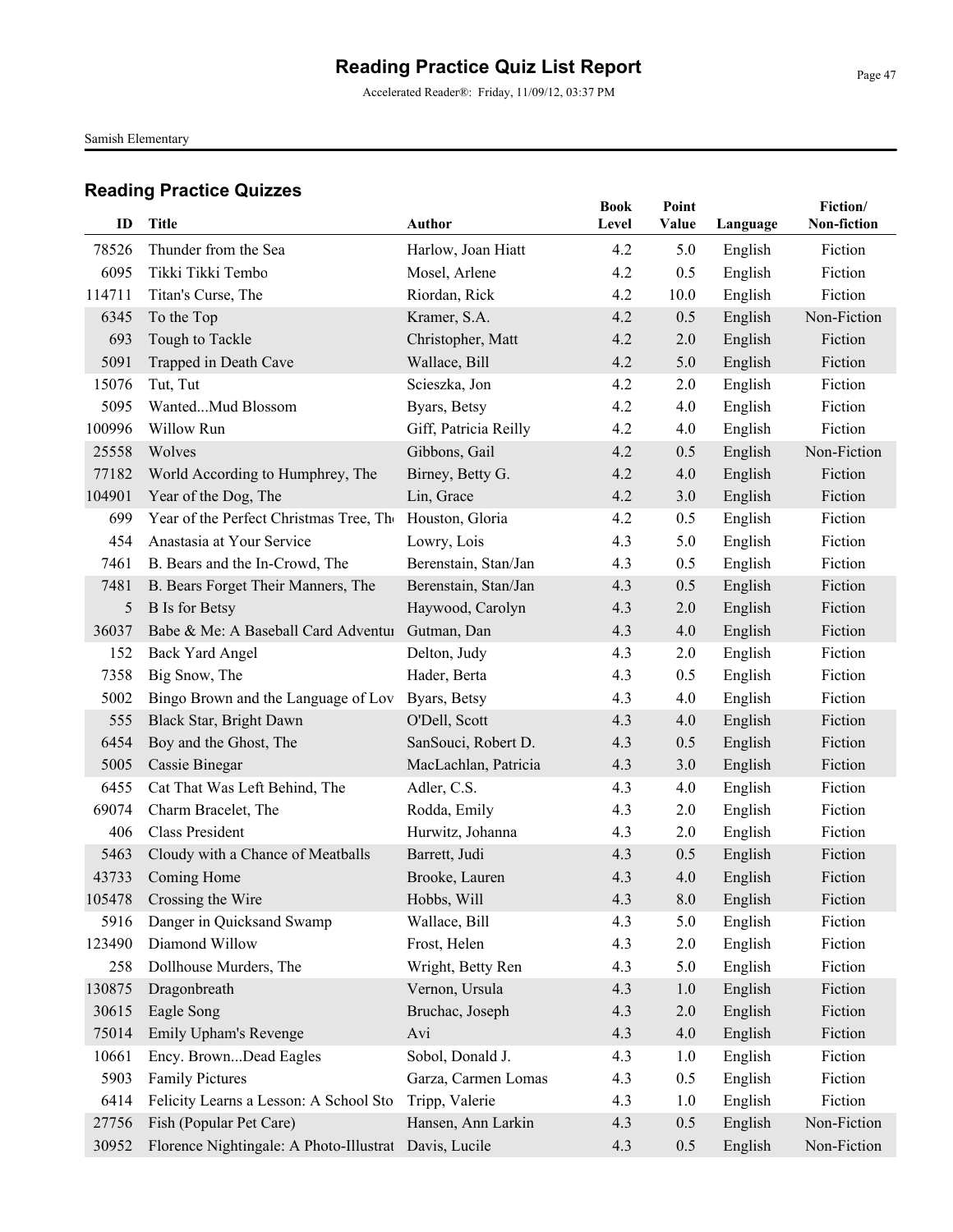Accelerated Reader®: Friday, 11/09/12, 03:37 PM

Samish Elementary

| ID     | Title                                   | <b>Author</b>         | <b>Book</b><br>Level | Point<br>Value | Language | Fiction/<br>Non-fiction |
|--------|-----------------------------------------|-----------------------|----------------------|----------------|----------|-------------------------|
| 78526  | Thunder from the Sea                    | Harlow, Joan Hiatt    | 4.2                  | 5.0            | English  | Fiction                 |
| 6095   | Tikki Tikki Tembo                       | Mosel, Arlene         | 4.2                  | 0.5            | English  | Fiction                 |
| 114711 | Titan's Curse, The                      | Riordan, Rick         | 4.2                  | 10.0           | English  | Fiction                 |
| 6345   | To the Top                              | Kramer, S.A.          | 4.2                  | 0.5            | English  | Non-Fiction             |
| 693    | Tough to Tackle                         | Christopher, Matt     | 4.2                  | 2.0            | English  | Fiction                 |
| 5091   | Trapped in Death Cave                   | Wallace, Bill         | 4.2                  | 5.0            | English  | Fiction                 |
| 15076  | Tut, Tut                                | Scieszka, Jon         | 4.2                  | 2.0            | English  | Fiction                 |
| 5095   | WantedMud Blossom                       | Byars, Betsy          | 4.2                  | 4.0            | English  | Fiction                 |
| 100996 | Willow Run                              | Giff, Patricia Reilly | 4.2                  | 4.0            | English  | Fiction                 |
| 25558  | Wolves                                  | Gibbons, Gail         | 4.2                  | 0.5            | English  | Non-Fiction             |
| 77182  | World According to Humphrey, The        | Birney, Betty G.      | 4.2                  | 4.0            | English  | Fiction                 |
| 104901 | Year of the Dog, The                    | Lin, Grace            | 4.2                  | 3.0            | English  | Fiction                 |
| 699    | Year of the Perfect Christmas Tree, The | Houston, Gloria       | 4.2                  | 0.5            | English  | Fiction                 |
| 454    | Anastasia at Your Service               | Lowry, Lois           | 4.3                  | 5.0            | English  | Fiction                 |
| 7461   | B. Bears and the In-Crowd, The          | Berenstain, Stan/Jan  | 4.3                  | 0.5            | English  | Fiction                 |
| 7481   | B. Bears Forget Their Manners, The      | Berenstain, Stan/Jan  | 4.3                  | 0.5            | English  | Fiction                 |
| 5      | <b>B</b> Is for Betsy                   | Haywood, Carolyn      | 4.3                  | 2.0            | English  | Fiction                 |
| 36037  | Babe & Me: A Baseball Card Adventur     | Gutman, Dan           | 4.3                  | 4.0            | English  | Fiction                 |
| 152    | <b>Back Yard Angel</b>                  | Delton, Judy          | 4.3                  | 2.0            | English  | Fiction                 |
| 7358   | Big Snow, The                           | Hader, Berta          | 4.3                  | 0.5            | English  | Fiction                 |
| 5002   | Bingo Brown and the Language of Lov     | Byars, Betsy          | 4.3                  | 4.0            | English  | Fiction                 |
| 555    | Black Star, Bright Dawn                 | O'Dell, Scott         | 4.3                  | 4.0            | English  | Fiction                 |
| 6454   | Boy and the Ghost, The                  | SanSouci, Robert D.   | 4.3                  | 0.5            | English  | Fiction                 |
| 5005   | Cassie Binegar                          | MacLachlan, Patricia  | 4.3                  | 3.0            | English  | Fiction                 |
| 6455   | Cat That Was Left Behind, The           | Adler, C.S.           | 4.3                  | 4.0            | English  | Fiction                 |
| 69074  | Charm Bracelet, The                     | Rodda, Emily          | 4.3                  | 2.0            | English  | Fiction                 |
| 406    | Class President                         | Hurwitz, Johanna      | 4.3                  | 2.0            | English  | Fiction                 |
| 5463   | Cloudy with a Chance of Meatballs       | Barrett, Judi         | 4.3                  | 0.5            | English  | Fiction                 |
| 43733  | Coming Home                             | Brooke, Lauren        | 4.3                  | 4.0            | English  | Fiction                 |
|        | 105478 Crossing the Wire                | Hobbs, Will           | 4.3                  | 8.0            | English  | Fiction                 |
| 5916   | Danger in Quicksand Swamp               | Wallace, Bill         | 4.3                  | 5.0            | English  | Fiction                 |
| 123490 | Diamond Willow                          | Frost, Helen          | 4.3                  | 2.0            | English  | Fiction                 |
| 258    | Dollhouse Murders, The                  | Wright, Betty Ren     | 4.3                  | 5.0            | English  | Fiction                 |
| 130875 | Dragonbreath                            | Vernon, Ursula        | 4.3                  | 1.0            | English  | Fiction                 |
| 30615  | Eagle Song                              | Bruchac, Joseph       | 4.3                  | 2.0            | English  | Fiction                 |
| 75014  | Emily Upham's Revenge                   | Avi                   | 4.3                  | 4.0            | English  | Fiction                 |
| 10661  | Ency. BrownDead Eagles                  | Sobol, Donald J.      | 4.3                  | 1.0            | English  | Fiction                 |
| 5903   | <b>Family Pictures</b>                  | Garza, Carmen Lomas   | 4.3                  | 0.5            | English  | Fiction                 |
| 6414   | Felicity Learns a Lesson: A School Sto  | Tripp, Valerie        | 4.3                  | 1.0            | English  | Fiction                 |
| 27756  | Fish (Popular Pet Care)                 | Hansen, Ann Larkin    | 4.3                  | 0.5            | English  | Non-Fiction             |
| 30952  | Florence Nightingale: A Photo-Illustrat | Davis, Lucile         | 4.3                  | 0.5            | English  | Non-Fiction             |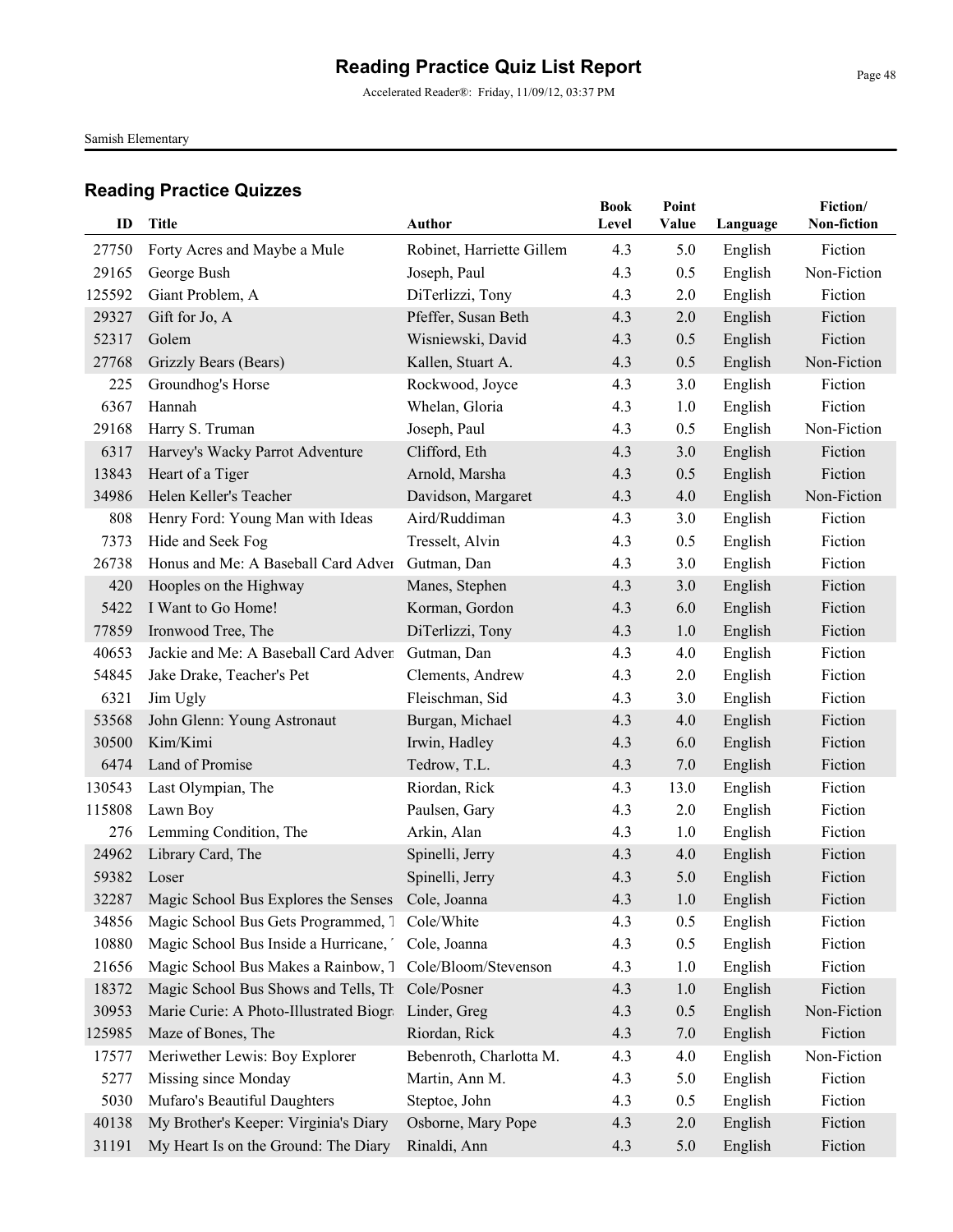Samish Elementary

| ID     | <b>Title</b>                                             | Author                    | <b>Book</b><br>Level | Point<br>Value | Language | Fiction/<br>Non-fiction |
|--------|----------------------------------------------------------|---------------------------|----------------------|----------------|----------|-------------------------|
| 27750  | Forty Acres and Maybe a Mule                             | Robinet, Harriette Gillem | 4.3                  | 5.0            | English  | Fiction                 |
| 29165  | George Bush                                              | Joseph, Paul              | 4.3                  | 0.5            | English  | Non-Fiction             |
| 125592 | Giant Problem, A                                         | DiTerlizzi, Tony          | 4.3                  | 2.0            | English  | Fiction                 |
| 29327  | Gift for Jo, A                                           | Pfeffer, Susan Beth       | 4.3                  | 2.0            | English  | Fiction                 |
| 52317  | Golem                                                    | Wisniewski, David         | 4.3                  | 0.5            | English  | Fiction                 |
| 27768  | Grizzly Bears (Bears)                                    | Kallen, Stuart A.         | 4.3                  | 0.5            | English  | Non-Fiction             |
| 225    | Groundhog's Horse                                        | Rockwood, Joyce           | 4.3                  | 3.0            | English  | Fiction                 |
| 6367   | Hannah                                                   | Whelan, Gloria            | 4.3                  | 1.0            | English  | Fiction                 |
| 29168  | Harry S. Truman                                          | Joseph, Paul              | 4.3                  | 0.5            | English  | Non-Fiction             |
| 6317   | Harvey's Wacky Parrot Adventure                          | Clifford, Eth             | 4.3                  | 3.0            | English  | Fiction                 |
| 13843  | Heart of a Tiger                                         | Arnold, Marsha            | 4.3                  | 0.5            | English  | Fiction                 |
| 34986  | Helen Keller's Teacher                                   | Davidson, Margaret        | 4.3                  | 4.0            | English  | Non-Fiction             |
| 808    | Henry Ford: Young Man with Ideas                         | Aird/Ruddiman             | 4.3                  | 3.0            | English  | Fiction                 |
| 7373   | Hide and Seek Fog                                        | Tresselt, Alvin           | 4.3                  | 0.5            | English  | Fiction                 |
| 26738  | Honus and Me: A Baseball Card Adver Gutman, Dan          |                           | 4.3                  | 3.0            | English  | Fiction                 |
| 420    | Hooples on the Highway                                   | Manes, Stephen            | 4.3                  | 3.0            | English  | Fiction                 |
| 5422   | I Want to Go Home!                                       | Korman, Gordon            | 4.3                  | 6.0            | English  | Fiction                 |
| 77859  | Ironwood Tree, The                                       | DiTerlizzi, Tony          | 4.3                  | 1.0            | English  | Fiction                 |
| 40653  | Jackie and Me: A Baseball Card Adven                     | Gutman, Dan               | 4.3                  | 4.0            | English  | Fiction                 |
| 54845  | Jake Drake, Teacher's Pet                                | Clements, Andrew          | 4.3                  | 2.0            | English  | Fiction                 |
| 6321   | Jim Ugly                                                 | Fleischman, Sid           | 4.3                  | 3.0            | English  | Fiction                 |
| 53568  | John Glenn: Young Astronaut                              | Burgan, Michael           | 4.3                  | 4.0            | English  | Fiction                 |
| 30500  | Kim/Kimi                                                 | Irwin, Hadley             | 4.3                  | 6.0            | English  | Fiction                 |
| 6474   | Land of Promise                                          | Tedrow, T.L.              | 4.3                  | 7.0            | English  | Fiction                 |
| 130543 | Last Olympian, The                                       | Riordan, Rick             | 4.3                  | 13.0           | English  | Fiction                 |
| 115808 | Lawn Boy                                                 | Paulsen, Gary             | 4.3                  | 2.0            | English  | Fiction                 |
| 276    | Lemming Condition, The                                   | Arkin, Alan               | 4.3                  | 1.0            | English  | Fiction                 |
| 24962  | Library Card, The                                        | Spinelli, Jerry           | 4.3                  | 4.0            | English  | Fiction                 |
| 59382  | Loser                                                    | Spinelli, Jerry           | 4.3                  | 5.0            | English  | Fiction                 |
|        | 32287 Magic School Bus Explores the Senses Cole, Joanna  |                           | 4.3                  | 1.0            | English  | Fiction                 |
| 34856  | Magic School Bus Gets Programmed, 7                      | Cole/White                | 4.3                  | 0.5            | English  | Fiction                 |
| 10880  | Magic School Bus Inside a Hurricane,                     | Cole, Joanna              | 4.3                  | 0.5            | English  | Fiction                 |
| 21656  | Magic School Bus Makes a Rainbow, 7 Cole/Bloom/Stevenson |                           | 4.3                  | 1.0            | English  | Fiction                 |
| 18372  | Magic School Bus Shows and Tells, Th                     | Cole/Posner               | 4.3                  | 1.0            | English  | Fiction                 |
| 30953  | Marie Curie: A Photo-Illustrated Biogra Linder, Greg     |                           | 4.3                  | 0.5            | English  | Non-Fiction             |
| 125985 | Maze of Bones, The                                       | Riordan, Rick             | 4.3                  | 7.0            | English  | Fiction                 |
| 17577  | Meriwether Lewis: Boy Explorer                           | Bebenroth, Charlotta M.   | 4.3                  | 4.0            | English  | Non-Fiction             |
| 5277   | Missing since Monday                                     | Martin, Ann M.            | 4.3                  | 5.0            | English  | Fiction                 |
| 5030   | Mufaro's Beautiful Daughters                             | Steptoe, John             | 4.3                  | 0.5            | English  | Fiction                 |
| 40138  | My Brother's Keeper: Virginia's Diary                    | Osborne, Mary Pope        | 4.3                  | 2.0            | English  | Fiction                 |
| 31191  | My Heart Is on the Ground: The Diary                     | Rinaldi, Ann              | 4.3                  | 5.0            | English  | Fiction                 |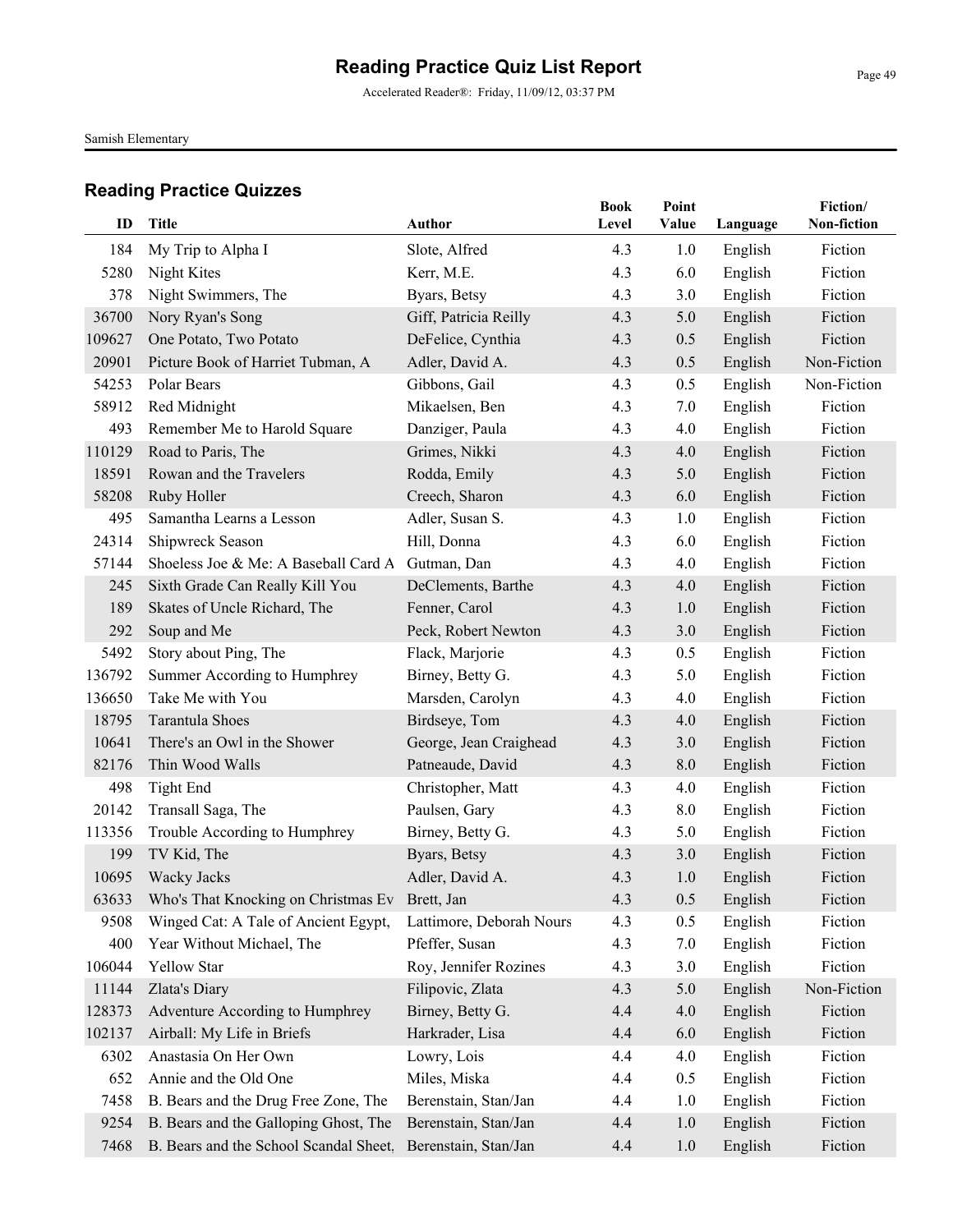Accelerated Reader®: Friday, 11/09/12, 03:37 PM

Samish Elementary

| ID              | <b>Title</b>                                             | Author                               | <b>Book</b><br>Level | Point<br>Value | Language           | Fiction/<br>Non-fiction |
|-----------------|----------------------------------------------------------|--------------------------------------|----------------------|----------------|--------------------|-------------------------|
|                 |                                                          |                                      |                      |                |                    |                         |
| 184             | My Trip to Alpha I                                       | Slote, Alfred                        | 4.3                  | 1.0            | English            | Fiction                 |
| 5280            | Night Kites                                              | Kerr, M.E.                           | 4.3                  | 6.0            | English            | Fiction                 |
| 378             | Night Swimmers, The                                      | Byars, Betsy                         | 4.3                  | 3.0            | English            | Fiction                 |
| 36700<br>109627 | Nory Ryan's Song                                         | Giff, Patricia Reilly                | 4.3                  | 5.0            | English            | Fiction<br>Fiction      |
| 20901           | One Potato, Two Potato                                   | DeFelice, Cynthia<br>Adler, David A. | 4.3                  | 0.5<br>0.5     | English            | Non-Fiction             |
| 54253           | Picture Book of Harriet Tubman, A<br>Polar Bears         |                                      | 4.3                  |                | English            | Non-Fiction             |
| 58912           |                                                          | Gibbons, Gail                        | 4.3<br>4.3           | 0.5            | English            | Fiction                 |
|                 | Red Midnight                                             | Mikaelsen, Ben                       |                      | 7.0            | English            |                         |
| 493             | Remember Me to Harold Square                             | Danziger, Paula                      | 4.3                  | 4.0            | English            | Fiction<br>Fiction      |
| 110129          | Road to Paris, The                                       | Grimes, Nikki                        | 4.3                  | 4.0            | English            |                         |
| 18591           | Rowan and the Travelers                                  | Rodda, Emily                         | 4.3                  | 5.0            | English            | Fiction                 |
| 58208<br>495    | Ruby Holler<br>Samantha Learns a Lesson                  | Creech, Sharon                       | 4.3                  | 6.0            | English            | Fiction                 |
|                 |                                                          | Adler, Susan S.                      | 4.3                  | 1.0            | English            | Fiction                 |
| 24314           | Shipwreck Season<br>Shoeless Joe & Me: A Baseball Card A | Hill, Donna                          | 4.3                  | 6.0            | English            | Fiction<br>Fiction      |
| 57144           | Sixth Grade Can Really Kill You                          | Gutman, Dan                          | 4.3<br>4.3           | 4.0            | English<br>English | Fiction                 |
| 245<br>189      |                                                          | DeClements, Barthe                   |                      | 4.0            |                    |                         |
|                 | Skates of Uncle Richard, The                             | Fenner, Carol                        | 4.3                  | 1.0            | English            | Fiction                 |
| 292             | Soup and Me                                              | Peck, Robert Newton                  | 4.3                  | 3.0            | English            | Fiction                 |
| 5492            | Story about Ping, The                                    | Flack, Marjorie                      | 4.3                  | 0.5            | English            | Fiction                 |
| 136792          | Summer According to Humphrey                             | Birney, Betty G.                     | 4.3                  | 5.0            | English            | Fiction                 |
| 136650          | Take Me with You                                         | Marsden, Carolyn                     | 4.3                  | 4.0            | English            | Fiction                 |
| 18795           | <b>Tarantula Shoes</b>                                   | Birdseye, Tom                        | 4.3                  | 4.0            | English            | Fiction                 |
| 10641           | There's an Owl in the Shower                             | George, Jean Craighead               | 4.3                  | 3.0            | English            | Fiction                 |
| 82176           | Thin Wood Walls                                          | Patneaude, David                     | 4.3                  | 8.0            | English            | Fiction                 |
| 498             | <b>Tight End</b>                                         | Christopher, Matt                    | 4.3                  | 4.0            | English            | Fiction                 |
| 20142           | Transall Saga, The                                       | Paulsen, Gary                        | 4.3                  | 8.0            | English            | Fiction                 |
| 113356          | Trouble According to Humphrey                            | Birney, Betty G.                     | 4.3                  | 5.0            | English            | Fiction                 |
| 199             | TV Kid, The                                              | Byars, Betsy                         | 4.3                  | 3.0            | English            | Fiction                 |
| 10695           | Wacky Jacks                                              | Adler, David A.                      | 4.3                  | 1.0            | English            | Fiction                 |
| 63633           | Who's That Knocking on Christmas Ev Brett, Jan           |                                      | 4.3                  | 0.5            | English            | Fiction                 |
| 9508            | Winged Cat: A Tale of Ancient Egypt,                     | Lattimore, Deborah Nours             | 4.3                  | 0.5            | English            | Fiction                 |
| 400             | Year Without Michael, The                                | Pfeffer, Susan                       | 4.3                  | 7.0            | English            | Fiction                 |
| 106044          | Yellow Star                                              | Roy, Jennifer Rozines                | 4.3                  | 3.0            | English            | Fiction                 |
| 11144           | Zlata's Diary                                            | Filipovic, Zlata                     | 4.3                  | 5.0            | English            | Non-Fiction             |
| 128373          | Adventure According to Humphrey                          | Birney, Betty G.                     | 4.4                  | 4.0            | English            | Fiction                 |
| 102137          | Airball: My Life in Briefs                               | Harkrader, Lisa                      | 4.4                  | 6.0            | English            | Fiction                 |
| 6302            | Anastasia On Her Own                                     | Lowry, Lois                          | 4.4                  | 4.0            | English            | Fiction                 |
| 652             | Annie and the Old One                                    | Miles, Miska                         | 4.4                  | 0.5            | English            | Fiction                 |
| 7458            | B. Bears and the Drug Free Zone, The                     | Berenstain, Stan/Jan                 | 4.4                  | 1.0            | English            | Fiction                 |
| 9254            | B. Bears and the Galloping Ghost, The                    | Berenstain, Stan/Jan                 | 4.4                  | 1.0            | English            | Fiction                 |
| 7468            | B. Bears and the School Scandal Sheet,                   | Berenstain, Stan/Jan                 | 4.4                  | 1.0            | English            | Fiction                 |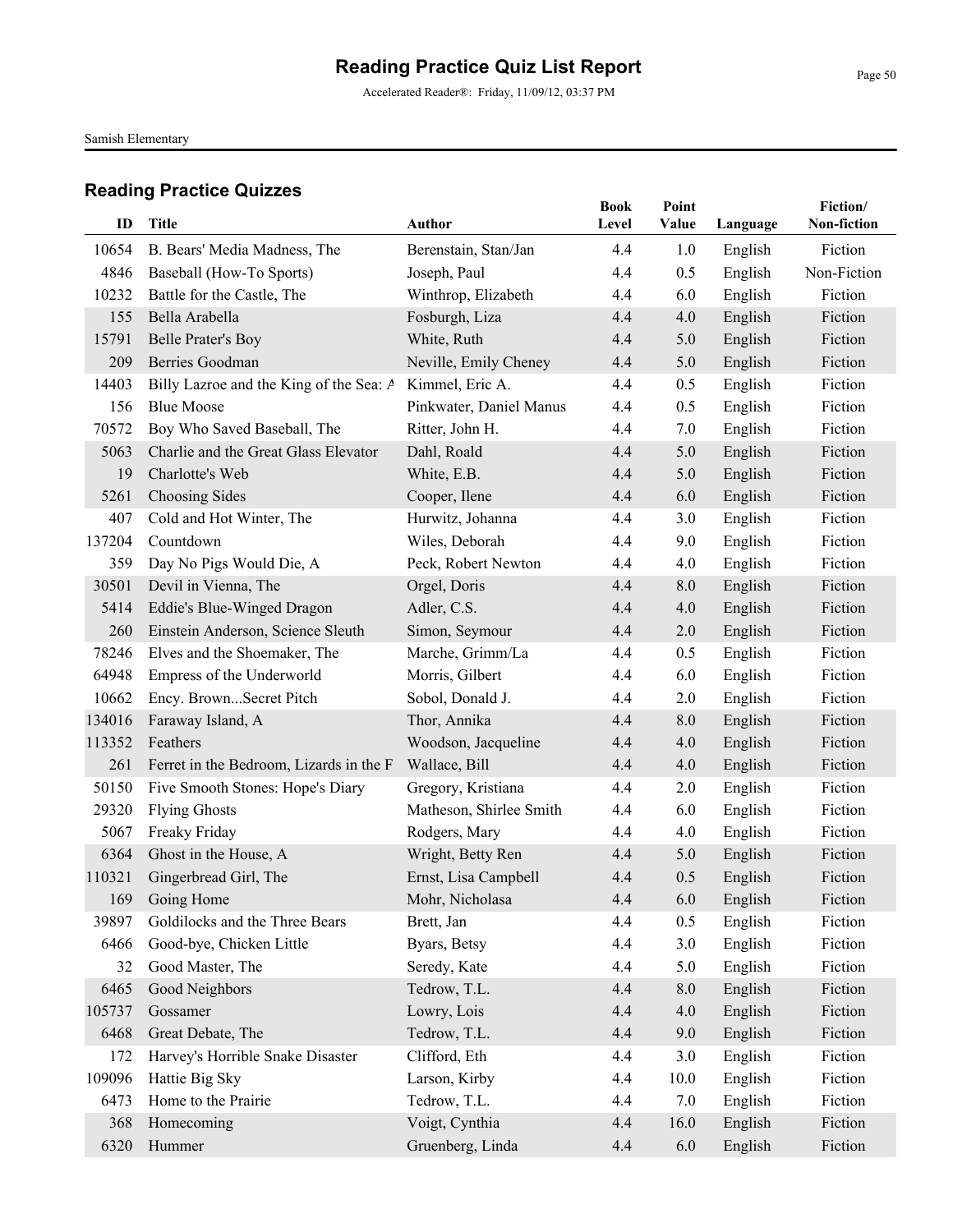Accelerated Reader®: Friday, 11/09/12, 03:37 PM

Samish Elementary

| ID     | Title                                   | Author                  | <b>Book</b><br>Level | Point<br>Value | Language | Fiction/<br>Non-fiction |
|--------|-----------------------------------------|-------------------------|----------------------|----------------|----------|-------------------------|
| 10654  | B. Bears' Media Madness, The            | Berenstain, Stan/Jan    | 4.4                  | 1.0            | English  | Fiction                 |
| 4846   | Baseball (How-To Sports)                | Joseph, Paul            | 4.4                  | 0.5            | English  | Non-Fiction             |
| 10232  | Battle for the Castle, The              | Winthrop, Elizabeth     | 4.4                  | 6.0            | English  | Fiction                 |
| 155    | Bella Arabella                          | Fosburgh, Liza          | 4.4                  | 4.0            | English  | Fiction                 |
| 15791  | <b>Belle Prater's Boy</b>               | White, Ruth             | 4.4                  | 5.0            | English  | Fiction                 |
| 209    | <b>Berries Goodman</b>                  | Neville, Emily Cheney   | 4.4                  | 5.0            | English  | Fiction                 |
| 14403  | Billy Lazroe and the King of the Sea: A | Kimmel, Eric A.         | 4.4                  | 0.5            | English  | Fiction                 |
| 156    | <b>Blue Moose</b>                       | Pinkwater, Daniel Manus | 4.4                  | 0.5            | English  | Fiction                 |
| 70572  | Boy Who Saved Baseball, The             | Ritter, John H.         | 4.4                  | 7.0            | English  | Fiction                 |
| 5063   | Charlie and the Great Glass Elevator    | Dahl, Roald             | 4.4                  | 5.0            | English  | Fiction                 |
| 19     | Charlotte's Web                         | White, E.B.             | 4.4                  | 5.0            | English  | Fiction                 |
| 5261   | Choosing Sides                          | Cooper, Ilene           | 4.4                  | 6.0            | English  | Fiction                 |
| 407    | Cold and Hot Winter, The                | Hurwitz, Johanna        | 4.4                  | 3.0            | English  | Fiction                 |
| 137204 | Countdown                               | Wiles, Deborah          | 4.4                  | 9.0            | English  | Fiction                 |
| 359    | Day No Pigs Would Die, A                | Peck, Robert Newton     | 4.4                  | 4.0            | English  | Fiction                 |
| 30501  | Devil in Vienna, The                    | Orgel, Doris            | 4.4                  | 8.0            | English  | Fiction                 |
| 5414   | Eddie's Blue-Winged Dragon              | Adler, C.S.             | 4.4                  | 4.0            | English  | Fiction                 |
| 260    | Einstein Anderson, Science Sleuth       | Simon, Seymour          | 4.4                  | 2.0            | English  | Fiction                 |
| 78246  | Elves and the Shoemaker, The            | Marche, Grimm/La        | 4.4                  | 0.5            | English  | Fiction                 |
| 64948  | Empress of the Underworld               | Morris, Gilbert         | 4.4                  | 6.0            | English  | Fiction                 |
| 10662  | Ency. BrownSecret Pitch                 | Sobol, Donald J.        | 4.4                  | 2.0            | English  | Fiction                 |
| 134016 | Faraway Island, A                       | Thor, Annika            | 4.4                  | 8.0            | English  | Fiction                 |
| 113352 | Feathers                                | Woodson, Jacqueline     | 4.4                  | 4.0            | English  | Fiction                 |
| 261    | Ferret in the Bedroom, Lizards in the F | Wallace, Bill           | 4.4                  | 4.0            | English  | Fiction                 |
| 50150  | Five Smooth Stones: Hope's Diary        | Gregory, Kristiana      | 4.4                  | 2.0            | English  | Fiction                 |
| 29320  | <b>Flying Ghosts</b>                    | Matheson, Shirlee Smith | 4.4                  | 6.0            | English  | Fiction                 |
| 5067   | Freaky Friday                           | Rodgers, Mary           | 4.4                  | 4.0            | English  | Fiction                 |
| 6364   | Ghost in the House, A                   | Wright, Betty Ren       | 4.4                  | 5.0            | English  | Fiction                 |
| 110321 | Gingerbread Girl, The                   | Ernst, Lisa Campbell    | 4.4                  | 0.5            | English  | Fiction                 |
| 169    | Going Home                              | Mohr, Nicholasa         | 4.4                  | 6.0            | English  | Fiction                 |
| 39897  | Goldilocks and the Three Bears          | Brett, Jan              | 4.4                  | 0.5            | English  | Fiction                 |
| 6466   | Good-bye, Chicken Little                | Byars, Betsy            | 4.4                  | 3.0            | English  | Fiction                 |
| 32     | Good Master, The                        | Seredy, Kate            | 4.4                  | 5.0            | English  | Fiction                 |
| 6465   | Good Neighbors                          | Tedrow, T.L.            | 4.4                  | 8.0            | English  | Fiction                 |
| 105737 | Gossamer                                | Lowry, Lois             | 4.4                  | 4.0            | English  | Fiction                 |
| 6468   | Great Debate, The                       | Tedrow, T.L.            | 4.4                  | 9.0            | English  | Fiction                 |
| 172    | Harvey's Horrible Snake Disaster        | Clifford, Eth           | 4.4                  | 3.0            | English  | Fiction                 |
| 109096 | Hattie Big Sky                          | Larson, Kirby           | 4.4                  | 10.0           | English  | Fiction                 |
| 6473   | Home to the Prairie                     | Tedrow, T.L.            | 4.4                  | 7.0            | English  | Fiction                 |
| 368    | Homecoming                              | Voigt, Cynthia          | 4.4                  | 16.0           | English  | Fiction                 |
| 6320   | Hummer                                  | Gruenberg, Linda        | 4.4                  | 6.0            | English  | Fiction                 |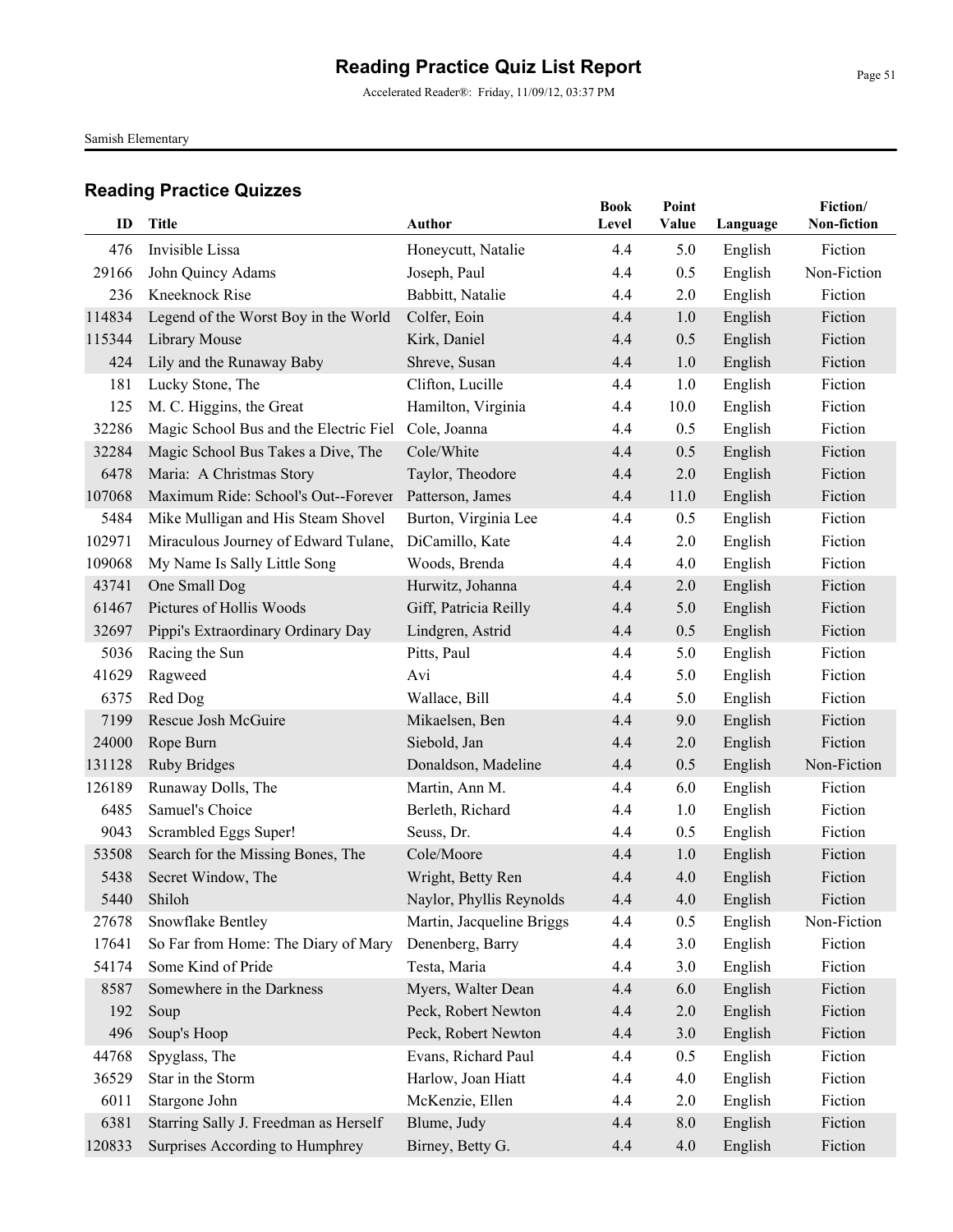Accelerated Reader®: Friday, 11/09/12, 03:37 PM

Samish Elementary

| ID     | <b>Title</b>                           | <b>Author</b>             | <b>Book</b><br>Level | Point<br>Value | Language | Fiction/<br>Non-fiction |
|--------|----------------------------------------|---------------------------|----------------------|----------------|----------|-------------------------|
| 476    | Invisible Lissa                        | Honeycutt, Natalie        | 4.4                  | 5.0            | English  | Fiction                 |
| 29166  | John Quincy Adams                      | Joseph, Paul              | 4.4                  | 0.5            | English  | Non-Fiction             |
| 236    | Kneeknock Rise                         | Babbitt, Natalie          | 4.4                  | 2.0            | English  | Fiction                 |
| 114834 | Legend of the Worst Boy in the World   | Colfer, Eoin              | 4.4                  | 1.0            | English  | Fiction                 |
| 115344 | Library Mouse                          | Kirk, Daniel              | 4.4                  | 0.5            | English  | Fiction                 |
| 424    | Lily and the Runaway Baby              | Shreve, Susan             | 4.4                  | 1.0            | English  | Fiction                 |
| 181    | Lucky Stone, The                       | Clifton, Lucille          | 4.4                  | 1.0            | English  | Fiction                 |
| 125    | M. C. Higgins, the Great               | Hamilton, Virginia        | 4.4                  | 10.0           | English  | Fiction                 |
| 32286  | Magic School Bus and the Electric Fiel | Cole, Joanna              | 4.4                  | 0.5            | English  | Fiction                 |
| 32284  | Magic School Bus Takes a Dive, The     | Cole/White                | 4.4                  | 0.5            | English  | Fiction                 |
| 6478   | Maria: A Christmas Story               | Taylor, Theodore          | 4.4                  | 2.0            | English  | Fiction                 |
| 107068 | Maximum Ride: School's Out--Forever    | Patterson, James          | 4.4                  | 11.0           | English  | Fiction                 |
| 5484   | Mike Mulligan and His Steam Shovel     | Burton, Virginia Lee      | 4.4                  | 0.5            | English  | Fiction                 |
| 102971 | Miraculous Journey of Edward Tulane,   | DiCamillo, Kate           | 4.4                  | 2.0            | English  | Fiction                 |
| 109068 | My Name Is Sally Little Song           | Woods, Brenda             | 4.4                  | 4.0            | English  | Fiction                 |
| 43741  | One Small Dog                          | Hurwitz, Johanna          | 4.4                  | 2.0            | English  | Fiction                 |
| 61467  | Pictures of Hollis Woods               | Giff, Patricia Reilly     | 4.4                  | 5.0            | English  | Fiction                 |
| 32697  | Pippi's Extraordinary Ordinary Day     | Lindgren, Astrid          | 4.4                  | 0.5            | English  | Fiction                 |
| 5036   | Racing the Sun                         | Pitts, Paul               | 4.4                  | 5.0            | English  | Fiction                 |
| 41629  | Ragweed                                | Avi                       | 4.4                  | 5.0            | English  | Fiction                 |
| 6375   | Red Dog                                | Wallace, Bill             | 4.4                  | 5.0            | English  | Fiction                 |
| 7199   | Rescue Josh McGuire                    | Mikaelsen, Ben            | 4.4                  | 9.0            | English  | Fiction                 |
| 24000  | Rope Burn                              | Siebold, Jan              | 4.4                  | 2.0            | English  | Fiction                 |
| 131128 | <b>Ruby Bridges</b>                    | Donaldson, Madeline       | 4.4                  | 0.5            | English  | Non-Fiction             |
| 126189 | Runaway Dolls, The                     | Martin, Ann M.            | 4.4                  | 6.0            | English  | Fiction                 |
| 6485   | Samuel's Choice                        | Berleth, Richard          | 4.4                  | 1.0            | English  | Fiction                 |
| 9043   | Scrambled Eggs Super!                  | Seuss, Dr.                | 4.4                  | 0.5            | English  | Fiction                 |
| 53508  | Search for the Missing Bones, The      | Cole/Moore                | 4.4                  | 1.0            | English  | Fiction                 |
| 5438   | Secret Window, The                     | Wright, Betty Ren         | 4.4                  | 4.0            | English  | Fiction                 |
|        | 5440 Shiloh                            | Naylor, Phyllis Reynolds  | 4.4                  | 4.0            | English  | Fiction                 |
| 27678  | Snowflake Bentley                      | Martin, Jacqueline Briggs | 4.4                  | 0.5            | English  | Non-Fiction             |
| 17641  | So Far from Home: The Diary of Mary    | Denenberg, Barry          | 4.4                  | 3.0            | English  | Fiction                 |
| 54174  | Some Kind of Pride                     | Testa, Maria              | 4.4                  | 3.0            | English  | Fiction                 |
| 8587   | Somewhere in the Darkness              | Myers, Walter Dean        | 4.4                  | 6.0            | English  | Fiction                 |
| 192    | Soup                                   | Peck, Robert Newton       | 4.4                  | $2.0$          | English  | Fiction                 |
| 496    | Soup's Hoop                            | Peck, Robert Newton       | 4.4                  | 3.0            | English  | Fiction                 |
| 44768  | Spyglass, The                          | Evans, Richard Paul       | 4.4                  | 0.5            | English  | Fiction                 |
| 36529  | Star in the Storm                      | Harlow, Joan Hiatt        | 4.4                  | 4.0            | English  | Fiction                 |
| 6011   | Stargone John                          | McKenzie, Ellen           | 4.4                  | 2.0            | English  | Fiction                 |
| 6381   | Starring Sally J. Freedman as Herself  | Blume, Judy               | 4.4                  | 8.0            | English  | Fiction                 |
| 120833 | Surprises According to Humphrey        | Birney, Betty G.          | 4.4                  | 4.0            | English  | Fiction                 |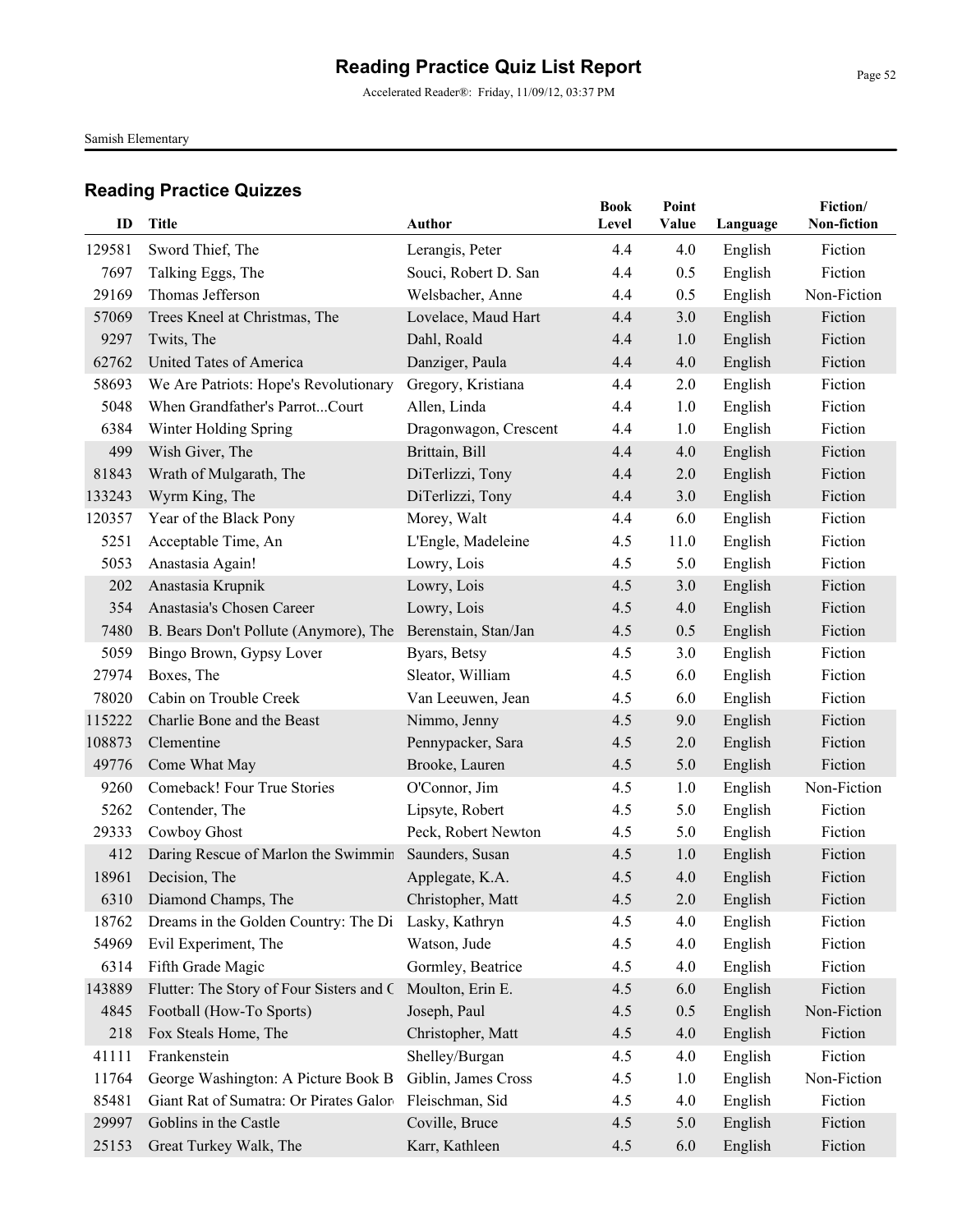Accelerated Reader®: Friday, 11/09/12, 03:37 PM

Samish Elementary

| ID     | <b>Title</b>                             | <b>Author</b>         | <b>Book</b><br>Level | Point<br>Value | Language | Fiction/<br>Non-fiction |
|--------|------------------------------------------|-----------------------|----------------------|----------------|----------|-------------------------|
| 129581 | Sword Thief, The                         | Lerangis, Peter       | 4.4                  | 4.0            | English  | Fiction                 |
| 7697   | Talking Eggs, The                        | Souci, Robert D. San  | 4.4                  | 0.5            | English  | Fiction                 |
| 29169  | Thomas Jefferson                         | Welsbacher, Anne      | 4.4                  | 0.5            | English  | Non-Fiction             |
| 57069  | Trees Kneel at Christmas, The            | Lovelace, Maud Hart   | 4.4                  | 3.0            | English  | Fiction                 |
| 9297   | Twits, The                               | Dahl, Roald           | 4.4                  | 1.0            | English  | Fiction                 |
| 62762  | United Tates of America                  | Danziger, Paula       | 4.4                  | 4.0            | English  | Fiction                 |
| 58693  | We Are Patriots: Hope's Revolutionary    | Gregory, Kristiana    | 4.4                  | 2.0            | English  | Fiction                 |
| 5048   | When Grandfather's ParrotCourt           | Allen, Linda          | 4.4                  | 1.0            | English  | Fiction                 |
| 6384   | Winter Holding Spring                    | Dragonwagon, Crescent | 4.4                  | 1.0            | English  | Fiction                 |
| 499    | Wish Giver, The                          | Brittain, Bill        | 4.4                  | 4.0            | English  | Fiction                 |
| 81843  | Wrath of Mulgarath, The                  | DiTerlizzi, Tony      | 4.4                  | 2.0            | English  | Fiction                 |
| 133243 | Wyrm King, The                           | DiTerlizzi, Tony      | 4.4                  | 3.0            | English  | Fiction                 |
| 120357 | Year of the Black Pony                   | Morey, Walt           | 4.4                  | 6.0            | English  | Fiction                 |
| 5251   | Acceptable Time, An                      | L'Engle, Madeleine    | 4.5                  | 11.0           | English  | Fiction                 |
| 5053   | Anastasia Again!                         | Lowry, Lois           | 4.5                  | 5.0            | English  | Fiction                 |
| 202    | Anastasia Krupnik                        | Lowry, Lois           | 4.5                  | 3.0            | English  | Fiction                 |
| 354    | Anastasia's Chosen Career                | Lowry, Lois           | 4.5                  | 4.0            | English  | Fiction                 |
| 7480   | B. Bears Don't Pollute (Anymore), The    | Berenstain, Stan/Jan  | 4.5                  | 0.5            | English  | Fiction                 |
| 5059   | Bingo Brown, Gypsy Lover                 | Byars, Betsy          | 4.5                  | 3.0            | English  | Fiction                 |
| 27974  | Boxes, The                               | Sleator, William      | 4.5                  | 6.0            | English  | Fiction                 |
| 78020  | Cabin on Trouble Creek                   | Van Leeuwen, Jean     | 4.5                  | 6.0            | English  | Fiction                 |
| 115222 | Charlie Bone and the Beast               | Nimmo, Jenny          | 4.5                  | 9.0            | English  | Fiction                 |
| 108873 | Clementine                               | Pennypacker, Sara     | 4.5                  | 2.0            | English  | Fiction                 |
| 49776  | Come What May                            | Brooke, Lauren        | 4.5                  | 5.0            | English  | Fiction                 |
| 9260   | Comeback! Four True Stories              | O'Connor, Jim         | 4.5                  | 1.0            | English  | Non-Fiction             |
| 5262   | Contender, The                           | Lipsyte, Robert       | 4.5                  | 5.0            | English  | Fiction                 |
| 29333  | Cowboy Ghost                             | Peck, Robert Newton   | 4.5                  | 5.0            | English  | Fiction                 |
| 412    | Daring Rescue of Marlon the Swimmin      | Saunders, Susan       | 4.5                  | 1.0            | English  | Fiction                 |
| 18961  | Decision, The                            | Applegate, K.A.       | 4.5                  | 4.0            | English  | Fiction                 |
|        | 6310 Diamond Champs, The                 | Christopher, Matt     | 4.5                  | 2.0            | English  | Fiction                 |
| 18762  | Dreams in the Golden Country: The Di     | Lasky, Kathryn        | 4.5                  | 4.0            | English  | Fiction                 |
| 54969  | Evil Experiment, The                     | Watson, Jude          | 4.5                  | 4.0            | English  | Fiction                 |
| 6314   | Fifth Grade Magic                        | Gormley, Beatrice     | 4.5                  | 4.0            | English  | Fiction                 |
| 143889 | Flutter: The Story of Four Sisters and C | Moulton, Erin E.      | 4.5                  | 6.0            | English  | Fiction                 |
| 4845   | Football (How-To Sports)                 | Joseph, Paul          | 4.5                  | 0.5            | English  | Non-Fiction             |
| 218    | Fox Steals Home, The                     | Christopher, Matt     | 4.5                  | 4.0            | English  | Fiction                 |
| 41111  | Frankenstein                             | Shelley/Burgan        | 4.5                  | 4.0            | English  | Fiction                 |
| 11764  | George Washington: A Picture Book B      | Giblin, James Cross   | 4.5                  | 1.0            | English  | Non-Fiction             |
| 85481  | Giant Rat of Sumatra: Or Pirates Galor   | Fleischman, Sid       | 4.5                  | 4.0            | English  | Fiction                 |
| 29997  | Goblins in the Castle                    | Coville, Bruce        | 4.5                  | 5.0            | English  | Fiction                 |
| 25153  | Great Turkey Walk, The                   | Karr, Kathleen        | 4.5                  | 6.0            | English  | Fiction                 |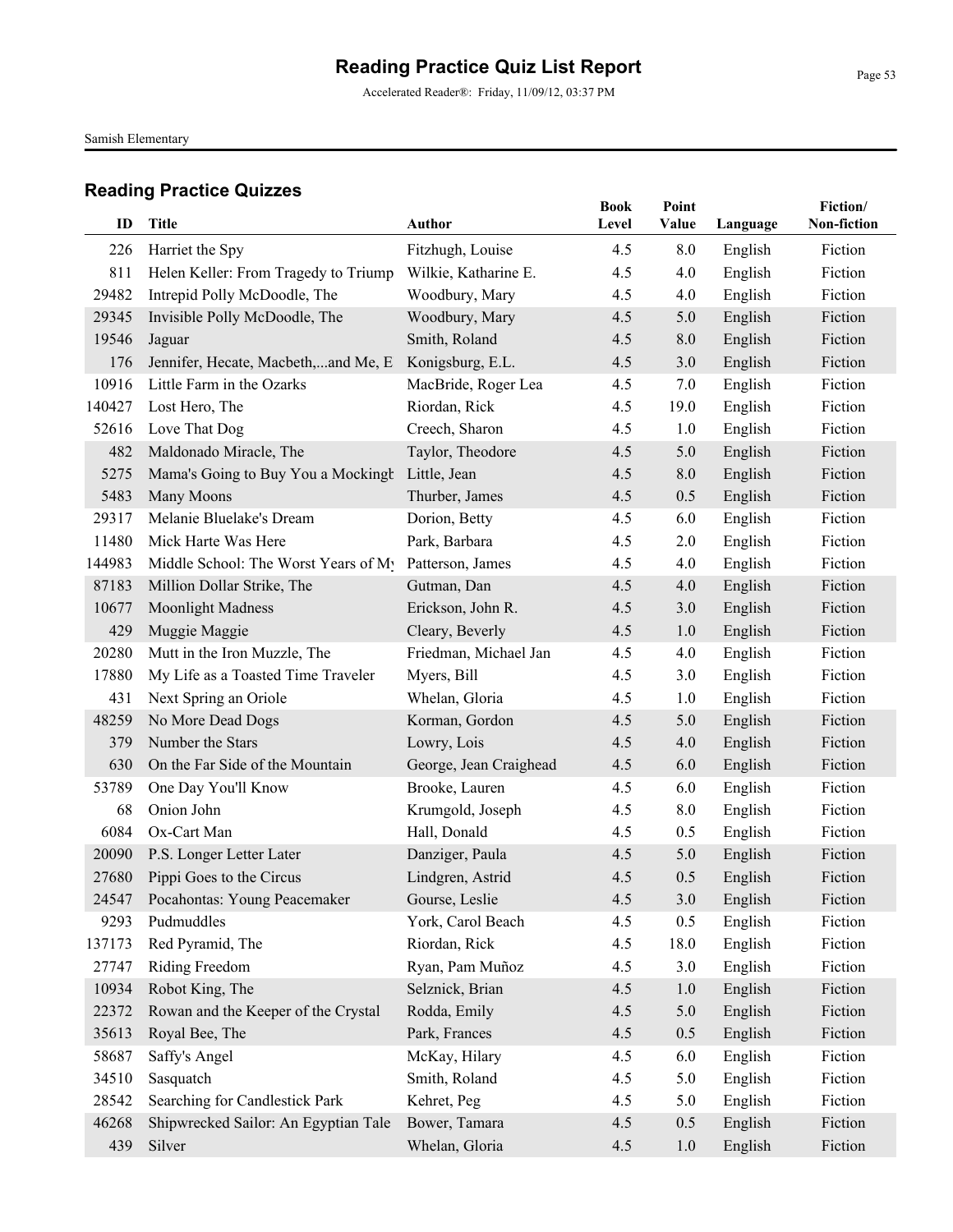Accelerated Reader®: Friday, 11/09/12, 03:37 PM

Samish Elementary

|        |                                      |                        | <b>Book</b> | Point |          | Fiction/    |
|--------|--------------------------------------|------------------------|-------------|-------|----------|-------------|
| ID     | <b>Title</b>                         | <b>Author</b>          | Level       | Value | Language | Non-fiction |
| 226    | Harriet the Spy                      | Fitzhugh, Louise       | 4.5         | 8.0   | English  | Fiction     |
| 811    | Helen Keller: From Tragedy to Triump | Wilkie, Katharine E.   | 4.5         | 4.0   | English  | Fiction     |
| 29482  | Intrepid Polly McDoodle, The         | Woodbury, Mary         | 4.5         | 4.0   | English  | Fiction     |
| 29345  | Invisible Polly McDoodle, The        | Woodbury, Mary         | 4.5         | 5.0   | English  | Fiction     |
| 19546  | Jaguar                               | Smith, Roland          | 4.5         | 8.0   | English  | Fiction     |
| 176    | Jennifer, Hecate, Macbeth,and Me, E. | Konigsburg, E.L.       | 4.5         | 3.0   | English  | Fiction     |
| 10916  | Little Farm in the Ozarks            | MacBride, Roger Lea    | 4.5         | 7.0   | English  | Fiction     |
| 140427 | Lost Hero, The                       | Riordan, Rick          | 4.5         | 19.0  | English  | Fiction     |
| 52616  | Love That Dog                        | Creech, Sharon         | 4.5         | 1.0   | English  | Fiction     |
| 482    | Maldonado Miracle, The               | Taylor, Theodore       | 4.5         | 5.0   | English  | Fiction     |
| 5275   | Mama's Going to Buy You a Mockingt   | Little, Jean           | 4.5         | 8.0   | English  | Fiction     |
| 5483   | Many Moons                           | Thurber, James         | 4.5         | 0.5   | English  | Fiction     |
| 29317  | Melanie Bluelake's Dream             | Dorion, Betty          | 4.5         | 6.0   | English  | Fiction     |
| 11480  | Mick Harte Was Here                  | Park, Barbara          | 4.5         | 2.0   | English  | Fiction     |
| 144983 | Middle School: The Worst Years of My | Patterson, James       | 4.5         | 4.0   | English  | Fiction     |
| 87183  | Million Dollar Strike, The           | Gutman, Dan            | 4.5         | 4.0   | English  | Fiction     |
| 10677  | <b>Moonlight Madness</b>             | Erickson, John R.      | 4.5         | 3.0   | English  | Fiction     |
| 429    | Muggie Maggie                        | Cleary, Beverly        | 4.5         | 1.0   | English  | Fiction     |
| 20280  | Mutt in the Iron Muzzle, The         | Friedman, Michael Jan  | 4.5         | 4.0   | English  | Fiction     |
| 17880  | My Life as a Toasted Time Traveler   | Myers, Bill            | 4.5         | 3.0   | English  | Fiction     |
| 431    | Next Spring an Oriole                | Whelan, Gloria         | 4.5         | 1.0   | English  | Fiction     |
| 48259  | No More Dead Dogs                    | Korman, Gordon         | 4.5         | 5.0   | English  | Fiction     |
| 379    | Number the Stars                     | Lowry, Lois            | 4.5         | 4.0   | English  | Fiction     |
| 630    | On the Far Side of the Mountain      | George, Jean Craighead | 4.5         | 6.0   | English  | Fiction     |
| 53789  | One Day You'll Know                  | Brooke, Lauren         | 4.5         | 6.0   | English  | Fiction     |
| 68     | Onion John                           | Krumgold, Joseph       | 4.5         | 8.0   | English  | Fiction     |
| 6084   | Ox-Cart Man                          | Hall, Donald           | 4.5         | 0.5   | English  | Fiction     |
| 20090  | P.S. Longer Letter Later             | Danziger, Paula        | 4.5         | 5.0   | English  | Fiction     |
| 27680  | Pippi Goes to the Circus             | Lindgren, Astrid       | 4.5         | 0.5   | English  | Fiction     |
|        | 24547 Pocahontas: Young Peacemaker   | Gourse, Leslie         | 4.5         | 3.0   | English  | Fiction     |
| 9293   | Pudmuddles                           | York, Carol Beach      | 4.5         | 0.5   | English  | Fiction     |
| 137173 | Red Pyramid, The                     | Riordan, Rick          | 4.5         | 18.0  | English  | Fiction     |
| 27747  | Riding Freedom                       | Ryan, Pam Muñoz        | 4.5         | 3.0   | English  | Fiction     |
| 10934  | Robot King, The                      | Selznick, Brian        | 4.5         | 1.0   | English  | Fiction     |
| 22372  | Rowan and the Keeper of the Crystal  | Rodda, Emily           | 4.5         | 5.0   | English  | Fiction     |
| 35613  | Royal Bee, The                       | Park, Frances          | 4.5         | 0.5   | English  | Fiction     |
| 58687  | Saffy's Angel                        | McKay, Hilary          | 4.5         | 6.0   | English  | Fiction     |
| 34510  | Sasquatch                            | Smith, Roland          | 4.5         | 5.0   | English  | Fiction     |
| 28542  | Searching for Candlestick Park       | Kehret, Peg            | 4.5         | 5.0   | English  | Fiction     |
| 46268  | Shipwrecked Sailor: An Egyptian Tale | Bower, Tamara          | 4.5         | 0.5   | English  | Fiction     |
| 439    | Silver                               | Whelan, Gloria         | 4.5         | 1.0   | English  | Fiction     |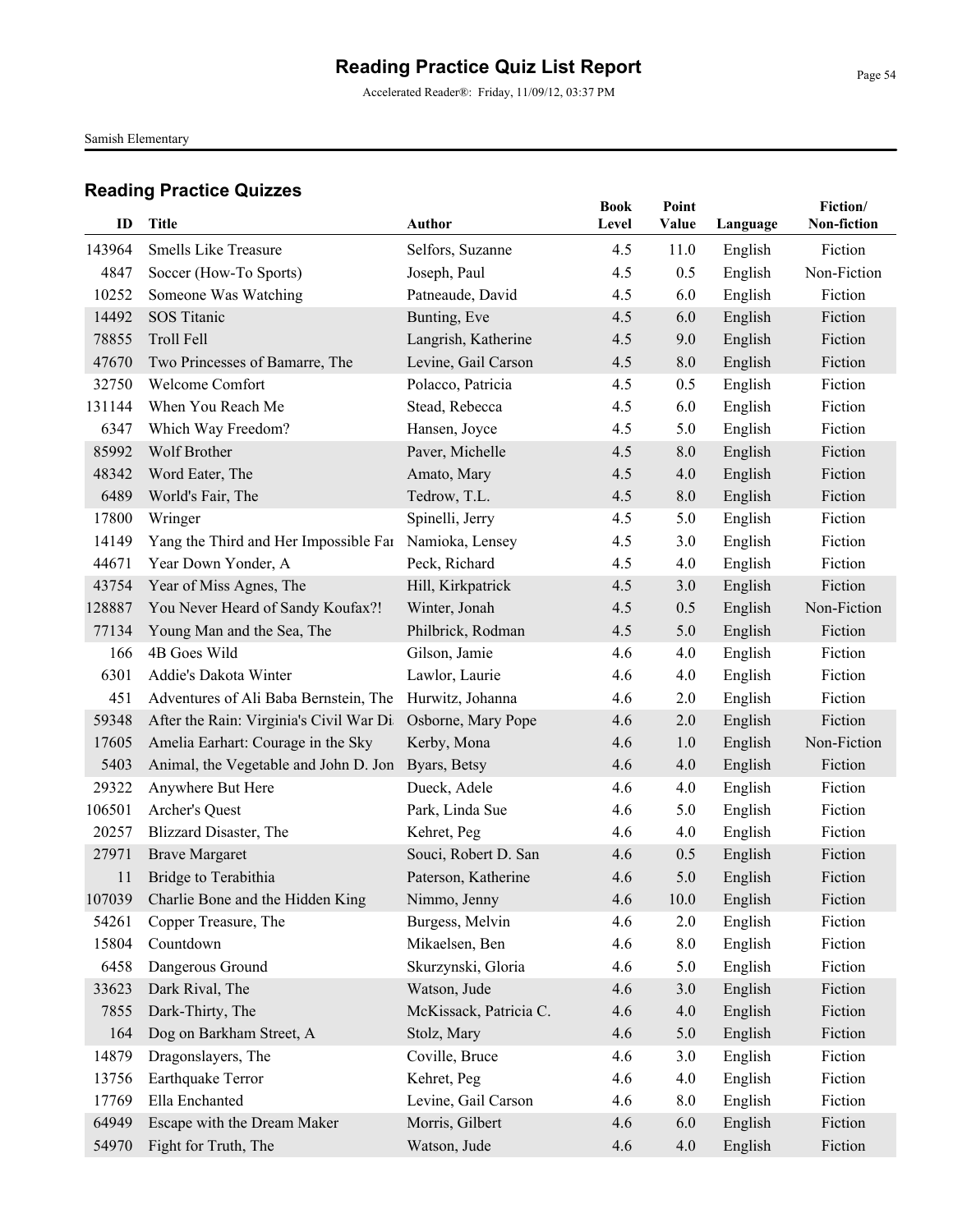Accelerated Reader®: Friday, 11/09/12, 03:37 PM

Samish Elementary

| ID            | Title                                   | Author                          | <b>Book</b><br>Level | Point<br>Value | Language | Fiction/<br>Non-fiction |
|---------------|-----------------------------------------|---------------------------------|----------------------|----------------|----------|-------------------------|
| 143964        | <b>Smells Like Treasure</b>             | Selfors, Suzanne                | 4.5                  | 11.0           | English  | Fiction                 |
| 4847          | Soccer (How-To Sports)                  | Joseph, Paul                    | 4.5                  | 0.5            | English  | Non-Fiction             |
| 10252         | Someone Was Watching                    | Patneaude, David                | 4.5                  | 6.0            | English  | Fiction                 |
| 14492         | SOS Titanic                             | Bunting, Eve                    | 4.5                  | 6.0            | English  | Fiction                 |
| 78855         | Troll Fell                              | Langrish, Katherine             | 4.5                  | 9.0            | English  | Fiction                 |
| 47670         | Two Princesses of Bamarre, The          | Levine, Gail Carson             | 4.5                  | 8.0            | English  | Fiction                 |
| 32750         | Welcome Comfort                         | Polacco, Patricia               | 4.5                  | 0.5            | English  | Fiction                 |
| 131144        | When You Reach Me                       | Stead, Rebecca                  | 4.5                  | 6.0            | English  | Fiction                 |
| 6347          | Which Way Freedom?                      | Hansen, Joyce                   | 4.5                  | 5.0            | English  | Fiction                 |
| 85992         | Wolf Brother                            | Paver, Michelle                 | 4.5                  | 8.0            | English  | Fiction                 |
| 48342         | Word Eater, The                         | Amato, Mary                     | 4.5                  | 4.0            | English  | Fiction                 |
|               |                                         |                                 |                      |                |          |                         |
| 6489<br>17800 | World's Fair, The                       | Tedrow, T.L.<br>Spinelli, Jerry | 4.5<br>4.5           | 8.0<br>5.0     | English  | Fiction<br>Fiction      |
| 14149         | Wringer                                 |                                 | 4.5                  |                | English  | Fiction                 |
| 44671         | Yang the Third and Her Impossible Far   | Namioka, Lensey                 |                      | 3.0            | English  | Fiction                 |
|               | Year Down Yonder, A                     | Peck, Richard                   | 4.5                  | 4.0            | English  | Fiction                 |
| 43754         | Year of Miss Agnes, The                 | Hill, Kirkpatrick               | 4.5                  | 3.0            | English  |                         |
| 128887        | You Never Heard of Sandy Koufax?!       | Winter, Jonah                   | 4.5                  | 0.5            | English  | Non-Fiction             |
| 77134         | Young Man and the Sea, The              | Philbrick, Rodman               | 4.5                  | 5.0            | English  | Fiction                 |
| 166           | 4B Goes Wild                            | Gilson, Jamie                   | 4.6                  | 4.0            | English  | Fiction                 |
| 6301          | Addie's Dakota Winter                   | Lawlor, Laurie                  | 4.6                  | 4.0            | English  | Fiction                 |
| 451           | Adventures of Ali Baba Bernstein, The   | Hurwitz, Johanna                | 4.6                  | 2.0            | English  | Fiction                 |
| 59348         | After the Rain: Virginia's Civil War Di | Osborne, Mary Pope              | 4.6                  | 2.0            | English  | Fiction                 |
| 17605         | Amelia Earhart: Courage in the Sky      | Kerby, Mona                     | 4.6                  | 1.0            | English  | Non-Fiction             |
| 5403          | Animal, the Vegetable and John D. Jon   | Byars, Betsy                    | 4.6                  | 4.0            | English  | Fiction                 |
| 29322         | Anywhere But Here                       | Dueck, Adele                    | 4.6                  | 4.0            | English  | Fiction                 |
| 106501        | Archer's Quest                          | Park, Linda Sue                 | 4.6                  | 5.0            | English  | Fiction                 |
| 20257         | Blizzard Disaster, The                  | Kehret, Peg                     | 4.6                  | 4.0            | English  | Fiction                 |
| 27971         | <b>Brave Margaret</b>                   | Souci, Robert D. San            | 4.6                  | 0.5            | English  | Fiction                 |
| 11            | Bridge to Terabithia                    | Paterson, Katherine             | 4.6                  | 5.0            | English  | Fiction                 |
|               | 107039 Charlie Bone and the Hidden King | Nimmo, Jenny                    | 4.6                  | 10.0           | English  | Fiction                 |
| 54261         | Copper Treasure, The                    | Burgess, Melvin                 | 4.6                  | 2.0            | English  | Fiction                 |
| 15804         | Countdown                               | Mikaelsen, Ben                  | 4.6                  | 8.0            | English  | Fiction                 |
| 6458          | Dangerous Ground                        | Skurzynski, Gloria              | 4.6                  | 5.0            | English  | Fiction                 |
| 33623         | Dark Rival, The                         | Watson, Jude                    | 4.6                  | 3.0            | English  | Fiction                 |
| 7855          | Dark-Thirty, The                        | McKissack, Patricia C.          | 4.6                  | 4.0            | English  | Fiction                 |
| 164           | Dog on Barkham Street, A                | Stolz, Mary                     | 4.6                  | 5.0            | English  | Fiction                 |
| 14879         | Dragonslayers, The                      | Coville, Bruce                  | 4.6                  | 3.0            | English  | Fiction                 |
| 13756         | Earthquake Terror                       | Kehret, Peg                     | 4.6                  | 4.0            | English  | Fiction                 |
| 17769         | Ella Enchanted                          | Levine, Gail Carson             | 4.6                  | 8.0            | English  | Fiction                 |
| 64949         | Escape with the Dream Maker             | Morris, Gilbert                 | 4.6                  | 6.0            | English  | Fiction                 |
| 54970         | Fight for Truth, The                    | Watson, Jude                    | 4.6                  | 4.0            | English  | Fiction                 |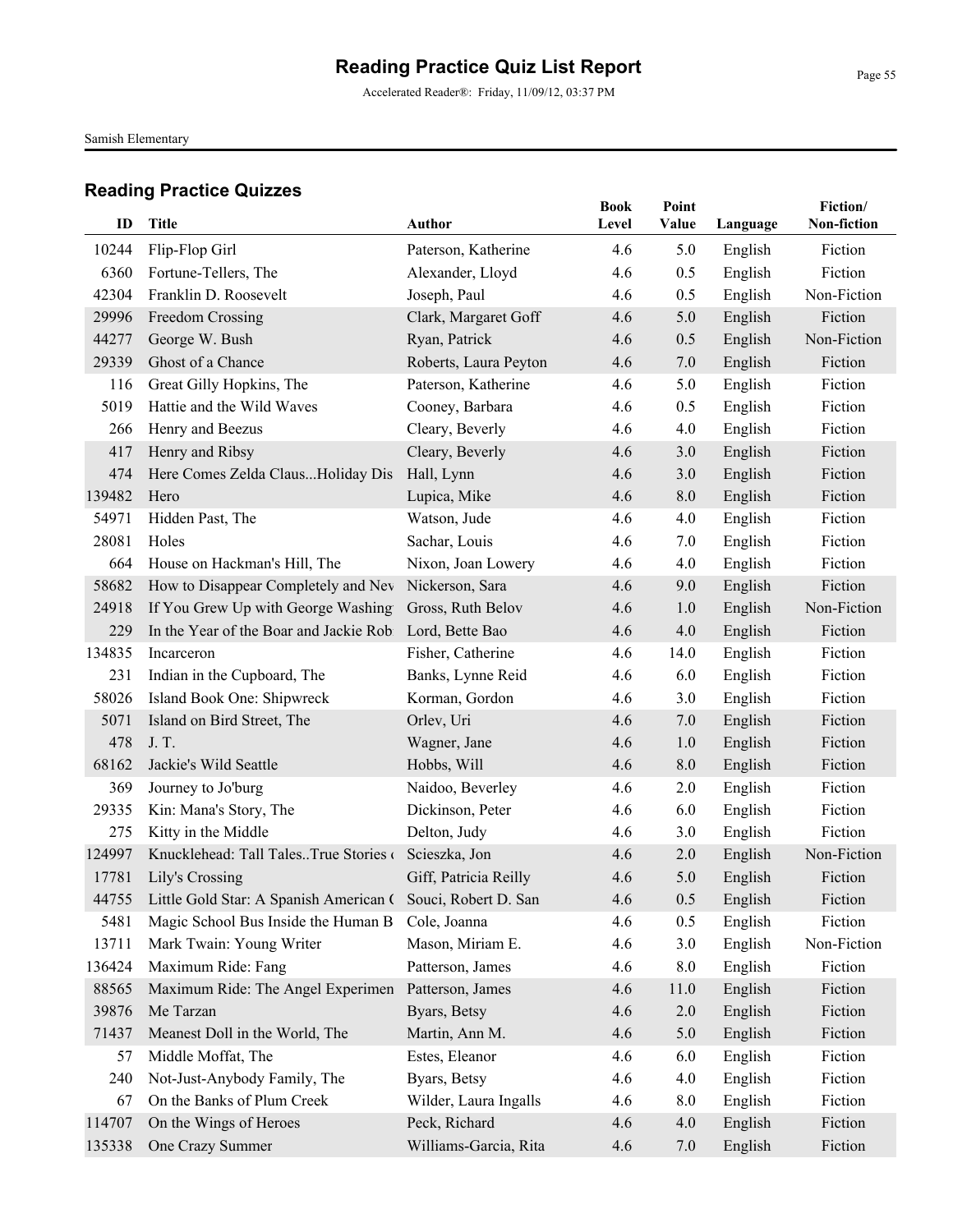Accelerated Reader®: Friday, 11/09/12, 03:37 PM

Samish Elementary

| ID     | <b>Title</b>                                                      | Author                | <b>Book</b><br>Level | Point<br>Value | Language | Fiction/<br>Non-fiction |
|--------|-------------------------------------------------------------------|-----------------------|----------------------|----------------|----------|-------------------------|
| 10244  | Flip-Flop Girl                                                    | Paterson, Katherine   | 4.6                  | 5.0            | English  | Fiction                 |
| 6360   | Fortune-Tellers, The                                              | Alexander, Lloyd      | 4.6                  | 0.5            | English  | Fiction                 |
| 42304  | Franklin D. Roosevelt                                             | Joseph, Paul          | 4.6                  | 0.5            | English  | Non-Fiction             |
| 29996  | Freedom Crossing                                                  | Clark, Margaret Goff  | 4.6                  | 5.0            | English  | Fiction                 |
| 44277  | George W. Bush                                                    | Ryan, Patrick         | 4.6                  | 0.5            | English  | Non-Fiction             |
| 29339  | Ghost of a Chance                                                 | Roberts, Laura Peyton | 4.6                  | 7.0            | English  | Fiction                 |
| 116    | Great Gilly Hopkins, The                                          | Paterson, Katherine   | 4.6                  | 5.0            | English  | Fiction                 |
| 5019   | Hattie and the Wild Waves                                         | Cooney, Barbara       | 4.6                  | 0.5            | English  | Fiction                 |
| 266    | Henry and Beezus                                                  | Cleary, Beverly       | 4.6                  | 4.0            | English  | Fiction                 |
| 417    | Henry and Ribsy                                                   | Cleary, Beverly       | 4.6                  | 3.0            | English  | Fiction                 |
| 474    | Here Comes Zelda ClausHoliday Dis                                 | Hall, Lynn            | 4.6                  | 3.0            | English  | Fiction                 |
| 139482 | Hero                                                              | Lupica, Mike          | 4.6                  | 8.0            | English  | Fiction                 |
| 54971  | Hidden Past, The                                                  | Watson, Jude          | 4.6                  | 4.0            | English  | Fiction                 |
| 28081  | Holes                                                             | Sachar, Louis         | 4.6                  | 7.0            | English  | Fiction                 |
| 664    | House on Hackman's Hill, The                                      | Nixon, Joan Lowery    | 4.6                  | 4.0            | English  | Fiction                 |
| 58682  | How to Disappear Completely and Nev                               | Nickerson, Sara       | 4.6                  | 9.0            | English  | Fiction                 |
| 24918  | If You Grew Up with George Washing                                | Gross, Ruth Belov     | 4.6                  | 1.0            | English  | Non-Fiction             |
| 229    | In the Year of the Boar and Jackie Robi                           | Lord, Bette Bao       | 4.6                  | 4.0            | English  | Fiction                 |
| 134835 | Incarceron                                                        | Fisher, Catherine     | 4.6                  | 14.0           | English  | Fiction                 |
| 231    | Indian in the Cupboard, The                                       | Banks, Lynne Reid     | 4.6                  | 6.0            | English  | Fiction                 |
| 58026  | Island Book One: Shipwreck                                        | Korman, Gordon        | 4.6                  | 3.0            | English  | Fiction                 |
| 5071   | Island on Bird Street, The                                        | Orlev, Uri            | 4.6                  | 7.0            | English  | Fiction                 |
| 478    | J.T.                                                              | Wagner, Jane          | 4.6                  | 1.0            | English  | Fiction                 |
| 68162  | Jackie's Wild Seattle                                             | Hobbs, Will           | 4.6                  | 8.0            | English  | Fiction                 |
| 369    | Journey to Jo'burg                                                | Naidoo, Beverley      | 4.6                  | 2.0            | English  | Fiction                 |
| 29335  | Kin: Mana's Story, The                                            | Dickinson, Peter      | 4.6                  | 6.0            | English  | Fiction                 |
| 275    | Kitty in the Middle                                               | Delton, Judy          | 4.6                  | 3.0            | English  | Fiction                 |
| 124997 | Knucklehead: Tall TalesTrue Stories                               | Scieszka, Jon         | 4.6                  | 2.0            | English  | Non-Fiction             |
| 17781  | Lily's Crossing                                                   | Giff, Patricia Reilly | 4.6                  | 5.0            | English  | Fiction                 |
|        | 44755 Little Gold Star: A Spanish American ( Souci, Robert D. San |                       | 4.6                  | 0.5            | English  | Fiction                 |
| 5481   | Magic School Bus Inside the Human B                               | Cole, Joanna          | 4.6                  | 0.5            | English  | Fiction                 |
| 13711  | Mark Twain: Young Writer                                          | Mason, Miriam E.      | 4.6                  | 3.0            | English  | Non-Fiction             |
| 136424 | Maximum Ride: Fang                                                | Patterson, James      | 4.6                  | 8.0            | English  | Fiction                 |
| 88565  | Maximum Ride: The Angel Experimen                                 | Patterson, James      | 4.6                  | 11.0           | English  | Fiction                 |
| 39876  | Me Tarzan                                                         | Byars, Betsy          | 4.6                  | $2.0\,$        | English  | Fiction                 |
| 71437  | Meanest Doll in the World, The                                    | Martin, Ann M.        | 4.6                  | 5.0            | English  | Fiction                 |
| 57     | Middle Moffat, The                                                | Estes, Eleanor        | 4.6                  | 6.0            | English  | Fiction                 |
| 240    | Not-Just-Anybody Family, The                                      | Byars, Betsy          | 4.6                  | 4.0            | English  | Fiction                 |
| 67     | On the Banks of Plum Creek                                        | Wilder, Laura Ingalls | 4.6                  | 8.0            | English  | Fiction                 |
| 114707 | On the Wings of Heroes                                            | Peck, Richard         | 4.6                  | 4.0            | English  | Fiction                 |
| 135338 | One Crazy Summer                                                  | Williams-Garcia, Rita | 4.6                  | 7.0            | English  | Fiction                 |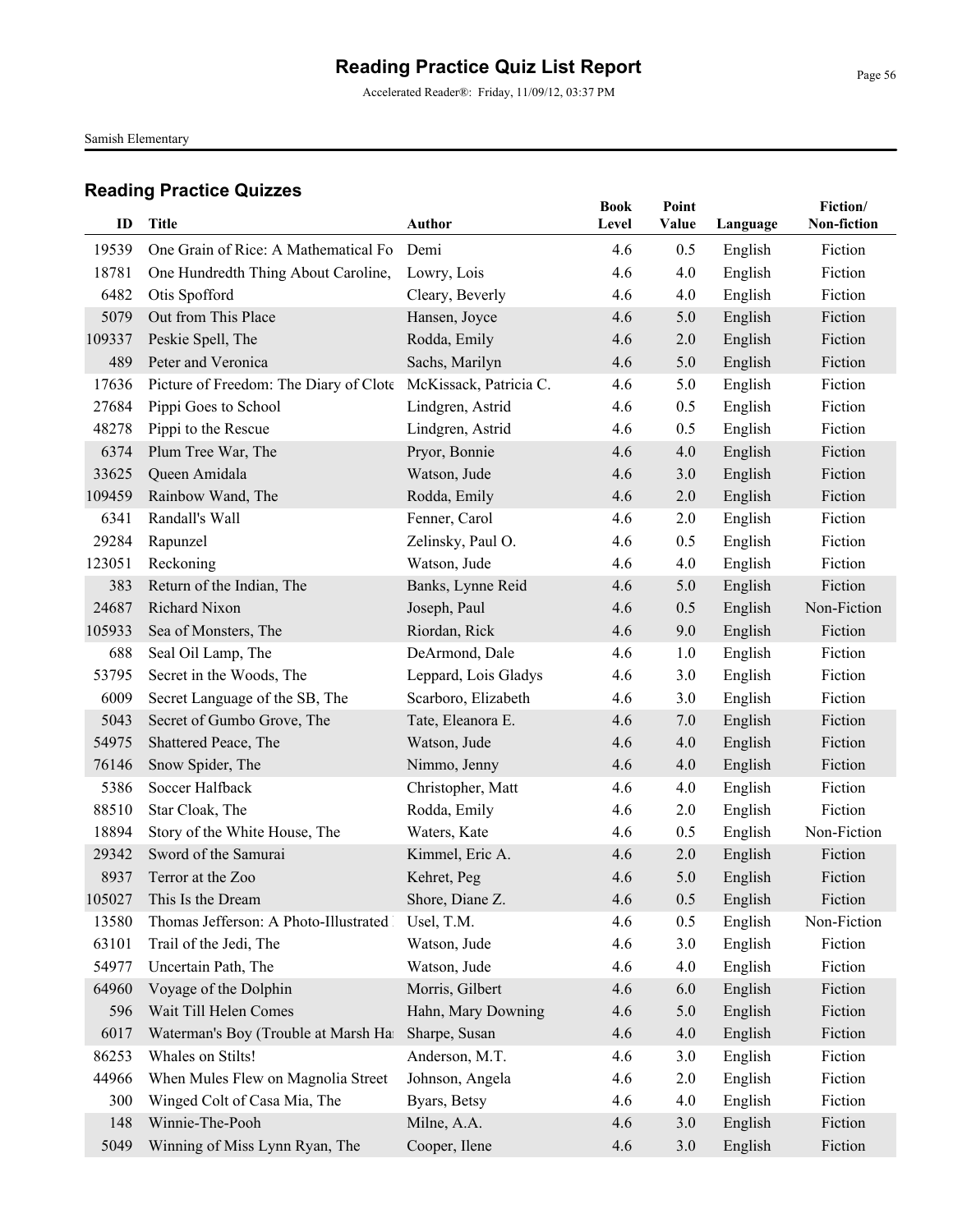Accelerated Reader®: Friday, 11/09/12, 03:37 PM

Samish Elementary

| ID     | <b>Title</b>                           | <b>Author</b>          | <b>Book</b><br>Level | Point<br>Value | Language | Fiction/<br>Non-fiction |
|--------|----------------------------------------|------------------------|----------------------|----------------|----------|-------------------------|
|        |                                        |                        |                      |                |          |                         |
| 19539  | One Grain of Rice: A Mathematical Fo   | Demi                   | 4.6                  | 0.5            | English  | Fiction                 |
| 18781  | One Hundredth Thing About Caroline,    | Lowry, Lois            | 4.6                  | 4.0            | English  | Fiction                 |
| 6482   | Otis Spofford                          | Cleary, Beverly        | 4.6                  | 4.0            | English  | Fiction                 |
| 5079   | Out from This Place                    | Hansen, Joyce          | 4.6                  | 5.0            | English  | Fiction                 |
| 109337 | Peskie Spell, The                      | Rodda, Emily           | 4.6                  | 2.0            | English  | Fiction                 |
| 489    | Peter and Veronica                     | Sachs, Marilyn         | 4.6                  | 5.0            | English  | Fiction                 |
| 17636  | Picture of Freedom: The Diary of Clote | McKissack, Patricia C. | 4.6                  | 5.0            | English  | Fiction                 |
| 27684  | Pippi Goes to School                   | Lindgren, Astrid       | 4.6                  | 0.5            | English  | Fiction                 |
| 48278  | Pippi to the Rescue                    | Lindgren, Astrid       | 4.6                  | 0.5            | English  | Fiction                 |
| 6374   | Plum Tree War, The                     | Pryor, Bonnie          | 4.6                  | 4.0            | English  | Fiction                 |
| 33625  | Queen Amidala                          | Watson, Jude           | 4.6                  | 3.0            | English  | Fiction                 |
| 109459 | Rainbow Wand, The                      | Rodda, Emily           | 4.6                  | 2.0            | English  | Fiction                 |
| 6341   | Randall's Wall                         | Fenner, Carol          | 4.6                  | 2.0            | English  | Fiction                 |
| 29284  | Rapunzel                               | Zelinsky, Paul O.      | 4.6                  | 0.5            | English  | Fiction                 |
| 123051 | Reckoning                              | Watson, Jude           | 4.6                  | 4.0            | English  | Fiction                 |
| 383    | Return of the Indian, The              | Banks, Lynne Reid      | 4.6                  | 5.0            | English  | Fiction                 |
| 24687  | Richard Nixon                          | Joseph, Paul           | 4.6                  | 0.5            | English  | Non-Fiction             |
| 105933 | Sea of Monsters, The                   | Riordan, Rick          | 4.6                  | 9.0            | English  | Fiction                 |
| 688    | Seal Oil Lamp, The                     | DeArmond, Dale         | 4.6                  | 1.0            | English  | Fiction                 |
| 53795  | Secret in the Woods, The               | Leppard, Lois Gladys   | 4.6                  | 3.0            | English  | Fiction                 |
| 6009   | Secret Language of the SB, The         | Scarboro, Elizabeth    | 4.6                  | 3.0            | English  | Fiction                 |
| 5043   | Secret of Gumbo Grove, The             | Tate, Eleanora E.      | 4.6                  | 7.0            | English  | Fiction                 |
| 54975  | Shattered Peace, The                   | Watson, Jude           | 4.6                  | 4.0            | English  | Fiction                 |
| 76146  | Snow Spider, The                       | Nimmo, Jenny           | 4.6                  | 4.0            | English  | Fiction                 |
| 5386   | Soccer Halfback                        | Christopher, Matt      | 4.6                  | 4.0            | English  | Fiction                 |
| 88510  | Star Cloak, The                        | Rodda, Emily           | 4.6                  | 2.0            | English  | Fiction                 |
| 18894  | Story of the White House, The          | Waters, Kate           | 4.6                  | 0.5            | English  | Non-Fiction             |
| 29342  | Sword of the Samurai                   | Kimmel, Eric A.        | 4.6                  | 2.0            | English  | Fiction                 |
| 8937   | Terror at the Zoo                      | Kehret, Peg            | 4.6                  | 5.0            | English  | Fiction                 |
| 105027 | This Is the Dream                      | Shore, Diane Z.        | 4.6                  | 0.5            | English  | Fiction                 |
| 13580  | Thomas Jefferson: A Photo-Illustrated  | Usel, T.M.             | 4.6                  | 0.5            | English  | Non-Fiction             |
| 63101  | Trail of the Jedi, The                 | Watson, Jude           | 4.6                  | 3.0            | English  | Fiction                 |
| 54977  | Uncertain Path, The                    | Watson, Jude           | 4.6                  | 4.0            | English  | Fiction                 |
| 64960  | Voyage of the Dolphin                  | Morris, Gilbert        | 4.6                  | 6.0            | English  | Fiction                 |
| 596    | Wait Till Helen Comes                  | Hahn, Mary Downing     | 4.6                  | 5.0            | English  | Fiction                 |
| 6017   | Waterman's Boy (Trouble at Marsh Ha    | Sharpe, Susan          | 4.6                  | 4.0            | English  | Fiction                 |
| 86253  | Whales on Stilts!                      | Anderson, M.T.         | 4.6                  | 3.0            | English  | Fiction                 |
| 44966  | When Mules Flew on Magnolia Street     | Johnson, Angela        | 4.6                  | 2.0            | English  | Fiction                 |
| 300    | Winged Colt of Casa Mia, The           | Byars, Betsy           | 4.6                  | 4.0            | English  | Fiction                 |
| 148    | Winnie-The-Pooh                        | Milne, A.A.            | 4.6                  | 3.0            | English  | Fiction                 |
| 5049   | Winning of Miss Lynn Ryan, The         | Cooper, Ilene          | 4.6                  | 3.0            | English  | Fiction                 |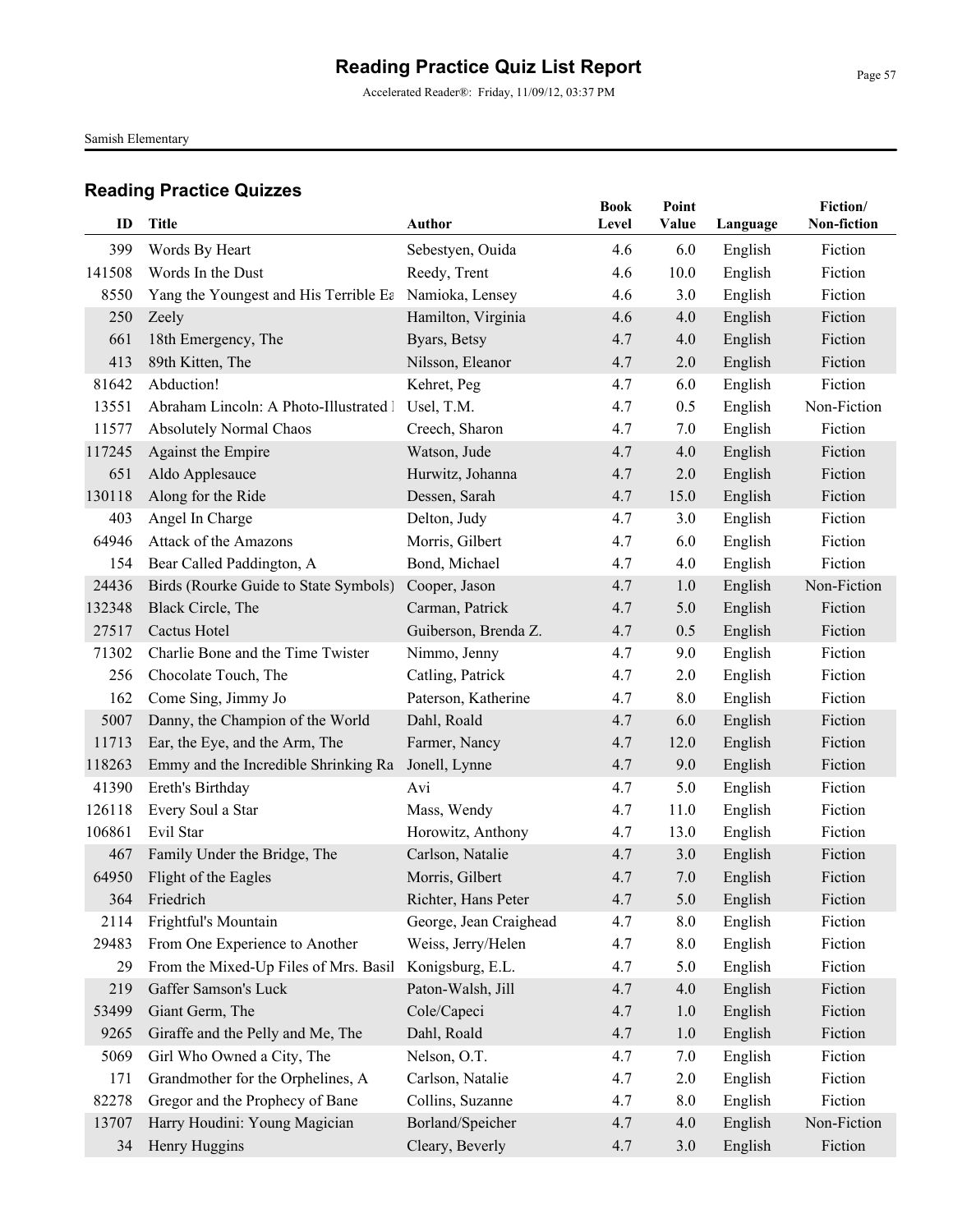Accelerated Reader®: Friday, 11/09/12, 03:37 PM

Samish Elementary

| ID     | Title                                  | <b>Author</b>          | <b>Book</b><br>Level | Point<br>Value | Language | Fiction/<br>Non-fiction |
|--------|----------------------------------------|------------------------|----------------------|----------------|----------|-------------------------|
| 399    | Words By Heart                         | Sebestyen, Ouida       | 4.6                  | 6.0            | English  | Fiction                 |
| 141508 | Words In the Dust                      | Reedy, Trent           | 4.6                  | 10.0           | English  | Fiction                 |
| 8550   | Yang the Youngest and His Terrible Ea  | Namioka, Lensey        | 4.6                  | 3.0            | English  | Fiction                 |
| 250    | Zeely                                  | Hamilton, Virginia     | 4.6                  | 4.0            | English  | Fiction                 |
| 661    | 18th Emergency, The                    | Byars, Betsy           | 4.7                  | 4.0            | English  | Fiction                 |
| 413    | 89th Kitten, The                       | Nilsson, Eleanor       | 4.7                  | 2.0            | English  | Fiction                 |
| 81642  | Abduction!                             | Kehret, Peg            | 4.7                  | 6.0            | English  | Fiction                 |
| 13551  | Abraham Lincoln: A Photo-Illustrated 1 | Usel, T.M.             | 4.7                  | 0.5            | English  | Non-Fiction             |
| 11577  | <b>Absolutely Normal Chaos</b>         | Creech, Sharon         | 4.7                  | 7.0            | English  | Fiction                 |
| 117245 | Against the Empire                     | Watson, Jude           | 4.7                  | 4.0            | English  | Fiction                 |
| 651    | Aldo Applesauce                        | Hurwitz, Johanna       | 4.7                  | 2.0            | English  | Fiction                 |
| 130118 | Along for the Ride                     | Dessen, Sarah          | 4.7                  | 15.0           | English  | Fiction                 |
| 403    | Angel In Charge                        | Delton, Judy           | 4.7                  | 3.0            | English  | Fiction                 |
| 64946  | Attack of the Amazons                  | Morris, Gilbert        | 4.7                  | 6.0            | English  | Fiction                 |
| 154    | Bear Called Paddington, A              | Bond, Michael          | 4.7                  | 4.0            | English  | Fiction                 |
| 24436  | Birds (Rourke Guide to State Symbols)  | Cooper, Jason          | 4.7                  | 1.0            | English  | Non-Fiction             |
| 132348 | Black Circle, The                      | Carman, Patrick        | 4.7                  | 5.0            | English  | Fiction                 |
| 27517  | Cactus Hotel                           | Guiberson, Brenda Z.   | 4.7                  | 0.5            | English  | Fiction                 |
| 71302  | Charlie Bone and the Time Twister      | Nimmo, Jenny           | 4.7                  | 9.0            | English  | Fiction                 |
| 256    | Chocolate Touch, The                   | Catling, Patrick       | 4.7                  | 2.0            | English  | Fiction                 |
| 162    | Come Sing, Jimmy Jo                    | Paterson, Katherine    | 4.7                  | 8.0            | English  | Fiction                 |
| 5007   | Danny, the Champion of the World       | Dahl, Roald            | 4.7                  | 6.0            | English  | Fiction                 |
| 11713  | Ear, the Eye, and the Arm, The         | Farmer, Nancy          | 4.7                  | 12.0           | English  | Fiction                 |
| 118263 | Emmy and the Incredible Shrinking Ra   | Jonell, Lynne          | 4.7                  | 9.0            | English  | Fiction                 |
| 41390  | Ereth's Birthday                       | Avi                    | 4.7                  | 5.0            | English  | Fiction                 |
| 126118 | Every Soul a Star                      | Mass, Wendy            | 4.7                  | 11.0           | English  | Fiction                 |
| 106861 | Evil Star                              | Horowitz, Anthony      | 4.7                  | 13.0           | English  | Fiction                 |
| 467    | Family Under the Bridge, The           | Carlson, Natalie       | 4.7                  | 3.0            | English  | Fiction                 |
| 64950  | Flight of the Eagles                   | Morris, Gilbert        | 4.7                  | 7.0            | English  | Fiction                 |
| 364    | Friedrich                              | Richter, Hans Peter    | 4.7                  | 5.0            | English  | Fiction                 |
| 2114   | Frightful's Mountain                   | George, Jean Craighead | 4.7                  | 8.0            | English  | Fiction                 |
| 29483  | From One Experience to Another         | Weiss, Jerry/Helen     | 4.7                  | 8.0            | English  | Fiction                 |
| 29     | From the Mixed-Up Files of Mrs. Basil  | Konigsburg, E.L.       | 4.7                  | 5.0            | English  | Fiction                 |
| 219    | Gaffer Samson's Luck                   | Paton-Walsh, Jill      | 4.7                  | 4.0            | English  | Fiction                 |
| 53499  | Giant Germ, The                        | Cole/Capeci            | 4.7                  | 1.0            | English  | Fiction                 |
| 9265   | Giraffe and the Pelly and Me, The      | Dahl, Roald            | 4.7                  | 1.0            | English  | Fiction                 |
| 5069   | Girl Who Owned a City, The             | Nelson, O.T.           | 4.7                  | 7.0            | English  | Fiction                 |
| 171    | Grandmother for the Orphelines, A      | Carlson, Natalie       | 4.7                  | 2.0            | English  | Fiction                 |
| 82278  | Gregor and the Prophecy of Bane        | Collins, Suzanne       | 4.7                  | 8.0            | English  | Fiction                 |
| 13707  | Harry Houdini: Young Magician          | Borland/Speicher       | 4.7                  | 4.0            | English  | Non-Fiction             |
| 34     | Henry Huggins                          | Cleary, Beverly        | 4.7                  | 3.0            | English  | Fiction                 |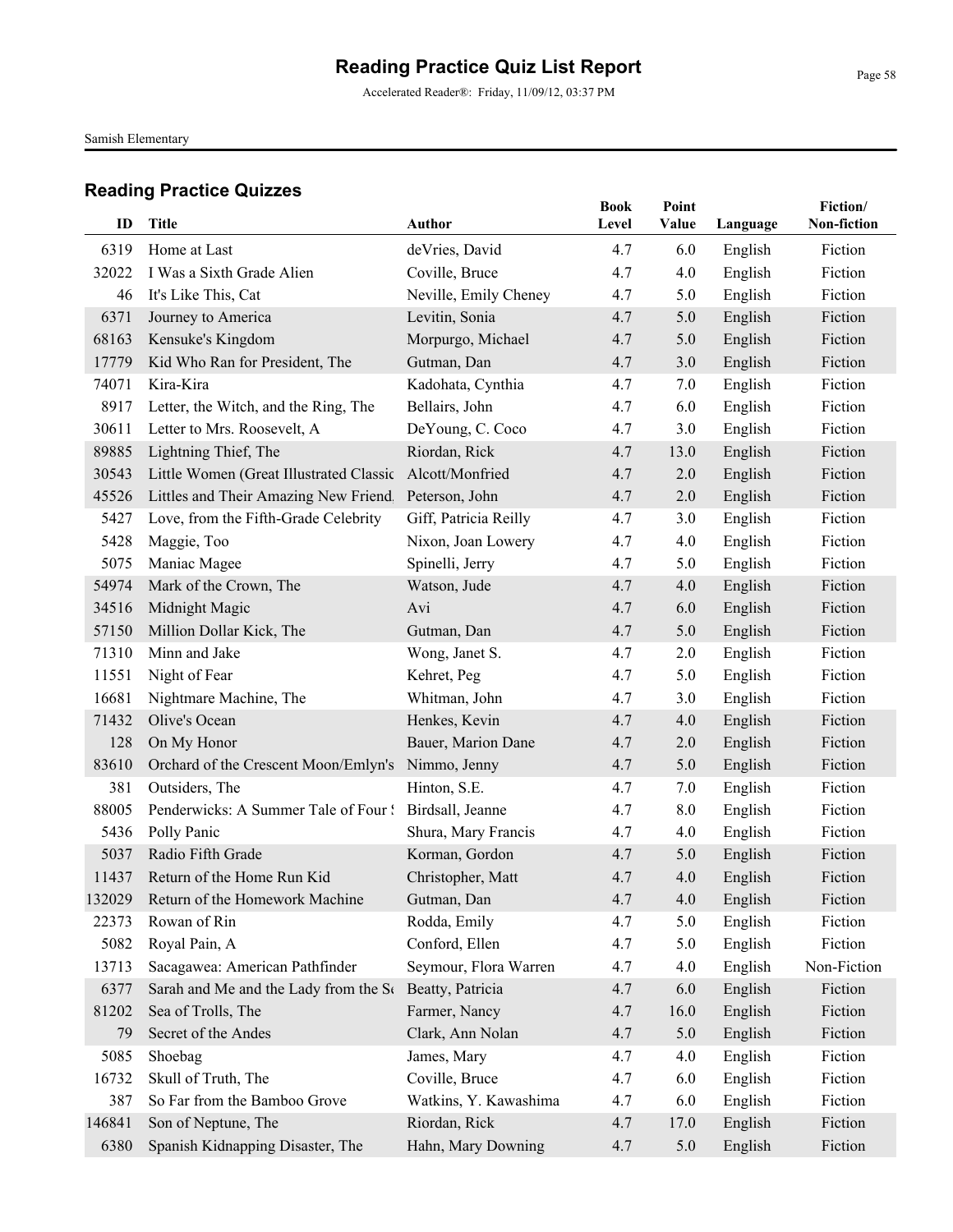Accelerated Reader®: Friday, 11/09/12, 03:37 PM

Samish Elementary

| ID     | Title                                                 | Author                | <b>Book</b><br>Level | Point<br>Value | Language | Fiction/<br>Non-fiction |
|--------|-------------------------------------------------------|-----------------------|----------------------|----------------|----------|-------------------------|
|        |                                                       |                       |                      |                |          |                         |
| 6319   | Home at Last                                          | deVries, David        | 4.7                  | 6.0            | English  | Fiction                 |
| 32022  | I Was a Sixth Grade Alien                             | Coville, Bruce        | 4.7                  | 4.0            | English  | Fiction                 |
| 46     | It's Like This, Cat                                   | Neville, Emily Cheney | 4.7                  | 5.0            | English  | Fiction                 |
| 6371   | Journey to America                                    | Levitin, Sonia        | 4.7                  | 5.0            | English  | Fiction                 |
| 68163  | Kensuke's Kingdom                                     | Morpurgo, Michael     | 4.7                  | 5.0            | English  | Fiction                 |
| 17779  | Kid Who Ran for President, The                        | Gutman, Dan           | 4.7                  | 3.0            | English  | Fiction                 |
| 74071  | Kira-Kira                                             | Kadohata, Cynthia     | 4.7                  | 7.0            | English  | Fiction                 |
| 8917   | Letter, the Witch, and the Ring, The                  | Bellairs, John        | 4.7                  | 6.0            | English  | Fiction                 |
| 30611  | Letter to Mrs. Roosevelt, A                           | DeYoung, C. Coco      | 4.7                  | 3.0            | English  | Fiction                 |
| 89885  | Lightning Thief, The                                  | Riordan, Rick         | 4.7                  | 13.0           | English  | Fiction                 |
| 30543  | Little Women (Great Illustrated Classic               | Alcott/Monfried       | 4.7                  | 2.0            | English  | Fiction                 |
| 45526  | Littles and Their Amazing New Friend. Peterson, John  |                       | 4.7                  | 2.0            | English  | Fiction                 |
| 5427   | Love, from the Fifth-Grade Celebrity                  | Giff, Patricia Reilly | 4.7                  | 3.0            | English  | Fiction                 |
| 5428   | Maggie, Too                                           | Nixon, Joan Lowery    | 4.7                  | 4.0            | English  | Fiction                 |
| 5075   | Maniac Magee                                          | Spinelli, Jerry       | 4.7                  | 5.0            | English  | Fiction                 |
| 54974  | Mark of the Crown, The                                | Watson, Jude          | 4.7                  | 4.0            | English  | Fiction                 |
| 34516  | Midnight Magic                                        | Avi                   | 4.7                  | 6.0            | English  | Fiction                 |
| 57150  | Million Dollar Kick, The                              | Gutman, Dan           | 4.7                  | 5.0            | English  | Fiction                 |
| 71310  | Minn and Jake                                         | Wong, Janet S.        | 4.7                  | 2.0            | English  | Fiction                 |
| 11551  | Night of Fear                                         | Kehret, Peg           | 4.7                  | 5.0            | English  | Fiction                 |
| 16681  | Nightmare Machine, The                                | Whitman, John         | 4.7                  | 3.0            | English  | Fiction                 |
| 71432  | Olive's Ocean                                         | Henkes, Kevin         | 4.7                  | 4.0            | English  | Fiction                 |
| 128    | On My Honor                                           | Bauer, Marion Dane    | 4.7                  | 2.0            | English  | Fiction                 |
| 83610  | Orchard of the Crescent Moon/Emlyn's                  | Nimmo, Jenny          | 4.7                  | 5.0            | English  | Fiction                 |
| 381    | Outsiders, The                                        | Hinton, S.E.          | 4.7                  | 7.0            | English  | Fiction                 |
| 88005  | Penderwicks: A Summer Tale of Four ! Birdsall, Jeanne |                       | 4.7                  | 8.0            | English  | Fiction                 |
| 5436   | Polly Panic                                           | Shura, Mary Francis   | 4.7                  | 4.0            | English  | Fiction                 |
| 5037   | Radio Fifth Grade                                     | Korman, Gordon        | 4.7                  | 5.0            | English  | Fiction                 |
| 11437  | Return of the Home Run Kid                            | Christopher, Matt     | 4.7                  | 4.0            | English  | Fiction                 |
|        | 132029 Return of the Homework Machine                 | Gutman, Dan           | 4.7                  | 4.0            | English  | Fiction                 |
| 22373  | Rowan of Rin                                          | Rodda, Emily          | 4.7                  | 5.0            | English  | Fiction                 |
| 5082   | Royal Pain, A                                         | Conford, Ellen        | 4.7                  | 5.0            | English  | Fiction                 |
| 13713  | Sacagawea: American Pathfinder                        | Seymour, Flora Warren | 4.7                  | 4.0            | English  | Non-Fiction             |
| 6377   | Sarah and Me and the Lady from the Se                 | Beatty, Patricia      | 4.7                  | 6.0            | English  | Fiction                 |
| 81202  | Sea of Trolls, The                                    | Farmer, Nancy         | 4.7                  | 16.0           | English  | Fiction                 |
| 79     | Secret of the Andes                                   | Clark, Ann Nolan      | 4.7                  | 5.0            | English  | Fiction                 |
| 5085   | Shoebag                                               | James, Mary           | 4.7                  | 4.0            | English  | Fiction                 |
| 16732  | Skull of Truth, The                                   | Coville, Bruce        | 4.7                  | 6.0            | English  | Fiction                 |
| 387    | So Far from the Bamboo Grove                          | Watkins, Y. Kawashima | 4.7                  | 6.0            | English  | Fiction                 |
| 146841 | Son of Neptune, The                                   | Riordan, Rick         | 4.7                  | 17.0           | English  | Fiction                 |
| 6380   | Spanish Kidnapping Disaster, The                      | Hahn, Mary Downing    | 4.7                  | 5.0            | English  | Fiction                 |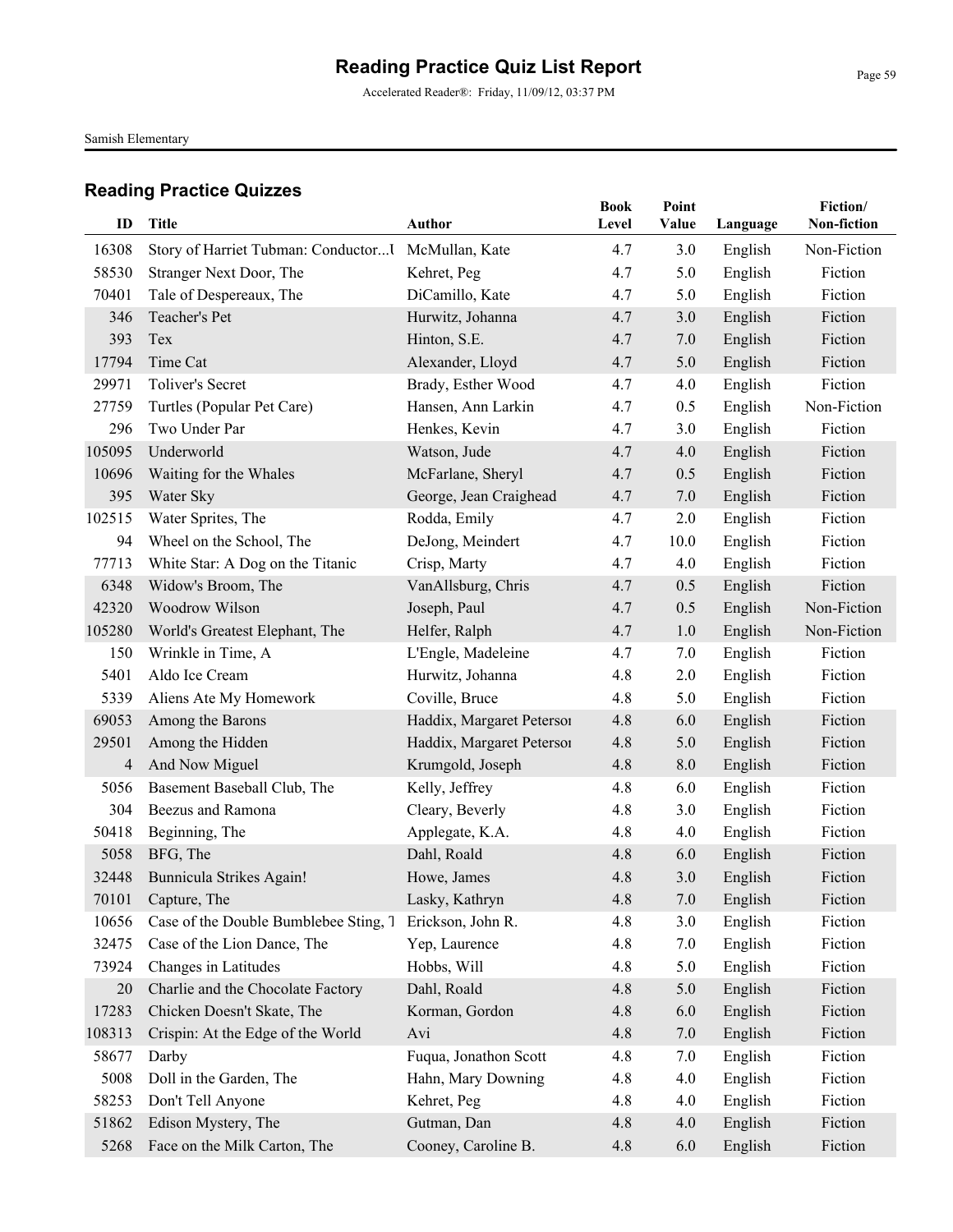Accelerated Reader®: Friday, 11/09/12, 03:37 PM

Samish Elementary

| ID     | <b>Title</b>                                        | <b>Author</b>             | <b>Book</b><br>Level | Point<br>Value | Language | Fiction/<br>Non-fiction |
|--------|-----------------------------------------------------|---------------------------|----------------------|----------------|----------|-------------------------|
| 16308  | Story of Harriet Tubman: Conductor I McMullan, Kate |                           | 4.7                  | 3.0            | English  | Non-Fiction             |
| 58530  | Stranger Next Door, The                             | Kehret, Peg               | 4.7                  | 5.0            | English  | Fiction                 |
| 70401  | Tale of Despereaux, The                             | DiCamillo, Kate           | 4.7                  | 5.0            | English  | Fiction                 |
| 346    | Teacher's Pet                                       | Hurwitz, Johanna          | 4.7                  | 3.0            | English  | Fiction                 |
| 393    | Tex                                                 | Hinton, S.E.              | 4.7                  | 7.0            | English  | Fiction                 |
| 17794  | Time Cat                                            | Alexander, Lloyd          | 4.7                  | 5.0            | English  | Fiction                 |
| 29971  | <b>Toliver's Secret</b>                             | Brady, Esther Wood        | 4.7                  | 4.0            | English  | Fiction                 |
| 27759  | Turtles (Popular Pet Care)                          | Hansen, Ann Larkin        | 4.7                  | 0.5            | English  | Non-Fiction             |
| 296    | Two Under Par                                       | Henkes, Kevin             | 4.7                  | 3.0            | English  | Fiction                 |
| 105095 | Underworld                                          | Watson, Jude              | 4.7                  | 4.0            | English  | Fiction                 |
| 10696  | Waiting for the Whales                              | McFarlane, Sheryl         | 4.7                  | 0.5            | English  | Fiction                 |
| 395    | Water Sky                                           | George, Jean Craighead    | 4.7                  | 7.0            | English  | Fiction                 |
| 102515 | Water Sprites, The                                  | Rodda, Emily              | 4.7                  | 2.0            | English  | Fiction                 |
| 94     | Wheel on the School, The                            | DeJong, Meindert          | 4.7                  | 10.0           | English  | Fiction                 |
| 77713  | White Star: A Dog on the Titanic                    | Crisp, Marty              | 4.7                  | 4.0            | English  | Fiction                 |
| 6348   | Widow's Broom, The                                  | VanAllsburg, Chris        | 4.7                  | 0.5            | English  | Fiction                 |
| 42320  | Woodrow Wilson                                      | Joseph, Paul              | 4.7                  | 0.5            | English  | Non-Fiction             |
| 105280 | World's Greatest Elephant, The                      | Helfer, Ralph             | 4.7                  | 1.0            | English  | Non-Fiction             |
| 150    | Wrinkle in Time, A                                  | L'Engle, Madeleine        | 4.7                  | 7.0            | English  | Fiction                 |
| 5401   | Aldo Ice Cream                                      | Hurwitz, Johanna          | 4.8                  | 2.0            | English  | Fiction                 |
| 5339   | Aliens Ate My Homework                              | Coville, Bruce            | 4.8                  | 5.0            | English  | Fiction                 |
| 69053  | Among the Barons                                    | Haddix, Margaret Petersoi | 4.8                  | 6.0            | English  | Fiction                 |
| 29501  | Among the Hidden                                    | Haddix, Margaret Petersoi | 4.8                  | 5.0            | English  | Fiction                 |
| 4      | And Now Miguel                                      | Krumgold, Joseph          | 4.8                  | 8.0            | English  | Fiction                 |
| 5056   | Basement Baseball Club, The                         | Kelly, Jeffrey            | 4.8                  | 6.0            | English  | Fiction                 |
| 304    | Beezus and Ramona                                   | Cleary, Beverly           | 4.8                  | 3.0            | English  | Fiction                 |
| 50418  | Beginning, The                                      | Applegate, K.A.           | 4.8                  | 4.0            | English  | Fiction                 |
| 5058   | BFG, The                                            | Dahl, Roald               | 4.8                  | 6.0            | English  | Fiction                 |
| 32448  | Bunnicula Strikes Again!                            | Howe, James               | 4.8                  | 3.0            | English  | Fiction                 |
| 70101  | Capture, The                                        | Lasky, Kathryn            | 4.8                  | 7.0            | English  | Fiction                 |
| 10656  | Case of the Double Bumblebee Sting, 7               | Erickson, John R.         | 4.8                  | 3.0            | English  | Fiction                 |
| 32475  | Case of the Lion Dance, The                         | Yep, Laurence             | 4.8                  | 7.0            | English  | Fiction                 |
| 73924  | Changes in Latitudes                                | Hobbs, Will               | 4.8                  | 5.0            | English  | Fiction                 |
| 20     | Charlie and the Chocolate Factory                   | Dahl, Roald               | 4.8                  | 5.0            | English  | Fiction                 |
| 17283  | Chicken Doesn't Skate, The                          | Korman, Gordon            | 4.8                  | 6.0            | English  | Fiction                 |
| 108313 | Crispin: At the Edge of the World                   | Avi                       | 4.8                  | 7.0            | English  | Fiction                 |
| 58677  | Darby                                               | Fuqua, Jonathon Scott     | 4.8                  | 7.0            | English  | Fiction                 |
| 5008   | Doll in the Garden, The                             | Hahn, Mary Downing        | 4.8                  | 4.0            | English  | Fiction                 |
| 58253  | Don't Tell Anyone                                   | Kehret, Peg               | 4.8                  | 4.0            | English  | Fiction                 |
| 51862  | Edison Mystery, The                                 | Gutman, Dan               | 4.8                  | 4.0            | English  | Fiction                 |
| 5268   | Face on the Milk Carton, The                        | Cooney, Caroline B.       | 4.8                  | 6.0            | English  | Fiction                 |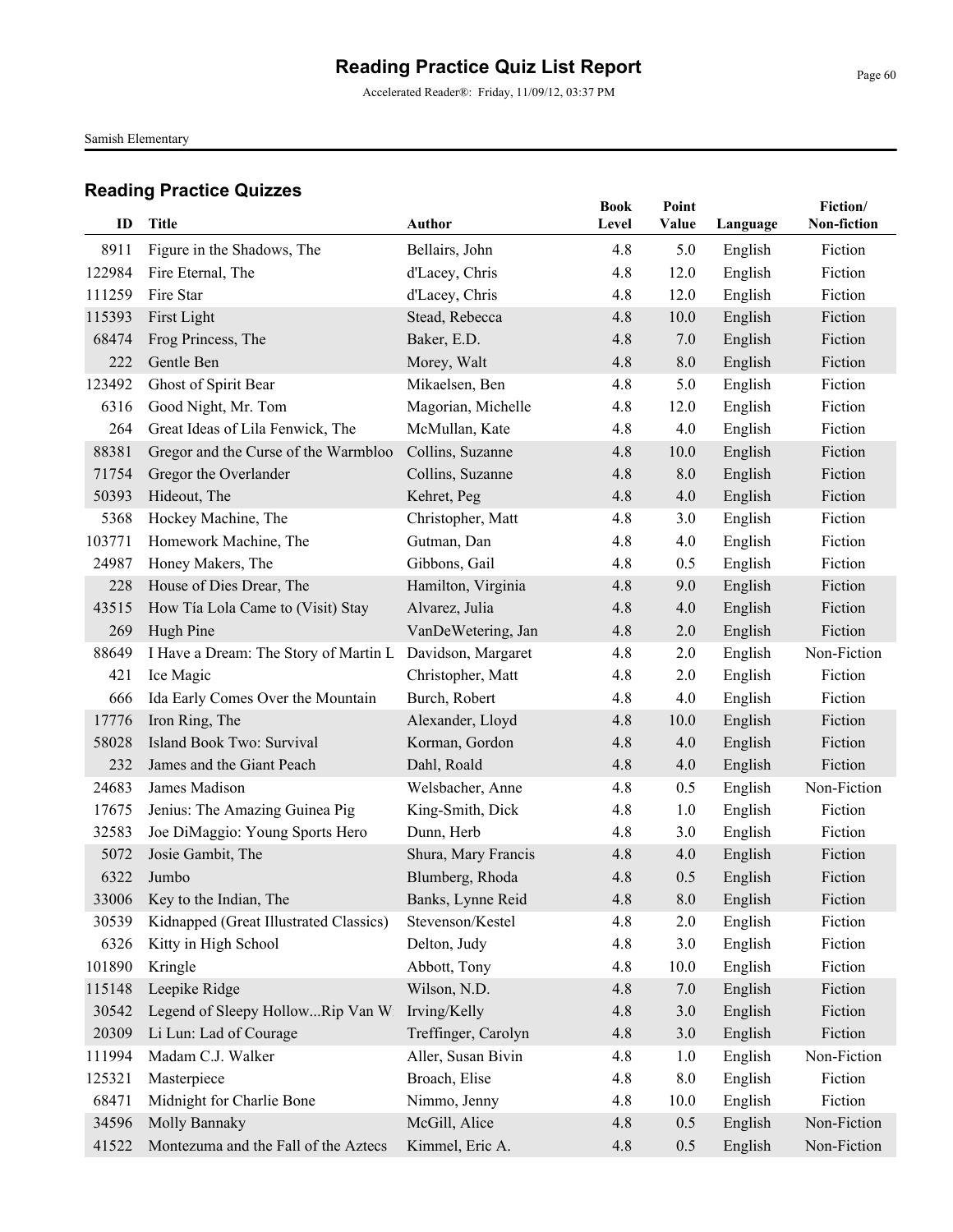Accelerated Reader®: Friday, 11/09/12, 03:37 PM

Samish Elementary

| ID     | <b>Title</b>                           | <b>Author</b>       | <b>Book</b><br>Level | Point<br>Value | Language | Fiction/<br>Non-fiction |
|--------|----------------------------------------|---------------------|----------------------|----------------|----------|-------------------------|
| 8911   | Figure in the Shadows, The             | Bellairs, John      | 4.8                  | 5.0            | English  | Fiction                 |
| 122984 | Fire Eternal, The                      | d'Lacey, Chris      | 4.8                  | 12.0           | English  | Fiction                 |
| 111259 | Fire Star                              | d'Lacey, Chris      | 4.8                  | 12.0           | English  | Fiction                 |
| 115393 | First Light                            | Stead, Rebecca      | 4.8                  | 10.0           | English  | Fiction                 |
| 68474  | Frog Princess, The                     | Baker, E.D.         | 4.8                  | 7.0            | English  | Fiction                 |
| 222    | Gentle Ben                             | Morey, Walt         | 4.8                  | 8.0            | English  | Fiction                 |
| 123492 | Ghost of Spirit Bear                   | Mikaelsen, Ben      | 4.8                  | 5.0            | English  | Fiction                 |
| 6316   | Good Night, Mr. Tom                    | Magorian, Michelle  | 4.8                  | 12.0           | English  | Fiction                 |
| 264    | Great Ideas of Lila Fenwick, The       | McMullan, Kate      | 4.8                  | 4.0            | English  | Fiction                 |
| 88381  | Gregor and the Curse of the Warmbloo   | Collins, Suzanne    | 4.8                  | 10.0           | English  | Fiction                 |
| 71754  | Gregor the Overlander                  | Collins, Suzanne    | 4.8                  | 8.0            | English  | Fiction                 |
| 50393  | Hideout, The                           | Kehret, Peg         | 4.8                  | 4.0            | English  | Fiction                 |
| 5368   | Hockey Machine, The                    | Christopher, Matt   | 4.8                  | 3.0            | English  | Fiction                 |
| 103771 | Homework Machine, The                  | Gutman, Dan         | 4.8                  | 4.0            | English  | Fiction                 |
| 24987  | Honey Makers, The                      | Gibbons, Gail       | 4.8                  | 0.5            | English  | Fiction                 |
| 228    | House of Dies Drear, The               | Hamilton, Virginia  | 4.8                  | 9.0            | English  | Fiction                 |
| 43515  | How Tía Lola Came to (Visit) Stay      | Alvarez, Julia      | 4.8                  | 4.0            | English  | Fiction                 |
| 269    | Hugh Pine                              | VanDeWetering, Jan  | 4.8                  | 2.0            | English  | Fiction                 |
| 88649  | I Have a Dream: The Story of Martin L  | Davidson, Margaret  | 4.8                  | 2.0            | English  | Non-Fiction             |
| 421    | Ice Magic                              | Christopher, Matt   | 4.8                  | 2.0            | English  | Fiction                 |
| 666    | Ida Early Comes Over the Mountain      | Burch, Robert       | 4.8                  | 4.0            | English  | Fiction                 |
| 17776  | Iron Ring, The                         | Alexander, Lloyd    | 4.8                  | 10.0           | English  | Fiction                 |
| 58028  | Island Book Two: Survival              | Korman, Gordon      | 4.8                  | 4.0            | English  | Fiction                 |
| 232    | James and the Giant Peach              | Dahl, Roald         | 4.8                  | 4.0            | English  | Fiction                 |
| 24683  | James Madison                          | Welsbacher, Anne    | 4.8                  | 0.5            | English  | Non-Fiction             |
| 17675  | Jenius: The Amazing Guinea Pig         | King-Smith, Dick    | 4.8                  | 1.0            | English  | Fiction                 |
| 32583  | Joe DiMaggio: Young Sports Hero        | Dunn, Herb          | 4.8                  | 3.0            | English  | Fiction                 |
| 5072   | Josie Gambit, The                      | Shura, Mary Francis | 4.8                  | 4.0            | English  | Fiction                 |
| 6322   | Jumbo                                  | Blumberg, Rhoda     | 4.8                  | 0.5            | English  | Fiction                 |
|        | 33006 Key to the Indian, The           | Banks, Lynne Reid   | 4.8                  | 8.0            | English  | Fiction                 |
| 30539  | Kidnapped (Great Illustrated Classics) | Stevenson/Kestel    | 4.8                  | 2.0            | English  | Fiction                 |
| 6326   | Kitty in High School                   | Delton, Judy        | 4.8                  | 3.0            | English  | Fiction                 |
| 101890 | Kringle                                | Abbott, Tony        | 4.8                  | 10.0           | English  | Fiction                 |
| 115148 | Leepike Ridge                          | Wilson, N.D.        | 4.8                  | 7.0            | English  | Fiction                 |
| 30542  | Legend of Sleepy HollowRip Van Wi      | Irving/Kelly        | 4.8                  | 3.0            | English  | Fiction                 |
| 20309  | Li Lun: Lad of Courage                 | Treffinger, Carolyn | 4.8                  | 3.0            | English  | Fiction                 |
| 111994 | Madam C.J. Walker                      | Aller, Susan Bivin  | 4.8                  | 1.0            | English  | Non-Fiction             |
| 125321 | Masterpiece                            | Broach, Elise       | 4.8                  | 8.0            | English  | Fiction                 |
| 68471  | Midnight for Charlie Bone              | Nimmo, Jenny        | 4.8                  | 10.0           | English  | Fiction                 |
| 34596  | Molly Bannaky                          | McGill, Alice       | 4.8                  | 0.5            | English  | Non-Fiction             |
| 41522  | Montezuma and the Fall of the Aztecs   | Kimmel, Eric A.     | 4.8                  | 0.5            | English  | Non-Fiction             |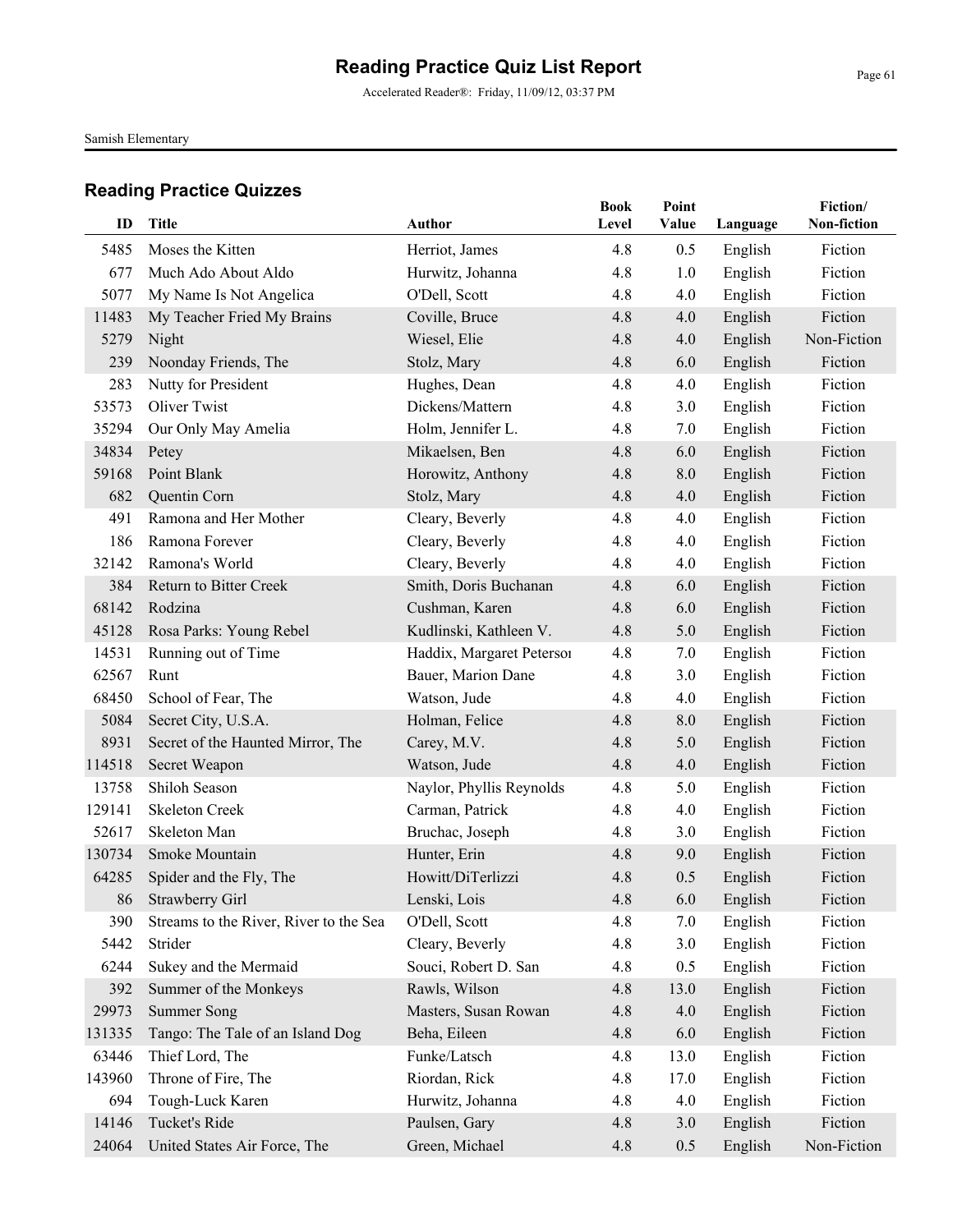Accelerated Reader®: Friday, 11/09/12, 03:37 PM

Samish Elementary

| ID     | <b>Title</b>                           | Author                    | <b>Book</b><br>Level | Point<br>Value | Language | Fiction/<br>Non-fiction |
|--------|----------------------------------------|---------------------------|----------------------|----------------|----------|-------------------------|
| 5485   | Moses the Kitten                       | Herriot, James            | 4.8                  | 0.5            | English  | Fiction                 |
| 677    | Much Ado About Aldo                    | Hurwitz, Johanna          | 4.8                  | 1.0            | English  | Fiction                 |
| 5077   | My Name Is Not Angelica                | O'Dell, Scott             | 4.8                  | 4.0            | English  | Fiction                 |
| 11483  | My Teacher Fried My Brains             | Coville, Bruce            | 4.8                  | 4.0            | English  | Fiction                 |
| 5279   | Night                                  | Wiesel, Elie              | 4.8                  | 4.0            | English  | Non-Fiction             |
| 239    | Noonday Friends, The                   | Stolz, Mary               | 4.8                  | 6.0            | English  | Fiction                 |
| 283    | Nutty for President                    | Hughes, Dean              | 4.8                  | 4.0            | English  | Fiction                 |
| 53573  | <b>Oliver Twist</b>                    | Dickens/Mattern           | 4.8                  | 3.0            | English  | Fiction                 |
| 35294  | Our Only May Amelia                    | Holm, Jennifer L.         | 4.8                  | 7.0            | English  | Fiction                 |
| 34834  | Petey                                  | Mikaelsen, Ben            | 4.8                  | 6.0            | English  | Fiction                 |
| 59168  | Point Blank                            | Horowitz, Anthony         | 4.8                  | 8.0            | English  | Fiction                 |
| 682    | Quentin Corn                           | Stolz, Mary               | 4.8                  | 4.0            | English  | Fiction                 |
| 491    | Ramona and Her Mother                  | Cleary, Beverly           | 4.8                  | 4.0            | English  | Fiction                 |
| 186    | Ramona Forever                         | Cleary, Beverly           | 4.8                  | 4.0            | English  | Fiction                 |
| 32142  | Ramona's World                         | Cleary, Beverly           | 4.8                  | 4.0            | English  | Fiction                 |
| 384    | <b>Return to Bitter Creek</b>          | Smith, Doris Buchanan     | 4.8                  | 6.0            | English  | Fiction                 |
| 68142  | Rodzina                                | Cushman, Karen            | 4.8                  | 6.0            | English  | Fiction                 |
| 45128  | Rosa Parks: Young Rebel                | Kudlinski, Kathleen V.    | 4.8                  | 5.0            | English  | Fiction                 |
| 14531  | Running out of Time                    | Haddix, Margaret Peterson | 4.8                  | 7.0            | English  | Fiction                 |
| 62567  | Runt                                   | Bauer, Marion Dane        | 4.8                  | 3.0            | English  | Fiction                 |
| 68450  | School of Fear, The                    | Watson, Jude              | 4.8                  | 4.0            | English  | Fiction                 |
| 5084   | Secret City, U.S.A.                    | Holman, Felice            | 4.8                  | 8.0            | English  | Fiction                 |
| 8931   | Secret of the Haunted Mirror, The      | Carey, M.V.               | 4.8                  | 5.0            | English  | Fiction                 |
| 114518 | Secret Weapon                          | Watson, Jude              | 4.8                  | 4.0            | English  | Fiction                 |
| 13758  | Shiloh Season                          | Naylor, Phyllis Reynolds  | 4.8                  | 5.0            | English  | Fiction                 |
| 129141 | <b>Skeleton Creek</b>                  | Carman, Patrick           | 4.8                  | 4.0            | English  | Fiction                 |
| 52617  | Skeleton Man                           | Bruchac, Joseph           | 4.8                  | 3.0            | English  | Fiction                 |
| 130734 | Smoke Mountain                         | Hunter, Erin              | 4.8                  | 9.0            | English  | Fiction                 |
| 64285  | Spider and the Fly, The                | Howitt/DiTerlizzi         | 4.8                  | 0.5            | English  | Fiction                 |
|        | 86 Strawberry Girl                     | Lenski, Lois              | 4.8                  | 6.0            | English  | Fiction                 |
| 390    | Streams to the River, River to the Sea | O'Dell, Scott             | 4.8                  | 7.0            | English  | Fiction                 |
| 5442   | Strider                                | Cleary, Beverly           | 4.8                  | 3.0            | English  | Fiction                 |
| 6244   | Sukey and the Mermaid                  | Souci, Robert D. San      | 4.8                  | 0.5            | English  | Fiction                 |
| 392    | Summer of the Monkeys                  | Rawls, Wilson             | 4.8                  | 13.0           | English  | Fiction                 |
| 29973  | <b>Summer Song</b>                     | Masters, Susan Rowan      | 4.8                  | 4.0            | English  | Fiction                 |
| 131335 | Tango: The Tale of an Island Dog       | Beha, Eileen              | 4.8                  | 6.0            | English  | Fiction                 |
| 63446  | Thief Lord, The                        | Funke/Latsch              | 4.8                  | 13.0           | English  | Fiction                 |
| 143960 | Throne of Fire, The                    | Riordan, Rick             | 4.8                  | 17.0           | English  | Fiction                 |
| 694    | Tough-Luck Karen                       | Hurwitz, Johanna          | 4.8                  | 4.0            | English  | Fiction                 |
| 14146  | Tucket's Ride                          | Paulsen, Gary             | 4.8                  | 3.0            | English  | Fiction                 |
| 24064  | United States Air Force, The           | Green, Michael            | 4.8                  | 0.5            | English  | Non-Fiction             |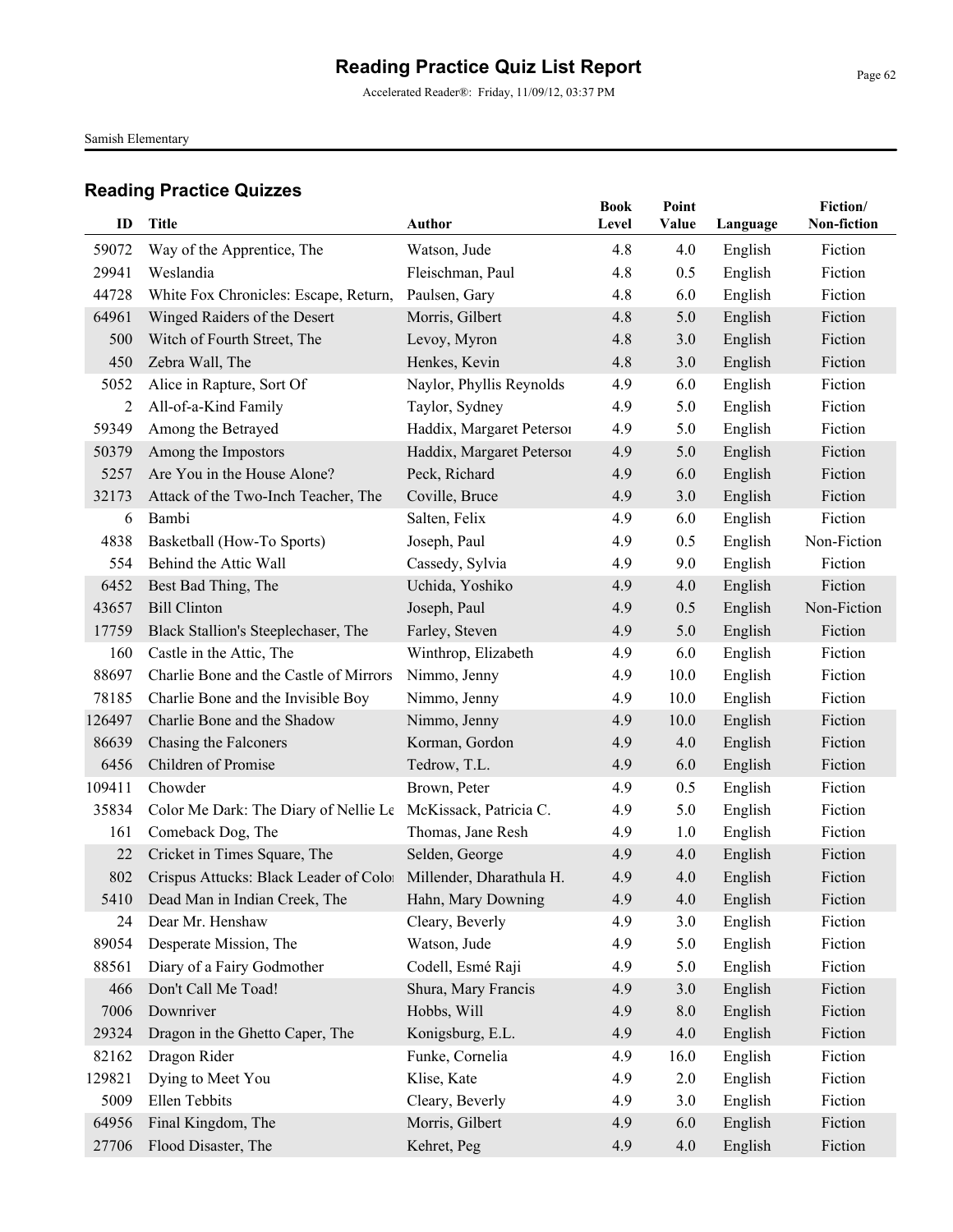Accelerated Reader®: Friday, 11/09/12, 03:37 PM

Samish Elementary

| ID     | Title                                                           | <b>Author</b>             | <b>Book</b><br>Level | Point<br>Value | Language | Fiction/<br>Non-fiction |
|--------|-----------------------------------------------------------------|---------------------------|----------------------|----------------|----------|-------------------------|
| 59072  | Way of the Apprentice, The                                      | Watson, Jude              | 4.8                  | 4.0            | English  | Fiction                 |
| 29941  | Weslandia                                                       | Fleischman, Paul          | 4.8                  | 0.5            | English  | Fiction                 |
| 44728  | White Fox Chronicles: Escape, Return,                           | Paulsen, Gary             | 4.8                  | 6.0            | English  | Fiction                 |
| 64961  | Winged Raiders of the Desert                                    | Morris, Gilbert           | 4.8                  | 5.0            | English  | Fiction                 |
| 500    | Witch of Fourth Street, The                                     | Levoy, Myron              | 4.8                  | 3.0            | English  | Fiction                 |
| 450    | Zebra Wall, The                                                 | Henkes, Kevin             | 4.8                  | 3.0            | English  | Fiction                 |
| 5052   | Alice in Rapture, Sort Of                                       | Naylor, Phyllis Reynolds  | 4.9                  | 6.0            | English  | Fiction                 |
| 2      | All-of-a-Kind Family                                            | Taylor, Sydney            | 4.9                  | 5.0            | English  | Fiction                 |
| 59349  | Among the Betrayed                                              | Haddix, Margaret Peterson | 4.9                  | 5.0            | English  | Fiction                 |
| 50379  | Among the Impostors                                             | Haddix, Margaret Peterson | 4.9                  | 5.0            | English  | Fiction                 |
| 5257   | Are You in the House Alone?                                     | Peck, Richard             | 4.9                  | 6.0            | English  | Fiction                 |
| 32173  | Attack of the Two-Inch Teacher, The                             | Coville, Bruce            | 4.9                  | 3.0            | English  | Fiction                 |
| 6      | Bambi                                                           | Salten, Felix             | 4.9                  | 6.0            | English  | Fiction                 |
| 4838   | Basketball (How-To Sports)                                      | Joseph, Paul              | 4.9                  | 0.5            | English  | Non-Fiction             |
| 554    | Behind the Attic Wall                                           | Cassedy, Sylvia           | 4.9                  | 9.0            | English  | Fiction                 |
| 6452   | Best Bad Thing, The                                             | Uchida, Yoshiko           | 4.9                  | 4.0            | English  | Fiction                 |
| 43657  | <b>Bill Clinton</b>                                             | Joseph, Paul              | 4.9                  | 0.5            | English  | Non-Fiction             |
| 17759  | Black Stallion's Steeplechaser, The                             | Farley, Steven            | 4.9                  | 5.0            | English  | Fiction                 |
| 160    | Castle in the Attic, The                                        | Winthrop, Elizabeth       | 4.9                  | 6.0            | English  | Fiction                 |
| 88697  | Charlie Bone and the Castle of Mirrors                          | Nimmo, Jenny              | 4.9                  | 10.0           | English  | Fiction                 |
| 78185  | Charlie Bone and the Invisible Boy                              | Nimmo, Jenny              | 4.9                  | 10.0           | English  | Fiction                 |
| 126497 | Charlie Bone and the Shadow                                     | Nimmo, Jenny              | 4.9                  | 10.0           | English  | Fiction                 |
| 86639  | Chasing the Falconers                                           | Korman, Gordon            | 4.9                  | 4.0            | English  | Fiction                 |
| 6456   | Children of Promise                                             | Tedrow, T.L.              | 4.9                  | 6.0            | English  | Fiction                 |
| 109411 | Chowder                                                         | Brown, Peter              | 4.9                  | 0.5            | English  | Fiction                 |
| 35834  | Color Me Dark: The Diary of Nellie Le                           | McKissack, Patricia C.    | 4.9                  | 5.0            | English  | Fiction                 |
| 161    | Comeback Dog, The                                               | Thomas, Jane Resh         | 4.9                  | 1.0            | English  | Fiction                 |
| 22     | Cricket in Times Square, The                                    | Selden, George            | 4.9                  | 4.0            | English  | Fiction                 |
| 802    | Crispus Attucks: Black Leader of Color Millender, Dharathula H. |                           | 4.9                  | 4.0            | English  | Fiction                 |
|        | 5410 Dead Man in Indian Creek, The                              | Hahn, Mary Downing        | 4.9                  | 4.0            | English  | Fiction                 |
| 24     | Dear Mr. Henshaw                                                | Cleary, Beverly           | 4.9                  | 3.0            | English  | Fiction                 |
| 89054  | Desperate Mission, The                                          | Watson, Jude              | 4.9                  | 5.0            | English  | Fiction                 |
| 88561  | Diary of a Fairy Godmother                                      | Codell, Esmé Raji         | 4.9                  | 5.0            | English  | Fiction                 |
| 466    | Don't Call Me Toad!                                             | Shura, Mary Francis       | 4.9                  | 3.0            | English  | Fiction                 |
| 7006   | Downriver                                                       | Hobbs, Will               | 4.9                  | $8.0\,$        | English  | Fiction                 |
| 29324  | Dragon in the Ghetto Caper, The                                 | Konigsburg, E.L.          | 4.9                  | 4.0            | English  | Fiction                 |
| 82162  | Dragon Rider                                                    | Funke, Cornelia           | 4.9                  | 16.0           | English  | Fiction                 |
| 129821 | Dying to Meet You                                               | Klise, Kate               | 4.9                  | 2.0            | English  | Fiction                 |
| 5009   | Ellen Tebbits                                                   | Cleary, Beverly           | 4.9                  | 3.0            | English  | Fiction                 |
| 64956  | Final Kingdom, The                                              | Morris, Gilbert           | 4.9                  | 6.0            | English  | Fiction                 |
| 27706  | Flood Disaster, The                                             | Kehret, Peg               | 4.9                  | 4.0            | English  | Fiction                 |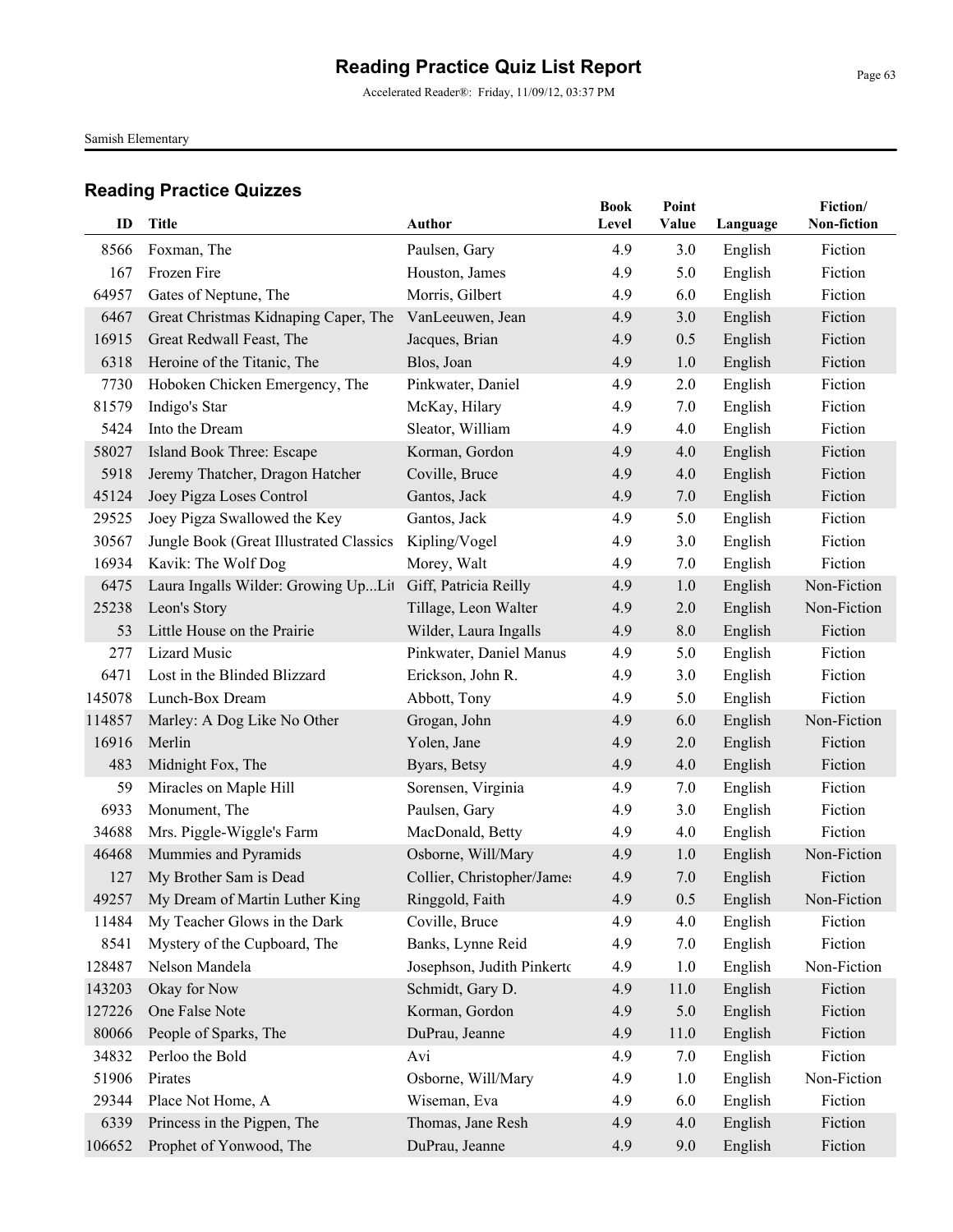Accelerated Reader®: Friday, 11/09/12, 03:37 PM

Samish Elementary

| ID     | <b>Title</b>                            | <b>Author</b>              | <b>Book</b><br>Level | Point<br>Value | Language | Fiction/<br>Non-fiction |
|--------|-----------------------------------------|----------------------------|----------------------|----------------|----------|-------------------------|
| 8566   | Foxman, The                             | Paulsen, Gary              | 4.9                  | 3.0            | English  | Fiction                 |
| 167    | Frozen Fire                             | Houston, James             | 4.9                  | 5.0            | English  | Fiction                 |
| 64957  | Gates of Neptune, The                   | Morris, Gilbert            | 4.9                  | 6.0            | English  | Fiction                 |
| 6467   | Great Christmas Kidnaping Caper, The    | VanLeeuwen, Jean           | 4.9                  | 3.0            | English  | Fiction                 |
| 16915  | Great Redwall Feast, The                | Jacques, Brian             | 4.9                  | 0.5            | English  | Fiction                 |
| 6318   | Heroine of the Titanic, The             | Blos, Joan                 | 4.9                  | 1.0            | English  | Fiction                 |
| 7730   | Hoboken Chicken Emergency, The          | Pinkwater, Daniel          | 4.9                  | 2.0            | English  | Fiction                 |
| 81579  | Indigo's Star                           | McKay, Hilary              | 4.9                  | 7.0            | English  | Fiction                 |
| 5424   | Into the Dream                          | Sleator, William           | 4.9                  | 4.0            | English  | Fiction                 |
| 58027  | Island Book Three: Escape               | Korman, Gordon             | 4.9                  | 4.0            | English  | Fiction                 |
| 5918   | Jeremy Thatcher, Dragon Hatcher         | Coville, Bruce             | 4.9                  | 4.0            | English  | Fiction                 |
| 45124  | Joey Pigza Loses Control                | Gantos, Jack               | 4.9                  | 7.0            | English  | Fiction                 |
| 29525  | Joey Pigza Swallowed the Key            | Gantos, Jack               | 4.9                  | 5.0            | English  | Fiction                 |
| 30567  | Jungle Book (Great Illustrated Classics | Kipling/Vogel              | 4.9                  | 3.0            | English  | Fiction                 |
| 16934  | Kavik: The Wolf Dog                     | Morey, Walt                | 4.9                  | 7.0            | English  | Fiction                 |
| 6475   | Laura Ingalls Wilder: Growing UpLit     | Giff, Patricia Reilly      | 4.9                  | 1.0            | English  | Non-Fiction             |
| 25238  | Leon's Story                            | Tillage, Leon Walter       | 4.9                  | 2.0            | English  | Non-Fiction             |
| 53     | Little House on the Prairie             | Wilder, Laura Ingalls      | 4.9                  | 8.0            | English  | Fiction                 |
| 277    | <b>Lizard Music</b>                     | Pinkwater, Daniel Manus    | 4.9                  | 5.0            | English  | Fiction                 |
| 6471   | Lost in the Blinded Blizzard            | Erickson, John R.          | 4.9                  | 3.0            | English  | Fiction                 |
| 145078 | Lunch-Box Dream                         | Abbott, Tony               | 4.9                  | 5.0            | English  | Fiction                 |
| 114857 | Marley: A Dog Like No Other             | Grogan, John               | 4.9                  | 6.0            | English  | Non-Fiction             |
| 16916  | Merlin                                  | Yolen, Jane                | 4.9                  | 2.0            | English  | Fiction                 |
| 483    | Midnight Fox, The                       | Byars, Betsy               | 4.9                  | 4.0            | English  | Fiction                 |
| 59     | Miracles on Maple Hill                  | Sorensen, Virginia         | 4.9                  | 7.0            | English  | Fiction                 |
| 6933   | Monument, The                           | Paulsen, Gary              | 4.9                  | 3.0            | English  | Fiction                 |
| 34688  | Mrs. Piggle-Wiggle's Farm               | MacDonald, Betty           | 4.9                  | 4.0            | English  | Fiction                 |
| 46468  | Mummies and Pyramids                    | Osborne, Will/Mary         | 4.9                  | 1.0            | English  | Non-Fiction             |
| 127    | My Brother Sam is Dead                  | Collier, Christopher/James | 4.9                  | 7.0            | English  | Fiction                 |
|        | 49257 My Dream of Martin Luther King    | Ringgold, Faith            | 4.9                  | 0.5            | English  | Non-Fiction             |
| 11484  | My Teacher Glows in the Dark            | Coville, Bruce             | 4.9                  | 4.0            | English  | Fiction                 |
| 8541   | Mystery of the Cupboard, The            | Banks, Lynne Reid          | 4.9                  | 7.0            | English  | Fiction                 |
| 128487 | Nelson Mandela                          | Josephson, Judith Pinkerto | 4.9                  | 1.0            | English  | Non-Fiction             |
| 143203 | Okay for Now                            | Schmidt, Gary D.           | 4.9                  | 11.0           | English  | Fiction                 |
| 127226 | One False Note                          | Korman, Gordon             | 4.9                  | 5.0            | English  | Fiction                 |
| 80066  | People of Sparks, The                   | DuPrau, Jeanne             | 4.9                  | 11.0           | English  | Fiction                 |
| 34832  | Perloo the Bold                         | Avi                        | 4.9                  | 7.0            | English  | Fiction                 |
| 51906  | Pirates                                 | Osborne, Will/Mary         | 4.9                  | 1.0            | English  | Non-Fiction             |
| 29344  | Place Not Home, A                       | Wiseman, Eva               | 4.9                  | 6.0            | English  | Fiction                 |
| 6339   | Princess in the Pigpen, The             | Thomas, Jane Resh          | 4.9                  | 4.0            | English  | Fiction                 |
| 106652 | Prophet of Yonwood, The                 | DuPrau, Jeanne             | 4.9                  | 9.0            | English  | Fiction                 |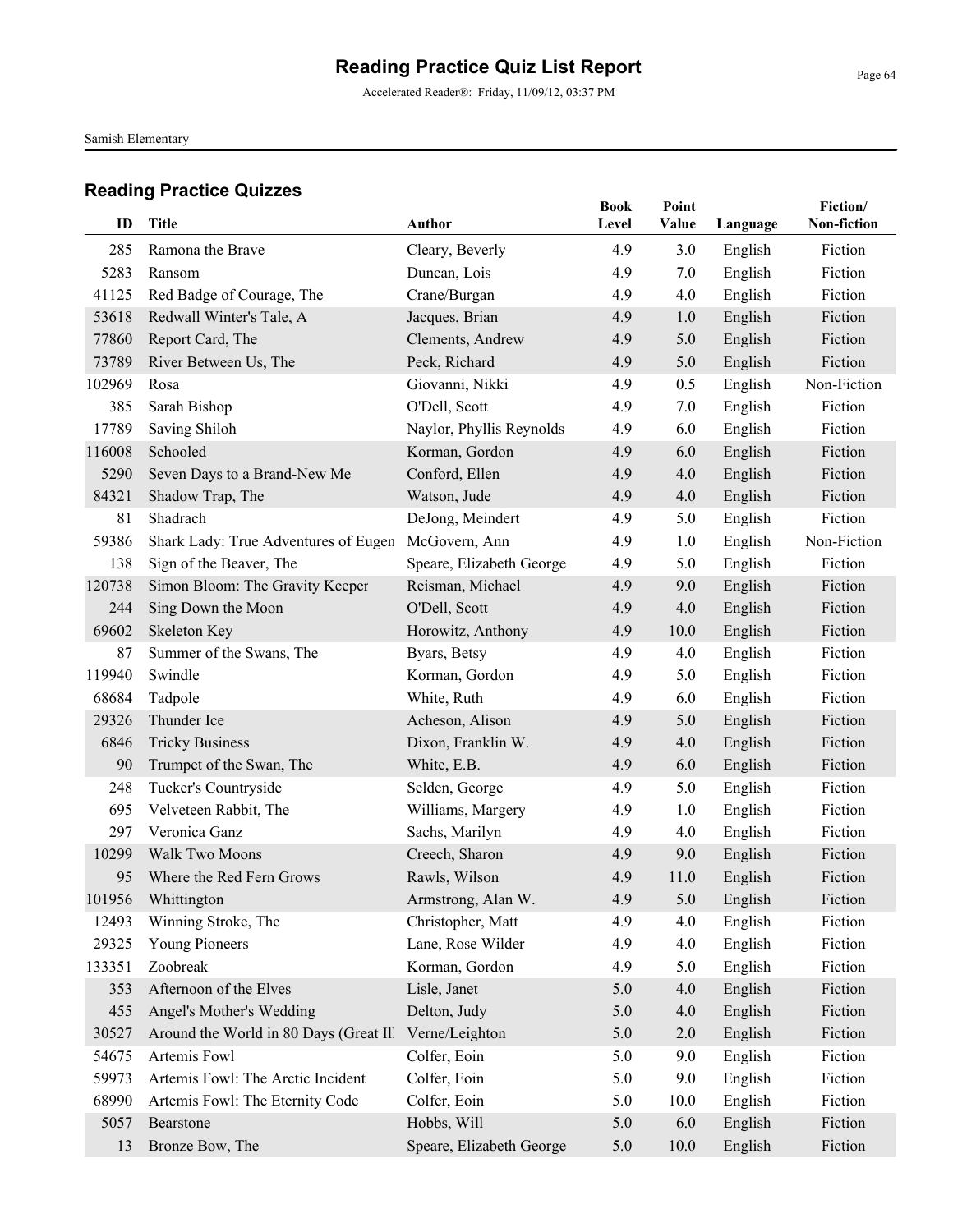Accelerated Reader®: Friday, 11/09/12, 03:37 PM

Samish Elementary

| ID     | Title                                  | <b>Author</b>            | <b>Book</b><br>Level | Point<br><b>Value</b> | Language | Fiction/<br>Non-fiction |
|--------|----------------------------------------|--------------------------|----------------------|-----------------------|----------|-------------------------|
| 285    | Ramona the Brave                       | Cleary, Beverly          | 4.9                  | 3.0                   | English  | Fiction                 |
| 5283   | Ransom                                 | Duncan, Lois             | 4.9                  | 7.0                   | English  | Fiction                 |
| 41125  | Red Badge of Courage, The              | Crane/Burgan             | 4.9                  | 4.0                   | English  | Fiction                 |
| 53618  | Redwall Winter's Tale, A               | Jacques, Brian           | 4.9                  | 1.0                   | English  | Fiction                 |
| 77860  | Report Card, The                       | Clements, Andrew         | 4.9                  | 5.0                   | English  | Fiction                 |
| 73789  | River Between Us, The                  | Peck, Richard            | 4.9                  | 5.0                   | English  | Fiction                 |
| 102969 | Rosa                                   | Giovanni, Nikki          | 4.9                  | 0.5                   | English  | Non-Fiction             |
| 385    | Sarah Bishop                           | O'Dell, Scott            | 4.9                  | 7.0                   | English  | Fiction                 |
| 17789  | Saving Shiloh                          | Naylor, Phyllis Reynolds | 4.9                  | 6.0                   | English  | Fiction                 |
| 116008 | Schooled                               | Korman, Gordon           | 4.9                  | 6.0                   | English  | Fiction                 |
| 5290   | Seven Days to a Brand-New Me           | Conford, Ellen           | 4.9                  | 4.0                   | English  | Fiction                 |
| 84321  | Shadow Trap, The                       | Watson, Jude             | 4.9                  | 4.0                   | English  | Fiction                 |
| 81     | Shadrach                               | DeJong, Meindert         | 4.9                  | 5.0                   | English  | Fiction                 |
| 59386  | Shark Lady: True Adventures of Eugen   | McGovern, Ann            | 4.9                  | 1.0                   | English  | Non-Fiction             |
| 138    | Sign of the Beaver, The                | Speare, Elizabeth George | 4.9                  | 5.0                   | English  | Fiction                 |
| 120738 | Simon Bloom: The Gravity Keeper        | Reisman, Michael         | 4.9                  | 9.0                   | English  | Fiction                 |
| 244    | Sing Down the Moon                     | O'Dell, Scott            | 4.9                  | 4.0                   | English  | Fiction                 |
| 69602  | Skeleton Key                           | Horowitz, Anthony        | 4.9                  | 10.0                  | English  | Fiction                 |
| 87     | Summer of the Swans, The               | Byars, Betsy             | 4.9                  | 4.0                   | English  | Fiction                 |
| 119940 | Swindle                                | Korman, Gordon           | 4.9                  | 5.0                   | English  | Fiction                 |
| 68684  | Tadpole                                | White, Ruth              | 4.9                  | 6.0                   | English  | Fiction                 |
| 29326  | Thunder Ice                            | Acheson, Alison          | 4.9                  | 5.0                   | English  | Fiction                 |
| 6846   | <b>Tricky Business</b>                 | Dixon, Franklin W.       | 4.9                  | 4.0                   | English  | Fiction                 |
| 90     | Trumpet of the Swan, The               | White, E.B.              | 4.9                  | 6.0                   | English  | Fiction                 |
| 248    | Tucker's Countryside                   | Selden, George           | 4.9                  | 5.0                   | English  | Fiction                 |
| 695    | Velveteen Rabbit, The                  | Williams, Margery        | 4.9                  | 1.0                   | English  | Fiction                 |
| 297    | Veronica Ganz                          | Sachs, Marilyn           | 4.9                  | 4.0                   | English  | Fiction                 |
| 10299  | Walk Two Moons                         | Creech, Sharon           | 4.9                  | 9.0                   | English  | Fiction                 |
| 95     | Where the Red Fern Grows               | Rawls, Wilson            | 4.9                  | 11.0                  | English  | Fiction                 |
|        | 101956 Whittington                     | Armstrong, Alan W.       | 4.9                  | 5.0                   | English  | Fiction                 |
| 12493  | Winning Stroke, The                    | Christopher, Matt        | 4.9                  | 4.0                   | English  | Fiction                 |
| 29325  | Young Pioneers                         | Lane, Rose Wilder        | 4.9                  | 4.0                   | English  | Fiction                 |
| 133351 | Zoobreak                               | Korman, Gordon           | 4.9                  | 5.0                   | English  | Fiction                 |
| 353    | Afternoon of the Elves                 | Lisle, Janet             | 5.0                  | 4.0                   | English  | Fiction                 |
| 455    | Angel's Mother's Wedding               | Delton, Judy             | 5.0                  | 4.0                   | English  | Fiction                 |
| 30527  | Around the World in 80 Days (Great Ill | Verne/Leighton           | 5.0                  | $2.0$                 | English  | Fiction                 |
| 54675  | Artemis Fowl                           | Colfer, Eoin             | 5.0                  | 9.0                   | English  | Fiction                 |
| 59973  | Artemis Fowl: The Arctic Incident      | Colfer, Eoin             | 5.0                  | 9.0                   | English  | Fiction                 |
| 68990  | Artemis Fowl: The Eternity Code        | Colfer, Eoin             | 5.0                  | 10.0                  | English  | Fiction                 |
| 5057   | Bearstone                              | Hobbs, Will              | 5.0                  | 6.0                   | English  | Fiction                 |
| 13     | Bronze Bow, The                        | Speare, Elizabeth George | 5.0                  | 10.0                  | English  | Fiction                 |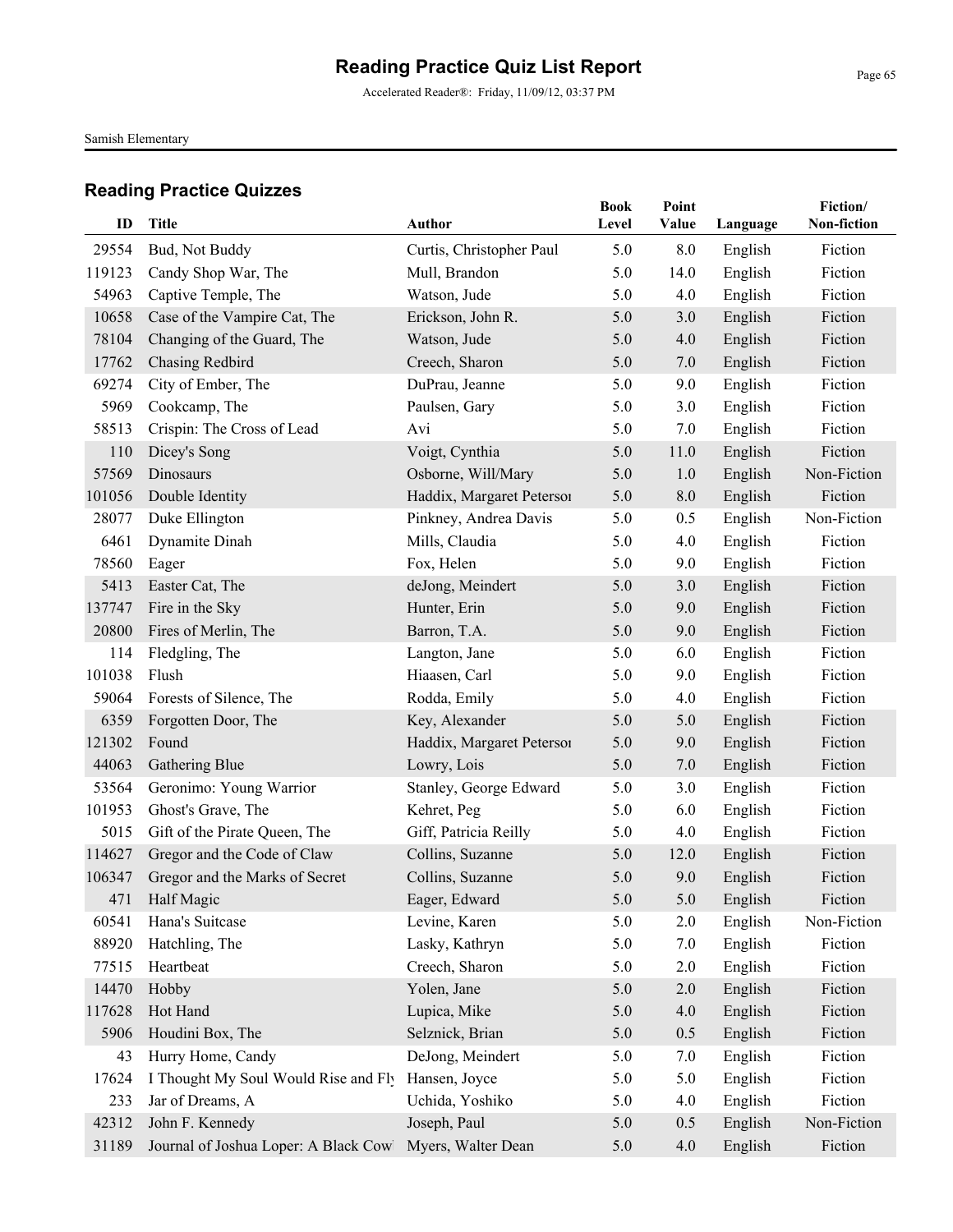Accelerated Reader®: Friday, 11/09/12, 03:37 PM

Samish Elementary

| ID     | <b>Title</b>                          | Author                    | <b>Book</b><br>Level | Point<br>Value | Language | Fiction/<br>Non-fiction |
|--------|---------------------------------------|---------------------------|----------------------|----------------|----------|-------------------------|
| 29554  | Bud, Not Buddy                        | Curtis, Christopher Paul  | 5.0                  | 8.0            | English  | Fiction                 |
| 119123 | Candy Shop War, The                   | Mull, Brandon             | 5.0                  | 14.0           | English  | Fiction                 |
| 54963  | Captive Temple, The                   | Watson, Jude              | 5.0                  | 4.0            | English  | Fiction                 |
| 10658  | Case of the Vampire Cat, The          | Erickson, John R.         | 5.0                  | 3.0            | English  | Fiction                 |
| 78104  | Changing of the Guard, The            | Watson, Jude              | 5.0                  | 4.0            | English  | Fiction                 |
| 17762  | Chasing Redbird                       | Creech, Sharon            | 5.0                  | 7.0            | English  | Fiction                 |
| 69274  | City of Ember, The                    | DuPrau, Jeanne            | 5.0                  | 9.0            | English  | Fiction                 |
| 5969   | Cookcamp, The                         | Paulsen, Gary             | 5.0                  | 3.0            | English  | Fiction                 |
| 58513  | Crispin: The Cross of Lead            | Avi                       | 5.0                  | 7.0            | English  | Fiction                 |
| 110    | Dicey's Song                          | Voigt, Cynthia            | 5.0                  | 11.0           | English  | Fiction                 |
| 57569  | Dinosaurs                             | Osborne, Will/Mary        | 5.0                  | 1.0            | English  | Non-Fiction             |
| 101056 | Double Identity                       | Haddix, Margaret Peterson | 5.0                  | 8.0            | English  | Fiction                 |
| 28077  | Duke Ellington                        | Pinkney, Andrea Davis     | 5.0                  | 0.5            | English  | Non-Fiction             |
| 6461   | Dynamite Dinah                        | Mills, Claudia            | 5.0                  | 4.0            | English  | Fiction                 |
| 78560  | Eager                                 | Fox, Helen                | 5.0                  | 9.0            | English  | Fiction                 |
| 5413   | Easter Cat, The                       | deJong, Meindert          | 5.0                  | 3.0            | English  | Fiction                 |
| 137747 | Fire in the Sky                       | Hunter, Erin              | 5.0                  | 9.0            | English  | Fiction                 |
| 20800  | Fires of Merlin, The                  | Barron, T.A.              | 5.0                  | 9.0            | English  | Fiction                 |
| 114    | Fledgling, The                        | Langton, Jane             | 5.0                  | 6.0            | English  | Fiction                 |
| 101038 | Flush                                 | Hiaasen, Carl             | 5.0                  | 9.0            | English  | Fiction                 |
| 59064  | Forests of Silence, The               | Rodda, Emily              | 5.0                  | 4.0            | English  | Fiction                 |
| 6359   | Forgotten Door, The                   | Key, Alexander            | 5.0                  | 5.0            | English  | Fiction                 |
| 121302 | Found                                 | Haddix, Margaret Petersoi | 5.0                  | 9.0            | English  | Fiction                 |
| 44063  | Gathering Blue                        | Lowry, Lois               | 5.0                  | 7.0            | English  | Fiction                 |
| 53564  | Geronimo: Young Warrior               | Stanley, George Edward    | 5.0                  | 3.0            | English  | Fiction                 |
| 101953 | Ghost's Grave, The                    | Kehret, Peg               | 5.0                  | 6.0            | English  | Fiction                 |
| 5015   | Gift of the Pirate Queen, The         | Giff, Patricia Reilly     | 5.0                  | 4.0            | English  | Fiction                 |
| 114627 | Gregor and the Code of Claw           | Collins, Suzanne          | 5.0                  | 12.0           | English  | Fiction                 |
| 106347 | Gregor and the Marks of Secret        | Collins, Suzanne          | 5.0                  | 9.0            | English  | Fiction                 |
| 471    | Half Magic                            | Eager, Edward             | $5.0\,$              | 5.0            | English  | Fiction                 |
| 60541  | Hana's Suitcase                       | Levine, Karen             | 5.0                  | 2.0            | English  | Non-Fiction             |
| 88920  | Hatchling, The                        | Lasky, Kathryn            | 5.0                  | 7.0            | English  | Fiction                 |
| 77515  | Heartbeat                             | Creech, Sharon            | 5.0                  | 2.0            | English  | Fiction                 |
| 14470  | Hobby                                 | Yolen, Jane               | 5.0                  | 2.0            | English  | Fiction                 |
| 117628 | Hot Hand                              | Lupica, Mike              | 5.0                  | 4.0            | English  | Fiction                 |
| 5906   | Houdini Box, The                      | Selznick, Brian           | 5.0                  | 0.5            | English  | Fiction                 |
| 43     | Hurry Home, Candy                     | DeJong, Meindert          | 5.0                  | 7.0            | English  | Fiction                 |
| 17624  | I Thought My Soul Would Rise and Fly  | Hansen, Joyce             | 5.0                  | 5.0            | English  | Fiction                 |
| 233    | Jar of Dreams, A                      | Uchida, Yoshiko           | 5.0                  | 4.0            | English  | Fiction                 |
| 42312  | John F. Kennedy                       | Joseph, Paul              | 5.0                  | 0.5            | English  | Non-Fiction             |
| 31189  | Journal of Joshua Loper: A Black Cowl | Myers, Walter Dean        | 5.0                  | 4.0            | English  | Fiction                 |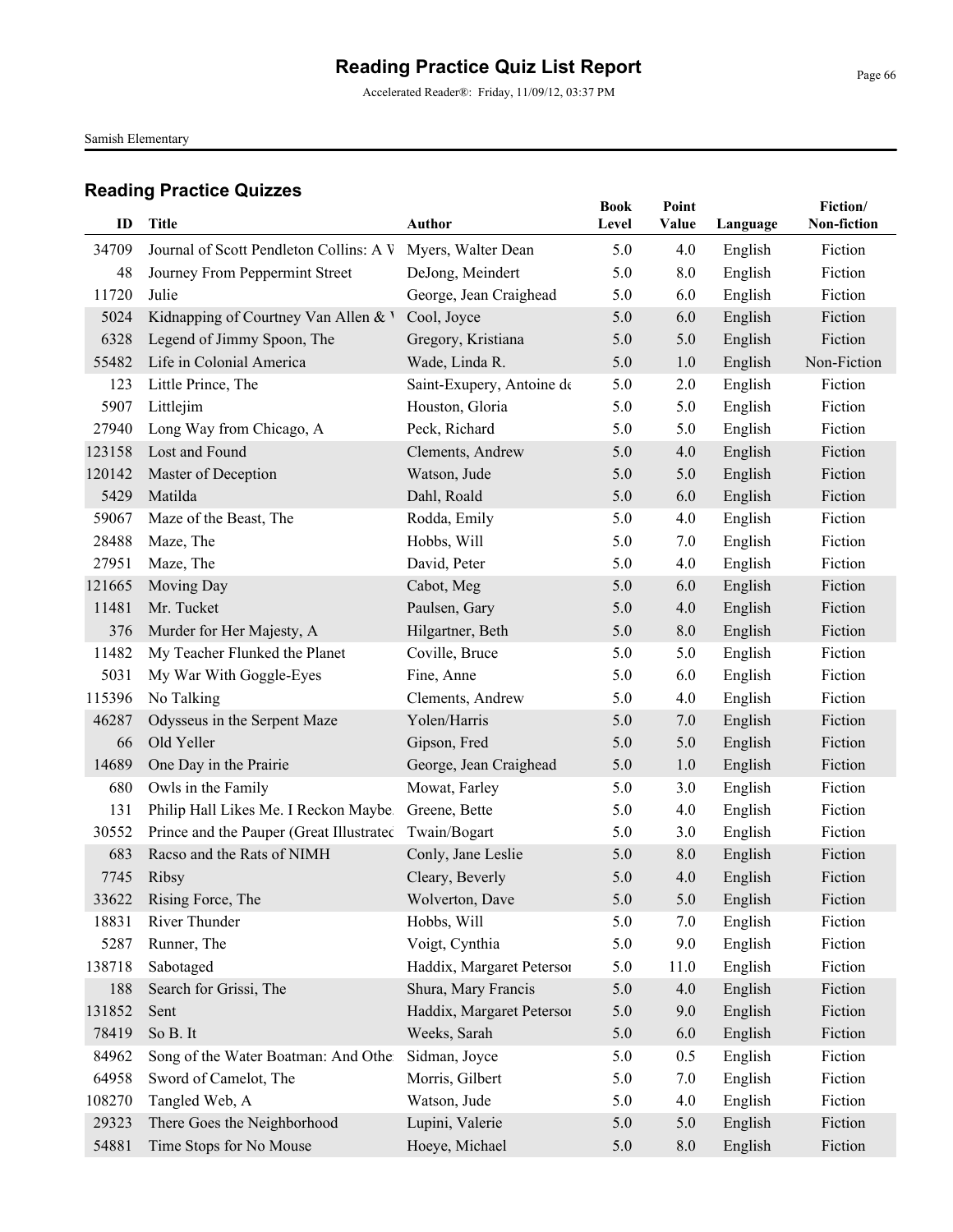Accelerated Reader®: Friday, 11/09/12, 03:37 PM

Samish Elementary

| ID     | <b>Title</b>                             | <b>Author</b>             | <b>Book</b><br>Level | Point<br>Value | Language | Fiction/<br>Non-fiction |
|--------|------------------------------------------|---------------------------|----------------------|----------------|----------|-------------------------|
| 34709  | Journal of Scott Pendleton Collins: A V  | Myers, Walter Dean        | 5.0                  | 4.0            | English  | Fiction                 |
| 48     | Journey From Peppermint Street           | DeJong, Meindert          | 5.0                  | 8.0            | English  | Fiction                 |
| 11720  | Julie                                    | George, Jean Craighead    | 5.0                  | 6.0            | English  | Fiction                 |
| 5024   | Kidnapping of Courtney Van Allen & V     | Cool, Joyce               | 5.0                  | 6.0            | English  | Fiction                 |
| 6328   | Legend of Jimmy Spoon, The               | Gregory, Kristiana        | 5.0                  | 5.0            | English  | Fiction                 |
| 55482  | Life in Colonial America                 | Wade, Linda R.            | 5.0                  | 1.0            | English  | Non-Fiction             |
| 123    | Little Prince, The                       | Saint-Exupery, Antoine de | 5.0                  | 2.0            | English  | Fiction                 |
| 5907   | Littlejim                                | Houston, Gloria           | 5.0                  | 5.0            | English  | Fiction                 |
| 27940  | Long Way from Chicago, A                 | Peck, Richard             | 5.0                  | 5.0            | English  | Fiction                 |
| 123158 | Lost and Found                           | Clements, Andrew          | 5.0                  | 4.0            | English  | Fiction                 |
| 120142 | Master of Deception                      | Watson, Jude              | 5.0                  | 5.0            | English  | Fiction                 |
| 5429   | Matilda                                  | Dahl, Roald               | 5.0                  | 6.0            | English  | Fiction                 |
| 59067  | Maze of the Beast, The                   | Rodda, Emily              | 5.0                  | 4.0            | English  | Fiction                 |
| 28488  | Maze, The                                | Hobbs, Will               | 5.0                  | 7.0            | English  | Fiction                 |
| 27951  | Maze, The                                | David, Peter              | 5.0                  | 4.0            | English  | Fiction                 |
| 121665 | Moving Day                               | Cabot, Meg                | 5.0                  | 6.0            | English  | Fiction                 |
| 11481  | Mr. Tucket                               | Paulsen, Gary             | 5.0                  | 4.0            | English  | Fiction                 |
| 376    | Murder for Her Majesty, A                | Hilgartner, Beth          | 5.0                  | 8.0            | English  | Fiction                 |
| 11482  | My Teacher Flunked the Planet            | Coville, Bruce            | 5.0                  | 5.0            | English  | Fiction                 |
| 5031   | My War With Goggle-Eyes                  | Fine, Anne                | 5.0                  | 6.0            | English  | Fiction                 |
| 115396 | No Talking                               | Clements, Andrew          | 5.0                  | 4.0            | English  | Fiction                 |
| 46287  | Odysseus in the Serpent Maze             | Yolen/Harris              | 5.0                  | 7.0            | English  | Fiction                 |
| 66     | Old Yeller                               | Gipson, Fred              | 5.0                  | 5.0            | English  | Fiction                 |
| 14689  | One Day in the Prairie                   | George, Jean Craighead    | 5.0                  | 1.0            | English  | Fiction                 |
| 680    | Owls in the Family                       | Mowat, Farley             | 5.0                  | 3.0            | English  | Fiction                 |
| 131    | Philip Hall Likes Me. I Reckon Maybe.    | Greene, Bette             | 5.0                  | 4.0            | English  | Fiction                 |
| 30552  | Prince and the Pauper (Great Illustrated | Twain/Bogart              | 5.0                  | 3.0            | English  | Fiction                 |
| 683    | Racso and the Rats of NIMH               | Conly, Jane Leslie        | 5.0                  | 8.0            | English  | Fiction                 |
| 7745   | Ribsy                                    | Cleary, Beverly           | 5.0                  | 4.0            | English  | Fiction                 |
| 33622  | Rising Force, The                        | Wolverton, Dave           | $5.0\,$              | 5.0            | English  | Fiction                 |
| 18831  | River Thunder                            | Hobbs, Will               | 5.0                  | 7.0            | English  | Fiction                 |
| 5287   | Runner, The                              | Voigt, Cynthia            | 5.0                  | 9.0            | English  | Fiction                 |
| 138718 | Sabotaged                                | Haddix, Margaret Petersoi | 5.0                  | 11.0           | English  | Fiction                 |
| 188    | Search for Grissi, The                   | Shura, Mary Francis       | 5.0                  | 4.0            | English  | Fiction                 |
| 131852 | Sent                                     | Haddix, Margaret Petersor | 5.0                  | 9.0            | English  | Fiction                 |
| 78419  | So B. It                                 | Weeks, Sarah              | 5.0                  | 6.0            | English  | Fiction                 |
| 84962  | Song of the Water Boatman: And Other     | Sidman, Joyce             | 5.0                  | 0.5            | English  | Fiction                 |
| 64958  | Sword of Camelot, The                    | Morris, Gilbert           | 5.0                  | 7.0            | English  | Fiction                 |
| 108270 | Tangled Web, A                           | Watson, Jude              | 5.0                  | 4.0            | English  | Fiction                 |
| 29323  | There Goes the Neighborhood              | Lupini, Valerie           | 5.0                  | 5.0            | English  | Fiction                 |
| 54881  | Time Stops for No Mouse                  | Hoeye, Michael            | 5.0                  | 8.0            | English  | Fiction                 |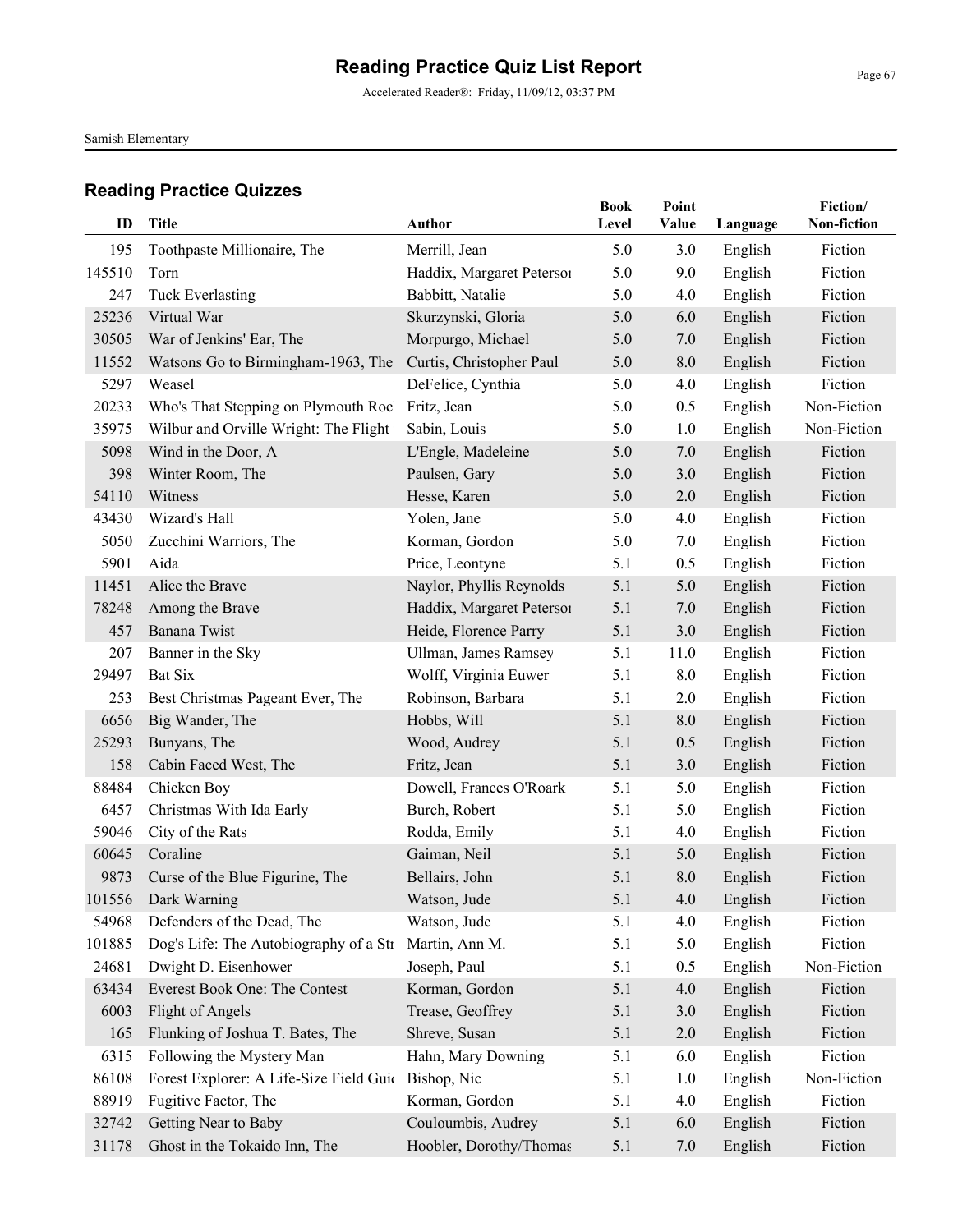Accelerated Reader®: Friday, 11/09/12, 03:37 PM

Samish Elementary

| ID     | Title                                   | Author                    | <b>Book</b><br>Level | Point<br>Value | Language | Fiction/<br>Non-fiction |
|--------|-----------------------------------------|---------------------------|----------------------|----------------|----------|-------------------------|
| 195    | Toothpaste Millionaire, The             | Merrill, Jean             | 5.0                  | 3.0            | English  | Fiction                 |
| 145510 | Torn                                    | Haddix, Margaret Petersoi | 5.0                  | 9.0            | English  | Fiction                 |
| 247    | <b>Tuck Everlasting</b>                 | Babbitt, Natalie          | 5.0                  | 4.0            | English  | Fiction                 |
| 25236  | Virtual War                             | Skurzynski, Gloria        | 5.0                  | 6.0            | English  | Fiction                 |
| 30505  | War of Jenkins' Ear, The                | Morpurgo, Michael         | 5.0                  | 7.0            | English  | Fiction                 |
| 11552  | Watsons Go to Birmingham-1963, The      | Curtis, Christopher Paul  | 5.0                  | 8.0            | English  | Fiction                 |
| 5297   | Weasel                                  | DeFelice, Cynthia         | 5.0                  | 4.0            | English  | Fiction                 |
| 20233  | Who's That Stepping on Plymouth Roc     | Fritz, Jean               | 5.0                  | 0.5            | English  | Non-Fiction             |
| 35975  | Wilbur and Orville Wright: The Flight   | Sabin, Louis              | 5.0                  | 1.0            | English  | Non-Fiction             |
| 5098   | Wind in the Door, A                     | L'Engle, Madeleine        | 5.0                  | 7.0            | English  | Fiction                 |
| 398    | Winter Room, The                        | Paulsen, Gary             | 5.0                  | 3.0            | English  | Fiction                 |
| 54110  | Witness                                 | Hesse, Karen              | 5.0                  | 2.0            | English  | Fiction                 |
| 43430  | Wizard's Hall                           | Yolen, Jane               | 5.0                  | 4.0            | English  | Fiction                 |
| 5050   | Zucchini Warriors, The                  | Korman, Gordon            | 5.0                  | 7.0            | English  | Fiction                 |
| 5901   | Aida                                    | Price, Leontyne           | 5.1                  | 0.5            | English  | Fiction                 |
| 11451  | Alice the Brave                         | Naylor, Phyllis Reynolds  | 5.1                  | 5.0            | English  | Fiction                 |
| 78248  | Among the Brave                         | Haddix, Margaret Peterson | 5.1                  | 7.0            | English  | Fiction                 |
| 457    | Banana Twist                            | Heide, Florence Parry     | 5.1                  | 3.0            | English  | Fiction                 |
| 207    | Banner in the Sky                       | Ullman, James Ramsey      | 5.1                  | 11.0           | English  | Fiction                 |
| 29497  | <b>Bat Six</b>                          | Wolff, Virginia Euwer     | 5.1                  | 8.0            | English  | Fiction                 |
| 253    | Best Christmas Pageant Ever, The        | Robinson, Barbara         | 5.1                  | 2.0            | English  | Fiction                 |
| 6656   | Big Wander, The                         | Hobbs, Will               | 5.1                  | 8.0            | English  | Fiction                 |
| 25293  | Bunyans, The                            | Wood, Audrey              | 5.1                  | 0.5            | English  | Fiction                 |
| 158    | Cabin Faced West, The                   | Fritz, Jean               | 5.1                  | 3.0            | English  | Fiction                 |
| 88484  | Chicken Boy                             | Dowell, Frances O'Roark   | 5.1                  | 5.0            | English  | Fiction                 |
| 6457   | Christmas With Ida Early                | Burch, Robert             | 5.1                  | 5.0            | English  | Fiction                 |
| 59046  | City of the Rats                        | Rodda, Emily              | 5.1                  | 4.0            | English  | Fiction                 |
| 60645  | Coraline                                | Gaiman, Neil              | 5.1                  | 5.0            | English  | Fiction                 |
| 9873   | Curse of the Blue Figurine, The         | Bellairs, John            | 5.1                  | 8.0            | English  | Fiction                 |
|        | 101556 Dark Warning                     | Watson, Jude              | 5.1                  | 4.0            | English  | Fiction                 |
| 54968  | Defenders of the Dead, The              | Watson, Jude              | 5.1                  | 4.0            | English  | Fiction                 |
| 101885 | Dog's Life: The Autobiography of a Str  | Martin, Ann M.            | 5.1                  | 5.0            | English  | Fiction                 |
| 24681  | Dwight D. Eisenhower                    | Joseph, Paul              | 5.1                  | 0.5            | English  | Non-Fiction             |
| 63434  | Everest Book One: The Contest           | Korman, Gordon            | 5.1                  | 4.0            | English  | Fiction                 |
| 6003   | Flight of Angels                        | Trease, Geoffrey          | 5.1                  | 3.0            | English  | Fiction                 |
| 165    | Flunking of Joshua T. Bates, The        | Shreve, Susan             | 5.1                  | 2.0            | English  | Fiction                 |
| 6315   | Following the Mystery Man               | Hahn, Mary Downing        | 5.1                  | 6.0            | English  | Fiction                 |
| 86108  | Forest Explorer: A Life-Size Field Guid | Bishop, Nic               | 5.1                  | 1.0            | English  | Non-Fiction             |
| 88919  | Fugitive Factor, The                    | Korman, Gordon            | 5.1                  | 4.0            | English  | Fiction                 |
| 32742  | Getting Near to Baby                    | Couloumbis, Audrey        | 5.1                  | 6.0            | English  | Fiction                 |
| 31178  | Ghost in the Tokaido Inn, The           | Hoobler, Dorothy/Thomas   | 5.1                  | 7.0            | English  | Fiction                 |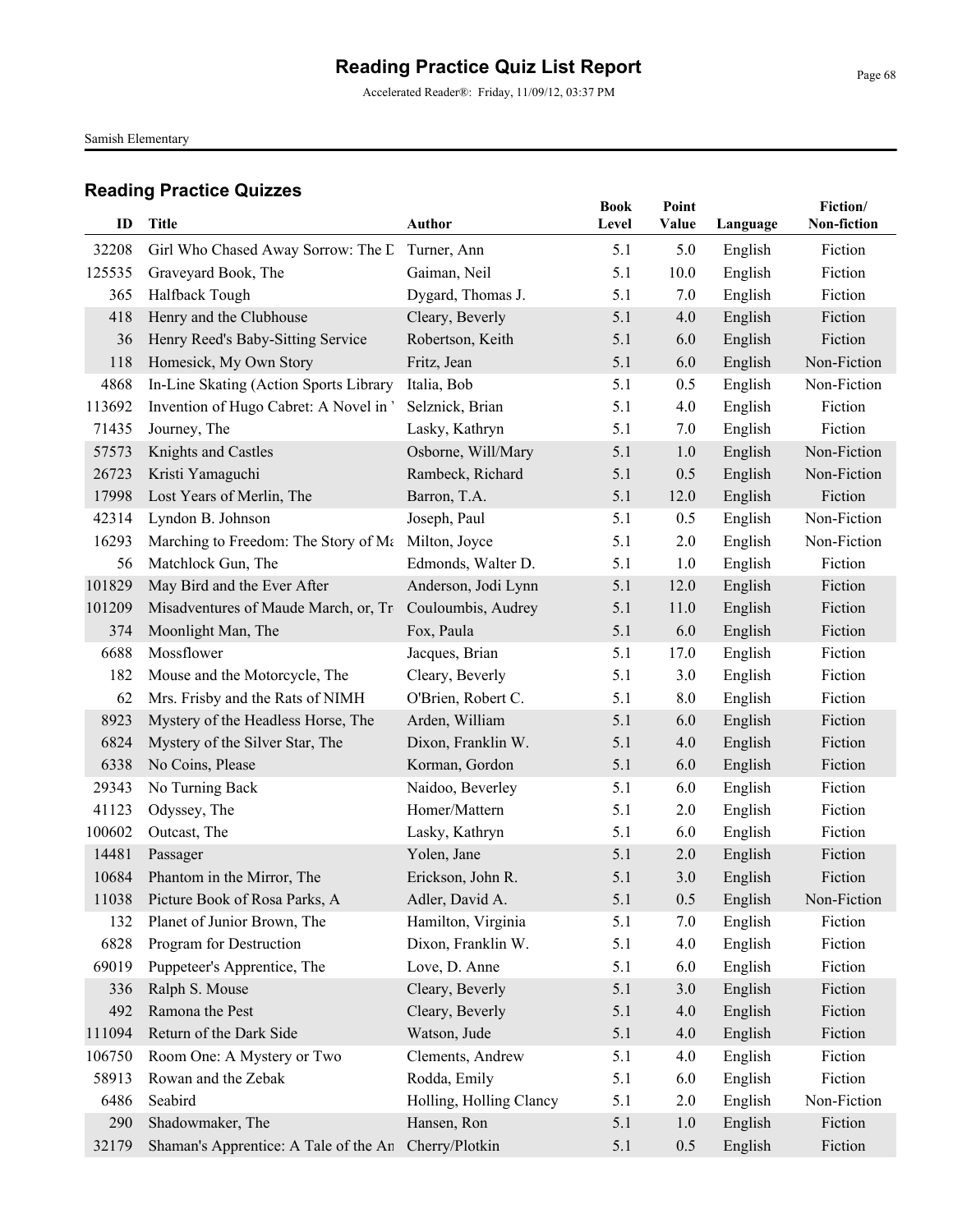Accelerated Reader®: Friday, 11/09/12, 03:37 PM

Samish Elementary

|        |                                                      |                         | <b>Book</b> | Point   |          | Fiction/    |
|--------|------------------------------------------------------|-------------------------|-------------|---------|----------|-------------|
| ID     | <b>Title</b>                                         | <b>Author</b>           | Level       | Value   | Language | Non-fiction |
| 32208  | Girl Who Chased Away Sorrow: The D                   | Turner, Ann             | 5.1         | 5.0     | English  | Fiction     |
| 125535 | Graveyard Book, The                                  | Gaiman, Neil            | 5.1         | 10.0    | English  | Fiction     |
| 365    | Halfback Tough                                       | Dygard, Thomas J.       | 5.1         | 7.0     | English  | Fiction     |
| 418    | Henry and the Clubhouse                              | Cleary, Beverly         | 5.1         | 4.0     | English  | Fiction     |
| 36     | Henry Reed's Baby-Sitting Service                    | Robertson, Keith        | 5.1         | 6.0     | English  | Fiction     |
| 118    | Homesick, My Own Story                               | Fritz, Jean             | 5.1         | 6.0     | English  | Non-Fiction |
| 4868   | In-Line Skating (Action Sports Library               | Italia, Bob             | 5.1         | 0.5     | English  | Non-Fiction |
| 113692 | Invention of Hugo Cabret: A Novel in '               | Selznick, Brian         | 5.1         | 4.0     | English  | Fiction     |
| 71435  | Journey, The                                         | Lasky, Kathryn          | 5.1         | 7.0     | English  | Fiction     |
| 57573  | Knights and Castles                                  | Osborne, Will/Mary      | 5.1         | 1.0     | English  | Non-Fiction |
| 26723  | Kristi Yamaguchi                                     | Rambeck, Richard        | 5.1         | 0.5     | English  | Non-Fiction |
| 17998  | Lost Years of Merlin, The                            | Barron, T.A.            | 5.1         | 12.0    | English  | Fiction     |
| 42314  | Lyndon B. Johnson                                    | Joseph, Paul            | 5.1         | 0.5     | English  | Non-Fiction |
| 16293  | Marching to Freedom: The Story of Ma                 | Milton, Joyce           | 5.1         | 2.0     | English  | Non-Fiction |
| 56     | Matchlock Gun, The                                   | Edmonds, Walter D.      | 5.1         | 1.0     | English  | Fiction     |
| 101829 | May Bird and the Ever After                          | Anderson, Jodi Lynn     | 5.1         | 12.0    | English  | Fiction     |
| 101209 | Misadventures of Maude March, or, Tr                 | Couloumbis, Audrey      | 5.1         | 11.0    | English  | Fiction     |
| 374    | Moonlight Man, The                                   | Fox, Paula              | 5.1         | 6.0     | English  | Fiction     |
| 6688   | Mossflower                                           | Jacques, Brian          | 5.1         | 17.0    | English  | Fiction     |
| 182    | Mouse and the Motorcycle, The                        | Cleary, Beverly         | 5.1         | 3.0     | English  | Fiction     |
| 62     | Mrs. Frisby and the Rats of NIMH                     | O'Brien, Robert C.      | 5.1         | 8.0     | English  | Fiction     |
| 8923   | Mystery of the Headless Horse, The                   | Arden, William          | 5.1         | 6.0     | English  | Fiction     |
| 6824   | Mystery of the Silver Star, The                      | Dixon, Franklin W.      | 5.1         | 4.0     | English  | Fiction     |
| 6338   | No Coins, Please                                     | Korman, Gordon          | 5.1         | 6.0     | English  | Fiction     |
| 29343  | No Turning Back                                      | Naidoo, Beverley        | 5.1         | 6.0     | English  | Fiction     |
| 41123  | Odyssey, The                                         | Homer/Mattern           | 5.1         | 2.0     | English  | Fiction     |
| 100602 | Outcast, The                                         | Lasky, Kathryn          | 5.1         | 6.0     | English  | Fiction     |
| 14481  | Passager                                             | Yolen, Jane             | 5.1         | 2.0     | English  | Fiction     |
| 10684  | Phantom in the Mirror, The                           | Erickson, John R.       | 5.1         | 3.0     | English  | Fiction     |
| 11038  | Picture Book of Rosa Parks, A                        | Adler, David A.         | 5.1         | $0.5\,$ | English  | Non-Fiction |
| 132    | Planet of Junior Brown, The                          | Hamilton, Virginia      | 5.1         | 7.0     | English  | Fiction     |
| 6828   | Program for Destruction                              | Dixon, Franklin W.      | 5.1         | 4.0     | English  | Fiction     |
| 69019  | Puppeteer's Apprentice, The                          | Love, D. Anne           | 5.1         | 6.0     | English  | Fiction     |
| 336    | Ralph S. Mouse                                       | Cleary, Beverly         | 5.1         | 3.0     | English  | Fiction     |
| 492    | Ramona the Pest                                      | Cleary, Beverly         | 5.1         | 4.0     | English  | Fiction     |
| 111094 | Return of the Dark Side                              | Watson, Jude            | 5.1         | 4.0     | English  | Fiction     |
| 106750 | Room One: A Mystery or Two                           | Clements, Andrew        | 5.1         | 4.0     | English  | Fiction     |
| 58913  | Rowan and the Zebak                                  | Rodda, Emily            | 5.1         | 6.0     | English  | Fiction     |
| 6486   | Seabird                                              | Holling, Holling Clancy | 5.1         | 2.0     | English  | Non-Fiction |
| 290    | Shadowmaker, The                                     | Hansen, Ron             | 5.1         | 1.0     | English  | Fiction     |
| 32179  | Shaman's Apprentice: A Tale of the An Cherry/Plotkin |                         | 5.1         | 0.5     | English  | Fiction     |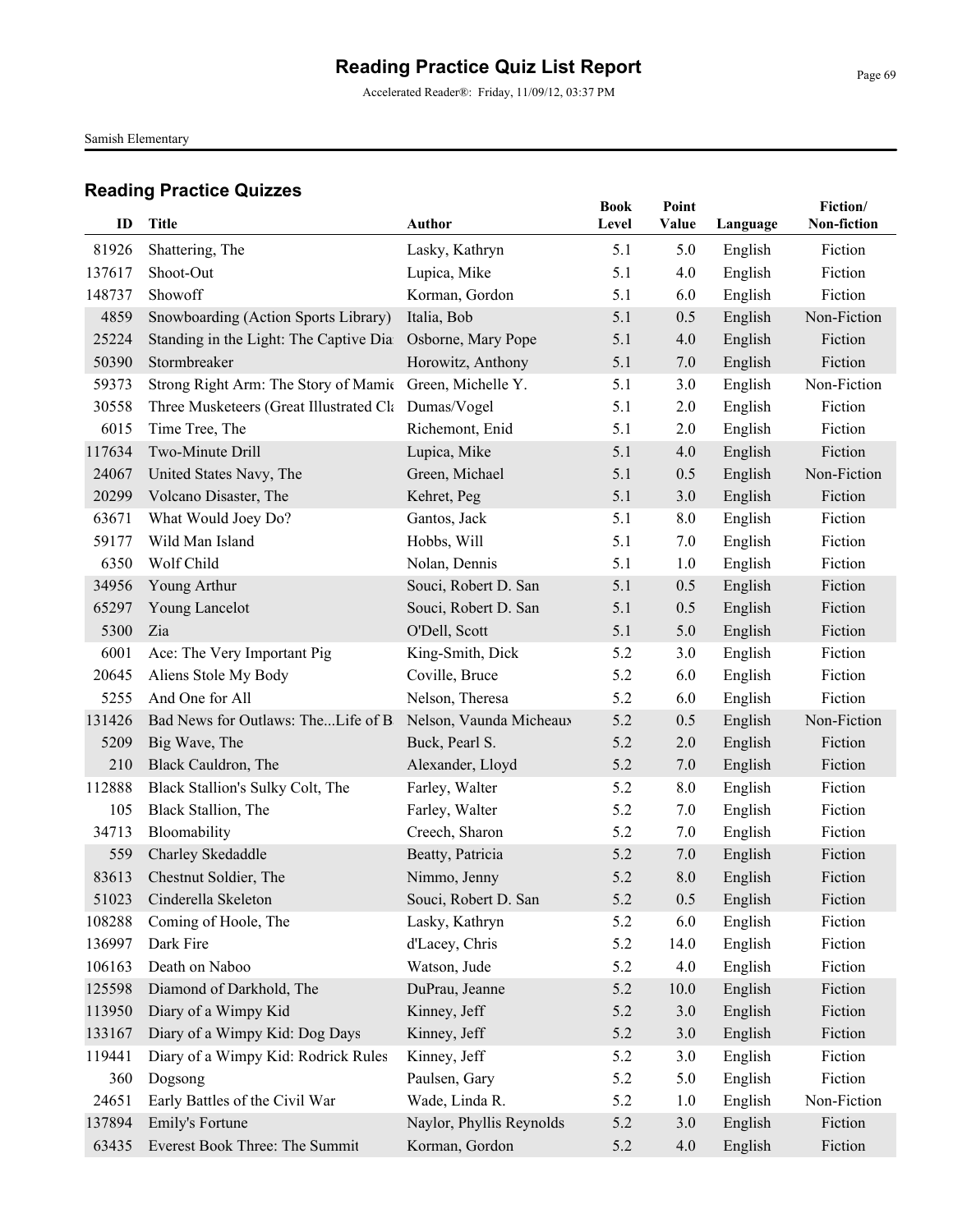Accelerated Reader®: Friday, 11/09/12, 03:37 PM

Samish Elementary

| ID     | <b>Title</b>                                            | <b>Author</b>            | <b>Book</b><br>Level | Point<br>Value | Language | Fiction/<br>Non-fiction |
|--------|---------------------------------------------------------|--------------------------|----------------------|----------------|----------|-------------------------|
| 81926  | Shattering, The                                         | Lasky, Kathryn           | 5.1                  | 5.0            | English  | Fiction                 |
| 137617 | Shoot-Out                                               | Lupica, Mike             | 5.1                  | 4.0            | English  | Fiction                 |
| 148737 | Showoff                                                 | Korman, Gordon           | 5.1                  | 6.0            | English  | Fiction                 |
| 4859   | Snowboarding (Action Sports Library)                    | Italia, Bob              | 5.1                  | 0.5            | English  | Non-Fiction             |
| 25224  | Standing in the Light: The Captive Dia                  | Osborne, Mary Pope       | 5.1                  | 4.0            | English  | Fiction                 |
| 50390  | Stormbreaker                                            | Horowitz, Anthony        | 5.1                  | 7.0            | English  | Fiction                 |
| 59373  | Strong Right Arm: The Story of Mamic Green, Michelle Y. |                          | 5.1                  | 3.0            | English  | Non-Fiction             |
| 30558  | Three Musketeers (Great Illustrated Cla Dumas/Vogel     |                          | 5.1                  | 2.0            | English  | Fiction                 |
| 6015   | Time Tree, The                                          | Richemont, Enid          | 5.1                  | 2.0            | English  | Fiction                 |
| 117634 | Two-Minute Drill                                        | Lupica, Mike             | 5.1                  | 4.0            | English  | Fiction                 |
| 24067  | United States Navy, The                                 | Green, Michael           | 5.1                  | 0.5            | English  | Non-Fiction             |
| 20299  | Volcano Disaster, The                                   | Kehret, Peg              | 5.1                  | 3.0            | English  | Fiction                 |
| 63671  | What Would Joey Do?                                     | Gantos, Jack             | 5.1                  | 8.0            | English  | Fiction                 |
| 59177  | Wild Man Island                                         | Hobbs, Will              | 5.1                  | 7.0            | English  | Fiction                 |
| 6350   | Wolf Child                                              | Nolan, Dennis            | 5.1                  | 1.0            | English  | Fiction                 |
| 34956  | Young Arthur                                            | Souci, Robert D. San     | 5.1                  | 0.5            | English  | Fiction                 |
| 65297  | Young Lancelot                                          | Souci, Robert D. San     | 5.1                  | 0.5            | English  | Fiction                 |
| 5300   | Zia                                                     | O'Dell, Scott            | 5.1                  | 5.0            | English  | Fiction                 |
| 6001   | Ace: The Very Important Pig                             | King-Smith, Dick         | 5.2                  | 3.0            | English  | Fiction                 |
| 20645  | Aliens Stole My Body                                    | Coville, Bruce           | 5.2                  | 6.0            | English  | Fiction                 |
| 5255   | And One for All                                         | Nelson, Theresa          | 5.2                  | 6.0            | English  | Fiction                 |
| 131426 | Bad News for Outlaws: TheLife of B                      | Nelson, Vaunda Micheaux  | 5.2                  | 0.5            | English  | Non-Fiction             |
| 5209   | Big Wave, The                                           | Buck, Pearl S.           | 5.2                  | 2.0            | English  | Fiction                 |
| 210    | Black Cauldron, The                                     | Alexander, Lloyd         | 5.2                  | 7.0            | English  | Fiction                 |
| 112888 | Black Stallion's Sulky Colt, The                        | Farley, Walter           | 5.2                  | 8.0            | English  | Fiction                 |
| 105    | Black Stallion, The                                     | Farley, Walter           | 5.2                  | 7.0            | English  | Fiction                 |
| 34713  | Bloomability                                            | Creech, Sharon           | 5.2                  | 7.0            | English  | Fiction                 |
| 559    | Charley Skedaddle                                       | Beatty, Patricia         | 5.2                  | 7.0            | English  | Fiction                 |
| 83613  | Chestnut Soldier, The                                   | Nimmo, Jenny             | 5.2                  | 8.0            | English  | Fiction                 |
|        | 51023 Cinderella Skeleton                               | Souci, Robert D. San     | 5.2                  | 0.5            | English  | Fiction                 |
| 108288 | Coming of Hoole, The                                    | Lasky, Kathryn           | 5.2                  | 6.0            | English  | Fiction                 |
| 136997 | Dark Fire                                               | d'Lacey, Chris           | 5.2                  | 14.0           | English  | Fiction                 |
| 106163 | Death on Naboo                                          | Watson, Jude             | 5.2                  | 4.0            | English  | Fiction                 |
| 125598 | Diamond of Darkhold, The                                | DuPrau, Jeanne           | 5.2                  | 10.0           | English  | Fiction                 |
| 113950 | Diary of a Wimpy Kid                                    | Kinney, Jeff             | 5.2                  | 3.0            | English  | Fiction                 |
| 133167 | Diary of a Wimpy Kid: Dog Days                          | Kinney, Jeff             | 5.2                  | 3.0            | English  | Fiction                 |
| 119441 | Diary of a Wimpy Kid: Rodrick Rules                     | Kinney, Jeff             | 5.2                  | 3.0            | English  | Fiction                 |
| 360    | Dogsong                                                 | Paulsen, Gary            | 5.2                  | 5.0            | English  | Fiction                 |
| 24651  | Early Battles of the Civil War                          | Wade, Linda R.           | 5.2                  | 1.0            | English  | Non-Fiction             |
| 137894 | Emily's Fortune                                         | Naylor, Phyllis Reynolds | 5.2                  | 3.0            | English  | Fiction                 |
| 63435  | Everest Book Three: The Summit                          | Korman, Gordon           | 5.2                  | 4.0            | English  | Fiction                 |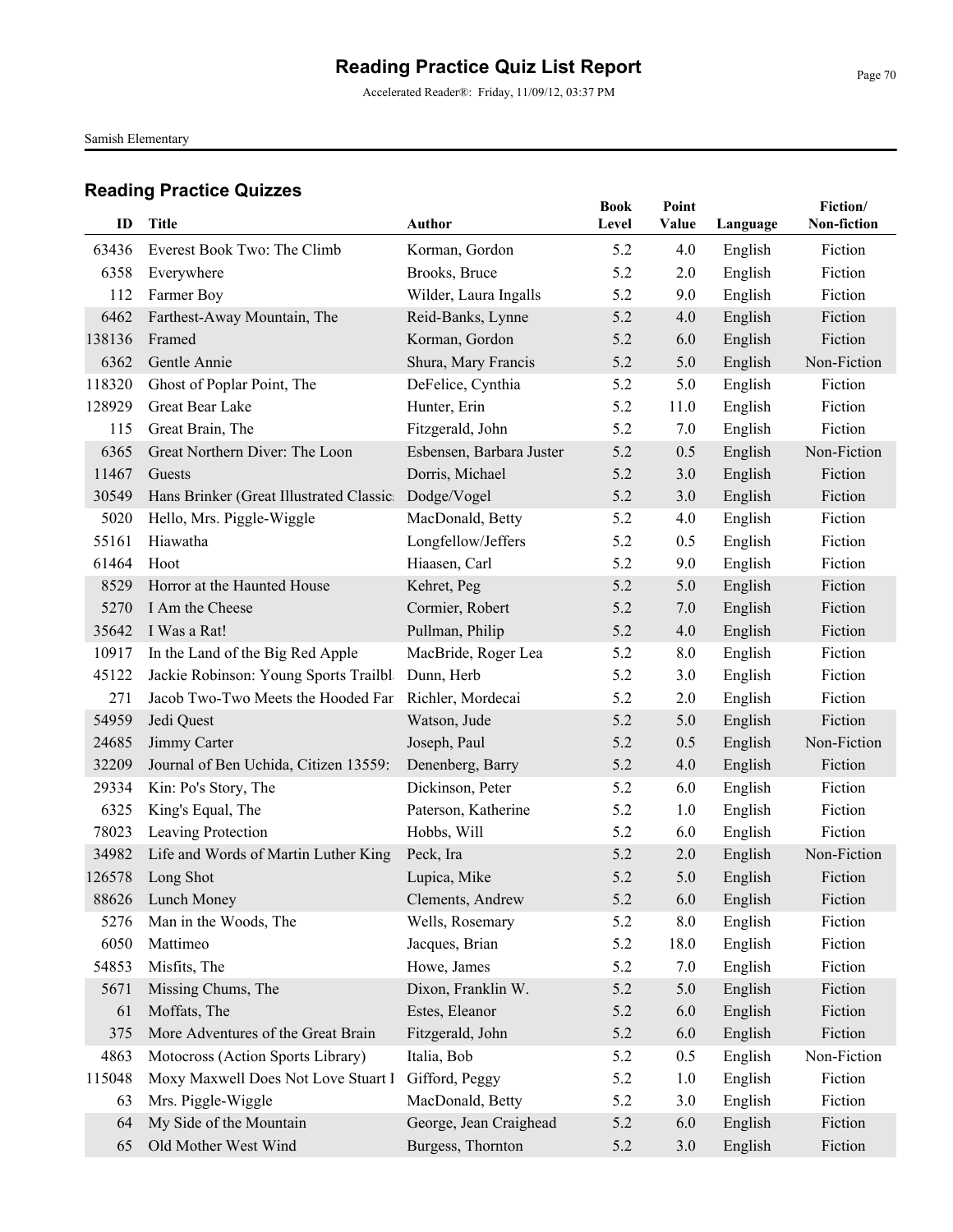Accelerated Reader®: Friday, 11/09/12, 03:37 PM

Samish Elementary

| ID     | Title                                    | <b>Author</b>            | <b>Book</b><br>Level | Point<br><b>Value</b> | Language | Fiction/<br>Non-fiction |
|--------|------------------------------------------|--------------------------|----------------------|-----------------------|----------|-------------------------|
| 63436  | Everest Book Two: The Climb              | Korman, Gordon           | 5.2                  | 4.0                   | English  | Fiction                 |
| 6358   | Everywhere                               | Brooks, Bruce            | 5.2                  | 2.0                   | English  | Fiction                 |
| 112    | Farmer Boy                               | Wilder, Laura Ingalls    | 5.2                  | 9.0                   | English  | Fiction                 |
| 6462   | Farthest-Away Mountain, The              | Reid-Banks, Lynne        | 5.2                  | 4.0                   | English  | Fiction                 |
| 138136 | Framed                                   | Korman, Gordon           | 5.2                  | 6.0                   | English  | Fiction                 |
| 6362   | Gentle Annie                             | Shura, Mary Francis      | 5.2                  | 5.0                   | English  | Non-Fiction             |
| 118320 | Ghost of Poplar Point, The               | DeFelice, Cynthia        | 5.2                  | 5.0                   | English  | Fiction                 |
| 128929 | Great Bear Lake                          | Hunter, Erin             | 5.2                  | 11.0                  | English  | Fiction                 |
| 115    | Great Brain, The                         | Fitzgerald, John         | 5.2                  | 7.0                   | English  | Fiction                 |
| 6365   | Great Northern Diver: The Loon           | Esbensen, Barbara Juster | 5.2                  | 0.5                   | English  | Non-Fiction             |
| 11467  | Guests                                   | Dorris, Michael          | 5.2                  | 3.0                   | English  | Fiction                 |
| 30549  | Hans Brinker (Great Illustrated Classic: | Dodge/Vogel              | 5.2                  | 3.0                   | English  | Fiction                 |
| 5020   | Hello, Mrs. Piggle-Wiggle                | MacDonald, Betty         | 5.2                  | 4.0                   | English  | Fiction                 |
| 55161  | Hiawatha                                 | Longfellow/Jeffers       | 5.2                  | 0.5                   | English  | Fiction                 |
| 61464  | Hoot                                     | Hiaasen, Carl            | 5.2                  | 9.0                   | English  | Fiction                 |
| 8529   | Horror at the Haunted House              | Kehret, Peg              | 5.2                  | 5.0                   | English  | Fiction                 |
| 5270   | I Am the Cheese                          | Cormier, Robert          | 5.2                  | 7.0                   | English  | Fiction                 |
| 35642  | I Was a Rat!                             | Pullman, Philip          | 5.2                  | 4.0                   | English  | Fiction                 |
| 10917  | In the Land of the Big Red Apple         | MacBride, Roger Lea      | 5.2                  | 8.0                   | English  | Fiction                 |
| 45122  | Jackie Robinson: Young Sports Trailbla   | Dunn, Herb               | 5.2                  | 3.0                   | English  | Fiction                 |
| 271    | Jacob Two-Two Meets the Hooded Fan       | Richler, Mordecai        | 5.2                  | 2.0                   | English  | Fiction                 |
| 54959  | Jedi Quest                               | Watson, Jude             | 5.2                  | 5.0                   | English  | Fiction                 |
| 24685  | Jimmy Carter                             | Joseph, Paul             | 5.2                  | 0.5                   | English  | Non-Fiction             |
| 32209  | Journal of Ben Uchida, Citizen 13559:    | Denenberg, Barry         | 5.2                  | 4.0                   | English  | Fiction                 |
| 29334  | Kin: Po's Story, The                     | Dickinson, Peter         | 5.2                  | 6.0                   | English  | Fiction                 |
| 6325   | King's Equal, The                        | Paterson, Katherine      | 5.2                  | 1.0                   | English  | Fiction                 |
| 78023  | Leaving Protection                       | Hobbs, Will              | 5.2                  | 6.0                   | English  | Fiction                 |
| 34982  | Life and Words of Martin Luther King     | Peck, Ira                | 5.2                  | 2.0                   | English  | Non-Fiction             |
| 126578 | Long Shot                                | Lupica, Mike             | 5.2                  | 5.0                   | English  | Fiction                 |
|        | 88626 Lunch Money                        | Clements, Andrew         | 5.2                  | 6.0                   | English  | Fiction                 |
| 5276   | Man in the Woods, The                    | Wells, Rosemary          | 5.2                  | 8.0                   | English  | Fiction                 |
| 6050   | Mattimeo                                 | Jacques, Brian           | 5.2                  | 18.0                  | English  | Fiction                 |
| 54853  | Misfits, The                             | Howe, James              | 5.2                  | 7.0                   | English  | Fiction                 |
| 5671   | Missing Chums, The                       | Dixon, Franklin W.       | 5.2                  | 5.0                   | English  | Fiction                 |
| 61     | Moffats, The                             | Estes, Eleanor           | 5.2                  | 6.0                   | English  | Fiction                 |
| 375    | More Adventures of the Great Brain       | Fitzgerald, John         | 5.2                  | 6.0                   | English  | Fiction                 |
| 4863   | Motocross (Action Sports Library)        | Italia, Bob              | 5.2                  | 0.5                   | English  | Non-Fiction             |
| 115048 | Moxy Maxwell Does Not Love Stuart I      | Gifford, Peggy           | 5.2                  | 1.0                   | English  | Fiction                 |
| 63     | Mrs. Piggle-Wiggle                       | MacDonald, Betty         | 5.2                  | 3.0                   | English  | Fiction                 |
| 64     | My Side of the Mountain                  | George, Jean Craighead   | 5.2                  | 6.0                   | English  | Fiction                 |
| 65     | Old Mother West Wind                     | Burgess, Thornton        | 5.2                  | 3.0                   | English  | Fiction                 |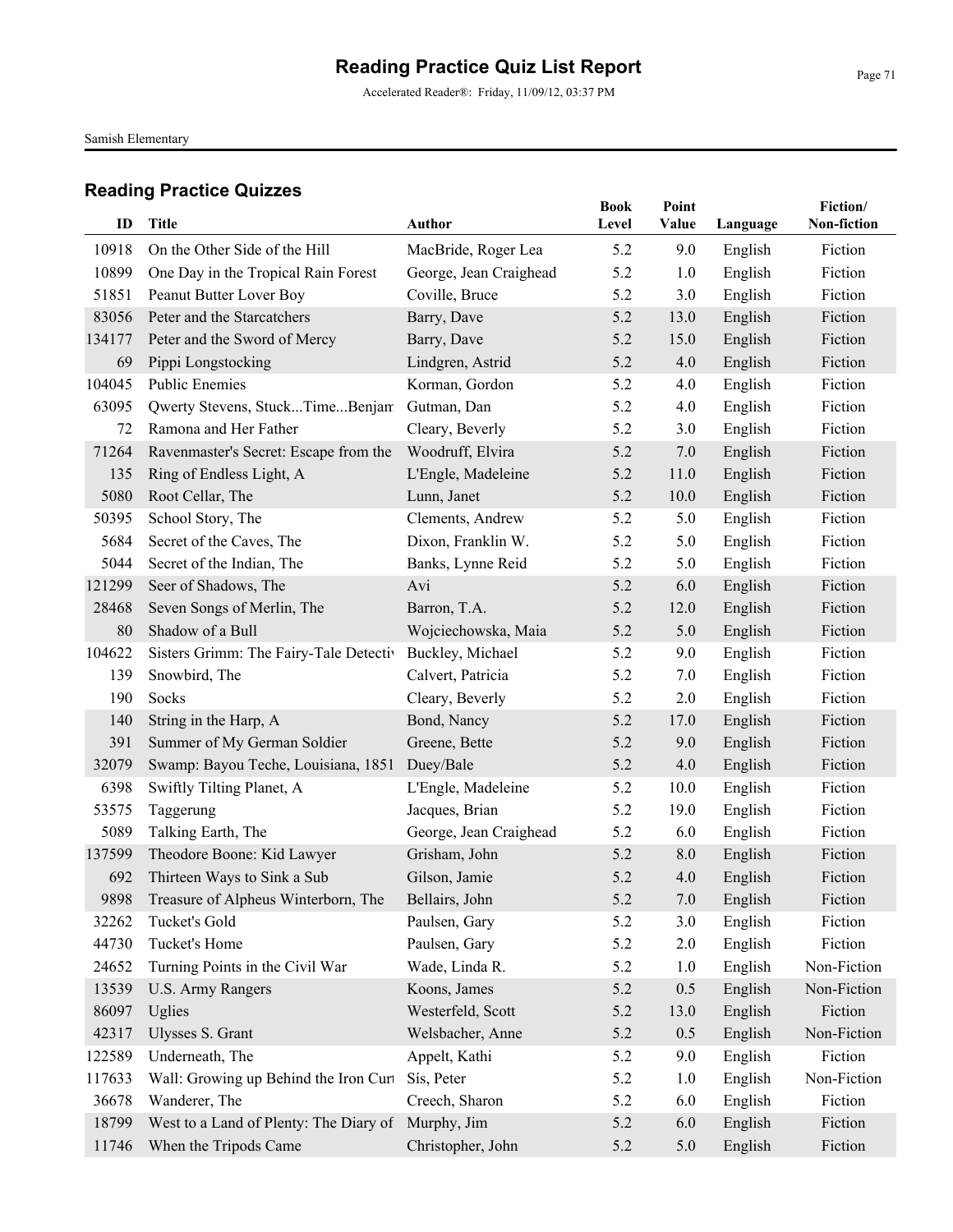Accelerated Reader®: Friday, 11/09/12, 03:37 PM

Samish Elementary

| ID     | Title                                    | Author                 | <b>Book</b><br>Level | Point<br>Value | Language | Fiction/<br>Non-fiction |
|--------|------------------------------------------|------------------------|----------------------|----------------|----------|-------------------------|
|        |                                          |                        |                      |                |          |                         |
| 10918  | On the Other Side of the Hill            | MacBride, Roger Lea    | 5.2                  | 9.0            | English  | Fiction                 |
| 10899  | One Day in the Tropical Rain Forest      | George, Jean Craighead | 5.2                  | 1.0            | English  | Fiction                 |
| 51851  | Peanut Butter Lover Boy                  | Coville, Bruce         | 5.2                  | 3.0            | English  | Fiction                 |
| 83056  | Peter and the Starcatchers               | Barry, Dave            | 5.2                  | 13.0           | English  | Fiction                 |
| 134177 | Peter and the Sword of Mercy             | Barry, Dave            | 5.2                  | 15.0           | English  | Fiction                 |
| 69     | Pippi Longstocking                       | Lindgren, Astrid       | 5.2                  | 4.0            | English  | Fiction                 |
| 104045 | <b>Public Enemies</b>                    | Korman, Gordon         | 5.2                  | 4.0            | English  | Fiction                 |
| 63095  | Qwerty Stevens, StuckTimeBenjam          | Gutman, Dan            | 5.2                  | 4.0            | English  | Fiction                 |
| 72     | Ramona and Her Father                    | Cleary, Beverly        | 5.2                  | 3.0            | English  | Fiction                 |
| 71264  | Ravenmaster's Secret: Escape from the    | Woodruff, Elvira       | 5.2                  | 7.0            | English  | Fiction                 |
| 135    | Ring of Endless Light, A                 | L'Engle, Madeleine     | 5.2                  | 11.0           | English  | Fiction                 |
| 5080   | Root Cellar, The                         | Lunn, Janet            | 5.2                  | 10.0           | English  | Fiction                 |
| 50395  | School Story, The                        | Clements, Andrew       | 5.2                  | 5.0            | English  | Fiction                 |
| 5684   | Secret of the Caves, The                 | Dixon, Franklin W.     | 5.2                  | 5.0            | English  | Fiction                 |
| 5044   | Secret of the Indian, The                | Banks, Lynne Reid      | 5.2                  | 5.0            | English  | Fiction                 |
| 121299 | Seer of Shadows, The                     | Avi                    | 5.2                  | 6.0            | English  | Fiction                 |
| 28468  | Seven Songs of Merlin, The               | Barron, T.A.           | 5.2                  | 12.0           | English  | Fiction                 |
| 80     | Shadow of a Bull                         | Wojciechowska, Maia    | 5.2                  | 5.0            | English  | Fiction                 |
| 104622 | Sisters Grimm: The Fairy-Tale Detectiv   | Buckley, Michael       | 5.2                  | 9.0            | English  | Fiction                 |
| 139    | Snowbird, The                            | Calvert, Patricia      | 5.2                  | 7.0            | English  | Fiction                 |
| 190    | Socks                                    | Cleary, Beverly        | 5.2                  | 2.0            | English  | Fiction                 |
| 140    | String in the Harp, A                    | Bond, Nancy            | 5.2                  | 17.0           | English  | Fiction                 |
| 391    | Summer of My German Soldier              | Greene, Bette          | 5.2                  | 9.0            | English  | Fiction                 |
| 32079  | Swamp: Bayou Teche, Louisiana, 1851      | Duey/Bale              | 5.2                  | 4.0            | English  | Fiction                 |
| 6398   | Swiftly Tilting Planet, A                | L'Engle, Madeleine     | 5.2                  | 10.0           | English  | Fiction                 |
| 53575  | Taggerung                                | Jacques, Brian         | 5.2                  | 19.0           | English  | Fiction                 |
| 5089   | Talking Earth, The                       | George, Jean Craighead | 5.2                  | 6.0            | English  | Fiction                 |
| 137599 | Theodore Boone: Kid Lawyer               | Grisham, John          | 5.2                  | 8.0            | English  | Fiction                 |
| 692    | Thirteen Ways to Sink a Sub              | Gilson, Jamie          | 5.2                  | 4.0            | English  | Fiction                 |
|        | 9898 Treasure of Alpheus Winterborn, The | Bellairs, John         | 5.2                  | 7.0            | English  | Fiction                 |
| 32262  | Tucket's Gold                            | Paulsen, Gary          | 5.2                  | 3.0            | English  | Fiction                 |
| 44730  | Tucket's Home                            | Paulsen, Gary          | 5.2                  | 2.0            | English  | Fiction                 |
| 24652  | Turning Points in the Civil War          | Wade, Linda R.         | 5.2                  | 1.0            | English  | Non-Fiction             |
| 13539  | <b>U.S. Army Rangers</b>                 | Koons, James           | 5.2                  | 0.5            | English  | Non-Fiction             |
| 86097  | Uglies                                   | Westerfeld, Scott      | 5.2                  | 13.0           | English  | Fiction                 |
| 42317  | Ulysses S. Grant                         | Welsbacher, Anne       | 5.2                  | 0.5            | English  | Non-Fiction             |
| 122589 | Underneath, The                          | Appelt, Kathi          | 5.2                  | 9.0            | English  | Fiction                 |
| 117633 | Wall: Growing up Behind the Iron Curt    | Sís, Peter             | 5.2                  | 1.0            | English  | Non-Fiction             |
| 36678  | Wanderer, The                            | Creech, Sharon         | 5.2                  | 6.0            | English  | Fiction                 |
| 18799  | West to a Land of Plenty: The Diary of   | Murphy, Jim            | 5.2                  | 6.0            | English  | Fiction                 |
| 11746  | When the Tripods Came                    | Christopher, John      | 5.2                  | 5.0            | English  | Fiction                 |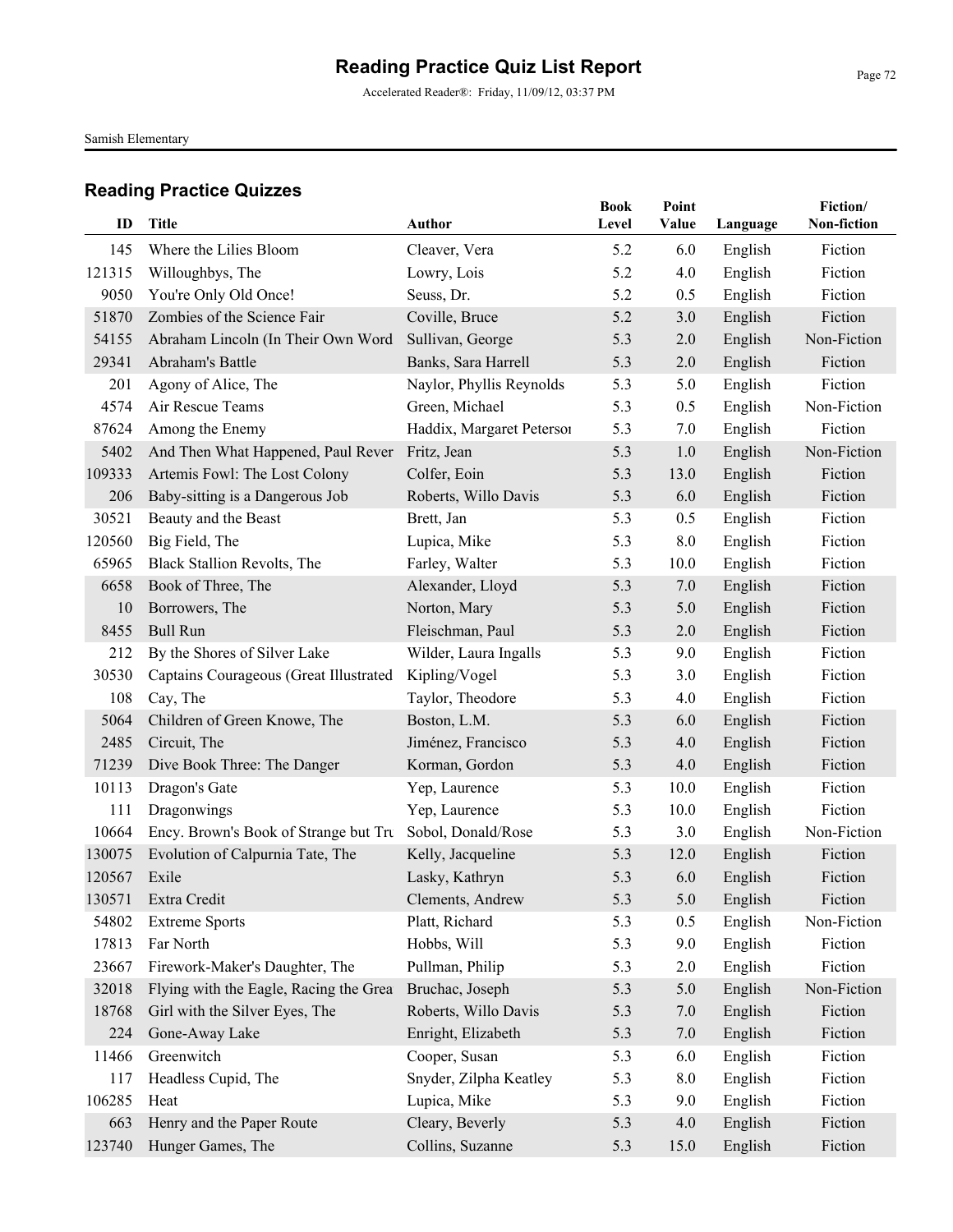Accelerated Reader®: Friday, 11/09/12, 03:37 PM

Samish Elementary

| ID     | <b>Title</b>                           | Author                    | <b>Book</b><br>Level | Point<br>Value | Language | Fiction/<br>Non-fiction |
|--------|----------------------------------------|---------------------------|----------------------|----------------|----------|-------------------------|
| 145    | Where the Lilies Bloom                 | Cleaver, Vera             | 5.2                  | 6.0            | English  | Fiction                 |
| 121315 | Willoughbys, The                       | Lowry, Lois               | 5.2                  | 4.0            | English  | Fiction                 |
| 9050   | You're Only Old Once!                  | Seuss, Dr.                | 5.2                  | 0.5            | English  | Fiction                 |
| 51870  | Zombies of the Science Fair            | Coville, Bruce            | 5.2                  | 3.0            | English  | Fiction                 |
| 54155  | Abraham Lincoln (In Their Own Word     | Sullivan, George          | 5.3                  | 2.0            | English  | Non-Fiction             |
| 29341  | Abraham's Battle                       | Banks, Sara Harrell       | 5.3                  | 2.0            | English  | Fiction                 |
| 201    | Agony of Alice, The                    | Naylor, Phyllis Reynolds  | 5.3                  | 5.0            | English  | Fiction                 |
| 4574   | Air Rescue Teams                       | Green, Michael            | 5.3                  | 0.5            | English  | Non-Fiction             |
| 87624  | Among the Enemy                        | Haddix, Margaret Peterson | 5.3                  | 7.0            | English  | Fiction                 |
| 5402   | And Then What Happened, Paul Rever     | Fritz, Jean               | 5.3                  | 1.0            | English  | Non-Fiction             |
| 109333 | Artemis Fowl: The Lost Colony          | Colfer, Eoin              | 5.3                  | 13.0           | English  | Fiction                 |
| 206    | Baby-sitting is a Dangerous Job        | Roberts, Willo Davis      | 5.3                  | 6.0            | English  | Fiction                 |
| 30521  | Beauty and the Beast                   | Brett, Jan                | 5.3                  | 0.5            | English  | Fiction                 |
| 120560 | Big Field, The                         | Lupica, Mike              | 5.3                  | 8.0            | English  | Fiction                 |
| 65965  | Black Stallion Revolts, The            | Farley, Walter            | 5.3                  | 10.0           | English  | Fiction                 |
| 6658   | Book of Three, The                     | Alexander, Lloyd          | 5.3                  | 7.0            | English  | Fiction                 |
| 10     | Borrowers, The                         | Norton, Mary              | 5.3                  | 5.0            | English  | Fiction                 |
| 8455   | <b>Bull Run</b>                        | Fleischman, Paul          | 5.3                  | 2.0            | English  | Fiction                 |
| 212    | By the Shores of Silver Lake           | Wilder, Laura Ingalls     | 5.3                  | 9.0            | English  | Fiction                 |
| 30530  | Captains Courageous (Great Illustrated | Kipling/Vogel             | 5.3                  | 3.0            | English  | Fiction                 |
| 108    | Cay, The                               | Taylor, Theodore          | 5.3                  | 4.0            | English  | Fiction                 |
| 5064   | Children of Green Knowe, The           | Boston, L.M.              | 5.3                  | 6.0            | English  | Fiction                 |
| 2485   | Circuit, The                           | Jiménez, Francisco        | 5.3                  | 4.0            | English  | Fiction                 |
| 71239  | Dive Book Three: The Danger            | Korman, Gordon            | 5.3                  | 4.0            | English  | Fiction                 |
| 10113  | Dragon's Gate                          | Yep, Laurence             | 5.3                  | 10.0           | English  | Fiction                 |
| 111    | Dragonwings                            | Yep, Laurence             | 5.3                  | 10.0           | English  | Fiction                 |
| 10664  | Ency. Brown's Book of Strange but Tru  | Sobol, Donald/Rose        | 5.3                  | 3.0            | English  | Non-Fiction             |
| 130075 | Evolution of Calpurnia Tate, The       | Kelly, Jacqueline         | 5.3                  | 12.0           | English  | Fiction                 |
| 120567 | Exile                                  | Lasky, Kathryn            | 5.3                  | 6.0            | English  | Fiction                 |
| 130571 | Extra Credit                           | Clements, Andrew          | 5.3                  | 5.0            | English  | Fiction                 |
| 54802  | <b>Extreme Sports</b>                  | Platt, Richard            | 5.3                  | 0.5            | English  | Non-Fiction             |
| 17813  | Far North                              | Hobbs, Will               | 5.3                  | 9.0            | English  | Fiction                 |
| 23667  | Firework-Maker's Daughter, The         | Pullman, Philip           | 5.3                  | 2.0            | English  | Fiction                 |
| 32018  | Flying with the Eagle, Racing the Grea | Bruchac, Joseph           | 5.3                  | 5.0            | English  | Non-Fiction             |
| 18768  | Girl with the Silver Eyes, The         | Roberts, Willo Davis      | 5.3                  | $7.0\,$        | English  | Fiction                 |
| 224    | Gone-Away Lake                         | Enright, Elizabeth        | 5.3                  | 7.0            | English  | Fiction                 |
| 11466  | Greenwitch                             | Cooper, Susan             | 5.3                  | 6.0            | English  | Fiction                 |
| 117    | Headless Cupid, The                    | Snyder, Zilpha Keatley    | 5.3                  | 8.0            | English  | Fiction                 |
| 106285 | Heat                                   | Lupica, Mike              | 5.3                  | 9.0            | English  | Fiction                 |
| 663    | Henry and the Paper Route              | Cleary, Beverly           | 5.3                  | 4.0            | English  | Fiction                 |
| 123740 | Hunger Games, The                      | Collins, Suzanne          | 5.3                  | 15.0           | English  | Fiction                 |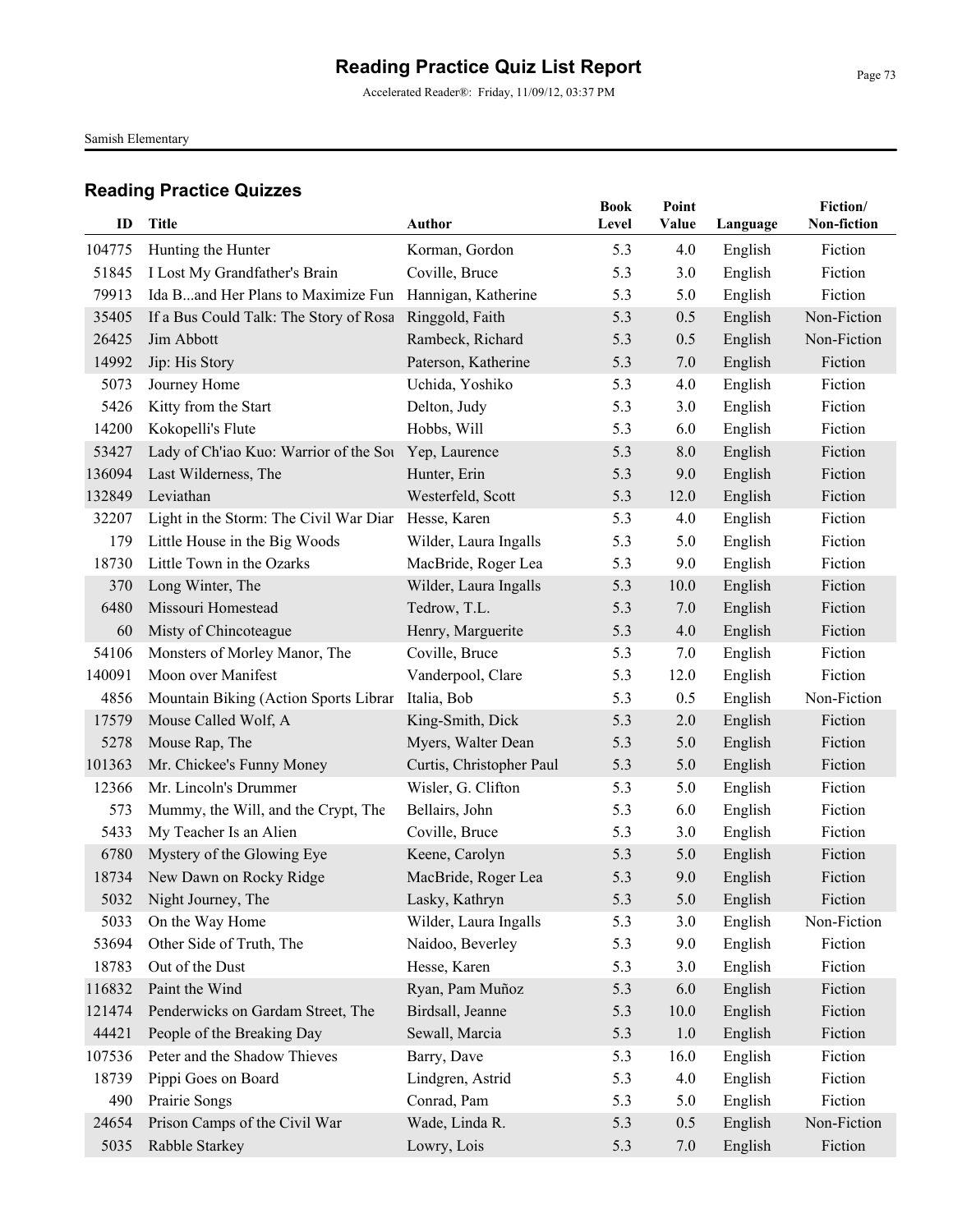Accelerated Reader®: Friday, 11/09/12, 03:37 PM

Samish Elementary

| ID     | Title                                                | Author                   | <b>Book</b><br>Level | Point<br>Value | Language | Fiction/<br>Non-fiction |
|--------|------------------------------------------------------|--------------------------|----------------------|----------------|----------|-------------------------|
| 104775 | Hunting the Hunter                                   | Korman, Gordon           | 5.3                  | 4.0            | English  | Fiction                 |
| 51845  | I Lost My Grandfather's Brain                        | Coville, Bruce           | 5.3                  | 3.0            | English  | Fiction                 |
| 79913  | Ida Band Her Plans to Maximize Fun                   | Hannigan, Katherine      | 5.3                  | 5.0            | English  | Fiction                 |
| 35405  | If a Bus Could Talk: The Story of Rosa               | Ringgold, Faith          | 5.3                  | 0.5            | English  | Non-Fiction             |
| 26425  | Jim Abbott                                           | Rambeck, Richard         | 5.3                  | 0.5            | English  | Non-Fiction             |
| 14992  | Jip: His Story                                       | Paterson, Katherine      | 5.3                  | 7.0            | English  | Fiction                 |
| 5073   | Journey Home                                         | Uchida, Yoshiko          | 5.3                  | 4.0            | English  | Fiction                 |
| 5426   | Kitty from the Start                                 | Delton, Judy             | 5.3                  | 3.0            | English  | Fiction                 |
| 14200  | Kokopelli's Flute                                    | Hobbs, Will              | 5.3                  | 6.0            | English  | Fiction                 |
| 53427  | Lady of Ch'iao Kuo: Warrior of the Sou Yep, Laurence |                          | 5.3                  | 8.0            | English  | Fiction                 |
| 136094 | Last Wilderness, The                                 | Hunter, Erin             | 5.3                  | 9.0            | English  | Fiction                 |
| 132849 | Leviathan                                            | Westerfeld, Scott        | 5.3                  | 12.0           | English  | Fiction                 |
| 32207  | Light in the Storm: The Civil War Diar               | Hesse, Karen             | 5.3                  | 4.0            | English  | Fiction                 |
| 179    | Little House in the Big Woods                        | Wilder, Laura Ingalls    | 5.3                  | 5.0            | English  | Fiction                 |
| 18730  | Little Town in the Ozarks                            | MacBride, Roger Lea      | 5.3                  | 9.0            | English  | Fiction                 |
| 370    | Long Winter, The                                     | Wilder, Laura Ingalls    | 5.3                  | 10.0           | English  | Fiction                 |
| 6480   | Missouri Homestead                                   | Tedrow, T.L.             | 5.3                  | 7.0            | English  | Fiction                 |
| 60     | Misty of Chincoteague                                | Henry, Marguerite        | 5.3                  | 4.0            | English  | Fiction                 |
| 54106  | Monsters of Morley Manor, The                        | Coville, Bruce           | 5.3                  | 7.0            | English  | Fiction                 |
| 140091 | Moon over Manifest                                   | Vanderpool, Clare        | 5.3                  | 12.0           | English  | Fiction                 |
| 4856   | Mountain Biking (Action Sports Librar                | Italia, Bob              | 5.3                  | 0.5            | English  | Non-Fiction             |
| 17579  | Mouse Called Wolf, A                                 | King-Smith, Dick         | 5.3                  | 2.0            | English  | Fiction                 |
| 5278   | Mouse Rap, The                                       | Myers, Walter Dean       | 5.3                  | 5.0            | English  | Fiction                 |
| 101363 | Mr. Chickee's Funny Money                            | Curtis, Christopher Paul | 5.3                  | 5.0            | English  | Fiction                 |
| 12366  | Mr. Lincoln's Drummer                                | Wisler, G. Clifton       | 5.3                  | 5.0            | English  | Fiction                 |
| 573    | Mummy, the Will, and the Crypt, The                  | Bellairs, John           | 5.3                  | 6.0            | English  | Fiction                 |
| 5433   | My Teacher Is an Alien                               | Coville, Bruce           | 5.3                  | 3.0            | English  | Fiction                 |
| 6780   | Mystery of the Glowing Eye                           | Keene, Carolyn           | 5.3                  | 5.0            | English  | Fiction                 |
| 18734  | New Dawn on Rocky Ridge                              | MacBride, Roger Lea      | 5.3                  | 9.0            | English  | Fiction                 |
|        | 5032 Night Journey, The                              | Lasky, Kathryn           | 5.3                  | 5.0            | English  | Fiction                 |
| 5033   | On the Way Home                                      | Wilder, Laura Ingalls    | 5.3                  | 3.0            | English  | Non-Fiction             |
| 53694  | Other Side of Truth, The                             | Naidoo, Beverley         | 5.3                  | 9.0            | English  | Fiction                 |
| 18783  | Out of the Dust                                      | Hesse, Karen             | 5.3                  | 3.0            | English  | Fiction                 |
| 116832 | Paint the Wind                                       | Ryan, Pam Muñoz          | 5.3                  | 6.0            | English  | Fiction                 |
| 121474 | Penderwicks on Gardam Street, The                    | Birdsall, Jeanne         | 5.3                  | 10.0           | English  | Fiction                 |
| 44421  | People of the Breaking Day                           | Sewall, Marcia           | 5.3                  | 1.0            | English  | Fiction                 |
| 107536 | Peter and the Shadow Thieves                         | Barry, Dave              | 5.3                  | 16.0           | English  | Fiction                 |
| 18739  | Pippi Goes on Board                                  | Lindgren, Astrid         | 5.3                  | 4.0            | English  | Fiction                 |
| 490    | Prairie Songs                                        | Conrad, Pam              | 5.3                  | 5.0            | English  | Fiction                 |
| 24654  | Prison Camps of the Civil War                        | Wade, Linda R.           | 5.3                  | 0.5            | English  | Non-Fiction             |
| 5035   | Rabble Starkey                                       | Lowry, Lois              | 5.3                  | 7.0            | English  | Fiction                 |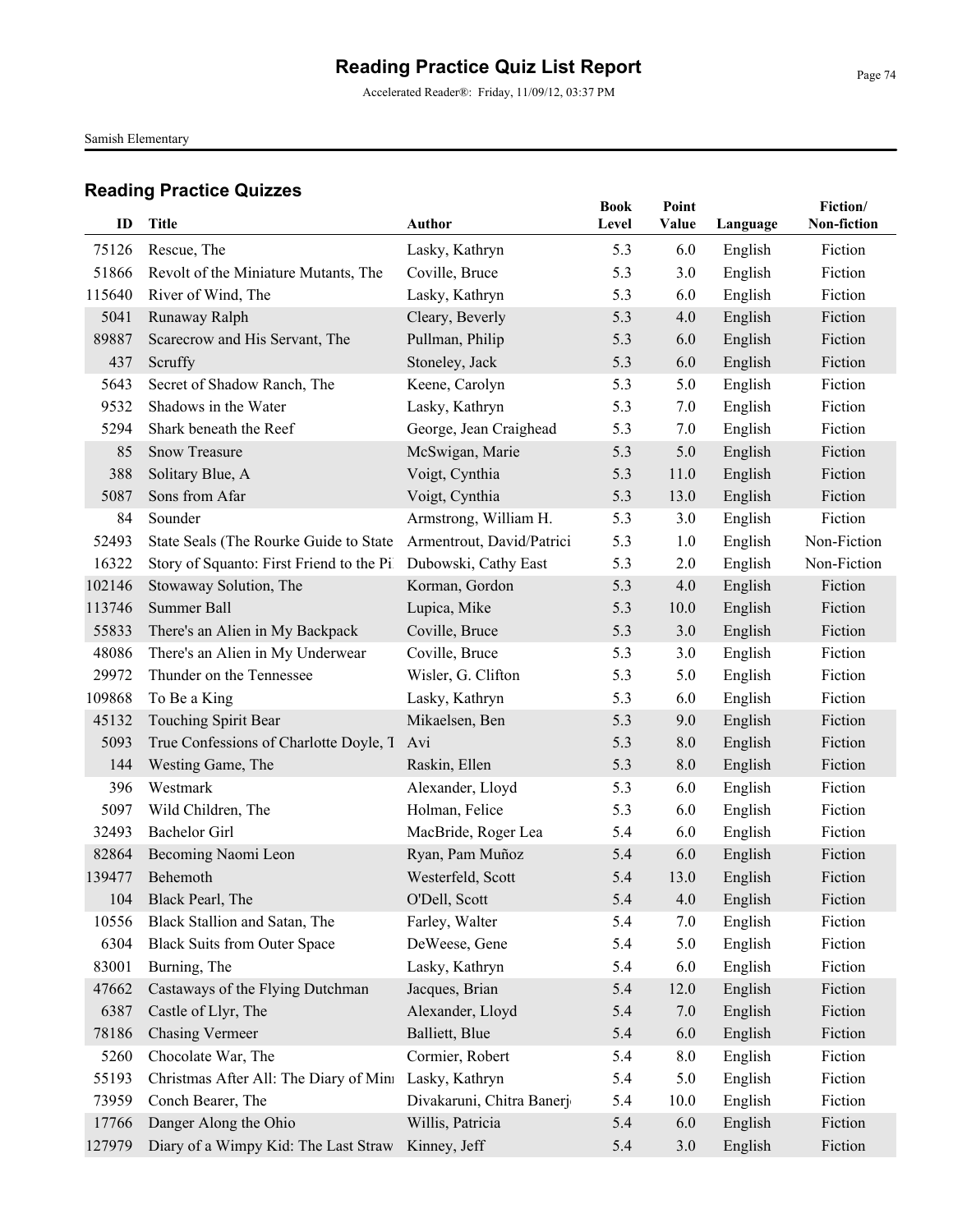Accelerated Reader®: Friday, 11/09/12, 03:37 PM

Samish Elementary

| ID     | <b>Title</b>                              | Author                    | <b>Book</b><br>Level | Point<br>Value | Language | Fiction/<br>Non-fiction |
|--------|-------------------------------------------|---------------------------|----------------------|----------------|----------|-------------------------|
| 75126  | Rescue, The                               | Lasky, Kathryn            | 5.3                  | 6.0            | English  | Fiction                 |
| 51866  | Revolt of the Miniature Mutants, The      | Coville, Bruce            | 5.3                  | 3.0            | English  | Fiction                 |
| 115640 | River of Wind, The                        | Lasky, Kathryn            | 5.3                  | 6.0            | English  | Fiction                 |
| 5041   | Runaway Ralph                             | Cleary, Beverly           | 5.3                  | 4.0            | English  | Fiction                 |
| 89887  | Scarecrow and His Servant, The            | Pullman, Philip           | 5.3                  | 6.0            | English  | Fiction                 |
| 437    | Scruffy                                   | Stoneley, Jack            | 5.3                  | 6.0            | English  | Fiction                 |
| 5643   | Secret of Shadow Ranch, The               | Keene, Carolyn            | 5.3                  | 5.0            | English  | Fiction                 |
| 9532   | Shadows in the Water                      | Lasky, Kathryn            | 5.3                  | 7.0            | English  | Fiction                 |
| 5294   | Shark beneath the Reef                    | George, Jean Craighead    | 5.3                  | 7.0            | English  | Fiction                 |
| 85     | <b>Snow Treasure</b>                      | McSwigan, Marie           | 5.3                  | 5.0            | English  | Fiction                 |
| 388    | Solitary Blue, A                          | Voigt, Cynthia            | 5.3                  | 11.0           | English  | Fiction                 |
| 5087   | Sons from Afar                            | Voigt, Cynthia            | 5.3                  | 13.0           | English  | Fiction                 |
| 84     | Sounder                                   | Armstrong, William H.     | 5.3                  | 3.0            | English  | Fiction                 |
| 52493  | State Seals (The Rourke Guide to State    | Armentrout, David/Patrici | 5.3                  | 1.0            | English  | Non-Fiction             |
| 16322  | Story of Squanto: First Friend to the Pil | Dubowski, Cathy East      | 5.3                  | 2.0            | English  | Non-Fiction             |
| 102146 | Stowaway Solution, The                    | Korman, Gordon            | 5.3                  | 4.0            | English  | Fiction                 |
| 113746 | Summer Ball                               | Lupica, Mike              | 5.3                  | 10.0           | English  | Fiction                 |
| 55833  | There's an Alien in My Backpack           | Coville, Bruce            | 5.3                  | 3.0            | English  | Fiction                 |
| 48086  | There's an Alien in My Underwear          | Coville, Bruce            | 5.3                  | 3.0            | English  | Fiction                 |
| 29972  | Thunder on the Tennessee                  | Wisler, G. Clifton        | 5.3                  | 5.0            | English  | Fiction                 |
| 109868 | To Be a King                              | Lasky, Kathryn            | 5.3                  | 6.0            | English  | Fiction                 |
| 45132  | Touching Spirit Bear                      | Mikaelsen, Ben            | 5.3                  | 9.0            | English  | Fiction                 |
| 5093   | True Confessions of Charlotte Doyle, T    | Avi                       | 5.3                  | 8.0            | English  | Fiction                 |
| 144    | Westing Game, The                         | Raskin, Ellen             | 5.3                  | 8.0            | English  | Fiction                 |
| 396    | Westmark                                  | Alexander, Lloyd          | 5.3                  | 6.0            | English  | Fiction                 |
| 5097   | Wild Children, The                        | Holman, Felice            | 5.3                  | 6.0            | English  | Fiction                 |
| 32493  | <b>Bachelor Girl</b>                      | MacBride, Roger Lea       | 5.4                  | 6.0            | English  | Fiction                 |
| 82864  | Becoming Naomi Leon                       | Ryan, Pam Muñoz           | 5.4                  | 6.0            | English  | Fiction                 |
| 139477 | Behemoth                                  | Westerfeld, Scott         | 5.4                  | 13.0           | English  | Fiction                 |
| 104    | Black Pearl, The                          | O'Dell, Scott             | 5.4                  | 4.0            | English  | Fiction                 |
| 10556  | Black Stallion and Satan, The             | Farley, Walter            | 5.4                  | 7.0            | English  | Fiction                 |
| 6304   | <b>Black Suits from Outer Space</b>       | DeWeese, Gene             | 5.4                  | 5.0            | English  | Fiction                 |
| 83001  | Burning, The                              | Lasky, Kathryn            | 5.4                  | 6.0            | English  | Fiction                 |
| 47662  | Castaways of the Flying Dutchman          | Jacques, Brian            | 5.4                  | 12.0           | English  | Fiction                 |
| 6387   | Castle of Llyr, The                       | Alexander, Lloyd          | 5.4                  | 7.0            | English  | Fiction                 |
| 78186  | <b>Chasing Vermeer</b>                    | Balliett, Blue            | 5.4                  | 6.0            | English  | Fiction                 |
| 5260   | Chocolate War, The                        | Cormier, Robert           | 5.4                  | 8.0            | English  | Fiction                 |
| 55193  | Christmas After All: The Diary of Mini    | Lasky, Kathryn            | 5.4                  | 5.0            | English  | Fiction                 |
| 73959  | Conch Bearer, The                         | Divakaruni, Chitra Banerj | 5.4                  | 10.0           | English  | Fiction                 |
| 17766  | Danger Along the Ohio                     | Willis, Patricia          | 5.4                  | 6.0            | English  | Fiction                 |
| 127979 | Diary of a Wimpy Kid: The Last Straw      | Kinney, Jeff              | 5.4                  | 3.0            | English  | Fiction                 |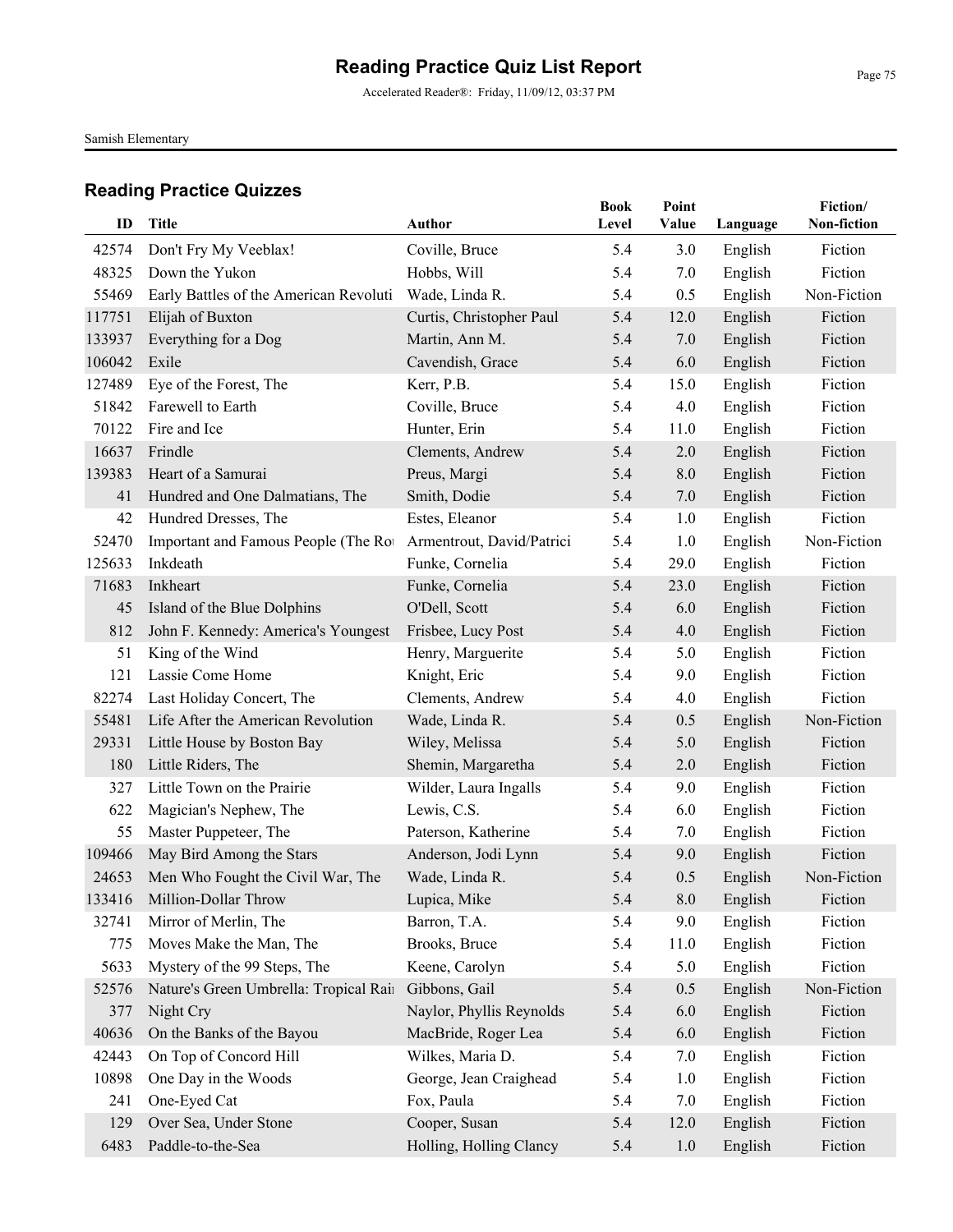Accelerated Reader®: Friday, 11/09/12, 03:37 PM

Samish Elementary

| ID             | <b>Title</b>                            | <b>Author</b>                 | <b>Book</b><br>Level | Point<br>Value     | Language           | Fiction/<br>Non-fiction |
|----------------|-----------------------------------------|-------------------------------|----------------------|--------------------|--------------------|-------------------------|
|                |                                         |                               | 5.4                  |                    |                    |                         |
| 42574<br>48325 | Don't Fry My Veeblax!<br>Down the Yukon | Coville, Bruce<br>Hobbs, Will | 5.4                  | 3.0<br>7.0         | English<br>English | Fiction<br>Fiction      |
| 55469          | Early Battles of the American Revoluti  | Wade, Linda R.                | 5.4                  | 0.5                | English            | Non-Fiction             |
| 117751         | Elijah of Buxton                        | Curtis, Christopher Paul      | 5.4                  | 12.0               | English            | Fiction                 |
| 133937         | Everything for a Dog                    | Martin, Ann M.                | 5.4                  | 7.0                | English            | Fiction                 |
| 106042         | Exile                                   | Cavendish, Grace              | 5.4                  | 6.0                | English            | Fiction                 |
| 127489         | Eye of the Forest, The                  | Kerr, P.B.                    | 5.4                  | 15.0               | English            | Fiction                 |
| 51842          | Farewell to Earth                       | Coville, Bruce                | 5.4                  | 4.0                | English            | Fiction                 |
| 70122          | Fire and Ice                            | Hunter, Erin                  | 5.4                  | 11.0               | English            | Fiction                 |
| 16637          | Frindle                                 | Clements, Andrew              | 5.4                  | 2.0                | English            | Fiction                 |
| 139383         | Heart of a Samurai                      | Preus, Margi                  | 5.4                  | 8.0                | English            | Fiction                 |
| 41             | Hundred and One Dalmatians, The         | Smith, Dodie                  | 5.4                  | 7.0                | English            | Fiction                 |
| 42             | Hundred Dresses, The                    | Estes, Eleanor                | 5.4                  | 1.0                | English            | Fiction                 |
| 52470          | Important and Famous People (The Ro     | Armentrout, David/Patrici     | 5.4                  | 1.0                | English            | Non-Fiction             |
| 125633         | Inkdeath                                | Funke, Cornelia               | 5.4                  | 29.0               | English            | Fiction                 |
| 71683          | Inkheart                                | Funke, Cornelia               | 5.4                  | 23.0               | English            | Fiction                 |
| 45             | Island of the Blue Dolphins             | O'Dell, Scott                 | 5.4                  | 6.0                | English            | Fiction                 |
| 812            | John F. Kennedy: America's Youngest     | Frisbee, Lucy Post            | 5.4                  | 4.0                | English            | Fiction                 |
| 51             | King of the Wind                        | Henry, Marguerite             | 5.4                  | 5.0                | English            | Fiction                 |
| 121            | Lassie Come Home                        | Knight, Eric                  | 5.4                  | 9.0                | English            | Fiction                 |
| 82274          | Last Holiday Concert, The               | Clements, Andrew              | 5.4                  | 4.0                | English            | Fiction                 |
| 55481          | Life After the American Revolution      | Wade, Linda R.                | 5.4                  | 0.5                | English            | Non-Fiction             |
| 29331          | Little House by Boston Bay              | Wiley, Melissa                | 5.4                  | 5.0                | English            | Fiction                 |
| 180            | Little Riders, The                      | Shemin, Margaretha            | 5.4                  | 2.0                | English            | Fiction                 |
| 327            | Little Town on the Prairie              | Wilder, Laura Ingalls         | 5.4                  | 9.0                | English            | Fiction                 |
| 622            | Magician's Nephew, The                  | Lewis, C.S.                   | 5.4                  | 6.0                | English            | Fiction                 |
| 55             | Master Puppeteer, The                   | Paterson, Katherine           | 5.4                  | 7.0                | English            | Fiction                 |
| 109466         | May Bird Among the Stars                | Anderson, Jodi Lynn           | 5.4                  | 9.0                | English            | Fiction                 |
| 24653          | Men Who Fought the Civil War, The       | Wade, Linda R.                | 5.4                  | 0.5                | English            | Non-Fiction             |
|                | 133416 Million-Dollar Throw             | Lupica, Mike                  | 5.4                  | $\boldsymbol{8.0}$ | English            | Fiction                 |
| 32741          | Mirror of Merlin, The                   | Barron, T.A.                  | 5.4                  | 9.0                | English            | Fiction                 |
| 775            | Moves Make the Man, The                 | Brooks, Bruce                 | 5.4                  | 11.0               | English            | Fiction                 |
| 5633           | Mystery of the 99 Steps, The            | Keene, Carolyn                | 5.4                  | 5.0                | English            | Fiction                 |
| 52576          | Nature's Green Umbrella: Tropical Rair  | Gibbons, Gail                 | 5.4                  | 0.5                | English            | Non-Fiction             |
| 377            | Night Cry                               | Naylor, Phyllis Reynolds      | 5.4                  | 6.0                | English            | Fiction                 |
| 40636          | On the Banks of the Bayou               | MacBride, Roger Lea           | 5.4                  | 6.0                | English            | Fiction                 |
| 42443          | On Top of Concord Hill                  | Wilkes, Maria D.              | 5.4                  | 7.0                | English            | Fiction                 |
| 10898          | One Day in the Woods                    | George, Jean Craighead        | 5.4                  | 1.0                | English            | Fiction                 |
| 241            | One-Eyed Cat                            | Fox, Paula                    | 5.4                  | 7.0                | English            | Fiction                 |
| 129            | Over Sea, Under Stone                   | Cooper, Susan                 | 5.4                  | 12.0               | English            | Fiction                 |
| 6483           | Paddle-to-the-Sea                       | Holling, Holling Clancy       | 5.4                  | 1.0                | English            | Fiction                 |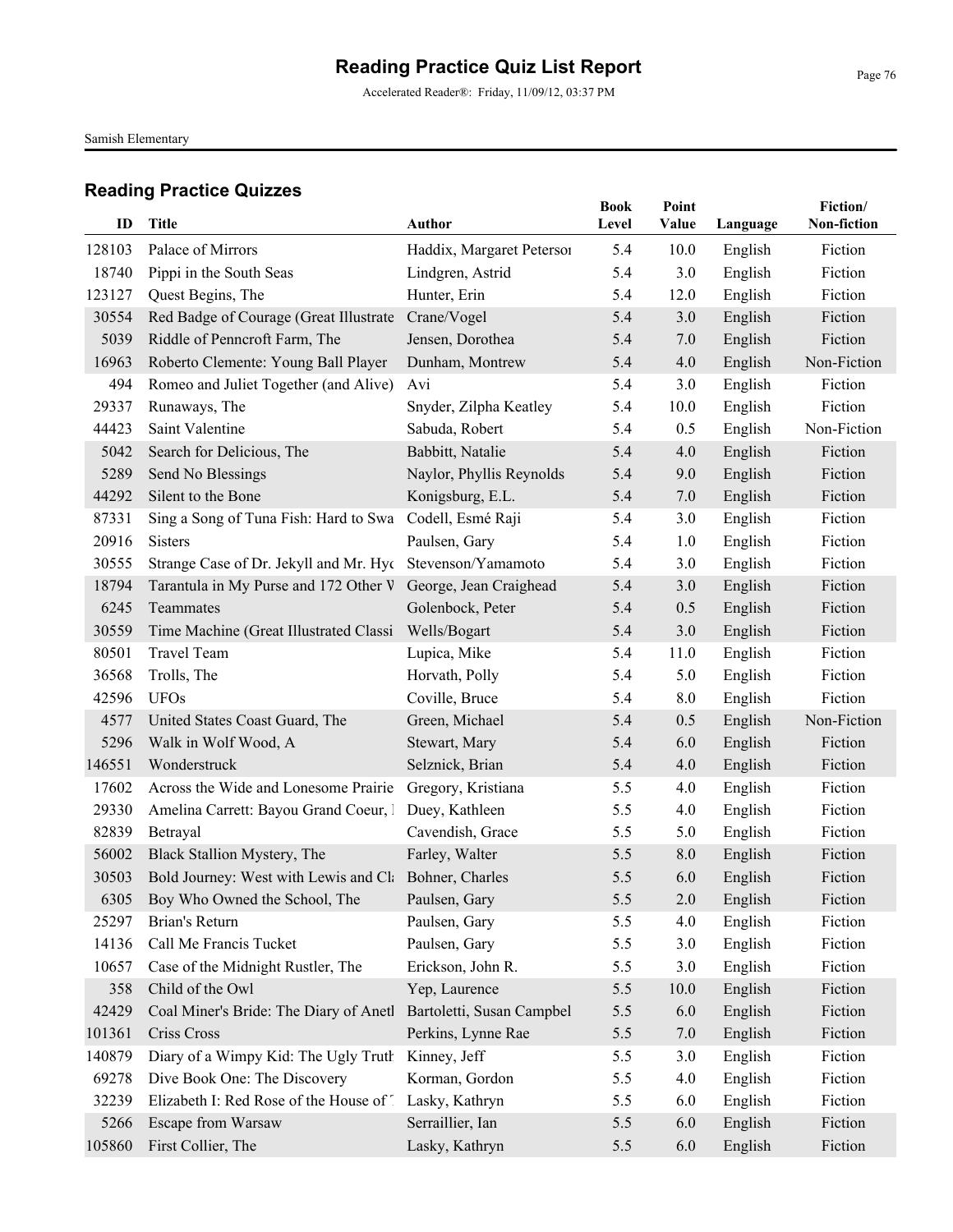Accelerated Reader®: Friday, 11/09/12, 03:37 PM

Samish Elementary

| ID     | Title                                                     | <b>Author</b>             | <b>Book</b><br>Level | Point<br><b>Value</b> | Language | Fiction/<br>Non-fiction |
|--------|-----------------------------------------------------------|---------------------------|----------------------|-----------------------|----------|-------------------------|
| 128103 | Palace of Mirrors                                         | Haddix, Margaret Peterson | 5.4                  | 10.0                  | English  | Fiction                 |
| 18740  | Pippi in the South Seas                                   | Lindgren, Astrid          | 5.4                  | 3.0                   | English  | Fiction                 |
| 123127 | Quest Begins, The                                         | Hunter, Erin              | 5.4                  | 12.0                  | English  | Fiction                 |
| 30554  | Red Badge of Courage (Great Illustrate                    | Crane/Vogel               | 5.4                  | 3.0                   | English  | Fiction                 |
| 5039   | Riddle of Penncroft Farm, The                             | Jensen, Dorothea          | 5.4                  | 7.0                   | English  | Fiction                 |
| 16963  | Roberto Clemente: Young Ball Player                       | Dunham, Montrew           | 5.4                  | 4.0                   | English  | Non-Fiction             |
| 494    | Romeo and Juliet Together (and Alive)                     | Avi                       | 5.4                  | 3.0                   | English  | Fiction                 |
| 29337  | Runaways, The                                             | Snyder, Zilpha Keatley    | 5.4                  | 10.0                  | English  | Fiction                 |
| 44423  | Saint Valentine                                           | Sabuda, Robert            | 5.4                  | 0.5                   | English  | Non-Fiction             |
| 5042   | Search for Delicious, The                                 | Babbitt, Natalie          | 5.4                  | 4.0                   | English  | Fiction                 |
| 5289   | Send No Blessings                                         | Naylor, Phyllis Reynolds  | 5.4                  | 9.0                   | English  | Fiction                 |
| 44292  | Silent to the Bone                                        | Konigsburg, E.L.          | 5.4                  | 7.0                   | English  | Fiction                 |
| 87331  | Sing a Song of Tuna Fish: Hard to Swa                     | Codell, Esmé Raji         | 5.4                  | 3.0                   | English  | Fiction                 |
| 20916  | <b>Sisters</b>                                            | Paulsen, Gary             | 5.4                  | 1.0                   | English  | Fiction                 |
| 30555  | Strange Case of Dr. Jekyll and Mr. Hyc Stevenson/Yamamoto |                           | 5.4                  | 3.0                   | English  | Fiction                 |
| 18794  | Tarantula in My Purse and 172 Other V                     | George, Jean Craighead    | 5.4                  | 3.0                   | English  | Fiction                 |
| 6245   | Teammates                                                 | Golenbock, Peter          | 5.4                  | 0.5                   | English  | Fiction                 |
| 30559  | Time Machine (Great Illustrated Classi                    | Wells/Bogart              | 5.4                  | 3.0                   | English  | Fiction                 |
| 80501  | <b>Travel Team</b>                                        | Lupica, Mike              | 5.4                  | 11.0                  | English  | Fiction                 |
| 36568  | Trolls, The                                               | Horvath, Polly            | 5.4                  | 5.0                   | English  | Fiction                 |
| 42596  | <b>UFOs</b>                                               | Coville, Bruce            | 5.4                  | 8.0                   | English  | Fiction                 |
| 4577   | United States Coast Guard, The                            | Green, Michael            | 5.4                  | 0.5                   | English  | Non-Fiction             |
| 5296   | Walk in Wolf Wood, A                                      | Stewart, Mary             | 5.4                  | 6.0                   | English  | Fiction                 |
| 146551 | Wonderstruck                                              | Selznick, Brian           | 5.4                  | 4.0                   | English  | Fiction                 |
| 17602  | Across the Wide and Lonesome Prairie                      | Gregory, Kristiana        | 5.5                  | 4.0                   | English  | Fiction                 |
| 29330  | Amelina Carrett: Bayou Grand Coeur, 1                     | Duey, Kathleen            | 5.5                  | 4.0                   | English  | Fiction                 |
| 82839  | Betrayal                                                  | Cavendish, Grace          | 5.5                  | 5.0                   | English  | Fiction                 |
| 56002  | Black Stallion Mystery, The                               | Farley, Walter            | 5.5                  | 8.0                   | English  | Fiction                 |
| 30503  | Bold Journey: West with Lewis and Cl: Bohner, Charles     |                           | 5.5                  | 6.0                   | English  | Fiction                 |
|        | 6305 Boy Who Owned the School, The                        | Paulsen, Gary             | 5.5                  | 2.0                   | English  | Fiction                 |
| 25297  | Brian's Return                                            | Paulsen, Gary             | 5.5                  | 4.0                   | English  | Fiction                 |
| 14136  | Call Me Francis Tucket                                    | Paulsen, Gary             | 5.5                  | 3.0                   | English  | Fiction                 |
| 10657  | Case of the Midnight Rustler, The                         | Erickson, John R.         | 5.5                  | 3.0                   | English  | Fiction                 |
| 358    | Child of the Owl                                          | Yep, Laurence             | 5.5                  | 10.0                  | English  | Fiction                 |
| 42429  | Coal Miner's Bride: The Diary of Anetl                    | Bartoletti, Susan Campbel | 5.5                  | 6.0                   | English  | Fiction                 |
| 101361 | Criss Cross                                               | Perkins, Lynne Rae        | 5.5                  | 7.0                   | English  | Fiction                 |
| 140879 | Diary of a Wimpy Kid: The Ugly Truth                      | Kinney, Jeff              | 5.5                  | 3.0                   | English  | Fiction                 |
| 69278  | Dive Book One: The Discovery                              | Korman, Gordon            | 5.5                  | 4.0                   | English  | Fiction                 |
| 32239  | Elizabeth I: Red Rose of the House of 1                   | Lasky, Kathryn            | 5.5                  | 6.0                   | English  | Fiction                 |
| 5266   | Escape from Warsaw                                        | Serraillier, Ian          | 5.5                  | 6.0                   | English  | Fiction                 |
| 105860 | First Collier, The                                        | Lasky, Kathryn            | 5.5                  | 6.0                   | English  | Fiction                 |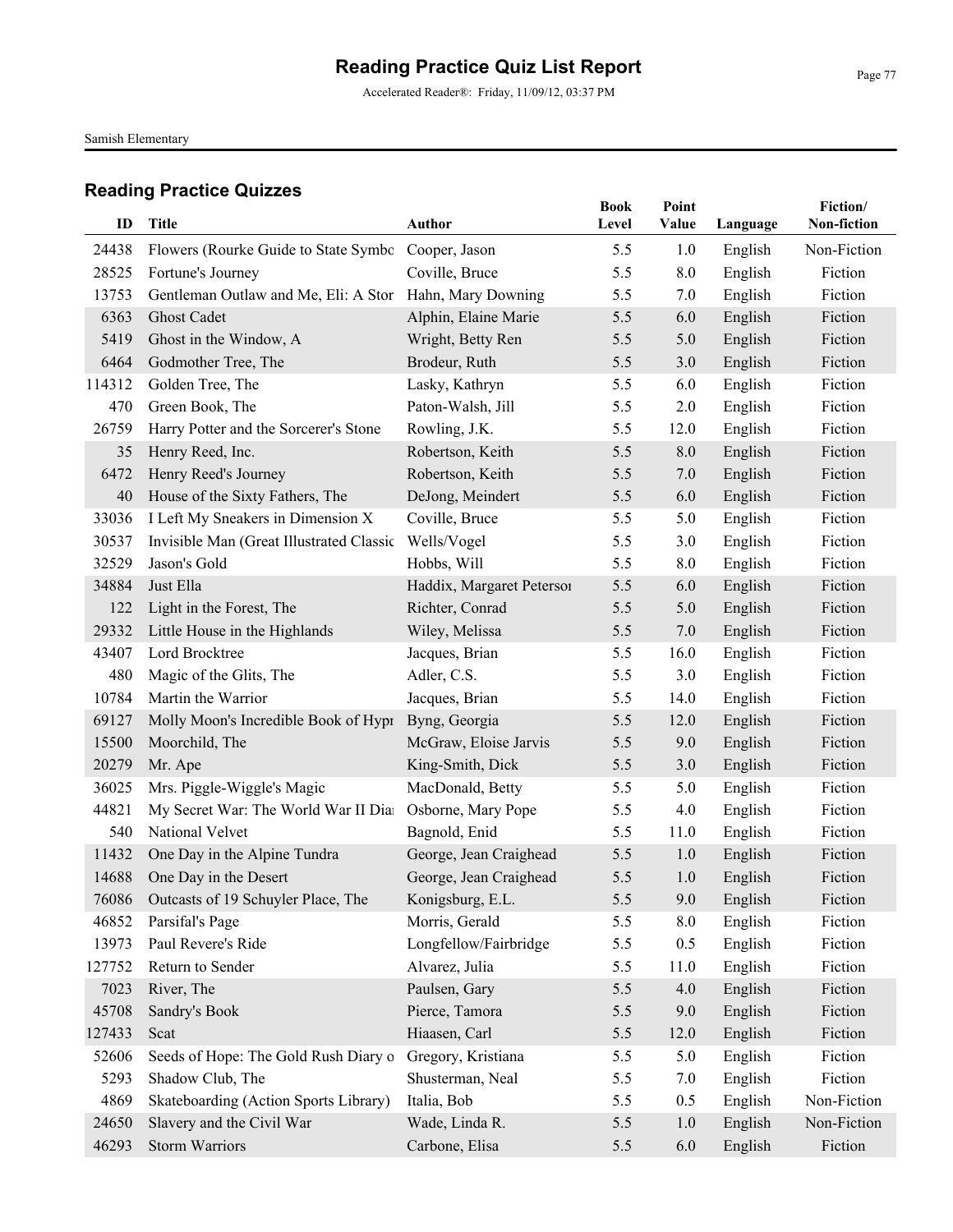Accelerated Reader®: Friday, 11/09/12, 03:37 PM

Samish Elementary

|        |                                                         |                           | <b>Book</b> | Point |          | Fiction/    |
|--------|---------------------------------------------------------|---------------------------|-------------|-------|----------|-------------|
| ID     | Title                                                   | <b>Author</b>             | Level       | Value | Language | Non-fiction |
| 24438  | Flowers (Rourke Guide to State Symbo Cooper, Jason      |                           | 5.5         | 1.0   | English  | Non-Fiction |
| 28525  | Fortune's Journey                                       | Coville, Bruce            | 5.5         | 8.0   | English  | Fiction     |
| 13753  | Gentleman Outlaw and Me, Eli: A Stor Hahn, Mary Downing |                           | 5.5         | 7.0   | English  | Fiction     |
| 6363   | <b>Ghost Cadet</b>                                      | Alphin, Elaine Marie      | 5.5         | 6.0   | English  | Fiction     |
| 5419   | Ghost in the Window, A                                  | Wright, Betty Ren         | 5.5         | 5.0   | English  | Fiction     |
| 6464   | Godmother Tree, The                                     | Brodeur, Ruth             | 5.5         | 3.0   | English  | Fiction     |
| 114312 | Golden Tree, The                                        | Lasky, Kathryn            | 5.5         | 6.0   | English  | Fiction     |
| 470    | Green Book, The                                         | Paton-Walsh, Jill         | 5.5         | 2.0   | English  | Fiction     |
| 26759  | Harry Potter and the Sorcerer's Stone                   | Rowling, J.K.             | 5.5         | 12.0  | English  | Fiction     |
| 35     | Henry Reed, Inc.                                        | Robertson, Keith          | 5.5         | 8.0   | English  | Fiction     |
| 6472   | Henry Reed's Journey                                    | Robertson, Keith          | 5.5         | 7.0   | English  | Fiction     |
| 40     | House of the Sixty Fathers, The                         | DeJong, Meindert          | 5.5         | 6.0   | English  | Fiction     |
| 33036  | I Left My Sneakers in Dimension X                       | Coville, Bruce            | 5.5         | 5.0   | English  | Fiction     |
| 30537  | Invisible Man (Great Illustrated Classic                | Wells/Vogel               | 5.5         | 3.0   | English  | Fiction     |
| 32529  | Jason's Gold                                            | Hobbs, Will               | 5.5         | 8.0   | English  | Fiction     |
| 34884  | Just Ella                                               | Haddix, Margaret Peterson | 5.5         | 6.0   | English  | Fiction     |
| 122    | Light in the Forest, The                                | Richter, Conrad           | 5.5         | 5.0   | English  | Fiction     |
| 29332  | Little House in the Highlands                           | Wiley, Melissa            | 5.5         | 7.0   | English  | Fiction     |
| 43407  | Lord Brocktree                                          | Jacques, Brian            | 5.5         | 16.0  | English  | Fiction     |
| 480    | Magic of the Glits, The                                 | Adler, C.S.               | 5.5         | 3.0   | English  | Fiction     |
| 10784  | Martin the Warrior                                      | Jacques, Brian            | 5.5         | 14.0  | English  | Fiction     |
| 69127  | Molly Moon's Incredible Book of Hypr                    | Byng, Georgia             | 5.5         | 12.0  | English  | Fiction     |
| 15500  | Moorchild, The                                          | McGraw, Eloise Jarvis     | 5.5         | 9.0   | English  | Fiction     |
| 20279  | Mr. Ape                                                 | King-Smith, Dick          | 5.5         | 3.0   | English  | Fiction     |
| 36025  | Mrs. Piggle-Wiggle's Magic                              | MacDonald, Betty          | 5.5         | 5.0   | English  | Fiction     |
| 44821  | My Secret War: The World War II Dia                     | Osborne, Mary Pope        | 5.5         | 4.0   | English  | Fiction     |
| 540    | National Velvet                                         | Bagnold, Enid             | 5.5         | 11.0  | English  | Fiction     |
| 11432  | One Day in the Alpine Tundra                            | George, Jean Craighead    | 5.5         | 1.0   | English  | Fiction     |
| 14688  | One Day in the Desert                                   | George, Jean Craighead    | 5.5         | 1.0   | English  | Fiction     |
|        | 76086 Outcasts of 19 Schuyler Place, The                | Konigsburg, E.L.          | 5.5         | 9.0   | English  | Fiction     |
| 46852  | Parsifal's Page                                         | Morris, Gerald            | 5.5         | 8.0   | English  | Fiction     |
| 13973  | Paul Revere's Ride                                      | Longfellow/Fairbridge     | 5.5         | 0.5   | English  | Fiction     |
| 127752 | Return to Sender                                        | Alvarez, Julia            | 5.5         | 11.0  | English  | Fiction     |
| 7023   | River, The                                              | Paulsen, Gary             | 5.5         | 4.0   | English  | Fiction     |
| 45708  | Sandry's Book                                           | Pierce, Tamora            | 5.5         | 9.0   | English  | Fiction     |
| 127433 | Scat                                                    | Hiaasen, Carl             | 5.5         | 12.0  | English  | Fiction     |
| 52606  | Seeds of Hope: The Gold Rush Diary o                    | Gregory, Kristiana        | 5.5         | 5.0   | English  | Fiction     |
| 5293   | Shadow Club, The                                        | Shusterman, Neal          | 5.5         | 7.0   | English  | Fiction     |
| 4869   | Skateboarding (Action Sports Library)                   | Italia, Bob               | 5.5         | 0.5   | English  | Non-Fiction |
| 24650  | Slavery and the Civil War                               | Wade, Linda R.            | 5.5         | 1.0   | English  | Non-Fiction |
| 46293  | <b>Storm Warriors</b>                                   | Carbone, Elisa            | 5.5         | 6.0   | English  | Fiction     |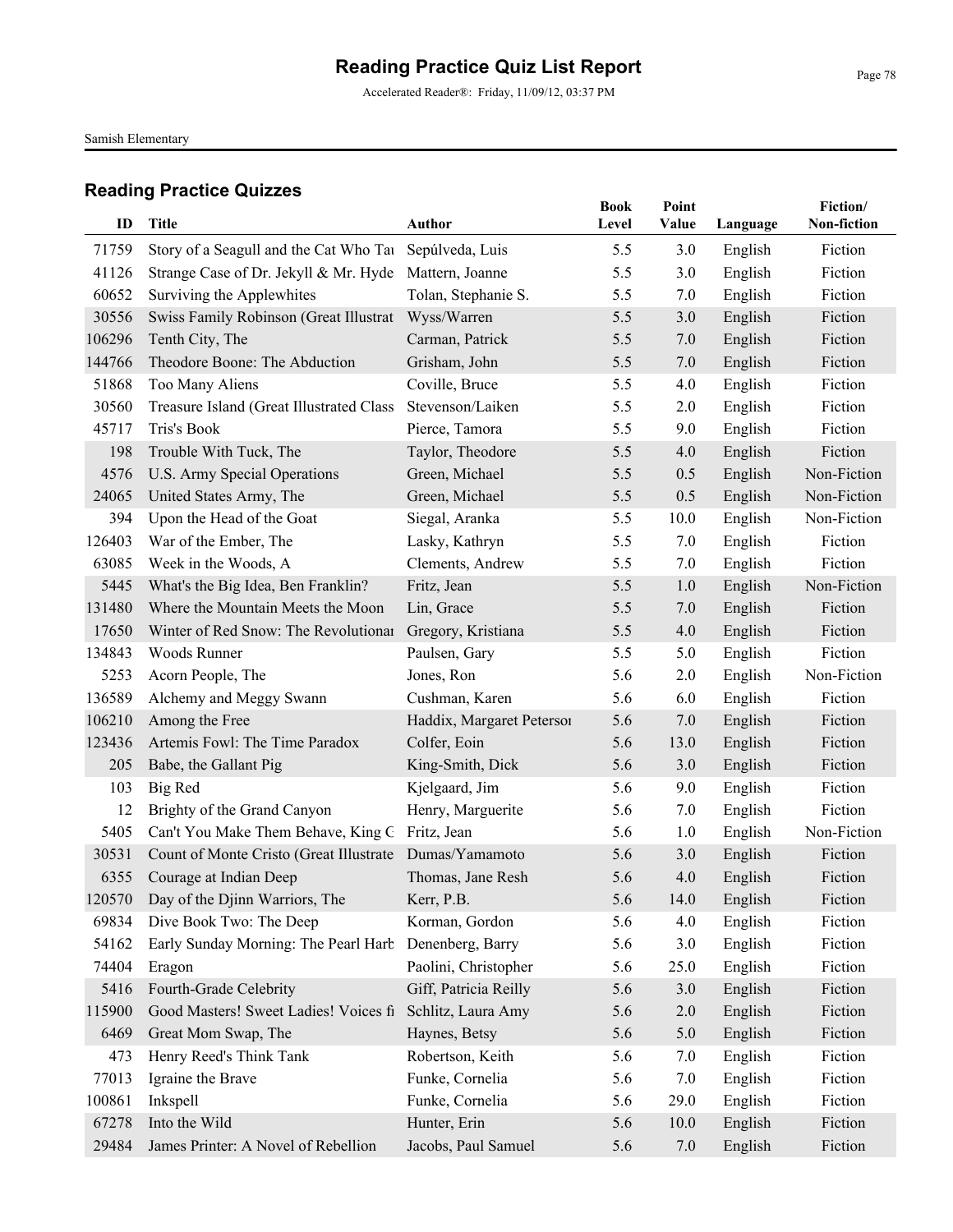Accelerated Reader®: Friday, 11/09/12, 03:37 PM

Samish Elementary

| ID     | <b>Title</b>                             | Author                    | <b>Book</b><br>Level | Point<br>Value |          | Fiction/<br>Non-fiction |
|--------|------------------------------------------|---------------------------|----------------------|----------------|----------|-------------------------|
|        |                                          |                           |                      |                | Language |                         |
| 71759  | Story of a Seagull and the Cat Who Tau   | Sepúlveda, Luis           | 5.5                  | 3.0            | English  | Fiction                 |
| 41126  | Strange Case of Dr. Jekyll & Mr. Hyde    | Mattern, Joanne           | 5.5                  | 3.0            | English  | Fiction                 |
| 60652  | Surviving the Applewhites                | Tolan, Stephanie S.       | 5.5                  | 7.0            | English  | Fiction                 |
| 30556  | Swiss Family Robinson (Great Illustrat   | Wyss/Warren               | 5.5                  | 3.0            | English  | Fiction                 |
| 106296 | Tenth City, The                          | Carman, Patrick           | 5.5                  | 7.0            | English  | Fiction                 |
| 144766 | Theodore Boone: The Abduction            | Grisham, John             | 5.5                  | 7.0            | English  | Fiction                 |
| 51868  | Too Many Aliens                          | Coville, Bruce            | 5.5                  | 4.0            | English  | Fiction                 |
| 30560  | Treasure Island (Great Illustrated Class | Stevenson/Laiken          | 5.5                  | 2.0            | English  | Fiction                 |
| 45717  | Tris's Book                              | Pierce, Tamora            | 5.5                  | 9.0            | English  | Fiction                 |
| 198    | Trouble With Tuck, The                   | Taylor, Theodore          | 5.5                  | 4.0            | English  | Fiction                 |
| 4576   | U.S. Army Special Operations             | Green, Michael            | 5.5                  | 0.5            | English  | Non-Fiction             |
| 24065  | United States Army, The                  | Green, Michael            | 5.5                  | 0.5            | English  | Non-Fiction             |
| 394    | Upon the Head of the Goat                | Siegal, Aranka            | 5.5                  | 10.0           | English  | Non-Fiction             |
| 126403 | War of the Ember, The                    | Lasky, Kathryn            | 5.5                  | 7.0            | English  | Fiction                 |
| 63085  | Week in the Woods, A                     | Clements, Andrew          | 5.5                  | 7.0            | English  | Fiction                 |
| 5445   | What's the Big Idea, Ben Franklin?       | Fritz, Jean               | 5.5                  | 1.0            | English  | Non-Fiction             |
| 131480 | Where the Mountain Meets the Moon        | Lin, Grace                | 5.5                  | 7.0            | English  | Fiction                 |
| 17650  | Winter of Red Snow: The Revolutionar     | Gregory, Kristiana        | 5.5                  | 4.0            | English  | Fiction                 |
| 134843 | Woods Runner                             | Paulsen, Gary             | 5.5                  | 5.0            | English  | Fiction                 |
| 5253   | Acorn People, The                        | Jones, Ron                | 5.6                  | 2.0            | English  | Non-Fiction             |
| 136589 | Alchemy and Meggy Swann                  | Cushman, Karen            | 5.6                  | 6.0            | English  | Fiction                 |
| 106210 | Among the Free                           | Haddix, Margaret Petersoi | 5.6                  | 7.0            | English  | Fiction                 |
| 123436 | Artemis Fowl: The Time Paradox           | Colfer, Eoin              | 5.6                  | 13.0           | English  | Fiction                 |
| 205    | Babe, the Gallant Pig                    | King-Smith, Dick          | 5.6                  | 3.0            | English  | Fiction                 |
| 103    | <b>Big Red</b>                           | Kjelgaard, Jim            | 5.6                  | 9.0            | English  | Fiction                 |
| 12     | Brighty of the Grand Canyon              | Henry, Marguerite         | 5.6                  | 7.0            | English  | Fiction                 |
| 5405   | Can't You Make Them Behave, King G       | Fritz, Jean               | 5.6                  | 1.0            | English  | Non-Fiction             |
| 30531  | Count of Monte Cristo (Great Illustrate  | Dumas/Yamamoto            | 5.6                  | 3.0            | English  | Fiction                 |
| 6355   | Courage at Indian Deep                   | Thomas, Jane Resh         | 5.6                  | 4.0            | English  | Fiction                 |
|        | 120570 Day of the Djinn Warriors, The    | Kerr, P.B.                | 5.6                  | 14.0           | English  | Fiction                 |
| 69834  | Dive Book Two: The Deep                  | Korman, Gordon            | 5.6                  | 4.0            | English  | Fiction                 |
| 54162  | Early Sunday Morning: The Pearl Harb     | Denenberg, Barry          | 5.6                  | 3.0            | English  | Fiction                 |
| 74404  | Eragon                                   | Paolini, Christopher      | 5.6                  | 25.0           | English  | Fiction                 |
| 5416   | Fourth-Grade Celebrity                   | Giff, Patricia Reilly     | 5.6                  | 3.0            | English  | Fiction                 |
| 115900 | Good Masters! Sweet Ladies! Voices fi    | Schlitz, Laura Amy        | 5.6                  | $2.0$          | English  | Fiction                 |
| 6469   | Great Mom Swap, The                      | Haynes, Betsy             | 5.6                  | 5.0            | English  | Fiction                 |
| 473    | Henry Reed's Think Tank                  | Robertson, Keith          | 5.6                  | 7.0            | English  | Fiction                 |
| 77013  | Igraine the Brave                        | Funke, Cornelia           | 5.6                  | 7.0            | English  | Fiction                 |
| 100861 | Inkspell                                 | Funke, Cornelia           | 5.6                  | 29.0           | English  | Fiction                 |
| 67278  | Into the Wild                            | Hunter, Erin              | 5.6                  | 10.0           | English  | Fiction                 |
| 29484  | James Printer: A Novel of Rebellion      | Jacobs, Paul Samuel       | 5.6                  | 7.0            | English  | Fiction                 |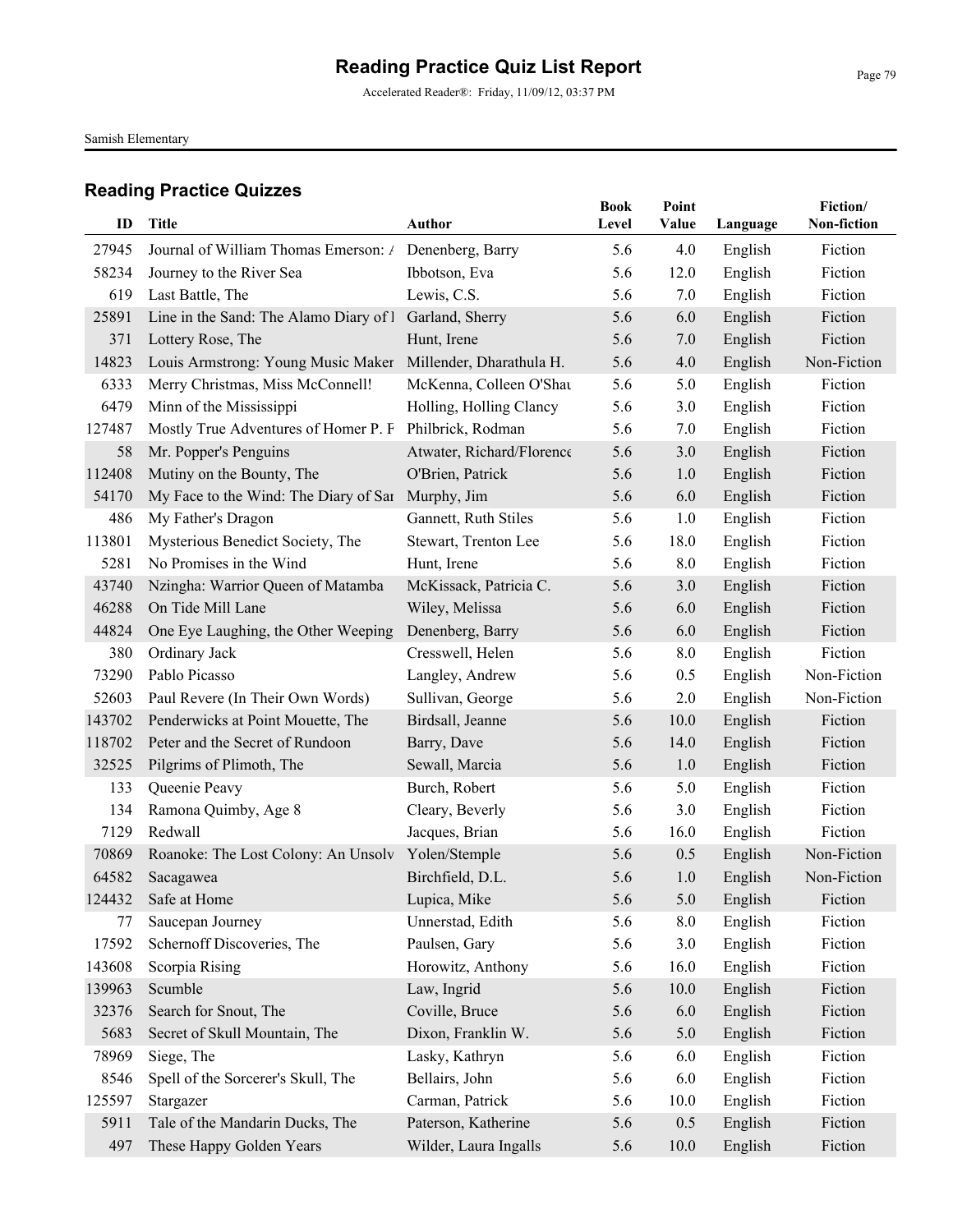Accelerated Reader®: Friday, 11/09/12, 03:37 PM

Samish Elementary

| ID             | <b>Title</b>                                                                      | <b>Author</b>             | <b>Book</b><br>Level | Point<br>Value | Language           | Fiction/<br>Non-fiction |
|----------------|-----------------------------------------------------------------------------------|---------------------------|----------------------|----------------|--------------------|-------------------------|
|                |                                                                                   |                           |                      |                |                    |                         |
| 27945<br>58234 | Journal of William Thomas Emerson: / Denenberg, Barry<br>Journey to the River Sea | Ibbotson, Eva             | 5.6<br>5.6           | 4.0<br>12.0    | English<br>English | Fiction<br>Fiction      |
| 619            | Last Battle, The                                                                  | Lewis, C.S.               | 5.6                  | 7.0            | English            | Fiction                 |
| 25891          | Line in the Sand: The Alamo Diary of I                                            | Garland, Sherry           | 5.6                  | 6.0            | English            | Fiction                 |
| 371            | Lottery Rose, The                                                                 | Hunt, Irene               | 5.6                  | 7.0            | English            | Fiction                 |
| 14823          | Louis Armstrong: Young Music Maker                                                | Millender, Dharathula H.  | 5.6                  | 4.0            | English            | Non-Fiction             |
| 6333           | Merry Christmas, Miss McConnell!                                                  | McKenna, Colleen O'Shat   | 5.6                  | 5.0            | English            | Fiction                 |
| 6479           | Minn of the Mississippi                                                           | Holling, Holling Clancy   | 5.6                  | 3.0            | English            | Fiction                 |
| 127487         | Mostly True Adventures of Homer P. F                                              | Philbrick, Rodman         | 5.6                  | 7.0            | English            | Fiction                 |
| 58             | Mr. Popper's Penguins                                                             | Atwater, Richard/Florence | 5.6                  | 3.0            | English            | Fiction                 |
| 112408         | Mutiny on the Bounty, The                                                         | O'Brien, Patrick          | 5.6                  | 1.0            | English            | Fiction                 |
| 54170          | My Face to the Wind: The Diary of Sar Murphy, Jim                                 |                           | 5.6                  | 6.0            | English            | Fiction                 |
| 486            | My Father's Dragon                                                                | Gannett, Ruth Stiles      | 5.6                  | 1.0            | English            | Fiction                 |
| 113801         | Mysterious Benedict Society, The                                                  | Stewart, Trenton Lee      | 5.6                  | 18.0           | English            | Fiction                 |
| 5281           | No Promises in the Wind                                                           | Hunt, Irene               | 5.6                  | 8.0            | English            | Fiction                 |
| 43740          | Nzingha: Warrior Queen of Matamba                                                 | McKissack, Patricia C.    | 5.6                  | 3.0            | English            | Fiction                 |
| 46288          | On Tide Mill Lane                                                                 | Wiley, Melissa            | 5.6                  | 6.0            | English            | Fiction                 |
| 44824          | One Eye Laughing, the Other Weeping                                               | Denenberg, Barry          | 5.6                  | 6.0            | English            | Fiction                 |
| 380            | Ordinary Jack                                                                     | Cresswell, Helen          | 5.6                  | 8.0            | English            | Fiction                 |
| 73290          | Pablo Picasso                                                                     | Langley, Andrew           | 5.6                  | 0.5            | English            | Non-Fiction             |
| 52603          | Paul Revere (In Their Own Words)                                                  | Sullivan, George          | 5.6                  | 2.0            | English            | Non-Fiction             |
| 143702         | Penderwicks at Point Mouette, The                                                 | Birdsall, Jeanne          | 5.6                  | 10.0           | English            | Fiction                 |
| 118702         | Peter and the Secret of Rundoon                                                   | Barry, Dave               | 5.6                  | 14.0           | English            | Fiction                 |
| 32525          | Pilgrims of Plimoth, The                                                          | Sewall, Marcia            | 5.6                  | 1.0            | English            | Fiction                 |
| 133            | Queenie Peavy                                                                     | Burch, Robert             | 5.6                  | 5.0            | English            | Fiction                 |
| 134            | Ramona Quimby, Age 8                                                              | Cleary, Beverly           | 5.6                  | 3.0            | English            | Fiction                 |
| 7129           | Redwall                                                                           | Jacques, Brian            | 5.6                  | 16.0           | English            | Fiction                 |
| 70869          | Roanoke: The Lost Colony: An Unsolv                                               | Yolen/Stemple             | 5.6                  | 0.5            | English            | Non-Fiction             |
| 64582          | Sacagawea                                                                         | Birchfield, D.L.          | 5.6                  | 1.0            | English            | Non-Fiction             |
|                | 124432 Safe at Home                                                               | Lupica, Mike              | 5.6                  | 5.0            | English            | Fiction                 |
| 77             | Saucepan Journey                                                                  | Unnerstad, Edith          | 5.6                  | 8.0            | English            | Fiction                 |
| 17592          | Schernoff Discoveries, The                                                        | Paulsen, Gary             | 5.6                  | 3.0            | English            | Fiction                 |
| 143608         | Scorpia Rising                                                                    | Horowitz, Anthony         | 5.6                  | 16.0           | English            | Fiction                 |
| 139963         | Scumble                                                                           | Law, Ingrid               | 5.6                  | 10.0           | English            | Fiction                 |
| 32376          | Search for Snout, The                                                             | Coville, Bruce            | 5.6                  | 6.0            | English            | Fiction                 |
| 5683           | Secret of Skull Mountain, The                                                     | Dixon, Franklin W.        | 5.6                  | 5.0            | English            | Fiction                 |
| 78969          | Siege, The                                                                        | Lasky, Kathryn            | 5.6                  | 6.0            | English            | Fiction                 |
| 8546           | Spell of the Sorcerer's Skull, The                                                | Bellairs, John            | 5.6                  | 6.0            | English            | Fiction                 |
| 125597         | Stargazer                                                                         | Carman, Patrick           | 5.6                  | 10.0           | English            | Fiction                 |
| 5911           | Tale of the Mandarin Ducks, The                                                   | Paterson, Katherine       | 5.6                  | 0.5            | English            | Fiction                 |
| 497            | These Happy Golden Years                                                          | Wilder, Laura Ingalls     | 5.6                  | 10.0           | English            | Fiction                 |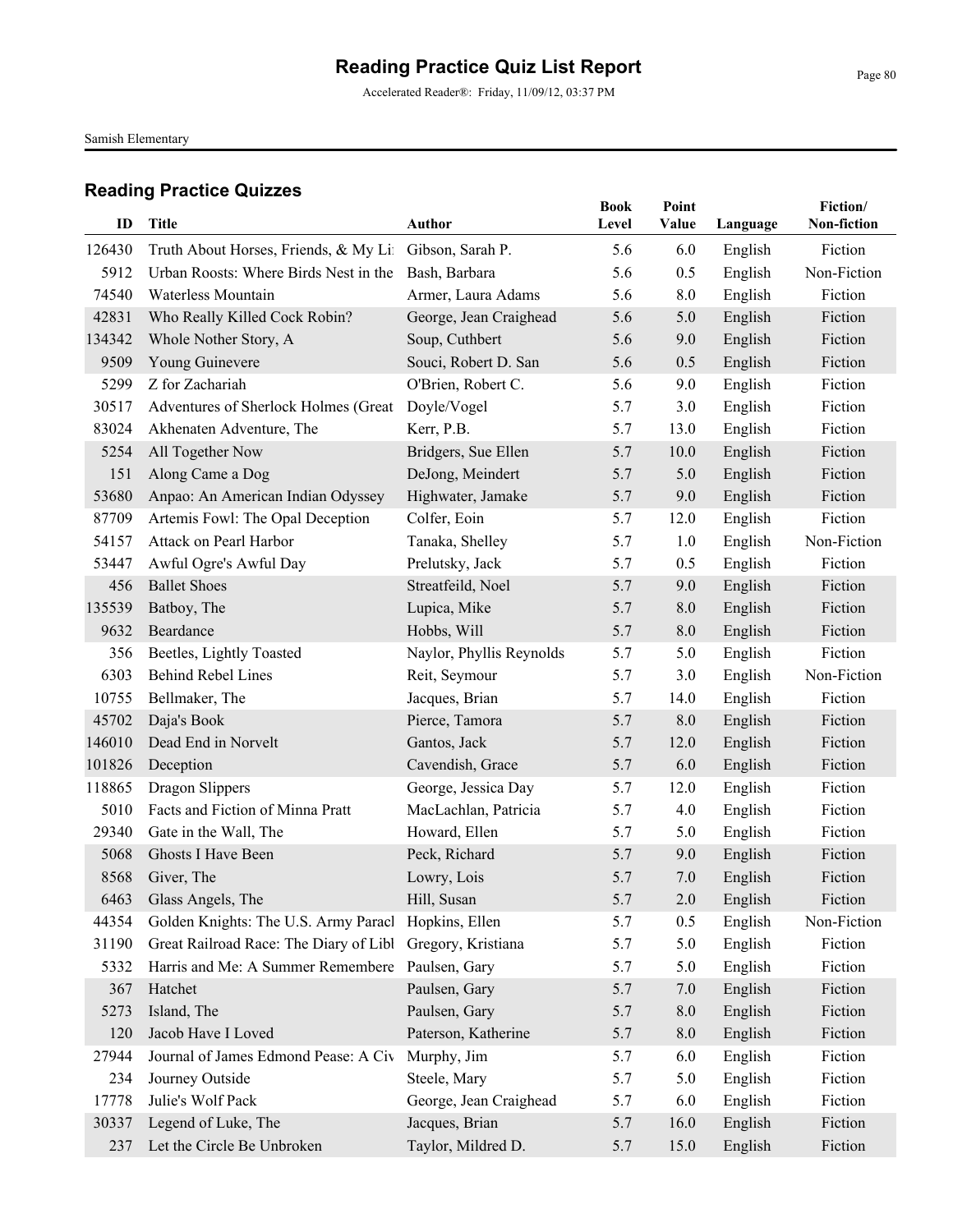Accelerated Reader®: Friday, 11/09/12, 03:37 PM

Samish Elementary

| ID     | <b>Title</b>                                              | Author                   | <b>Book</b><br>Level | Point<br>Value | Language | Fiction/<br>Non-fiction |
|--------|-----------------------------------------------------------|--------------------------|----------------------|----------------|----------|-------------------------|
| 126430 | Truth About Horses, Friends, & My Lit                     | Gibson, Sarah P.         | 5.6                  | 6.0            | English  | Fiction                 |
| 5912   | Urban Roosts: Where Birds Nest in the                     | Bash, Barbara            | 5.6                  | 0.5            | English  | Non-Fiction             |
| 74540  | Waterless Mountain                                        | Armer, Laura Adams       | 5.6                  | 8.0            | English  | Fiction                 |
| 42831  | Who Really Killed Cock Robin?                             | George, Jean Craighead   | 5.6                  | 5.0            | English  | Fiction                 |
| 134342 | Whole Nother Story, A                                     | Soup, Cuthbert           | 5.6                  | 9.0            | English  | Fiction                 |
| 9509   | Young Guinevere                                           | Souci, Robert D. San     | 5.6                  | 0.5            | English  | Fiction                 |
| 5299   | Z for Zachariah                                           | O'Brien, Robert C.       | 5.6                  | 9.0            | English  | Fiction                 |
| 30517  | Adventures of Sherlock Holmes (Great                      | Doyle/Vogel              | 5.7                  | 3.0            | English  | Fiction                 |
| 83024  | Akhenaten Adventure, The                                  | Kerr, P.B.               | 5.7                  | 13.0           | English  | Fiction                 |
| 5254   | All Together Now                                          | Bridgers, Sue Ellen      | 5.7                  | 10.0           | English  | Fiction                 |
| 151    | Along Came a Dog                                          | DeJong, Meindert         | 5.7                  | 5.0            | English  | Fiction                 |
| 53680  | Anpao: An American Indian Odyssey                         | Highwater, Jamake        | 5.7                  | 9.0            | English  | Fiction                 |
| 87709  | Artemis Fowl: The Opal Deception                          | Colfer, Eoin             | 5.7                  | 12.0           | English  | Fiction                 |
| 54157  | Attack on Pearl Harbor                                    | Tanaka, Shelley          | 5.7                  | 1.0            | English  | Non-Fiction             |
| 53447  | Awful Ogre's Awful Day                                    | Prelutsky, Jack          | 5.7                  | 0.5            | English  | Fiction                 |
| 456    | <b>Ballet Shoes</b>                                       | Streatfeild, Noel        | 5.7                  | 9.0            | English  | Fiction                 |
| 135539 | Batboy, The                                               | Lupica, Mike             | 5.7                  | 8.0            | English  | Fiction                 |
| 9632   | Beardance                                                 | Hobbs, Will              | 5.7                  | 8.0            | English  | Fiction                 |
| 356    | Beetles, Lightly Toasted                                  | Naylor, Phyllis Reynolds | 5.7                  | 5.0            | English  | Fiction                 |
| 6303   | <b>Behind Rebel Lines</b>                                 | Reit, Seymour            | 5.7                  | 3.0            | English  | Non-Fiction             |
| 10755  | Bellmaker, The                                            | Jacques, Brian           | 5.7                  | 14.0           | English  | Fiction                 |
| 45702  | Daja's Book                                               | Pierce, Tamora           | 5.7                  | 8.0            | English  | Fiction                 |
| 146010 | Dead End in Norvelt                                       | Gantos, Jack             | 5.7                  | 12.0           | English  | Fiction                 |
| 101826 | Deception                                                 | Cavendish, Grace         | 5.7                  | 6.0            | English  | Fiction                 |
| 118865 | Dragon Slippers                                           | George, Jessica Day      | 5.7                  | 12.0           | English  | Fiction                 |
| 5010   | Facts and Fiction of Minna Pratt                          | MacLachlan, Patricia     | 5.7                  | 4.0            | English  | Fiction                 |
| 29340  | Gate in the Wall, The                                     | Howard, Ellen            | 5.7                  | 5.0            | English  | Fiction                 |
| 5068   | Ghosts I Have Been                                        | Peck, Richard            | 5.7                  | 9.0            | English  | Fiction                 |
| 8568   | Giver, The                                                | Lowry, Lois              | 5.7                  | 7.0            | English  | Fiction                 |
|        | 6463 Glass Angels, The                                    | Hill, Susan              | 5.7                  | 2.0            | English  | Fiction                 |
| 44354  | Golden Knights: The U.S. Army Paracl                      | Hopkins, Ellen           | 5.7                  | 0.5            | English  | Non-Fiction             |
| 31190  | Great Railroad Race: The Diary of Libl Gregory, Kristiana |                          | 5.7                  | 5.0            | English  | Fiction                 |
| 5332   | Harris and Me: A Summer Remembere                         | Paulsen, Gary            | 5.7                  | 5.0            | English  | Fiction                 |
| 367    | Hatchet                                                   | Paulsen, Gary            | 5.7                  | 7.0            | English  | Fiction                 |
| 5273   | Island, The                                               | Paulsen, Gary            | 5.7                  | 8.0            | English  | Fiction                 |
| 120    | Jacob Have I Loved                                        | Paterson, Katherine      | 5.7                  | $8.0\,$        | English  | Fiction                 |
| 27944  | Journal of James Edmond Pease: A Civ                      | Murphy, Jim              | 5.7                  | 6.0            | English  | Fiction                 |
| 234    | Journey Outside                                           | Steele, Mary             | 5.7                  | 5.0            | English  | Fiction                 |
| 17778  | Julie's Wolf Pack                                         | George, Jean Craighead   | 5.7                  | 6.0            | English  | Fiction                 |
| 30337  | Legend of Luke, The                                       | Jacques, Brian           | 5.7                  | 16.0           | English  | Fiction                 |
| 237    | Let the Circle Be Unbroken                                | Taylor, Mildred D.       | 5.7                  | 15.0           | English  | Fiction                 |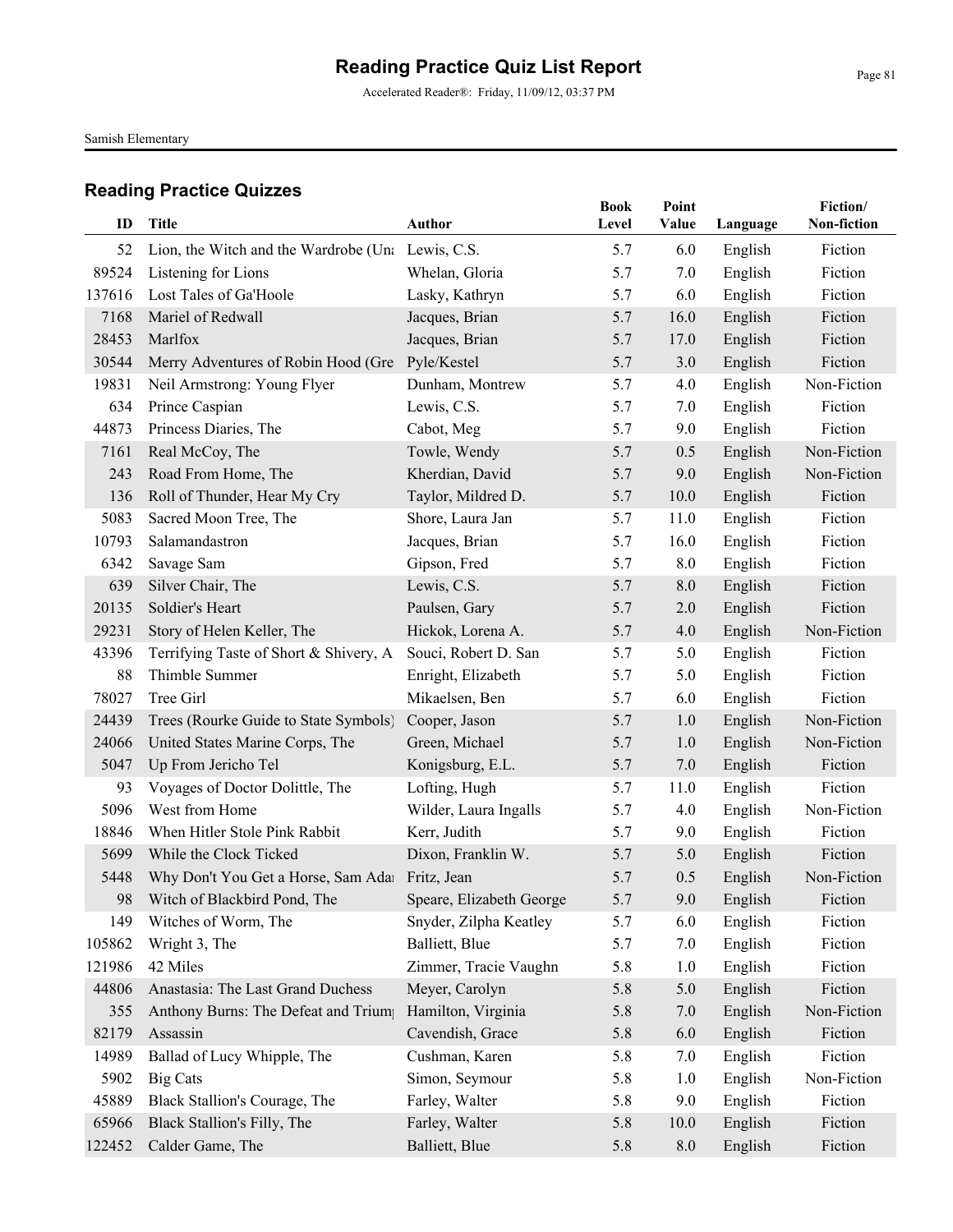Accelerated Reader®: Friday, 11/09/12, 03:37 PM

Samish Elementary

| ID     | <b>Title</b>                                      | <b>Author</b>            | <b>Book</b><br>Level | Point<br>Value | Language | Fiction/<br>Non-fiction |
|--------|---------------------------------------------------|--------------------------|----------------------|----------------|----------|-------------------------|
| 52     | Lion, the Witch and the Wardrobe (Una Lewis, C.S. |                          | 5.7                  | 6.0            | English  | Fiction                 |
| 89524  | Listening for Lions                               | Whelan, Gloria           | 5.7                  | 7.0            | English  | Fiction                 |
| 137616 | Lost Tales of Ga'Hoole                            | Lasky, Kathryn           | 5.7                  | 6.0            | English  | Fiction                 |
| 7168   | Mariel of Redwall                                 | Jacques, Brian           | 5.7                  | 16.0           | English  | Fiction                 |
| 28453  | Marlfox                                           | Jacques, Brian           | 5.7                  | 17.0           | English  | Fiction                 |
| 30544  | Merry Adventures of Robin Hood (Gre               | Pyle/Kestel              | 5.7                  | 3.0            | English  | Fiction                 |
| 19831  | Neil Armstrong: Young Flyer                       | Dunham, Montrew          | 5.7                  | 4.0            | English  | Non-Fiction             |
| 634    | Prince Caspian                                    | Lewis, C.S.              | 5.7                  | 7.0            | English  | Fiction                 |
| 44873  | Princess Diaries, The                             | Cabot, Meg               | 5.7                  | 9.0            | English  | Fiction                 |
| 7161   | Real McCoy, The                                   | Towle, Wendy             | 5.7                  | 0.5            | English  | Non-Fiction             |
| 243    | Road From Home, The                               | Kherdian, David          | 5.7                  | 9.0            | English  | Non-Fiction             |
| 136    | Roll of Thunder, Hear My Cry                      | Taylor, Mildred D.       | 5.7                  | 10.0           | English  | Fiction                 |
| 5083   | Sacred Moon Tree, The                             | Shore, Laura Jan         | 5.7                  | 11.0           | English  | Fiction                 |
| 10793  | Salamandastron                                    | Jacques, Brian           | 5.7                  | 16.0           | English  | Fiction                 |
| 6342   | Savage Sam                                        | Gipson, Fred             | 5.7                  | 8.0            | English  | Fiction                 |
| 639    | Silver Chair, The                                 | Lewis, C.S.              | 5.7                  | 8.0            | English  | Fiction                 |
| 20135  | Soldier's Heart                                   | Paulsen, Gary            | 5.7                  | 2.0            | English  | Fiction                 |
| 29231  | Story of Helen Keller, The                        | Hickok, Lorena A.        | 5.7                  | 4.0            | English  | Non-Fiction             |
| 43396  | Terrifying Taste of Short & Shivery, A            | Souci, Robert D. San     | 5.7                  | 5.0            | English  | Fiction                 |
| 88     | Thimble Summer                                    | Enright, Elizabeth       | 5.7                  | 5.0            | English  | Fiction                 |
| 78027  | Tree Girl                                         | Mikaelsen, Ben           | 5.7                  | 6.0            | English  | Fiction                 |
| 24439  | Trees (Rourke Guide to State Symbols)             | Cooper, Jason            | 5.7                  | 1.0            | English  | Non-Fiction             |
| 24066  | United States Marine Corps, The                   | Green, Michael           | 5.7                  | 1.0            | English  | Non-Fiction             |
| 5047   | Up From Jericho Tel                               | Konigsburg, E.L.         | 5.7                  | 7.0            | English  | Fiction                 |
| 93     | Voyages of Doctor Dolittle, The                   | Lofting, Hugh            | 5.7                  | 11.0           | English  | Fiction                 |
| 5096   | West from Home                                    | Wilder, Laura Ingalls    | 5.7                  | 4.0            | English  | Non-Fiction             |
| 18846  | When Hitler Stole Pink Rabbit                     | Kerr, Judith             | 5.7                  | 9.0            | English  | Fiction                 |
| 5699   | While the Clock Ticked                            | Dixon, Franklin W.       | 5.7                  | 5.0            | English  | Fiction                 |
| 5448   | Why Don't You Get a Horse, Sam Ada Fritz, Jean    |                          | 5.7                  | 0.5            | English  | Non-Fiction             |
| 98     | Witch of Blackbird Pond, The                      | Speare, Elizabeth George | 5.7                  | 9.0            | English  | Fiction                 |
| 149    | Witches of Worm, The                              | Snyder, Zilpha Keatley   | 5.7                  | 6.0            | English  | Fiction                 |
| 105862 | Wright 3, The                                     | Balliett, Blue           | 5.7                  | 7.0            | English  | Fiction                 |
| 121986 | 42 Miles                                          | Zimmer, Tracie Vaughn    | 5.8                  | 1.0            | English  | Fiction                 |
| 44806  | Anastasia: The Last Grand Duchess                 | Meyer, Carolyn           | 5.8                  | 5.0            | English  | Fiction                 |
| 355    | Anthony Burns: The Defeat and Trium               | Hamilton, Virginia       | 5.8                  | 7.0            | English  | Non-Fiction             |
| 82179  | Assassin                                          | Cavendish, Grace         | 5.8                  | 6.0            | English  | Fiction                 |
| 14989  | Ballad of Lucy Whipple, The                       | Cushman, Karen           | 5.8                  | 7.0            | English  | Fiction                 |
| 5902   | <b>Big Cats</b>                                   | Simon, Seymour           | 5.8                  | 1.0            | English  | Non-Fiction             |
| 45889  | Black Stallion's Courage, The                     | Farley, Walter           | 5.8                  | 9.0            | English  | Fiction                 |
| 65966  | Black Stallion's Filly, The                       | Farley, Walter           | 5.8                  | 10.0           | English  | Fiction                 |
| 122452 | Calder Game, The                                  | Balliett, Blue           | 5.8                  | $8.0\,$        | English  | Fiction                 |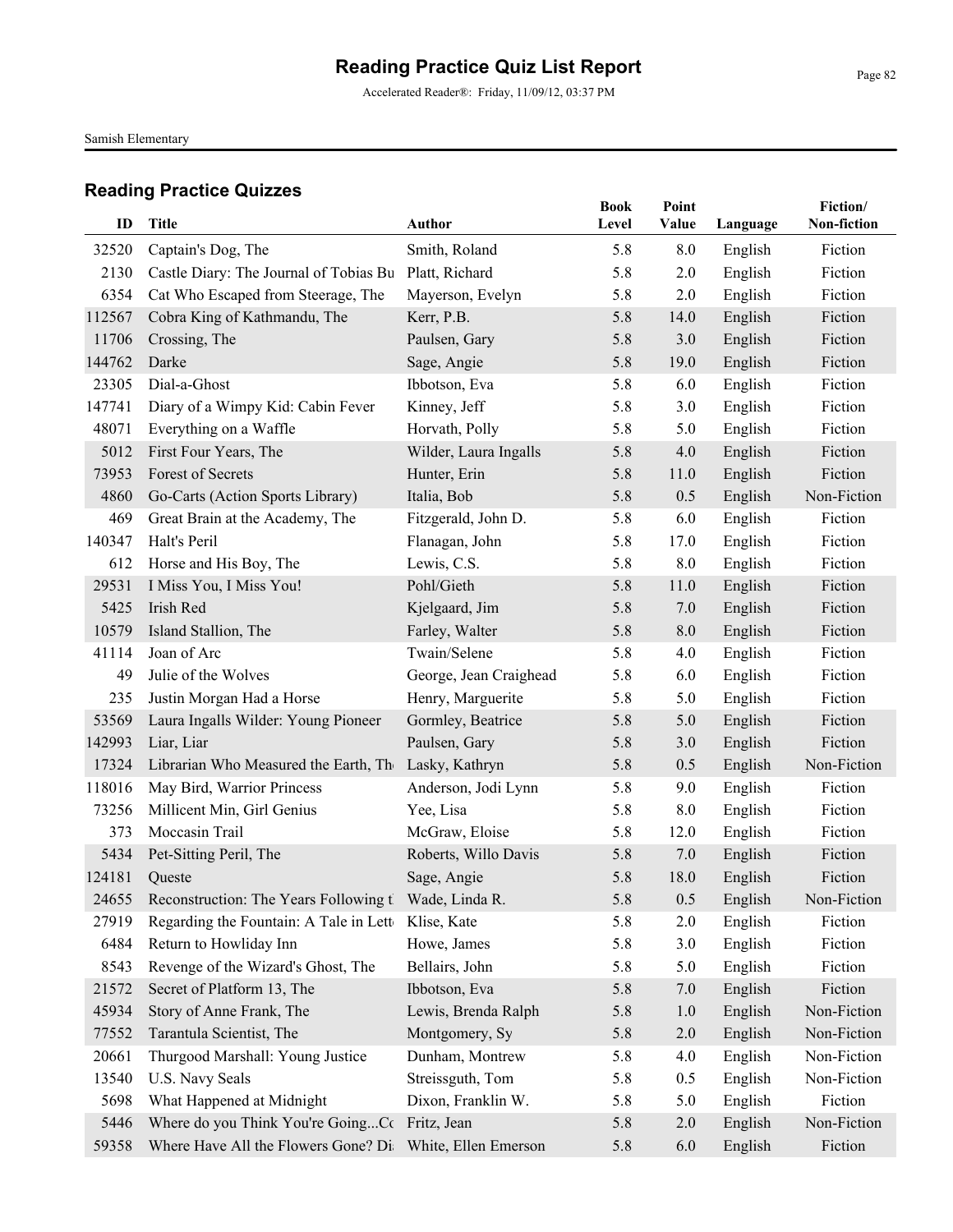Accelerated Reader®: Friday, 11/09/12, 03:37 PM

Samish Elementary

| ID     | <b>Title</b>                                               | <b>Author</b>          | <b>Book</b><br>Level | Point<br>Value | Language | Fiction/<br>Non-fiction |
|--------|------------------------------------------------------------|------------------------|----------------------|----------------|----------|-------------------------|
| 32520  | Captain's Dog, The                                         | Smith, Roland          | 5.8                  | 8.0            | English  | Fiction                 |
| 2130   | Castle Diary: The Journal of Tobias Bu                     | Platt, Richard         | 5.8                  | 2.0            | English  | Fiction                 |
| 6354   | Cat Who Escaped from Steerage, The                         | Mayerson, Evelyn       | 5.8                  | 2.0            | English  | Fiction                 |
| 112567 | Cobra King of Kathmandu, The                               | Kerr, P.B.             | 5.8                  | 14.0           | English  | Fiction                 |
| 11706  | Crossing, The                                              | Paulsen, Gary          | 5.8                  | 3.0            | English  | Fiction                 |
| 144762 | Darke                                                      | Sage, Angie            | 5.8                  | 19.0           | English  | Fiction                 |
| 23305  | Dial-a-Ghost                                               | Ibbotson, Eva          | 5.8                  | 6.0            | English  | Fiction                 |
| 147741 | Diary of a Wimpy Kid: Cabin Fever                          | Kinney, Jeff           | 5.8                  | 3.0            | English  | Fiction                 |
| 48071  | Everything on a Waffle                                     | Horvath, Polly         | 5.8                  | 5.0            | English  | Fiction                 |
| 5012   | First Four Years, The                                      | Wilder, Laura Ingalls  | 5.8                  | 4.0            | English  | Fiction                 |
| 73953  | Forest of Secrets                                          | Hunter, Erin           | 5.8                  | 11.0           | English  | Fiction                 |
| 4860   | Go-Carts (Action Sports Library)                           | Italia, Bob            | 5.8                  | 0.5            | English  | Non-Fiction             |
| 469    | Great Brain at the Academy, The                            | Fitzgerald, John D.    | 5.8                  | 6.0            | English  | Fiction                 |
| 140347 | Halt's Peril                                               | Flanagan, John         | 5.8                  | 17.0           | English  | Fiction                 |
| 612    | Horse and His Boy, The                                     | Lewis, C.S.            | 5.8                  | 8.0            | English  | Fiction                 |
| 29531  | I Miss You, I Miss You!                                    | Pohl/Gieth             | 5.8                  | 11.0           | English  | Fiction                 |
| 5425   | Irish Red                                                  | Kjelgaard, Jim         | 5.8                  | 7.0            | English  | Fiction                 |
| 10579  | Island Stallion, The                                       | Farley, Walter         | 5.8                  | 8.0            | English  | Fiction                 |
| 41114  | Joan of Arc                                                | Twain/Selene           | 5.8                  | 4.0            | English  | Fiction                 |
| 49     | Julie of the Wolves                                        | George, Jean Craighead | 5.8                  | 6.0            | English  | Fiction                 |
| 235    | Justin Morgan Had a Horse                                  | Henry, Marguerite      | 5.8                  | 5.0            | English  | Fiction                 |
| 53569  | Laura Ingalls Wilder: Young Pioneer                        | Gormley, Beatrice      | 5.8                  | 5.0            | English  | Fiction                 |
| 142993 | Liar, Liar                                                 | Paulsen, Gary          | 5.8                  | 3.0            | English  | Fiction                 |
| 17324  | Librarian Who Measured the Earth, The                      | Lasky, Kathryn         | 5.8                  | 0.5            | English  | Non-Fiction             |
| 118016 | May Bird, Warrior Princess                                 | Anderson, Jodi Lynn    | 5.8                  | 9.0            | English  | Fiction                 |
| 73256  | Millicent Min, Girl Genius                                 | Yee, Lisa              | 5.8                  | 8.0            | English  | Fiction                 |
| 373    | Moccasin Trail                                             | McGraw, Eloise         | 5.8                  | 12.0           | English  | Fiction                 |
| 5434   | Pet-Sitting Peril, The                                     | Roberts, Willo Davis   | 5.8                  | 7.0            | English  | Fiction                 |
| 124181 | Queste                                                     | Sage, Angie            | 5.8                  | 18.0           | English  | Fiction                 |
|        | 24655 Reconstruction: The Years Following t Wade, Linda R. |                        | 5.8                  | 0.5            | English  | Non-Fiction             |
| 27919  | Regarding the Fountain: A Tale in Lette                    | Klise, Kate            | 5.8                  | 2.0            | English  | Fiction                 |
| 6484   | Return to Howliday Inn                                     | Howe, James            | 5.8                  | 3.0            | English  | Fiction                 |
| 8543   | Revenge of the Wizard's Ghost, The                         | Bellairs, John         | 5.8                  | 5.0            | English  | Fiction                 |
| 21572  | Secret of Platform 13, The                                 | Ibbotson, Eva          | 5.8                  | 7.0            | English  | Fiction                 |
| 45934  | Story of Anne Frank, The                                   | Lewis, Brenda Ralph    | 5.8                  | 1.0            | English  | Non-Fiction             |
| 77552  | Tarantula Scientist, The                                   | Montgomery, Sy         | 5.8                  | 2.0            | English  | Non-Fiction             |
| 20661  | Thurgood Marshall: Young Justice                           | Dunham, Montrew        | 5.8                  | 4.0            | English  | Non-Fiction             |
| 13540  | U.S. Navy Seals                                            | Streissguth, Tom       | 5.8                  | 0.5            | English  | Non-Fiction             |
| 5698   | What Happened at Midnight                                  | Dixon, Franklin W.     | 5.8                  | 5.0            | English  | Fiction                 |
| 5446   | Where do you Think You're GoingCc Fritz, Jean              |                        | 5.8                  | 2.0            | English  | Non-Fiction             |
| 59358  | Where Have All the Flowers Gone? Di: White, Ellen Emerson  |                        | 5.8                  | 6.0            | English  | Fiction                 |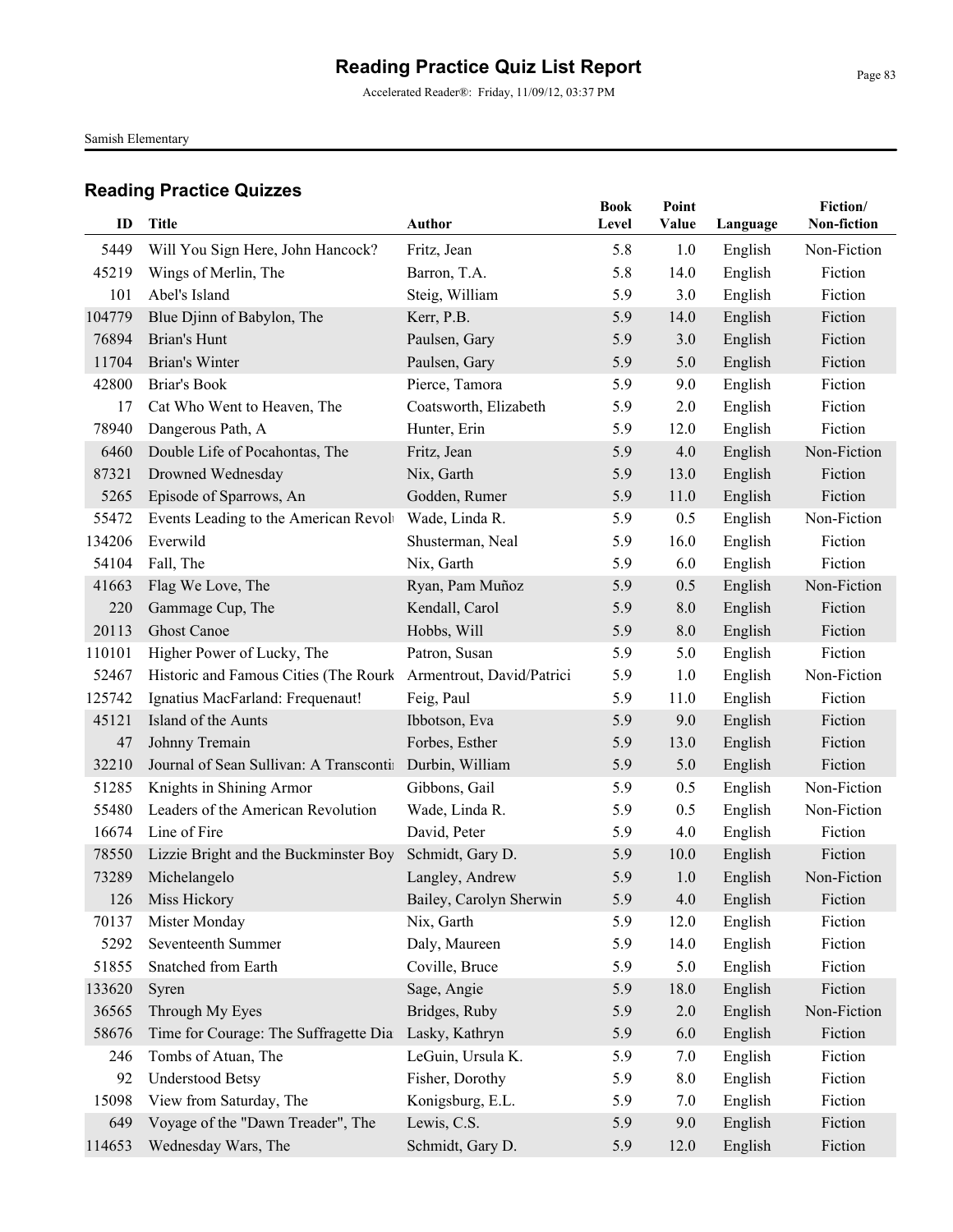Accelerated Reader®: Friday, 11/09/12, 03:37 PM

Samish Elementary

| ID     | <b>Title</b>                            | <b>Author</b>             | <b>Book</b><br>Level | Point<br>Value | Language | Fiction/<br>Non-fiction |
|--------|-----------------------------------------|---------------------------|----------------------|----------------|----------|-------------------------|
| 5449   | Will You Sign Here, John Hancock?       | Fritz, Jean               | 5.8                  | 1.0            | English  | Non-Fiction             |
| 45219  | Wings of Merlin, The                    | Barron, T.A.              | 5.8                  | 14.0           | English  | Fiction                 |
| 101    | Abel's Island                           | Steig, William            | 5.9                  | 3.0            | English  | Fiction                 |
| 104779 | Blue Djinn of Babylon, The              | Kerr, P.B.                | 5.9                  | 14.0           | English  | Fiction                 |
| 76894  | Brian's Hunt                            | Paulsen, Gary             | 5.9                  | 3.0            | English  | Fiction                 |
| 11704  | Brian's Winter                          | Paulsen, Gary             | 5.9                  | 5.0            | English  | Fiction                 |
| 42800  | Briar's Book                            | Pierce, Tamora            | 5.9                  | 9.0            | English  | Fiction                 |
| 17     | Cat Who Went to Heaven, The             | Coatsworth, Elizabeth     | 5.9                  | 2.0            | English  | Fiction                 |
| 78940  | Dangerous Path, A                       | Hunter, Erin              | 5.9                  | 12.0           | English  | Fiction                 |
| 6460   | Double Life of Pocahontas, The          | Fritz, Jean               | 5.9                  | 4.0            | English  | Non-Fiction             |
| 87321  | Drowned Wednesday                       | Nix, Garth                | 5.9                  | 13.0           | English  | Fiction                 |
| 5265   | Episode of Sparrows, An                 | Godden, Rumer             | 5.9                  | 11.0           | English  | Fiction                 |
| 55472  | Events Leading to the American Revolv   | Wade, Linda R.            | 5.9                  | 0.5            | English  | Non-Fiction             |
| 134206 | Everwild                                | Shusterman, Neal          | 5.9                  | 16.0           | English  | Fiction                 |
| 54104  | Fall, The                               | Nix, Garth                | 5.9                  | 6.0            | English  | Fiction                 |
| 41663  | Flag We Love, The                       | Ryan, Pam Muñoz           | 5.9                  | 0.5            | English  | Non-Fiction             |
| 220    | Gammage Cup, The                        | Kendall, Carol            | 5.9                  | 8.0            | English  | Fiction                 |
| 20113  | <b>Ghost Canoe</b>                      | Hobbs, Will               | 5.9                  | 8.0            | English  | Fiction                 |
| 110101 | Higher Power of Lucky, The              | Patron, Susan             | 5.9                  | 5.0            | English  | Fiction                 |
| 52467  | Historic and Famous Cities (The Rourk   | Armentrout, David/Patrici | 5.9                  | 1.0            | English  | Non-Fiction             |
| 125742 | Ignatius MacFarland: Frequenaut!        | Feig, Paul                | 5.9                  | 11.0           | English  | Fiction                 |
| 45121  | Island of the Aunts                     | Ibbotson, Eva             | 5.9                  | 9.0            | English  | Fiction                 |
| 47     | Johnny Tremain                          | Forbes, Esther            | 5.9                  | 13.0           | English  | Fiction                 |
| 32210  | Journal of Sean Sullivan: A Transcontin | Durbin, William           | 5.9                  | 5.0            | English  | Fiction                 |
| 51285  | Knights in Shining Armor                | Gibbons, Gail             | 5.9                  | 0.5            | English  | Non-Fiction             |
| 55480  | Leaders of the American Revolution      | Wade, Linda R.            | 5.9                  | 0.5            | English  | Non-Fiction             |
| 16674  | Line of Fire                            | David, Peter              | 5.9                  | 4.0            | English  | Fiction                 |
| 78550  | Lizzie Bright and the Buckminster Boy   | Schmidt, Gary D.          | 5.9                  | 10.0           | English  | Fiction                 |
| 73289  | Michelangelo                            | Langley, Andrew           | 5.9                  | 1.0            | English  | Non-Fiction             |
|        | 126 Miss Hickory                        | Bailey, Carolyn Sherwin   | 5.9                  | 4.0            | English  | Fiction                 |
| 70137  | Mister Monday                           | Nix, Garth                | 5.9                  | 12.0           | English  | Fiction                 |
| 5292   | Seventeenth Summer                      | Daly, Maureen             | 5.9                  | 14.0           | English  | Fiction                 |
| 51855  | Snatched from Earth                     | Coville, Bruce            | 5.9                  | 5.0            | English  | Fiction                 |
| 133620 | Syren                                   | Sage, Angie               | 5.9                  | 18.0           | English  | Fiction                 |
| 36565  | Through My Eyes                         | Bridges, Ruby             | 5.9                  | $2.0$          | English  | Non-Fiction             |
| 58676  | Time for Courage: The Suffragette Dia   | Lasky, Kathryn            | 5.9                  | 6.0            | English  | Fiction                 |
| 246    | Tombs of Atuan, The                     | LeGuin, Ursula K.         | 5.9                  | 7.0            | English  | Fiction                 |
| 92     | <b>Understood Betsy</b>                 | Fisher, Dorothy           | 5.9                  | 8.0            | English  | Fiction                 |
| 15098  | View from Saturday, The                 | Konigsburg, E.L.          | 5.9                  | 7.0            | English  | Fiction                 |
| 649    | Voyage of the "Dawn Treader", The       | Lewis, C.S.               | 5.9                  | 9.0            | English  | Fiction                 |
| 114653 | Wednesday Wars, The                     | Schmidt, Gary D.          | 5.9                  | 12.0           | English  | Fiction                 |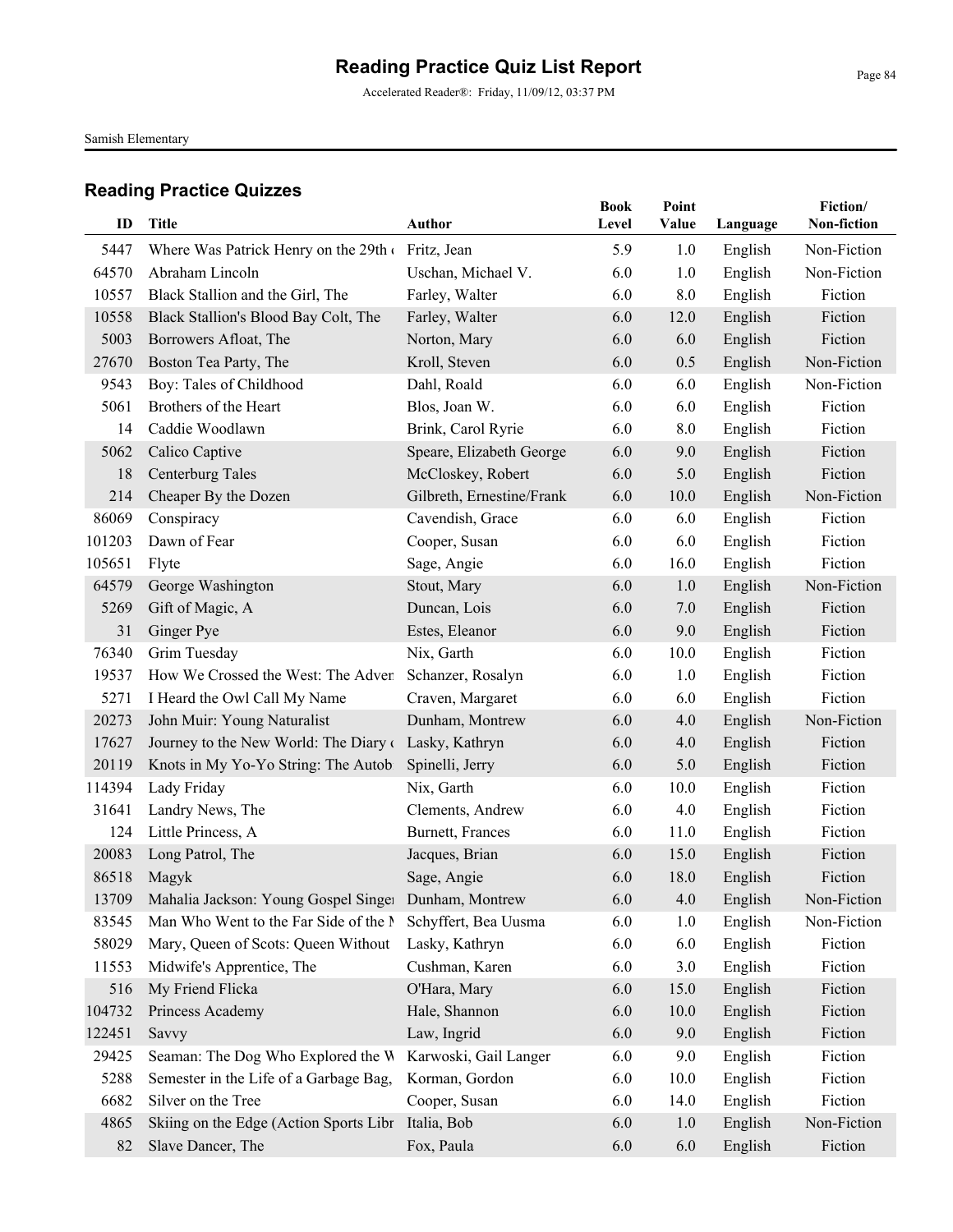Accelerated Reader®: Friday, 11/09/12, 03:37 PM

Samish Elementary

| ID     | <b>Title</b>                                         | <b>Author</b>             | <b>Book</b><br>Level | Point<br>Value |          | Fiction/<br>Non-fiction |
|--------|------------------------------------------------------|---------------------------|----------------------|----------------|----------|-------------------------|
|        |                                                      |                           |                      |                | Language |                         |
| 5447   | Where Was Patrick Henry on the 29th                  | Fritz, Jean               | 5.9                  | 1.0            | English  | Non-Fiction             |
| 64570  | Abraham Lincoln                                      | Uschan, Michael V.        | 6.0                  | 1.0            | English  | Non-Fiction             |
| 10557  | Black Stallion and the Girl, The                     | Farley, Walter            | 6.0                  | 8.0            | English  | Fiction                 |
| 10558  | Black Stallion's Blood Bay Colt, The                 | Farley, Walter            | 6.0                  | 12.0           | English  | Fiction                 |
| 5003   | Borrowers Afloat, The                                | Norton, Mary              | 6.0                  | 6.0            | English  | Fiction                 |
| 27670  | Boston Tea Party, The                                | Kroll, Steven             | 6.0                  | 0.5            | English  | Non-Fiction             |
| 9543   | Boy: Tales of Childhood                              | Dahl, Roald               | 6.0                  | 6.0            | English  | Non-Fiction             |
| 5061   | Brothers of the Heart                                | Blos, Joan W.             | 6.0                  | 6.0            | English  | Fiction                 |
| 14     | Caddie Woodlawn                                      | Brink, Carol Ryrie        | 6.0                  | 8.0            | English  | Fiction                 |
| 5062   | Calico Captive                                       | Speare, Elizabeth George  | 6.0                  | 9.0            | English  | Fiction                 |
| 18     | <b>Centerburg Tales</b>                              | McCloskey, Robert         | 6.0                  | 5.0            | English  | Fiction                 |
| 214    | Cheaper By the Dozen                                 | Gilbreth, Ernestine/Frank | 6.0                  | 10.0           | English  | Non-Fiction             |
| 86069  | Conspiracy                                           | Cavendish, Grace          | 6.0                  | 6.0            | English  | Fiction                 |
| 101203 | Dawn of Fear                                         | Cooper, Susan             | 6.0                  | 6.0            | English  | Fiction                 |
| 105651 | Flyte                                                | Sage, Angie               | 6.0                  | 16.0           | English  | Fiction                 |
| 64579  | George Washington                                    | Stout, Mary               | 6.0                  | 1.0            | English  | Non-Fiction             |
| 5269   | Gift of Magic, A                                     | Duncan, Lois              | 6.0                  | 7.0            | English  | Fiction                 |
| 31     | Ginger Pye                                           | Estes, Eleanor            | 6.0                  | 9.0            | English  | Fiction                 |
| 76340  | Grim Tuesday                                         | Nix, Garth                | 6.0                  | 10.0           | English  | Fiction                 |
| 19537  | How We Crossed the West: The Adven                   | Schanzer, Rosalyn         | 6.0                  | 1.0            | English  | Fiction                 |
| 5271   | I Heard the Owl Call My Name                         | Craven, Margaret          | 6.0                  | 6.0            | English  | Fiction                 |
| 20273  | John Muir: Young Naturalist                          | Dunham, Montrew           | 6.0                  | 4.0            | English  | Non-Fiction             |
| 17627  | Journey to the New World: The Diary of               | Lasky, Kathryn            | 6.0                  | 4.0            | English  | Fiction                 |
| 20119  | Knots in My Yo-Yo String: The Autob                  | Spinelli, Jerry           | 6.0                  | 5.0            | English  | Fiction                 |
| 114394 | Lady Friday                                          | Nix, Garth                | 6.0                  | 10.0           | English  | Fiction                 |
| 31641  | Landry News, The                                     | Clements, Andrew          | 6.0                  | 4.0            | English  | Fiction                 |
| 124    | Little Princess, A                                   | Burnett, Frances          | 6.0                  | 11.0           | English  | Fiction                 |
| 20083  | Long Patrol, The                                     | Jacques, Brian            | 6.0                  | 15.0           | English  | Fiction                 |
| 86518  | Magyk                                                | Sage, Angie               | 6.0                  | 18.0           | English  | Fiction                 |
| 13709  | Mahalia Jackson: Young Gospel Singer Dunham, Montrew |                           | 6.0                  | 4.0            | English  | Non-Fiction             |
| 83545  | Man Who Went to the Far Side of the N                | Schyffert, Bea Uusma      | 6.0                  | 1.0            | English  | Non-Fiction             |
| 58029  | Mary, Queen of Scots: Queen Without                  | Lasky, Kathryn            | 6.0                  | 6.0            | English  | Fiction                 |
| 11553  | Midwife's Apprentice, The                            | Cushman, Karen            | 6.0                  | 3.0            | English  | Fiction                 |
| 516    | My Friend Flicka                                     | O'Hara, Mary              | 6.0                  | 15.0           | English  | Fiction                 |
| 104732 | Princess Academy                                     | Hale, Shannon             | 6.0                  | 10.0           | English  | Fiction                 |
| 122451 | Savvy                                                | Law, Ingrid               | 6.0                  | 9.0            | English  | Fiction                 |
| 29425  | Seaman: The Dog Who Explored the W                   | Karwoski, Gail Langer     | 6.0                  | 9.0            | English  | Fiction                 |
| 5288   | Semester in the Life of a Garbage Bag,               | Korman, Gordon            | 6.0                  | 10.0           | English  | Fiction                 |
| 6682   | Silver on the Tree                                   | Cooper, Susan             | 6.0                  | 14.0           | English  | Fiction                 |
| 4865   | Skiing on the Edge (Action Sports Libr               | Italia, Bob               | 6.0                  | 1.0            | English  | Non-Fiction             |
| 82     | Slave Dancer, The                                    | Fox, Paula                | 6.0                  | 6.0            | English  | Fiction                 |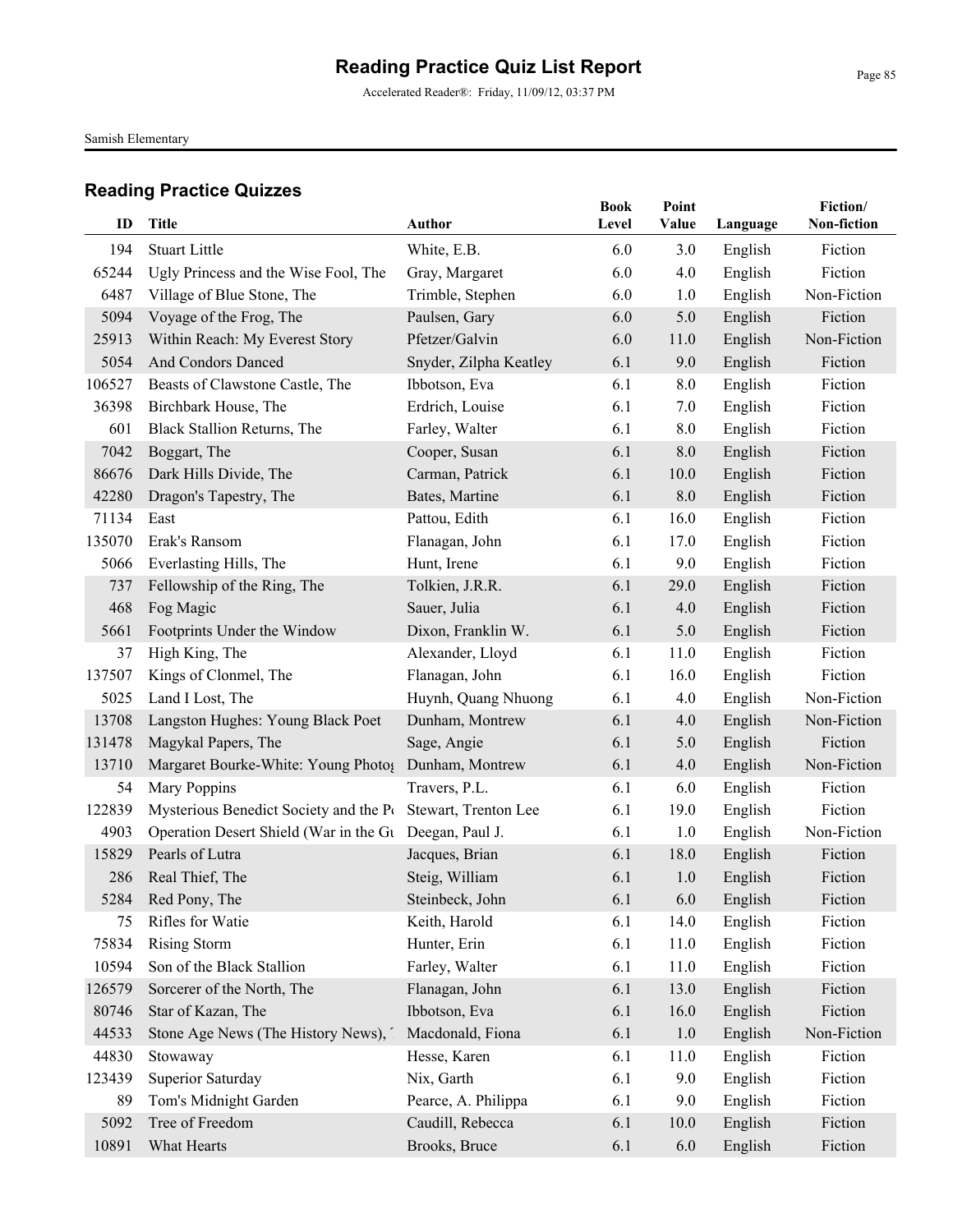Accelerated Reader®: Friday, 11/09/12, 03:37 PM

Samish Elementary

| ID     | <b>Title</b>                           | Author                        | <b>Book</b><br>Level | Point<br>Value | Language           | Fiction/<br>Non-fiction |
|--------|----------------------------------------|-------------------------------|----------------------|----------------|--------------------|-------------------------|
| 194    | <b>Stuart Little</b>                   | White, E.B.                   | 6.0                  | 3.0            | English            | Fiction                 |
| 65244  | Ugly Princess and the Wise Fool, The   | Gray, Margaret                | 6.0                  | 4.0            | English            | Fiction                 |
| 6487   | Village of Blue Stone, The             | Trimble, Stephen              | 6.0                  | 1.0            | English            | Non-Fiction             |
| 5094   | Voyage of the Frog, The                | Paulsen, Gary                 | 6.0                  | 5.0            | English            | Fiction                 |
| 25913  | Within Reach: My Everest Story         | Pfetzer/Galvin                | 6.0                  | 11.0           | English            | Non-Fiction             |
| 5054   | And Condors Danced                     | Snyder, Zilpha Keatley        | 6.1                  | 9.0            | English            | Fiction                 |
| 106527 | Beasts of Clawstone Castle, The        | Ibbotson, Eva                 | 6.1                  | 8.0            | English            | Fiction                 |
| 36398  | Birchbark House, The                   | Erdrich, Louise               | 6.1                  | 7.0            | English            | Fiction                 |
| 601    | Black Stallion Returns, The            | Farley, Walter                | 6.1                  | 8.0            | English            | Fiction                 |
| 7042   | Boggart, The                           | Cooper, Susan                 | 6.1                  | 8.0            | English            | Fiction                 |
| 86676  | Dark Hills Divide, The                 | Carman, Patrick               | 6.1                  | 10.0           | English            | Fiction                 |
| 42280  | Dragon's Tapestry, The                 | Bates, Martine                | 6.1                  | 8.0            |                    | Fiction                 |
| 71134  | East                                   | Pattou, Edith                 | 6.1                  | 16.0           | English<br>English | Fiction                 |
| 135070 | Erak's Ransom                          |                               | 6.1                  | 17.0           | English            | Fiction                 |
| 5066   | Everlasting Hills, The                 | Flanagan, John<br>Hunt, Irene | 6.1                  | 9.0            | English            | Fiction                 |
|        | Fellowship of the Ring, The            |                               | 6.1                  | 29.0           |                    | Fiction                 |
| 737    |                                        | Tolkien, J.R.R.               |                      |                | English            |                         |
| 468    | Fog Magic                              | Sauer, Julia                  | 6.1                  | 4.0            | English            | Fiction<br>Fiction      |
| 5661   | Footprints Under the Window            | Dixon, Franklin W.            | 6.1                  | 5.0            | English            |                         |
| 37     | High King, The                         | Alexander, Lloyd              | 6.1                  | 11.0           | English            | Fiction                 |
| 137507 | Kings of Clonmel, The                  | Flanagan, John                | 6.1                  | 16.0           | English            | Fiction                 |
| 5025   | Land I Lost, The                       | Huynh, Quang Nhuong           | 6.1                  | 4.0            | English            | Non-Fiction             |
| 13708  | Langston Hughes: Young Black Poet      | Dunham, Montrew               | 6.1                  | 4.0            | English            | Non-Fiction             |
| 131478 | Magykal Papers, The                    | Sage, Angie                   | 6.1                  | 5.0            | English            | Fiction                 |
| 13710  | Margaret Bourke-White: Young Photo{    | Dunham, Montrew               | 6.1                  | 4.0            | English            | Non-Fiction             |
| 54     | Mary Poppins                           | Travers, P.L.                 | 6.1                  | 6.0            | English            | Fiction                 |
| 122839 | Mysterious Benedict Society and the Pt | Stewart, Trenton Lee          | 6.1                  | 19.0           | English            | Fiction                 |
| 4903   | Operation Desert Shield (War in the Gu | Deegan, Paul J.               | 6.1                  | 1.0            | English            | Non-Fiction             |
| 15829  | Pearls of Lutra                        | Jacques, Brian                | 6.1                  | 18.0           | English            | Fiction                 |
| 286    | Real Thief, The                        | Steig, William                | 6.1                  | 1.0            | English            | Fiction                 |
|        | 5284 Red Pony, The                     | Steinbeck, John               | 6.1                  | 6.0            | English            | Fiction                 |
| 75     | Rifles for Watie                       | Keith, Harold                 | 6.1                  | 14.0           | English            | Fiction                 |
| 75834  | <b>Rising Storm</b>                    | Hunter, Erin                  | 6.1                  | 11.0           | English            | Fiction                 |
| 10594  | Son of the Black Stallion              | Farley, Walter                | 6.1                  | 11.0           | English            | Fiction                 |
| 126579 | Sorcerer of the North, The             | Flanagan, John                | 6.1                  | 13.0           | English            | Fiction                 |
| 80746  | Star of Kazan, The                     | Ibbotson, Eva                 | 6.1                  | 16.0           | English            | Fiction                 |
| 44533  | Stone Age News (The History News),     | Macdonald, Fiona              | 6.1                  | 1.0            | English            | Non-Fiction             |
| 44830  | Stowaway                               | Hesse, Karen                  | 6.1                  | 11.0           | English            | Fiction                 |
| 123439 | Superior Saturday                      | Nix, Garth                    | 6.1                  | 9.0            | English            | Fiction                 |
| 89     | Tom's Midnight Garden                  | Pearce, A. Philippa           | 6.1                  | 9.0            | English            | Fiction                 |
| 5092   | Tree of Freedom                        | Caudill, Rebecca              | 6.1                  | 10.0           | English            | Fiction                 |
| 10891  | What Hearts                            | Brooks, Bruce                 | 6.1                  | 6.0            | English            | Fiction                 |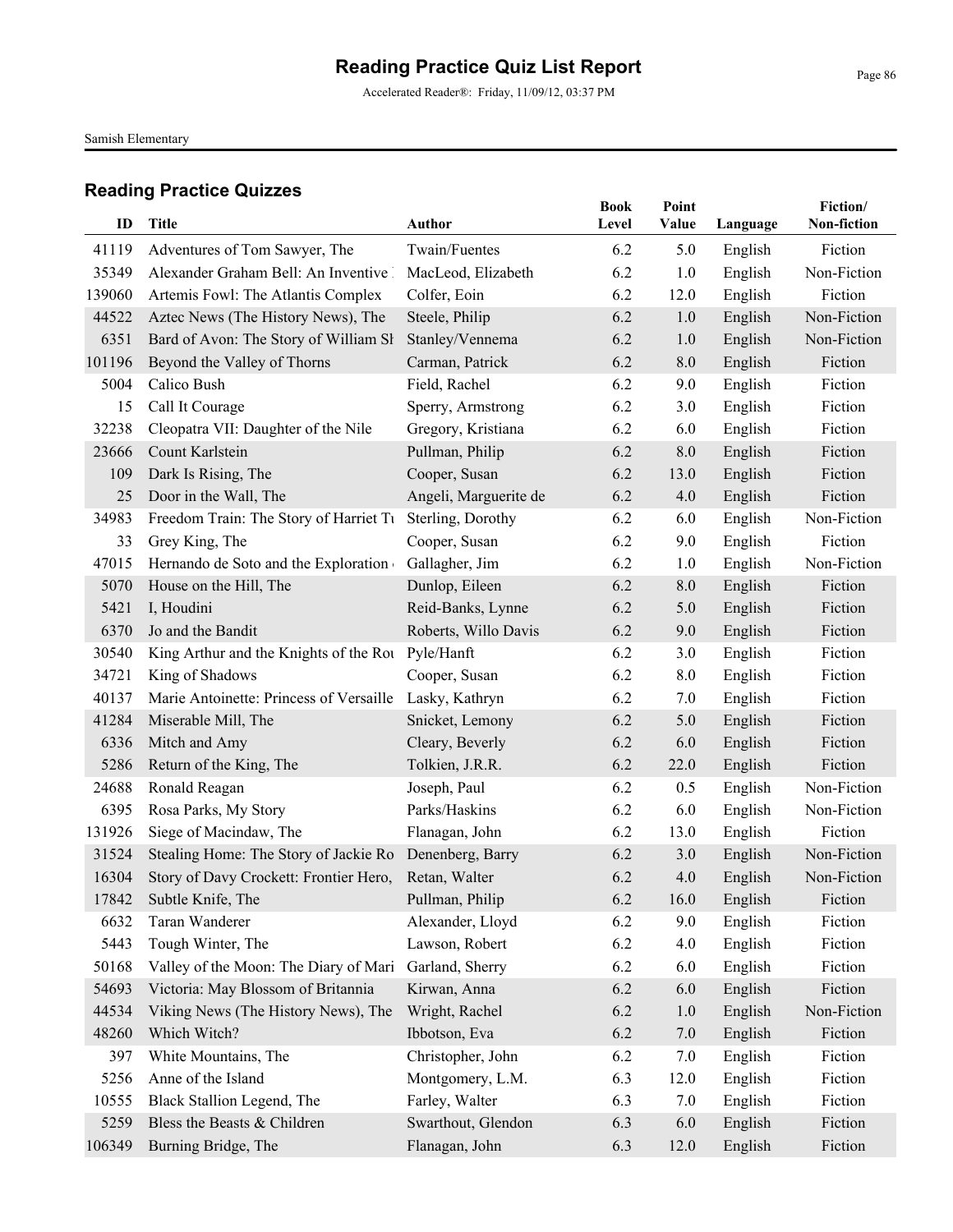Accelerated Reader®: Friday, 11/09/12, 03:37 PM

Samish Elementary

| ID             | <b>Title</b>                            | <b>Author</b>         | <b>Book</b><br>Level | Point<br>Value | Language           | Fiction/<br>Non-fiction |
|----------------|-----------------------------------------|-----------------------|----------------------|----------------|--------------------|-------------------------|
|                | Adventures of Tom Sawyer, The           | Twain/Fuentes         |                      |                |                    | Fiction                 |
| 41119<br>35349 | Alexander Graham Bell: An Inventive     | MacLeod, Elizabeth    | 6.2<br>6.2           | 5.0<br>1.0     | English<br>English | Non-Fiction             |
| 139060         | Artemis Fowl: The Atlantis Complex      | Colfer, Eoin          | 6.2                  | 12.0           | English            | Fiction                 |
| 44522          | Aztec News (The History News), The      | Steele, Philip        | 6.2                  | 1.0            | English            | Non-Fiction             |
| 6351           | Bard of Avon: The Story of William Sł   | Stanley/Vennema       | 6.2                  | 1.0            | English            | Non-Fiction             |
| 101196         | Beyond the Valley of Thorns             | Carman, Patrick       | 6.2                  | 8.0            | English            | Fiction                 |
| 5004           | Calico Bush                             | Field, Rachel         | 6.2                  | 9.0            | English            | Fiction                 |
| 15             | Call It Courage                         | Sperry, Armstrong     | 6.2                  | 3.0            | English            | Fiction                 |
| 32238          | Cleopatra VII: Daughter of the Nile     | Gregory, Kristiana    | 6.2                  | 6.0            | English            | Fiction                 |
| 23666          | Count Karlstein                         | Pullman, Philip       | 6.2                  | 8.0            | English            | Fiction                 |
| 109            | Dark Is Rising, The                     | Cooper, Susan         | 6.2                  | 13.0           | English            | Fiction                 |
| 25             | Door in the Wall, The                   | Angeli, Marguerite de | 6.2                  | 4.0            | English            | Fiction                 |
| 34983          | Freedom Train: The Story of Harriet Tu  | Sterling, Dorothy     | 6.2                  | 6.0            | English            | Non-Fiction             |
| 33             | Grey King, The                          | Cooper, Susan         | 6.2                  | 9.0            | English            | Fiction                 |
| 47015          | Hernando de Soto and the Exploration    | Gallagher, Jim        | 6.2                  | 1.0            | English            | Non-Fiction             |
| 5070           | House on the Hill, The                  | Dunlop, Eileen        | 6.2                  | 8.0            | English            | Fiction                 |
| 5421           | I, Houdini                              | Reid-Banks, Lynne     | 6.2                  | 5.0            | English            | Fiction                 |
| 6370           | Jo and the Bandit                       | Roberts, Willo Davis  | 6.2                  | 9.0            | English            | Fiction                 |
| 30540          | King Arthur and the Knights of the Rou  | Pyle/Hanft            | 6.2                  | 3.0            | English            | Fiction                 |
| 34721          | King of Shadows                         | Cooper, Susan         | 6.2                  | 8.0            | English            | Fiction                 |
| 40137          | Marie Antoinette: Princess of Versaille | Lasky, Kathryn        | 6.2                  | 7.0            | English            | Fiction                 |
| 41284          | Miserable Mill, The                     | Snicket, Lemony       | 6.2                  | 5.0            | English            | Fiction                 |
| 6336           | Mitch and Amy                           | Cleary, Beverly       | 6.2                  | 6.0            | English            | Fiction                 |
| 5286           | Return of the King, The                 | Tolkien, J.R.R.       | 6.2                  | 22.0           | English            | Fiction                 |
| 24688          | Ronald Reagan                           | Joseph, Paul          | 6.2                  | 0.5            | English            | Non-Fiction             |
| 6395           | Rosa Parks, My Story                    | Parks/Haskins         | 6.2                  | 6.0            | English            | Non-Fiction             |
| 131926         | Siege of Macindaw, The                  | Flanagan, John        | 6.2                  | 13.0           | English            | Fiction                 |
| 31524          | Stealing Home: The Story of Jackie Ro   | Denenberg, Barry      | 6.2                  | 3.0            | English            | Non-Fiction             |
| 16304          | Story of Davy Crockett: Frontier Hero,  | Retan, Walter         | 6.2                  | 4.0            | English            | Non-Fiction             |
|                | 17842 Subtle Knife, The                 | Pullman, Philip       | 6.2                  | 16.0           | English            | Fiction                 |
| 6632           | Taran Wanderer                          | Alexander, Lloyd      | 6.2                  | 9.0            | English            | Fiction                 |
| 5443           | Tough Winter, The                       | Lawson, Robert        | 6.2                  | 4.0            | English            | Fiction                 |
| 50168          | Valley of the Moon: The Diary of Mari   | Garland, Sherry       | 6.2                  | 6.0            | English            | Fiction                 |
| 54693          | Victoria: May Blossom of Britannia      | Kirwan, Anna          | 6.2                  | 6.0            | English            | Fiction                 |
| 44534          | Viking News (The History News), The     | Wright, Rachel        | 6.2                  | 1.0            | English            | Non-Fiction             |
| 48260          | Which Witch?                            | Ibbotson, Eva         | 6.2                  | 7.0            | English            | Fiction                 |
| 397            | White Mountains, The                    | Christopher, John     | 6.2                  | 7.0            | English            | Fiction                 |
| 5256           | Anne of the Island                      | Montgomery, L.M.      | 6.3                  | 12.0           | English            | Fiction                 |
| 10555          | Black Stallion Legend, The              | Farley, Walter        | 6.3                  | 7.0            | English            | Fiction                 |
| 5259           | Bless the Beasts & Children             | Swarthout, Glendon    | 6.3                  | 6.0            | English            | Fiction                 |
| 106349         | Burning Bridge, The                     | Flanagan, John        | 6.3                  | 12.0           | English            | Fiction                 |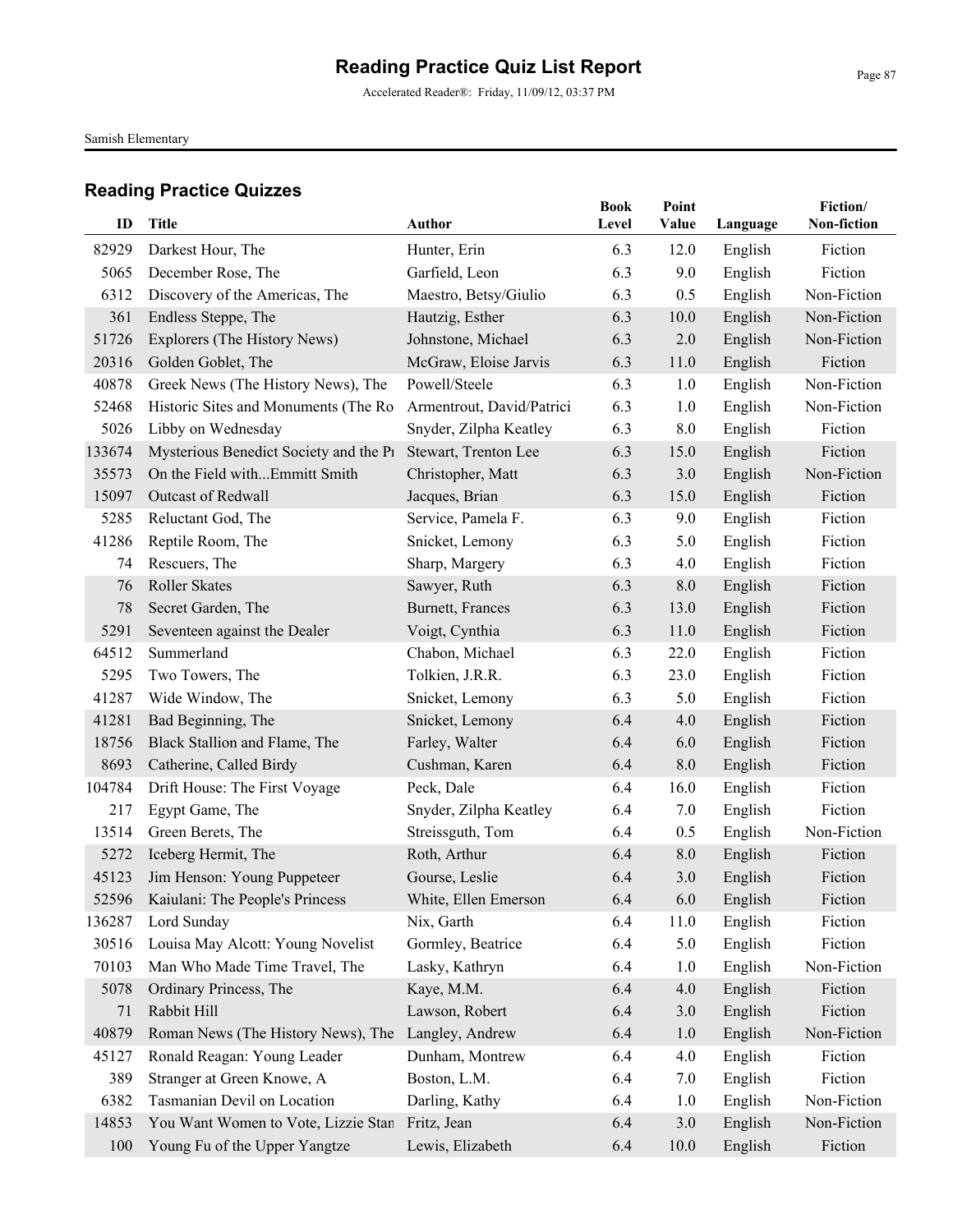Accelerated Reader®: Friday, 11/09/12, 03:37 PM

Samish Elementary

| ID     | Title                                           | Author                    | <b>Book</b><br>Level | Point<br>Value | Language | Fiction/<br>Non-fiction |
|--------|-------------------------------------------------|---------------------------|----------------------|----------------|----------|-------------------------|
| 82929  | Darkest Hour, The                               | Hunter, Erin              | 6.3                  | 12.0           | English  | Fiction                 |
| 5065   | December Rose, The                              | Garfield, Leon            | 6.3                  | 9.0            | English  | Fiction                 |
| 6312   | Discovery of the Americas, The                  | Maestro, Betsy/Giulio     | 6.3                  | 0.5            | English  | Non-Fiction             |
| 361    | Endless Steppe, The                             | Hautzig, Esther           | 6.3                  | 10.0           | English  | Non-Fiction             |
| 51726  | Explorers (The History News)                    | Johnstone, Michael        | 6.3                  | 2.0            | English  | Non-Fiction             |
| 20316  | Golden Goblet, The                              | McGraw, Eloise Jarvis     | 6.3                  | 11.0           | English  | Fiction                 |
| 40878  | Greek News (The History News), The              | Powell/Steele             | 6.3                  | 1.0            | English  | Non-Fiction             |
| 52468  | Historic Sites and Monuments (The Ro            | Armentrout, David/Patrici | 6.3                  | 1.0            | English  | Non-Fiction             |
| 5026   | Libby on Wednesday                              | Snyder, Zilpha Keatley    | 6.3                  | 8.0            | English  | Fiction                 |
| 133674 | Mysterious Benedict Society and the P1          | Stewart, Trenton Lee      | 6.3                  | 15.0           | English  | Fiction                 |
| 35573  | On the Field withEmmitt Smith                   | Christopher, Matt         | 6.3                  | 3.0            | English  | Non-Fiction             |
| 15097  | Outcast of Redwall                              | Jacques, Brian            | 6.3                  | 15.0           | English  | Fiction                 |
| 5285   | Reluctant God, The                              | Service, Pamela F.        | 6.3                  | 9.0            | English  | Fiction                 |
| 41286  | Reptile Room, The                               | Snicket, Lemony           | 6.3                  | 5.0            | English  | Fiction                 |
| 74     | Rescuers, The                                   | Sharp, Margery            | 6.3                  | 4.0            | English  | Fiction                 |
| 76     | Roller Skates                                   | Sawyer, Ruth              | 6.3                  | 8.0            | English  | Fiction                 |
| 78     | Secret Garden, The                              | Burnett, Frances          | 6.3                  | 13.0           | English  | Fiction                 |
| 5291   | Seventeen against the Dealer                    | Voigt, Cynthia            | 6.3                  | 11.0           | English  | Fiction                 |
| 64512  | Summerland                                      | Chabon, Michael           | 6.3                  | 22.0           | English  | Fiction                 |
| 5295   | Two Towers, The                                 | Tolkien, J.R.R.           | 6.3                  | 23.0           | English  | Fiction                 |
| 41287  | Wide Window, The                                | Snicket, Lemony           | 6.3                  | 5.0            | English  | Fiction                 |
| 41281  | Bad Beginning, The                              | Snicket, Lemony           | 6.4                  | 4.0            | English  | Fiction                 |
| 18756  | Black Stallion and Flame, The                   | Farley, Walter            | 6.4                  | 6.0            | English  | Fiction                 |
| 8693   | Catherine, Called Birdy                         | Cushman, Karen            | 6.4                  | 8.0            | English  | Fiction                 |
| 104784 | Drift House: The First Voyage                   | Peck, Dale                | 6.4                  | 16.0           | English  | Fiction                 |
| 217    | Egypt Game, The                                 | Snyder, Zilpha Keatley    | 6.4                  | 7.0            | English  | Fiction                 |
| 13514  | Green Berets, The                               | Streissguth, Tom          | 6.4                  | 0.5            | English  | Non-Fiction             |
| 5272   | Iceberg Hermit, The                             | Roth, Arthur              | 6.4                  | 8.0            | English  | Fiction                 |
| 45123  | Jim Henson: Young Puppeteer                     | Gourse, Leslie            | 6.4                  | 3.0            | English  | Fiction                 |
|        | 52596 Kaiulani: The People's Princess           | White, Ellen Emerson      | 6.4                  | 6.0            | English  | Fiction                 |
| 136287 | Lord Sunday                                     | Nix, Garth                | 6.4                  | 11.0           | English  | Fiction                 |
| 30516  | Louisa May Alcott: Young Novelist               | Gormley, Beatrice         | 6.4                  | 5.0            | English  | Fiction                 |
| 70103  | Man Who Made Time Travel, The                   | Lasky, Kathryn            | 6.4                  | 1.0            | English  | Non-Fiction             |
| 5078   | Ordinary Princess, The                          | Kaye, M.M.                | 6.4                  | 4.0            | English  | Fiction                 |
| 71     | Rabbit Hill                                     | Lawson, Robert            | 6.4                  | 3.0            | English  | Fiction                 |
| 40879  | Roman News (The History News), The              | Langley, Andrew           | 6.4                  | 1.0            | English  | Non-Fiction             |
| 45127  | Ronald Reagan: Young Leader                     | Dunham, Montrew           | 6.4                  | 4.0            | English  | Fiction                 |
| 389    | Stranger at Green Knowe, A                      | Boston, L.M.              | 6.4                  | 7.0            | English  | Fiction                 |
| 6382   | Tasmanian Devil on Location                     | Darling, Kathy            | 6.4                  | 1.0            | English  | Non-Fiction             |
| 14853  | You Want Women to Vote, Lizzie Stan Fritz, Jean |                           | 6.4                  | 3.0            | English  | Non-Fiction             |
| 100    | Young Fu of the Upper Yangtze                   | Lewis, Elizabeth          | 6.4                  | 10.0           | English  | Fiction                 |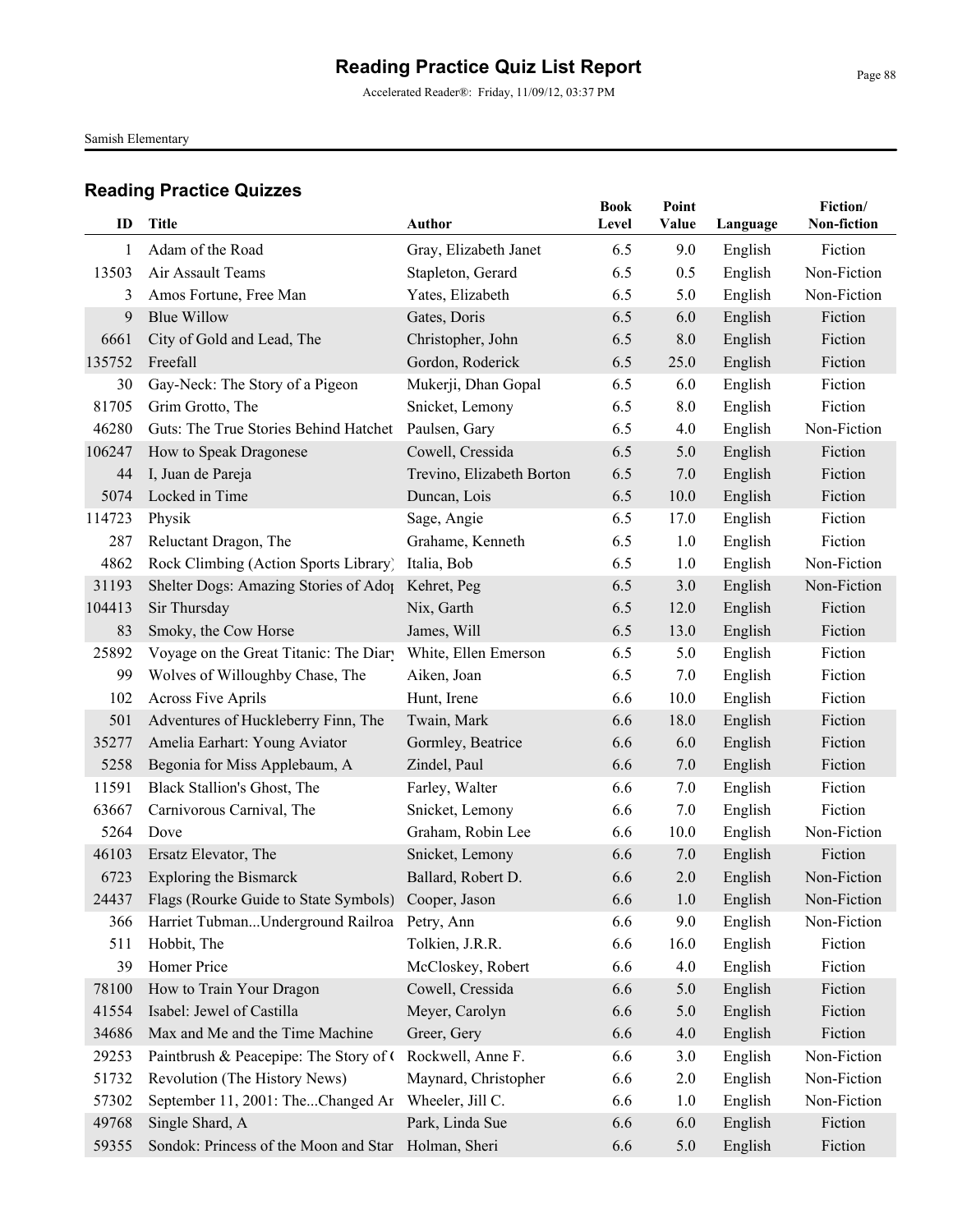Accelerated Reader®: Friday, 11/09/12, 03:37 PM

Samish Elementary

| ID     | Title                                                     | Author                    | <b>Book</b><br>Level | Point<br>Value | Language | Fiction/<br>Non-fiction |
|--------|-----------------------------------------------------------|---------------------------|----------------------|----------------|----------|-------------------------|
| 1      | Adam of the Road                                          | Gray, Elizabeth Janet     | 6.5                  | 9.0            | English  | Fiction                 |
| 13503  | Air Assault Teams                                         | Stapleton, Gerard         | 6.5                  | 0.5            | English  | Non-Fiction             |
| 3      | Amos Fortune, Free Man                                    | Yates, Elizabeth          | 6.5                  | 5.0            | English  | Non-Fiction             |
| 9      | <b>Blue Willow</b>                                        | Gates, Doris              | 6.5                  | 6.0            | English  | Fiction                 |
| 6661   | City of Gold and Lead, The                                | Christopher, John         | 6.5                  | 8.0            | English  | Fiction                 |
| 135752 | Freefall                                                  | Gordon, Roderick          | 6.5                  | 25.0           | English  | Fiction                 |
| 30     | Gay-Neck: The Story of a Pigeon                           | Mukerji, Dhan Gopal       | 6.5                  | 6.0            | English  | Fiction                 |
| 81705  | Grim Grotto, The                                          | Snicket, Lemony           | 6.5                  | 8.0            | English  | Fiction                 |
| 46280  | Guts: The True Stories Behind Hatchet                     | Paulsen, Gary             | 6.5                  | 4.0            | English  | Non-Fiction             |
| 106247 | How to Speak Dragonese                                    | Cowell, Cressida          | 6.5                  | 5.0            | English  | Fiction                 |
| 44     | I, Juan de Pareja                                         | Trevino, Elizabeth Borton | 6.5                  | 7.0            | English  | Fiction                 |
| 5074   | Locked in Time                                            | Duncan, Lois              | 6.5                  | 10.0           | English  | Fiction                 |
| 114723 | Physik                                                    | Sage, Angie               | 6.5                  | 17.0           | English  | Fiction                 |
| 287    | Reluctant Dragon, The                                     | Grahame, Kenneth          | 6.5                  | 1.0            | English  | Fiction                 |
| 4862   | Rock Climbing (Action Sports Library)                     | Italia, Bob               | 6.5                  | 1.0            | English  | Non-Fiction             |
| 31193  | Shelter Dogs: Amazing Stories of Adop                     | Kehret, Peg               | 6.5                  | 3.0            | English  | Non-Fiction             |
| 104413 | Sir Thursday                                              | Nix, Garth                | 6.5                  | 12.0           | English  | Fiction                 |
| 83     | Smoky, the Cow Horse                                      | James, Will               | 6.5                  | 13.0           | English  | Fiction                 |
| 25892  | Voyage on the Great Titanic: The Diary                    | White, Ellen Emerson      | 6.5                  | 5.0            | English  | Fiction                 |
| 99     | Wolves of Willoughby Chase, The                           | Aiken, Joan               | 6.5                  | 7.0            | English  | Fiction                 |
| 102    | <b>Across Five Aprils</b>                                 | Hunt, Irene               | 6.6                  | 10.0           | English  | Fiction                 |
| 501    | Adventures of Huckleberry Finn, The                       | Twain, Mark               | 6.6                  | 18.0           | English  | Fiction                 |
| 35277  | Amelia Earhart: Young Aviator                             | Gormley, Beatrice         | 6.6                  | 6.0            | English  | Fiction                 |
| 5258   | Begonia for Miss Applebaum, A                             | Zindel, Paul              | 6.6                  | 7.0            | English  | Fiction                 |
| 11591  | Black Stallion's Ghost, The                               | Farley, Walter            | 6.6                  | 7.0            | English  | Fiction                 |
| 63667  | Carnivorous Carnival, The                                 | Snicket, Lemony           | 6.6                  | 7.0            | English  | Fiction                 |
| 5264   | Dove                                                      | Graham, Robin Lee         | 6.6                  | 10.0           | English  | Non-Fiction             |
| 46103  | Ersatz Elevator, The                                      | Snicket, Lemony           | 6.6                  | 7.0            | English  | Fiction                 |
| 6723   | <b>Exploring the Bismarck</b>                             | Ballard, Robert D.        | 6.6                  | 2.0            | English  | Non-Fiction             |
|        | 24437 Flags (Rourke Guide to State Symbols) Cooper, Jason |                           | 6.6                  | 1.0            | English  | Non-Fiction             |
| 366    | Harriet TubmanUnderground Railroa Petry, Ann              |                           | 6.6                  | 9.0            | English  | Non-Fiction             |
| 511    | Hobbit, The                                               | Tolkien, J.R.R.           | 6.6                  | 16.0           | English  | Fiction                 |
| 39     | Homer Price                                               | McCloskey, Robert         | 6.6                  | 4.0            | English  | Fiction                 |
| 78100  | How to Train Your Dragon                                  | Cowell, Cressida          | 6.6                  | 5.0            | English  | Fiction                 |
| 41554  | Isabel: Jewel of Castilla                                 | Meyer, Carolyn            | 6.6                  | 5.0            | English  | Fiction                 |
| 34686  | Max and Me and the Time Machine                           | Greer, Gery               | 6.6                  | 4.0            | English  | Fiction                 |
| 29253  | Paintbrush & Peacepipe: The Story of C                    | Rockwell, Anne F.         | 6.6                  | 3.0            | English  | Non-Fiction             |
| 51732  | Revolution (The History News)                             | Maynard, Christopher      | 6.6                  | 2.0            | English  | Non-Fiction             |
| 57302  | September 11, 2001: TheChanged Ar                         | Wheeler, Jill C.          | 6.6                  | 1.0            | English  | Non-Fiction             |
| 49768  | Single Shard, A                                           | Park, Linda Sue           | 6.6                  | 6.0            | English  | Fiction                 |
| 59355  | Sondok: Princess of the Moon and Star                     | Holman, Sheri             | 6.6                  | 5.0            | English  | Fiction                 |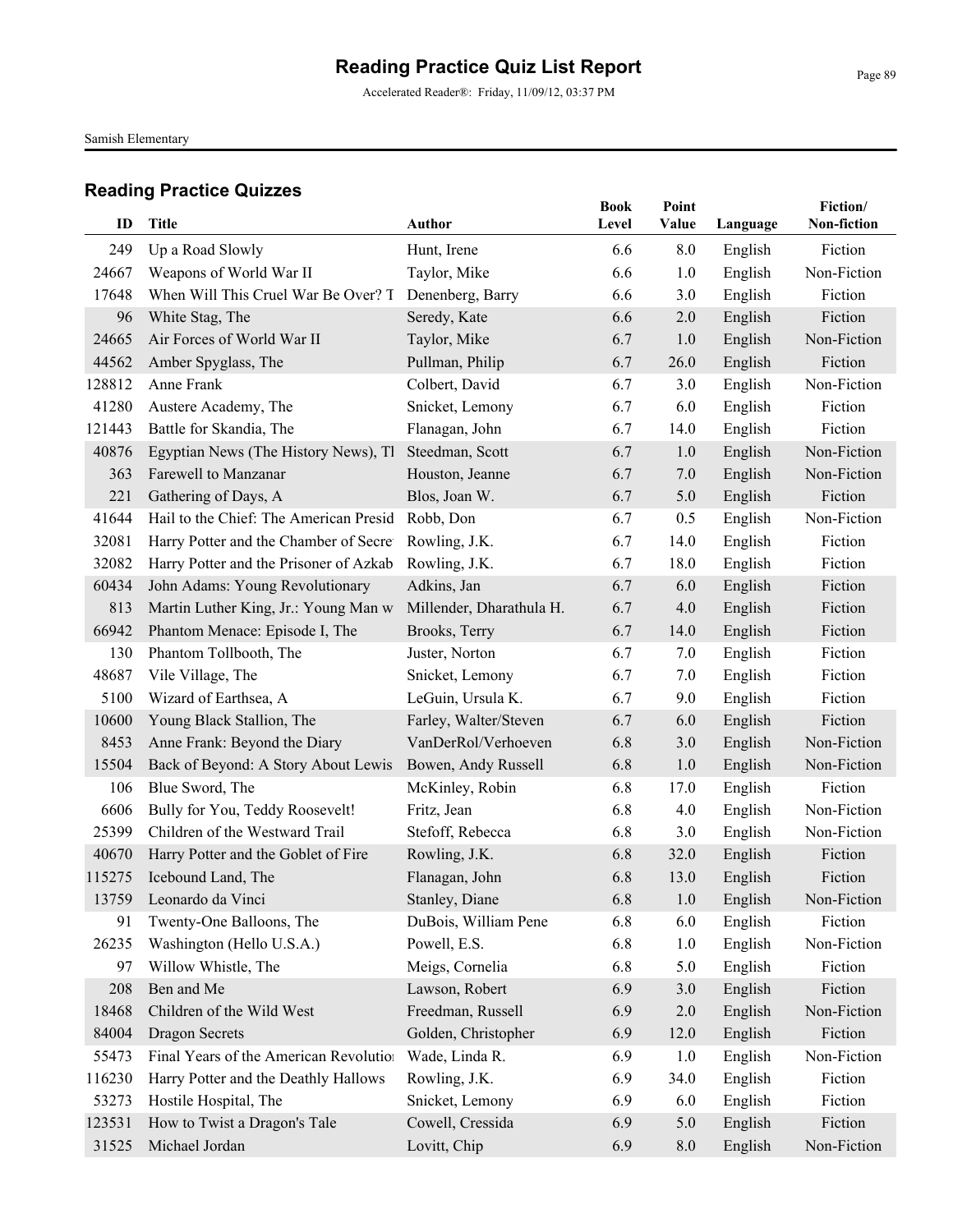Accelerated Reader®: Friday, 11/09/12, 03:37 PM

Samish Elementary

| ID     | Title                                  | <b>Author</b>            | <b>Book</b><br>Level | Point<br>Value | Language | Fiction/<br>Non-fiction |
|--------|----------------------------------------|--------------------------|----------------------|----------------|----------|-------------------------|
| 249    | Up a Road Slowly                       | Hunt, Irene              | 6.6                  | 8.0            | English  | Fiction                 |
| 24667  | Weapons of World War II                | Taylor, Mike             | 6.6                  | 1.0            | English  | Non-Fiction             |
| 17648  | When Will This Cruel War Be Over? T    | Denenberg, Barry         | 6.6                  | 3.0            | English  | Fiction                 |
| 96     | White Stag, The                        | Seredy, Kate             | 6.6                  | 2.0            | English  | Fiction                 |
| 24665  | Air Forces of World War II             | Taylor, Mike             | 6.7                  | 1.0            | English  | Non-Fiction             |
| 44562  | Amber Spyglass, The                    | Pullman, Philip          | 6.7                  | 26.0           | English  | Fiction                 |
| 128812 | Anne Frank                             | Colbert, David           | 6.7                  | 3.0            | English  | Non-Fiction             |
| 41280  | Austere Academy, The                   | Snicket, Lemony          | 6.7                  | 6.0            | English  | Fiction                 |
| 121443 | Battle for Skandia, The                | Flanagan, John           | 6.7                  | 14.0           | English  | Fiction                 |
| 40876  | Egyptian News (The History News), Tl   | Steedman, Scott          | 6.7                  | 1.0            | English  | Non-Fiction             |
| 363    | Farewell to Manzanar                   | Houston, Jeanne          | 6.7                  | 7.0            | English  | Non-Fiction             |
| 221    | Gathering of Days, A                   | Blos, Joan W.            | 6.7                  | 5.0            | English  | Fiction                 |
| 41644  | Hail to the Chief: The American Presid | Robb, Don                | 6.7                  | 0.5            | English  | Non-Fiction             |
| 32081  | Harry Potter and the Chamber of Secret | Rowling, J.K.            | 6.7                  | 14.0           | English  | Fiction                 |
| 32082  | Harry Potter and the Prisoner of Azkab | Rowling, J.K.            | 6.7                  | 18.0           | English  | Fiction                 |
| 60434  | John Adams: Young Revolutionary        | Adkins, Jan              | 6.7                  | 6.0            | English  | Fiction                 |
| 813    | Martin Luther King, Jr.: Young Man w   | Millender, Dharathula H. | 6.7                  | 4.0            | English  | Fiction                 |
| 66942  | Phantom Menace: Episode I, The         | Brooks, Terry            | 6.7                  | 14.0           | English  | Fiction                 |
| 130    | Phantom Tollbooth, The                 | Juster, Norton           | 6.7                  | 7.0            | English  | Fiction                 |
| 48687  | Vile Village, The                      | Snicket, Lemony          | 6.7                  | 7.0            | English  | Fiction                 |
| 5100   | Wizard of Earthsea, A                  | LeGuin, Ursula K.        | 6.7                  | 9.0            | English  | Fiction                 |
| 10600  | Young Black Stallion, The              | Farley, Walter/Steven    | 6.7                  | 6.0            | English  | Fiction                 |
| 8453   | Anne Frank: Beyond the Diary           | VanDerRol/Verhoeven      | 6.8                  | 3.0            | English  | Non-Fiction             |
| 15504  | Back of Beyond: A Story About Lewis    | Bowen, Andy Russell      | 6.8                  | 1.0            | English  | Non-Fiction             |
| 106    | Blue Sword, The                        | McKinley, Robin          | 6.8                  | 17.0           | English  | Fiction                 |
| 6606   | Bully for You, Teddy Roosevelt!        | Fritz, Jean              | 6.8                  | 4.0            | English  | Non-Fiction             |
| 25399  | Children of the Westward Trail         | Stefoff, Rebecca         | 6.8                  | 3.0            | English  | Non-Fiction             |
| 40670  | Harry Potter and the Goblet of Fire    | Rowling, J.K.            | 6.8                  | 32.0           | English  | Fiction                 |
| 115275 | Icebound Land, The                     | Flanagan, John           | 6.8                  | 13.0           | English  | Fiction                 |
|        | 13759 Leonardo da Vinci                | Stanley, Diane           | 6.8                  | 1.0            | English  | Non-Fiction             |
| 91     | Twenty-One Balloons, The               | DuBois, William Pene     | 6.8                  | 6.0            | English  | Fiction                 |
| 26235  | Washington (Hello U.S.A.)              | Powell, E.S.             | 6.8                  | 1.0            | English  | Non-Fiction             |
| 97     | Willow Whistle, The                    | Meigs, Cornelia          | 6.8                  | 5.0            | English  | Fiction                 |
| 208    | Ben and Me                             | Lawson, Robert           | 6.9                  | 3.0            | English  | Fiction                 |
| 18468  | Children of the Wild West              | Freedman, Russell        | 6.9                  | 2.0            | English  | Non-Fiction             |
| 84004  | <b>Dragon Secrets</b>                  | Golden, Christopher      | 6.9                  | 12.0           | English  | Fiction                 |
| 55473  | Final Years of the American Revolution | Wade, Linda R.           | 6.9                  | 1.0            | English  | Non-Fiction             |
| 116230 | Harry Potter and the Deathly Hallows   | Rowling, J.K.            | 6.9                  | 34.0           | English  | Fiction                 |
| 53273  | Hostile Hospital, The                  | Snicket, Lemony          | 6.9                  | 6.0            | English  | Fiction                 |
| 123531 | How to Twist a Dragon's Tale           | Cowell, Cressida         | 6.9                  | 5.0            | English  | Fiction                 |
| 31525  | Michael Jordan                         | Lovitt, Chip             | 6.9                  | 8.0            | English  | Non-Fiction             |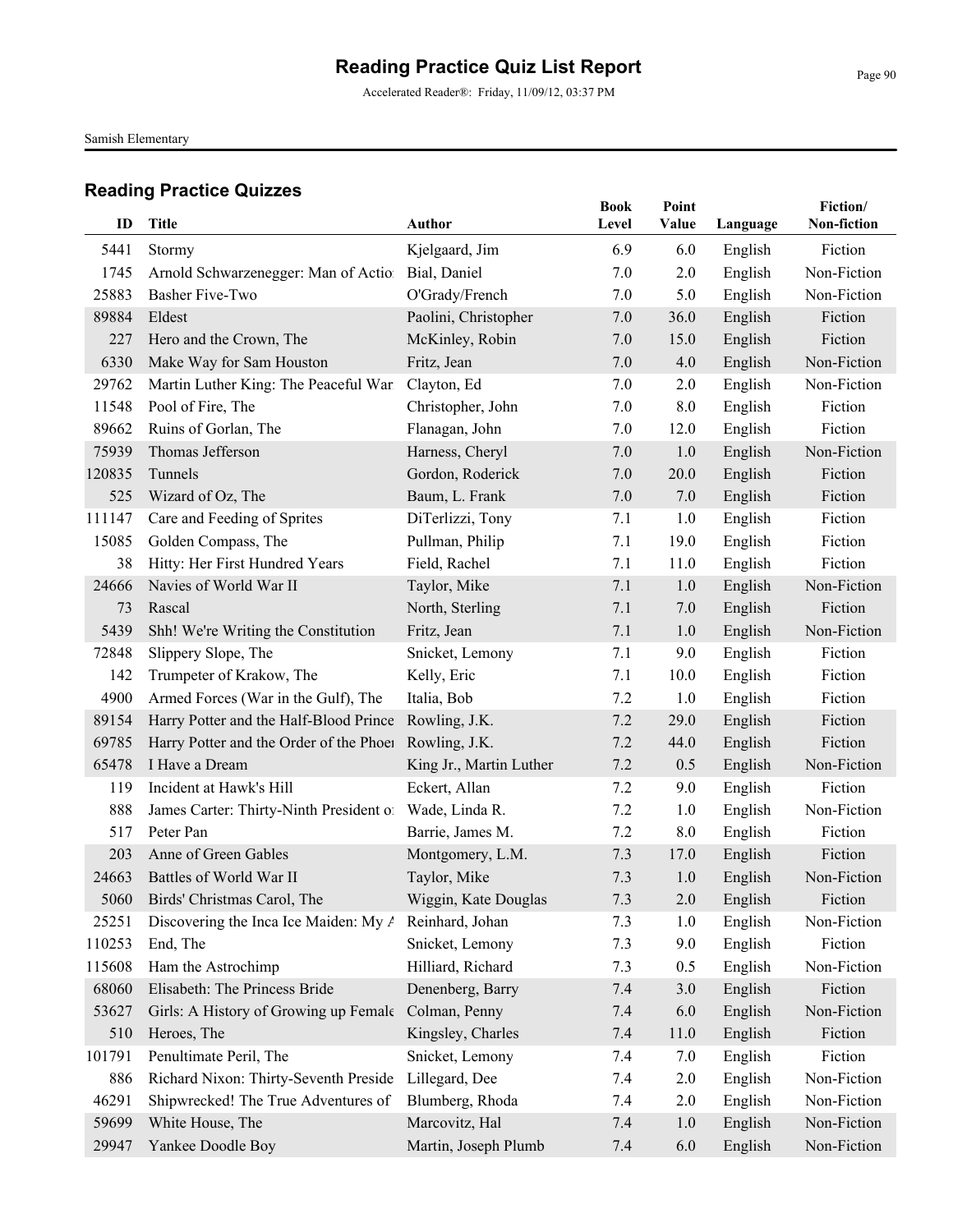Accelerated Reader®: Friday, 11/09/12, 03:37 PM

Samish Elementary

| ID     | <b>Title</b>                                        | <b>Author</b>           | <b>Book</b><br>Level | Point<br>Value | Language | Fiction/<br>Non-fiction |
|--------|-----------------------------------------------------|-------------------------|----------------------|----------------|----------|-------------------------|
| 5441   | Stormy                                              | Kjelgaard, Jim          | 6.9                  | 6.0            | English  | Fiction                 |
| 1745   | Arnold Schwarzenegger: Man of Action                | Bial, Daniel            | 7.0                  | 2.0            | English  | Non-Fiction             |
| 25883  | <b>Basher Five-Two</b>                              | O'Grady/French          | 7.0                  | 5.0            | English  | Non-Fiction             |
| 89884  | Eldest                                              | Paolini, Christopher    | 7.0                  | 36.0           | English  | Fiction                 |
| 227    | Hero and the Crown, The                             | McKinley, Robin         | 7.0                  | 15.0           | English  | Fiction                 |
| 6330   | Make Way for Sam Houston                            | Fritz, Jean             | 7.0                  | 4.0            | English  | Non-Fiction             |
| 29762  | Martin Luther King: The Peaceful War                | Clayton, Ed             | 7.0                  | 2.0            | English  | Non-Fiction             |
| 11548  | Pool of Fire, The                                   | Christopher, John       | 7.0                  | 8.0            | English  | Fiction                 |
| 89662  | Ruins of Gorlan, The                                | Flanagan, John          | 7.0                  | 12.0           | English  | Fiction                 |
| 75939  | Thomas Jefferson                                    | Harness, Cheryl         | 7.0                  | 1.0            | English  | Non-Fiction             |
| 120835 | Tunnels                                             | Gordon, Roderick        | 7.0                  | 20.0           | English  | Fiction                 |
| 525    | Wizard of Oz, The                                   | Baum, L. Frank          | 7.0                  | 7.0            | English  | Fiction                 |
| 111147 | Care and Feeding of Sprites                         | DiTerlizzi, Tony        | 7.1                  | 1.0            | English  | Fiction                 |
| 15085  | Golden Compass, The                                 | Pullman, Philip         | 7.1                  | 19.0           | English  | Fiction                 |
| 38     | Hitty: Her First Hundred Years                      | Field, Rachel           | 7.1                  | 11.0           | English  | Fiction                 |
| 24666  | Navies of World War II                              | Taylor, Mike            | 7.1                  | 1.0            | English  | Non-Fiction             |
| 73     | Rascal                                              | North, Sterling         | 7.1                  | 7.0            | English  | Fiction                 |
| 5439   | Shh! We're Writing the Constitution                 | Fritz, Jean             | 7.1                  | 1.0            | English  | Non-Fiction             |
| 72848  | Slippery Slope, The                                 | Snicket, Lemony         | 7.1                  | 9.0            | English  | Fiction                 |
| 142    | Trumpeter of Krakow, The                            | Kelly, Eric             | 7.1                  | 10.0           | English  | Fiction                 |
| 4900   | Armed Forces (War in the Gulf), The                 | Italia, Bob             | 7.2                  | 1.0            | English  | Fiction                 |
| 89154  | Harry Potter and the Half-Blood Prince              | Rowling, J.K.           | 7.2                  | 29.0           | English  | Fiction                 |
| 69785  | Harry Potter and the Order of the Phoen             | Rowling, J.K.           | 7.2                  | 44.0           | English  | Fiction                 |
| 65478  | I Have a Dream                                      | King Jr., Martin Luther | 7.2                  | 0.5            | English  | Non-Fiction             |
| 119    | Incident at Hawk's Hill                             | Eckert, Allan           | 7.2                  | 9.0            | English  | Fiction                 |
| 888    | James Carter: Thirty-Ninth President of             | Wade, Linda R.          | 7.2                  | 1.0            | English  | Non-Fiction             |
| 517    | Peter Pan                                           | Barrie, James M.        | 7.2                  | 8.0            | English  | Fiction                 |
| 203    | Anne of Green Gables                                | Montgomery, L.M.        | 7.3                  | 17.0           | English  | Fiction                 |
| 24663  | Battles of World War II                             | Taylor, Mike            | 7.3                  | 1.0            | English  | Non-Fiction             |
|        | 5060 Birds' Christmas Carol, The                    | Wiggin, Kate Douglas    | 7.3                  | 2.0            | English  | Fiction                 |
| 25251  | Discovering the Inca Ice Maiden: My A               | Reinhard, Johan         | 7.3                  | 1.0            | English  | Non-Fiction             |
| 110253 | End, The                                            | Snicket, Lemony         | 7.3                  | 9.0            | English  | Fiction                 |
| 115608 | Ham the Astrochimp                                  | Hilliard, Richard       | 7.3                  | 0.5            | English  | Non-Fiction             |
| 68060  | Elisabeth: The Princess Bride                       | Denenberg, Barry        | 7.4                  | 3.0            | English  | Fiction                 |
| 53627  | Girls: A History of Growing up Female Colman, Penny |                         | 7.4                  | 6.0            | English  | Non-Fiction             |
| 510    | Heroes, The                                         | Kingsley, Charles       | 7.4                  | 11.0           | English  | Fiction                 |
| 101791 | Penultimate Peril, The                              | Snicket, Lemony         | 7.4                  | 7.0            | English  | Fiction                 |
| 886    | Richard Nixon: Thirty-Seventh Preside               | Lillegard, Dee          | 7.4                  | 2.0            | English  | Non-Fiction             |
| 46291  | Shipwrecked! The True Adventures of                 | Blumberg, Rhoda         | 7.4                  | 2.0            | English  | Non-Fiction             |
| 59699  | White House, The                                    | Marcovitz, Hal          | 7.4                  | 1.0            | English  | Non-Fiction             |
| 29947  | Yankee Doodle Boy                                   | Martin, Joseph Plumb    | 7.4                  | 6.0            | English  | Non-Fiction             |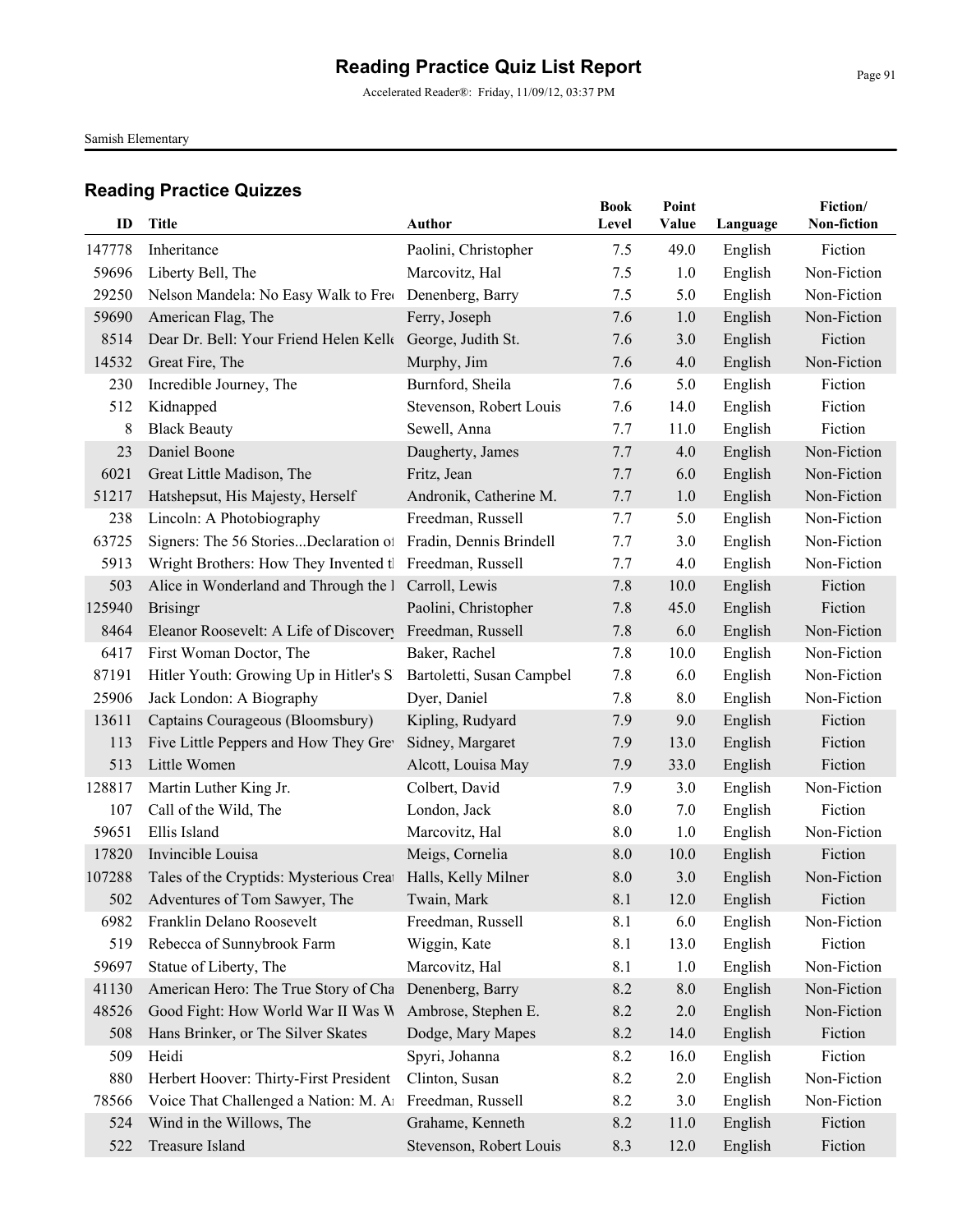Accelerated Reader®: Friday, 11/09/12, 03:37 PM

Samish Elementary

| ID     | Title                                                       | Author                    | <b>Book</b><br>Level | Point<br>Value | Language | Fiction/<br>Non-fiction |
|--------|-------------------------------------------------------------|---------------------------|----------------------|----------------|----------|-------------------------|
| 147778 | Inheritance                                                 | Paolini, Christopher      | 7.5                  | 49.0           | English  | Fiction                 |
| 59696  | Liberty Bell, The                                           | Marcovitz, Hal            | 7.5                  | 1.0            | English  | Non-Fiction             |
| 29250  | Nelson Mandela: No Easy Walk to Free                        | Denenberg, Barry          | 7.5                  | 5.0            | English  | Non-Fiction             |
| 59690  | American Flag, The                                          | Ferry, Joseph             | 7.6                  | 1.0            | English  | Non-Fiction             |
| 8514   | Dear Dr. Bell: Your Friend Helen Kell George, Judith St.    |                           | 7.6                  | 3.0            | English  | Fiction                 |
| 14532  | Great Fire, The                                             | Murphy, Jim               | 7.6                  | 4.0            | English  | Non-Fiction             |
| 230    | Incredible Journey, The                                     | Burnford, Sheila          | 7.6                  | 5.0            | English  | Fiction                 |
| 512    | Kidnapped                                                   | Stevenson, Robert Louis   | 7.6                  | 14.0           | English  | Fiction                 |
| 8      | <b>Black Beauty</b>                                         | Sewell, Anna              | 7.7                  | 11.0           | English  | Fiction                 |
| 23     | Daniel Boone                                                | Daugherty, James          | 7.7                  | 4.0            | English  | Non-Fiction             |
| 6021   | Great Little Madison, The                                   | Fritz, Jean               | 7.7                  | 6.0            | English  | Non-Fiction             |
| 51217  | Hatshepsut, His Majesty, Herself                            | Andronik, Catherine M.    | 7.7                  | 1.0            | English  | Non-Fiction             |
| 238    | Lincoln: A Photobiography                                   | Freedman, Russell         | 7.7                  | 5.0            | English  | Non-Fiction             |
| 63725  | Signers: The 56 StoriesDeclaration of                       | Fradin, Dennis Brindell   | 7.7                  | 3.0            | English  | Non-Fiction             |
| 5913   | Wright Brothers: How They Invented tl Freedman, Russell     |                           | 7.7                  | 4.0            | English  | Non-Fiction             |
| 503    | Alice in Wonderland and Through the I                       | Carroll, Lewis            | 7.8                  | 10.0           | English  | Fiction                 |
| 125940 | <b>Brisingr</b>                                             | Paolini, Christopher      | 7.8                  | 45.0           | English  | Fiction                 |
| 8464   | Eleanor Roosevelt: A Life of Discovery                      | Freedman, Russell         | 7.8                  | 6.0            | English  | Non-Fiction             |
| 6417   | First Woman Doctor, The                                     | Baker, Rachel             | 7.8                  | 10.0           | English  | Non-Fiction             |
| 87191  | Hitler Youth: Growing Up in Hitler's S                      | Bartoletti, Susan Campbel | 7.8                  | 6.0            | English  | Non-Fiction             |
| 25906  | Jack London: A Biography                                    | Dyer, Daniel              | 7.8                  | 8.0            | English  | Non-Fiction             |
| 13611  | Captains Courageous (Bloomsbury)                            | Kipling, Rudyard          | 7.9                  | 9.0            | English  | Fiction                 |
| 113    | Five Little Peppers and How They Gre                        | Sidney, Margaret          | 7.9                  | 13.0           | English  | Fiction                 |
| 513    | Little Women                                                | Alcott, Louisa May        | 7.9                  | 33.0           | English  | Fiction                 |
| 128817 | Martin Luther King Jr.                                      | Colbert, David            | 7.9                  | 3.0            | English  | Non-Fiction             |
| 107    | Call of the Wild, The                                       | London, Jack              | 8.0                  | 7.0            | English  | Fiction                 |
| 59651  | Ellis Island                                                | Marcovitz, Hal            | 8.0                  | 1.0            | English  | Non-Fiction             |
| 17820  | Invincible Louisa                                           | Meigs, Cornelia           | 8.0                  | 10.0           | English  | Fiction                 |
| 107288 | Tales of the Cryptids: Mysterious Creat Halls, Kelly Milner |                           | 8.0                  | 3.0            | English  | Non-Fiction             |
| 502    | Adventures of Tom Sawyer, The                               | Twain, Mark               | 8.1                  | 12.0           | English  | Fiction                 |
| 6982   | Franklin Delano Roosevelt                                   | Freedman, Russell         | 8.1                  | 6.0            | English  | Non-Fiction             |
| 519    | Rebecca of Sunnybrook Farm                                  | Wiggin, Kate              | 8.1                  | 13.0           | English  | Fiction                 |
| 59697  | Statue of Liberty, The                                      | Marcovitz, Hal            | 8.1                  | 1.0            | English  | Non-Fiction             |
| 41130  | American Hero: The True Story of Cha                        | Denenberg, Barry          | 8.2                  | 8.0            | English  | Non-Fiction             |
| 48526  | Good Fight: How World War II Was W                          | Ambrose, Stephen E.       | 8.2                  | 2.0            | English  | Non-Fiction             |
| 508    | Hans Brinker, or The Silver Skates                          | Dodge, Mary Mapes         | 8.2                  | 14.0           | English  | Fiction                 |
| 509    | Heidi                                                       | Spyri, Johanna            | 8.2                  | 16.0           | English  | Fiction                 |
| 880    | Herbert Hoover: Thirty-First President                      | Clinton, Susan            | 8.2                  | 2.0            | English  | Non-Fiction             |
| 78566  | Voice That Challenged a Nation: M. Al                       | Freedman, Russell         | 8.2                  | 3.0            | English  | Non-Fiction             |
| 524    | Wind in the Willows, The                                    | Grahame, Kenneth          | 8.2                  | 11.0           | English  | Fiction                 |
| 522    | Treasure Island                                             | Stevenson, Robert Louis   | 8.3                  | 12.0           | English  | Fiction                 |